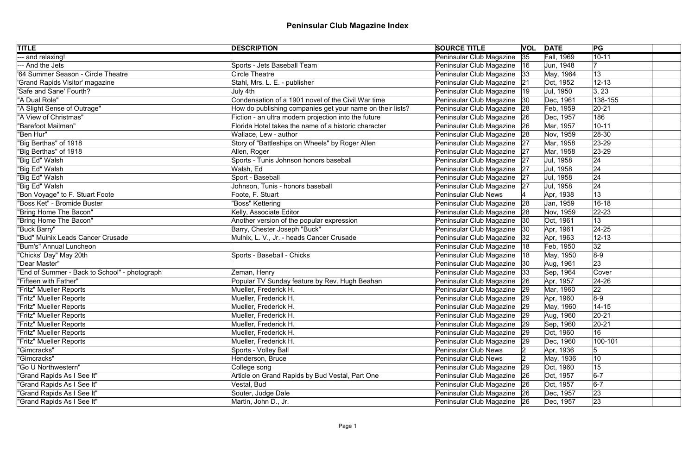| <b>TITLE</b>                                  | <b>DESCRIPTION</b>                                        | <b>SOURCE TITLE</b>           |    | <b>VOL DATE</b> | PG          |
|-----------------------------------------------|-----------------------------------------------------------|-------------------------------|----|-----------------|-------------|
| - and relaxing!                               |                                                           | Peninsular Club Magazine      | 35 | Fall, 1969      | $10 - 11$   |
| --- And the Jets                              | Sports - Jets Baseball Team                               | Peninsular Club Magazine   16 |    | Jun, 1948       |             |
| '64 Summer Season - Circle Theatre            | <b>Circle Theatre</b>                                     | Peninsular Club Magazine   33 |    | May, 1964       | 13          |
| 'Grand Rapids Visitor' magazine               | Stahl, Mrs. L. E. - publisher                             | Peninsular Club Magazine 21   |    | Oct, 1952       | $12 - 13$   |
| 'Safe and Sane' Fourth?                       | July 4th                                                  | Peninsular Club Magazine      | 19 | Jul, 1950       | 3, 23       |
| "A Dual Role"                                 | Condensation of a 1901 novel of the Civil War time        | Peninsular Club Magazine   30 |    | Dec, 1961       | 138-155     |
| "A Slight Sense of Outrage"                   | How do publishing companies get your name on their lists? | Peninsular Club Magazine 28   |    | Feb, 1959       | $ 20-21$    |
| "A View of Christmas"                         | Fiction - an ultra modern projection into the future      | Peninsular Club Magazine 26   |    | Dec, 1957       | 186         |
| "Barefoot Mailman"                            | Florida Hotel takes the name of a historic character      | Peninsular Club Magazine      | 26 | Mar, 1957       | $10 - 11$   |
| "Ben Hur"                                     | Wallace, Lew - author                                     | Peninsular Club Magazine 28   |    | Nov, 1959       | $ 28-30$    |
| "Big Berthas" of 1918                         | Story of "Battleships on Wheels" by Roger Allen           | Peninsular Club Magazine      | 27 | Mar, 1958       | $ 23-29 $   |
| "Big Berthas" of 1918                         | Allen, Roger                                              | Peninsular Club Magazine      | 27 | Mar, 1958       | $23 - 29$   |
| "Big Ed" Walsh                                | Sports - Tunis Johnson honors baseball                    | Peninsular Club Magazine      | 27 | Jul, 1958       | 24          |
| "Big Ed" Walsh                                | Walsh, Ed                                                 | Peninsular Club Magazine      | 27 | Jul, 1958       | 24          |
| "Big Ed" Walsh                                | Sport - Baseball                                          | Peninsular Club Magazine 27   |    | Jul, 1958       | 24          |
| "Big Ed" Walsh                                | Johnson, Tunis - honors baseball                          | Peninsular Club Magazine 27   |    | Jul, 1958       | 24          |
| "Bon Voyage" to F. Stuart Foote               | Foote, F. Stuart                                          | <b>Peninsular Club News</b>   |    | Apr, 1938       | 13          |
| "Boss Ket" - Bromide Buster                   | "Boss" Kettering                                          | Peninsular Club Magazine      | 28 | Jan, 1959       | $16 - 18$   |
| "Bring Home The Bacon"                        | Kelly, Associate Editor                                   | Peninsular Club Magazine 28   |    | Nov, 1959       | $ 22 - 23 $ |
| "Bring Home The Bacon"                        | Another version of the popular expression                 | Peninsular Club Magazine      | 30 | Oct, 1961       | 13          |
| "Buck Barry"                                  | Barry, Chester Joseph "Buck"                              | Peninsular Club Magazine   30 |    | Apr, 1961       | $24 - 25$   |
| "Bud" Mulnix Leads Cancer Crusade             | Mulnix, L. V., Jr. - heads Cancer Crusade                 | Peninsular Club Magazine      | 32 | Apr, 1963       | $12 - 13$   |
| "Bum's" Annual Luncheon                       |                                                           | Peninsular Club Magazine   18 |    | Feb, 1950       | 32          |
| "Chicks' Day" May 20th                        | Sports - Baseball - Chicks                                | Peninsular Club Magazine      | 18 | May, 1950       | $8-9$       |
| "Dear Master"                                 |                                                           | Peninsular Club Magazine  30  |    | Aug, 1961       | 23          |
| "End of Summer - Back to School" - photograph | Zeman, Henry                                              | Peninsular Club Magazine      | 33 | Sep, 1964       | Cover       |
| "Fifteen with Father"                         | Popular TV Sunday feature by Rev. Hugh Beahan             | Peninsular Club Magazine 26   |    | Apr, 1957       | $ 24 - 26$  |
| "Fritz" Mueller Reports                       | Mueller, Frederick H.                                     | Peninsular Club Magazine 29   |    | Mar, 1960       | 22          |
| "Fritz" Mueller Reports                       | Mueller, Frederick H.                                     | Peninsular Club Magazine   29 |    | Apr, 1960       | $8-9$       |
| "Fritz" Mueller Reports                       | Mueller, Frederick H.                                     | Peninsular Club Magazine      | 29 | May, 1960       | $14 - 15$   |
| "Fritz" Mueller Reports                       | Mueller, Frederick H.                                     | Peninsular Club Magazine 29   |    | Aug, 1960       | $ 20-21$    |
| "Fritz" Mueller Reports                       | Mueller, Frederick H.                                     | Peninsular Club Magazine      | 29 | Sep, 1960       | $ 20-21$    |
| "Fritz" Mueller Reports                       | Mueller, Frederick H.                                     | Peninsular Club Magazine      | 29 | Oct, 1960       | 16          |
| "Fritz" Mueller Reports                       | Mueller, Frederick H.                                     | Peninsular Club Magazine      | 29 | Dec, 1960       | 100-101     |
| "Gimcracks"                                   | Sports - Volley Ball                                      | <b>Peninsular Club News</b>   |    | Apr, 1936       | 5           |
| "Gimcracks"                                   | Henderson, Bruce                                          | Peninsular Club News          |    | May, 1936       | 10          |
| "Go U Northwestern"                           | College song                                              | Peninsular Club Magazine      | 29 | Oct, 1960       | 15          |
| "Grand Rapids As I See It"                    | Article on Grand Rapids by Bud Vestal, Part One           | Peninsular Club Magazine 26   |    | Oct, 1957       | $6-7$       |
| "Grand Rapids As I See It"                    | Vestal, Bud                                               | Peninsular Club Magazine 26   |    | Oct, 1957       | $6-7$       |
| "Grand Rapids As I See It"                    | Souter, Judge Dale                                        | Peninsular Club Magazine 26   |    | Dec, 1957       | 23          |
| "Grand Rapids As I See It"                    | Martin, John D., Jr.                                      | Peninsular Club Magazine 26   |    | Dec, 1957       | 23          |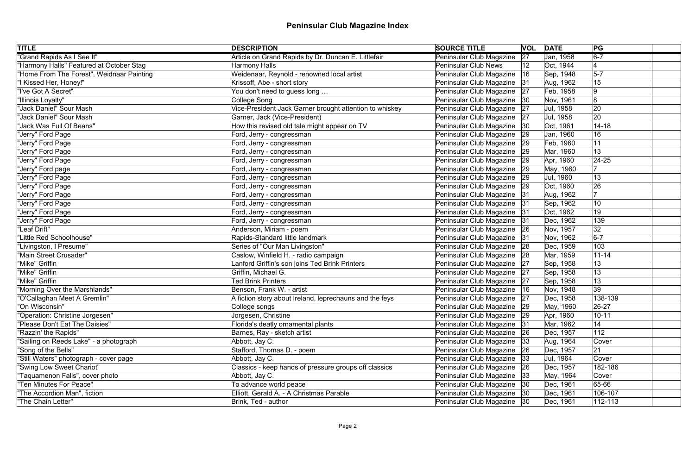| <b>TITLE</b>                              | <b>DESCRIPTION</b>                                      | <b>SOURCE TITLE</b>           |    | <b>VOL DATE</b> | PG        |
|-------------------------------------------|---------------------------------------------------------|-------------------------------|----|-----------------|-----------|
| "Grand Rapids As I See It"                | Article on Grand Rapids by Dr. Duncan E. Littlefair     | Peninsular Club Magazine      | 27 | Jan, 1958       | $6-7$     |
| "Harmony Halls" Featured at October Stag  | <b>Harmony Halls</b>                                    | <b>Peninsular Club News</b>   | 12 | Oct, 1944       |           |
| "Home From The Forest", Weidnaar Painting | Weidenaar, Reynold - renowned local artist              | Peninsular Club Magazine      | 16 | Sep, 1948       | $5-7$     |
| "I Kissed Her, Honey!"                    | Krissoff, Abe - short story                             | Peninsular Club Magazine 31   |    | Aug, 1962       | 15        |
| "I've Got A Secret"                       | You don't need to guess long                            | Peninsular Club Magazine      | 27 | Feb, 1958       | 9         |
| "Illinois Loyalty"                        | College Song                                            | Peninsular Club Magazine   30 |    | Nov, 1961       | 8         |
| "Jack Daniel" Sour Mash                   | Vice-President Jack Garner brought attention to whiskey | Peninsular Club Magazine      | 27 | Jul, 1958       | 20        |
| 'Jack Daniel" Sour Mash                   | Garner, Jack (Vice-President)                           | Peninsular Club Magazine   27 |    | Jul, 1958       | 20        |
| "Jack Was Full Of Beans"                  | How this revised old tale might appear on TV            | Peninsular Club Magazine      | 30 | Oct, 1961       | $14 - 18$ |
| "Jerry" Ford Page                         | Ford, Jerry - congressman                               | Peninsular Club Magazine 29   |    | Jan, 1960       | 16        |
| "Jerry" Ford Page                         | Ford, Jerry - congressman                               | Peninsular Club Magazine      | 29 | Feb, 1960       | 11        |
| "Jerry" Ford Page                         | Ford, Jerry - congressman                               | Peninsular Club Magazine      | 29 | Mar, 1960       | 13        |
| "Jerry" Ford Page                         | Ford, Jerry - congressman                               | Peninsular Club Magazine      | 29 | Apr, 1960       | $ 24-25$  |
| "Jerry" Ford page                         | Ford, Jerry - congressman                               | Peninsular Club Magazine      | 29 | May, 1960       |           |
| "Jerry" Ford Page                         | Ford, Jerry - congressman                               | Peninsular Club Magazine 29   |    | Jul, 1960       | 13        |
| "Jerry" Ford Page                         | Ford, Jerry - congressman                               | Peninsular Club Magazine      | 29 | Oct, 1960       | 26        |
| "Jerry" Ford Page                         | Ford, Jerry - congressman                               | Peninsular Club Magazine      | 31 | Aug, 1962       | 17        |
| "Jerry" Ford Page                         | Ford, Jerry - congressman                               | Peninsular Club Magazine 31   |    | Sep, 1962       | 10        |
| "Jerry" Ford Page                         | Ford, Jerry - congressman                               | Peninsular Club Magazine 31   |    | Oct, 1962       | 19        |
| "Jerry" Ford Page                         | Ford, Jerry - congressman                               | Peninsular Club Magazine 31   |    | Dec, 1962       | 139       |
| "Leaf Drift"                              | Anderson, Miriam - poem                                 | Peninsular Club Magazine 26   |    | Nov, 1957       | 32        |
| "Little Red Schoolhouse"                  | Rapids-Standard little landmark                         | Peninsular Club Magazine 31   |    | Nov, 1962       | $6-7$     |
| "Livingston, I Presume"                   | Series of "Our Man Livingston"                          | Peninsular Club Magazine 28   |    | Dec, 1959       | 103       |
| "Main Street Crusader"                    | Caslow, Winfield H. - radio campaign                    | Peninsular Club Magazine 28   |    | Mar, 1959       | $11 - 14$ |
| "Mike" Griffin                            | Lanford Griffin's son joins Ted Brink Printers          | Peninsular Club Magazine 27   |    | Sep, 1958       | 13        |
| "Mike" Griffin                            | Griffin, Michael G.                                     | Peninsular Club Magazine   27 |    | Sep, 1958       | 13        |
| "Mike" Griffin                            | <b>Ted Brink Printers</b>                               | Peninsular Club Magazine 27   |    | Sep, 1958       | 13        |
| "Morning Over the Marshlands"             | Benson, Frank W. - artist                               | Peninsular Club Magazine      |    | Nov, 1948       | 39        |
| "O'Callaghan Meet A Gremlin"              | A fiction story about Ireland, leprechauns and the feys | Peninsular Club Magazine   27 |    | Dec, 1958       | 138-139   |
| "On Wisconsin"                            | College songs                                           | Peninsular Club Magazine 29   |    | May, 1960       | 26-27     |
| "Operation: Christine Jorgesen"           | Jorgesen, Christine                                     | Peninsular Club Magazine 29   |    | Apr, 1960       | $10 - 11$ |
| "Please Don't Eat The Daisies"            | Florida's deatly ornamental plants                      | Peninsular Club Magazine 31   |    | Mar, 1962       | 14        |
| "Razzin' the Rapids"                      | Barnes, Ray - sketch artist                             | Peninsular Club Magazine 26   |    | Dec, 1957       | 112       |
| "Sailing on Reeds Lake" - a photograph    | Abbott, Jay C.                                          | Peninsular Club Magazine      | 33 | Aug, 1964       | Cover     |
| "Song of the Bells"                       | Stafford, Thomas D. - poem                              | Peninsular Club Magazine 26   |    | Dec, 1957       | 21        |
| "Still Waters" photograph - cover page    | Abbott, Jay C.                                          | Peninsular Club Magazine   33 |    | Jul, 1964       | Cover     |
| "Swing Low Sweet Chariot"                 | Classics - keep hands of pressure groups off classics   | Peninsular Club Magazine 26   |    | Dec, 1957       | 182-186   |
| "Taquamenon Falls", cover photo           | Abbott, Jay C.                                          | Peninsular Club Magazine 33   |    | May, 1964       | Cover     |
| "Ten Minutes For Peace"                   | To advance world peace                                  | Peninsular Club Magazine   30 |    | Dec, 1961       | 65-66     |
| "The Accordion Man", fiction              | Elliott, Gerald A. - A Christmas Parable                | Peninsular Club Magazine 30   |    | Dec, 1961       | 106-107   |
| "The Chain Letter"                        | Brink, Ted - author                                     | Peninsular Club Magazine 30   |    | Dec, 1961       | 112-113   |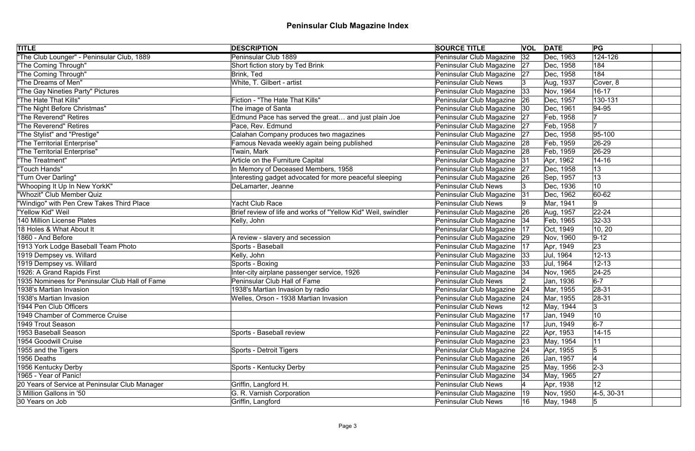| <b>TITLE</b>                                   | <b>DESCRIPTION</b>                                            | <b>SOURCE TITLE</b>           |              | <b>VOL DATE</b> | PG                   |
|------------------------------------------------|---------------------------------------------------------------|-------------------------------|--------------|-----------------|----------------------|
| "The Club Lounger" - Peninsular Club, 1889     | Peninsular Club 1889                                          | Peninsular Club Magazine      | 32           | Dec, 1963       | $\overline{124-126}$ |
| "The Coming Through"                           | Short fiction story by Ted Brink                              | Peninsular Club Magazine 27   |              | Dec, 1958       | 184                  |
| "The Coming Through"                           | Brink, Ted                                                    | Peninsular Club Magazine 27   |              | Dec, 1958       | 184                  |
| "The Dreams of Men"                            | White, T. Gilbert - artist                                    | <b>Peninsular Club News</b>   |              | Aug, 1937       | Cover, 8             |
| "The Gay Nineties Party" Pictures              |                                                               | Peninsular Club Magazine      | 33           | Nov, 1964       | $16 - 17$            |
| "The Hate That Kills"                          | Fiction - "The Hate That Kills"                               | Peninsular Club Magazine      | 26           | Dec, 1957       | 130-131              |
| "The Night Before Christmas"                   | The image of Santa                                            | Peninsular Club Magazine      | 30           | Dec, 1961       | $ 94 - 95 $          |
| "The Reverend" Retires                         | Edmund Pace has served the great and just plain Joe           | Peninsular Club Magazine      | 27           | Feb, 1958       |                      |
| <b>The Reverend" Retires</b>                   | Pace, Rev. Edmund                                             | Peninsular Club Magazine      | 27           | Feb, 1958       |                      |
| "The Stylist" and "Prestige"                   | Calahan Company produces two magazines                        | Peninsular Club Magazine      | 27           | Dec, 1958       | 95-100               |
| "The Territorial Enterprise"                   | Famous Nevada weekly again being published                    | Peninsular Club Magazine      | 28           | Feb, 1959       | $ 26-29 $            |
| "The Territorial Enterprise"                   | Twain, Mark                                                   | Peninsular Club Magazine      | 28           | Feb, 1959       | 26-29                |
| "The Treatment"                                | Article on the Furniture Capital                              | Peninsular Club Magazine      | 31           | Apr, 1962       | $14 - 16$            |
| "Touch Hands"                                  | In Memory of Deceased Members, 1958                           | Peninsular Club Magazine      | 27           | Dec, 1958       | 13                   |
| "Turn Over Darling"                            | Interesting gadget advocated for more peaceful sleeping       | Peninsular Club Magazine      | 26           | Sep, 1957       | 13                   |
| "Whooping It Up In New YorkK"                  | DeLamarter, Jeanne                                            | <b>Peninsular Club News</b>   |              | Dec, 1936       | 10                   |
| "Whozit" Club Member Quiz                      |                                                               | Peninsular Club Magazine      | 31           | Dec, 1962       | 60-62                |
| "Windigo" with Pen Crew Takes Third Place      | Yacht Club Race                                               | <b>Peninsular Club News</b>   |              | Mar, 1941       | 9                    |
| "Yellow Kid" Weil                              | Brief review of life and works of "Yellow Kid" Weil, swindler | Peninsular Club Magazine      | 26           | Aug, 1957       | $22 - 24$            |
| 140 Million License Plates                     | Kelly, John                                                   | Peninsular Club Magazine      | 34           | Feb, 1965       | $ 32-33$             |
| 18 Holes & What About It                       |                                                               | Peninsular Club Magazine      | 17           | Oct, 1949       | 10, 20               |
| 1860 - And Before                              | A review - slavery and secession                              | Peninsular Club Magazine      | 29           | Nov, 1960       | $9 - 12$             |
| 1913 York Lodge Baseball Team Photo            | Sports - Baseball                                             | Peninsular Club Magazine      | 17           | Apr, 1949       | 23                   |
| 1919 Dempsey vs. Willard                       | Kelly, John                                                   | Peninsular Club Magazine      | 33           | Jul, 1964       | $12 - 13$            |
| 1919 Dempsey vs. Willard                       | Sports - Boxing                                               | Peninsular Club Magazine      | 33           | Jul, 1964       | $12 - 13$            |
| 1926: A Grand Rapids First                     | Inter-city airplane passenger service, 1926                   | Peninsular Club Magazine      | 34           | Nov, 1965       | $ 24-25$             |
| 1935 Nominees for Peninsular Club Hall of Fame | Peninsular Club Hall of Fame                                  | Peninsular Club News          |              | Jan, 1936       | $6-7$                |
| 1938's Martian Invasion                        | 1938's Martian Invasion by radio                              | Peninsular Club Magazine      | 24           | Mar, 1955       | 28-31                |
| 1938's Martian Invasion                        | Welles, Orson - 1938 Martian Invasion                         | Peninsular Club Magazine 24   |              | Mar, 1955       | $ 28-31 $            |
| 1944 Pen Club Officers                         |                                                               | <b>Peninsular Club News</b>   |              | May, 1944       | 3                    |
| 1949 Chamber of Commerce Cruise                |                                                               | Peninsular Club Magazine      | 17           | Jan, 1949       | 10                   |
| 1949 Trout Season                              |                                                               | Peninsular Club Magazine      | 17           | Jun, 1949       | $6-7$                |
| 1953 Baseball Season                           | Sports - Baseball review                                      | Peninsular Club Magazine      | 22           | Apr, 1953       | $14 - 15$            |
| 1954 Goodwill Cruise                           |                                                               | Peninsular Club Magazine      | 23           | May, 1954       | 11                   |
| 1955 and the Tigers                            | <b>Sports - Detroit Tigers</b>                                | Peninsular Club Magazine   24 |              | Apr, 1955       | 15                   |
| 1956 Deaths                                    |                                                               | Peninsular Club Magazine      | 26           | Jan, 1957       |                      |
| 1956 Kentucky Derby                            | <b>Sports - Kentucky Derby</b>                                | Peninsular Club Magazine      | 25           | May, 1956       | $2 - 3$              |
| 1965 - Year of Panic!                          |                                                               | Peninsular Club Magazine 34   |              | May, 1965       | 27                   |
| 20 Years of Service at Peninsular Club Manager | Griffin, Langford H.                                          | <b>Peninsular Club News</b>   |              | Apr, 1938       | 12                   |
| 3 Million Gallons in '50                       | G. R. Varnish Corporation                                     | Peninsular Club Magazine      | $ 19\rangle$ | Nov, 1950       | $4-5, 30-31$         |
| 30 Years on Job                                | Griffin, Langford                                             | <b>Peninsular Club News</b>   | 16           | May, 1948       | 15                   |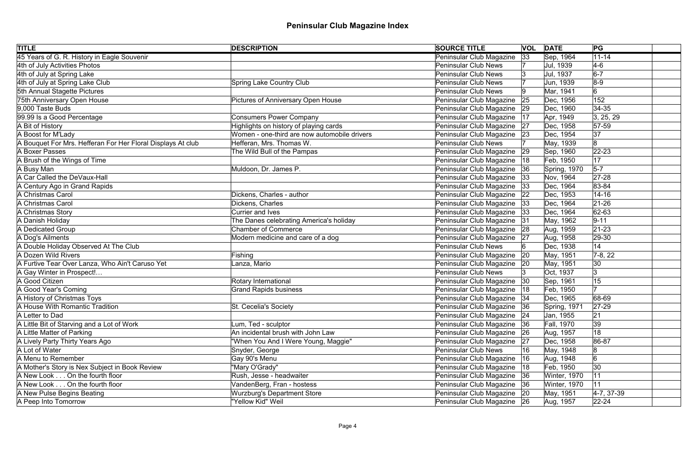| <b>TITLE</b>                                                | <b>DESCRIPTION</b>                           | <b>SOURCE TITLE</b>           |              | <b>VOL DATE</b> | PG             |
|-------------------------------------------------------------|----------------------------------------------|-------------------------------|--------------|-----------------|----------------|
| 45 Years of G. R. History in Eagle Souvenir                 |                                              | Peninsular Club Magazine      | 33           | Sep, 1964       | $11 - 14$      |
| 4th of July Activities Photos                               |                                              | <b>Peninsular Club News</b>   |              | Jul, 1939       | $4-6$          |
| 4th of July at Spring Lake                                  |                                              | Peninsular Club News          |              | Jul, 1937       | $6-7$          |
| 4th of July at Spring Lake Club                             | <b>Spring Lake Country Club</b>              | <b>Peninsular Club News</b>   |              | Jun, 1939       | $8-9$          |
| 5th Annual Stagette Pictures                                |                                              | <b>Peninsular Club News</b>   |              | Mar, 1941       | 6              |
| 75th Anniversary Open House                                 | <b>Pictures of Anniversary Open House</b>    | Peninsular Club Magazine      | 25           | Dec, 1956       | 152            |
| $9,000$ Taste Buds                                          |                                              | Peninsular Club Magazine      | 29           | Dec, 1960       | $ 34-35 $      |
| 99.99 Is a Good Percentage                                  | <b>Consumers Power Company</b>               | Peninsular Club Magazine      | 17           | Apr, 1949       | 3, 25, 29      |
| A Bit of History                                            | Highlights on history of playing cards       | Peninsular Club Magazine      | 27           | Dec, 1958       | $57-59$        |
| A Boost for M'Lady                                          | Women - one-third are now automobile drivers | Peninsular Club Magazine 23   |              | Dec, 1954       | 37             |
| A Bouquet For Mrs. Hefferan For Her Floral Displays At club | Hefferan, Mrs. Thomas W.                     | <b>Peninsular Club News</b>   |              | May, 1939       | 8              |
| A Boxer Passes                                              | The Wild Bull of the Pampas                  | Peninsular Club Magazine      | 29           | Sep, 1960       | $22 - 23$      |
| A Brush of the Wings of Time                                |                                              | Peninsular Club Magazine      | 18           | Feb, 1950       | 17             |
| A Busy Man                                                  | Muldoon, Dr. James P.                        | Peninsular Club Magazine      | 36           | Spring, 1970    | $5-7$          |
| A Car Called the DeVaux-Hall                                |                                              | Peninsular Club Magazine      | 33           | Nov, 1964       | $27 - 28$      |
| A Century Ago in Grand Rapids                               |                                              | Peninsular Club Magazine      | 33           | Dec, 1964       | 83-84          |
| A Christmas Carol                                           | Dickens, Charles - author                    | Peninsular Club Magazine      | 22           | Dec, 1953       | $14 - 16$      |
| A Christmas Carol                                           | Dickens, Charles                             | Peninsular Club Magazine      | 33           | Dec, 1964       | $ 21 - 26$     |
| A Christmas Story                                           | <b>Currier and Ives</b>                      | Peninsular Club Magazine      | 33           | Dec, 1964       | $ 62 - 63 $    |
| A Danish Holiday                                            | The Danes celebrating America's holiday      | Peninsular Club Magazine      | 31           | May, 1962       | $9 - 11$       |
| A Dedicated Group                                           | <b>Chamber of Commerce</b>                   | Peninsular Club Magazine      | 28           | Aug, 1959       | $ 21-23$       |
| A Dog's Ailments                                            | Modern medicine and care of a dog            | Peninsular Club Magazine      | 27           | Aug, 1958       | $ 29-30$       |
| A Double Holiday Observed At The Club                       |                                              | <b>Peninsular Club News</b>   |              | Dec, 1938       | 14             |
| A Dozen Wild Rivers                                         | Fishing                                      | Peninsular Club Magazine      | $ 20\rangle$ | May, 1951       | $7-8, 22$      |
| A Furtive Tear Over Lanza, Who Ain't Caruso Yet             | Lanza, Mario                                 | Peninsular Club Magazine   20 |              | May, 1951       | 30             |
| A Gay Winter in Prospect!                                   |                                              | <b>Peninsular Club News</b>   |              | Oct, 1937       | 3              |
| A Good Citizen                                              | Rotary International                         | Peninsular Club Magazine 30   |              | Sep, 1961       | 15             |
| A Good Year's Coming                                        | <b>Grand Rapids business</b>                 | Peninsular Club Magazine      |              | Feb, 1950       |                |
| A History of Christmas Toys                                 |                                              | Peninsular Club Magazine   34 |              | Dec, 1965       | 68-69          |
| A House With Romantic Tradition                             | St. Cecelia's Society                        | Peninsular Club Magazine      | 36           | Spring, 1971    | $27-29$        |
| A Letter to Dad                                             |                                              | Peninsular Club Magazine 24   |              | Jan, 1955       | 21             |
| A Little Bit of Starving and a Lot of Work                  | Lum, Ted - sculptor                          | Peninsular Club Magazine      | 36           | Fall, 1970      | 39             |
| A Little Matter of Parking                                  | An incidental brush with John Law            | Peninsular Club Magazine      | 26           | Aug, 1957       | 18             |
| A Lively Party Thirty Years Ago                             | "When You And I Were Young, Maggie"          | Peninsular Club Magazine      | 27           | Dec, 1958       | 86-87          |
| A Lot of Water                                              | Snyder, George                               | <b>Peninsular Club News</b>   | 16           | May, 1948       | 8              |
| A Menu to Remember                                          | Gay 90's Menu                                | Peninsular Club Magazine      | 16           | Aug, 1948       | 6              |
| A Mother's Story is Nex Subject in Book Review              | "Mary O'Grady"                               | Peninsular Club Magazine      | 18           | Feb, 1950       | 30             |
| A New Look On the fourth floor                              | Rush, Jesse - headwaiter                     | Peninsular Club Magazine      | 36           | Winter, 1970    | 11             |
| A New Look On the fourth floor                              | VandenBerg, Fran - hostess                   | Peninsular Club Magazine 36   |              | Winter, 1970    | 11             |
| A New Pulse Begins Beating                                  | <b>Wurzburg's Department Store</b>           | Peninsular Club Magazine 20   |              | May, 1951       | $ 4-7, 37-39 $ |
| A Peep Into Tomorrow                                        | "Yellow Kid" Weil                            | Peninsular Club Magazine 26   |              | Aug, 1957       | $22 - 24$      |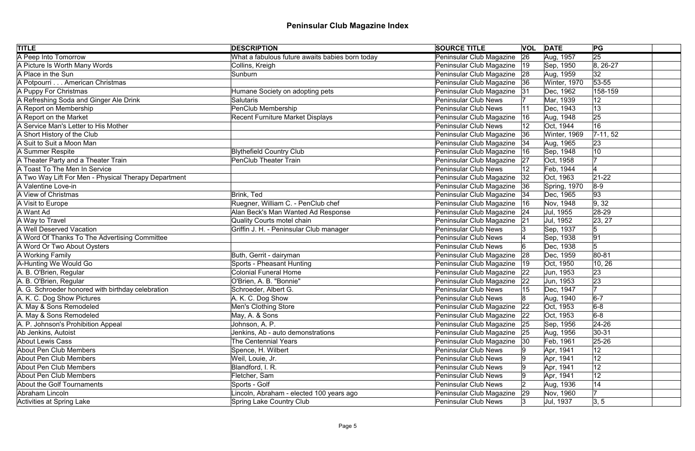| <b>TITLE</b>                                         | <b>DESCRIPTION</b>                              | <b>SOURCE TITLE</b>           |              | <b>VOL DATE</b> | PG              |  |
|------------------------------------------------------|-------------------------------------------------|-------------------------------|--------------|-----------------|-----------------|--|
| A Peep Into Tomorrow                                 | What a fabulous future awaits babies born today | Peninsular Club Magazine      | 26           | Aug, 1957       | $\overline{25}$ |  |
| A Picture Is Worth Many Words                        | Collins, Kreigh                                 | Peninsular Club Magazine      | 19           | Sep, 1950       | $8, 26-27$      |  |
| A Place in the Sun                                   | Sunburn                                         | Peninsular Club Magazine 28   |              | Aug, 1959       | 32              |  |
| A Potpourri American Christmas                       |                                                 | Peninsular Club Magazine 36   |              | Winter, 1970    | 53-55           |  |
| A Puppy For Christmas                                | Humane Society on adopting pets                 | Peninsular Club Magazine      | 31           | Dec, 1962       | 158-159         |  |
| A Refreshing Soda and Ginger Ale Drink               | <b>Salutaris</b>                                | <b>Peninsular Club News</b>   |              | Mar, 1939       | 12              |  |
| A Report on Membership                               | PenClub Membership                              | <b>Peninsular Club News</b>   |              | Dec, 1943       | 13              |  |
| A Report on the Market                               | <b>Recent Furniture Market Displays</b>         | Peninsular Club Magazine      | 16           | Aug, 1948       | 25              |  |
| A Service Man's Letter to His Mother                 |                                                 | <b>Peninsular Club News</b>   | 12           | Oct, 1944       | 16              |  |
| A Short History of the Club                          |                                                 | Peninsular Club Magazine      | 36           | Winter, 1969    | $ 7-11, 52 $    |  |
| A Suit to Suit a Moon Man                            |                                                 | Peninsular Club Magazine      | 34           | Aug, 1965       | 23              |  |
| A Summer Respite                                     | <b>Blythefield Country Club</b>                 | Peninsular Club Magazine      | 16           | Sep, 1948       | 10              |  |
| A Theater Party and a Theater Train                  | <b>PenClub Theater Train</b>                    | Peninsular Club Magazine      | 27           | Oct, 1958       |                 |  |
| A Toast To The Men In Service                        |                                                 | <b>Peninsular Club News</b>   |              | Feb, 1944       |                 |  |
| A Two Way Lift For Men - Physical Therapy Department |                                                 | Peninsular Club Magazine      | 32           | Oct, 1963       | $21 - 22$       |  |
| A Valentine Love-in                                  |                                                 | Peninsular Club Magazine      | 36           | Spring, 1970    | $ 8-9 $         |  |
| A View of Christmas                                  | Brink, Ted                                      | Peninsular Club Magazine      | 34           | Dec, 1965       | 93              |  |
| A Visit to Europe                                    | Ruegner, William C. - PenClub chef              | Peninsular Club Magazine      | 16           | Nov, 1948       | 9, 32           |  |
| A Want Ad                                            | Alan Beck's Man Wanted Ad Response              | Peninsular Club Magazine 24   |              | Jul, 1955       | 28-29           |  |
| A Way to Travel                                      | <b>Quality Courts motel chain</b>               | Peninsular Club Magazine      | 21           | Jul, 1952       | 23, 27          |  |
| A Well Deserved Vacation                             | Griffin J. H. - Peninsular Club manager         | <b>Peninsular Club News</b>   |              | Sep, 1937       | 5               |  |
| A Word Of Thanks To The Advertising Committee        |                                                 | <b>Peninsular Club News</b>   |              | Sep, 1938       | 91              |  |
| A Word Or Two About Oysters                          |                                                 | <b>Peninsular Club News</b>   |              | Dec, 1938       | $5\overline{)}$ |  |
| A Working Family                                     | Buth, Gerrit - dairyman                         | Peninsular Club Magazine      | 28           | Dec, 1959       | 80-81           |  |
| A-Hunting We Would Go                                | <b>Sports - Pheasant Hunting</b>                | Peninsular Club Magazine      | $ 19\rangle$ | Oct, 1950       | 10, 26          |  |
| A. B. O'Brien, Regular                               | <b>Colonial Funeral Home</b>                    | Peninsular Club Magazine      | 22           | Jun, 1953       | 23              |  |
| A. B. O'Brien, Regular                               | O'Brien, A. B. "Bonnie"                         | Peninsular Club Magazine      | 22           | Jun, 1953       | 23              |  |
| A. G. Schroeder honored with birthday celebration    | Schroeder, Albert G.                            | <b>Peninsular Club News</b>   |              | Dec, 1947       |                 |  |
| A. K. C. Dog Show Pictures                           | A. K. C. Dog Show                               | <b>Peninsular Club News</b>   | 8            | Aug, 1940       | $6-7$           |  |
| A. May & Sons Remodeled                              | Men's Clothing Store                            | Peninsular Club Magazine      | 22           | Oct, 1953       | $6-8$           |  |
| A. May & Sons Remodeled                              | May, A. & Sons                                  | Peninsular Club Magazine   22 |              | Oct, 1953       | $6-8$           |  |
| A. P. Johnson's Prohibition Appeal                   | Johnson, A. P.                                  | Peninsular Club Magazine      | 25           | Sep, 1956       | $24 - 26$       |  |
| Ab Jenkins, Autoist                                  | Jenkins, Ab - auto demonstrations               | Peninsular Club Magazine 25   |              | Aug, 1956       | $ 30-31$        |  |
| <b>About Lewis Cass</b>                              | The Centennial Years                            | Peninsular Club Magazine      | 30           | Feb, 1961       | $25 - 26$       |  |
| About Pen Club Members                               | Spence, H. Wilbert                              | <b>Peninsular Club News</b>   |              | Apr, 1941       | 12              |  |
| About Pen Club Members                               | Weil, Louie, Jr.                                | <b>Peninsular Club News</b>   |              | Apr, 1941       | 12              |  |
| About Pen Club Members                               | Blandford, I. R.                                | <b>Peninsular Club News</b>   |              | Apr, 1941       | 12              |  |
| About Pen Club Members                               | Fletcher, Sam                                   | <b>Peninsular Club News</b>   |              | Apr, 1941       | 12              |  |
| About the Golf Tournaments                           | Sports - Golf                                   | <b>Peninsular Club News</b>   |              | Aug, 1936       | 14              |  |
| Abraham Lincoln                                      | Lincoln, Abraham - elected 100 years ago        | Peninsular Club Magazine      | 29           | Nov, 1960       | 17              |  |
| Activities at Spring Lake                            | <b>Spring Lake Country Club</b>                 | <b>Peninsular Club News</b>   | 13           | Jul, 1937       | 3, 5            |  |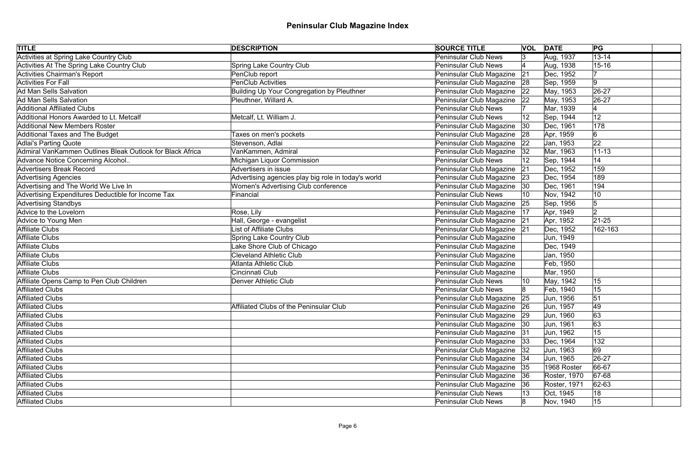| <b>TITLE</b>                                              | <b>DESCRIPTION</b>                                  | <b>SOURCE TITLE</b>           |              | <b>VOL DATE</b>     | PG             |
|-----------------------------------------------------------|-----------------------------------------------------|-------------------------------|--------------|---------------------|----------------|
| <b>Activities at Spring Lake Country Club</b>             |                                                     | <b>Peninsular Club News</b>   | 13.          | Aug, 1937           | $13 - 14$      |
| Activities At The Spring Lake Country Club                | <b>Spring Lake Country Club</b>                     | <b>Peninsular Club News</b>   |              | Aug, 1938           | $15 - 16$      |
| Activities Chairman's Report                              | PenClub report                                      | Peninsular Club Magazine      | 21           | Dec, 1952           |                |
| Activities For Fall                                       | <b>PenClub Activities</b>                           | Peninsular Club Magazine 28   |              | Sep, 1959           | 9              |
| Ad Man Sells Salvation                                    | <b>Building Up Your Congregation by Pleuthner</b>   | Peninsular Club Magazine      | 22           | May, 1953           | $26-27$        |
| Ad Man Sells Salvation                                    | Pleuthner, Willard A.                               | Peninsular Club Magazine 22   |              | May, 1953           | 26-27          |
| <b>Additional Affiliated Clubs</b>                        |                                                     | <b>Peninsular Club News</b>   |              | Mar, 1939           |                |
| Additional Honors Awarded to Lt. Metcalf                  | Metcalf, Lt. William J.                             | <b>Peninsular Club News</b>   |              | Sep, 1944           | 12             |
| <b>Additional New Members Roster</b>                      |                                                     | Peninsular Club Magazine      | $ 30\rangle$ | Dec, 1961           | 178            |
| Additional Taxes and The Budget                           | Taxes on men's pockets                              | Peninsular Club Magazine      | 28           | Apr, 1959           | 6              |
| <b>Adlai's Parting Quote</b>                              | Stevenson, Adlai                                    | Peninsular Club Magazine      | 22           | Jan, 1953           | 22             |
| Admiral VanKammen Outlines Bleak Outlook for Black Africa | VanKammen, Admiral                                  | Peninsular Club Magazine      | 32           | Mar, 1963           | $ 11 - 13$     |
| Advance Notice Concerning Alcohol                         | Michigan Liquor Commission                          | <b>Peninsular Club News</b>   |              | Sep, 1944           | 14             |
| <b>Advertisers Break Record</b>                           | Advertisers in issue                                | Peninsular Club Magazine      | 21           | Dec, 1952           | 159            |
| <b>Advertising Agencies</b>                               | Advertising agencies play big role in today's world | Peninsular Club Magazine      | 23           | Dec, 1954           | 189            |
| Advertising and The World We Live In                      | <b>Women's Advertising Club conference</b>          | Peninsular Club Magazine      | 30           | Dec, 1961           | 194            |
| Advertising Expenditures Deductible for Income Tax        | Financial                                           | <b>Peninsular Club News</b>   | 10           | Nov, 1942           | 10             |
| <b>Advertising Standbys</b>                               |                                                     | Peninsular Club Magazine      | 25           | Sep, 1956           | 15             |
| Advice to the Lovelorn                                    | Rose, Lily                                          | Peninsular Club Magazine      | 17           | Apr, 1949           | $\overline{2}$ |
| Advice to Young Men                                       | Hall, George - evangelist                           | Peninsular Club Magazine 21   |              | Apr, 1952           | $21 - 25$      |
| Affiliate Clubs                                           | <b>List of Affiliate Clubs</b>                      | Peninsular Club Magazine 21   |              | Dec, 1952           | 162-163        |
| Affiliate Clubs                                           | Spring Lake Country Club                            | Peninsular Club Magazine      |              | Jun, 1949           |                |
| Affiliate Clubs                                           | Lake Shore Club of Chicago                          | Peninsular Club Magazine      |              | Dec, 1949           |                |
| Affiliate Clubs                                           | <b>Cleveland Athletic Club</b>                      | Peninsular Club Magazine      |              | Jan, 1950           |                |
| Affiliate Clubs                                           | <b>Atlanta Athletic Club</b>                        | Peninsular Club Magazine      |              | Feb, 1950           |                |
| Affiliate Clubs                                           | Cincinnati Club                                     | Peninsular Club Magazine      |              | Mar, 1950           |                |
| Affiliate Opens Camp to Pen Club Children                 | <b>Denver Athletic Club</b>                         | Peninsular Club News          | 10           | May, 1942           | 15             |
| <b>Affiliated Clubs</b>                                   |                                                     | <b>Peninsular Club News</b>   |              | Feb, 1940           | 15             |
| Affiliated Clubs                                          |                                                     | Peninsular Club Magazine 25   |              | Jun, 1956           | 51             |
| Affiliated Clubs                                          | Affiliated Clubs of the Peninsular Club             | Peninsular Club Magazine 26   |              | Jun, 1957           | 49             |
| <b>Affiliated Clubs</b>                                   |                                                     | Peninsular Club Magazine 29   |              | Jun, 1960           | 63             |
| <b>Affiliated Clubs</b>                                   |                                                     | Peninsular Club Magazine   30 |              | Jun, 1961           | 63             |
| <b>Affiliated Clubs</b>                                   |                                                     | Peninsular Club Magazine 31   |              | Jun, 1962           | 15             |
| Affiliated Clubs                                          |                                                     | Peninsular Club Magazine 33   |              | Dec, 1964           | 132            |
| Affiliated Clubs                                          |                                                     | Peninsular Club Magazine   32 |              | Jun, 1963           | 69             |
| <b>Affiliated Clubs</b>                                   |                                                     | Peninsular Club Magazine   34 |              | Jun, 1965           | 26-27          |
| <b>Affiliated Clubs</b>                                   |                                                     | Peninsular Club Magazine 35   |              | 1968 Roster         | 66-67          |
| <b>Affiliated Clubs</b>                                   |                                                     | Peninsular Club Magazine 36   |              | Roster, 1970        | $ 67-68$       |
| Affiliated Clubs                                          |                                                     | Peninsular Club Magazine      | 36           | <b>Roster, 1971</b> | $ 62 - 63 $    |
| Affiliated Clubs                                          |                                                     | Peninsular Club News          |              | Oct, 1945           | 18             |
| Affiliated Clubs                                          |                                                     | <b>Peninsular Club News</b>   |              | Nov, 1940           | 15             |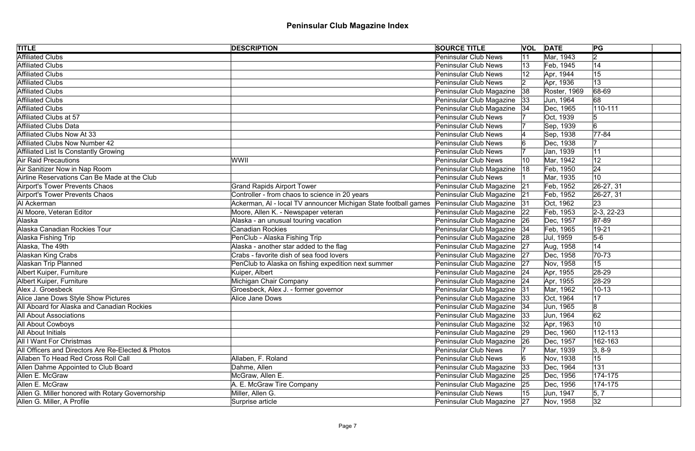| <b>TITLE</b>                                       | <b>DESCRIPTION</b>                                              | <b>SOURCE TITLE</b>           |     | <b>VOL DATE</b> | PG            |
|----------------------------------------------------|-----------------------------------------------------------------|-------------------------------|-----|-----------------|---------------|
| <b>Affiliated Clubs</b>                            |                                                                 | <b>Peninsular Club News</b>   |     | Mar, 1943       | $\vert$ 2     |
| <b>Affiliated Clubs</b>                            |                                                                 | <b>Peninsular Club News</b>   |     | Feb, 1945       | 14            |
| <b>Affiliated Clubs</b>                            |                                                                 | <b>Peninsular Club News</b>   |     | Apr, 1944       | 15            |
| Affiliated Clubs                                   |                                                                 | <b>Peninsular Club News</b>   | 12  | Apr, 1936       | 13            |
| <b>Affiliated Clubs</b>                            |                                                                 | Peninsular Club Magazine      | 38  | Roster, 1969    | 68-69         |
| Affiliated Clubs                                   |                                                                 | Peninsular Club Magazine      | 33  | Jun, 1964       | 68            |
| <b>Affiliated Clubs</b>                            |                                                                 | Peninsular Club Magazine      | 34  | Dec, 1965       | $ 110 - 111$  |
| Affiliated Clubs at 57                             |                                                                 | <b>Peninsular Club News</b>   |     | Oct, 1939       |               |
| Affiliated Clubs Data                              |                                                                 | <b>Peninsular Club News</b>   |     | Sep, 1939       | 6             |
| Affiliated Clubs Now At 33                         |                                                                 | <b>Peninsular Club News</b>   |     | Sep, 1938       | $77 - 84$     |
| Affiliated Clubs Now Number 42                     |                                                                 | <b>Peninsular Club News</b>   |     | Dec, 1938       |               |
| Affiliated List Is Constantly Growing              |                                                                 | <b>Peninsular Club News</b>   |     | Jan, 1939       | 11            |
| Air Raid Precautions                               | WWII                                                            | <b>Peninsular Club News</b>   | 10  | Mar, 1942       | 12            |
| Air Sanitizer Now in Nap Room                      |                                                                 | Peninsular Club Magazine      | ା18 | Feb, 1950       | 24            |
| Airline Reservations Can Be Made at the Club       |                                                                 | <b>Peninsular Club News</b>   |     | Mar, 1935       | 10            |
| Airport's Tower Prevents Chaos                     | <b>Grand Rapids Airport Tower</b>                               | Peninsular Club Magazine      | 21  | Feb, 1952       | $ 26-27, 31$  |
| Airport's Tower Prevents Chaos                     | Controller - from chaos to science in 20 years                  | Peninsular Club Magazine 21   |     | Feb, 1952       | $ 26-27, 31$  |
| AI Ackerman                                        | Ackerman, AI - local TV announcer Michigan State football games | Peninsular Club Magazine 31   |     | Oct, 1962       | 23            |
| Al Moore, Veteran Editor                           | Moore, Allen K. - Newspaper veteran                             | Peninsular Club Magazine 22   |     | Feb, 1953       | $ 2-3, 22-23$ |
| Alaska                                             | Alaska - an unusual touring vacation                            | Peninsular Club Magazine   26 |     | Dec, 1957       | $ 87-89$      |
| Alaska Canadian Rockies Tour                       | <b>Canadian Rockies</b>                                         | Peninsular Club Magazine   34 |     | Feb, 1965       | 19-21         |
| Alaska Fishing Trip                                | PenClub - Alaska Fishing Trip                                   | Peninsular Club Magazine 28   |     | Jul, 1959       | $5-6$         |
| Alaska, The 49th                                   | Alaska - another star added to the flag                         | Peninsular Club Magazine 27   |     | Aug, 1958       | 14            |
| Alaskan King Crabs                                 | Crabs - favorite dish of sea food lovers                        | Peninsular Club Magazine      | 27  | Dec, 1958       | $ 70-73$      |
| Alaskan Trip Planned                               | PenClub to Alaska on fishing expedition next summer             | Peninsular Club Magazine 27   |     | Nov, 1958       | 15            |
| Albert Kuiper, Furniture                           | Kuiper, Albert                                                  | Peninsular Club Magazine 24   |     | Apr, 1955       | $ 28-29$      |
| Albert Kuiper, Furniture                           | Michigan Chair Company                                          | Peninsular Club Magazine 24   |     | Apr, 1955       | $ 28-29$      |
| Alex J. Groesbeck                                  | Groesbeck, Alex J. - former governor                            | Peninsular Club Magazine 31   |     | Mar, 1962       | $10 - 13$     |
| Alice Jane Dows Style Show Pictures                | Alice Jane Dows                                                 | Peninsular Club Magazine   33 |     | Oct, 1964       | 17            |
| All Aboard for Alaska and Canadian Rockies         |                                                                 | Peninsular Club Magazine 34   |     | Jun, 1965       | 8             |
| <b>All About Associations</b>                      |                                                                 | Peninsular Club Magazine 33   |     | Jun, 1964       | 62            |
| <b>All About Cowboys</b>                           |                                                                 | Peninsular Club Magazine      | 32  | Apr, 1963       | 10            |
| <b>All About Initials</b>                          |                                                                 | Peninsular Club Magazine 29   |     | Dec, 1960       | $112 - 113$   |
| <b>All I Want For Christmas</b>                    |                                                                 | Peninsular Club Magazine 26   |     | Dec, 1957       | 162-163       |
| All Officers and Directors Are Re-Elected & Photos |                                                                 | <b>Peninsular Club News</b>   |     | Mar, 1939       | $ 3, 8-9 $    |
| Allaben To Head Red Cross Roll Call                | Allaben, F. Roland                                              | <b>Peninsular Club News</b>   |     | Nov, 1938       | 15            |
| Allen Dahme Appointed to Club Board                | Dahme, Allen                                                    | Peninsular Club Magazine      | 33  | Dec, 1964       | 131           |
| Allen E. McGraw                                    | McGraw, Allen E.                                                | Peninsular Club Magazine 25   |     | Dec, 1956       | $ 174 - 175 $ |
| Allen E. McGraw                                    | A. E. McGraw Tire Company                                       | Peninsular Club Magazine      | 25  | Dec, 1956       | $ 174 - 175 $ |
| Allen G. Miller honored with Rotary Governorship   | Miller, Allen G.                                                | <b>Peninsular Club News</b>   |     | Jun, 1947       | 5, 7          |
| Allen G. Miller, A Profile                         | Surprise article                                                | Peninsular Club Magazine 27   |     | Nov, 1958       | 32            |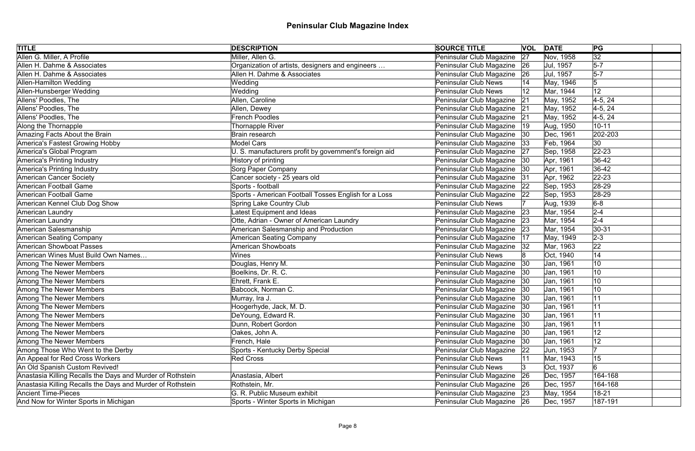| <b>TITLE</b>                                               | <b>DESCRIPTION</b>                                     | <b>SOURCE TITLE</b>           |    | <b>VOL DATE</b> | PG              |
|------------------------------------------------------------|--------------------------------------------------------|-------------------------------|----|-----------------|-----------------|
| Allen G. Miller, A Profile                                 | Miller, Allen G.                                       | Peninsular Club Magazine      | 27 | Nov, 1958       | $\overline{32}$ |
| Allen H. Dahme & Associates                                | Organization of artists, designers and engineers       | Peninsular Club Magazine      | 26 | Jul, 1957       | $5-7$           |
| Allen H. Dahme & Associates                                | Allen H. Dahme & Associates                            | Peninsular Club Magazine      | 26 | Jul, 1957       | $5-7$           |
| Allen-Hamilton Wedding                                     | Wedding                                                | <b>Peninsular Club News</b>   |    | May, 1946       | 5               |
| Allen-Hunsberger Wedding                                   | Wedding                                                | <b>Peninsular Club News</b>   |    | Mar, 1944       | 12              |
| Allens' Poodles, The                                       | Allen, Caroline                                        | Peninsular Club Magazine      | 21 | May, 1952       | $4-5, 24$       |
| Allens' Poodles, The                                       | Allen, Dewey                                           | Peninsular Club Magazine      | 21 | May, 1952       | $4-5, 24$       |
| Allens' Poodles, The                                       | <b>French Poodles</b>                                  | Peninsular Club Magazine 21   |    | May, 1952       | $4-5, 24$       |
| Along the Thornapple                                       | Thornapple River                                       | Peninsular Club Magazine      | 19 | Aug, 1950       | $10 - 11$       |
| Amazing Facts About the Brain                              | Brain research                                         | Peninsular Club Magazine      | 30 | Dec, 1961       | 202-203         |
| America's Fastest Growing Hobby                            | <b>Model Cars</b>                                      | Peninsular Club Magazine      | 33 | Feb, 1964       | 30              |
| America's Global Program                                   | U. S. manufacturers profit by government's foreign aid | Peninsular Club Magazine      | 27 | Sep, 1958       | $ 22 - 23 $     |
| America's Printing Industry                                | History of printing                                    | Peninsular Club Magazine      | 30 | Apr, 1961       | $36-42$         |
| America's Printing Industry                                | Sorg Paper Company                                     | Peninsular Club Magazine      | 30 | Apr, 1961       | $ 36-42$        |
| <b>American Cancer Society</b>                             | Cancer society - 25 years old                          | Peninsular Club Magazine      | 31 | Apr, 1962       | $22 - 23$       |
| American Football Game                                     | Sports - football                                      | Peninsular Club Magazine      | 22 | Sep, 1953       | 28-29           |
| American Football Game                                     | Sports - American Football Tosses English for a Loss   | Peninsular Club Magazine      | 22 | Sep, 1953       | 28-29           |
| American Kennel Club Dog Show                              | <b>Spring Lake Country Club</b>                        | <b>Peninsular Club News</b>   |    | Aug, 1939       | $6-8$           |
| American Laundry                                           | atest Equipment and Ideas                              | Peninsular Club Magazine      | 23 | Mar, 1954       | $2 - 4$         |
| American Laundry                                           | Otte, Adrian - Owner of American Laundry               | Peninsular Club Magazine      | 23 | Mar, 1954       | $2 - 4$         |
| American Salesmanship                                      | American Salesmanship and Production                   | Peninsular Club Magazine 23   |    | Mar, 1954       | $ 30-31$        |
| <b>American Seating Company</b>                            | <b>American Seating Company</b>                        | Peninsular Club Magazine      | 17 | May, 1949       | $ 2-3 $         |
| American Showboat Passes                                   | American Showboats                                     | Peninsular Club Magazine      | 32 | Mar, 1963       | 22              |
| American Wines Must Build Own Names                        | Wines                                                  | <b>Peninsular Club News</b>   |    | Oct, 1940       | 14              |
| Among The Newer Members                                    | Douglas, Henry M.                                      | Peninsular Club Magazine 30   |    | Jan, 1961       | 10              |
| Among The Newer Members                                    | Boelkins, Dr. R. C.                                    | Peninsular Club Magazine      | 30 | Jan, 1961       | 10              |
| Among The Newer Members                                    | Ehrett, Frank E.                                       | Peninsular Club Magazine   30 |    | Jan, 1961       | 10              |
| Among The Newer Members                                    | Babcock, Norman C.                                     | Peninsular Club Magazine   30 |    | Jan, 1961       | 10              |
| Among The Newer Members                                    | Murray, Ira J.                                         | Peninsular Club Magazine   30 |    | Jan, 1961       | 11              |
| Among The Newer Members                                    | Hoogerhyde, Jack, M. D.                                | Peninsular Club Magazine      | 30 | Jan, 1961       | 11              |
| Among The Newer Members                                    | DeYoung, Edward R.                                     | Peninsular Club Magazine      | 30 | Jan, 1961       | 11              |
| Among The Newer Members                                    | Dunn, Robert Gordon                                    | Peninsular Club Magazine      | 30 | Jan, 1961       | 11              |
| Among The Newer Members                                    | Oakes, John A.                                         | Peninsular Club Magazine      | 30 | Jan, 1961       | 12              |
| Among The Newer Members                                    | French, Hale                                           | Peninsular Club Magazine      | 30 | Jan, 1961       | 12              |
| Among Those Who Went to the Derby                          | Sports - Kentucky Derby Special                        | Peninsular Club Magazine      | 22 | Jun, 1953       |                 |
| An Appeal for Red Cross Workers                            | <b>Red Cross</b>                                       | <b>Peninsular Club News</b>   |    | Mar, 1943       | 15              |
| An Old Spanish Custom Revived!                             |                                                        | Peninsular Club News          |    | Oct, 1937       | 6               |
| Anastasia Killing Recalls the Days and Murder of Rothstein | Anastasia, Albert                                      | Peninsular Club Magazine      | 26 | Dec, 1957       | 164-168         |
| Anastasia Killing Recalls the Days and Murder of Rothstein | Rothstein, Mr.                                         | Peninsular Club Magazine      | 26 | Dec, 1957       | 164-168         |
| <b>Ancient Time-Pieces</b>                                 | G. R. Public Museum exhibit                            | Peninsular Club Magazine 23   |    | May, 1954       | 18-21           |
| And Now for Winter Sports in Michigan                      | Sports - Winter Sports in Michigan                     | Peninsular Club Magazine 26   |    | Dec, 1957       | 187-191         |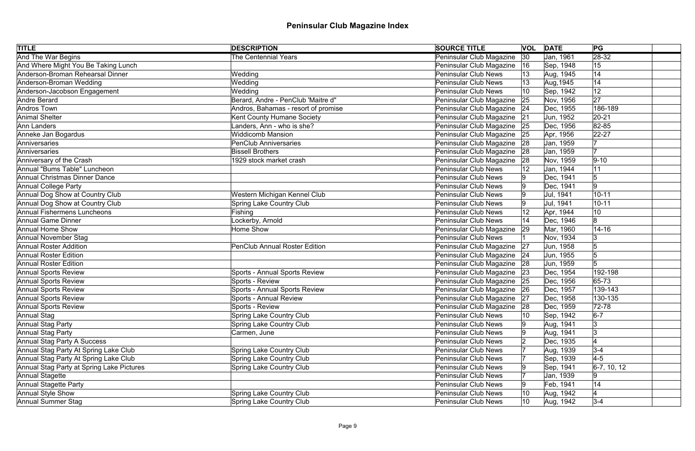| <b>TITLE</b>                              | <b>DESCRIPTION</b>                   | <b>SOURCE TITLE</b>           |    | <b>VOL DATE</b> | PG             |
|-------------------------------------------|--------------------------------------|-------------------------------|----|-----------------|----------------|
| <b>And The War Begins</b>                 | <b>The Centennial Years</b>          | Peninsular Club Magazine      | 30 | Jan, 1961       | $\sqrt{28-32}$ |
| And Where Might You Be Taking Lunch       |                                      | Peninsular Club Magazine      | 16 | Sep, 1948       | 15             |
| Anderson-Broman Rehearsal Dinner          | Wedding                              | <b>Peninsular Club News</b>   | 13 | Aug, 1945       | 14             |
| Anderson-Broman Wedding                   | Wedding                              | <b>Peninsular Club News</b>   |    | Aug, 1945       | 14             |
| Anderson-Jacobson Engagement              | Wedding                              | <b>Peninsular Club News</b>   | 10 | Sep, 1942       | 12             |
| Andre Berard                              | Berard, Andre - PenClub 'Maitre d"   | Peninsular Club Magazine 25   |    | Nov, 1956       | 27             |
| Andros Town                               | Andros, Bahamas - resort of promise  | Peninsular Club Magazine   24 |    | Dec, 1955       | 186-189        |
| Animal Shelter                            | Kent County Humane Society           | Peninsular Club Magazine 21   |    | Jun, 1952       | $ 20-21$       |
| Ann Landers                               | Landers, Ann - who is she?           | Peninsular Club Magazine      | 25 | Dec, 1956       | 82-85          |
| Anneke Jan Bogardus                       | <b>Widdicomb Mansion</b>             | Peninsular Club Magazine 25   |    | Apr, 1956       | $22 - 27$      |
| Anniversaries                             | <b>PenClub Anniversaries</b>         | Peninsular Club Magazine      | 28 | Jan, 1959       |                |
| Anniversaries                             | <b>Bissell Brothers</b>              | Peninsular Club Magazine      | 28 | Jan, 1959       | 17             |
| Anniversary of the Crash                  | 1929 stock market crash              | Peninsular Club Magazine      | 28 | Nov, 1959       | $ 9-10$        |
| Annual "Bums Table" Luncheon              |                                      | <b>Peninsular Club News</b>   |    | Jan, 1944       | 11             |
| Annual Christmas Dinner Dance             |                                      | <b>Peninsular Club News</b>   |    | Dec, 1941       | 5              |
| Annual College Party                      |                                      | <b>Peninsular Club News</b>   |    | Dec, 1941       | 9              |
| Annual Dog Show at Country Club           | Western Michigan Kennel Club         | <b>Peninsular Club News</b>   | I9 | Jul, 1941       | $10 - 11$      |
| Annual Dog Show at Country Club           | <b>Spring Lake Country Club</b>      | <b>Peninsular Club News</b>   |    | Jul, 1941       | $10 - 11$      |
| <b>Annual Fishermens Luncheons</b>        | Fishing                              | <b>Peninsular Club News</b>   |    | Apr, 1944       | 10             |
| Annual Game Dinner                        | Lockerby, Arnold                     | <b>Peninsular Club News</b>   | 14 | Dec, 1946       | 8              |
| Annual Home Show                          | Home Show                            | Peninsular Club Magazine      | 29 | Mar, 1960       | $14 - 16$      |
| Annual November Stag                      |                                      | <b>Peninsular Club News</b>   |    | Nov, 1934       | 3              |
| Annual Roster Addition                    | <b>PenClub Annual Roster Edition</b> | Peninsular Club Magazine 27   |    | Jun, 1958       |                |
| <b>Annual Roster Edition</b>              |                                      | Peninsular Club Magazine   24 |    | Jun, 1955       | 5              |
| <b>Annual Roster Edition</b>              |                                      | Peninsular Club Magazine 28   |    | Jun, 1959       | 5              |
| Annual Sports Review                      | Sports - Annual Sports Review        | Peninsular Club Magazine   23 |    | Dec, 1954       | 192-198        |
| Annual Sports Review                      | Sports - Review                      | Peninsular Club Magazine   25 |    | Dec, 1956       | 65-73          |
| Annual Sports Review                      | Sports - Annual Sports Review        | Peninsular Club Magazine   26 |    | Dec, 1957       | 139-143        |
| <b>Annual Sports Review</b>               | Sports - Annual Review               | Peninsular Club Magazine 27   |    | Dec, 1958       | 130-135        |
| <b>Annual Sports Review</b>               | Sports - Review                      | Peninsular Club Magazine      | 28 | Dec, 1959       | 72-78          |
| Annual Stag                               | Spring Lake Country Club             | <b>Peninsular Club News</b>   | 10 | Sep, 1942       | $6-7$          |
| Annual Stag Party                         | Spring Lake Country Club             | <b>Peninsular Club News</b>   | I9 | Aug, 1941       | 3              |
| Annual Stag Party                         | Carmen, June                         | <b>Peninsular Club News</b>   |    | Aug, 1941       | 3              |
| Annual Stag Party A Success               |                                      | <b>Peninsular Club News</b>   |    | Dec, 1935       |                |
| Annual Stag Party At Spring Lake Club     | Spring Lake Country Club             | <b>Peninsular Club News</b>   |    | Aug, 1939       | $3 - 4$        |
| Annual Stag Party At Spring Lake Club     | Spring Lake Country Club             | <b>Peninsular Club News</b>   |    | Sep, 1939       | $4-5$          |
| Annual Stag Party at Spring Lake Pictures | Spring Lake Country Club             | <b>Peninsular Club News</b>   |    | Sep, 1941       | $6-7, 10, 12$  |
| Annual Stagette                           |                                      | <b>Peninsular Club News</b>   |    | Jan, 1939       | 19             |
| Annual Stagette Party                     |                                      | <b>Peninsular Club News</b>   | 19 | Feb, 1941       | 14             |
| Annual Style Show                         | Spring Lake Country Club             | <b>Peninsular Club News</b>   | 10 | Aug, 1942       |                |
| Annual Summer Stag                        | Spring Lake Country Club             | <b>Peninsular Club News</b>   | 10 | Aug, 1942       | $3 - 4$        |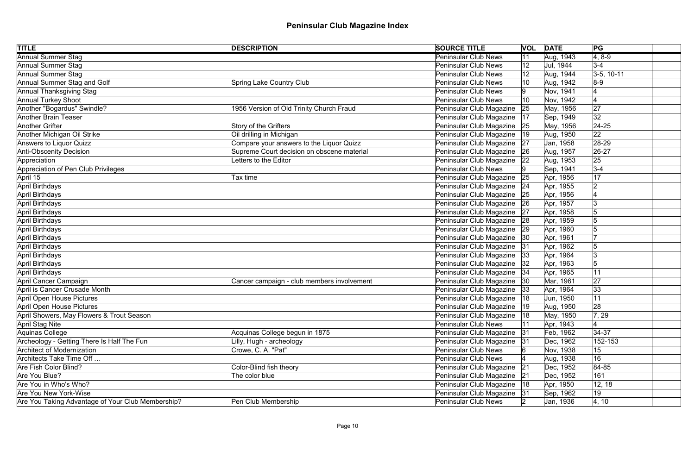| <b>TITLE</b>                                      | <b>DESCRIPTION</b>                         | <b>SOURCE TITLE</b>           |     | <b>VOL DATE</b> | PG            |  |
|---------------------------------------------------|--------------------------------------------|-------------------------------|-----|-----------------|---------------|--|
| <b>Annual Summer Stag</b>                         |                                            | <b>Peninsular Club News</b>   | 11  | Aug, 1943       | $ 4, 8-9$     |  |
| Annual Summer Stag                                |                                            | <b>Peninsular Club News</b>   | 12  | Jul, 1944       | $3-4$         |  |
| Annual Summer Stag                                |                                            | <b>Peninsular Club News</b>   | 12  | Aug, 1944       | $ 3-5, 10-11$ |  |
| Annual Summer Stag and Golf                       | <b>Spring Lake Country Club</b>            | <b>Peninsular Club News</b>   |     | Aug, 1942       | $8-9$         |  |
| Annual Thanksgiving Stag                          |                                            | Peninsular Club News          |     | Nov, 1941       |               |  |
| <b>Annual Turkey Shoot</b>                        |                                            | <b>Peninsular Club News</b>   | 10  | Nov, 1942       |               |  |
| Another "Bogardus" Swindle?                       | 1956 Version of Old Trinity Church Fraud   | Peninsular Club Magazine      | 25  | May, 1956       | 27            |  |
| Another Brain Teaser                              |                                            | Peninsular Club Magazine      | 17  | Sep, 1949       | 32            |  |
| Another Grifter                                   | Story of the Grifters                      | Peninsular Club Magazine      | 25  | May, 1956       | $ 24-25$      |  |
| Another Michigan Oil Strike                       | Oil drilling in Michigan                   | Peninsular Club Magazine      | 19  | Aug, 1950       | 22            |  |
| Answers to Liquor Quizz                           | Compare your answers to the Liquor Quizz   | Peninsular Club Magazine      | 27  | Jan, 1958       | 28-29         |  |
| Anti-Obscenity Decision                           | Supreme Court decision on obscene material | Peninsular Club Magazine      | 26  | Aug, 1957       | $ 26-27$      |  |
| Appreciation                                      | etters to the Editor                       | Peninsular Club Magazine      | 22  | Aug, 1953       | 25            |  |
| Appreciation of Pen Club Privileges               |                                            | <b>Peninsular Club News</b>   |     | Sep, 1941       | $3 - 4$       |  |
| April 15                                          | Tax time                                   | Peninsular Club Magazine      | 25  | Apr, 1956       | 17            |  |
| April Birthdays                                   |                                            | Peninsular Club Magazine      | 24  | Apr, 1955       |               |  |
| April Birthdays                                   |                                            | Peninsular Club Magazine      | 25  | Apr, 1956       |               |  |
| April Birthdays                                   |                                            | Peninsular Club Magazine      | 26  | Apr, 1957       | l3            |  |
| April Birthdays                                   |                                            | Peninsular Club Magazine      | 27  | Apr, 1958       |               |  |
| April Birthdays                                   |                                            | Peninsular Club Magazine      | 28  | Apr, 1959       | 15            |  |
| April Birthdays                                   |                                            | Peninsular Club Magazine      | 29  | Apr, 1960       |               |  |
| April Birthdays                                   |                                            | Peninsular Club Magazine      | 30  | Apr, 1961       |               |  |
| April Birthdays                                   |                                            | Peninsular Club Magazine      | 31  | Apr, 1962       |               |  |
| April Birthdays                                   |                                            | Peninsular Club Magazine      | 33  | Apr, 1964       | 13            |  |
| April Birthdays                                   |                                            | Peninsular Club Magazine  32  |     | Apr, 1963       |               |  |
| April Birthdays                                   |                                            | Peninsular Club Magazine      | 34  | Apr, 1965       | 11            |  |
| April Cancer Campaign                             | Cancer campaign - club members involvement | Peninsular Club Magazine      | 30  | Mar, 1961       | 27            |  |
| April is Cancer Crusade Month                     |                                            | Peninsular Club Magazine      | 33  | Apr, 1964       | 33            |  |
| April Open House Pictures                         |                                            | Peninsular Club Magazine   18 |     | Jun, 1950       | 11            |  |
| April Open House Pictures                         |                                            | Peninsular Club Magazine      | 19  | Aug, 1950       | 28            |  |
| April Showers, May Flowers & Trout Season         |                                            | Peninsular Club Magazine      | 18  | May, 1950       | 7, 29         |  |
| April Stag Nite                                   |                                            | <b>Peninsular Club News</b>   |     | Apr, 1943       |               |  |
| Aquinas College                                   | Acquinas College begun in 1875             | Peninsular Club Magazine      | 31  | Feb, 1962       | $ 34-37$      |  |
| Archeology - Getting There Is Half The Fun        | Lilly, Hugh - archeology                   | Peninsular Club Magazine      | 31  | Dec, 1962       | 152-153       |  |
| Architect of Modernization                        | Crowe, C. A. "Pat"                         | <b>Peninsular Club News</b>   |     | Nov, 1938       | 15            |  |
| Architects Take Time Off                          |                                            | <b>Peninsular Club News</b>   |     | Aug, 1938       | 16            |  |
| Are Fish Color Blind?                             | Color-Blind fish theory                    | Peninsular Club Magazine      | 21  | Dec, 1952       | $ 84 - 85$    |  |
| Are You Blue?                                     | The color blue                             | Peninsular Club Magazine      | 21  | Dec, 1952       | 161           |  |
| Are You in Who's Who?                             |                                            | Peninsular Club Magazine      | ା18 | Apr, 1950       | 12, 18        |  |
| <b>Are You New York-Wise</b>                      |                                            | Peninsular Club Magazine      | 31  | Sep, 1962       | 19            |  |
| Are You Taking Advantage of Your Club Membership? | Pen Club Membership                        | <b>Peninsular Club News</b>   | 2   | Jan, 1936       | 4, 10         |  |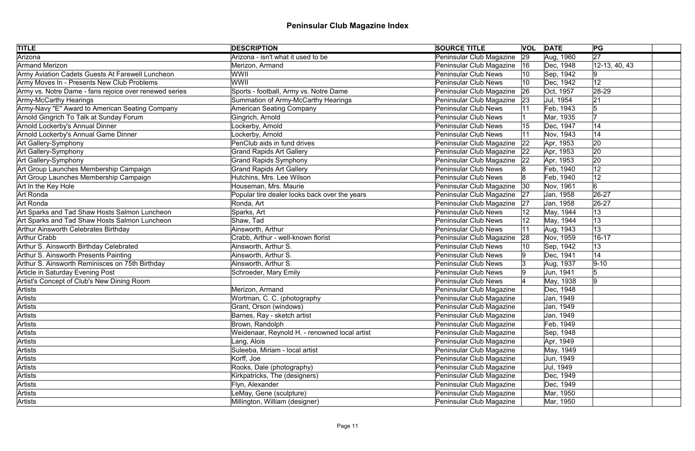| <b>TITLE</b>                                           | <b>DESCRIPTION</b>                            | <b>SOURCE TITLE</b>         |    | <b>VOL DATE</b> | PG              |
|--------------------------------------------------------|-----------------------------------------------|-----------------------------|----|-----------------|-----------------|
| Arizona                                                | Arizona - isn't what it used to be            | Peninsular Club Magazine    | 29 | Aug, 1960       | $\overline{27}$ |
| <b>Armand Merizon</b>                                  | Merizon, Armand                               | Peninsular Club Magazine    | 16 | Dec, 1948       | 12-13, 40, 43   |
| Army Aviation Cadets Guests At Farewell Luncheon       | WWII                                          | <b>Peninsular Club News</b> | 10 | Sep, 1942       |                 |
| Army Moves In - Presents New Club Problems             | WWII                                          | <b>Peninsular Club News</b> |    | Dec, 1942       | 12              |
| Army vs. Notre Dame - fans rejoice over renewed series | Sports - football, Army vs. Notre Dame        | Peninsular Club Magazine    | 26 | Oct, 1957       | $ 28-29$        |
| Army-McCarthy Hearings                                 | Summation of Army-McCarthy Hearings           | Peninsular Club Magazine    | 23 | Jul, 1954       | 21              |
| Army-Navy "E" Award to American Seating Company        | <b>American Seating Company</b>               | <b>Peninsular Club News</b> |    | Feb, 1943       |                 |
| Arnold Gingrich To Talk at Sunday Forum                | Gingrich, Arnold                              | <b>Peninsular Club News</b> |    | Mar, 1935       |                 |
| Arnold Lockerby's Annual Dinner                        | Lockerby, Arnold                              | <b>Peninsular Club News</b> | 15 | Dec, 1947       | 14              |
| Arnold Lockerby's Annual Game Dinner                   | Lockerby, Arnold                              | <b>Peninsular Club News</b> |    | Nov, 1943       | 14              |
| Art Gallery-Symphony                                   | PenClub aids in fund drives                   | Peninsular Club Magazine    | 22 | Apr, 1953       | 20              |
| Art Gallery-Symphony                                   | <b>Grand Rapids Art Gallery</b>               | Peninsular Club Magazine    | 22 | Apr, 1953       | 20              |
| <b>Art Gallery-Symphony</b>                            | <b>Grand Rapids Symphony</b>                  | Peninsular Club Magazine    | 22 | Apr, 1953       | 20              |
| Art Group Launches Membership Campaign                 | <b>Grand Rapids Art Gallery</b>               | <b>Peninsular Club News</b> |    | Feb, 1940       | 12              |
| Art Group Launches Membership Campaign                 | Hutchins, Mrs. Lee Wilson                     | <b>Peninsular Club News</b> |    | Feb, 1940       | 12              |
| Art In the Key Hole                                    | Houseman, Mrs. Maurie                         | Peninsular Club Magazine    | 30 | Nov, 1961       |                 |
| Art Ronda                                              | Popular tire dealer looks back over the years | Peninsular Club Magazine    | 27 | Jan, 1958       | $26 - 27$       |
| Art Ronda                                              | Ronda, Art                                    | Peninsular Club Magazine    | 27 | Jan, 1958       | 26-27           |
| Art Sparks and Tad Shaw Hosts Salmon Luncheon          | Sparks, Art                                   | <b>Peninsular Club News</b> |    | May, 1944       | 13              |
| Art Sparks and Tad Shaw Hosts Salmon Luncheon          | Shaw, Tad                                     | <b>Peninsular Club News</b> |    | May, 1944       | 13              |
| Arthur Ainsworth Celebrates Birthday                   | Ainsworth, Arthur                             | <b>Peninsular Club News</b> | 11 | Aug, 1943       | 13              |
| <b>Arthur Crabb</b>                                    | Crabb, Arthur - well-known florist            | Peninsular Club Magazine    | 28 | Nov, 1959       | $16 - 17$       |
| Arthur S. Ainsworth Birthday Celebrated                | Ainsworth, Arthur S.                          | <b>Peninsular Club News</b> |    | Sep, 1942       | 13              |
| Arthur S. Ainsworth Presents Painting                  | Ainsworth, Arthur S.                          | <b>Peninsular Club News</b> |    | Dec, 1941       | 14              |
| Arthur S. Ainsworth Reminisces on 75th Birthday        | Ainsworth, Arthur S.                          | <b>Peninsular Club News</b> | 13 | Aug, 1937       | $9 - 10$        |
| Article in Saturday Evening Post                       | Schroeder, Mary Emily                         | <b>Peninsular Club News</b> |    | Jun, 1941       | 5               |
| Artist's Concept of Club's New Dining Room             |                                               | <b>Peninsular Club News</b> |    | May, 1938       | l9              |
| Artists                                                | Merizon, Armand                               | Peninsular Club Magazine    |    | Dec, 1948       |                 |
| Artists                                                | Wortman, C. C. (photography                   | Peninsular Club Magazine    |    | Jan, 1949       |                 |
| Artists                                                | Grant, Orson (windows)                        | Peninsular Club Magazine    |    | Jan, 1949       |                 |
| Artists                                                | Barnes, Ray - sketch artist                   | Peninsular Club Magazine    |    | Jan, 1949       |                 |
| Artists                                                | Brown, Randolph                               | Peninsular Club Magazine    |    | Feb, 1949       |                 |
| Artists                                                | Weidenaar, Reynold H. - renowned local artist | Peninsular Club Magazine    |    | Sep, 1948       |                 |
| Artists                                                | Lang, Alois                                   | Peninsular Club Magazine    |    | Apr, 1949       |                 |
| Artists                                                | Suleeba, Miriam - local artist                | Peninsular Club Magazine    |    | May, 1949       |                 |
| Artists                                                | Korff, Joe                                    | Peninsular Club Magazine    |    | Jun, 1949       |                 |
| Artists                                                | Rooks, Dale (photography)                     | Peninsular Club Magazine    |    | Jul, 1949       |                 |
| Artists                                                | Kirkpatricks, The (designers)                 | Peninsular Club Magazine    |    | Dec, 1949       |                 |
| Artists                                                | Flyn, Alexander                               | Peninsular Club Magazine    |    | Dec, 1949       |                 |
| Artists                                                | LeMay, Gene (sculpture)                       | Peninsular Club Magazine    |    | Mar, 1950       |                 |
| Artists                                                | Millington, William (designer)                | Peninsular Club Magazine    |    | Mar, 1950       |                 |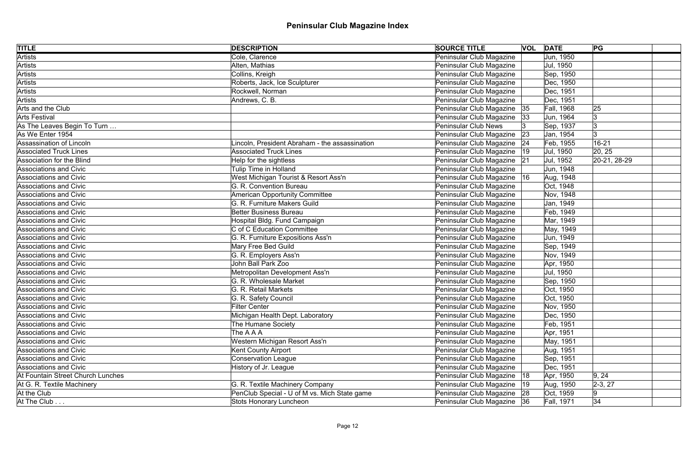| <b>TITLE</b>                      | <b>DESCRIPTION</b>                            | <b>SOURCE TITLE</b>             | <b>VOL DATE</b> | PG           |
|-----------------------------------|-----------------------------------------------|---------------------------------|-----------------|--------------|
| <b>Artists</b>                    | Cole, Clarence                                | Peninsular Club Magazine        | Jun, 1950       |              |
| <b>Artists</b>                    | Alten, Mathias                                | Peninsular Club Magazine        | Jul, 1950       |              |
| Artists                           | Collins, Kreigh                               | Peninsular Club Magazine        | Sep, 1950       |              |
| Artists                           | Roberts, Jack, Ice Sculpturer                 | Peninsular Club Magazine        | Dec, 1950       |              |
| Artists                           | Rockwell, Norman                              | Peninsular Club Magazine        | Dec, 1951       |              |
| Artists                           | Andrews, C. B.                                | Peninsular Club Magazine        | Dec, 1951       |              |
| Arts and the Club                 |                                               | Peninsular Club Magazine   35   | Fall, 1968      | 25           |
| Arts Festival                     |                                               | Peninsular Club Magazine<br> 33 | Jun, 1964       | 13           |
| As The Leaves Begin To Turn       |                                               | <b>Peninsular Club News</b>     | Sep, 1937       | 3            |
| As We Enter 1954                  |                                               | Peninsular Club Magazine<br> 23 | Jan, 1954       | 3            |
| Assassination of Lincoln          | incoln, President Abraham - the assassination | Peninsular Club Magazine<br> 24 | Feb, 1955       | 16-21        |
| <b>Associated Truck Lines</b>     | <b>Associated Truck Lines</b>                 | Peninsular Club Magazine<br> 19 | Jul, 1950       | 20, 25       |
| Association for the Blind         | Help for the sightless                        | Peninsular Club Magazine 21     | Jul, 1952       | 20-21, 28-29 |
| <b>Associations and Civic</b>     | Tulip Time in Holland                         | Peninsular Club Magazine        | Jun, 1948       |              |
| <b>Associations and Civic</b>     | West Michigan Tourist & Resort Ass'n          | Peninsular Club Magazine   16   | Aug, 1948       |              |
| <b>Associations and Civic</b>     | G. R. Convention Bureau                       | Peninsular Club Magazine        | Oct, 1948       |              |
| <b>Associations and Civic</b>     | <b>American Opportunity Committee</b>         | Peninsular Club Magazine        | Nov, 1948       |              |
| <b>Associations and Civic</b>     | G. R. Furniture Makers Guild                  | Peninsular Club Magazine        | Jan, 1949       |              |
| <b>Associations and Civic</b>     | <b>Better Business Bureau</b>                 | Peninsular Club Magazine        | Feb, 1949       |              |
| <b>Associations and Civic</b>     | Hospital Bldg. Fund Campaign                  | Peninsular Club Magazine        | Mar, 1949       |              |
| <b>Associations and Civic</b>     | C of C Education Committee                    | Peninsular Club Magazine        | May, 1949       |              |
| <b>Associations and Civic</b>     | G. R. Furniture Expositions Ass'n             | Peninsular Club Magazine        | Jun, 1949       |              |
| <b>Associations and Civic</b>     | Mary Free Bed Guild                           | Peninsular Club Magazine        | Sep, 1949       |              |
| <b>Associations and Civic</b>     | G. R. Employers Ass'n                         | Peninsular Club Magazine        | Nov, 1949       |              |
| <b>Associations and Civic</b>     | John Ball Park Zoo                            | Peninsular Club Magazine        | Apr, 1950       |              |
| <b>Associations and Civic</b>     | Metropolitan Development Ass'n                | Peninsular Club Magazine        | Jul, 1950       |              |
| Associations and Civic            | G. R. Wholesale Market                        | Peninsular Club Magazine        | Sep, 1950       |              |
| <b>Associations and Civic</b>     | G. R. Retail Markets                          | Peninsular Club Magazine        | Oct, 1950       |              |
| Associations and Civic            | G. R. Safety Council                          | Peninsular Club Magazine        | Oct, 1950       |              |
| <b>Associations and Civic</b>     | <b>Filter Center</b>                          | Peninsular Club Magazine        | Nov, 1950       |              |
| Associations and Civic            | Michigan Health Dept. Laboratory              | Peninsular Club Magazine        | Dec, 1950       |              |
| Associations and Civic            | The Humane Society                            | Peninsular Club Magazine        | Feb, 1951       |              |
| <b>Associations and Civic</b>     | The A A A                                     | Peninsular Club Magazine        | Apr, 1951       |              |
| <b>Associations and Civic</b>     | Western Michigan Resort Ass'n                 | Peninsular Club Magazine        | May, 1951       |              |
| <b>Associations and Civic</b>     | <b>Kent County Airport</b>                    | Peninsular Club Magazine        | Aug, 1951       |              |
| Associations and Civic            | <b>Conservation League</b>                    | Peninsular Club Magazine        | Sep, 1951       |              |
| <b>Associations and Civic</b>     | History of Jr. League                         | Peninsular Club Magazine        | Dec, 1951       |              |
| At Fountain Street Church Lunches |                                               | Peninsular Club Magazine   18   | Apr, 1950       | 9, 24        |
| At G. R. Textile Machinery        | G. R. Textile Machinery Company               | Peninsular Club Magazine<br> 19 | Aug, 1950       | $ 2-3, 27 $  |
| At the Club                       | PenClub Special - U of M vs. Mich State game  | Peninsular Club Magazine 28     | Oct, 1959       | 9            |
| At The Club $\dots$               | <b>Stots Honorary Luncheon</b>                | Peninsular Club Magazine 36     | Fall, 1971      | 34           |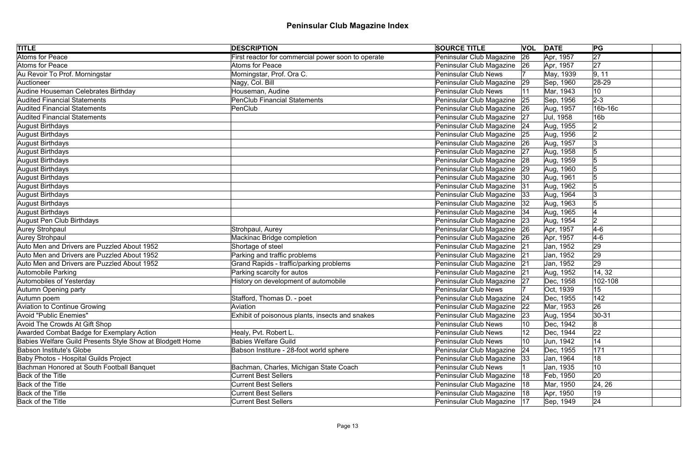| <b>TITLE</b>                                              | <b>DESCRIPTION</b>                                 | <b>SOURCE TITLE</b>           |     | <b>VOL DATE</b> | PG              |  |
|-----------------------------------------------------------|----------------------------------------------------|-------------------------------|-----|-----------------|-----------------|--|
| <b>Atoms for Peace</b>                                    | First reactor for commercial power soon to operate | Peninsular Club Magazine      | 26  | Apr, 1957       | $\overline{27}$ |  |
| Atoms for Peace                                           | <b>Atoms for Peace</b>                             | Peninsular Club Magazine 26   |     | Apr, 1957       | 27              |  |
| Au Revoir To Prof. Morningstar                            | Morningstar, Prof. Ora C.                          | <b>Peninsular Club News</b>   |     | May, 1939       | 9, 11           |  |
| Auctioneer                                                | Nagy, Col. Bill                                    | Peninsular Club Magazine      | 29  | Sep, 1960       | 28-29           |  |
| Audine Houseman Celebrates Birthday                       | Houseman, Audine                                   | <b>Peninsular Club News</b>   |     | Mar, 1943       | 10              |  |
| <b>Audited Financial Statements</b>                       | <b>PenClub Financial Statements</b>                | Peninsular Club Magazine      | 25  | Sep, 1956       | $2-3$           |  |
| <b>Audited Financial Statements</b>                       | PenClub                                            | Peninsular Club Magazine      | 26  | Aug, 1957       | 16b-16c         |  |
| <b>Audited Financial Statements</b>                       |                                                    | Peninsular Club Magazine      | 27  | Jul, 1958       | 16 <sub>b</sub> |  |
| August Birthdays                                          |                                                    | Peninsular Club Magazine      | 24  | Aug, 1955       | $\overline{2}$  |  |
| August Birthdays                                          |                                                    | Peninsular Club Magazine      | 25  | Aug, 1956       | $\overline{2}$  |  |
| August Birthdays                                          |                                                    | Peninsular Club Magazine      | 26  | Aug, 1957       | Ι3              |  |
| August Birthdays                                          |                                                    | Peninsular Club Magazine      | 27  | Aug, 1958       | 5               |  |
| August Birthdays                                          |                                                    | Peninsular Club Magazine      | 28  | Aug, 1959       |                 |  |
| August Birthdays                                          |                                                    | Peninsular Club Magazine      | 29  | Aug, 1960       |                 |  |
| August Birthdays                                          |                                                    | Peninsular Club Magazine      | 30  | Aug, 1961       |                 |  |
| August Birthdays                                          |                                                    | Peninsular Club Magazine      | 31  | Aug, 1962       | 15              |  |
| August Birthdays                                          |                                                    | Peninsular Club Magazine      | 33  | Aug, 1964       | Ι3              |  |
| August Birthdays                                          |                                                    | Peninsular Club Magazine      | 32  | Aug, 1963       | 15              |  |
| August Birthdays                                          |                                                    | Peninsular Club Magazine   34 |     | Aug, 1965       |                 |  |
| August Pen Club Birthdays                                 |                                                    | Peninsular Club Magazine      | 23  | Aug, 1954       | 2               |  |
| Aurey Strohpaul                                           | Strohpaul, Aurey                                   | Peninsular Club Magazine 26   |     | Apr, 1957       | $4-6$           |  |
| Aurey Strohpaul                                           | Mackinac Bridge completion                         | Peninsular Club Magazine      | 26  | Apr, 1957       | $4-6$           |  |
| Auto Men and Drivers are Puzzled About 1952               | Shortage of steel                                  | Peninsular Club Magazine 21   |     | Jan, 1952       | 29              |  |
| Auto Men and Drivers are Puzzled About 1952               | Parking and traffic problems                       | Peninsular Club Magazine      | 21  | Jan, 1952       | 29              |  |
| Auto Men and Drivers are Puzzled About 1952               | Grand Rapids - traffic/parking problems            | Peninsular Club Magazine 21   |     | Jan, 1952       | 29              |  |
| Automobile Parking                                        | Parking scarcity for autos                         | Peninsular Club Magazine      | 21  | Aug, 1952       | 14, 32          |  |
| Automobiles of Yesterday                                  | History on development of automobile               | Peninsular Club Magazine      | 27  | Dec, 1958       | 102-108         |  |
| Autumn Opening party                                      |                                                    | <b>Peninsular Club News</b>   |     | Oct, 1939       | 15              |  |
| Autumn poem                                               | Stafford, Thomas D. - poet                         | Peninsular Club Magazine 24   |     | Dec, 1955       | 142             |  |
| Aviation to Continue Growing                              | Aviation                                           | Peninsular Club Magazine      | 22  | Mar, 1953       | 26              |  |
| Avoid "Public Enemies"                                    | Exhibit of poisonous plants, insects and snakes    | Peninsular Club Magazine      | 23  | Aug, 1954       | $ 30-31$        |  |
| Avoid The Crowds At Gift Shop                             |                                                    | <b>Peninsular Club News</b>   | 10  | Dec, 1942       | 8               |  |
| Awarded Combat Badge for Exemplary Action                 | Healy, Pvt. Robert L.                              | <b>Peninsular Club News</b>   | 12  | Dec, 1944       | 22              |  |
| Babies Welfare Guild Presents Style Show at Blodgett Home | <b>Babies Welfare Guild</b>                        | <b>Peninsular Club News</b>   | 10  | Jun, 1942       | 14              |  |
| <b>Babson Institute's Globe</b>                           | Babson Institure - 28-foot world sphere            | Peninsular Club Magazine      | 24  | Dec, 1955       | 171             |  |
| <b>Baby Photos - Hospital Guilds Project</b>              |                                                    | Peninsular Club Magazine      | 33  | Jan, 1964       | 18              |  |
| Bachman Honored at South Football Banquet                 | Bachman, Charles, Michigan State Coach             | <b>Peninsular Club News</b>   |     | Jan, 1935       | 10              |  |
| <b>Back of the Title</b>                                  | <b>Current Best Sellers</b>                        | Peninsular Club Magazine      | 18  | Feb, 1950       | 20              |  |
| Back of the Title                                         | <b>Current Best Sellers</b>                        | Peninsular Club Magazine      | ା18 | Mar, 1950       | 24, 26          |  |
| <b>Back of the Title</b>                                  | <b>Current Best Sellers</b>                        | Peninsular Club Magazine      | 18  | Apr, 1950       | 19              |  |
| Back of the Title                                         | <b>Current Best Sellers</b>                        | Peninsular Club Magazine      | 17  | Sep, 1949       | 24              |  |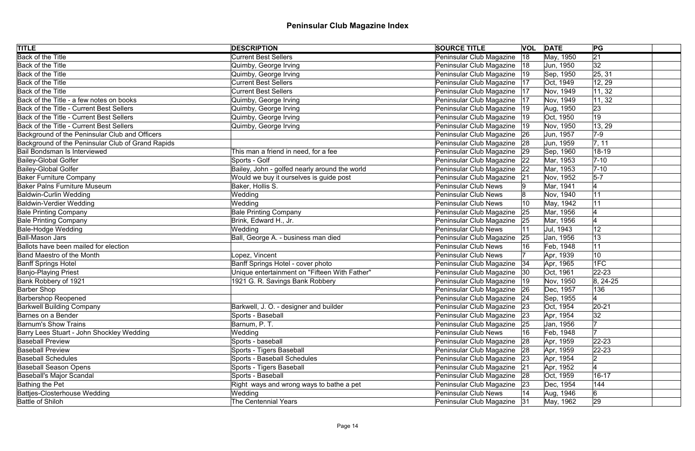| <b>TITLE</b>                                      | <b>DESCRIPTION</b>                            | <b>SOURCE TITLE</b>           |    | <b>VOL DATE</b> | PG              |  |
|---------------------------------------------------|-----------------------------------------------|-------------------------------|----|-----------------|-----------------|--|
| <b>Back of the Title</b>                          | <b>Current Best Sellers</b>                   | Peninsular Club Magazine      | 18 | May, 1950       | $\overline{21}$ |  |
| Back of the Title                                 | Quimby, George Irving                         | Peninsular Club Magazine   18 |    | Jun, 1950       | 32              |  |
| Back of the Title                                 | Quimby, George Irving                         | Peninsular Club Magazine      | 19 | Sep, 1950       | 25, 31          |  |
| Back of the Title                                 | <b>Current Best Sellers</b>                   | Peninsular Club Magazine      | 17 | Oct, 1949       | 12, 29          |  |
| Back of the Title                                 | <b>Current Best Sellers</b>                   | Peninsular Club Magazine      | 17 | Nov, 1949       | 11, 32          |  |
| Back of the Title - a few notes on books          | Quimby, George Irving                         | Peninsular Club Magazine      | 17 | Nov, 1949       | 11, 32          |  |
| Back of the Title - Current Best Sellers          | Quimby, George Irving                         | Peninsular Club Magazine      | 19 | Aug, 1950       | 23              |  |
| Back of the Title - Current Best Sellers          | Quimby, George Irving                         | Peninsular Club Magazine      | 19 | Oct, 1950       | 19              |  |
| Back of the Title - Current Best Sellers          | Quimby, George Irving                         | Peninsular Club Magazine      | 19 | Nov, 1950       | 13, 29          |  |
| Background of the Peninsular Club and Officers    |                                               | Peninsular Club Magazine 26   |    | Jun, 1957       | $7-9$           |  |
| Background of the Peninsular Club of Grand Rapids |                                               | Peninsular Club Magazine      | 28 | Jun, 1959       | 7, 11           |  |
| Bail Bondsman Is Interviewed                      | This man a friend in need, for a fee          | Peninsular Club Magazine      | 29 | Sep, 1960       | 18-19           |  |
| <b>Bailey-Global Golfer</b>                       | Sports - Golf                                 | Peninsular Club Magazine      | 22 | Mar, 1953       | $7 - 10$        |  |
| <b>Bailey-Global Golfer</b>                       | Bailey, John - golfed nearly around the world | Peninsular Club Magazine      | 22 | Mar, 1953       | $7 - 10$        |  |
| <b>Baker Furniture Company</b>                    | Would we buy it ourselves is guide post       | Peninsular Club Magazine      | 21 | Nov, 1952       | $5-7$           |  |
| <b>Baker Palns Furniture Museum</b>               | Baker, Hollis S.                              | <b>Peninsular Club News</b>   |    | Mar, 1941       |                 |  |
| <b>Baldwin-Curlin Wedding</b>                     | Wedding                                       | <b>Peninsular Club News</b>   |    | Nov, 1940       | 11              |  |
| <b>Baldwin-Verdier Wedding</b>                    | Wedding                                       | <b>Peninsular Club News</b>   | 10 | May, 1942       |                 |  |
| <b>Bale Printing Company</b>                      | <b>Bale Printing Company</b>                  | Peninsular Club Magazine      | 25 | Mar, 1956       |                 |  |
| <b>Bale Printing Company</b>                      | Brink, Edward H., Jr.                         | Peninsular Club Magazine      | 25 | Mar, 1956       |                 |  |
| <b>Bale-Hodge Wedding</b>                         | Wedding                                       | <b>Peninsular Club News</b>   |    | Jul, 1943       | 12              |  |
| <b>Ball-Mason Jars</b>                            | Ball, George A. - business man died           | Peninsular Club Magazine      | 25 | Jan, 1956       | 13              |  |
| Ballots have been mailed for election             |                                               | <b>Peninsular Club News</b>   |    | Feb, 1948       | 11              |  |
| <b>Band Maestro of the Month</b>                  | Lopez, Vincent                                | <b>Peninsular Club News</b>   |    | Apr, 1939       | 10              |  |
| <b>Banff Springs Hotel</b>                        | Banff Springs Hotel - cover photo             | Peninsular Club Magazine   34 |    | Apr, 1965       | 1FC             |  |
| Banjo-Playing Priest                              | Unique entertainment on "Fifteen With Father" | Peninsular Club Magazine 30   |    | Oct, 1961       | $ 22 - 23 $     |  |
| Bank Robbery of 1921                              | 1921 G. R. Savings Bank Robbery               | Peninsular Club Magazine   19 |    | Nov, 1950       | $ 8, 24-25$     |  |
| Barber Shop                                       |                                               | Peninsular Club Magazine 26   |    | Dec, 1957       | 136             |  |
| <b>Barbershop Reopened</b>                        |                                               | Peninsular Club Magazine 24   |    | Sep, 1955       |                 |  |
| <b>Barkwell Building Company</b>                  | Barkwell, J. O. - designer and builder        | Peninsular Club Magazine      | 23 | Oct, 1954       | $ 20-21$        |  |
| Barnes on a Bender                                | Sports - Baseball                             | Peninsular Club Magazine 23   |    | Apr, 1954       | 32              |  |
| <b>Barnum's Show Trains</b>                       | Barnum, P. T.                                 | Peninsular Club Magazine      | 25 | Jan, 1956       |                 |  |
| Barry Lees Stuart - John Shockley Wedding         | Wedding                                       | <b>Peninsular Club News</b>   | 16 | Feb, 1948       |                 |  |
| <b>Baseball Preview</b>                           | Sports - baseball                             | Peninsular Club Magazine      | 28 | Apr, 1959       | $22 - 23$       |  |
| <b>Baseball Preview</b>                           | Sports - Tigers Baseball                      | Peninsular Club Magazine 28   |    | Apr, 1959       | $ 22 - 23 $     |  |
| <b>Baseball Schedules</b>                         | Sports - Baseball Schedules                   | Peninsular Club Magazine 23   |    | Apr, 1954       | $\overline{2}$  |  |
| <b>Baseball Season Opens</b>                      | Sports - Tigers Baseball                      | Peninsular Club Magazine      | 21 | Apr, 1952       |                 |  |
| <b>Baseball's Major Scandal</b>                   | Sports - Baseball                             | Peninsular Club Magazine 28   |    | Oct, 1959       | $16 - 17$       |  |
| Bathing the Pet                                   | Right ways and wrong ways to bathe a pet      | Peninsular Club Magazine 23   |    | Dec, 1954       | 144             |  |
| Battjes-Closterhouse Wedding                      | Wedding                                       | <b>Peninsular Club News</b>   |    | Aug, 1946       | 6               |  |
| <b>Battle of Shiloh</b>                           | The Centennial Years                          | Peninsular Club Magazine   31 |    | May, 1962       | 29              |  |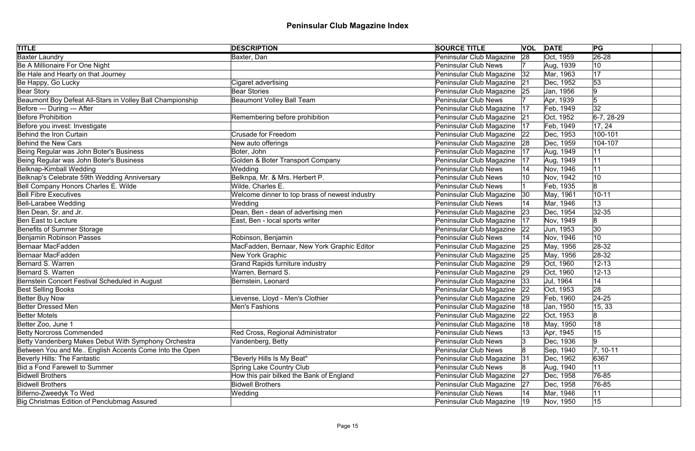| <b>TITLE</b>                                              | <b>DESCRIPTION</b>                             | <b>SOURCE TITLE</b>           |              | <b>VOL DATE</b> | PG           |
|-----------------------------------------------------------|------------------------------------------------|-------------------------------|--------------|-----------------|--------------|
| <b>Baxter Laundry</b>                                     | Baxter, Dan                                    | Peninsular Club Magazine      | 28           | Oct, 1959       | $ 26-28$     |
| Be A Millionaire For One Night                            |                                                | <b>Peninsular Club News</b>   |              | Aug, 1939       | 10           |
| Be Hale and Hearty on that Journey                        |                                                | Peninsular Club Magazine      | 32           | Mar, 1963       | 17           |
| Be Happy, Go Lucky                                        | Cigaret advertising                            | Peninsular Club Magazine 21   |              | Dec, 1952       | 53           |
| Bear Story                                                | Bear Stories                                   | Peninsular Club Magazine 25   |              | Jan, 1956       | 9            |
| Beaumont Boy Defeat All-Stars in Volley Ball Championship | <b>Beaumont Volley Ball Team</b>               | <b>Peninsular Club News</b>   |              | Apr, 1939       | 5            |
| Before --- During --- After                               |                                                | Peninsular Club Magazine      | 17           | Feb, 1949       | 32           |
| <b>Before Prohibition</b>                                 | Remembering before prohibition                 | Peninsular Club Magazine 21   |              | Oct, 1952       | $6-7, 28-29$ |
| Before you invest: Investigate                            |                                                | Peninsular Club Magazine      | 17           | Feb, 1949       | 17, 24       |
| Behind the Iron Curtain                                   | <b>Crusade for Freedom</b>                     | Peninsular Club Magazine      | 22           | Dec, 1953       | 100-101      |
| Behind the New Cars                                       | New auto offerings                             | Peninsular Club Magazine      | 28           | Dec, 1959       | 104-107      |
| Being Regular was John Boter's Business                   | Boter, John                                    | Peninsular Club Magazine      | 17           | Aug, 1949       | 11           |
| Being Regular was John Boter's Business                   | Golden & Boter Transport Company               | Peninsular Club Magazine      | 17           | Aug, 1949       | 11           |
| Belknap-Kimball Wedding                                   | Wedding                                        | <b>Peninsular Club News</b>   |              | Nov, 1946       | 11           |
| Belknap's Celebrate 59th Wedding Anniversary              | Belknpa, Mr. & Mrs. Herbert P.                 | <b>Peninsular Club News</b>   |              | Nov, 1942       | 10           |
| Bell Company Honors Charles E. Wilde                      | Wilde, Charles E.                              | <b>Peninsular Club News</b>   |              | Feb, 1935       | 8            |
| <b>Bell Fibre Executives</b>                              | Welcome dinner to top brass of newest industry | Peninsular Club Magazine      | $ 30\rangle$ | May, 1961       | $10 - 11$    |
| Bell-Larabee Wedding                                      | Wedding                                        | <b>Peninsular Club News</b>   |              | Mar, 1946       | 13           |
| Ben Dean, Sr. and Jr.                                     | Dean, Ben - dean of advertising men            | Peninsular Club Magazine      | 23           | Dec, 1954       | $ 32 - 35 $  |
| <b>Ben East to Lecture</b>                                | East, Ben - local sports writer                | Peninsular Club Magazine      | 17           | Nov, 1949       | 8            |
| <b>Benefits of Summer Storage</b>                         |                                                | Peninsular Club Magazine      | 22           | Jun, 1953       | 30           |
| Benjamin Robinson Passes                                  | Robinson, Benjamin                             | <b>Peninsular Club News</b>   | 14           | Nov, 1946       | 10           |
| Bernaar MacFadden                                         | MacFadden, Bernaar, New York Graphic Editor    | Peninsular Club Magazine 25   |              | May, 1956       | 28-32        |
| Bernaar MacFadden                                         | New York Graphic                               | Peninsular Club Magazine 25   |              | May, 1956       | $ 28-32$     |
| Bernard S. Warren                                         | <b>Grand Rapids furniture industry</b>         | Peninsular Club Magazine 29   |              | Oct, 1960       | $12 - 13$    |
| Bernard S. Warren                                         | Warren, Bernard S.                             | Peninsular Club Magazine 29   |              | Oct, 1960       | $12 - 13$    |
| Bernstein Concert Festival Scheduled in August            | Bernstein, Leonard                             | Peninsular Club Magazine   33 |              | Jul, 1964       | 14           |
| <b>Best Selling Books</b>                                 |                                                | Peninsular Club Magazine 22   |              | Oct, 1953       | 28           |
| Better Buy Now                                            | Lievense, Lloyd - Men's Clothier               | Peninsular Club Magazine 29   |              | Feb, 1960       | $24 - 25$    |
| <b>Better Dressed Men</b>                                 | Men's Fashions                                 | Peninsular Club Magazine      | 18           | Jan, 1950       | 15, 33       |
| <b>Better Motels</b>                                      |                                                | Peninsular Club Magazine      | 22           | Oct, 1953       |              |
| Better Zoo, June 1                                        |                                                | Peninsular Club Magazine      | 18           | May, 1950       | 18           |
| <b>Betty Norcross Commended</b>                           | Red Cross, Regional Administrator              | <b>Peninsular Club News</b>   | 13           | Apr, 1945       | 15           |
| Betty Vandenberg Makes Debut With Symphony Orchestra      | Vandenberg, Betty                              | <b>Peninsular Club News</b>   |              | Dec, 1936       | 9            |
| Between You and Me English Accents Come Into the Open     |                                                | <b>Peninsular Club News</b>   |              | Sep, 1940       | $7, 10-11$   |
| Beverly Hills: The Fantastic                              | "Beverly Hills Is My Beat"                     | Peninsular Club Magazine      | 31           | Dec, 1962       | 6367         |
| Bid a Fond Farewell to Summer                             | <b>Spring Lake Country Club</b>                | <b>Peninsular Club News</b>   |              | Aug, 1940       | 11           |
| <b>Bidwell Brothers</b>                                   | How this pair bilked the Bank of England       | Peninsular Club Magazine      | 27           | Dec, 1958       | 76-85        |
| <b>Bidwell Brothers</b>                                   | <b>Bidwell Brothers</b>                        | Peninsular Club Magazine      | 27           | Dec, 1958       | 76-85        |
| Biferno-Zweedyk To Wed                                    | Wedding                                        | <b>Peninsular Club News</b>   |              | Mar, 1946       | 11           |
| Big Christmas Edition of Penclubmag Assured               |                                                | Peninsular Club Magazine      | $ 19\rangle$ | Nov, 1950       | 15           |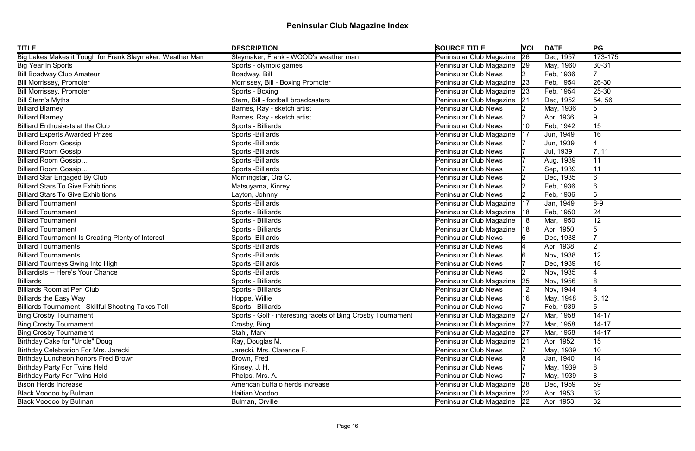| <b>TITLE</b>                                              | <b>DESCRIPTION</b>                                           | <b>SOURCE TITLE</b>         |    | <b>VOL DATE</b> | PG             |
|-----------------------------------------------------------|--------------------------------------------------------------|-----------------------------|----|-----------------|----------------|
| Big Lakes Makes it Tough for Frank Slaymaker, Weather Man | Slaymaker, Frank - WOOD's weather man                        | Peninsular Club Magazine    | 26 | Dec, 1957       | $173 - 175$    |
| Big Year In Sports                                        | Sports - olympic games                                       | Peninsular Club Magazine 29 |    | May, 1960       | $ 30-31$       |
| <b>Bill Boadway Club Amateur</b>                          | Boadway, Bill                                                | <b>Peninsular Club News</b> |    | Feb, 1936       |                |
| <b>Bill Morrissey, Promoter</b>                           | Morrissey, Bill - Boxing Promoter                            | Peninsular Club Magazine    | 23 | Feb, 1954       | $ 26-30 $      |
| <b>Bill Morrissey, Promoter</b>                           | Sports - Boxing                                              | Peninsular Club Magazine    | 23 | Feb, 1954       | $ 25 - 30$     |
| <b>Bill Stern's Myths</b>                                 | Stern, Bill - football broadcasters                          | Peninsular Club Magazine    | 21 | Dec, 1952       | 54, 56         |
| <b>Billiard Blarney</b>                                   | Barnes, Ray - sketch artist                                  | <b>Peninsular Club News</b> |    | May, 1936       | 5              |
| <b>Billiard Blarney</b>                                   | Barnes, Ray - sketch artist                                  | <b>Peninsular Club News</b> |    | Apr, 1936       | 9              |
| <b>Billiard Enthusiasts at the Club</b>                   | Sports - Billiards                                           | <b>Peninsular Club News</b> | 10 | Feb, 1942       | 15             |
| <b>Billiard Experts Awarded Prizes</b>                    | <b>Sports -Billiards</b>                                     | Peninsular Club Magazine    | 17 | Jun, 1949       | 16             |
| <b>Billiard Room Gossip</b>                               | Sports - Billiards                                           | <b>Peninsular Club News</b> |    | Jun, 1939       |                |
| <b>Billiard Room Gossip</b>                               | Sports - Billiards                                           | <b>Peninsular Club News</b> |    | Jul, 1939       | 7, 11          |
| Billiard Room Gossip                                      | Sports - Billiards                                           | <b>Peninsular Club News</b> |    | Aug, 1939       | 11             |
| Billiard Room Gossip                                      | Sports - Billiards                                           | <b>Peninsular Club News</b> |    | Sep, 1939       | 11             |
| <b>Billiard Star Engaged By Club</b>                      | Morningstar, Ora C.                                          | <b>Peninsular Club News</b> |    | Dec, 1935       | 6              |
| <b>Billiard Stars To Give Exhibitions</b>                 | Matsuyama, Kinrey                                            | <b>Peninsular Club News</b> |    | Feb, 1936       | 6              |
| <b>Billiard Stars To Give Exhibitions</b>                 | Layton, Johnny                                               | <b>Peninsular Club News</b> |    | Feb, 1936       | $\overline{6}$ |
| <b>Billiard Tournament</b>                                | Sports - Billiards                                           | Peninsular Club Magazine    | 17 | Jan, 1949       | $8-9$          |
| <b>Billiard Tournament</b>                                | Sports - Billiards                                           | Peninsular Club Magazine    | 18 | Feb, 1950       | 24             |
| <b>Billiard Tournament</b>                                | Sports - Billiards                                           | Peninsular Club Magazine    | 18 | Mar, 1950       | 12             |
| <b>Billiard Tournament</b>                                | Sports - Billiards                                           | Peninsular Club Magazine    | 18 | Apr, 1950       |                |
| Billiard Tournament Is Creating Plenty of Interest        | Sports -Billiards                                            | <b>Peninsular Club News</b> |    | Dec, 1938       |                |
| <b>Billiard Tournaments</b>                               | Sports - Billiards                                           | <b>Peninsular Club News</b> |    | Apr, 1938       | 2              |
| <b>Billiard Tournaments</b>                               | Sports -Billiards                                            | <b>Peninsular Club News</b> |    | Nov, 1938       | 12             |
| <b>Billiard Tourneys Swing Into High</b>                  | Sports - Billiards                                           | <b>Peninsular Club News</b> |    | Dec, 1939       | 18             |
| Billiardists -- Here's Your Chance                        | <b>Sports -Billiards</b>                                     | <b>Peninsular Club News</b> |    | Nov, 1935       |                |
| Billiards                                                 | Sports - Billiards                                           | Peninsular Club Magazine    | 25 | Nov, 1956       | 8              |
| Billiards Room at Pen Club                                | Sports - Billiards                                           | <b>Peninsular Club News</b> |    | Nov, 1944       |                |
| Billiards the Easy Way                                    | Hoppe, Willie                                                | <b>Peninsular Club News</b> | 16 | May, 1948       | 6, 12          |
| Billiards Tournament - Skillful Shooting Takes Toll       | Sports - Billiards                                           | <b>Peninsular Club News</b> |    | Feb, 1939       |                |
| <b>Bing Crosby Tournament</b>                             | Sports - Golf - interesting facets of Bing Crosby Tournament | Peninsular Club Magazine    | 27 | Mar, 1958       | $14 - 17$      |
| <b>Bing Crosby Tournament</b>                             | Crosby, Bing                                                 | Peninsular Club Magazine    | 27 | Mar, 1958       | $14 - 17$      |
| <b>Bing Crosby Tournament</b>                             | Stahl, Marv                                                  | Peninsular Club Magazine    | 27 | Mar, 1958       | $14 - 17$      |
| Birthday Cake for "Uncle" Doug                            | Ray, Douglas M.                                              | Peninsular Club Magazine    | 21 | Apr, 1952       | 15             |
| Birthday Celebration For Mrs. Jarecki                     | Jarecki, Mrs. Clarence F.                                    | <b>Peninsular Club News</b> |    | May, 1939       | 10             |
| Birthday Luncheon honors Fred Brown                       | Brown, Fred                                                  | <b>Peninsular Club News</b> |    | Jan, 1940       | 14             |
| <b>Birthday Party For Twins Held</b>                      | Kinsey, J. H.                                                | <b>Peninsular Club News</b> |    | May, 1939       | 8              |
| <b>Birthday Party For Twins Held</b>                      | Phelps, Mrs. A.                                              | <b>Peninsular Club News</b> |    | May, 1939       | 8              |
| <b>Bison Herds Increase</b>                               | American buffalo herds increase                              | Peninsular Club Magazine    | 28 | Dec, 1959       | 59             |
| <b>Black Voodoo by Bulman</b>                             | Haitian Voodoo                                               | Peninsular Club Magazine    | 22 | Apr, 1953       | 32             |
| <b>Black Voodoo by Bulman</b>                             | Bulman, Orville                                              | Peninsular Club Magazine 22 |    | Apr, 1953       | 32             |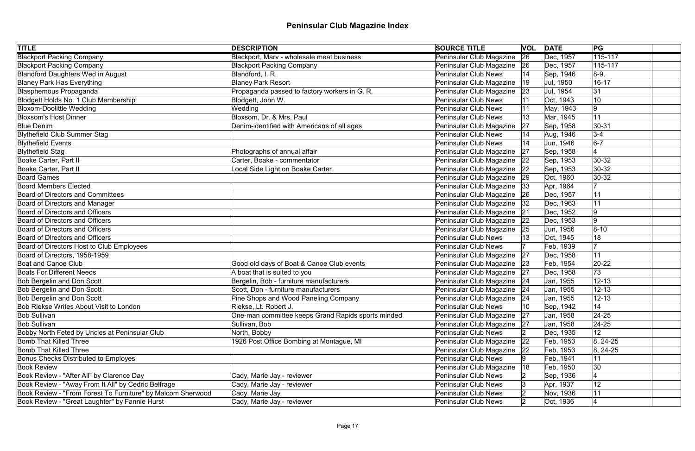| <b>TITLE</b>                                                | <b>DESCRIPTION</b>                                 | <b>SOURCE TITLE</b>           |              | <b>VOL DATE</b> | PG          |  |
|-------------------------------------------------------------|----------------------------------------------------|-------------------------------|--------------|-----------------|-------------|--|
| <b>Blackport Packing Company</b>                            | Blackport, Marv - wholesale meat business          | Peninsular Club Magazine      | 26           | Dec, 1957       | $115 - 117$ |  |
| <b>Blackport Packing Company</b>                            | <b>Blackport Packing Company</b>                   | Peninsular Club Magazine      | 26           | Dec, 1957       | 115-117     |  |
| <b>Blandford Daughters Wed in August</b>                    | Blandford, I. R.                                   | <b>Peninsular Club News</b>   | 14           | Sep, 1946       | $8-9,$      |  |
| <b>Blaney Park Has Everything</b>                           | <b>Blaney Park Resort</b>                          | Peninsular Club Magazine      | $ 19\rangle$ | Jul, 1950       | $16 - 17$   |  |
| Blasphemous Propaganda                                      | Propaganda passed to factory workers in G. R.      | Peninsular Club Magazine      | 23           | Jul, 1954       | 31          |  |
| Blodgett Holds No. 1 Club Membership                        | Blodgett, John W.                                  | <b>Peninsular Club News</b>   |              | Oct, 1943       | 10          |  |
| <b>Bloxom-Doolittle Wedding</b>                             | Wedding                                            | <b>Peninsular Club News</b>   |              | May, 1943       | 9           |  |
| <b>Bloxsom's Host Dinner</b>                                | Bloxsom, Dr. & Mrs. Paul                           | <b>Peninsular Club News</b>   |              | Mar, 1945       | 11          |  |
| <b>Blue Denim</b>                                           | Denim-identified with Americans of all ages        | Peninsular Club Magazine      | 27           | Sep, 1958       | $ 30-31$    |  |
| <b>Blythefield Club Summer Stag</b>                         |                                                    | <b>Peninsular Club News</b>   |              | Aug, 1946       | $3 - 4$     |  |
| <b>Blythefield Events</b>                                   |                                                    | <b>Peninsular Club News</b>   |              | Jun, 1946       | $6-7$       |  |
| <b>Blythefield Stag</b>                                     | Photographs of annual affair                       | Peninsular Club Magazine      | 27           | Sep, 1958       |             |  |
| Boake Carter, Part II                                       | Carter, Boake - commentator                        | Peninsular Club Magazine      | 22           | Sep, 1953       | $30-32$     |  |
| Boake Carter, Part II                                       | Local Side Light on Boake Carter                   | Peninsular Club Magazine      | 22           | Sep, 1953       | $ 30-32 $   |  |
| <b>Board Games</b>                                          |                                                    | Peninsular Club Magazine      | 29           | Oct, 1960       | $ 30-32 $   |  |
| <b>Board Members Elected</b>                                |                                                    | Peninsular Club Magazine      | 33           | Apr, 1964       |             |  |
| <b>Board of Directors and Committees</b>                    |                                                    | Peninsular Club Magazine      | 26           | Dec, 1957       | 11          |  |
| Board of Directors and Manager                              |                                                    | Peninsular Club Magazine      | 32           | Dec, 1963       | 11          |  |
| Board of Directors and Officers                             |                                                    | Peninsular Club Magazine      | 21           | Dec, 1952       | 9           |  |
| <b>Board of Directors and Officers</b>                      |                                                    | Peninsular Club Magazine      | 22           | Dec, 1953       | 9           |  |
| Board of Directors and Officers                             |                                                    | Peninsular Club Magazine      | 25           | Jun, 1956       | $ 8 - 10$   |  |
| <b>Board of Directors and Officers</b>                      |                                                    | <b>Peninsular Club News</b>   |              | Oct, 1945       | 18          |  |
| Board of Directors Host to Club Employees                   |                                                    | <b>Peninsular Club News</b>   |              | Feb, 1939       | 17          |  |
| Board of Directors, 1958-1959                               |                                                    | Peninsular Club Magazine      | 27           | Dec, 1958       | 11          |  |
| <b>Boat and Canoe Club</b>                                  | Good old days of Boat & Canoe Club events          | Peninsular Club Magazine 23   |              | Feb, 1954       | $20 - 22$   |  |
| <b>Boats For Different Needs</b>                            | A boat that is suited to you                       | Peninsular Club Magazine      | 27           | Dec, 1958       | 73          |  |
| <b>Bob Bergelin and Don Scott</b>                           | Bergelin, Bob - furniture manufacturers            | Peninsular Club Magazine   24 |              | Jan, 1955       | $12 - 13$   |  |
| <b>Bob Bergelin and Don Scott</b>                           | Scott, Don - furniture manufacturers               | Peninsular Club Magazine 24   |              | Jan, 1955       | $12 - 13$   |  |
| Bob Bergelin and Don Scott                                  | Pine Shops and Wood Paneling Company               | Peninsular Club Magazine 24   |              | Jan, 1955       | $12 - 13$   |  |
| Bob Riekse Writes About Visit to London                     | Riekse, Lt. Robert J.                              | <b>Peninsular Club News</b>   |              | Sep, 1942       | 14          |  |
| <b>Bob Sullivan</b>                                         | One-man committee keeps Grand Rapids sports minded | Peninsular Club Magazine      | 27           | Jan, 1958       | $24 - 25$   |  |
| <b>Bob Sullivan</b>                                         | Sullivan, Bob                                      | Peninsular Club Magazine      | 27           | Jan, 1958       | $24 - 25$   |  |
| Bobby North Feted by Uncles at Peninsular Club              | North, Bobby                                       | Peninsular Club News          |              | Dec, 1935       | 12          |  |
| <b>Bomb That Killed Three</b>                               | 1926 Post Office Bombing at Montague, MI           | Peninsular Club Magazine      | 22           | Feb, 1953       | $8, 24-25$  |  |
| <b>Bomb That Killed Three</b>                               |                                                    | Peninsular Club Magazine      | $ 22\rangle$ | Feb, 1953       | $8, 24-25$  |  |
| <b>Bonus Checks Distributed to Employes</b>                 |                                                    | <b>Peninsular Club News</b>   |              | Feb, 1941       | 11          |  |
| <b>Book Review</b>                                          |                                                    | Peninsular Club Magazine      | 18           | Feb, 1950       | 30          |  |
| Book Review - "After All" by Clarence Day                   | Cady, Marie Jay - reviewer                         | <b>Peninsular Club News</b>   |              | Sep, 1936       |             |  |
| Book Review - "Away From It All" by Cedric Belfrage         | Cady, Marie Jay - reviewer                         | <b>Peninsular Club News</b>   |              | Apr, 1937       | 12          |  |
| Book Review - "From Forest To Furniture" by Malcom Sherwood | Cady, Marie Jay                                    | <b>Peninsular Club News</b>   |              | Nov, 1936       | 11          |  |
| Book Review - "Great Laughter" by Fannie Hurst              | Cady, Marie Jay - reviewer                         | <b>Peninsular Club News</b>   |              | Oct, 1936       |             |  |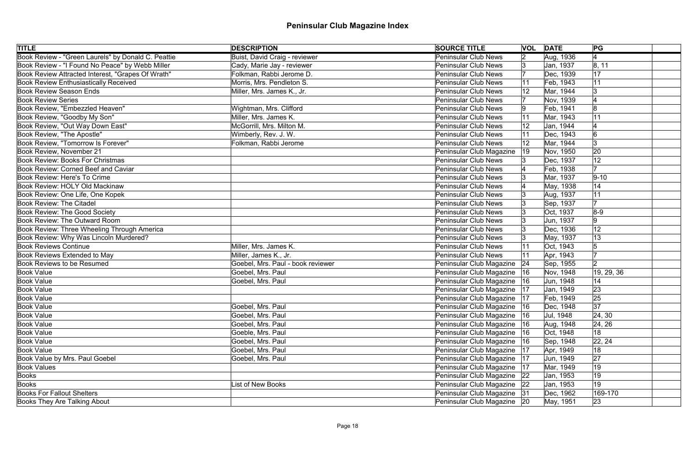| <b>TITLE</b>                                       | <b>DESCRIPTION</b>                   | <b>SOURCE TITLE</b>           |              | <b>VOL DATE</b> | PG              |  |
|----------------------------------------------------|--------------------------------------|-------------------------------|--------------|-----------------|-----------------|--|
| Book Review - "Green Laurels" by Donald C. Peattie | <b>Buist, David Craig - reviewer</b> | <b>Peninsular Club News</b>   |              | Aug, 1936       | $\vert 4 \vert$ |  |
| Book Review - "I Found No Peace" by Webb Miller    | Cady, Marie Jay - reviewer           | <b>Peninsular Club News</b>   |              | Jan, 1937       | 8, 11           |  |
| Book Review Attracted Interest, "Grapes Of Wrath"  | Folkman, Rabbi Jerome D.             | <b>Peninsular Club News</b>   |              | Dec, 1939       | 17              |  |
| <b>Book Review Enthusiastically Received</b>       | Morris, Mrs. Pendleton S.            | <b>Peninsular Club News</b>   |              | Feb, 1943       | 11              |  |
| <b>Book Review Season Ends</b>                     | Miller, Mrs. James K., Jr.           | <b>Peninsular Club News</b>   | 12           | Mar, 1944       | 3               |  |
| <b>Book Review Series</b>                          |                                      | <b>Peninsular Club News</b>   |              | Nov, 1939       |                 |  |
| Book Review, "Embezzled Heaven"                    | Wightman, Mrs. Clifford              | <b>Peninsular Club News</b>   |              | Feb, 1941       | 8               |  |
| Book Review, "Goodby My Son"                       | Miller, Mrs. James K.                | Peninsular Club News          |              | Mar, 1943       |                 |  |
| Book Review, "Out Way Down East"                   | McGorrill, Mrs. Milton M.            | <b>Peninsular Club News</b>   |              | Jan, 1944       |                 |  |
| Book Review, "The Apostle"                         | Wimberly, Rev. J. W.                 | <b>Peninsular Club News</b>   |              | Dec, 1943       | 6               |  |
| Book Review, "Tomorrow Is Forever"                 | Folkman, Rabbi Jerome                | <b>Peninsular Club News</b>   |              | Mar, 1944       | 3               |  |
| Book Review, November 21                           |                                      | Peninsular Club Magazine      | $ 19\rangle$ | Nov, 1950       | 20              |  |
| Book Review: Books For Christmas                   |                                      | <b>Peninsular Club News</b>   |              | Dec, 1937       | 12              |  |
| Book Review: Corned Beef and Caviar                |                                      | <b>Peninsular Club News</b>   |              | Feb, 1938       | 17              |  |
| Book Review: Here's To Crime                       |                                      | <b>Peninsular Club News</b>   |              | Mar, 1937       | $ 9-10 $        |  |
| Book Review: HOLY Old Mackinaw                     |                                      | <b>Peninsular Club News</b>   |              | May, 1938       | 14              |  |
| Book Review: One Life, One Kopek                   |                                      | <b>Peninsular Club News</b>   |              | Aug, 1937       | 11              |  |
| <b>Book Review: The Citadel</b>                    |                                      | <b>Peninsular Club News</b>   |              | Sep, 1937       |                 |  |
| Book Review: The Good Society                      |                                      | <b>Peninsular Club News</b>   |              | Oct, 1937       | $8-9$           |  |
| Book Review: The Outward Room                      |                                      | <b>Peninsular Club News</b>   |              | Jun, 1937       | 9               |  |
| Book Review: Three Wheeling Through America        |                                      | <b>Peninsular Club News</b>   |              | Dec, 1936       | 12              |  |
| Book Review: Why Was Lincoln Murdered?             |                                      | <b>Peninsular Club News</b>   |              | May, 1937       | 13              |  |
| <b>Book Reviews Continue</b>                       | Miller, Mrs. James K.                | <b>Peninsular Club News</b>   |              | Oct, 1943       |                 |  |
| <b>Book Reviews Extended to May</b>                | Miller, James K., Jr.                | <b>Peninsular Club News</b>   |              | Apr, 1943       |                 |  |
| Book Reviews to be Resumed                         | Goebel, Mrs. Paul - book reviewer    | Peninsular Club Magazine 24   |              | Sep, 1955       | 2               |  |
| <b>Book Value</b>                                  | Goebel, Mrs. Paul                    | Peninsular Club Magazine      | 16           | Nov, 1948       | 19, 29, 36      |  |
| <b>Book Value</b>                                  | Goebel, Mrs. Paul                    | Peninsular Club Magazine  16  |              | Jun, 1948       | 14              |  |
| <b>Book Value</b>                                  |                                      | Peninsular Club Magazine      | 17           | Jan, 1949       | 23              |  |
| <b>Book Value</b>                                  |                                      | Peninsular Club Magazine   17 |              | Feb, 1949       | 25              |  |
| <b>Book Value</b>                                  | Goebel, Mrs. Paul                    | Peninsular Club Magazine      | 16           | Dec, 1948       | 37              |  |
| <b>Book Value</b>                                  | Goebel, Mrs. Paul                    | Peninsular Club Magazine   16 |              | Jul, 1948       | 24, 30          |  |
| <b>Book Value</b>                                  | Goebel, Mrs. Paul                    | Peninsular Club Magazine      | 16           | Aug, 1948       | 24, 26          |  |
| <b>Book Value</b>                                  | Goeble, Mrs. Paul                    | Peninsular Club Magazine      | 16           | Oct, 1948       | 18              |  |
| <b>Book Value</b>                                  | Goebel, Mrs. Paul                    | Peninsular Club Magazine      | 16           | Sep, 1948       | 22, 24          |  |
| <b>Book Value</b>                                  | Goebel, Mrs. Paul                    | Peninsular Club Magazine   17 |              | Apr, 1949       | 18              |  |
| Book Value by Mrs. Paul Goebel                     | Goebel, Mrs. Paul                    | Peninsular Club Magazine   17 |              | Jun, 1949       | 27              |  |
| <b>Book Values</b>                                 |                                      | Peninsular Club Magazine      | 17           | Mar, 1949       | 19              |  |
| Books                                              |                                      | Peninsular Club Magazine 22   |              | Jan, 1953       | 19              |  |
| Books                                              | List of New Books                    | Peninsular Club Magazine   22 |              | Jan, 1953       | 19              |  |
| <b>Books For Fallout Shelters</b>                  |                                      | Peninsular Club Magazine 31   |              | Dec, 1962       | 169-170         |  |
| <b>Books They Are Talking About</b>                |                                      | Peninsular Club Magazine 20   |              | May, 1951       | 23              |  |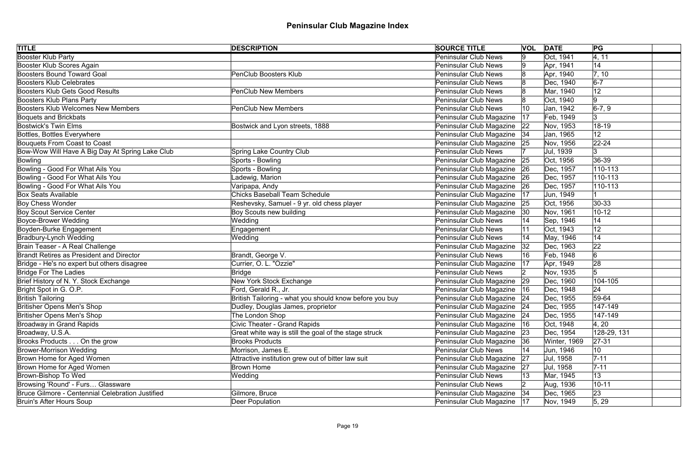| <b>TITLE</b>                                     | <b>DESCRIPTION</b>                                      | <b>SOURCE TITLE</b>           | <b>VOL DATE</b> |              | PG          |
|--------------------------------------------------|---------------------------------------------------------|-------------------------------|-----------------|--------------|-------------|
| <b>Booster Klub Party</b>                        |                                                         | <b>Peninsular Club News</b>   | 9               | Oct, 1941    | 4, 11       |
| Booster Klub Scores Again                        |                                                         | Peninsular Club News          | 19              | Apr, 1941    | 14          |
| <b>Boosters Bound Toward Goal</b>                | <b>PenClub Boosters Klub</b>                            | <b>Peninsular Club News</b>   |                 | Apr, 1940    | 7, 10       |
| <b>Boosters Klub Celebrates</b>                  |                                                         | Peninsular Club News          |                 | Dec, 1940    | $6-7$       |
| <b>Boosters Klub Gets Good Results</b>           | <b>PenClub New Members</b>                              | <b>Peninsular Club News</b>   |                 | Mar, 1940    | 12          |
| <b>Boosters Klub Plans Party</b>                 |                                                         | Peninsular Club News          |                 | Oct, 1940    | $ 9\rangle$ |
| <b>Boosters Klub Welcomes New Members</b>        | <b>PenClub New Members</b>                              | <b>Peninsular Club News</b>   | 10              | Jan, 1942    | $ 6-7, 9 $  |
| <b>Boquets and Brickbats</b>                     |                                                         | Peninsular Club Magazine      | 17              | Feb, 1949    |             |
| <b>Bostwick's Twin Elms</b>                      | Bostwick and Lyon streets, 1888                         | Peninsular Club Magazine      | 22              | Nov, 1953    | 18-19       |
| Bottles, Bottles Everywhere                      |                                                         | Peninsular Club Magazine   34 |                 | Jan, 1965    | 12          |
| Bouquets From Coast to Coast                     |                                                         | Peninsular Club Magazine 25   |                 | Nov, 1956    | $22 - 24$   |
| Bow-Wow Will Have A Big Day At Spring Lake Club  | Spring Lake Country Club                                | Peninsular Club News          |                 | Jul, 1939    | 3           |
| <b>Bowling</b>                                   | Sports - Bowling                                        | Peninsular Club Magazine      | 25              | Oct, 1956    | 36-39       |
| Bowling - Good For What Ails You                 | Sports - Bowling                                        | Peninsular Club Magazine 26   |                 | Dec, 1957    | $110 - 113$ |
| Bowling - Good For What Ails You                 | Ladewig, Marion                                         | Peninsular Club Magazine 26   |                 | Dec, 1957    | $110 - 113$ |
| Bowling - Good For What Ails You                 | Varipapa, Andy                                          | Peninsular Club Magazine      | 26              | Dec, 1957    | $110 - 113$ |
| <b>Box Seats Available</b>                       | <b>Chicks Baseball Team Schedule</b>                    | Peninsular Club Magazine      | 17              | Jun, 1949    |             |
| <b>Boy Chess Wonder</b>                          | Reshevsky, Samuel - 9 yr. old chess player              | Peninsular Club Magazine 25   |                 | Oct, 1956    | $30 - 33$   |
| <b>Boy Scout Service Center</b>                  | Boy Scouts new building                                 | Peninsular Club Magazine      | 30              | Nov, 1961    | $10 - 12$   |
| <b>Boyce-Brower Wedding</b>                      | Wedding                                                 | Peninsular Club News          |                 | Sep, 1946    | 14          |
| Boyden-Burke Engagement                          | Engagement                                              | Peninsular Club News          | 11              | Oct, 1943    | 12          |
| <b>Bradbury-Lynch Wedding</b>                    | Wedding                                                 | <b>Peninsular Club News</b>   |                 | May, 1946    | 14          |
| Brain Teaser - A Real Challenge                  |                                                         | Peninsular Club Magazine      | 32              | Dec, 1963    | 22          |
| <b>Brandt Retires as President and Director</b>  | Brandt, George V.                                       | <b>Peninsular Club News</b>   | 16              | Feb, 1948    | 6           |
| Bridge - He's no expert but others disagree      | Currier, O. L. "Ozzie"                                  | Peninsular Club Magazine      | 17              | Apr, 1949    | 28          |
| <b>Bridge For The Ladies</b>                     | Bridge                                                  | <b>Peninsular Club News</b>   |                 | Nov, 1935    |             |
| Brief History of N. Y. Stock Exchange            | New York Stock Exchange                                 | Peninsular Club Magazine 29   |                 | Dec, 1960    | 104-105     |
| Bright Spot in G. O.P.                           | Ford, Gerald R., Jr.                                    | Peninsular Club Magazine  16  |                 | Dec, 1948    | 24          |
| <b>British Tailoring</b>                         | British Tailoring - what you should know before you buy | Peninsular Club Magazine 24   |                 | Dec, 1955    | 59-64       |
| Britisher Opens Men's Shop                       | Dudley, Douglas James, proprietor                       | Peninsular Club Magazine   24 |                 | Dec, 1955    | 147-149     |
| <b>Britisher Opens Men's Shop</b>                | The London Shop                                         | Peninsular Club Magazine 24   |                 | Dec, 1955    | 147-149     |
| <b>Broadway in Grand Rapids</b>                  | Civic Theater - Grand Rapids                            | Peninsular Club Magazine      | 16              | Oct, 1948    | 4, 20       |
| Broadway, U.S.A.                                 | Great white way is still the goal of the stage struck   | Peninsular Club Magazine      | 23              | Dec, 1954    | 128-29, 131 |
| Brooks Products On the grow                      | <b>Brooks Products</b>                                  | Peninsular Club Magazine      | 36              | Winter, 1969 | $ 27-31 $   |
| <b>Brower-Morrison Wedding</b>                   | Morrison, James E.                                      | Peninsular Club News          |                 | Jun, 1946    | 10          |
| Brown Home for Aged Women                        | Attractive institution grew out of bitter law suit      | Peninsular Club Magazine      | 27              | Jul, 1958    | $7 - 11$    |
| Brown Home for Aged Women                        | <b>Brown Home</b>                                       | Peninsular Club Magazine      | 27              | Jul, 1958    | $7 - 11$    |
| Brown-Bishop To Wed                              | Wedding                                                 | Peninsular Club News          | 13              | Mar, 1945    | 13          |
| Browsing 'Round' - Furs Glassware                |                                                         | <b>Peninsular Club News</b>   |                 | Aug, 1936    | $10 - 11$   |
| Bruce Gilmore - Centennial Celebration Justified | Gilmore, Bruce                                          | Peninsular Club Magazine   34 |                 | Dec, 1965    | 23          |
| Bruin's After Hours Soup                         | Deer Population                                         | Peninsular Club Magazine   17 |                 | Nov, 1949    | 5, 29       |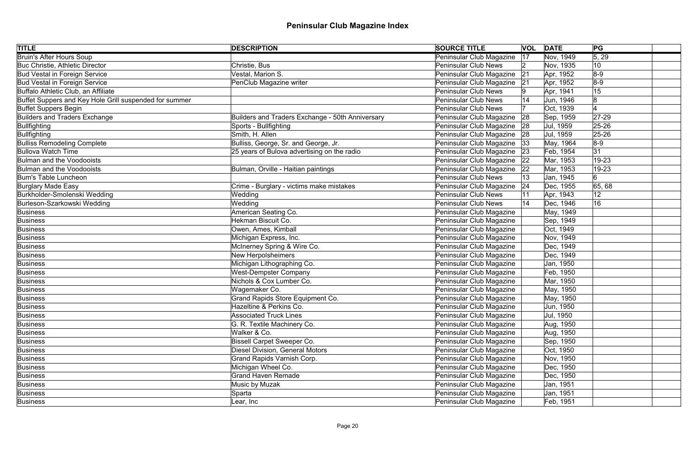| <b>TITLE</b>                                           | <b>DESCRIPTION</b>                               | <b>SOURCE TITLE</b>         |    | <b>VOL DATE</b> | PG        |  |
|--------------------------------------------------------|--------------------------------------------------|-----------------------------|----|-----------------|-----------|--|
| <b>Bruin's After Hours Soup</b>                        |                                                  | Peninsular Club Magazine    | 17 | Nov, 1949       | 5, 29     |  |
| <b>Buc Christie, Athletic Director</b>                 | Christie, Bus                                    | Peninsular Club News        |    | Nov, 1935       | 10        |  |
| <b>Bud Vestal in Foreign Service</b>                   | Vestal, Marion S.                                | Peninsular Club Magazine    | 21 | Apr, 1952       | $8-9$     |  |
| <b>Bud Vestal in Foreign Service</b>                   | PenClub Magazine writer                          | Peninsular Club Magazine    | 21 | Apr, 1952       | $8-9$     |  |
| Buffalo Athletic Club, an Affiliate                    |                                                  | <b>Peninsular Club News</b> |    | Apr, 1941       | 15        |  |
| Buffet Suppers and Key Hole Grill suspended for summer |                                                  | <b>Peninsular Club News</b> |    | Jun, 1946       | 8         |  |
| <b>Buffet Suppers Begin</b>                            |                                                  | <b>Peninsular Club News</b> |    | Oct, 1939       |           |  |
| <b>Builders and Traders Exchange</b>                   | Builders and Traders Exchange - 50th Anniversary | Peninsular Club Magazine    | 28 | Sep, 1959       | $ 27-29$  |  |
| Bullfighting                                           | Sports - Bullfighting                            | Peninsular Club Magazine    | 28 | Jul, 1959       | 25-26     |  |
| Bullfighting                                           | Smith, H. Allen                                  | Peninsular Club Magazine    | 28 | Jul, 1959       | $25 - 26$ |  |
| <b>Bulliss Remodeling Complete</b>                     | Bulliss, George, Sr. and George, Jr.             | Peninsular Club Magazine    | 33 | May, 1964       | $8-9$     |  |
| <b>Bullova Watch Time</b>                              | 25 years of Bulova advertising on the radio      | Peninsular Club Magazine    | 23 | Feb, 1954       | 31        |  |
| Bulman and the Voodooists                              |                                                  | Peninsular Club Magazine    | 22 | Mar, 1953       | 19-23     |  |
| Bulman and the Voodooists                              | Bulman, Orville - Haitian paintings              | Peninsular Club Magazine    | 22 | Mar, 1953       | 19-23     |  |
| <b>Bum's Table Luncheon</b>                            |                                                  | <b>Peninsular Club News</b> |    | Jan, 1945       | 6         |  |
| Burglary Made Easy                                     | Crime - Burglary - victims make mistakes         | Peninsular Club Magazine    | 24 | Dec, 1955       | 65,68     |  |
| Burkholder-Smolenski Wedding                           | Wedding                                          | <b>Peninsular Club News</b> |    | Apr, 1943       | 12        |  |
| Burleson-Szarkowski Wedding                            | Wedding                                          | <b>Peninsular Club News</b> |    | Dec, 1946       | 16        |  |
| Business                                               | American Seating Co.                             | Peninsular Club Magazine    |    | May, 1949       |           |  |
| Business                                               | Hekman Biscuit Co.                               | Peninsular Club Magazine    |    | Sep, 1949       |           |  |
| Business                                               | Owen, Ames, Kimball                              | Peninsular Club Magazine    |    | Oct, 1949       |           |  |
| Business                                               | Michigan Express, Inc.                           | Peninsular Club Magazine    |    | Nov, 1949       |           |  |
| Business                                               | McInerney Spring & Wire Co.                      | Peninsular Club Magazine    |    | Dec, 1949       |           |  |
| Business                                               | <b>New Herpolsheimers</b>                        | Peninsular Club Magazine    |    | Dec, 1949       |           |  |
| Business                                               | Michigan Lithographing Co.                       | Peninsular Club Magazine    |    | Jan, 1950       |           |  |
| Business                                               | <b>West-Dempster Company</b>                     | Peninsular Club Magazine    |    | Feb, 1950       |           |  |
| Business                                               | Nichols & Cox Lumber Co.                         | Peninsular Club Magazine    |    | Mar, 1950       |           |  |
| Business                                               | Wagemaker Co.                                    | Peninsular Club Magazine    |    | May, 1950       |           |  |
| Business                                               | Grand Rapids Store Equipment Co.                 | Peninsular Club Magazine    |    | May, 1950       |           |  |
| Business                                               | Hazeltine & Perkins Co.                          | Peninsular Club Magazine    |    | Jun, 1950       |           |  |
| Business                                               | <b>Associated Truck Lines</b>                    | Peninsular Club Magazine    |    | Jul, 1950       |           |  |
| Business                                               | G. R. Textile Machinery Co.                      | Peninsular Club Magazine    |    | Aug, 1950       |           |  |
| Business                                               | Walker & Co.                                     | Peninsular Club Magazine    |    | Aug, 1950       |           |  |
| Business                                               | <b>Bissell Carpet Sweeper Co.</b>                | Peninsular Club Magazine    |    | Sep, 1950       |           |  |
| Business                                               | <b>Diesel Division, General Motors</b>           | Peninsular Club Magazine    |    | Oct, 1950       |           |  |
| Business                                               | Grand Rapids Varnish Corp.                       | Peninsular Club Magazine    |    | Nov, 1950       |           |  |
| Business                                               | Michigan Wheel Co.                               | Peninsular Club Magazine    |    | Dec, 1950       |           |  |
| Business                                               | Grand Haven Remade                               | Peninsular Club Magazine    |    | Dec, 1950       |           |  |
| Business                                               | Music by Muzak                                   | Peninsular Club Magazine    |    | Jan, 1951       |           |  |
| Business                                               | Sparta                                           | Peninsular Club Magazine    |    | Jan, 1951       |           |  |
| Business                                               | Lear, Inc                                        | Peninsular Club Magazine    |    | Feb, 1951       |           |  |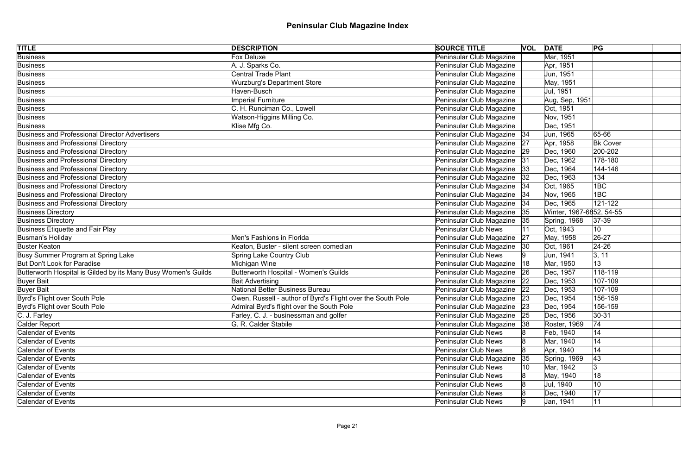| <b>TITLE</b>                                                   | <b>DESCRIPTION</b>                                          | <b>SOURCE TITLE</b>           |    | <b>VOL DATE</b>          | PG              |  |
|----------------------------------------------------------------|-------------------------------------------------------------|-------------------------------|----|--------------------------|-----------------|--|
| <b>Business</b>                                                | <b>Fox Deluxe</b>                                           | Peninsular Club Magazine      |    | Mar, 1951                |                 |  |
| <b>Business</b>                                                | A. J. Sparks Co.                                            | Peninsular Club Magazine      |    | Apr, 1951                |                 |  |
| Business                                                       | <b>Central Trade Plant</b>                                  | Peninsular Club Magazine      |    | Jun, 1951                |                 |  |
| Business                                                       | <b>Wurzburg's Department Store</b>                          | Peninsular Club Magazine      |    | May, 1951                |                 |  |
| Business                                                       | Haven-Busch                                                 | Peninsular Club Magazine      |    | Jul, 1951                |                 |  |
| Business                                                       | <b>Imperial Furniture</b>                                   | Peninsular Club Magazine      |    | Aug, Sep, 1951           |                 |  |
| Business                                                       | C. H. Runciman Co., Lowell                                  | Peninsular Club Magazine      |    | Oct. 1951                |                 |  |
| Business                                                       | Watson-Higgins Milling Co.                                  | Peninsular Club Magazine      |    | Nov, 1951                |                 |  |
| Business                                                       | Klise Mfg Co.                                               | Peninsular Club Magazine      |    | Dec, 1951                |                 |  |
| Business and Professional Director Advertisers                 |                                                             | Peninsular Club Magazine   34 |    | Jun, 1965                | 65-66           |  |
| Business and Professional Directory                            |                                                             | Peninsular Club Magazine      | 27 | Apr, 1958                | <b>Bk Cover</b> |  |
| Business and Professional Directory                            |                                                             | Peninsular Club Magazine      | 29 | Dec, 1960                | 200-202         |  |
| Business and Professional Directory                            |                                                             | Peninsular Club Magazine      | 31 | Dec, 1962                | 178-180         |  |
| Business and Professional Directory                            |                                                             | Peninsular Club Magazine      | 33 | Dec, 1964                | 144-146         |  |
| Business and Professional Directory                            |                                                             | Peninsular Club Magazine      | 32 | Dec, 1963                | 134             |  |
| Business and Professional Directory                            |                                                             | Peninsular Club Magazine      | 34 | Oct, 1965                | 1BC             |  |
| Business and Professional Directory                            |                                                             | Peninsular Club Magazine      | 34 | Nov, 1965                | 1BC             |  |
| Business and Professional Directory                            |                                                             | Peninsular Club Magazine   34 |    | Dec, 1965                | 121-122         |  |
| <b>Business Directory</b>                                      |                                                             | Peninsular Club Magazine 35   |    | Winter, 1967-6852, 54-55 |                 |  |
| <b>Business Directory</b>                                      |                                                             | Peninsular Club Magazine 35   |    | Spring, 1968             | $ 37-39$        |  |
| Business Etiquette and Fair Play                               |                                                             | <b>Peninsular Club News</b>   |    | Oct, 1943                | 10 <sup>°</sup> |  |
| Busman's Holiday                                               | Men's Fashions in Florida                                   | Peninsular Club Magazine      | 27 | May, 1958                | 26-27           |  |
| <b>Buster Keaton</b>                                           | Keaton, Buster - silent screen comedian                     | Peninsular Club Magazine   30 |    | Oct, 1961                | $24 - 26$       |  |
| Busy Summer Program at Spring Lake                             | <b>Spring Lake Country Club</b>                             | <b>Peninsular Club News</b>   |    | Jun, 1941                | 3, 11           |  |
| But Don't Look for Paradise                                    | Michigan Wine                                               | Peninsular Club Magazine   18 |    | Mar, 1950                | 13              |  |
| Butterworth Hospital is Gilded by its Many Busy Women's Guilds | <b>Butterworth Hospital - Women's Guilds</b>                | Peninsular Club Magazine 26   |    | Dec, 1957                | 118-119         |  |
| <b>Buyer Bait</b>                                              | <b>Bait Advertising</b>                                     | Peninsular Club Magazine 22   |    | Dec, 1953                | 107-109         |  |
| <b>Buyer Bait</b>                                              | National Better Business Bureau                             | Peninsular Club Magazine 22   |    | Dec, 1953                | 107-109         |  |
| Byrd's Flight over South Pole                                  | Owen, Russell - author of Byrd's Flight over the South Pole | Peninsular Club Magazine 23   |    | Dec, 1954                | 156-159         |  |
| Byrd's Flight over South Pole                                  | Admiral Byrd's flight over the South Pole                   | Peninsular Club Magazine      | 23 | Dec, 1954                | 156-159         |  |
| C. J. Farley                                                   | Farley, C. J. - businessman and golfer                      | Peninsular Club Magazine      | 25 | Dec, 1956                | $ 30-31 $       |  |
| Calder Report                                                  | G. R. Calder Stabile                                        | Peninsular Club Magazine      | 38 | Roster, 1969             | 74              |  |
| <b>Calendar of Events</b>                                      |                                                             | <b>Peninsular Club News</b>   |    | Feb, 1940                | 14              |  |
| Calendar of Events                                             |                                                             | <b>Peninsular Club News</b>   |    | Mar, 1940                | 14              |  |
| Calendar of Events                                             |                                                             | <b>Peninsular Club News</b>   |    | Apr, 1940                | 14              |  |
| Calendar of Events                                             |                                                             | Peninsular Club Magazine      | 35 | Spring, 1969             | 43              |  |
| Calendar of Events                                             |                                                             | <b>Peninsular Club News</b>   | 10 | Mar, 1942                | 13              |  |
| Calendar of Events                                             |                                                             | <b>Peninsular Club News</b>   |    | May, 1940                | 18              |  |
| Calendar of Events                                             |                                                             | <b>Peninsular Club News</b>   |    | Jul, 1940                | 10              |  |
| Calendar of Events                                             |                                                             | <b>Peninsular Club News</b>   |    | Dec, 1940                | 17              |  |
| Calendar of Events                                             |                                                             | <b>Peninsular Club News</b>   |    | Jan, 1941                | 11              |  |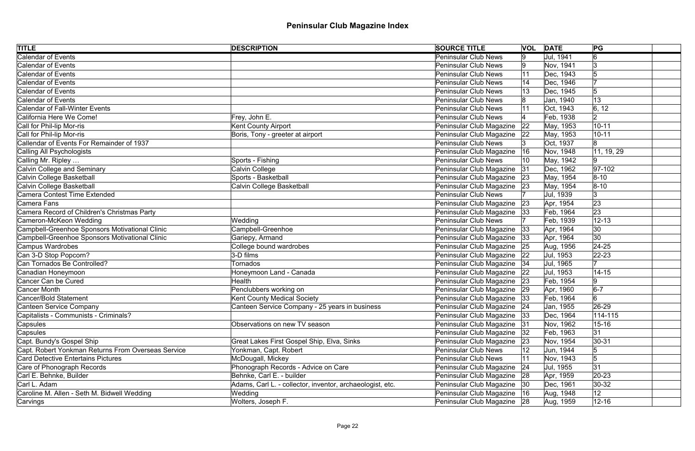| <b>TITLE</b>                                       | <b>DESCRIPTION</b>                                        | <b>SOURCE TITLE</b>           | <b>VOL DATE</b> |           | PG              |
|----------------------------------------------------|-----------------------------------------------------------|-------------------------------|-----------------|-----------|-----------------|
| <b>Calendar of Events</b>                          |                                                           | <b>Peninsular Club News</b>   | 9               | Jul, 1941 | 6               |
| <b>Calendar of Events</b>                          |                                                           | Peninsular Club News          | Ι9              | Nov, 1941 | 13              |
| <b>Calendar of Events</b>                          |                                                           | <b>Peninsular Club News</b>   | 11              | Dec, 1943 |                 |
| <b>Calendar of Events</b>                          |                                                           | Peninsular Club News          |                 | Dec, 1946 |                 |
| <b>Calendar of Events</b>                          |                                                           | <b>Peninsular Club News</b>   |                 | Dec, 1945 | 5               |
| <b>Calendar of Events</b>                          |                                                           | Peninsular Club News          |                 | Jan, 1940 | 13              |
| <b>Calendar of Fall-Winter Events</b>              |                                                           | Peninsular Club News          |                 | Oct, 1943 | 6, 12           |
| California Here We Come!                           | Frey, John E.                                             | Peninsular Club News          |                 | Feb, 1938 | 12              |
| Call for Phil-lip Mor-ris                          | <b>Kent County Airport</b>                                | Peninsular Club Magazine      | 22              | May, 1953 | $10 - 11$       |
| Call for Phil-lip Mor-ris                          | Boris, Tony - greeter at airport                          | Peninsular Club Magazine      | $ 22\rangle$    | May, 1953 | $10 - 11$       |
| Callendar of Events For Remainder of 1937          |                                                           | <b>Peninsular Club News</b>   |                 | Oct, 1937 |                 |
| Calling All Psychologists                          |                                                           | Peninsular Club Magazine      | 16              | Nov, 1948 | 11, 19, 29      |
| Calling Mr. Ripley                                 | Sports - Fishing                                          | Peninsular Club News          |                 | May, 1942 | 9               |
| <b>Calvin College and Seminary</b>                 | Calvin College                                            | Peninsular Club Magazine      | 31              | Dec, 1962 | $ 97-102 $      |
| Calvin College Basketball                          | Sports - Basketball                                       | Peninsular Club Magazine 23   |                 | May, 1954 | $ 8 - 10 $      |
| Calvin College Basketball                          | Calvin College Basketball                                 | Peninsular Club Magazine      | 23              | May, 1954 | $ 8 - 10 $      |
| Camera Contest Time Extended                       |                                                           | Peninsular Club News          |                 | Jul, 1939 | 3               |
| <b>Camera Fans</b>                                 |                                                           | Peninsular Club Magazine 23   |                 | Apr, 1954 | 23              |
| Camera Record of Children's Christmas Party        |                                                           | Peninsular Club Magazine 33   |                 | Feb, 1964 | 23              |
| Cameron-McKeon Wedding                             | Wedding                                                   | <b>Peninsular Club News</b>   |                 | Feb, 1939 | $12 - 13$       |
| Campbell-Greenhoe Sponsors Motivational Clinic     | Campbell-Greenhoe                                         | Peninsular Club Magazine 33   |                 | Apr, 1964 | 30              |
| Campbell-Greenhoe Sponsors Motivational Clinic     | Gariepy, Armand                                           | Peninsular Club Magazine  33  |                 | Apr, 1964 | 30              |
| <b>Campus Wardrobes</b>                            | College bound wardrobes                                   | Peninsular Club Magazine 25   |                 | Aug, 1956 | $ 24-25$        |
| Can 3-D Stop Popcorn?                              | $3$ -D films                                              | Peninsular Club Magazine 22   |                 | Jul, 1953 | $ 22 - 23 $     |
| Can Tornados Be Controlled?                        | Tornados                                                  | Peninsular Club Magazine   34 |                 | Jul, 1965 |                 |
| Canadian Honeymoon                                 | Honeymoon Land - Canada                                   | Peninsular Club Magazine 22   |                 | Jul, 1953 | $14 - 15$       |
| Cancer Can be Cured                                | Health                                                    | Peninsular Club Magazine 23   |                 | Feb, 1954 | 19              |
| Cancer Month                                       | Penclubbers working on                                    | Peninsular Club Magazine 29   |                 | Apr, 1960 | $6-7$           |
| Cancer/Bold Statement                              | Kent County Medical Society                               | Peninsular Club Magazine 33   |                 | Feb, 1964 | $6\overline{6}$ |
| <b>Canteen Service Company</b>                     | Canteen Service Company - 25 years in business            | Peninsular Club Magazine   24 |                 | Jan, 1955 | 26-29           |
| Capitalists - Communists - Criminals?              |                                                           | Peninsular Club Magazine 33   |                 | Dec, 1964 | $114 - 115$     |
| Capsules                                           | Observations on new TV season                             | Peninsular Club Magazine      | 31              | Nov, 1962 | $15 - 16$       |
| Capsules                                           |                                                           | Peninsular Club Magazine      | 32              | Feb, 1963 | 31              |
| Capt. Bundy's Gospel Ship                          | Great Lakes First Gospel Ship, Elva, Sinks                | Peninsular Club Magazine      | 23              | Nov, 1954 | $30 - 31$       |
| Capt. Robert Yonkman Returns From Overseas Service | Yonkman, Capt. Robert                                     | Peninsular Club News          | 12              | Jun, 1944 | 15              |
| <b>Card Detective Entertains Pictures</b>          | McDougall, Mickey                                         | <b>Peninsular Club News</b>   | 11              | Nov, 1943 | 5               |
| Care of Phonograph Records                         | Phonograph Records - Advice on Care                       | Peninsular Club Magazine      | 24              | Jul, 1955 | 31              |
| Carl E. Behnke, Builder                            | Behnke, Carl E. - builder                                 | Peninsular Club Magazine 28   |                 | Apr, 1959 | $20 - 23$       |
| Carl L. Adam                                       | Adams, Carl L. - collector, inventor, archaeologist, etc. | Peninsular Club Magazine   30 |                 | Dec, 1961 | $30-32$         |
| Caroline M. Allen - Seth M. Bidwell Wedding        | Wedding                                                   | Peninsular Club Magazine   16 |                 | Aug, 1948 | 12 <sub>2</sub> |
| Carvings                                           | Wolters, Joseph F.                                        | Peninsular Club Magazine 28   |                 | Aug, 1959 | $12 - 16$       |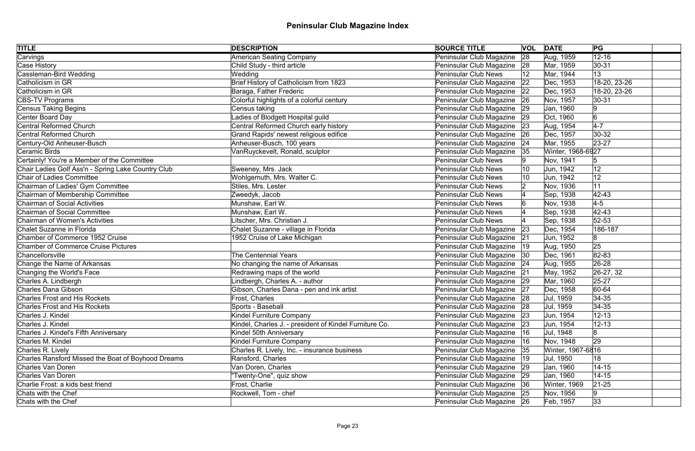| <b>TITLE</b>                                       | <b>DESCRIPTION</b>                                     | <b>SOURCE TITLE</b>          |              | <b>VOL DATE</b>   | PG                  |
|----------------------------------------------------|--------------------------------------------------------|------------------------------|--------------|-------------------|---------------------|
| Carvings                                           | American Seating Company                               | Peninsular Club Magazine     | 28           | Aug, 1959         | $12 - 16$           |
| Case History                                       | Child Study - third article                            | Peninsular Club Magazine 28  |              | Mar, 1959         | $ 30 - 31$          |
| Cassleman-Bird Wedding                             | Wedding                                                | <b>Peninsular Club News</b>  | 12           | Mar, 1944         | 13                  |
| Catholicism in GR                                  | Brief History of Catholicism from 1823                 | Peninsular Club Magazine     | 22           | Dec, 1953         | 18-20, 23-26        |
| Catholicism in GR                                  | Baraga, Father Frederic                                | Peninsular Club Magazine     | 22           | Dec, 1953         | 18-20, 23-26        |
| CBS-TV Programs                                    | Colorful highlights of a colorful century              | Peninsular Club Magazine 26  |              | Nov, 1957         | $30 - 31$           |
| Census Taking Begins                               | Census taking                                          | Peninsular Club Magazine     | 29           | Jan, 1960         | 9                   |
| Center Board Day                                   | Ladies of Blodgett Hospital guild                      | Peninsular Club Magazine     | 29           | Oct, 1960         | $\overline{6}$      |
| Central Reformed Church                            | Central Reformed Church early history                  | Peninsular Club Magazine     | 23           | Aug, 1954         | $4-7$               |
| <b>Central Reformed Church</b>                     | Grand Rapids' newest religious edifice                 | Peninsular Club Magazine     | 26           | Dec, 1957         | $ 30-32 $           |
| Century-Old Anheuser-Busch                         | Anheuser-Busch, 100 years                              | Peninsular Club Magazine     | 24           | Mar, 1955         | 23-27               |
| Ceramic Birds                                      | VanRuyckevelt, Ronald, sculptor                        | Peninsular Club Magazine     | 35           | Winter, 1968-6927 |                     |
| Certainly! You're a Member of the Committee        |                                                        | <b>Peninsular Club News</b>  |              | Nov, 1941         | $\sqrt{5}$          |
| Chair Ladies Golf Ass'n - Spring Lake Country Club | Sweeney, Mrs. Jack                                     | <b>Peninsular Club News</b>  | 10           | Jun, 1942         | 12                  |
| <b>Chair of Ladies Committee</b>                   | Wohlgemuth, Mrs. Walter C.                             | <b>Peninsular Club News</b>  |              | Jun, 1942         | 12                  |
| Chairman of Ladies' Gym Committee                  | Stiles, Mrs. Lester                                    | <b>Peninsular Club News</b>  |              | Nov, 1936         | 11                  |
| Chairman of Membership Committee                   | Zweedyk, Jacob                                         | <b>Peninsular Club News</b>  |              | Sep, 1938         | $ 42 - 43$          |
| <b>Chairman of Social Activities</b>               | Munshaw, Earl W.                                       | <b>Peninsular Club News</b>  |              | Nov, 1938         | $\vert 4 - 5 \vert$ |
| Chairman of Social Committee                       | Munshaw, Earl W.                                       | <b>Peninsular Club News</b>  |              | Sep, 1938         | $ 42 - 43$          |
| <b>Chairman of Women's Activities</b>              | Litscher, Mrs. Christian J.                            | <b>Peninsular Club News</b>  |              | Sep, 1938         | $52 - 53$           |
| Chalet Suzanne in Florida                          | Chalet Suzanne - village in Florida                    | Peninsular Club Magazine     | 23           | Dec, 1954         | 186-187             |
| Chamber of Commerce 1952 Cruise                    | 1952 Cruise of Lake Michigan                           | Peninsular Club Magazine     | 21           | Jun, 1952         | 8                   |
| <b>Chamber of Commerce Cruise Pictures</b>         |                                                        | Peninsular Club Magazine     | $ 19\rangle$ | Aug, 1950         | 25                  |
| Chancellorsville                                   | <b>The Centennial Years</b>                            | Peninsular Club Magazine     | 30           | Dec, 1961         | 82-83               |
| Change the Name of Arkansas                        | No changing the name of Arkansas                       | Peninsular Club Magazine 24  |              | Aug, 1955         | 26-28               |
| Changing the World's Face                          | Redrawing maps of the world                            | Peninsular Club Magazine 21  |              | May, 1952         | 26-27, 32           |
| Charles A. Lindbergh                               | Lindbergh, Charles A. - author                         | Peninsular Club Magazine 29  |              | Mar, 1960         | $25 - 27$           |
| Charles Dana Gibson                                | Gibson, Charles Dana - pen and ink artist              | Peninsular Club Magazine     | 27           | Dec, 1958         | 60-64               |
| <b>Charles Frost and His Rockets</b>               | Frost, Charles                                         | Peninsular Club Magazine 28  |              | Jul, 1959         | $34-35$             |
| <b>Charles Frost and His Rockets</b>               | Sports - Baseball                                      | Peninsular Club Magazine 28  |              | Jul, 1959         | 34-35               |
| Charles J. Kindel                                  | Kindel Furniture Company                               | Peninsular Club Magazine 23  |              | Jun, 1954         | $12 - 13$           |
| Charles J. Kindel                                  | Kindel, Charles J. - president of Kindel Furniture Co. | Peninsular Club Magazine     | 23           | Jun, 1954         | $12 - 13$           |
| Charles J. Kindel's Fifth Anniversary              | Kindel 50th Anniversary                                | Peninsular Club Magazine     | 16           | Jul, 1948         | 8                   |
| Charles M. Kindel                                  | Kindel Furniture Company                               | Peninsular Club Magazine  16 |              | Nov, 1948         | 29                  |
| Charles R. Lively                                  | Charles R. Lively, Inc. - insurance business           | Peninsular Club Magazine 35  |              | Winter, 1967-6816 |                     |
| Charles Ransford Missed the Boat of Boyhood Dreams | Ransford, Charles                                      | Peninsular Club Magazine  19 |              | Jul, 1950         | 18                  |
| Charles Van Doren                                  | Van Doren, Charles                                     | Peninsular Club Magazine 29  |              | Jan, 1960         | $14 - 15$           |
| Charles Van Doren                                  | "Twenty-One", quiz show                                | Peninsular Club Magazine 29  |              | Jan, 1960         | $14 - 15$           |
| Charlie Frost: a kids best friend                  | Frost, Charlie                                         | Peninsular Club Magazine 36  |              | Winter, 1969      | $ 21 - 25 $         |
| Chats with the Chef                                | Rockwell, Tom - chef                                   | Peninsular Club Magazine 25  |              | Nov, 1956         | 9                   |
| Chats with the Chef                                |                                                        | Peninsular Club Magazine 26  |              | Feb, 1957         | 33                  |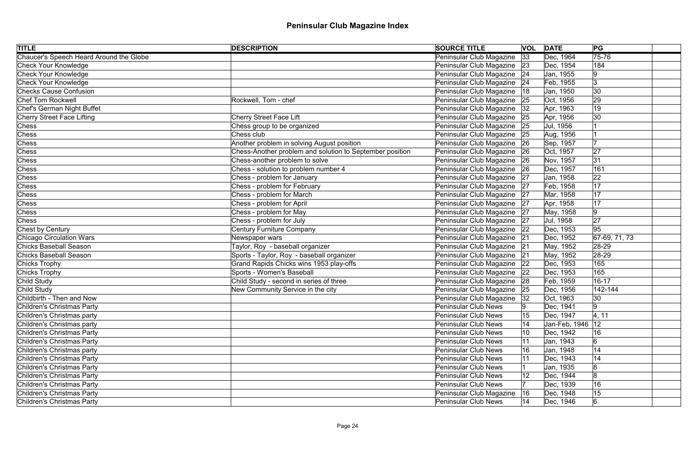| <b>TITLE</b>                            | <b>DESCRIPTION</b>                                       | <b>SOURCE TITLE</b>         |           | <b>VOL DATE</b> | PG               |  |
|-----------------------------------------|----------------------------------------------------------|-----------------------------|-----------|-----------------|------------------|--|
| Chaucer's Speech Heard Around the Globe |                                                          | Peninsular Club Magazine    | 33        | Dec, 1964       | 75-76            |  |
| Check Your Knowledge                    |                                                          | Peninsular Club Magazine 23 |           | Dec, 1954       | 184              |  |
| Check Your Knowledge                    |                                                          | Peninsular Club Magazine    | 24        | Jan, 1955       | 19               |  |
| Check Your Knowledge                    |                                                          | Peninsular Club Magazine    | 24        | Feb, 1955       | Ι3               |  |
| <b>Checks Cause Confusion</b>           |                                                          | Peninsular Club Magazine    | 18        | Jan, 1950       | 30               |  |
| Chef Tom Rockwell                       | Rockwell, Tom - chef                                     | Peninsular Club Magazine 25 |           | Oct, 1956       | 29               |  |
| Chef's German Night Buffet              |                                                          | Peninsular Club Magazine    | 32        | Apr, 1963       | 19               |  |
| Cherry Street Face Lifting              | <b>Cherry Street Face Lift</b>                           | Peninsular Club Magazine    | 25        | Apr, 1956       | 30               |  |
| Chess                                   | Chess group to be organized                              | Peninsular Club Magazine    | 25        | Jul, 1956       |                  |  |
| Chess                                   | Chess club                                               | Peninsular Club Magazine    | 25        | Aug, 1956       |                  |  |
| <b>Chess</b>                            | Another problem in solving August position               | Peninsular Club Magazine    | 26        | Sep, 1957       |                  |  |
| Chess                                   | Chess-Another problem and solution to September position | Peninsular Club Magazine    | 26        | Oct, 1957       | 27               |  |
| Chess                                   | Chess-another problem to solve                           | Peninsular Club Magazine    | <b>26</b> | Nov, 1957       | 31               |  |
| Chess                                   | Chess - solution to problem number 4                     | Peninsular Club Magazine    | 26        | Dec, 1957       | 161              |  |
| Chess                                   | Chess - problem for January                              | Peninsular Club Magazine 27 |           | Jan, 1958       | 22               |  |
| Chess                                   | Chess - problem for February                             | Peninsular Club Magazine    | 27        | Feb, 1958       | 17               |  |
| Chess                                   | Chess - problem for March                                | Peninsular Club Magazine 27 |           | Mar, 1958       | 17               |  |
| <b>Chess</b>                            | Chess - problem for April                                | Peninsular Club Magazine 27 |           | Apr, 1958       | 17               |  |
| Chess                                   | Chess - problem for May                                  | Peninsular Club Magazine 27 |           | May, 1958       | 9                |  |
| <b>Chess</b>                            | Chess - problem for July                                 | Peninsular Club Magazine 27 |           | Jul, 1958       | 27               |  |
| Chest by Century                        | <b>Century Furniture Company</b>                         | Peninsular Club Magazine 22 |           | Dec, 1953       | 95               |  |
| <b>Chicago Circulation Wars</b>         | Newspaper wars                                           | Peninsular Club Magazine 21 |           | Dec, 1952       | $ 67-69, 71, 73$ |  |
| Chicks Baseball Season                  | Taylor, Roy - baseball organizer                         | Peninsular Club Magazine 21 |           | May, 1952       | 28-29            |  |
| <b>Chicks Baseball Season</b>           | Sports - Taylor, Roy - baseball organizer                | Peninsular Club Magazine    | 21        | May, 1952       | $ 28-29$         |  |
| Chicks Trophy                           | Grand Rapids Chicks wins 1953 play-offs                  | Peninsular Club Magazine 22 |           | Dec, 1953       | 165              |  |
| Chicks Trophy                           | Sports - Women's Baseball                                | Peninsular Club Magazine    | 22        | Dec, 1953       | 165              |  |
| Child Study                             | Child Study - second in series of three                  | Peninsular Club Magazine 28 |           | Feb, 1959       | $16 - 17$        |  |
| Child Study                             | New Community Service in the city                        | Peninsular Club Magazine    |           | Dec, 1956       | 142-144          |  |
| Childbirth - Then and Now               |                                                          | Peninsular Club Magazine 32 |           | Oct, 1963       | $ 30\rangle$     |  |
| Children's Christmas Party              |                                                          | <b>Peninsular Club News</b> |           | Dec, 1941       | 9                |  |
| Children's Christmas party              |                                                          | <b>Peninsular Club News</b> | 15        | Dec, 1947       | 4, 11            |  |
| Children's Christmas party              |                                                          | <b>Peninsular Club News</b> | 14        | Jan-Feb, 1946   | 12               |  |
| Children's Christmas Party              |                                                          | <b>Peninsular Club News</b> | 10        | Dec. 1942       | 16               |  |
| Children's Christmas Party              |                                                          | <b>Peninsular Club News</b> |           | Jan, 1943       | $\overline{6}$   |  |
| Children's Christmas party              |                                                          | <b>Peninsular Club News</b> | 16        | Jan, 1948       | 14               |  |
| Children's Christmas Party              |                                                          | <b>Peninsular Club News</b> |           | Dec, 1943       | 14               |  |
| Children's Christmas Party              |                                                          | <b>Peninsular Club News</b> |           | Jan, 1935       | 8                |  |
| Children's Christmas Party              |                                                          | <b>Peninsular Club News</b> | 12        | Dec, 1944       | 8                |  |
| Children's Christmas Party              |                                                          | <b>Peninsular Club News</b> |           | Dec, 1939       | 16               |  |
| Children's Christmas Party              |                                                          | Peninsular Club Magazine    | 16        | Dec, 1948       | 15               |  |
| Children's Christmas Party              |                                                          | <b>Peninsular Club News</b> | 14        | Dec, 1946       | $6 \,$           |  |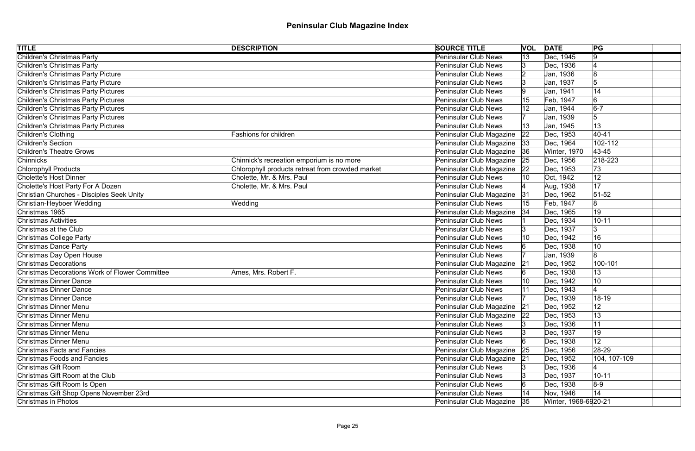| <b>TITLE</b>                                          | <b>DESCRIPTION</b>                               | <b>SOURCE TITLE</b>         |              | <b>VOL DATE</b>      | PG            |
|-------------------------------------------------------|--------------------------------------------------|-----------------------------|--------------|----------------------|---------------|
| <b>Children's Christmas Party</b>                     |                                                  | <b>Peninsular Club News</b> | 13           | Dec, 1945            | 9             |
| Children's Christmas Party                            |                                                  | <b>Peninsular Club News</b> |              | Dec, 1936            |               |
| Children's Christmas Party Picture                    |                                                  | <b>Peninsular Club News</b> |              | Jan, 1936            | 18            |
| Children's Christmas Party Picture                    |                                                  | Peninsular Club News        |              | Jan, 1937            | 5             |
| Children's Christmas Party Pictures                   |                                                  | <b>Peninsular Club News</b> |              | Jan, 1941            | 14            |
| Children's Christmas Party Pictures                   |                                                  | <b>Peninsular Club News</b> |              | Feb, 1947            | 6             |
| Children's Christmas Party Pictures                   |                                                  | <b>Peninsular Club News</b> |              | Jan, 1944            | $6-7$         |
| Children's Christmas Party Pictures                   |                                                  | Peninsular Club News        |              | Jan, 1939            | 5             |
| Children's Christmas Party Pictures                   |                                                  | <b>Peninsular Club News</b> |              | Jan, 1945            | 13            |
| Children's Clothing                                   | <b>Fashions for children</b>                     | Peninsular Club Magazine    | $ 22\rangle$ | Dec, 1953            | $40 - 41$     |
| Children's Section                                    |                                                  | Peninsular Club Magazine    | 33           | Dec, 1964            | 102-112       |
| <b>Children's Theatre Grows</b>                       |                                                  | Peninsular Club Magazine    | 36           | Winter, 1970         | 43-45         |
| <b>Chinnicks</b>                                      | Chinnick's recreation emporium is no more        | Peninsular Club Magazine    | 25           | Dec, 1956            | $ 218 - 223 $ |
| Chlorophyll Products                                  | Chlorophyll products retreat from crowded market | Peninsular Club Magazine    | 22           | Dec, 1953            | 73            |
| Cholette's Host Dinner                                | Cholette, Mr. & Mrs. Paul                        | <b>Peninsular Club News</b> |              | Oct, 1942            | 12            |
| Cholette's Host Party For A Dozen                     | Cholette, Mr. & Mrs. Paul                        | <b>Peninsular Club News</b> |              | Aug, 1938            | 17            |
| Christian Churches - Disciples Seek Unity             |                                                  | Peninsular Club Magazine    | 31           | Dec, 1962            | $51 - 52$     |
| Christian-Heyboer Wedding                             | Wedding                                          | Peninsular Club News        | 15           | Feb, 1947            | 8             |
| Christmas 1965                                        |                                                  | Peninsular Club Magazine    | 34           | Dec, 1965            | 19            |
| <b>Christmas Activities</b>                           |                                                  | <b>Peninsular Club News</b> |              | Dec, 1934            | $10 - 11$     |
| Christmas at the Club                                 |                                                  | <b>Peninsular Club News</b> |              | Dec, 1937            | 3             |
| Christmas College Party                               |                                                  | <b>Peninsular Club News</b> |              | Dec, 1942            | 16            |
| Christmas Dance Party                                 |                                                  | Peninsular Club News        |              | Dec, 1938            | 10            |
| Christmas Day Open House                              |                                                  | <b>Peninsular Club News</b> |              | Jan, 1939            | 8             |
| <b>Christmas Decorations</b>                          |                                                  | Peninsular Club Magazine    | 21           | Dec, 1952            | 100-101       |
| <b>Christmas Decorations Work of Flower Committee</b> | Ames, Mrs. Robert F.                             | <b>Peninsular Club News</b> |              | Dec. 1938            | 13            |
| <b>Christmas Dinner Dance</b>                         |                                                  | Peninsular Club News        |              | Dec, 1942            | 10            |
| <b>Christmas Dinner Dance</b>                         |                                                  | <b>Peninsular Club News</b> |              | Dec, 1943            |               |
| Christmas Dinner Dance                                |                                                  | <b>Peninsular Club News</b> |              | Dec, 1939            | 18-19         |
| Christmas Dinner Menu                                 |                                                  | Peninsular Club Magazine    | 21           | Dec, 1952            | 12            |
| Christmas Dinner Menu                                 |                                                  | Peninsular Club Magazine    | $ 22\rangle$ | Dec, 1953            | 13            |
| Christmas Dinner Menu                                 |                                                  | Peninsular Club News        |              | Dec, 1936            | 11            |
| Christmas Dinner Menu                                 |                                                  | Peninsular Club News        |              | Dec, 1937            | 19            |
| Christmas Dinner Menu                                 |                                                  | <b>Peninsular Club News</b> |              | Dec, 1938            | 12            |
| <b>Christmas Facts and Fancies</b>                    |                                                  | Peninsular Club Magazine    | 25           | Dec, 1956            | 28-29         |
| <b>Christmas Foods and Fancies</b>                    |                                                  | Peninsular Club Magazine    | 21           | Dec, 1952            | 104, 107-109  |
| Christmas Gift Room                                   |                                                  | <b>Peninsular Club News</b> |              | Dec, 1936            |               |
| Christmas Gift Room at the Club                       |                                                  | <b>Peninsular Club News</b> |              | Dec, 1937            | $10 - 11$     |
| Christmas Gift Room Is Open                           |                                                  | <b>Peninsular Club News</b> |              | Dec, 1938            | $8-9$         |
| Christmas Gift Shop Opens November 23rd               |                                                  | Peninsular Club News        |              | Nov, 1946            | 14            |
| Christmas in Photos                                   |                                                  | Peninsular Club Magazine    | 35           | Winter, 1968-6920-21 |               |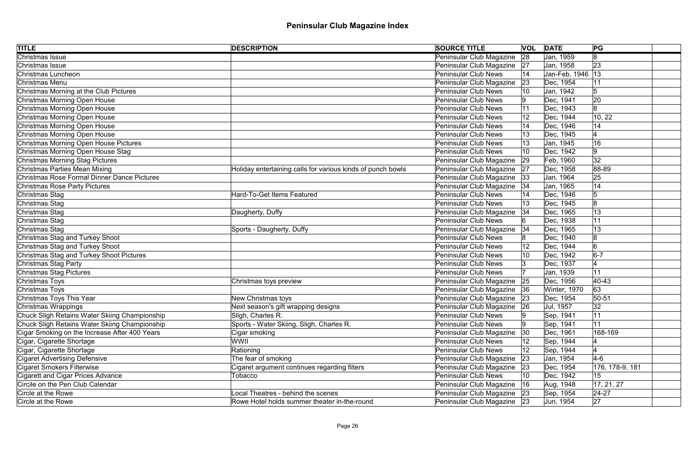| Christmas Issue<br>Peninsular Club Magazine<br>28<br> 8 <br>Jan, 1959<br>23<br>Peninsular Club Magazine<br>Christmas Issue<br>Jan, 1958<br> 27<br>Peninsular Club News<br>Jan-Feb, 1946   13<br>Christmas Luncheon<br>Christmas Menu<br>Peninsular Club Magazine<br>Dec, 1954<br> 23<br>Christmas Morning at the Club Pictures<br><b>Peninsular Club News</b><br>Jan, 1942<br>$\sqrt{5}$<br>10<br>Christmas Morning Open House<br>Dec, 1941<br>20<br><b>Peninsular Club News</b><br>Christmas Morning Open House<br> 8 <br><b>Peninsular Club News</b><br>Dec, 1943<br>Christmas Morning Open House<br>10, 22<br><b>Peninsular Club News</b><br>$ 12\rangle$<br>Dec, 1944<br>Christmas Morning Open House<br><b>Peninsular Club News</b><br>14<br>Dec, 1946<br>Christmas Morning Open House<br>Dec, 1945<br><b>Peninsular Club News</b><br>Christmas Morning Open House Pictures<br>16<br><b>Peninsular Club News</b><br>Jan, 1945<br>Christmas Morning Open House Stag<br>Dec, 1942<br> 9 <br><b>Peninsular Club News</b><br>32<br>Christmas Morning Stag Pictures<br>Peninsular Club Magazine<br>29<br>Feb, 1960 | <b>TITLE</b>                  | <b>DESCRIPTION</b>                                          | <b>SOURCE TITLE</b>      |    | <b>VOL DATE</b> | PG    |  |
|--------------------------------------------------------------------------------------------------------------------------------------------------------------------------------------------------------------------------------------------------------------------------------------------------------------------------------------------------------------------------------------------------------------------------------------------------------------------------------------------------------------------------------------------------------------------------------------------------------------------------------------------------------------------------------------------------------------------------------------------------------------------------------------------------------------------------------------------------------------------------------------------------------------------------------------------------------------------------------------------------------------------------------------------------------------------------------------------------------------------|-------------------------------|-------------------------------------------------------------|--------------------------|----|-----------------|-------|--|
|                                                                                                                                                                                                                                                                                                                                                                                                                                                                                                                                                                                                                                                                                                                                                                                                                                                                                                                                                                                                                                                                                                                    |                               |                                                             |                          |    |                 |       |  |
|                                                                                                                                                                                                                                                                                                                                                                                                                                                                                                                                                                                                                                                                                                                                                                                                                                                                                                                                                                                                                                                                                                                    |                               |                                                             |                          |    |                 |       |  |
|                                                                                                                                                                                                                                                                                                                                                                                                                                                                                                                                                                                                                                                                                                                                                                                                                                                                                                                                                                                                                                                                                                                    |                               |                                                             |                          |    |                 |       |  |
|                                                                                                                                                                                                                                                                                                                                                                                                                                                                                                                                                                                                                                                                                                                                                                                                                                                                                                                                                                                                                                                                                                                    |                               |                                                             |                          |    |                 |       |  |
|                                                                                                                                                                                                                                                                                                                                                                                                                                                                                                                                                                                                                                                                                                                                                                                                                                                                                                                                                                                                                                                                                                                    |                               |                                                             |                          |    |                 |       |  |
|                                                                                                                                                                                                                                                                                                                                                                                                                                                                                                                                                                                                                                                                                                                                                                                                                                                                                                                                                                                                                                                                                                                    |                               |                                                             |                          |    |                 |       |  |
|                                                                                                                                                                                                                                                                                                                                                                                                                                                                                                                                                                                                                                                                                                                                                                                                                                                                                                                                                                                                                                                                                                                    |                               |                                                             |                          |    |                 |       |  |
|                                                                                                                                                                                                                                                                                                                                                                                                                                                                                                                                                                                                                                                                                                                                                                                                                                                                                                                                                                                                                                                                                                                    |                               |                                                             |                          |    |                 |       |  |
|                                                                                                                                                                                                                                                                                                                                                                                                                                                                                                                                                                                                                                                                                                                                                                                                                                                                                                                                                                                                                                                                                                                    |                               |                                                             |                          |    |                 |       |  |
|                                                                                                                                                                                                                                                                                                                                                                                                                                                                                                                                                                                                                                                                                                                                                                                                                                                                                                                                                                                                                                                                                                                    |                               |                                                             |                          |    |                 |       |  |
|                                                                                                                                                                                                                                                                                                                                                                                                                                                                                                                                                                                                                                                                                                                                                                                                                                                                                                                                                                                                                                                                                                                    |                               |                                                             |                          |    |                 |       |  |
|                                                                                                                                                                                                                                                                                                                                                                                                                                                                                                                                                                                                                                                                                                                                                                                                                                                                                                                                                                                                                                                                                                                    |                               |                                                             |                          |    |                 |       |  |
|                                                                                                                                                                                                                                                                                                                                                                                                                                                                                                                                                                                                                                                                                                                                                                                                                                                                                                                                                                                                                                                                                                                    |                               |                                                             |                          |    |                 |       |  |
|                                                                                                                                                                                                                                                                                                                                                                                                                                                                                                                                                                                                                                                                                                                                                                                                                                                                                                                                                                                                                                                                                                                    | Christmas Parties Mean Mixing | Holiday entertaining calls for various kinds of punch bowls | Peninsular Club Magazine | 27 | Dec, 1958       | 88-89 |  |
| Christmas Rose Formal Dinner Dance Pictures<br>Peninsular Club Magazine<br>25<br> 33<br>Jan, 1964                                                                                                                                                                                                                                                                                                                                                                                                                                                                                                                                                                                                                                                                                                                                                                                                                                                                                                                                                                                                                  |                               |                                                             |                          |    |                 |       |  |
| Peninsular Club Magazine<br>14<br><b>Christmas Rose Party Pictures</b><br>Jan, 1965<br> 34                                                                                                                                                                                                                                                                                                                                                                                                                                                                                                                                                                                                                                                                                                                                                                                                                                                                                                                                                                                                                         |                               |                                                             |                          |    |                 |       |  |
| 5<br><b>Hard-To-Get Items Featured</b><br><b>Peninsular Club News</b><br>Dec, 1946<br>Christmas Stag                                                                                                                                                                                                                                                                                                                                                                                                                                                                                                                                                                                                                                                                                                                                                                                                                                                                                                                                                                                                               |                               |                                                             |                          |    |                 |       |  |
| Christmas Stag<br><b>Peninsular Club News</b><br>Dec, 1945<br>8                                                                                                                                                                                                                                                                                                                                                                                                                                                                                                                                                                                                                                                                                                                                                                                                                                                                                                                                                                                                                                                    |                               |                                                             |                          |    |                 |       |  |
| 13<br>Christmas Stag<br>Daugherty, Duffy<br>Peninsular Club Magazine<br>Dec, 1965<br> 34                                                                                                                                                                                                                                                                                                                                                                                                                                                                                                                                                                                                                                                                                                                                                                                                                                                                                                                                                                                                                           |                               |                                                             |                          |    |                 |       |  |
| Christmas Stag<br><b>Peninsular Club News</b><br>11<br>Dec, 1938                                                                                                                                                                                                                                                                                                                                                                                                                                                                                                                                                                                                                                                                                                                                                                                                                                                                                                                                                                                                                                                   |                               |                                                             |                          |    |                 |       |  |
| Christmas Stag<br>Sports - Daugherty, Duffy<br>Peninsular Club Magazine<br> 34<br>Dec, 1965<br>13                                                                                                                                                                                                                                                                                                                                                                                                                                                                                                                                                                                                                                                                                                                                                                                                                                                                                                                                                                                                                  |                               |                                                             |                          |    |                 |       |  |
| Christmas Stag and Turkey Shoot<br><b>Peninsular Club News</b><br>Dec, 1940<br>8                                                                                                                                                                                                                                                                                                                                                                                                                                                                                                                                                                                                                                                                                                                                                                                                                                                                                                                                                                                                                                   |                               |                                                             |                          |    |                 |       |  |
| Christmas Stag and Turkey Shoot<br>$\overline{6}$<br><b>Peninsular Club News</b><br>Dec, 1944                                                                                                                                                                                                                                                                                                                                                                                                                                                                                                                                                                                                                                                                                                                                                                                                                                                                                                                                                                                                                      |                               |                                                             |                          |    |                 |       |  |
| $6-7$<br>Christmas Stag and Turkey Shoot Pictures<br><b>Peninsular Club News</b><br>Dec, 1942<br>10                                                                                                                                                                                                                                                                                                                                                                                                                                                                                                                                                                                                                                                                                                                                                                                                                                                                                                                                                                                                                |                               |                                                             |                          |    |                 |       |  |
| Christmas Stag Party<br><b>Peninsular Club News</b><br>Dec, 1937                                                                                                                                                                                                                                                                                                                                                                                                                                                                                                                                                                                                                                                                                                                                                                                                                                                                                                                                                                                                                                                   |                               |                                                             |                          |    |                 |       |  |
| 11<br>Christmas Stag Pictures<br><b>Peninsular Club News</b><br>Jan, 1939                                                                                                                                                                                                                                                                                                                                                                                                                                                                                                                                                                                                                                                                                                                                                                                                                                                                                                                                                                                                                                          |                               |                                                             |                          |    |                 |       |  |
| Christmas Toys<br>Peninsular Club Magazine 25<br>40-43<br>Christmas toys preview<br>Dec, 1956                                                                                                                                                                                                                                                                                                                                                                                                                                                                                                                                                                                                                                                                                                                                                                                                                                                                                                                                                                                                                      |                               |                                                             |                          |    |                 |       |  |
| Christmas Toys<br>Peninsular Club Magazine<br>63<br>Winter, 1970                                                                                                                                                                                                                                                                                                                                                                                                                                                                                                                                                                                                                                                                                                                                                                                                                                                                                                                                                                                                                                                   |                               |                                                             |                          |    |                 |       |  |
| Peninsular Club Magazine 23<br>Dec, 1954<br>Christmas Toys This Year<br>New Christmas toys<br>50-51                                                                                                                                                                                                                                                                                                                                                                                                                                                                                                                                                                                                                                                                                                                                                                                                                                                                                                                                                                                                                |                               |                                                             |                          |    |                 |       |  |
| 32<br>Christmas Wrappings<br>Next season's gift wrapping designs<br>Peninsular Club Magazine<br> 26<br>Jul, 1957                                                                                                                                                                                                                                                                                                                                                                                                                                                                                                                                                                                                                                                                                                                                                                                                                                                                                                                                                                                                   |                               |                                                             |                          |    |                 |       |  |
| 11<br>Chuck Sligh Retains Water Skiing Championship<br>Sligh, Charles R.<br><b>Peninsular Club News</b><br>Sep, 1941                                                                                                                                                                                                                                                                                                                                                                                                                                                                                                                                                                                                                                                                                                                                                                                                                                                                                                                                                                                               |                               |                                                             |                          |    |                 |       |  |
| Sports - Water Skiing, Sligh, Charles R.<br>Chuck Sligh Retains Water Skiing Championship<br>11<br><b>Peninsular Club News</b><br>Sep, 1941                                                                                                                                                                                                                                                                                                                                                                                                                                                                                                                                                                                                                                                                                                                                                                                                                                                                                                                                                                        |                               |                                                             |                          |    |                 |       |  |
| 168-169<br>Cigar Smoking on the Increase After 400 Years<br>Cigar smoking<br>Peninsular Club Magazine<br>$ 30\rangle$<br>Dec, 1961                                                                                                                                                                                                                                                                                                                                                                                                                                                                                                                                                                                                                                                                                                                                                                                                                                                                                                                                                                                 |                               |                                                             |                          |    |                 |       |  |
| Cigar, Cigarette Shortage<br>WWII<br><b>Peninsular Club News</b><br>Sep, 1944                                                                                                                                                                                                                                                                                                                                                                                                                                                                                                                                                                                                                                                                                                                                                                                                                                                                                                                                                                                                                                      |                               |                                                             |                          |    |                 |       |  |
| Cigar, Cigarette Shortage<br>Rationing<br><b>Peninsular Club News</b><br>Sep, 1944                                                                                                                                                                                                                                                                                                                                                                                                                                                                                                                                                                                                                                                                                                                                                                                                                                                                                                                                                                                                                                 |                               |                                                             |                          |    |                 |       |  |
| The fear of smoking<br>$4-6$<br><b>Cigaret Advertising Defensive</b><br>Peninsular Club Magazine<br> 23<br>Jan, 1954                                                                                                                                                                                                                                                                                                                                                                                                                                                                                                                                                                                                                                                                                                                                                                                                                                                                                                                                                                                               |                               |                                                             |                          |    |                 |       |  |
| Cigaret argument continues regarding filters<br>176, 178-9, 181<br><b>Cigaret Smokers Filterwise</b><br>Peninsular Club Magazine<br>Dec, 1954<br> 23                                                                                                                                                                                                                                                                                                                                                                                                                                                                                                                                                                                                                                                                                                                                                                                                                                                                                                                                                               |                               |                                                             |                          |    |                 |       |  |
| Cigarett and Cigar Prices Advance<br><b>Peninsular Club News</b><br>15<br>Tobacco<br>Dec, 1942<br>10                                                                                                                                                                                                                                                                                                                                                                                                                                                                                                                                                                                                                                                                                                                                                                                                                                                                                                                                                                                                               |                               |                                                             |                          |    |                 |       |  |
| Circile on the Pen Club Calendar<br>17, 21, 27<br>Peninsular Club Magazine<br>Aug, 1948<br> 16                                                                                                                                                                                                                                                                                                                                                                                                                                                                                                                                                                                                                                                                                                                                                                                                                                                                                                                                                                                                                     |                               |                                                             |                          |    |                 |       |  |
| Peninsular Club Magazine   23<br>$24-27$<br>Circle at the Rowe<br>Local Theatres - behind the scenes<br>Sep, 1954                                                                                                                                                                                                                                                                                                                                                                                                                                                                                                                                                                                                                                                                                                                                                                                                                                                                                                                                                                                                  |                               |                                                             |                          |    |                 |       |  |
| Peninsular Club Magazine 23<br> 27 <br>Circle at the Rowe<br>Rowe Hotel holds summer theater in-the-round<br>Jun, 1954                                                                                                                                                                                                                                                                                                                                                                                                                                                                                                                                                                                                                                                                                                                                                                                                                                                                                                                                                                                             |                               |                                                             |                          |    |                 |       |  |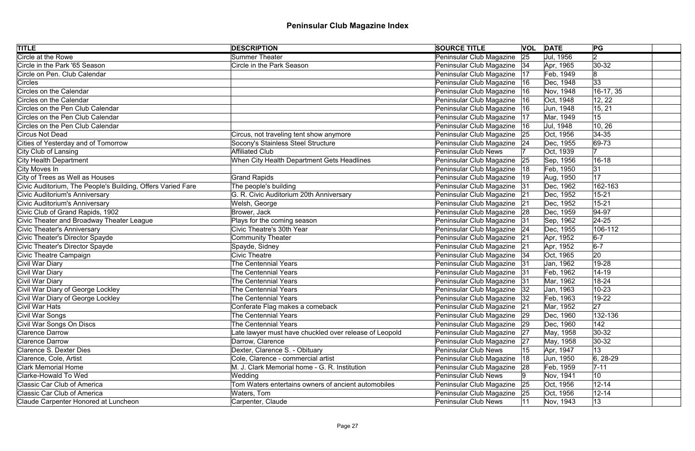| <b>TITLE</b>                                                | <b>DESCRIPTION</b>                                     | <b>SOURCE TITLE</b>           |    | <b>VOL DATE</b> | PG              |
|-------------------------------------------------------------|--------------------------------------------------------|-------------------------------|----|-----------------|-----------------|
| <b>Circle at the Rowe</b>                                   | <b>Summer Theater</b>                                  | Peninsular Club Magazine      | 25 | Jul, 1956       | 2               |
| Circle in the Park '65 Season                               | <b>Circle in the Park Season</b>                       | Peninsular Club Magazine   34 |    | Apr, 1965       | $ 30-32 $       |
| Circle on Pen. Club Calendar                                |                                                        | Peninsular Club Magazine      | 17 | Feb, 1949       | 8               |
| Circles                                                     |                                                        | Peninsular Club Magazine      | 16 | Dec, 1948       | 33              |
| Circles on the Calendar                                     |                                                        | Peninsular Club Magazine      | 16 | Nov, 1948       | 16-17, 35       |
| Circles on the Calendar                                     |                                                        | Peninsular Club Magazine   16 |    | Oct, 1948       | 12, 22          |
| Circles on the Pen Club Calendar                            |                                                        | Peninsular Club Magazine      | 16 | Jun, 1948       | 15, 21          |
| Circles on the Pen Club Calendar                            |                                                        | Peninsular Club Magazine      | 17 | Mar, 1949       | 15              |
| Circles on the Pen Club Calendar                            |                                                        | Peninsular Club Magazine      | 16 | Jul, 1948       | 10, 26          |
| Circus Not Dead                                             | Circus, not traveling tent show anymore                | Peninsular Club Magazine 25   |    | Oct, 1956       | $ 34-35 $       |
| Cities of Yesterday and of Tomorrow                         | Socony's Stainless Steel Structure                     | Peninsular Club Magazine 24   |    | Dec, 1955       | $ 69-73$        |
| City Club of Lansing                                        | <b>Affiliated Club</b>                                 | <b>Peninsular Club News</b>   |    | Oct, 1939       |                 |
| City Health Department                                      | When City Health Department Gets Headlines             | Peninsular Club Magazine      | 25 | Sep, 1956       | $16 - 18$       |
| City Moves In                                               |                                                        | Peninsular Club Magazine      | 18 | Feb, 1950       | 31              |
| City of Trees as Well as Houses                             | <b>Grand Rapids</b>                                    | Peninsular Club Magazine      | 19 | Aug, 1950       | 17              |
| Civic Auditorium, The People's Building, Offers Varied Fare | The people's building                                  | Peninsular Club Magazine      | 31 | Dec, 1962       | 162-163         |
| Civic Auditorium's Anniversary                              | G. R. Civic Auditorium 20th Anniversary                | Peninsular Club Magazine      | 21 | Dec, 1952       | $15 - 21$       |
| Civic Auditorium's Anniversary                              | Welsh, George                                          | Peninsular Club Magazine 21   |    | Dec, 1952       | $15 - 21$       |
| Civic Club of Grand Rapids, 1902                            | Brower, Jack                                           | Peninsular Club Magazine 28   |    | Dec, 1959       | $ 94 - 97$      |
| Civic Theater and Broadway Theater League                   | Plays for the coming season                            | Peninsular Club Magazine      | 31 | Sep, 1962       | $ 24-25$        |
| Civic Theater's Anniversary                                 | Civic Theatre's 30th Year                              | Peninsular Club Magazine 24   |    | Dec, 1955       | 106-112         |
| Civic Theater's Director Spayde                             | <b>Community Theater</b>                               | Peninsular Club Magazine 21   |    | Apr, 1952       | $6-7$           |
| Civic Theater's Director Spayde                             | Spayde, Sidney                                         | Peninsular Club Magazine 21   |    | Apr, 1952       | $6-7$           |
| Civic Theatre Campaign                                      | <b>Civic Theatre</b>                                   | Peninsular Club Magazine   34 |    | Oct, 1965       | 20              |
| Civil War Diary                                             | <b>The Centennial Years</b>                            | Peninsular Club Magazine 31   |    | Jan, 1962       | 19-28           |
| Civil War Diary                                             | <b>The Centennial Years</b>                            | Peninsular Club Magazine 31   |    | Feb, 1962       | $14 - 19$       |
| Civil War Diary                                             | The Centennial Years                                   | Peninsular Club Magazine 31   |    | Mar, 1962       | 18-24           |
| Civil War Diary of George Lockley                           | <b>The Centennial Years</b>                            | Peninsular Club Magazine 32   |    | Jan, 1963       | $10 - 23$       |
| Civil War Diary of George Lockley                           | The Centennial Years                                   | Peninsular Club Magazine  32  |    | Feb, 1963       | 19-22           |
| Civil War Hats                                              | Conferate Flag makes a comeback                        | Peninsular Club Magazine      | 21 | Mar, 1952       | 27              |
| Civil War Songs                                             | <b>The Centennial Years</b>                            | Peninsular Club Magazine 29   |    | Dec, 1960       | 132-136         |
| Civil War Songs On Discs                                    | <b>The Centennial Years</b>                            | Peninsular Club Magazine      | 29 | Dec, 1960       | 142             |
| <b>Clarence Darrow</b>                                      | Late lawyer must have chuckled over release of Leopold | Peninsular Club Magazine      | 27 | May, 1958       | $ 30-32 $       |
| <b>Clarence Darrow</b>                                      | Darrow, Clarence                                       | Peninsular Club Magazine      | 27 | May, 1958       | $ 30-32 $       |
| <b>Clarence S. Dexter Dies</b>                              | Dexter, Clarence S. - Obituary                         | <b>Peninsular Club News</b>   | 15 | Apr, 1947       | 13              |
| Clarence, Cole, Artist                                      | Cole, Clarence - commercial artist                     | Peninsular Club Magazine      | 18 | Jun, 1950       | $ 6, 28-29$     |
| <b>Clark Memorial Home</b>                                  | M. J. Clark Memorial home - G. R. Institution          | Peninsular Club Magazine      | 28 | Feb, 1959       | $7 - 11$        |
| Clarke-Howald To Wed                                        | Wedding                                                | <b>Peninsular Club News</b>   |    | Nov, 1941       | 10 <sup>°</sup> |
| Classic Car Club of America                                 | Tom Waters entertains owners of ancient automobiles    | Peninsular Club Magazine      | 25 | Oct, 1956       | $12 - 14$       |
| <b>Classic Car Club of America</b>                          | Waters, Tom                                            | Peninsular Club Magazine      | 25 | Oct, 1956       | $12 - 14$       |
| Claude Carpenter Honored at Luncheon                        | Carpenter, Claude                                      | <b>Peninsular Club News</b>   | 11 | Nov, 1943       | 13              |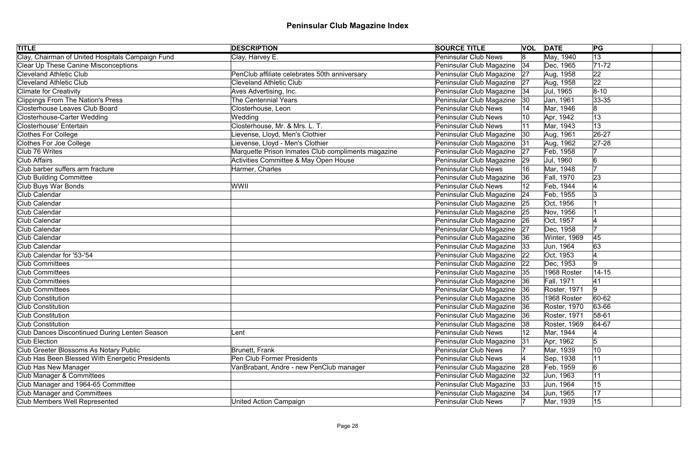| <b>TITLE</b>                                     | <b>DESCRIPTION</b>                                 | <b>SOURCE TITLE</b>           |              | <b>VOL DATE</b> | PG             |  |
|--------------------------------------------------|----------------------------------------------------|-------------------------------|--------------|-----------------|----------------|--|
| Clay, Chairman of United Hospitals Campaign Fund | Clay, Harvey E.                                    | <b>Peninsular Club News</b>   | 8            | May, 1940       | 13             |  |
| Clear Up These Canine Misconceptions             |                                                    | Peninsular Club Magazine      | 34           | Dec, 1965       | $71 - 72$      |  |
| <b>Cleveland Athletic Club</b>                   | PenClub affiliate celebrates 50th anniversary      | Peninsular Club Magazine      | 27           | Aug, 1958       | 22             |  |
| <b>Cleveland Athletic Club</b>                   | <b>Cleveland Athletic Club</b>                     | Peninsular Club Magazine      | 27           | Aug, 1958       | 22             |  |
| <b>Climate for Creativity</b>                    | Aves Advertising, Inc.                             | Peninsular Club Magazine      | 34           | Jul, 1965       | $8 - 10$       |  |
| Clippings From The Nation's Press                | <b>The Centennial Years</b>                        | Peninsular Club Magazine      | 30           | Jan, 1961       | $ 33 - 35 $    |  |
| <b>Closterhouse Leaves Club Board</b>            | Closterhouse, Leon                                 | <b>Peninsular Club News</b>   |              | Mar, 1946       | 8              |  |
| Closterhouse-Carter Wedding                      | Wedding                                            | <b>Peninsular Club News</b>   |              | Apr, 1942       | 13             |  |
| Closterhouse' Entertain                          | Closterhouse, Mr. & Mrs. L. T.                     | <b>Peninsular Club News</b>   |              | Mar, 1943       | 13             |  |
| Clothes For College                              | Lievense, Lloyd, Men's Clothier                    | Peninsular Club Magazine      | $ 30\rangle$ | Aug, 1961       | 26-27          |  |
| Clothes For Joe College                          | Lievense, Lloyd - Men's Clothier                   | Peninsular Club Magazine      | 31           | Aug, 1962       | $ 27-28$       |  |
| Club 76 Writes                                   | Marquette Prison Inmates Club compliments magazine | Peninsular Club Magazine      | 27           | Feb, 1958       |                |  |
| Club Affairs                                     | <b>Activities Committee &amp; May Open House</b>   | Peninsular Club Magazine      | 29           | Jul, 1960       | 6              |  |
| Club barber suffers arm fracture                 | Harmer, Charles                                    | <b>Peninsular Club News</b>   | 16           | Mar, 1948       | $\overline{7}$ |  |
| <b>Club Building Committee</b>                   |                                                    | Peninsular Club Magazine      | 36           | Fall, 1970      | 23             |  |
| Club Buys War Bonds                              | WWII                                               | <b>Peninsular Club News</b>   |              | Feb, 1944       |                |  |
| Club Calendar                                    |                                                    | Peninsular Club Magazine      | 24           | Feb, 1955       |                |  |
| Club Calendar                                    |                                                    | Peninsular Club Magazine      | 25           | Oct, 1956       |                |  |
| Club Calendar                                    |                                                    | Peninsular Club Magazine      | 25           | Nov, 1956       |                |  |
| Club Calendar                                    |                                                    | Peninsular Club Magazine      | 26           | Oct, 1957       |                |  |
| Club Calendar                                    |                                                    | Peninsular Club Magazine      | 27           | Dec, 1958       |                |  |
| Club Calendar                                    |                                                    | Peninsular Club Magazine      | 36           | Winter, 1969    | 45             |  |
| Club Calendar                                    |                                                    | Peninsular Club Magazine      | 33           | Jun, 1964       | 63             |  |
| Club Calendar for '53-'54                        |                                                    | Peninsular Club Magazine      | 22           | Oct, 1953       |                |  |
| Club Committees                                  |                                                    | Peninsular Club Magazine 22   |              | Dec, 1953       | 9              |  |
| <b>Club Committees</b>                           |                                                    | Peninsular Club Magazine      | 35           | 1968 Roster     | $14 - 15$      |  |
| Club Committees                                  |                                                    | Peninsular Club Magazine 36   |              | Fall, 1971      | 41             |  |
| <b>Club Committees</b>                           |                                                    | Peninsular Club Magazine      |              | Roster, 1971    | 9              |  |
| <b>Club Constitution</b>                         |                                                    | Peninsular Club Magazine   35 |              | 1968 Roster     | 60-62          |  |
| <b>Club Constitution</b>                         |                                                    | Peninsular Club Magazine      | 36           | Roster, 1970    | 63-66          |  |
| <b>Club Constitution</b>                         |                                                    | Peninsular Club Magazine      | 36           | Roster, 1971    | $58 - 61$      |  |
| <b>Club Constitution</b>                         |                                                    | Peninsular Club Magazine      | 38           | Roster, 1969    | $ 64-67$       |  |
| Club Dances Discontinued During Lenten Season    | Lent                                               | <b>Peninsular Club News</b>   |              | Mar, 1944       |                |  |
| <b>Club Election</b>                             |                                                    | Peninsular Club Magazine      | 31           | Apr, 1962       | 5              |  |
| Club Greeter Blossoms As Notary Public           | <b>Brunett, Frank</b>                              | <b>Peninsular Club News</b>   |              | Mar, 1939       | 10             |  |
| Club Has Been Blessed With Energetic Presidents  | Pen Club Former Presidents                         | <b>Peninsular Club News</b>   |              | Sep, 1938       | 11             |  |
| Club Has New Manager                             | VanBrabant, Andre - new PenClub manager            | Peninsular Club Magazine      | 28           | Feb, 1959       | 6              |  |
| Club Manager & Committees                        |                                                    | Peninsular Club Magazine      | 32           | Jun, 1963       | 11             |  |
| Club Manager and 1964-65 Committee               |                                                    | Peninsular Club Magazine      | 33           | Jun, 1964       | 15             |  |
| <b>Club Manager and Committees</b>               |                                                    | Peninsular Club Magazine      | 34           | Jun, 1965       | 17             |  |
| Club Members Well Represented                    | <b>United Action Campaign</b>                      | <b>Peninsular Club News</b>   |              | Mar, 1939       | 15             |  |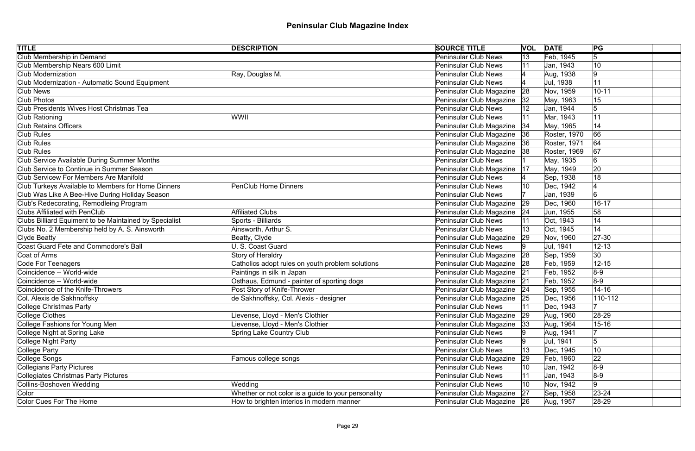| <b>TITLE</b>                                           | <b>DESCRIPTION</b>                                  | <b>SOURCE TITLE</b>         |    | <b>VOL DATE</b> | PG         |  |
|--------------------------------------------------------|-----------------------------------------------------|-----------------------------|----|-----------------|------------|--|
| Club Membership in Demand                              |                                                     | <b>Peninsular Club News</b> | 13 | Feb, 1945       | $\sqrt{5}$ |  |
| Club Membership Nears 600 Limit                        |                                                     | <b>Peninsular Club News</b> |    | Jan, 1943       | 10         |  |
| Club Modernization                                     | Ray, Douglas M.                                     | <b>Peninsular Club News</b> |    | Aug, 1938       | 9          |  |
| Club Modernization - Automatic Sound Equipment         |                                                     | <b>Peninsular Club News</b> |    | Jul, 1938       | 11         |  |
| Club News                                              |                                                     | Peninsular Club Magazine    | 28 | Nov, 1959       | $10 - 11$  |  |
| <b>Club Photos</b>                                     |                                                     | Peninsular Club Magazine    | 32 | May, 1963       | 15         |  |
| Club Presidents Wives Host Christmas Tea               |                                                     | <b>Peninsular Club News</b> |    | Jan, 1944       | 5          |  |
| Club Rationing                                         | WWII                                                | <b>Peninsular Club News</b> |    | Mar, 1943       | 11         |  |
| <b>Club Retains Officers</b>                           |                                                     | Peninsular Club Magazine    | 34 | May, 1965       | 14         |  |
| <b>Club Rules</b>                                      |                                                     | Peninsular Club Magazine 36 |    | Roster, 1970    | 66         |  |
| Club Rules                                             |                                                     | Peninsular Club Magazine    | 36 | Roster, 1971    | 64         |  |
| <b>Club Rules</b>                                      |                                                     | Peninsular Club Magazine    | 38 | Roster, 1969    | 67         |  |
| Club Service Available During Summer Months            |                                                     | Peninsular Club News        |    | May, 1935       | 6          |  |
| Club Service to Continue in Summer Season              |                                                     | Peninsular Club Magazine    | 17 | May, 1949       | 20         |  |
| <b>Club Servicew For Members Are Manifold</b>          |                                                     | <b>Peninsular Club News</b> |    | Sep, 1938       | 18         |  |
| Club Turkeys Available to Members for Home Dinners     | <b>PenClub Home Dinners</b>                         | <b>Peninsular Club News</b> |    | Dec, 1942       |            |  |
| Club Was Like A Bee-Hive During Holiday Season         |                                                     | <b>Peninsular Club News</b> |    | Jan, 1939       |            |  |
| Club's Redecorating, Remodleing Program                |                                                     | Peninsular Club Magazine    | 29 | Dec, 1960       | $16 - 17$  |  |
| <b>Clubs Affiliated with PenClub</b>                   | <b>Affiliated Clubs</b>                             | Peninsular Club Magazine    | 24 | Jun, 1955       | 58         |  |
| Clubs Billiard Equiment to be Maintained by Specialist | Sports - Billiards                                  | <b>Peninsular Club News</b> |    | Oct, 1943       | 14         |  |
| Clubs No. 2 Membership held by A. S. Ainsworth         | Ainsworth, Arthur S.                                | <b>Peninsular Club News</b> | 13 | Oct, 1945       | 14         |  |
| Clyde Beatty                                           | Beatty, Clyde                                       | Peninsular Club Magazine    | 29 | Nov, 1960       | $ 27-30$   |  |
| Coast Guard Fete and Commodore's Ball                  | U. S. Coast Guard                                   | <b>Peninsular Club News</b> |    | Jul, 1941       | $12 - 13$  |  |
| Coat of Arms                                           | <b>Story of Heraldry</b>                            | Peninsular Club Magazine    | 28 | Sep, 1959       | 30         |  |
| Code For Teenagers                                     | Catholics adopt rules on youth problem solutions    | Peninsular Club Magazine 28 |    | Feb, 1959       | $12 - 15$  |  |
| Coincidence -- World-wide                              | Paintings in silk in Japan                          | Peninsular Club Magazine 21 |    | Feb, 1952       | $8-9$      |  |
| Coincidence -- World-wide                              | Osthaus, Edmund - painter of sporting dogs          | Peninsular Club Magazine 21 |    | Feb, 1952       | $ 8-9 $    |  |
| Coincidence of the Knife-Throwers                      | Post Story of Knife-Thrower                         | Peninsular Club Magazine 24 |    | Sep, 1955       | $14 - 16$  |  |
| Col. Alexis de Sakhnoffsky                             | de Sakhnoffsky, Col. Alexis - designer              | Peninsular Club Magazine 25 |    | Dec, 1956       | 110-112    |  |
| College Christmas Party                                |                                                     | <b>Peninsular Club News</b> |    | Dec, 1943       |            |  |
| College Clothes                                        | Lievense, Lloyd - Men's Clothier                    | Peninsular Club Magazine    | 29 | Aug, 1960       | 28-29      |  |
| College Fashions for Young Men                         | Lievense, Lloyd - Men's Clothier                    | Peninsular Club Magazine    | 33 | Aug, 1964       | $15 - 16$  |  |
| College Night at Spring Lake                           | <b>Spring Lake Country Club</b>                     | <b>Peninsular Club News</b> |    | Aug, 1941       |            |  |
| College Night Party                                    |                                                     | <b>Peninsular Club News</b> |    | Jul, 1941       | 5          |  |
| College Party                                          |                                                     | <b>Peninsular Club News</b> | 13 | Dec, 1945       | 10         |  |
| College Songs                                          | Famous college songs                                | Peninsular Club Magazine    | 29 | Feb, 1960       | 22         |  |
| Collegians Party Pictures                              |                                                     | <b>Peninsular Club News</b> | 10 | Jan, 1942       | $8-9$      |  |
| Collegiates Christmas Party Pictures                   |                                                     | <b>Peninsular Club News</b> | 11 | Jan, 1943       | $8-9$      |  |
| Collins-Boshoven Wedding                               | Wedding                                             | <b>Peninsular Club News</b> | 10 | Nov, 1942       | 19         |  |
| Color                                                  | Whether or not color is a guide to your personality | Peninsular Club Magazine    | 27 | Sep, 1958       | $23 - 24$  |  |
| Color Cues For The Home                                | How to brighten interios in modern manner           | Peninsular Club Magazine 26 |    | Aug, 1957       | $28-29$    |  |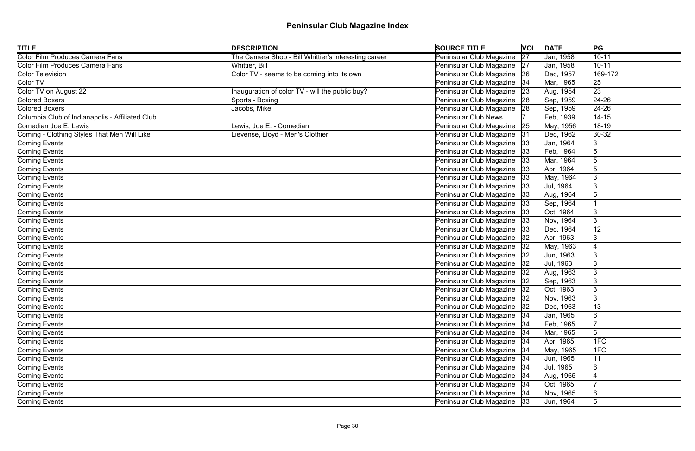| <b>TITLE</b>                                    | <b>DESCRIPTION</b>                                   | <b>SOURCE TITLE</b>           | <b>VOL</b> | <b>DATE</b> | PG             |
|-------------------------------------------------|------------------------------------------------------|-------------------------------|------------|-------------|----------------|
| Color Film Produces Camera Fans                 | The Camera Shop - Bill Whittier's interesting career | Peninsular Club Magazine      | 27         | Jan, 1958   | $10 - 11$      |
| Color Film Produces Camera Fans                 | Whittier, Bill                                       | Peninsular Club Magazine      | 27         | Jan, 1958   | $10 - 11$      |
| Color Television                                | Color TV - seems to be coming into its own           | Peninsular Club Magazine      | 26         | Dec, 1957   | 169-172        |
| Color TV                                        |                                                      | Peninsular Club Magazine      | 34         | Mar, 1965   | 25             |
| Color TV on August 22                           | Inauguration of color TV - will the public buy?      | Peninsular Club Magazine      | 23         | Aug, 1954   | 23             |
| Colored Boxers                                  | Sports - Boxing                                      | Peninsular Club Magazine 28   |            | Sep, 1959   | $24 - 26$      |
| Colored Boxers                                  | Jacobs, Mike                                         | Peninsular Club Magazine 28   |            | Sep, 1959   | $24 - 26$      |
| Columbia Club of Indianapolis - Affiliated Club |                                                      | <b>Peninsular Club News</b>   |            | Feb, 1939   | $14 - 15$      |
| Comedian Joe E. Lewis                           | Lewis, Joe E. - Comedian                             | Peninsular Club Magazine      | 25         | May, 1956   | 18-19          |
| Coming - Clothing Styles That Men Will Like     | ievense, Lloyd - Men's Clothier                      | Peninsular Club Magazine 31   |            | Dec, 1962   | 30-32          |
| Coming Events                                   |                                                      | Peninsular Club Magazine      | 33         | Jan, 1964   | Ι3             |
| Coming Events                                   |                                                      | Peninsular Club Magazine      | 33         | Feb, 1964   | 5              |
| Coming Events                                   |                                                      | Peninsular Club Magazine      | 33         | Mar, 1964   | 5              |
| Coming Events                                   |                                                      | Peninsular Club Magazine      | 33         | Apr, 1964   |                |
| Coming Events                                   |                                                      | Peninsular Club Magazine      | 33         | May, 1964   |                |
| Coming Events                                   |                                                      | Peninsular Club Magazine      | 33         | Jul, 1964   |                |
| Coming Events                                   |                                                      | Peninsular Club Magazine      | 33         | Aug, 1964   |                |
| Coming Events                                   |                                                      | Peninsular Club Magazine      | 33         | Sep, 1964   |                |
| Coming Events                                   |                                                      | Peninsular Club Magazine      | 33         | Oct, 1964   |                |
| Coming Events                                   |                                                      | Peninsular Club Magazine      | 33         | Nov, 1964   | Ι3             |
| Coming Events                                   |                                                      | Peninsular Club Magazine      | 33         | Dec, 1964   | 12             |
| Coming Events                                   |                                                      | Peninsular Club Magazine      | 32         | Apr, 1963   | Ι3             |
| Coming Events                                   |                                                      | Peninsular Club Magazine      | 32         | May, 1963   |                |
| Coming Events                                   |                                                      | Peninsular Club Magazine      | 32         | Jun, 1963   | Ι3             |
| Coming Events                                   |                                                      | Peninsular Club Magazine  32  |            | Jul, 1963   | Ι3             |
| Coming Events                                   |                                                      | Peninsular Club Magazine      | 32         | Aug, 1963   | Ι3             |
| Coming Events                                   |                                                      | Peninsular Club Magazine      | 32         | Sep, 1963   | Ι3             |
| Coming Events                                   |                                                      | Peninsular Club Magazine      | 32         | Oct, 1963   | Ι3             |
| Coming Events                                   |                                                      | Peninsular Club Magazine   32 |            | Nov, 1963   | $\mathbf{3}$   |
| Coming Events                                   |                                                      | Peninsular Club Magazine      | 32         | Dec, 1963   | 13             |
| Coming Events                                   |                                                      | Peninsular Club Magazine   34 |            | Jan, 1965   | 6              |
| Coming Events                                   |                                                      | Peninsular Club Magazine      | 34         | Feb, 1965   |                |
| Coming Events                                   |                                                      | Peninsular Club Magazine      | 34         | Mar, 1965   | 6              |
| Coming Events                                   |                                                      | Peninsular Club Magazine      | 34         | Apr, 1965   | 1FC            |
| Coming Events                                   |                                                      | Peninsular Club Magazine      | 34         | May, 1965   | 1FC            |
| Coming Events                                   |                                                      | Peninsular Club Magazine      | 34         | Jun, 1965   | 11             |
| Coming Events                                   |                                                      | Peninsular Club Magazine      | 34         | Jul, 1965   | $\overline{6}$ |
| Coming Events                                   |                                                      | Peninsular Club Magazine      | 34         | Aug, 1965   |                |
| Coming Events                                   |                                                      | Peninsular Club Magazine   34 |            | Oct, 1965   |                |
| Coming Events                                   |                                                      | Peninsular Club Magazine 34   |            | Nov, 1965   | $\overline{6}$ |
| Coming Events                                   |                                                      | Peninsular Club Magazine 33   |            | Jun, 1964   | $\overline{5}$ |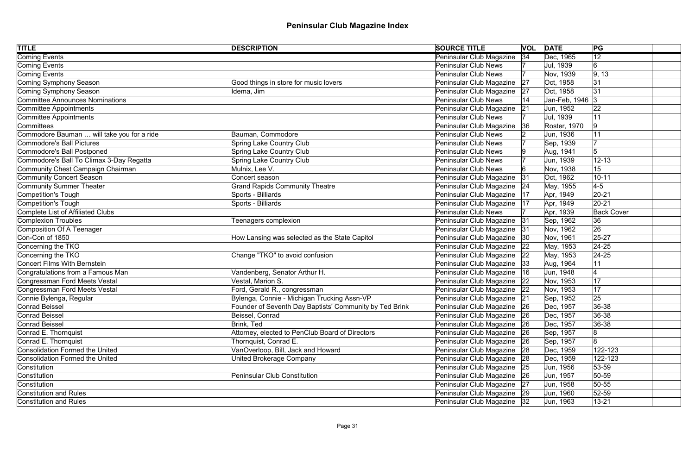| <b>TITLE</b>                               | <b>DESCRIPTION</b>                                      | <b>SOURCE TITLE</b>           |    | <b>VOL DATE</b> | PG                |
|--------------------------------------------|---------------------------------------------------------|-------------------------------|----|-----------------|-------------------|
| Coming Events                              |                                                         | Peninsular Club Magazine      | 34 | Dec, 1965       | 12                |
| Coming Events                              |                                                         | <b>Peninsular Club News</b>   |    | Jul, 1939       | $6 \,$            |
| Coming Events                              |                                                         | <b>Peninsular Club News</b>   |    | Nov, 1939       | 9, 13             |
| Coming Symphony Season                     | Good things in store for music lovers                   | Peninsular Club Magazine      | 27 | Oct, 1958       | 31                |
| Coming Symphony Season                     | Idema, Jim                                              | Peninsular Club Magazine      | 27 | Oct, 1958       | 31                |
| <b>Committee Announces Nominations</b>     |                                                         | Peninsular Club News          |    | Jan-Feb, 1946 3 |                   |
| Committee Appointments                     |                                                         | Peninsular Club Magazine      | 21 | Jun, 1952       | 22                |
| Committee Appointments                     |                                                         | <b>Peninsular Club News</b>   |    | Jul, 1939       | 11                |
| Committees                                 |                                                         | Peninsular Club Magazine      | 36 | Roster, 1970    | $ 9\rangle$       |
| Commodore Bauman  will take you for a ride | Bauman, Commodore                                       | Peninsular Club News          |    | Jun, 1936       | 11                |
| Commodore's Ball Pictures                  | <b>Spring Lake Country Club</b>                         | <b>Peninsular Club News</b>   |    | Sep, 1939       |                   |
| Commodore's Ball Postponed                 | <b>Spring Lake Country Club</b>                         | <b>Peninsular Club News</b>   |    | Aug, 1941       |                   |
| Commodore's Ball To Climax 3-Day Regatta   | <b>Spring Lake Country Club</b>                         | <b>Peninsular Club News</b>   |    | Jun, 1939       | $12 - 13$         |
| Community Chest Campaign Chairman          | Mulnix, Lee V.                                          | <b>Peninsular Club News</b>   |    | Nov, 1938       | 15                |
| Community Concert Season                   | Concert season                                          | Peninsular Club Magazine      | 31 | Oct, 1962       | $10 - 11$         |
| Community Summer Theater                   | <b>Grand Rapids Community Theatre</b>                   | Peninsular Club Magazine      | 24 | May, 1955       | $4-5$             |
| Competition's Tough                        | Sports - Billiards                                      | Peninsular Club Magazine      | 17 | Apr, 1949       | $20 - 21$         |
| Competition's Tough                        | Sports - Billiards                                      | Peninsular Club Magazine      | 17 | Apr, 1949       | $20 - 21$         |
| Complete List of Affiliated Clubs          |                                                         | <b>Peninsular Club News</b>   |    | Apr, 1939       | <b>Back Cover</b> |
| Complexion Troubles                        | Teenagers complexion                                    | Peninsular Club Magazine      | 31 | Sep, 1962       | 36                |
| Composition Of A Teenager                  |                                                         | Peninsular Club Magazine      | 31 | Nov, 1962       | 26                |
| Con-Con of 1850                            | How Lansing was selected as the State Capitol           | Peninsular Club Magazine      | 30 | Nov, 1961       | $25 - 27$         |
| Concerning the TKO                         |                                                         | Peninsular Club Magazine      | 22 | May, 1953       | $ 24-25$          |
| Concerning the TKO                         | Change "TKO" to avoid confusion                         | Peninsular Club Magazine      | 22 | May, 1953       | $ 24-25 $         |
| <b>Concert Films With Bernstein</b>        |                                                         | Peninsular Club Magazine  33  |    | Aug, 1964       | 11                |
| Congratulations from a Famous Man          | Vandenberg, Senator Arthur H.                           | Peninsular Club Magazine      | 16 | Jun, 1948       |                   |
| Congressman Ford Meets Vestal              | Vestal, Marion S.                                       | Peninsular Club Magazine      | 22 | Nov, 1953       | 17                |
| Congressman Ford Meets Vestal              | Ford, Gerald R., congressman                            | Peninsular Club Magazine      |    | Nov, 1953       | 17                |
| Connie Bylenga, Regular                    | Bylenga, Connie - Michigan Trucking Assn-VP             | Peninsular Club Magazine 21   |    | Sep, 1952       | 25                |
| Conrad Beissel                             | Founder of Seventh Day Baptists' Community by Ted Brink | Peninsular Club Magazine      | 26 | Dec, 1957       | 36-38             |
| Conrad Beissel                             | Beissel, Conrad                                         | Peninsular Club Magazine 26   |    | Dec, 1957       | $ 36-38$          |
| Conrad Beissel                             | Brink, Ted                                              | Peninsular Club Magazine      | 26 | Dec, 1957       | $ 36-38 $         |
| Conrad E. Thornquist                       | Attorney, elected to PenClub Board of Directors         | Peninsular Club Magazine 26   |    | Sep, 1957       | 8                 |
| Conrad E. Thornquist                       | Thornquist, Conrad E.                                   | Peninsular Club Magazine 26   |    | Sep, 1957       | $\overline{8}$    |
| Consolidation Formed the United            | VanOverloop, Bill, Jack and Howard                      | Peninsular Club Magazine 28   |    | Dec, 1959       | 122-123           |
| Consolidation Formed the United            | <b>United Brokerage Company</b>                         | Peninsular Club Magazine 28   |    | Dec, 1959       | 122-123           |
| Constitution                               |                                                         | Peninsular Club Magazine 25   |    | Jun, 1956       | $53 - 59$         |
| Constitution                               | Peninsular Club Constitution                            | Peninsular Club Magazine 26   |    | Jun, 1957       | $50 - 59$         |
| Constitution                               |                                                         | Peninsular Club Magazine   27 |    | Jun, 1958       | $50 - 55$         |
| Constitution and Rules                     |                                                         | Peninsular Club Magazine 29   |    | Jun, 1960       | $52 - 59$         |
| <b>Constitution and Rules</b>              |                                                         | Peninsular Club Magazine 32   |    | Jun, 1963       | $13 - 21$         |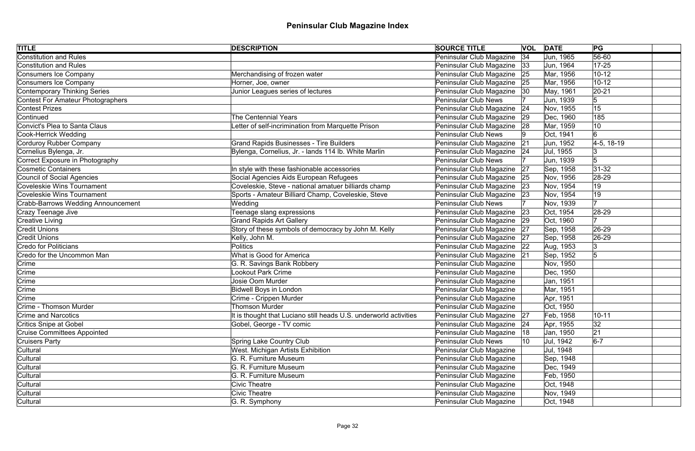| $56 - 60$<br><b>Constitution and Rules</b><br>Peninsular Club Magazine<br> 34<br>Jun, 1965<br>Peninsular Club Magazine<br>Constitution and Rules<br>Jun, 1964<br>$17 - 25$<br> 33 <br>Peninsular Club Magazine 25<br>$10 - 12$<br>Consumers Ice Company<br>Merchandising of frozen water<br>Mar, 1956<br>Consumers Ice Company<br>Peninsular Club Magazine 25<br>$10 - 12$<br>Horner, Joe, owner<br>Mar, 1956<br>Contemporary Thinking Series<br>Junior Leagues series of lectures<br>Peninsular Club Magazine   30<br>$ 20-21$<br>May, 1961<br><b>Peninsular Club News</b><br>Jun, 1939<br>5<br>Contest For Amateur Photographers |
|------------------------------------------------------------------------------------------------------------------------------------------------------------------------------------------------------------------------------------------------------------------------------------------------------------------------------------------------------------------------------------------------------------------------------------------------------------------------------------------------------------------------------------------------------------------------------------------------------------------------------------|
|                                                                                                                                                                                                                                                                                                                                                                                                                                                                                                                                                                                                                                    |
|                                                                                                                                                                                                                                                                                                                                                                                                                                                                                                                                                                                                                                    |
|                                                                                                                                                                                                                                                                                                                                                                                                                                                                                                                                                                                                                                    |
|                                                                                                                                                                                                                                                                                                                                                                                                                                                                                                                                                                                                                                    |
|                                                                                                                                                                                                                                                                                                                                                                                                                                                                                                                                                                                                                                    |
|                                                                                                                                                                                                                                                                                                                                                                                                                                                                                                                                                                                                                                    |
| 15<br>Peninsular Club Magazine<br>Nov, 1955<br>Contest Prizes<br> 24                                                                                                                                                                                                                                                                                                                                                                                                                                                                                                                                                               |
| <b>The Centennial Years</b><br>Continued<br>Peninsular Club Magazine 29<br>Dec, 1960<br>185                                                                                                                                                                                                                                                                                                                                                                                                                                                                                                                                        |
| Letter of self-incrimination from Marquette Prison<br>Peninsular Club Magazine 28<br>10<br>Convict's Plea to Santa Claus<br>Mar, 1959                                                                                                                                                                                                                                                                                                                                                                                                                                                                                              |
| 6<br><b>Peninsular Club News</b><br>Oct, 1941<br>Cook-Herrick Wedding                                                                                                                                                                                                                                                                                                                                                                                                                                                                                                                                                              |
| <b>Grand Rapids Businesses - Tire Builders</b><br>Corduroy Rubber Company<br>Peninsular Club Magazine<br>$4-5, 18-19$<br> 21<br>Jun, 1952                                                                                                                                                                                                                                                                                                                                                                                                                                                                                          |
| Bylenga, Cornelius, Jr. - lands 114 lb. White Marlin<br>Cornelius Bylenga, Jr.<br>Peninsular Club Magazine 24<br>Jul, 1955<br> 3                                                                                                                                                                                                                                                                                                                                                                                                                                                                                                   |
| Correct Exposure in Photography<br>5<br><b>Peninsular Club News</b><br>Jun, 1939                                                                                                                                                                                                                                                                                                                                                                                                                                                                                                                                                   |
| <b>Cosmetic Containers</b><br>$ 31-32$<br>In style with these fashionable accessories<br>Peninsular Club Magazine<br>Sep, 1958<br> 27                                                                                                                                                                                                                                                                                                                                                                                                                                                                                              |
| Social Agencies Aids European Refugees<br>Peninsular Club Magazine<br>28-29<br>Council of Social Agencies<br>Nov, 1956<br> 25                                                                                                                                                                                                                                                                                                                                                                                                                                                                                                      |
| Coveleskie Wins Tournament<br>Coveleskie, Steve - national amatuer billiards champ<br>Peninsular Club Magazine<br>19<br>Nov, 1954<br> 23                                                                                                                                                                                                                                                                                                                                                                                                                                                                                           |
| 19<br>Coveleskie Wins Tournament<br>Sports - Amateur Billiard Champ, Coveleskie, Steve<br>Peninsular Club Magazine<br>Nov, 1954<br> 23                                                                                                                                                                                                                                                                                                                                                                                                                                                                                             |
| <b>Peninsular Club News</b><br><b>Crabb-Barrows Wedding Announcement</b><br>Nov, 1939<br>Wedding                                                                                                                                                                                                                                                                                                                                                                                                                                                                                                                                   |
| Teenage slang expressions<br>Crazy Teenage Jive<br>Peninsular Club Magazine<br>Oct, 1954<br>28-29<br> 23                                                                                                                                                                                                                                                                                                                                                                                                                                                                                                                           |
| <b>Grand Rapids Art Gallery</b><br><b>Creative Living</b><br>Peninsular Club Magazine   29<br>Oct, 1960                                                                                                                                                                                                                                                                                                                                                                                                                                                                                                                            |
| <b>Credit Unions</b><br>Story of these symbols of democracy by John M. Kelly<br>Peninsular Club Magazine 27<br>Sep, 1958<br>26-29                                                                                                                                                                                                                                                                                                                                                                                                                                                                                                  |
| <b>Credit Unions</b><br>Peninsular Club Magazine   27<br>Sep, 1958<br>26-29<br>Kelly, John M.                                                                                                                                                                                                                                                                                                                                                                                                                                                                                                                                      |
| Credo for Politicians<br>Peninsular Club Magazine 22<br><b>Politics</b><br>Aug, 1953<br>3                                                                                                                                                                                                                                                                                                                                                                                                                                                                                                                                          |
| 5<br>Credo for the Uncommon Man<br>What is Good for America<br>Peninsular Club Magazine 21<br>Sep, 1952                                                                                                                                                                                                                                                                                                                                                                                                                                                                                                                            |
| Crime<br>G. R. Savings Bank Robbery<br>Peninsular Club Magazine<br>Nov, 1950                                                                                                                                                                                                                                                                                                                                                                                                                                                                                                                                                       |
| Lookout Park Crime<br>Peninsular Club Magazine<br>Dec, 1950<br>Crime                                                                                                                                                                                                                                                                                                                                                                                                                                                                                                                                                               |
| $ C$ rime<br>Josie Oom Murder<br>Peninsular Club Magazine<br>Jan, 1951                                                                                                                                                                                                                                                                                                                                                                                                                                                                                                                                                             |
| <b>Bidwell Boys in London</b><br>Peninsular Club Magazine<br>Crime<br>Mar, 1951                                                                                                                                                                                                                                                                                                                                                                                                                                                                                                                                                    |
| $ C$ rime<br>Crime - Crippen Murder<br>Peninsular Club Magazine<br>Apr, 1951                                                                                                                                                                                                                                                                                                                                                                                                                                                                                                                                                       |
| Crime - Thomson Murder<br>Peninsular Club Magazine<br>Oct, 1950<br><b>Thomson Murder</b>                                                                                                                                                                                                                                                                                                                                                                                                                                                                                                                                           |
| Feb, 1958<br>$10 - 11$<br><b>Crime and Narcotics</b><br>It is thought that Luciano still heads U.S. underworld activities<br>Peninsular Club Magazine   27                                                                                                                                                                                                                                                                                                                                                                                                                                                                         |
| Gobel, George - TV comic<br>Peninsular Club Magazine<br>32<br>Critics Snipe at Gobel<br>Apr, 1955<br> 24                                                                                                                                                                                                                                                                                                                                                                                                                                                                                                                           |
| 21<br>Peninsular Club Magazine<br><b>Cruise Committees Appointed</b><br>Jan, 1950<br> 18                                                                                                                                                                                                                                                                                                                                                                                                                                                                                                                                           |
| <b>Spring Lake Country Club</b><br><b>Peninsular Club News</b><br>Jul, 1942<br>$6-7$<br>Cruisers Party<br>10                                                                                                                                                                                                                                                                                                                                                                                                                                                                                                                       |
| Cultural<br>West. Michigan Artists Exhibition<br>Peninsular Club Magazine<br>Jul, 1948                                                                                                                                                                                                                                                                                                                                                                                                                                                                                                                                             |
| G. R. Furniture Museum<br>Cultural<br>Peninsular Club Magazine<br>Sep, 1948                                                                                                                                                                                                                                                                                                                                                                                                                                                                                                                                                        |
| Cultural<br>G. R. Furniture Museum<br>Peninsular Club Magazine<br>Dec, 1949                                                                                                                                                                                                                                                                                                                                                                                                                                                                                                                                                        |
| Peninsular Club Magazine<br>Cultural<br>G. R. Furniture Museum<br>Feb, 1950                                                                                                                                                                                                                                                                                                                                                                                                                                                                                                                                                        |
| Cultural<br><b>Civic Theatre</b><br>Peninsular Club Magazine<br>Oct, 1948                                                                                                                                                                                                                                                                                                                                                                                                                                                                                                                                                          |
| Cultural<br>Civic Theatre<br>Peninsular Club Magazine<br>Nov, 1949                                                                                                                                                                                                                                                                                                                                                                                                                                                                                                                                                                 |
| Cultural<br>Peninsular Club Magazine<br>Oct, 1948<br>G. R. Symphony                                                                                                                                                                                                                                                                                                                                                                                                                                                                                                                                                                |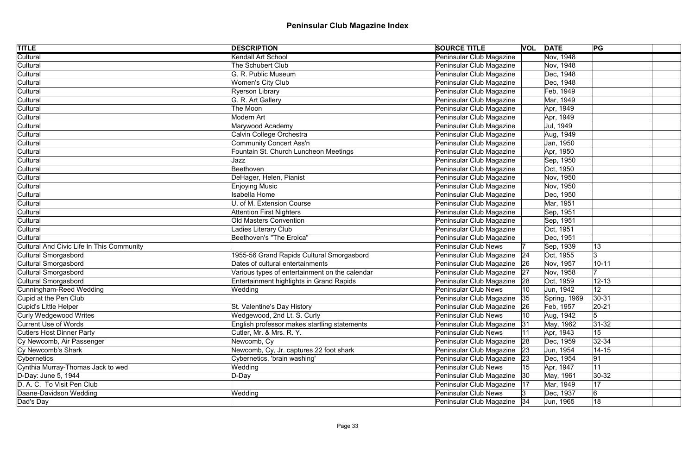| <b>TITLE</b>                              | <b>DESCRIPTION</b>                             | <b>SOURCE TITLE</b>                      | <b>VOL DATE</b> |              | PG              |
|-------------------------------------------|------------------------------------------------|------------------------------------------|-----------------|--------------|-----------------|
| Cultural                                  | Kendall Art School                             | Peninsular Club Magazine                 |                 | Nov, 1948    |                 |
| Cultural                                  | The Schubert Club                              | Peninsular Club Magazine                 |                 | Nov, 1948    |                 |
| Cultural                                  | G. R. Public Museum                            | Peninsular Club Magazine                 |                 | Dec, 1948    |                 |
| Cultural                                  | <b>Women's City Club</b>                       | Peninsular Club Magazine                 |                 | Dec, 1948    |                 |
| Cultural                                  | Ryerson Library                                | Peninsular Club Magazine                 |                 | Feb, 1949    |                 |
| Cultural                                  | G. R. Art Gallery                              | Peninsular Club Magazine                 |                 | Mar, 1949    |                 |
| Cultural                                  | The Moon                                       | Peninsular Club Magazine                 |                 | Apr, 1949    |                 |
| Cultural                                  | Modern Art                                     | Peninsular Club Magazine                 |                 | Apr, 1949    |                 |
| Cultural                                  | Marywood Academy                               | Peninsular Club Magazine                 |                 | Jul, 1949    |                 |
| Cultural                                  | Calvin College Orchestra                       | Peninsular Club Magazine                 |                 | Aug, 1949    |                 |
| Cultural                                  | Community Concert Ass'n                        | Peninsular Club Magazine                 |                 | Jan, 1950    |                 |
| Cultural                                  | Fountain St. Church Luncheon Meetings          | Peninsular Club Magazine                 |                 | Apr, 1950    |                 |
| Cultural                                  | Jazz                                           | Peninsular Club Magazine                 |                 | Sep, 1950    |                 |
| Cultural                                  | Beethoven                                      | Peninsular Club Magazine                 |                 | Oct, 1950    |                 |
| Cultural                                  | DeHager, Helen, Pianist                        | Peninsular Club Magazine                 |                 | Nov, 1950    |                 |
| Cultural                                  | <b>Enjoying Music</b>                          | Peninsular Club Magazine                 |                 | Nov, 1950    |                 |
| Cultural                                  | <b>Isabella Home</b>                           | Peninsular Club Magazine                 |                 | Dec, 1950    |                 |
| Cultural                                  | U. of M. Extension Course                      | Peninsular Club Magazine                 |                 | Mar, 1951    |                 |
| Cultural                                  | <b>Attention First Nighters</b>                | Peninsular Club Magazine                 |                 | Sep, 1951    |                 |
| Cultural                                  | <b>Old Masters Convention</b>                  | Peninsular Club Magazine                 |                 | Sep, 1951    |                 |
| Cultural                                  | Ladies Literary Club                           | Peninsular Club Magazine                 |                 | Oct, 1951    |                 |
| Cultural                                  | Beethoven's "The Eroica"                       | Peninsular Club Magazine                 |                 | Dec, 1951    |                 |
| Cultural And Civic Life In This Community |                                                | <b>Peninsular Club News</b>              |                 | Sep, 1939    | 13              |
| Cultural Smorgasbord                      | 1955-56 Grand Rapids Cultural Smorgasbord      | Peninsular Club Magazine<br> 24          |                 | Oct, 1955    | Ι3              |
| Cultural Smorgasbord                      | Dates of cultural entertainments               | Peninsular Club Magazine   26            |                 | Nov, 1957    | $10 - 11$       |
| Cultural Smorgasbord                      | Various types of entertainment on the calendar | Peninsular Club Magazine<br> 27          |                 | Nov, 1958    |                 |
| Cultural Smorgasbord                      | Entertainment highlights in Grand Rapids       | Peninsular Club Magazine<br> 28          |                 | Oct, 1959    | $12 - 13$       |
| Cunningham-Reed Wedding                   | Wedding                                        | <b>Peninsular Club News</b>              |                 | Jun, 1942    | 12 <sub>2</sub> |
| Cupid at the Pen Club                     |                                                | Peninsular Club Magazine 35              |                 | Spring, 1969 | $30-31$         |
| Cupid's Little Helper                     | St. Valentine's Day History                    | Peninsular Club Magazine<br> 26          |                 | Feb, 1957    | $20 - 21$       |
| Curly Wedgewood Writes                    | Wedgewood, 2nd Lt. S. Curly                    | <b>Peninsular Club News</b>              | 10              | Aug, 1942    | 5               |
| Current Use of Words                      | English professor makes startling statements   | Peninsular Club Magazine<br> 31          |                 | May, 1962    | $ 31-32 $       |
| <b>Cutlers Host Dinner Party</b>          | Cutler, Mr. & Mrs. R. Y.                       | <b>Peninsular Club News</b>              |                 | Apr, 1943    | 15              |
| Cy Newcomb, Air Passenger                 | Newcomb, Cy                                    | Peninsular Club Magazine<br> 28          |                 | Dec, 1959    | 32-34           |
| Cy Newcomb's Shark                        | Newcomb, Cy, Jr. captures 22 foot shark        | Peninsular Club Magazine<br> 23          |                 | Jun, 1954    | $14 - 15$       |
| Cybernetics                               | Cybernetics, 'brain washing'                   | Peninsular Club Magazine<br>$ 23\rangle$ |                 | Dec, 1954    | 91              |
| Cynthia Murray-Thomas Jack to wed         | Wedding                                        | <b>Peninsular Club News</b>              | 15              | Apr, 1947    | 11              |
| D-Day: June 5, 1944                       | $D$ -Day                                       | Peninsular Club Magazine 30              |                 | May, 1961    | $30-32$         |
| D. A. C. To Visit Pen Club                |                                                | Peninsular Club Magazine<br> 17          |                 | Mar, 1949    | 17              |
| Daane-Davidson Wedding                    | Wedding                                        | Peninsular Club News                     |                 | Dec, 1937    | 6               |
| Dad's Day                                 |                                                | Peninsular Club Magazine   34            |                 | Jun, 1965    | 18              |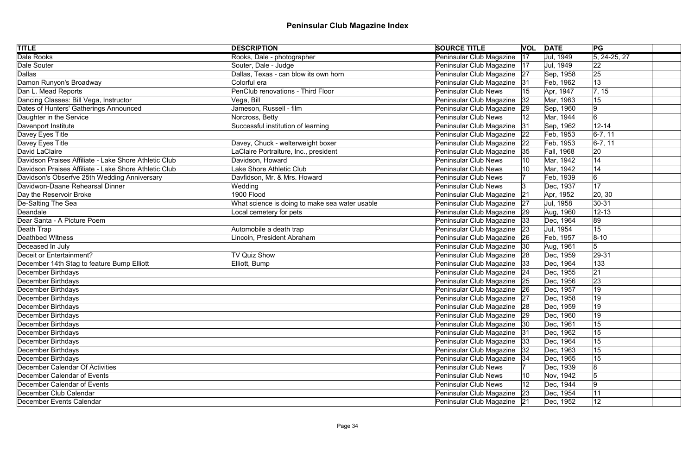| <b>TITLE</b>                                          | <b>DESCRIPTION</b>                             | <b>SOURCE TITLE</b>         |    | <b>VOL DATE</b> | PG                    |
|-------------------------------------------------------|------------------------------------------------|-----------------------------|----|-----------------|-----------------------|
| <b>Dale Rooks</b>                                     | Rooks, Dale - photographer                     | Peninsular Club Magazine    | 17 | Jul, 1949       | $\sqrt{5, 24-25, 27}$ |
| Dale Souter                                           | Souter, Dale - Judge                           | Peninsular Club Magazine    | 17 | Jul, 1949       | 22                    |
| Dallas                                                | Dallas, Texas - can blow its own horn          | Peninsular Club Magazine    | 27 | Sep, 1958       | 25                    |
| Damon Runyon's Broadway                               | Colorful era                                   | Peninsular Club Magazine    | 31 | Feb, 1962       | 13                    |
| Dan L. Mead Reports                                   | PenClub renovations - Third Floor              | <b>Peninsular Club News</b> | 15 | Apr, 1947       | 7, 15                 |
| Dancing Classes: Bill Vega, Instructor                | Vega, Bill                                     | Peninsular Club Magazine    | 32 | Mar, 1963       | 15                    |
| Dates of Hunters' Gatherings Announced                | Jameson, Russell - film                        | Peninsular Club Magazine 29 |    | Sep, 1960       | 9                     |
| Daughter in the Service                               | Norcross, Betty                                | Peninsular Club News        |    | Mar, 1944       | 6                     |
| Davenport Institute                                   | Successful institution of learning             | Peninsular Club Magazine    | 31 | Sep, 1962       | $12 - 14$             |
| Davey Eyes Title                                      |                                                | Peninsular Club Magazine    | 22 | Feb, 1953       | $ 6-7, 11 $           |
| Davey Eyes Title                                      | Davey, Chuck - welterweight boxer              | Peninsular Club Magazine    | 22 | Feb, 1953       | $ 6-7, 11 $           |
| David LaClaire                                        | LaClaire Portraiture, Inc., president          | Peninsular Club Magazine    | 35 | Fall, 1968      | 20                    |
| Davidson Praises Affiliate - Lake Shore Athletic Club | Davidson, Howard                               | <b>Peninsular Club News</b> |    | Mar, 1942       | 14                    |
| Davidson Praises Affiliate - Lake Shore Athletic Club | Lake Shore Athletic Club                       | <b>Peninsular Club News</b> |    | Mar, 1942       | 14                    |
| Davidson's Obserfve 25th Wedding Anniversary          | Davfidson, Mr. & Mrs. Howard                   | <b>Peninsular Club News</b> |    | Feb, 1939       | 6                     |
| Davidwon-Daane Rehearsal Dinner                       | Wedding                                        | <b>Peninsular Club News</b> |    | Dec, 1937       | 17                    |
| Day the Reservoir Broke                               | 1900 Flood                                     | Peninsular Club Magazine    | 21 | Apr, 1952       | 20, 30                |
| De-Salting The Sea                                    | What science is doing to make sea water usable | Peninsular Club Magazine    | 27 | Jul, 1958       | $ 30-31$              |
| Deandale                                              | ocal cemetery for pets                         | Peninsular Club Magazine    | 29 | Aug, 1960       | $12 - 13$             |
| Dear Santa - A Picture Poem                           |                                                | Peninsular Club Magazine    | 33 | Dec, 1964       | 89                    |
| Death Trap                                            | Automobile a death trap                        | Peninsular Club Magazine    | 23 | Jul, 1954       | 15                    |
| Deathbed Witness                                      | Lincoln, President Abraham                     | Peninsular Club Magazine    | 26 | Feb, 1957       | $8 - 10$              |
| Deceased In July                                      |                                                | Peninsular Club Magazine    | 30 | Aug, 1961       | 5                     |
| Deceit or Entertainment?                              | <b>TV Quiz Show</b>                            | Peninsular Club Magazine    | 28 | Dec, 1959       | $ 29-31$              |
| December 14th Stag to feature Bump Elliott            | Elliott, Bump                                  | Peninsular Club Magazine 33 |    | Dec, 1964       | 133                   |
| December Birthdays                                    |                                                | Peninsular Club Magazine 24 |    | Dec, 1955       | 21                    |
| December Birthdays                                    |                                                | Peninsular Club Magazine 25 |    | Dec, 1956       | 23                    |
| December Birthdays                                    |                                                | Peninsular Club Magazine 26 |    | Dec, 1957       | 19                    |
| December Birthdays                                    |                                                | Peninsular Club Magazine 27 |    | Dec, 1958       | 19                    |
| December Birthdays                                    |                                                | Peninsular Club Magazine    | 28 | Dec, 1959       | 19                    |
| December Birthdays                                    |                                                | Peninsular Club Magazine 29 |    | Dec, 1960       | 19                    |
| December Birthdays                                    |                                                | Peninsular Club Magazine    | 30 | Dec, 1961       | 15                    |
| December Birthdays                                    |                                                | Peninsular Club Magazine    | 31 | Dec, 1962       | 15                    |
| December Birthdays                                    |                                                | Peninsular Club Magazine    | 33 | Dec, 1964       | 15                    |
| December Birthdays                                    |                                                | Peninsular Club Magazine    | 32 | Dec, 1963       | 15                    |
| December Birthdays                                    |                                                | Peninsular Club Magazine    | 34 | Dec, 1965       | 15                    |
| December Calendar Of Activities                       |                                                | <b>Peninsular Club News</b> |    | Dec, 1939       | 8                     |
| December Calendar of Events                           |                                                | <b>Peninsular Club News</b> | 10 | Nov, 1942       | 5                     |
| December Calendar of Events                           |                                                | <b>Peninsular Club News</b> |    | Dec, 1944       | 9                     |
| December Club Calendar                                |                                                | Peninsular Club Magazine    | 23 | Dec, 1954       | 11                    |
| December Events Calendar                              |                                                | Peninsular Club Magazine 21 |    | Dec, 1952       | 12                    |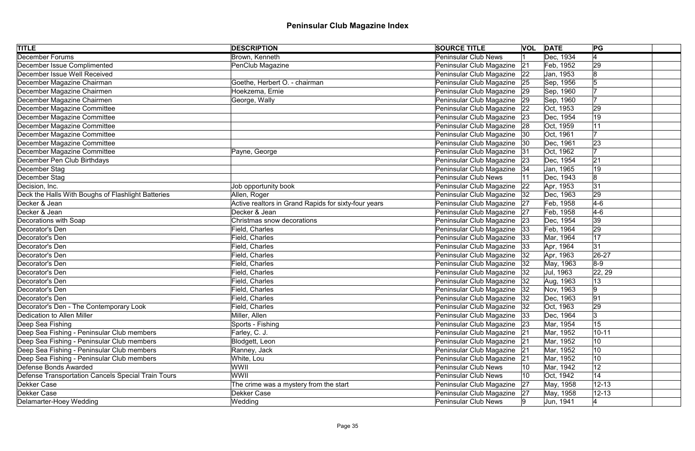| <b>TITLE</b>                                       | <b>DESCRIPTION</b>                                   | <b>SOURCE TITLE</b>         |    | <b>VOL DATE</b> | PG              |  |
|----------------------------------------------------|------------------------------------------------------|-----------------------------|----|-----------------|-----------------|--|
| <b>December Forums</b>                             | Brown, Kenneth                                       | <b>Peninsular Club News</b> |    | Dec, 1934       | $\vert 4 \vert$ |  |
| December Issue Complimented                        | PenClub Magazine                                     | Peninsular Club Magazine    | 21 | Feb, 1952       | 29              |  |
| December Issue Well Received                       |                                                      | Peninsular Club Magazine    | 22 | Jan, 1953       | 8               |  |
| December Magazine Chairman                         | Goethe, Herbert O. - chairman                        | Peninsular Club Magazine 25 |    | Sep, 1956       |                 |  |
| December Magazine Chairmen                         | Hoekzema, Ernie                                      | Peninsular Club Magazine    | 29 | Sep, 1960       |                 |  |
| December Magazine Chairmen                         | George, Wally                                        | Peninsular Club Magazine    | 29 | Sep, 1960       |                 |  |
| December Magazine Committee                        |                                                      | Peninsular Club Magazine    | 22 | Oct, 1953       | 29              |  |
| December Magazine Committee                        |                                                      | Peninsular Club Magazine    | 23 | Dec, 1954       | 19              |  |
| December Magazine Committee                        |                                                      | Peninsular Club Magazine    | 28 | Oct, 1959       | 11              |  |
| December Magazine Committee                        |                                                      | Peninsular Club Magazine    | 30 | Oct, 1961       | 17              |  |
| December Magazine Committee                        |                                                      | Peninsular Club Magazine    | 30 | Dec, 1961       | 23              |  |
| December Magazine Committee                        | Payne, George                                        | Peninsular Club Magazine    | 31 | Oct, 1962       | 17              |  |
| December Pen Club Birthdays                        |                                                      | Peninsular Club Magazine    | 23 | Dec, 1954       | 21              |  |
| December Stag                                      |                                                      | Peninsular Club Magazine    | 34 | Jan, 1965       | 19              |  |
| December Stag                                      |                                                      | <b>Peninsular Club News</b> |    | Dec, 1943       | 8               |  |
| Decision, Inc.                                     | Job opportunity book                                 | Peninsular Club Magazine    | 22 | Apr, 1953       | 31              |  |
| Deck the Halls With Boughs of Flashlight Batteries | Allen, Roger                                         | Peninsular Club Magazine    | 32 | Dec, 1963       | 29              |  |
| Decker & Jean                                      | Active realtors in Grand Rapids for sixty-four years | Peninsular Club Magazine    | 27 | Feb, 1958       | $4-6$           |  |
| Decker & Jean                                      | Decker & Jean                                        | Peninsular Club Magazine    | 27 | Feb, 1958       | $4-6$           |  |
| Decorations with Soap                              | Christmas snow decorations                           | Peninsular Club Magazine    | 23 | Dec, 1954       | 39              |  |
| Decorator's Den                                    | Field, Charles                                       | Peninsular Club Magazine    | 33 | Feb, 1964       | 29              |  |
| Decorator's Den                                    | Field, Charles                                       | Peninsular Club Magazine    | 33 | Mar, 1964       | 17              |  |
| Decorator's Den                                    | Field, Charles                                       | Peninsular Club Magazine    | 33 | Apr, 1964       | 31              |  |
| Decorator's Den                                    | Field, Charles                                       | Peninsular Club Magazine    | 32 | Apr, 1963       | $26 - 27$       |  |
| Decorator's Den                                    | Field, Charles                                       | Peninsular Club Magazine    | 32 | May, 1963       | $8-9$           |  |
| Decorator's Den                                    | Field, Charles                                       | Peninsular Club Magazine    | 32 | Jul, 1963       | 22, 29          |  |
| Decorator's Den                                    | Field, Charles                                       | Peninsular Club Magazine    | 32 | Aug, 1963       | 13              |  |
| Decorator's Den                                    | Field, Charles                                       | Peninsular Club Magazine    |    | Nov, 1963       | 9               |  |
| Decorator's Den                                    | Field, Charles                                       | Peninsular Club Magazine 32 |    | Dec, 1963       | 91              |  |
| Decorator's Den - The Contemporary Look            | Field, Charles                                       | Peninsular Club Magazine    | 32 | Oct, 1963       | 29              |  |
| Dedication to Allen Miller                         | Miller, Allen                                        | Peninsular Club Magazine 33 |    | Dec, 1964       | 3               |  |
| Deep Sea Fishing                                   | Sports - Fishing                                     | Peninsular Club Magazine    | 23 | Mar, 1954       | 15              |  |
| Deep Sea Fishing - Peninsular Club members         | Farley, C. J.                                        | Peninsular Club Magazine    | 21 | Mar, 1952       | $10 - 11$       |  |
| Deep Sea Fishing - Peninsular Club members         | Blodgett, Leon                                       | Peninsular Club Magazine    | 21 | Mar, 1952       | 10              |  |
| Deep Sea Fishing - Peninsular Club members         | Ranney, Jack                                         | Peninsular Club Magazine    | 21 | Mar, 1952       | 10              |  |
| Deep Sea Fishing - Peninsular Club members         | White, Lou                                           | Peninsular Club Magazine    | 21 | Mar, 1952       | 10              |  |
| Defense Bonds Awarded                              | WWII                                                 | <b>Peninsular Club News</b> | 10 | Mar, 1942       | 12              |  |
| Defense Transportation Cancels Special Train Tours | WWII                                                 | <b>Peninsular Club News</b> | 10 | Oct, 1942       | 14              |  |
| Dekker Case                                        | The crime was a mystery from the start               | Peninsular Club Magazine    | 27 | May, 1958       | $12 - 13$       |  |
| Dekker Case                                        | Dekker Case                                          | Peninsular Club Magazine    | 27 | May, 1958       | $12 - 13$       |  |
| Delamarter-Hoey Wedding                            | Wedding                                              | <b>Peninsular Club News</b> |    | Jun, 1941       |                 |  |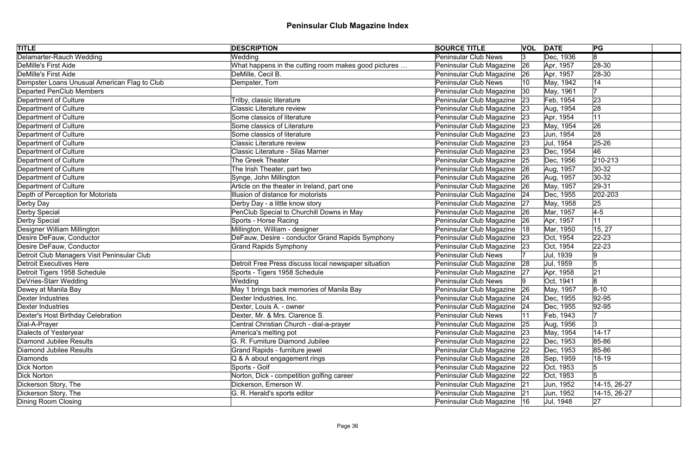| <b>TITLE</b>                                 | <b>DESCRIPTION</b>                                   | <b>SOURCE TITLE</b>           | <b>VOL</b> | <b>DATE</b> | PG            |
|----------------------------------------------|------------------------------------------------------|-------------------------------|------------|-------------|---------------|
| Delamarter-Rauch Wedding                     | Wedding                                              | <b>Peninsular Club News</b>   | 3          | Dec, 1936   | 8             |
| DeMille's First Aide                         | What happens in the cutting room makes good pictures | Peninsular Club Magazine      | 26         | Apr, 1957   | 28-30         |
| DeMille's First Aide                         | DeMille, Cecil B.                                    | Peninsular Club Magazine      | 26         | Apr, 1957   | $ 28-30$      |
| Dempster Loans Unusual American Flag to Club | Dempster, Tom                                        | <b>Peninsular Club News</b>   |            | May, 1942   | 14            |
| <b>Departed PenClub Members</b>              |                                                      | Peninsular Club Magazine      | 30         | May, 1961   | 17            |
| Department of Culture                        | Trilby, classic literature                           | Peninsular Club Magazine 23   |            | Feb, 1954   | 23            |
| Department of Culture                        | <b>Classic Literature review</b>                     | Peninsular Club Magazine      | 23         | Aug, 1954   | 28            |
| Department of Culture                        | Some classics of literature                          | Peninsular Club Magazine 23   |            | Apr, 1954   | 11            |
| Department of Culture                        | Some classics of Literature                          | Peninsular Club Magazine      | 23         | May, 1954   | 26            |
| Department of Culture                        | Some classics of literature                          | Peninsular Club Magazine      | 23         | Jun, 1954   | 28            |
| Department of Culture                        | <b>Classic Literature review</b>                     | Peninsular Club Magazine      | 23         | Jul, 1954   | $ 25 - 26$    |
| Department of Culture                        | <b>Classic Literature - Silas Marner</b>             | Peninsular Club Magazine      | 23         | Dec, 1954   | 46            |
| Department of Culture                        | <b>The Greek Theater</b>                             | Peninsular Club Magazine      | 25         | Dec, 1956   | $ 210 - 213 $ |
| Department of Culture                        | The Irish Theater, part two                          | Peninsular Club Magazine      | 26         | Aug, 1957   | $ 30-32 $     |
| Department of Culture                        | Synge, John Millington                               | Peninsular Club Magazine      | 26         | Aug, 1957   | $30 - 32$     |
| Department of Culture                        | Article on the theater in Ireland, part one          | Peninsular Club Magazine      | 26         | May, 1957   | $ 29-31 $     |
| Depth of Perception for Motorists            | Illusion of distance for motorists                   | Peninsular Club Magazine      | 24         | Dec, 1955   | 202-203       |
| Derby Day                                    | Derby Day - a little know story                      | Peninsular Club Magazine      | 27         | May, 1958   | 25            |
| Derby Special                                | PenClub Special to Churchill Downs in May            | Peninsular Club Magazine   26 |            | Mar, 1957   | $4-5$         |
| Derby Special                                | Sports - Horse Racing                                | Peninsular Club Magazine      | 26         | Apr, 1957   | 11            |
| Designer William Millington                  | Millington, William - designer                       | Peninsular Club Magazine      | 18         | Mar, 1950   | 15, 27        |
| Desire DeFauw, Conductor                     | DeFauw, Desire - conductor Grand Rapids Symphony     | Peninsular Club Magazine      | 23         | Oct, 1954   | $ 22 - 23 $   |
| Desire DeFauw, Conductor                     | <b>Grand Rapids Symphony</b>                         | Peninsular Club Magazine      | 23         | Oct, 1954   | $ 22 - 23 $   |
| Detroit Club Managers Visit Peninsular Club  |                                                      | <b>Peninsular Club News</b>   |            | Jul, 1939   | 9             |
| <b>Detroit Executives Here</b>               | Detroit Free Press discuss local newspaper situation | Peninsular Club Magazine 28   |            | Jul, 1959   | 5             |
| Detroit Tigers 1958 Schedule                 | Sports - Tigers 1958 Schedule                        | Peninsular Club Magazine      | 27         | Apr, 1958   | 21            |
| DeVries-Starr Wedding                        | Wedding                                              | <b>Peninsular Club News</b>   |            | Oct, 1941   | 8             |
| Dewey at Manila Bay                          | May 1 brings back memories of Manila Bay             | Peninsular Club Magazine      | 26         | May, 1957   | $ 8 - 10 $    |
| Dexter Industries                            | Dexter Industries, Inc.                              | Peninsular Club Magazine 24   |            | Dec, 1955   | $ 92 - 95 $   |
| Dexter Industries                            | Dexter, Louis A. - owner                             | Peninsular Club Magazine 24   |            | Dec, 1955   | 92-95         |
| Dexter's Host Birthday Celebration           | Dexter, Mr. & Mrs. Clarence S.                       | <b>Peninsular Club News</b>   |            | Feb, 1943   |               |
| Dial-A-Prayer                                | Central Christian Church - dial-a-prayer             | Peninsular Club Magazine      | 25         | Aug, 1956   | 3             |
| Dialects of Yesteryear                       | America's melting pot                                | Peninsular Club Magazine 23   |            | May, 1954   | $14 - 17$     |
| Diamond Jubilee Results                      | G. R. Furniture Diamond Jubilee                      | Peninsular Club Magazine   22 |            | Dec, 1953   | 85-86         |
| Diamond Jubilee Results                      | Grand Rapids - furniture jewel                       | Peninsular Club Magazine   22 |            | Dec, 1953   | 85-86         |
| Diamonds                                     | Q & A about engagement rings                         | Peninsular Club Magazine 28   |            | Sep, 1959   | $18 - 19$     |
| <b>Dick Norton</b>                           | Sports - Golf                                        | Peninsular Club Magazine 22   |            | Oct, 1953   | 15            |
| <b>Dick Norton</b>                           | Norton, Dick - competition golfing career            | Peninsular Club Magazine 22   |            | Oct, 1953   | 5             |
| Dickerson Story, The                         | Dickerson, Emerson W.                                | Peninsular Club Magazine 21   |            | Jun, 1952   | 14-15, 26-27  |
| Dickerson Story, The                         | G. R. Herald's sports editor                         | Peninsular Club Magazine 21   |            | Jun, 1952   | 14-15, 26-27  |
| Dining Room Closing                          |                                                      | Peninsular Club Magazine  16  |            | Jul, 1948   | 27            |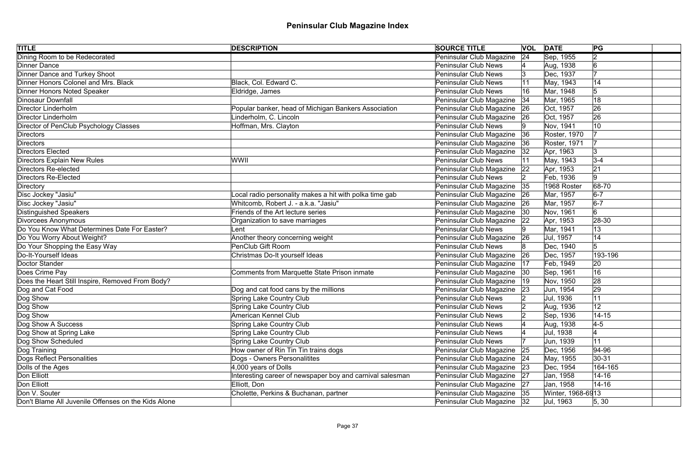| <b>TITLE</b>                                        | <b>DESCRIPTION</b>                                        | <b>SOURCE TITLE</b>           |    | <b>VOL DATE</b>     | PG                  |
|-----------------------------------------------------|-----------------------------------------------------------|-------------------------------|----|---------------------|---------------------|
| Dining Room to be Redecorated                       |                                                           | Peninsular Club Magazine      | 24 | Sep, 1955           | 2                   |
| <b>Dinner Dance</b>                                 |                                                           | <b>Peninsular Club News</b>   |    | Aug, 1938           | $\overline{6}$      |
| Dinner Dance and Turkey Shoot                       |                                                           | <b>Peninsular Club News</b>   |    | Dec, 1937           |                     |
| Dinner Honors Colonel and Mrs. Black                | Black, Col. Edward C.                                     | <b>Peninsular Club News</b>   |    | May, 1943           | 14                  |
| Dinner Honors Noted Speaker                         | Eldridge, James                                           | <b>Peninsular Club News</b>   | 16 | Mar, 1948           | 5                   |
| Dinosaur Downfall                                   |                                                           | Peninsular Club Magazine      | 34 | Mar, 1965           | 18                  |
| Director Linderholm                                 | Popular banker, head of Michigan Bankers Association      | Peninsular Club Magazine      | 26 | Oct, 1957           | 26                  |
| Director Linderholm                                 | Linderholm, C. Lincoln                                    | Peninsular Club Magazine      | 26 | Oct, 1957           | 26                  |
| Director of PenClub Psychology Classes              | Hoffman, Mrs. Clayton                                     | <b>Peninsular Club News</b>   |    | Nov, 1941           | 10                  |
| Directors                                           |                                                           | Peninsular Club Magazine      | 36 | <b>Roster, 1970</b> |                     |
| Directors                                           |                                                           | Peninsular Club Magazine      | 36 | Roster, 1971        |                     |
| Directors Elected                                   |                                                           | Peninsular Club Magazine      | 32 | Apr, 1963           | 3                   |
| Directors Explain New Rules                         | WWII                                                      | <b>Peninsular Club News</b>   |    | May, 1943           | $3-4$               |
| Directors Re-elected                                |                                                           | Peninsular Club Magazine      | 22 | Apr, 1953           | 21                  |
| Directors Re-Elected                                |                                                           | <b>Peninsular Club News</b>   |    | Feb, 1936           | 9                   |
| Directory                                           |                                                           | Peninsular Club Magazine      | 35 | 1968 Roster         | $ 68-70$            |
| Disc Jockey "Jasiu"                                 | ocal radio personality makes a hit with polka time gab    | Peninsular Club Magazine      | 26 | Mar, 1957           | $6-7$               |
| Disc Jockey "Jasiu"                                 | Whitcomb, Robert J. - a.k.a. "Jasiu"                      | Peninsular Club Magazine      | 26 | Mar, 1957           | $6-7$               |
| Distinguished Speakers                              | Friends of the Art lecture series                         | Peninsular Club Magazine      | 30 | Nov, 1961           | 6                   |
| Divorcees Anonymous                                 | Organization to save marriages                            | Peninsular Club Magazine      | 22 | Apr, 1953           | $ 28-30 $           |
| Do You Know What Determines Date For Easter?        | Lent                                                      | <b>Peninsular Club News</b>   |    | Mar, 1941           | 13                  |
| Do You Worry About Weight?                          | Another theory concerning weight                          | Peninsular Club Magazine      | 26 | Jul, 1957           | 14                  |
| Do Your Shopping the Easy Way                       | PenClub Gift Room                                         | <b>Peninsular Club News</b>   |    | Dec, 1940           | 5                   |
| Do-It-Yourself Ideas                                | Christmas Do-It yourself Ideas                            | Peninsular Club Magazine      | 26 | Dec, 1957           | 193-196             |
| Doctor Stander                                      |                                                           | Peninsular Club Magazine      | 17 | Feb, 1949           | 20                  |
| Does Crime Pay                                      | Comments from Marquette State Prison inmate               | Peninsular Club Magazine      | 30 | Sep, 1961           | 16                  |
| Does the Heart Still Inspire, Removed From Body?    |                                                           | Peninsular Club Magazine      | 19 | Nov, 1950           | 28                  |
| Dog and Cat Food                                    | Dog and cat food cans by the millions                     | Peninsular Club Magazine      | 23 | Jun, 1954           | 29                  |
| Dog Show                                            | Spring Lake Country Club                                  | Peninsular Club News          |    | Jul, 1936           | 11                  |
| Dog Show                                            | Spring Lake Country Club                                  | <b>Peninsular Club News</b>   |    | Aug, 1936           | 12                  |
| Dog Show                                            | <b>American Kennel Club</b>                               | <b>Peninsular Club News</b>   |    | Sep, 1936           | $14 - 15$           |
| Dog Show A Success                                  | Spring Lake Country Club                                  | <b>Peninsular Club News</b>   |    | Aug, 1938           | $\vert 4 - 5 \vert$ |
| Dog Show at Spring Lake                             | <b>Spring Lake Country Club</b>                           | <b>Peninsular Club News</b>   |    | Jul, 1938           |                     |
| Dog Show Scheduled                                  | Spring Lake Country Club                                  | <b>Peninsular Club News</b>   |    | Jun, 1939           | 11                  |
| Dog Training                                        | How owner of Rin Tin Tin trains dogs                      | Peninsular Club Magazine      | 25 | Dec, 1956           | $ 94 - 96$          |
| Dogs Reflect Personalities                          | Dogs - Owners Personalitites                              | Peninsular Club Magazine   24 |    | May, 1955           | $ 30-31 $           |
| Dolls of the Ages                                   | $4,000$ years of Dolls                                    | Peninsular Club Magazine      | 23 | Dec, 1954           | 164-165             |
| Don Elliott                                         | Interesting career of newspaper boy and carnival salesman | Peninsular Club Magazine      | 27 | Jan, 1958           | $14 - 16$           |
| Don Elliott                                         | Elliott, Don                                              | Peninsular Club Magazine   27 |    | Jan, 1958           | $14 - 16$           |
| Don V. Souter                                       | Cholette, Perkins & Buchanan, partner                     | Peninsular Club Magazine 35   |    | Winter, 1968-6913   |                     |
| Don't Blame All Juvenile Offenses on the Kids Alone |                                                           | Peninsular Club Magazine 32   |    | Jul, 1963           | 5, 30               |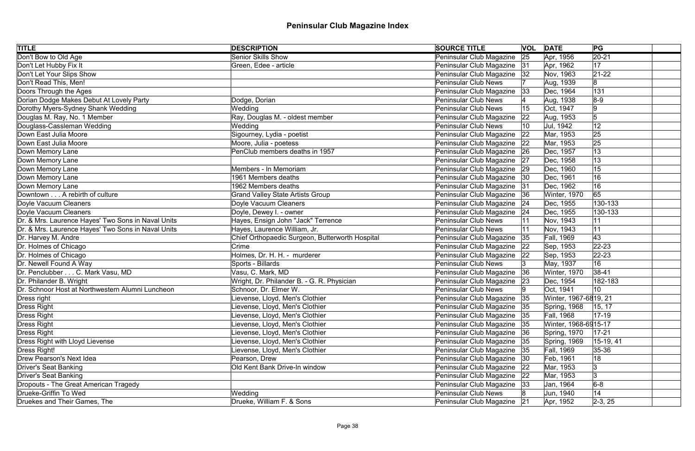| <b>TITLE</b>                                       | <b>DESCRIPTION</b>                              | <b>SOURCE TITLE</b>           |    | <b>VOL DATE</b>       | PG          |
|----------------------------------------------------|-------------------------------------------------|-------------------------------|----|-----------------------|-------------|
| Don't Bow to Old Age                               | <b>Senior Skills Show</b>                       | Peninsular Club Magazine      | 25 | Apr, 1956             | $ 20-21 $   |
| Don't Let Hubby Fix It                             | Green, Edee - article                           | Peninsular Club Magazine 31   |    | Apr, 1962             | 17          |
| Don't Let Your Slips Show                          |                                                 | Peninsular Club Magazine  32  |    | Nov, 1963             | $21-22$     |
| Don't Read This, Men!                              |                                                 | Peninsular Club News          |    | Aug, 1939             | 8           |
| Doors Through the Ages                             |                                                 | Peninsular Club Magazine      | 33 | Dec, 1964             | 131         |
| Dorian Dodge Makes Debut At Lovely Party           | Dodge, Dorian                                   | Peninsular Club News          |    | Aug, 1938             | $8-9$       |
| Dorothy Myers-Sydney Shank Wedding                 | Wedding                                         | <b>Peninsular Club News</b>   |    | Oct, 1947             | 9           |
| Douglas M. Ray, No. 1 Member                       | Ray, Douglas M. - oldest member                 | Peninsular Club Magazine      | 22 | Aug, 1953             | 5           |
| Douglass-Cassleman Wedding                         | Wedding                                         | <b>Peninsular Club News</b>   | 10 | Jul, 1942             | 12          |
| Down East Julia Moore                              | Sigourney, Lydia - poetist                      | Peninsular Club Magazine      | 22 | Mar, 1953             | 25          |
| Down East Julia Moore                              | Moore, Julia - poetess                          | Peninsular Club Magazine      | 22 | Mar, 1953             | 25          |
| Down Memory Lane                                   | PenClub members deaths in 1957                  | Peninsular Club Magazine      | 26 | Dec, 1957             | 13          |
| Down Memory Lane                                   |                                                 | Peninsular Club Magazine      | 27 | Dec, 1958             | 13          |
| Down Memory Lane                                   | Members - In Memoriam                           | Peninsular Club Magazine      | 29 | Dec, 1960             | 15          |
| Down Memory Lane                                   | 1961 Members deaths                             | Peninsular Club Magazine      | 30 | Dec, 1961             | 16          |
| Down Memory Lane                                   | 1962 Members deaths                             | Peninsular Club Magazine      | 31 | Dec, 1962             | 16          |
| Downtown A rebirth of culture                      | <b>Grand Valley State Artists Group</b>         | Peninsular Club Magazine      | 36 | Winter, 1970          | 65          |
| Doyle Vacuum Cleaners                              | Doyle Vacuum Cleaners                           | Peninsular Club Magazine      | 24 | Dec, 1955             | 130-133     |
| Doyle Vacuum Cleaners                              | Doyle, Dewey I. - owner                         | Peninsular Club Magazine      | 24 | Dec, 1955             | 130-133     |
| Dr. & Mrs. Laurence Hayes' Two Sons in Naval Units | Hayes, Ensign John "Jack" Terrence              | <b>Peninsular Club News</b>   |    | Nov, 1943             | 11          |
| Dr. & Mrs. Laurence Hayes' Two Sons in Naval Units | Hayes, Laurence William, Jr.                    | <b>Peninsular Club News</b>   |    | Nov, 1943             | 11          |
| Dr. Harvey M. Andre                                | Chief Orthopaedic Surgeon, Butterworth Hospital | Peninsular Club Magazine      | 35 | Fall, 1969            | 43          |
| Dr. Holmes of Chicago                              | Crime                                           | Peninsular Club Magazine      | 22 | Sep, 1953             | $ 22 - 23 $ |
| Dr. Holmes of Chicago                              | Holmes, Dr. H. H. - murderer                    | Peninsular Club Magazine 22   |    | Sep, 1953             | $ 22 - 23 $ |
| Dr. Newell Found A Way                             | Sports - Billards                               | Peninsular Club News          |    | May, 1937             | 16          |
| Dr. Penclubber C. Mark Vasu, MD                    | Vasu, C. Mark, MD                               | Peninsular Club Magazine      | 36 | Winter, 1970          | $ 38-41$    |
| Dr. Philander B. Wright                            | Wright, Dr. Philander B. - G. R. Physician      | Peninsular Club Magazine 23   |    | Dec, 1954             | 182-183     |
| Dr. Schnoor Host at Northwestern Alumni Luncheon   | Schnoor, Dr. Elmer W.                           | Peninsular Club News          |    | Oct, 1941             | 10          |
| Dress right                                        | Lievense, Lloyd, Men's Clothier                 | Peninsular Club Magazine 35   |    | Winter, 1967-6819, 21 |             |
| Dress Right                                        | ievense, Lloyd, Men's Clothier                  | Peninsular Club Magazine      | 35 | Spring, 1968          | 15, 17      |
| Dress Right                                        | Lievense, Lloyd, Men's Clothier                 | Peninsular Club Magazine 35   |    | <b>Fall, 1968</b>     | $17-19$     |
| Dress Right                                        | ievense, Lloyd, Men's Clothier                  | Peninsular Club Magazine      | 35 | Winter, 1968-6915-17  |             |
| Dress Right                                        | Lievense, Lloyd, Men's Clothier                 | Peninsular Club Magazine      | 36 | Spring, 1970          | $ 17-21$    |
| Dress Right with Lloyd Lievense                    | ievense, Lloyd, Men's Clothier                  | Peninsular Club Magazine      | 35 | Spring, 1969          | 15-19, 41   |
| Dress Right!                                       | Lievense, Lloyd, Men's Clothier                 | Peninsular Club Magazine   35 |    | Fall, 1969            | $35 - 36$   |
| <b>Drew Pearson's Next Idea</b>                    | Pearson, Drew                                   | Peninsular Club Magazine      | 30 | Feb, 1961             | 18          |
| Driver's Seat Banking                              | Old Kent Bank Drive-In window                   | Peninsular Club Magazine      | 22 | Mar, 1953             | 3           |
| <b>Driver's Seat Banking</b>                       |                                                 | Peninsular Club Magazine      | 22 | Mar, 1953             | 3           |
| Dropouts - The Great American Tragedy              |                                                 | Peninsular Club Magazine 33   |    | Jan, 1964             | $6-8$       |
| Drueke-Griffin To Wed                              | Wedding                                         | Peninsular Club News          |    | Jun, 1940             | 14          |
| Druekes and Their Games, The                       | Drueke, William F. & Sons                       | Peninsular Club Magazine 21   |    | Apr, 1952             | $ 2-3, 25 $ |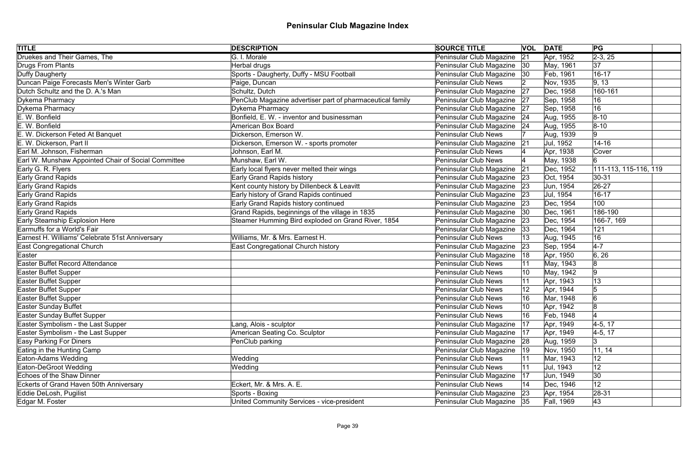| <b>TITLE</b>                                        | <b>DESCRIPTION</b>                                        | <b>SOURCE TITLE</b>           |    | <b>VOL DATE</b> | PG                    |  |
|-----------------------------------------------------|-----------------------------------------------------------|-------------------------------|----|-----------------|-----------------------|--|
| Druekes and Their Games, The                        | G. I. Morale                                              | Peninsular Club Magazine      | 21 | Apr, 1952       | $\sqrt{2-3}$ , 25     |  |
| Drugs From Plants                                   | Herbal drugs                                              | Peninsular Club Magazine 30   |    | May, 1961       | 37                    |  |
| Duffy Daugherty                                     | Sports - Daugherty, Duffy - MSU Football                  | Peninsular Club Magazine 30   |    | Feb, 1961       | $16 - 17$             |  |
| Duncan Paige Forecasts Men's Winter Garb            | Paige, Duncan                                             | <b>Peninsular Club News</b>   |    | Nov, 1935       | 9, 13                 |  |
| Dutch Schultz and the D. A.'s Man                   | Schultz, Dutch                                            | Peninsular Club Magazine      | 27 | Dec, 1958       | 160-161               |  |
| Dykema Pharmacy                                     | PenClub Magazine advertiser part of pharmaceutical family | Peninsular Club Magazine      | 27 | Sep, 1958       | 16                    |  |
| Dykema Pharmacy                                     | Dykema Pharmacy                                           | Peninsular Club Magazine      | 27 | Sep, 1958       | 16                    |  |
| E. W. Bonfield                                      | Bonfield, E. W. - inventor and businessman                | Peninsular Club Magazine 24   |    | Aug, 1955       | $ 8 - 10 $            |  |
| E. W. Bonfield                                      | <b>American Box Board</b>                                 | Peninsular Club Magazine   24 |    | Aug, 1955       | $ 8 - 10 $            |  |
| E. W. Dickerson Feted At Banquet                    | Dickerson, Emerson W.                                     | <b>Peninsular Club News</b>   |    | Aug, 1939       | 9                     |  |
| E. W. Dickerson, Part II                            | Dickerson, Emerson W. - sports promoter                   | Peninsular Club Magazine      | 21 | Jul, 1952       | $14 - 16$             |  |
| Earl M. Johnson, Fisherman                          | Johnson, Earl M.                                          | <b>Peninsular Club News</b>   |    | Apr, 1938       | <b>Cover</b>          |  |
| Earl W. Munshaw Appointed Chair of Social Committee | Munshaw, Earl W.                                          | Peninsular Club News          |    | May, 1938       | 6                     |  |
| Early G. R. Flyers                                  | Early local flyers never melted their wings               | Peninsular Club Magazine      | 21 | Dec, 1952       | 111-113, 115-116, 119 |  |
| Early Grand Rapids                                  | <b>Early Grand Rapids history</b>                         | Peninsular Club Magazine      | 23 | Oct, 1954       | 30-31                 |  |
| Early Grand Rapids                                  | Kent county history by Dillenbeck & Leavitt               | Peninsular Club Magazine      | 23 | Jun, 1954       | $ 26-27$              |  |
| <b>Early Grand Rapids</b>                           | Early history of Grand Rapids continued                   | Peninsular Club Magazine      | 23 | Jul, 1954       | $16 - 17$             |  |
| <b>Early Grand Rapids</b>                           | Early Grand Rapids history continued                      | Peninsular Club Magazine      | 23 | Dec, 1954       | 100                   |  |
| <b>Early Grand Rapids</b>                           | Grand Rapids, beginnings of the village in 1835           | Peninsular Club Magazine      | 30 | Dec, 1961       | 186-190               |  |
| Early Steamship Explosion Here                      | Steamer Humming Bird exploded on Grand River, 1854        | Peninsular Club Magazine      | 23 | Dec, 1954       | 166-7, 169            |  |
| Earmuffs for a World's Fair                         |                                                           | Peninsular Club Magazine      | 33 | Dec, 1964       | 121                   |  |
| Earnest H. Williams' Celebrate 51st Anniversary     | Williams, Mr. & Mrs. Earnest H.                           | <b>Peninsular Club News</b>   | 13 | Aug, 1945       | 16                    |  |
| East Congregational Church                          | East Congregational Church history                        | Peninsular Club Magazine      | 23 | Sep, 1954       | $4 - 7$               |  |
| Easter                                              |                                                           | Peninsular Club Magazine      | 18 | Apr, 1950       | 6, 26                 |  |
| <b>Easter Buffet Record Attendance</b>              |                                                           | <b>Peninsular Club News</b>   |    | May, 1943       | 8                     |  |
| Easter Buffet Supper                                |                                                           | <b>Peninsular Club News</b>   | 10 | May, 1942       | 9                     |  |
| Easter Buffet Supper                                |                                                           | <b>Peninsular Club News</b>   |    | Apr, 1943       | 13                    |  |
| Easter Buffet Supper                                |                                                           | <b>Peninsular Club News</b>   |    | Apr, 1944       |                       |  |
| Easter Buffet Supper                                |                                                           | <b>Peninsular Club News</b>   | 16 | Mar, 1948       | ۱۴<br>IО              |  |
| Easter Sunday Buffet                                |                                                           | <b>Peninsular Club News</b>   | 10 | Apr, 1942       | 8                     |  |
| <b>Easter Sunday Buffet Supper</b>                  |                                                           | <b>Peninsular Club News</b>   | 16 | Feb, 1948       |                       |  |
| Easter Symbolism - the Last Supper                  | Lang, Alois - sculptor                                    | Peninsular Club Magazine      | 17 | Apr, 1949       | $4-5, 17$             |  |
| Easter Symbolism - the Last Supper                  | American Seating Co. Sculptor                             | Peninsular Club Magazine      | 17 | Apr, 1949       | $4-5, 17$             |  |
| <b>Easy Parking For Diners</b>                      | PenClub parking                                           | Peninsular Club Magazine 28   |    | Aug, 1959       | 3                     |  |
| Eating in the Hunting Camp                          |                                                           | Peninsular Club Magazine      | 19 | Nov, 1950       | 11, 14                |  |
| Eaton-Adams Wedding                                 | Wedding                                                   | <b>Peninsular Club News</b>   |    | Mar, 1943       | 12                    |  |
| Eaton-DeGroot Wedding                               | Wedding                                                   | <b>Peninsular Club News</b>   |    | Jul, 1943       | 12                    |  |
| Echoes of the Shaw Dinner                           |                                                           | Peninsular Club Magazine      | 17 | Jun, 1949       | 30                    |  |
| <b>Eckerts of Grand Haven 50th Anniversary</b>      | Eckert, Mr. & Mrs. A. E.                                  | <b>Peninsular Club News</b>   | 14 | Dec, 1946       | 12                    |  |
| Eddie DeLosh, Pugilist                              | Sports - Boxing                                           | Peninsular Club Magazine 23   |    | Apr, 1954       | $ 28-31 $             |  |
| Edgar M. Foster                                     | United Community Services - vice-president                | Peninsular Club Magazine 35   |    | Fall, 1969      | 43                    |  |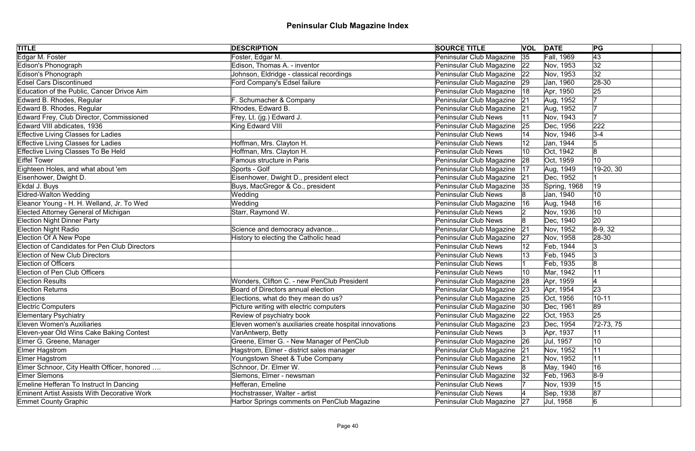| <b>TITLE</b>                                       | <b>DESCRIPTION</b>                                     | <b>SOURCE TITLE</b>           | <b>VOL DATE</b> |              | PG              |
|----------------------------------------------------|--------------------------------------------------------|-------------------------------|-----------------|--------------|-----------------|
| Edgar M. Foster                                    | Foster, Edgar M.                                       | Peninsular Club Magazine 35   |                 | Fall, 1969   | $\overline{43}$ |
| Edison's Phonograph                                | Edison, Thomas A. - inventor                           | Peninsular Club Magazine   22 |                 | Nov, 1953    | 32              |
| Edison's Phonograph                                | Johnson, Eldridge - classical recordings               | Peninsular Club Magazine 22   |                 | Nov, 1953    | 32              |
| <b>Edsel Cars Discontinued</b>                     | Ford Company's Edsel failure                           | Peninsular Club Magazine 29   |                 | Jan, 1960    | 28-30           |
| Education of the Public, Cancer Drivce Aim         |                                                        | Peninsular Club Magazine      | 18              | Apr, 1950    | 25              |
| Edward B. Rhodes, Regular                          | F. Schumacher & Company                                | Peninsular Club Magazine 21   |                 | Aug, 1952    |                 |
| Edward B. Rhodes, Regular                          | Rhodes, Edward B.                                      | Peninsular Club Magazine 21   |                 | Aug, 1952    |                 |
| Edward Frey, Club Director, Commissioned           | Frey, Lt. (jg.) Edward J.                              | Peninsular Club News          |                 | Nov, 1943    |                 |
| Edward VIII abdicates, 1936                        | King Edward VIII                                       | Peninsular Club Magazine      | 25              | Dec, 1956    | 222             |
| <b>Effective Living Classes for Ladies</b>         |                                                        | Peninsular Club News          |                 | Nov, 1946    | $3 - 4$         |
| <b>Effective Living Classes for Ladies</b>         | Hoffman, Mrs. Clayton H.                               | <b>Peninsular Club News</b>   |                 | Jan, 1944    |                 |
| Effective Living Classes To Be Held                | Hoffman, Mrs. Clayton H.                               | <b>Peninsular Club News</b>   |                 | Oct, 1942    |                 |
| <b>Eiffel Tower</b>                                | <b>Famous structure in Paris</b>                       | Peninsular Club Magazine      | 28              | Oct, 1959    | 10              |
| Eighteen Holes, and what about 'em                 | Sports - Golf                                          | Peninsular Club Magazine      | 17              | Aug, 1949    | 19-20, 30       |
| Eisenhower, Dwight D.                              | Eisenhower, Dwight D., president elect                 | Peninsular Club Magazine      | 21              | Dec, 1952    |                 |
| Ekdal J. Buys                                      | Buys, MacGregor & Co., president                       | Peninsular Club Magazine 35   |                 | Spring, 1968 | 19              |
| <b>Eldred-Walton Wedding</b>                       | Wedding                                                | Peninsular Club News          |                 | Jan, 1940    | 10              |
| Eleanor Young - H. H. Welland, Jr. To Wed          | Wedding                                                | Peninsular Club Magazine      | 16              | Aug, 1948    | 16              |
| <b>Elected Attorney General of Michigan</b>        | Starr, Raymond W.                                      | Peninsular Club News          |                 | Nov, 1936    | 10              |
| <b>Election Night Dinner Party</b>                 |                                                        | Peninsular Club News          |                 | Dec, 1940    | 20              |
| <b>Election Night Radio</b>                        | Science and democracy advance                          | Peninsular Club Magazine      | 21              | Nov, 1952    | $ 8-9, 32 $     |
| Election Of A New Pope                             | History to electing the Catholic head                  | Peninsular Club Magazine      | 27              | Nov, 1958    | $ 28-30$        |
| Election of Candidates for Pen Club Directors      |                                                        | Peninsular Club News          |                 | Feb, 1944    | 3               |
| <b>Election of New Club Directors</b>              |                                                        | Peninsular Club News          |                 | Feb, 1945    | 3               |
| <b>Election of Officers</b>                        |                                                        | <b>Peninsular Club News</b>   |                 | Feb, 1935    | 8               |
| <b>Election of Pen Club Officers</b>               |                                                        | <b>Peninsular Club News</b>   |                 | Mar, 1942    | 11              |
| <b>Election Results</b>                            | Wonders, Clifton C. - new PenClub President            | Peninsular Club Magazine 28   |                 | Apr, 1959    |                 |
| <b>Election Returns</b>                            | Board of Directors annual election                     | Peninsular Club Magazine 23   |                 | Apr, 1954    | 23              |
| Elections                                          | Elections, what do they mean do us?                    | Peninsular Club Magazine 25   |                 | Oct, 1956    | $10 - 11$       |
| <b>Electric Computers</b>                          | Picture writing with electric computers                | Peninsular Club Magazine      | 30              | Dec, 1961    | 89              |
| <b>Elementary Psychiatry</b>                       | Review of psychiatry book                              | Peninsular Club Magazine      | 22              | Oct, 1953    | 25              |
| <b>Eleven Women's Auxiliaries</b>                  | Eleven women's auxiliaries create hospital innovations | Peninsular Club Magazine      | $ 23\rangle$    | Dec, 1954    | $ 72-73, 75 $   |
| Eleven-year Old Wins Cake Baking Contest           | VanAntwerp, Betty                                      | Peninsular Club News          |                 | Apr, 1937    | 11              |
| Elmer G. Greene, Manager                           | Greene, Elmer G. - New Manager of PenClub              | Peninsular Club Magazine      | 26              | Jul, 1957    | 10              |
| Elmer Hagstrom                                     | Hagstrom, Elmer - district sales manager               | Peninsular Club Magazine      | 21              | Nov, 1952    | 11              |
| Elmer Hagstrom                                     | Youngstown Sheet & Tube Company                        | Peninsular Club Magazine      | 21              | Nov, 1952    | 11              |
| Elmer Schnoor, City Health Officer, honored        | Schnoor, Dr. Elmer W.                                  | <b>Peninsular Club News</b>   |                 | May, 1940    | 16              |
| <b>Elmer Slemons</b>                               | Slemons, Elmer - newsman                               | Peninsular Club Magazine      | 32              | Feb, 1963    | $8-9$           |
| Emeline Hefferan To Instruct In Dancing            | Hefferan, Emeline                                      | Peninsular Club News          |                 | Nov, 1939    | 15              |
| <b>Eminent Artist Assists With Decorative Work</b> | Hochstrasser, Walter - artist                          | <b>Peninsular Club News</b>   |                 | Sep, 1938    | 87              |
| <b>Emmet County Graphic</b>                        | Harbor Springs comments on PenClub Magazine            | Peninsular Club Magazine 27   |                 | Jul, 1958    | 6               |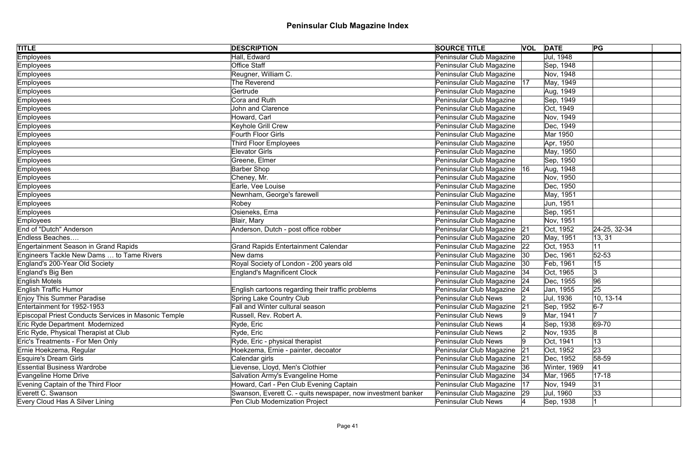| <b>TITLE</b>                                         | <b>DESCRIPTION</b>                                           | <b>SOURCE TITLE</b>           |    | <b>VOL DATE</b> | PG           |  |
|------------------------------------------------------|--------------------------------------------------------------|-------------------------------|----|-----------------|--------------|--|
| Employees                                            | Hall, Edward                                                 | Peninsular Club Magazine      |    | Jul, 1948       |              |  |
| Employees                                            | Office Staff                                                 | Peninsular Club Magazine      |    | Sep, 1948       |              |  |
| Employees                                            | Reugner, William C.                                          | Peninsular Club Magazine      |    | Nov, 1948       |              |  |
| Employees                                            | The Reverend                                                 | Peninsular Club Magazine   17 |    | May, 1949       |              |  |
| Employees                                            | Gertrude                                                     | Peninsular Club Magazine      |    | Aug, 1949       |              |  |
| Employees                                            | Cora and Ruth                                                | Peninsular Club Magazine      |    | Sep, 1949       |              |  |
| Employees                                            | <b>John and Clarence</b>                                     | Peninsular Club Magazine      |    | Oct, 1949       |              |  |
| Employees                                            | Howard, Carl                                                 | Peninsular Club Magazine      |    | Nov, 1949       |              |  |
| Employees                                            | Keyhole Grill Crew                                           | Peninsular Club Magazine      |    | Dec, 1949       |              |  |
| Employees                                            | Fourth Floor Girls                                           | Peninsular Club Magazine      |    | Mar 1950        |              |  |
| Employees                                            | Third Floor Employees                                        | Peninsular Club Magazine      |    | Apr, 1950       |              |  |
| Employees                                            | Elevator Girls                                               | Peninsular Club Magazine      |    | May, 1950       |              |  |
| Employees                                            | Greene, Elmer                                                | Peninsular Club Magazine      |    | Sep, 1950       |              |  |
| Employees                                            | <b>Barber Shop</b>                                           | Peninsular Club Magazine      | 16 | Aug, 1948       |              |  |
| Employees                                            | Cheney, Mr.                                                  | Peninsular Club Magazine      |    | Nov, 1950       |              |  |
| Employees                                            | Earle, Vee Louise                                            | Peninsular Club Magazine      |    | Dec, 1950       |              |  |
| Employees                                            | Newnham, George's farewell                                   | Peninsular Club Magazine      |    | May, 1951       |              |  |
| Employees                                            | Robey                                                        | Peninsular Club Magazine      |    | Jun, 1951       |              |  |
| <b>Employees</b>                                     | Osieneks, Erna                                               | Peninsular Club Magazine      |    | Sep, 1951       |              |  |
| Employees                                            | Blair, Mary                                                  | Peninsular Club Magazine      |    | Nov, 1951       |              |  |
| End of "Dutch" Anderson                              | Anderson, Dutch - post office robber                         | Peninsular Club Magazine 21   |    | Oct, 1952       | 24-25, 32-34 |  |
| Endless Beaches                                      |                                                              | Peninsular Club Magazine      | 20 | May, 1951       | 13, 31       |  |
| <b>Engertainment Season in Grand Rapids</b>          | <b>Grand Rapids Entertainment Calendar</b>                   | Peninsular Club Magazine      | 22 | Oct, 1953       | 11           |  |
| Engineers Tackle New Dams  to Tame Rivers            | New dams                                                     | Peninsular Club Magazine      | 30 | Dec, 1961       | $52 - 53$    |  |
| England's 200-Year Old Society                       | Royal Society of London - 200 years old                      | Peninsular Club Magazine      | 30 | Feb, 1961       | 15           |  |
| England's Big Ben                                    | <b>England's Magnificent Clock</b>                           | Peninsular Club Magazine      | 34 | Oct, 1965       | 3            |  |
| <b>English Motels</b>                                |                                                              | Peninsular Club Magazine      | 24 | Dec, 1955       | 96           |  |
| <b>English Traffic Humor</b>                         | English cartoons regarding their traffic problems            | Peninsular Club Magazine      | 24 | Jan, 1955       | 25           |  |
| Enjoy This Summer Paradise                           | Spring Lake Country Club                                     | Peninsular Club News          |    | Jul, 1936       | 10, 13-14    |  |
| Entertainment for 1952-1953                          | Fall and Winter cultural season                              | Peninsular Club Magazine      | 21 | Sep, 1952       | $6-7$        |  |
| Episcopal Priest Conducts Services in Masonic Temple | Russell, Rev. Robert A.                                      | <b>Peninsular Club News</b>   |    | Mar, 1941       |              |  |
| Eric Ryde Department Modernized                      | Ryde, Eric                                                   | <b>Peninsular Club News</b>   |    | Sep, 1938       | 69-70        |  |
| Eric Ryde, Physical Therapist at Club                | Ryde, Eric                                                   | <b>Peninsular Club News</b>   |    | Nov, 1935       | 8            |  |
| Eric's Treatments - For Men Only                     | Ryde, Eric - physical therapist                              | <b>Peninsular Club News</b>   |    | Oct, 1941       | 13           |  |
| Ernie Hoekzema, Regular                              | Hoekzema, Ernie - painter, decoator                          | Peninsular Club Magazine      | 21 | Oct, 1952       | 23           |  |
| <b>Esquire's Dream Girls</b>                         | Calendar girls                                               | Peninsular Club Magazine      | 21 | Dec, 1952       | 58-59        |  |
| <b>Essential Business Wardrobe</b>                   | Lievense, Lloyd, Men's Clothier                              | Peninsular Club Magazine      | 36 | Winter, 1969    | 41           |  |
| <b>Evangeline Home Drive</b>                         | Salvation Army's Evangeline Home                             | Peninsular Club Magazine   34 |    | Mar, 1965       | $17 - 18$    |  |
| Evening Captain of the Third Floor                   | Howard, Carl - Pen Club Evening Captain                      | Peninsular Club Magazine      | 17 | Nov, 1949       | 31           |  |
| Everett C. Swanson                                   | Swanson, Everett C. - quits newspaper, now investment banker | Peninsular Club Magazine      | 29 | Jul, 1960       | 33           |  |
| Every Cloud Has A Silver Lining                      | Pen Club Modernization Project                               | <b>Peninsular Club News</b>   |    | Sep, 1938       |              |  |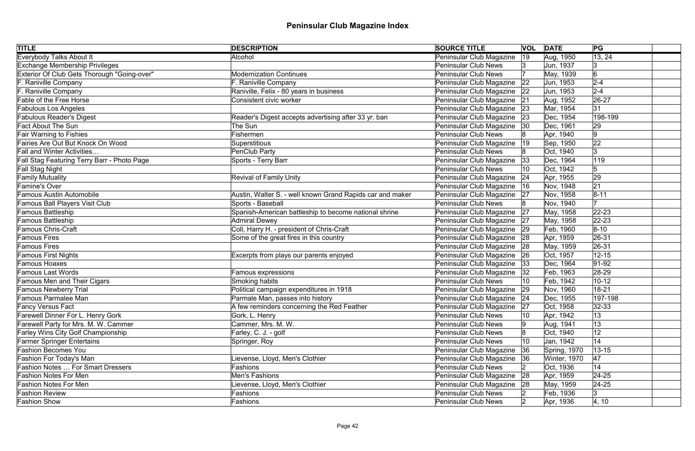| <b>TITLE</b>                                | <b>DESCRIPTION</b>                                        | <b>SOURCE TITLE</b>           |              | <b>VOL DATE</b> | PG          |
|---------------------------------------------|-----------------------------------------------------------|-------------------------------|--------------|-----------------|-------------|
| <b>Everybody Talks About It</b>             | Alcohol                                                   | Peninsular Club Magazine      | $ 19\rangle$ | Aug, 1950       | 13, 24      |
| <b>Exchange Membership Privileges</b>       |                                                           | <b>Peninsular Club News</b>   |              | Jun, 1937       | 13          |
| Exterior Of Club Gets Thorough "Going-over" | <b>Modernization Continues</b>                            | <b>Peninsular Club News</b>   |              | May, 1939       | 6           |
| F. Raniville Company                        | F. Raniville Company                                      | Peninsular Club Magazine      | 22           | Jun, 1953       | $2 - 4$     |
| F. Raniville Company                        | Raniville, Felix - 80 years in business                   | Peninsular Club Magazine   22 |              | Jun, 1953       | $2 - 4$     |
| <b>Fable of the Free Horse</b>              | Consistent civic worker                                   | Peninsular Club Magazine 21   |              | Aug, 1952       | $26 - 27$   |
| <b>Fabulous Los Angeles</b>                 |                                                           | Peninsular Club Magazine 23   |              | Mar, 1954       | 31          |
| <b>Fabulous Reader's Digest</b>             | Reader's Digest accepts advertising after 33 yr. ban      | Peninsular Club Magazine 23   |              | Dec, 1954       | 198-199     |
| <b>Fact About The Sun</b>                   | The Sun                                                   | Peninsular Club Magazine      | 30           | Dec, 1961       | 29          |
| <b>Fair Warning to Fishies</b>              | Fishermen                                                 | <b>Peninsular Club News</b>   |              | Apr, 1940       | $ 9\rangle$ |
| Fairies Are Out But Knock On Wood           | Superstitious                                             | Peninsular Club Magazine      | $ 19\rangle$ | Sep, 1950       | 22          |
| <b>Fall and Winter Activities</b>           | PenClub Party                                             | <b>Peninsular Club News</b>   |              | Oct, 1940       | 3           |
| Fall Stag Featuring Terry Barr - Photo Page | Sports - Terry Barr                                       | Peninsular Club Magazine      | 33           | Dec, 1964       | 119         |
| Fall Stag Night                             |                                                           | <b>Peninsular Club News</b>   |              | Oct, 1942       |             |
| <b>Family Mutuality</b>                     | <b>Revival of Family Unity</b>                            | Peninsular Club Magazine      | 24           | Apr, 1955       | 29          |
| Famine's Over                               |                                                           | Peninsular Club Magazine      | 16           | Nov, 1948       | 21          |
| <b>Famous Austin Automobile</b>             | Austin, Walter S. - well known Grand Rapids car and maker | Peninsular Club Magazine      | 27           | Nov, 1958       | $ 8 - 11$   |
| Famous Ball Players Visit Club              | Sports - Baseball                                         | <b>Peninsular Club News</b>   |              | Nov, 1940       |             |
| Famous Battleship                           | Spanish-American battleship to become national shrine     | Peninsular Club Magazine      | 27           | May, 1958       | $22 - 23$   |
| Famous Battleship                           | <b>Admiral Dewey</b>                                      | Peninsular Club Magazine 27   |              | May, 1958       | $ 22 - 23$  |
| <b>Famous Chris-Craft</b>                   | Coll, Harry H. - president of Chris-Craft                 | Peninsular Club Magazine 29   |              | Feb, 1960       | $8 - 10$    |
| <b>Famous Fires</b>                         | Some of the great fires in this country                   | Peninsular Club Magazine 28   |              | Apr, 1959       | 26-31       |
| <b>Famous Fires</b>                         |                                                           | Peninsular Club Magazine 28   |              | May, 1959       | 26-31       |
| <b>Famous First Nights</b>                  | Excerpts from plays our parents enjoyed                   | Peninsular Club Magazine      | 26           | Oct, 1957       | $12 - 15$   |
| Famous Hoaxes                               |                                                           | Peninsular Club Magazine  33  |              | Dec, 1964       | $91-92$     |
| <b>Famous Last Words</b>                    | Famous expressions                                        | Peninsular Club Magazine   32 |              | Feb, 1963       | $28-29$     |
| <b>Famous Men and Their Cigars</b>          | Smoking habits                                            | <b>Peninsular Club News</b>   |              | Feb, 1942       | $10 - 12$   |
| <b>Famous Newberry Trial</b>                | Political campaign expenditures in 1918                   | Peninsular Club Magazine 29   |              | Nov, 1960       | $18 - 21$   |
| Famous Parmalee Man                         | Parmale Man, passes into history                          | Peninsular Club Magazine 24   |              | Dec, 1955       | 197-198     |
| <b>Fancy Versus Fact</b>                    | A few reminders concerning the Red Feather                | Peninsular Club Magazine      | 27           | Oct, 1958       | $32 - 33$   |
| Farewell Dinner For L. Henry Gork           | Gork, L. Henry                                            | <b>Peninsular Club News</b>   | 10           | Apr, 1942       | 13          |
| Farewell Party for Mrs. M. W. Cammer        | Cammer, Mrs. M. W.                                        | <b>Peninsular Club News</b>   |              | Aug, 1941       | 13          |
| Farley Wins City Golf Championship          | Farley, C. J. - golf                                      | <b>Peninsular Club News</b>   |              | Oct, 1940       | 12          |
| <b>Farmer Springer Entertains</b>           | Springer, Roy                                             | <b>Peninsular Club News</b>   | 10           | Jan, 1942       | 14          |
| <b>Fashion Becomes You</b>                  |                                                           | Peninsular Club Magazine      | 36           | Spring, 1970    | $13 - 15$   |
| Fashion For Today's Man                     | Lievense, Lloyd, Men's Clothier                           | Peninsular Club Magazine      | 36           | Winter, 1970    | 47          |
| <b>Fashion Notes  For Smart Dressers</b>    | Fashions                                                  | <b>Peninsular Club News</b>   |              | Oct, 1936       | 14          |
| <b>Fashion Notes For Men</b>                | Men's Fashions                                            | Peninsular Club Magazine      | 28           | Apr, 1959       | 24-25       |
| <b>Fashion Notes For Men</b>                | Lievense, Lloyd, Men's Clothier                           | Peninsular Club Magazine      | 28           | May, 1959       | $24 - 25$   |
| <b>Fashion Review</b>                       | Fashions                                                  | <b>Peninsular Club News</b>   |              | Feb, 1936       | 3           |
| <b>Fashion Show</b>                         | Fashions                                                  | Peninsular Club News          |              | Apr, 1936       | 4, 10       |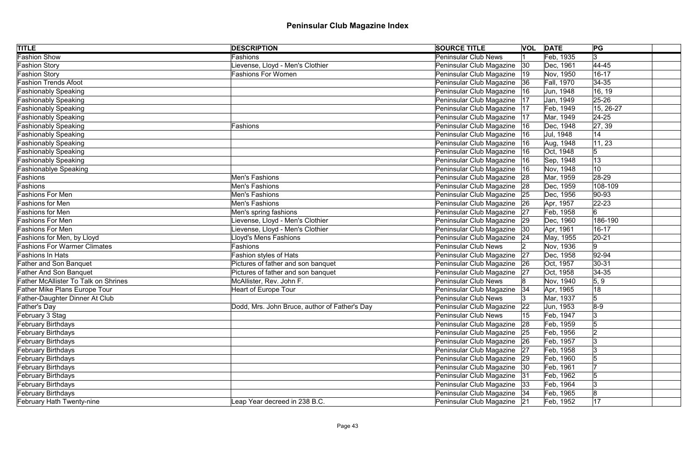| <b>TITLE</b>                                | <b>DESCRIPTION</b>                            | <b>SOURCE TITLE</b>           |              | <b>VOL DATE</b>   | PG          |
|---------------------------------------------|-----------------------------------------------|-------------------------------|--------------|-------------------|-------------|
| <b>Fashion Show</b>                         | Fashions                                      | <b>Peninsular Club News</b>   |              | Feb, 1935         | 3           |
| <b>Fashion Story</b>                        | Lievense, Lloyd - Men's Clothier              | Peninsular Club Magazine      | $ 30\rangle$ | Dec, 1961         | 44-45       |
| <b>Fashion Story</b>                        | <b>Fashions For Women</b>                     | Peninsular Club Magazine      | 19           | Nov, 1950         | $16 - 17$   |
| <b>Fashion Trends Afoot</b>                 |                                               | Peninsular Club Magazine      | 36           | <b>Fall, 1970</b> | $34 - 35$   |
| <b>Fashionably Speaking</b>                 |                                               | Peninsular Club Magazine      | 16           | Jun, 1948         | 16, 19      |
| Fashionably Speaking                        |                                               | Peninsular Club Magazine      | 17           | Jan, 1949         | $25 - 26$   |
| <b>Fashionably Speaking</b>                 |                                               | Peninsular Club Magazine      | 17           | Feb, 1949         | 15, 26-27   |
| Fashionably Speaking                        |                                               | Peninsular Club Magazine      | 17           | Mar, 1949         | $24 - 25$   |
| <b>Fashionably Speaking</b>                 | Fashions                                      | Peninsular Club Magazine      | 16           | Dec, 1948         | 27, 39      |
| Fashionably Speaking                        |                                               | Peninsular Club Magazine      | 16           | Jul, 1948         | 14          |
| <b>Fashionably Speaking</b>                 |                                               | Peninsular Club Magazine      | 16           | Aug, 1948         | 11, 23      |
| <b>Fashionably Speaking</b>                 |                                               | Peninsular Club Magazine      | 16           | Oct, 1948         | 5           |
| <b>Fashionably Speaking</b>                 |                                               | Peninsular Club Magazine      | 16           | Sep, 1948         | 13          |
| <b>Fashionablye Speaking</b>                |                                               | Peninsular Club Magazine      | 16           | Nov, 1948         | 10          |
| Fashions                                    | Men's Fashions                                | Peninsular Club Magazine      | 28           | Mar, 1959         | 28-29       |
| Fashions                                    | Men's Fashions                                | Peninsular Club Magazine      | 28           | Dec, 1959         | 108-109     |
| <b>Fashions For Men</b>                     | Men's Fashions                                | Peninsular Club Magazine      | 25           | Dec, 1956         | $ 90 - 93$  |
| <b>Fashions for Men</b>                     | Men's Fashions                                | Peninsular Club Magazine      | 26           | Apr, 1957         | $ 22 - 23 $ |
| Fashions for Men                            | Men's spring fashions                         | Peninsular Club Magazine      | 27           | Feb, 1958         | 6           |
| <b>Fashions For Men</b>                     | Lievense, Lloyd - Men's Clothier              | Peninsular Club Magazine      | 29           | Dec, 1960         | 186-190     |
| <b>Fashions For Men</b>                     | Lievense, Lloyd - Men's Clothier              | Peninsular Club Magazine  30  |              | Apr, 1961         | $16 - 17$   |
| Fashions for Men, by Lloyd                  | <b>Lloyd's Mens Fashions</b>                  | Peninsular Club Magazine   24 |              | May, 1955         | $ 20-21 $   |
| <b>Fashions For Warmer Climates</b>         | Fashions                                      | Peninsular Club News          |              | Nov, 1936         | 9           |
| <b>Fashions In Hats</b>                     | Fashion styles of Hats                        | Peninsular Club Magazine      | 27           | Dec, 1958         | $92 - 94$   |
| <b>Father and Son Banquet</b>               | Pictures of father and son banquet            | Peninsular Club Magazine 26   |              | Oct, 1957         | $30 - 31$   |
| <b>Father And Son Banquet</b>               | Pictures of father and son banquet            | Peninsular Club Magazine      | 27           | Oct, 1958         | $ 34-35$    |
| <b>Father McAllister To Talk on Shrines</b> | McAllister, Rev. John F.                      | Peninsular Club News          |              | Nov, 1940         | 5, 9        |
| Father Mike Plans Europe Tour               | <b>Heart of Europe Tour</b>                   | Peninsular Club Magazine   34 |              | Apr, 1965         | 18          |
| Father-Daughter Dinner At Club              |                                               | Peninsular Club News          |              | Mar, 1937         | 5           |
| Father's Day                                | Dodd, Mrs. John Bruce, author of Father's Day | Peninsular Club Magazine      | 22           | Jun, 1953         | $8-9$       |
| February 3 Stag                             |                                               | Peninsular Club News          | 15           | Feb, 1947         | 13          |
| <b>February Birthdays</b>                   |                                               | Peninsular Club Magazine      | 28           | Feb, 1959         | 15          |
| <b>February Birthdays</b>                   |                                               | Peninsular Club Magazine      | 25           | Feb, 1956         |             |
| <b>February Birthdays</b>                   |                                               | Peninsular Club Magazine      | 26           | Feb, 1957         | 13          |
| <b>February Birthdays</b>                   |                                               | Peninsular Club Magazine      | 27           | Feb, 1958         |             |
| <b>February Birthdays</b>                   |                                               | Peninsular Club Magazine      | 29           | Feb, 1960         |             |
| <b>February Birthdays</b>                   |                                               | Peninsular Club Magazine      | 30           | Feb, 1961         |             |
| <b>February Birthdays</b>                   |                                               | Peninsular Club Magazine      | 31           | Feb, 1962         | 15          |
| <b>February Birthdays</b>                   |                                               | Peninsular Club Magazine   33 |              | Feb, 1964         | 13          |
| <b>February Birthdays</b>                   |                                               | Peninsular Club Magazine   34 |              | Feb, 1965         | 8           |
| February Hath Twenty-nine                   | Leap Year decreed in 238 B.C.                 | Peninsular Club Magazine 21   |              | Feb, 1952         | 17          |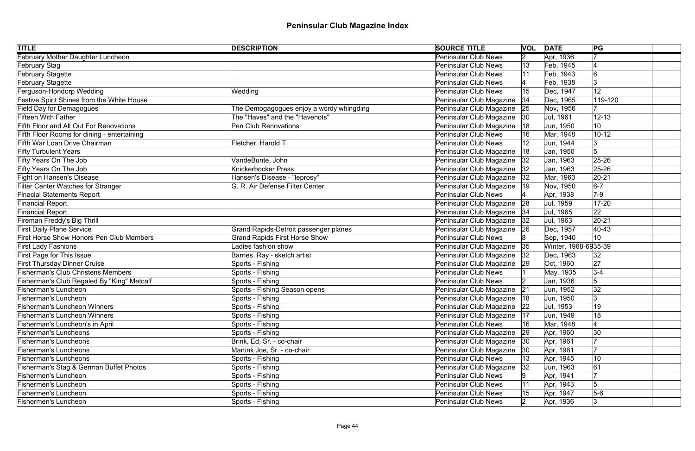| <b>TITLE</b>                                    | <b>DESCRIPTION</b>                       | <b>SOURCE TITLE</b>           | <b>VOL DATE</b> |                      | PG             |
|-------------------------------------------------|------------------------------------------|-------------------------------|-----------------|----------------------|----------------|
| February Mother Daughter Luncheon               |                                          | <b>Peninsular Club News</b>   | 2               | Apr, 1936            |                |
| <b>February Stag</b>                            |                                          | Peninsular Club News          | 13              | Feb, 1945            |                |
| <b>February Stagette</b>                        |                                          | Peninsular Club News          | 11              | Feb, 1943            | 6              |
| <b>February Stagette</b>                        |                                          | Peninsular Club News          |                 | Feb, 1938            | Ι3             |
| Ferguson-Hondorp Wedding                        | Wedding                                  | Peninsular Club News          | 15              | Dec, 1947            | 12             |
| Festive Spirit Shines from the White House      |                                          | Peninsular Club Magazine      | 34              | Dec, 1965            | 119-120        |
| <b>Field Day for Demagogues</b>                 | The Demogagogues enjoy a wordy whingding | Peninsular Club Magazine      | 25              | Nov, 1956            |                |
| <b>Fifteen With Father</b>                      | The "Haves" and the "Havenots"           | Peninsular Club Magazine  30  |                 | Jul, 1961            | $12 - 13$      |
| Fifth Floor and All Out For Renovations         | Pen Club Renovations                     | Peninsular Club Magazine      | 18              | Jun, 1950            | 10             |
| Fifth Floor Rooms for dining - entertaining     |                                          | Peninsular Club News          |                 | Mar, 1948            | $10 - 12$      |
| Fifth War Loan Drive Chairman                   | Fletcher, Harold T.                      | Peninsular Club News          |                 | Jun, 1944            |                |
| <b>Fifty Turbulent Years</b>                    |                                          | Peninsular Club Magazine      | 18              | Jan, 1950            | 5              |
| Fifty Years On The Job                          | VandeBunte, John                         | Peninsular Club Magazine      | 32              | Jan, 1963            | 25-26          |
| Fifty Years On The Job                          | Knickerbocker Press                      | Peninsular Club Magazine      | 32              | Jan, 1963            | $25 - 26$      |
| <b>Fight on Hansen's Disease</b>                | Hansen's Disease - "leprosy"             | Peninsular Club Magazine      | 32              | Mar, 1963            | $20 - 21$      |
| <b>Filter Center Watches for Stranger</b>       | G. R. Air Defense Filter Center          | Peninsular Club Magazine      | 19              | Nov, 1950            | $6-7$          |
| <b>Finacial Statements Report</b>               |                                          | Peninsular Club News          |                 | Apr, 1938            | $7-9$          |
| <b>Financial Report</b>                         |                                          | Peninsular Club Magazine      | 28              | Jul, 1959            | $17 - 20$      |
| <b>Financial Report</b>                         |                                          | Peninsular Club Magazine   34 |                 | Jul, 1965            | 22             |
| Fireman Freddy's Big Thrill                     |                                          | Peninsular Club Magazine      | 32              | Jul, 1963            | $20 - 21$      |
| <b>First Daily Plane Service</b>                | Grand Rapids-Detroit passenger planes    | Peninsular Club Magazine      | 26              | Dec, 1957            | 40-43          |
| <b>First Horse Show Honors Pen Club Members</b> | <b>Grand Rapids First Horse Show</b>     | Peninsular Club News          | 18              | Sep, 1940            | 10             |
| <b>First Lady Fashions</b>                      | Ladies fashion show                      | Peninsular Club Magazine 35   |                 | Winter, 1968-6935-39 |                |
| First Page for This Issue                       | Barnes, Ray - sketch artist              | Peninsular Club Magazine      | 32              | Dec, 1963            | 32             |
| <b>First Thursday Dinner Cruise</b>             | Sports - Fishing                         | Peninsular Club Magazine 29   |                 | Oct, 1960            | 27             |
| <b>Fisherman's Club Christens Members</b>       | Sports - Fishing                         | Peninsular Club News          |                 | May, 1935            | $3 - 4$        |
| Fisherman's Club Regaled By "King" Metcalf      | Sports - Fishing                         | Peninsular Club News          |                 | Jan, 1936            | 5              |
| <b>Fisherman's Luncheon</b>                     | Sports - Fishing Season opens            | Peninsular Club Magazine      | 21              | Jun, 1952            | 32             |
| Fisherman's Luncheon                            | Sports - Fishing                         | Peninsular Club Magazine   18 |                 | Jun, 1950            | $\overline{3}$ |
| <b>Fisherman's Luncheon Winners</b>             | Sports - Fishing                         | Peninsular Club Magazine      | 22              | Jul, 1953            | 19             |
| <b>Fisherman's Luncheon Winners</b>             | Sports - Fishing                         | Peninsular Club Magazine      | 17              | Jun, 1949            | 18             |
| Fisherman's Luncheon's in April                 | Sports - Fishing                         | Peninsular Club News          |                 | Mar, 1948            |                |
| <b>Fisherman's Luncheons</b>                    | Sports - Fishing                         | Peninsular Club Magazine      | 29              | Apr, 1960            | 30             |
| <b>Fisherman's Luncheons</b>                    | Brink, Ed, Sr. - co-chair                | Peninsular Club Magazine      | 30              | Apr, 1961            |                |
| <b>Fisherman's Luncheons</b>                    | Martink Joe, Sr. - co-chair              | Peninsular Club Magazine  30  |                 | Apr, 1961            |                |
| <b>Fisherman's Luncheons</b>                    | Sports - Fishing                         | Peninsular Club News          |                 | Apr, 1945            | 10             |
| Fisherman's Stag & German Buffet Photos         | Sports - Fishing                         | Peninsular Club Magazine      | 32              | Jun, 1963            | 61             |
| <b>Fishermen's Luncheon</b>                     | Sports - Fishing                         | Peninsular Club News          |                 | Apr, 1941            |                |
| <b>Fishermen's Luncheon</b>                     | Sports - Fishing                         | <b>Peninsular Club News</b>   | 11              | Apr, 1943            | 5              |
| <b>Fishermen's Luncheon</b>                     | Sports - Fishing                         | Peninsular Club News          |                 | Apr, 1947            | $5-6$          |
| <b>Fishermen's Luncheon</b>                     | Sports - Fishing                         | Peninsular Club News          | $\mathsf{I2}$   | Apr, 1936            | 13             |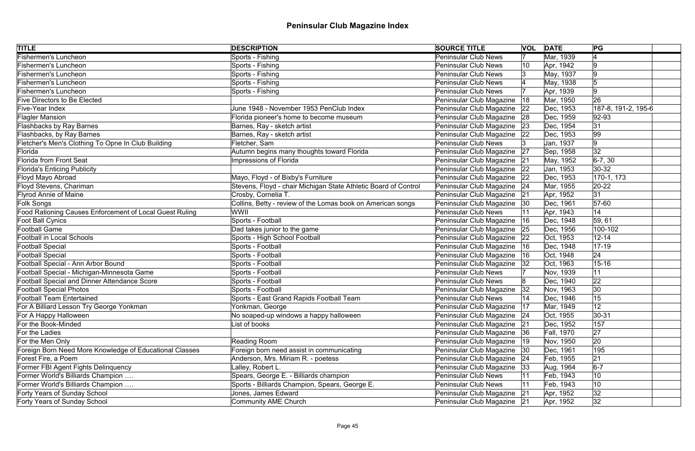| Sports - Fishing<br><b>Peninsular Club News</b><br>Mar, 1939<br><b>Fishermen's Luncheon</b><br>Sports - Fishing<br><b>Peninsular Club News</b><br>Apr, 1942<br>9<br>10<br><b>Fishermen's Luncheon</b><br>Sports - Fishing<br><b>Peninsular Club News</b><br>May, 1937<br><b>Fishermen's Luncheon</b><br>Sports - Fishing<br><b>Peninsular Club News</b><br>May, 1938<br><b>Fishermen's Luncheon</b><br>Sports - Fishing<br><b>Peninsular Club News</b><br>Apr, 1939<br>9<br>26<br>Mar, 1950<br><b>Five Directors to Be Elected</b><br>Peninsular Club Magazine<br> 18<br>June 1948 - November 1953 PenClub Index<br>Peninsular Club Magazine<br>187-8, 191-2, 195-6<br>Five-Year Index<br>Dec, 1953<br> 22<br>Peninsular Club Magazine<br><b>Flagler Mansion</b><br>Florida pioneer's home to become museum<br>Dec, 1959<br>92-93<br> 28<br>Peninsular Club Magazine<br><b>Flashbacks by Ray Barnes</b><br>Barnes, Ray - sketch artist<br> 31<br>Dec, 1954<br> 23<br>Peninsular Club Magazine<br>99<br>Barnes, Ray - sketch artist<br> 22<br>Dec, 1953<br>Fletcher's Men's Clothing To Opne In Club Building<br>Fletcher, Sam<br><b>Peninsular Club News</b><br>9<br>Jan, 1937<br>32<br>Autumn begins many thoughts toward Florida<br>Florida<br>Peninsular Club Magazine<br> 27<br>Sep, 1958<br><b>Florida from Front Seat</b><br>Impressions of Florida<br>Peninsular Club Magazine<br>$6-7, 30$<br>May, 1952<br> 21<br>Peninsular Club Magazine<br>30-32<br><b>Florida's Enticing Publicity</b><br>Jan, 1953<br> 22<br>Peninsular Club Magazine<br>Mayo, Floyd - of Bixby's Furniture<br>Dec, 1953<br>170-1, 173<br> 22<br>Floyd Stevens, Chariman<br>Stevens, Floyd - chair Michigan State Athletic Board of Control<br>Peninsular Club Magazine<br>$20 - 22$<br>Mar, 1955<br> 24<br>Peninsular Club Magazine<br><b>Flyrod Annie of Maine</b><br>Crosby, Cornelia T.<br> 31<br> 21<br>Apr, 1952<br>Collins, Betty - review of the Lomas book on American songs<br>Folk Songs<br>Peninsular Club Magazine   30<br>Dec, 1961<br>$ 57-60$<br>WWII<br><b>Peninsular Club News</b><br>Apr, 1943<br>14<br>Foot Ball Cynics<br>Sports - Football<br>Peninsular Club Magazine<br> 59, 61<br>Dec, 1948<br> 16<br>Football Game<br>Dad takes junior to the game<br>Peninsular Club Magazine 25<br>Dec, 1956<br>100-102<br>Sports - High School Football<br>Peninsular Club Magazine<br><b>Football in Local Schools</b><br>Oct, 1953<br>$12 - 14$<br> 22<br>Football Special<br>Sports - Football<br>Peninsular Club Magazine<br>Dec, 1948<br>$17 - 19$<br> 16<br>Peninsular Club Magazine<br> 24<br><b>Football Special</b><br>Sports - Football<br>Oct, 1948<br> 16<br>Oct, 1963<br>Football Special - Ann Arbor Bound<br>Sports - Football<br>Peninsular Club Magazine<br>$15 - 16$<br> 32<br>Football Special - Michigan-Minnesota Game<br>Sports - Football<br><b>Peninsular Club News</b><br>Nov, 1939<br>11<br>Football Special and Dinner Attendance Score<br>22<br>Sports - Football<br>Peninsular Club News<br>Dec, 1940<br>Sports - Football<br>Peninsular Club Magazine<br>30<br> 32 <br>Nov, 1963<br><b>Football Team Entertained</b><br>Peninsular Club News<br>Dec, 1946<br>15<br>Sports - East Grand Rapids Football Team<br>Peninsular Club Magazine<br>12<br>Yonkman, George<br> 17<br>Mar, 1949<br>No soaped-up windows a happy halloween<br>Oct, 1955<br>$30 - 31$<br>Peninsular Club Magazine<br> 24<br>List of books<br>Peninsular Club Magazine<br>157<br> 21<br>Dec, 1952<br>27<br>Peninsular Club Magazine<br>For the Ladies<br>Fall, 1970<br> 36<br>20<br>Peninsular Club Magazine<br>For the Men Only<br>Reading Room<br>Nov, 1950<br> 19<br>195<br>Foreign Born Need More Knowledge of Educational Classes<br>Foreign born need assist in communicating<br>Peninsular Club Magazine<br>Dec, 1961<br> 30<br> 21<br>Peninsular Club Magazine   24<br>Forest Fire, a Poem<br>Anderson, Mrs. Miriam R. - poetess<br>Feb, 1955<br>$6-7$<br>Lalley, Robert L.<br>Peninsular Club Magazine<br>Former FBI Agent Fights Delinquency<br>Aug, 1964<br> 33<br>10<br>Former World's Billiards Champion<br>Spears, George E. - Billiards champion<br><b>Peninsular Club News</b><br>Feb, 1943<br>10<br>Sports - Billiards Champion, Spears, George E.<br><b>Peninsular Club News</b><br>Feb, 1943<br>Jones, James Edward<br>32<br>Forty Years of Sunday School<br>Peninsular Club Magazine<br>Apr, 1952<br> 21<br><b>Community AME Church</b><br> 32 <br>Forty Years of Sunday School<br>Peninsular Club Magazine   21<br>Apr, 1952 | <b>TITLE</b>                                            | <b>DESCRIPTION</b> | <b>SOURCE TITLE</b> | <b>VOL DATE</b> | PG |
|---------------------------------------------------------------------------------------------------------------------------------------------------------------------------------------------------------------------------------------------------------------------------------------------------------------------------------------------------------------------------------------------------------------------------------------------------------------------------------------------------------------------------------------------------------------------------------------------------------------------------------------------------------------------------------------------------------------------------------------------------------------------------------------------------------------------------------------------------------------------------------------------------------------------------------------------------------------------------------------------------------------------------------------------------------------------------------------------------------------------------------------------------------------------------------------------------------------------------------------------------------------------------------------------------------------------------------------------------------------------------------------------------------------------------------------------------------------------------------------------------------------------------------------------------------------------------------------------------------------------------------------------------------------------------------------------------------------------------------------------------------------------------------------------------------------------------------------------------------------------------------------------------------------------------------------------------------------------------------------------------------------------------------------------------------------------------------------------------------------------------------------------------------------------------------------------------------------------------------------------------------------------------------------------------------------------------------------------------------------------------------------------------------------------------------------------------------------------------------------------------------------------------------------------------------------------------------------------------------------------------------------------------------------------------------------------------------------------------------------------------------------------------------------------------------------------------------------------------------------------------------------------------------------------------------------------------------------------------------------------------------------------------------------------------------------------------------------------------------------------------------------------------------------------------------------------------------------------------------------------------------------------------------------------------------------------------------------------------------------------------------------------------------------------------------------------------------------------------------------------------------------------------------------------------------------------------------------------------------------------------------------------------------------------------------------------------------------------------------------------------------------------------------------------------------------------------------------------------------------------------------------------------------------------------------------------------------------------------------------------------------------------------------------------------------------------------------------------------------------------------------------------------------------------------------------------------------------------------------------------------------------------------------------------------------------------------------------------------------------------------------------------------------------------------------------------------------------------------------------------------------------------------------------------|---------------------------------------------------------|--------------------|---------------------|-----------------|----|
|                                                                                                                                                                                                                                                                                                                                                                                                                                                                                                                                                                                                                                                                                                                                                                                                                                                                                                                                                                                                                                                                                                                                                                                                                                                                                                                                                                                                                                                                                                                                                                                                                                                                                                                                                                                                                                                                                                                                                                                                                                                                                                                                                                                                                                                                                                                                                                                                                                                                                                                                                                                                                                                                                                                                                                                                                                                                                                                                                                                                                                                                                                                                                                                                                                                                                                                                                                                                                                                                                                                                                                                                                                                                                                                                                                                                                                                                                                                                                                                                                                                                                                                                                                                                                                                                                                                                                                                                                                                                                                                                             | <b>Fishermen's Luncheon</b>                             |                    |                     |                 |    |
|                                                                                                                                                                                                                                                                                                                                                                                                                                                                                                                                                                                                                                                                                                                                                                                                                                                                                                                                                                                                                                                                                                                                                                                                                                                                                                                                                                                                                                                                                                                                                                                                                                                                                                                                                                                                                                                                                                                                                                                                                                                                                                                                                                                                                                                                                                                                                                                                                                                                                                                                                                                                                                                                                                                                                                                                                                                                                                                                                                                                                                                                                                                                                                                                                                                                                                                                                                                                                                                                                                                                                                                                                                                                                                                                                                                                                                                                                                                                                                                                                                                                                                                                                                                                                                                                                                                                                                                                                                                                                                                                             |                                                         |                    |                     |                 |    |
|                                                                                                                                                                                                                                                                                                                                                                                                                                                                                                                                                                                                                                                                                                                                                                                                                                                                                                                                                                                                                                                                                                                                                                                                                                                                                                                                                                                                                                                                                                                                                                                                                                                                                                                                                                                                                                                                                                                                                                                                                                                                                                                                                                                                                                                                                                                                                                                                                                                                                                                                                                                                                                                                                                                                                                                                                                                                                                                                                                                                                                                                                                                                                                                                                                                                                                                                                                                                                                                                                                                                                                                                                                                                                                                                                                                                                                                                                                                                                                                                                                                                                                                                                                                                                                                                                                                                                                                                                                                                                                                                             |                                                         |                    |                     |                 |    |
|                                                                                                                                                                                                                                                                                                                                                                                                                                                                                                                                                                                                                                                                                                                                                                                                                                                                                                                                                                                                                                                                                                                                                                                                                                                                                                                                                                                                                                                                                                                                                                                                                                                                                                                                                                                                                                                                                                                                                                                                                                                                                                                                                                                                                                                                                                                                                                                                                                                                                                                                                                                                                                                                                                                                                                                                                                                                                                                                                                                                                                                                                                                                                                                                                                                                                                                                                                                                                                                                                                                                                                                                                                                                                                                                                                                                                                                                                                                                                                                                                                                                                                                                                                                                                                                                                                                                                                                                                                                                                                                                             |                                                         |                    |                     |                 |    |
|                                                                                                                                                                                                                                                                                                                                                                                                                                                                                                                                                                                                                                                                                                                                                                                                                                                                                                                                                                                                                                                                                                                                                                                                                                                                                                                                                                                                                                                                                                                                                                                                                                                                                                                                                                                                                                                                                                                                                                                                                                                                                                                                                                                                                                                                                                                                                                                                                                                                                                                                                                                                                                                                                                                                                                                                                                                                                                                                                                                                                                                                                                                                                                                                                                                                                                                                                                                                                                                                                                                                                                                                                                                                                                                                                                                                                                                                                                                                                                                                                                                                                                                                                                                                                                                                                                                                                                                                                                                                                                                                             |                                                         |                    |                     |                 |    |
|                                                                                                                                                                                                                                                                                                                                                                                                                                                                                                                                                                                                                                                                                                                                                                                                                                                                                                                                                                                                                                                                                                                                                                                                                                                                                                                                                                                                                                                                                                                                                                                                                                                                                                                                                                                                                                                                                                                                                                                                                                                                                                                                                                                                                                                                                                                                                                                                                                                                                                                                                                                                                                                                                                                                                                                                                                                                                                                                                                                                                                                                                                                                                                                                                                                                                                                                                                                                                                                                                                                                                                                                                                                                                                                                                                                                                                                                                                                                                                                                                                                                                                                                                                                                                                                                                                                                                                                                                                                                                                                                             |                                                         |                    |                     |                 |    |
|                                                                                                                                                                                                                                                                                                                                                                                                                                                                                                                                                                                                                                                                                                                                                                                                                                                                                                                                                                                                                                                                                                                                                                                                                                                                                                                                                                                                                                                                                                                                                                                                                                                                                                                                                                                                                                                                                                                                                                                                                                                                                                                                                                                                                                                                                                                                                                                                                                                                                                                                                                                                                                                                                                                                                                                                                                                                                                                                                                                                                                                                                                                                                                                                                                                                                                                                                                                                                                                                                                                                                                                                                                                                                                                                                                                                                                                                                                                                                                                                                                                                                                                                                                                                                                                                                                                                                                                                                                                                                                                                             |                                                         |                    |                     |                 |    |
|                                                                                                                                                                                                                                                                                                                                                                                                                                                                                                                                                                                                                                                                                                                                                                                                                                                                                                                                                                                                                                                                                                                                                                                                                                                                                                                                                                                                                                                                                                                                                                                                                                                                                                                                                                                                                                                                                                                                                                                                                                                                                                                                                                                                                                                                                                                                                                                                                                                                                                                                                                                                                                                                                                                                                                                                                                                                                                                                                                                                                                                                                                                                                                                                                                                                                                                                                                                                                                                                                                                                                                                                                                                                                                                                                                                                                                                                                                                                                                                                                                                                                                                                                                                                                                                                                                                                                                                                                                                                                                                                             |                                                         |                    |                     |                 |    |
|                                                                                                                                                                                                                                                                                                                                                                                                                                                                                                                                                                                                                                                                                                                                                                                                                                                                                                                                                                                                                                                                                                                                                                                                                                                                                                                                                                                                                                                                                                                                                                                                                                                                                                                                                                                                                                                                                                                                                                                                                                                                                                                                                                                                                                                                                                                                                                                                                                                                                                                                                                                                                                                                                                                                                                                                                                                                                                                                                                                                                                                                                                                                                                                                                                                                                                                                                                                                                                                                                                                                                                                                                                                                                                                                                                                                                                                                                                                                                                                                                                                                                                                                                                                                                                                                                                                                                                                                                                                                                                                                             |                                                         |                    |                     |                 |    |
|                                                                                                                                                                                                                                                                                                                                                                                                                                                                                                                                                                                                                                                                                                                                                                                                                                                                                                                                                                                                                                                                                                                                                                                                                                                                                                                                                                                                                                                                                                                                                                                                                                                                                                                                                                                                                                                                                                                                                                                                                                                                                                                                                                                                                                                                                                                                                                                                                                                                                                                                                                                                                                                                                                                                                                                                                                                                                                                                                                                                                                                                                                                                                                                                                                                                                                                                                                                                                                                                                                                                                                                                                                                                                                                                                                                                                                                                                                                                                                                                                                                                                                                                                                                                                                                                                                                                                                                                                                                                                                                                             | Flashbacks, by Ray Barnes                               |                    |                     |                 |    |
|                                                                                                                                                                                                                                                                                                                                                                                                                                                                                                                                                                                                                                                                                                                                                                                                                                                                                                                                                                                                                                                                                                                                                                                                                                                                                                                                                                                                                                                                                                                                                                                                                                                                                                                                                                                                                                                                                                                                                                                                                                                                                                                                                                                                                                                                                                                                                                                                                                                                                                                                                                                                                                                                                                                                                                                                                                                                                                                                                                                                                                                                                                                                                                                                                                                                                                                                                                                                                                                                                                                                                                                                                                                                                                                                                                                                                                                                                                                                                                                                                                                                                                                                                                                                                                                                                                                                                                                                                                                                                                                                             |                                                         |                    |                     |                 |    |
|                                                                                                                                                                                                                                                                                                                                                                                                                                                                                                                                                                                                                                                                                                                                                                                                                                                                                                                                                                                                                                                                                                                                                                                                                                                                                                                                                                                                                                                                                                                                                                                                                                                                                                                                                                                                                                                                                                                                                                                                                                                                                                                                                                                                                                                                                                                                                                                                                                                                                                                                                                                                                                                                                                                                                                                                                                                                                                                                                                                                                                                                                                                                                                                                                                                                                                                                                                                                                                                                                                                                                                                                                                                                                                                                                                                                                                                                                                                                                                                                                                                                                                                                                                                                                                                                                                                                                                                                                                                                                                                                             |                                                         |                    |                     |                 |    |
|                                                                                                                                                                                                                                                                                                                                                                                                                                                                                                                                                                                                                                                                                                                                                                                                                                                                                                                                                                                                                                                                                                                                                                                                                                                                                                                                                                                                                                                                                                                                                                                                                                                                                                                                                                                                                                                                                                                                                                                                                                                                                                                                                                                                                                                                                                                                                                                                                                                                                                                                                                                                                                                                                                                                                                                                                                                                                                                                                                                                                                                                                                                                                                                                                                                                                                                                                                                                                                                                                                                                                                                                                                                                                                                                                                                                                                                                                                                                                                                                                                                                                                                                                                                                                                                                                                                                                                                                                                                                                                                                             |                                                         |                    |                     |                 |    |
|                                                                                                                                                                                                                                                                                                                                                                                                                                                                                                                                                                                                                                                                                                                                                                                                                                                                                                                                                                                                                                                                                                                                                                                                                                                                                                                                                                                                                                                                                                                                                                                                                                                                                                                                                                                                                                                                                                                                                                                                                                                                                                                                                                                                                                                                                                                                                                                                                                                                                                                                                                                                                                                                                                                                                                                                                                                                                                                                                                                                                                                                                                                                                                                                                                                                                                                                                                                                                                                                                                                                                                                                                                                                                                                                                                                                                                                                                                                                                                                                                                                                                                                                                                                                                                                                                                                                                                                                                                                                                                                                             |                                                         |                    |                     |                 |    |
|                                                                                                                                                                                                                                                                                                                                                                                                                                                                                                                                                                                                                                                                                                                                                                                                                                                                                                                                                                                                                                                                                                                                                                                                                                                                                                                                                                                                                                                                                                                                                                                                                                                                                                                                                                                                                                                                                                                                                                                                                                                                                                                                                                                                                                                                                                                                                                                                                                                                                                                                                                                                                                                                                                                                                                                                                                                                                                                                                                                                                                                                                                                                                                                                                                                                                                                                                                                                                                                                                                                                                                                                                                                                                                                                                                                                                                                                                                                                                                                                                                                                                                                                                                                                                                                                                                                                                                                                                                                                                                                                             | Floyd Mayo Abroad                                       |                    |                     |                 |    |
|                                                                                                                                                                                                                                                                                                                                                                                                                                                                                                                                                                                                                                                                                                                                                                                                                                                                                                                                                                                                                                                                                                                                                                                                                                                                                                                                                                                                                                                                                                                                                                                                                                                                                                                                                                                                                                                                                                                                                                                                                                                                                                                                                                                                                                                                                                                                                                                                                                                                                                                                                                                                                                                                                                                                                                                                                                                                                                                                                                                                                                                                                                                                                                                                                                                                                                                                                                                                                                                                                                                                                                                                                                                                                                                                                                                                                                                                                                                                                                                                                                                                                                                                                                                                                                                                                                                                                                                                                                                                                                                                             |                                                         |                    |                     |                 |    |
|                                                                                                                                                                                                                                                                                                                                                                                                                                                                                                                                                                                                                                                                                                                                                                                                                                                                                                                                                                                                                                                                                                                                                                                                                                                                                                                                                                                                                                                                                                                                                                                                                                                                                                                                                                                                                                                                                                                                                                                                                                                                                                                                                                                                                                                                                                                                                                                                                                                                                                                                                                                                                                                                                                                                                                                                                                                                                                                                                                                                                                                                                                                                                                                                                                                                                                                                                                                                                                                                                                                                                                                                                                                                                                                                                                                                                                                                                                                                                                                                                                                                                                                                                                                                                                                                                                                                                                                                                                                                                                                                             |                                                         |                    |                     |                 |    |
|                                                                                                                                                                                                                                                                                                                                                                                                                                                                                                                                                                                                                                                                                                                                                                                                                                                                                                                                                                                                                                                                                                                                                                                                                                                                                                                                                                                                                                                                                                                                                                                                                                                                                                                                                                                                                                                                                                                                                                                                                                                                                                                                                                                                                                                                                                                                                                                                                                                                                                                                                                                                                                                                                                                                                                                                                                                                                                                                                                                                                                                                                                                                                                                                                                                                                                                                                                                                                                                                                                                                                                                                                                                                                                                                                                                                                                                                                                                                                                                                                                                                                                                                                                                                                                                                                                                                                                                                                                                                                                                                             |                                                         |                    |                     |                 |    |
|                                                                                                                                                                                                                                                                                                                                                                                                                                                                                                                                                                                                                                                                                                                                                                                                                                                                                                                                                                                                                                                                                                                                                                                                                                                                                                                                                                                                                                                                                                                                                                                                                                                                                                                                                                                                                                                                                                                                                                                                                                                                                                                                                                                                                                                                                                                                                                                                                                                                                                                                                                                                                                                                                                                                                                                                                                                                                                                                                                                                                                                                                                                                                                                                                                                                                                                                                                                                                                                                                                                                                                                                                                                                                                                                                                                                                                                                                                                                                                                                                                                                                                                                                                                                                                                                                                                                                                                                                                                                                                                                             | Food Rationing Causes Enforcement of Local Guest Ruling |                    |                     |                 |    |
|                                                                                                                                                                                                                                                                                                                                                                                                                                                                                                                                                                                                                                                                                                                                                                                                                                                                                                                                                                                                                                                                                                                                                                                                                                                                                                                                                                                                                                                                                                                                                                                                                                                                                                                                                                                                                                                                                                                                                                                                                                                                                                                                                                                                                                                                                                                                                                                                                                                                                                                                                                                                                                                                                                                                                                                                                                                                                                                                                                                                                                                                                                                                                                                                                                                                                                                                                                                                                                                                                                                                                                                                                                                                                                                                                                                                                                                                                                                                                                                                                                                                                                                                                                                                                                                                                                                                                                                                                                                                                                                                             |                                                         |                    |                     |                 |    |
|                                                                                                                                                                                                                                                                                                                                                                                                                                                                                                                                                                                                                                                                                                                                                                                                                                                                                                                                                                                                                                                                                                                                                                                                                                                                                                                                                                                                                                                                                                                                                                                                                                                                                                                                                                                                                                                                                                                                                                                                                                                                                                                                                                                                                                                                                                                                                                                                                                                                                                                                                                                                                                                                                                                                                                                                                                                                                                                                                                                                                                                                                                                                                                                                                                                                                                                                                                                                                                                                                                                                                                                                                                                                                                                                                                                                                                                                                                                                                                                                                                                                                                                                                                                                                                                                                                                                                                                                                                                                                                                                             |                                                         |                    |                     |                 |    |
|                                                                                                                                                                                                                                                                                                                                                                                                                                                                                                                                                                                                                                                                                                                                                                                                                                                                                                                                                                                                                                                                                                                                                                                                                                                                                                                                                                                                                                                                                                                                                                                                                                                                                                                                                                                                                                                                                                                                                                                                                                                                                                                                                                                                                                                                                                                                                                                                                                                                                                                                                                                                                                                                                                                                                                                                                                                                                                                                                                                                                                                                                                                                                                                                                                                                                                                                                                                                                                                                                                                                                                                                                                                                                                                                                                                                                                                                                                                                                                                                                                                                                                                                                                                                                                                                                                                                                                                                                                                                                                                                             |                                                         |                    |                     |                 |    |
|                                                                                                                                                                                                                                                                                                                                                                                                                                                                                                                                                                                                                                                                                                                                                                                                                                                                                                                                                                                                                                                                                                                                                                                                                                                                                                                                                                                                                                                                                                                                                                                                                                                                                                                                                                                                                                                                                                                                                                                                                                                                                                                                                                                                                                                                                                                                                                                                                                                                                                                                                                                                                                                                                                                                                                                                                                                                                                                                                                                                                                                                                                                                                                                                                                                                                                                                                                                                                                                                                                                                                                                                                                                                                                                                                                                                                                                                                                                                                                                                                                                                                                                                                                                                                                                                                                                                                                                                                                                                                                                                             |                                                         |                    |                     |                 |    |
|                                                                                                                                                                                                                                                                                                                                                                                                                                                                                                                                                                                                                                                                                                                                                                                                                                                                                                                                                                                                                                                                                                                                                                                                                                                                                                                                                                                                                                                                                                                                                                                                                                                                                                                                                                                                                                                                                                                                                                                                                                                                                                                                                                                                                                                                                                                                                                                                                                                                                                                                                                                                                                                                                                                                                                                                                                                                                                                                                                                                                                                                                                                                                                                                                                                                                                                                                                                                                                                                                                                                                                                                                                                                                                                                                                                                                                                                                                                                                                                                                                                                                                                                                                                                                                                                                                                                                                                                                                                                                                                                             |                                                         |                    |                     |                 |    |
|                                                                                                                                                                                                                                                                                                                                                                                                                                                                                                                                                                                                                                                                                                                                                                                                                                                                                                                                                                                                                                                                                                                                                                                                                                                                                                                                                                                                                                                                                                                                                                                                                                                                                                                                                                                                                                                                                                                                                                                                                                                                                                                                                                                                                                                                                                                                                                                                                                                                                                                                                                                                                                                                                                                                                                                                                                                                                                                                                                                                                                                                                                                                                                                                                                                                                                                                                                                                                                                                                                                                                                                                                                                                                                                                                                                                                                                                                                                                                                                                                                                                                                                                                                                                                                                                                                                                                                                                                                                                                                                                             |                                                         |                    |                     |                 |    |
|                                                                                                                                                                                                                                                                                                                                                                                                                                                                                                                                                                                                                                                                                                                                                                                                                                                                                                                                                                                                                                                                                                                                                                                                                                                                                                                                                                                                                                                                                                                                                                                                                                                                                                                                                                                                                                                                                                                                                                                                                                                                                                                                                                                                                                                                                                                                                                                                                                                                                                                                                                                                                                                                                                                                                                                                                                                                                                                                                                                                                                                                                                                                                                                                                                                                                                                                                                                                                                                                                                                                                                                                                                                                                                                                                                                                                                                                                                                                                                                                                                                                                                                                                                                                                                                                                                                                                                                                                                                                                                                                             |                                                         |                    |                     |                 |    |
|                                                                                                                                                                                                                                                                                                                                                                                                                                                                                                                                                                                                                                                                                                                                                                                                                                                                                                                                                                                                                                                                                                                                                                                                                                                                                                                                                                                                                                                                                                                                                                                                                                                                                                                                                                                                                                                                                                                                                                                                                                                                                                                                                                                                                                                                                                                                                                                                                                                                                                                                                                                                                                                                                                                                                                                                                                                                                                                                                                                                                                                                                                                                                                                                                                                                                                                                                                                                                                                                                                                                                                                                                                                                                                                                                                                                                                                                                                                                                                                                                                                                                                                                                                                                                                                                                                                                                                                                                                                                                                                                             |                                                         |                    |                     |                 |    |
|                                                                                                                                                                                                                                                                                                                                                                                                                                                                                                                                                                                                                                                                                                                                                                                                                                                                                                                                                                                                                                                                                                                                                                                                                                                                                                                                                                                                                                                                                                                                                                                                                                                                                                                                                                                                                                                                                                                                                                                                                                                                                                                                                                                                                                                                                                                                                                                                                                                                                                                                                                                                                                                                                                                                                                                                                                                                                                                                                                                                                                                                                                                                                                                                                                                                                                                                                                                                                                                                                                                                                                                                                                                                                                                                                                                                                                                                                                                                                                                                                                                                                                                                                                                                                                                                                                                                                                                                                                                                                                                                             | Football Special Photos                                 |                    |                     |                 |    |
|                                                                                                                                                                                                                                                                                                                                                                                                                                                                                                                                                                                                                                                                                                                                                                                                                                                                                                                                                                                                                                                                                                                                                                                                                                                                                                                                                                                                                                                                                                                                                                                                                                                                                                                                                                                                                                                                                                                                                                                                                                                                                                                                                                                                                                                                                                                                                                                                                                                                                                                                                                                                                                                                                                                                                                                                                                                                                                                                                                                                                                                                                                                                                                                                                                                                                                                                                                                                                                                                                                                                                                                                                                                                                                                                                                                                                                                                                                                                                                                                                                                                                                                                                                                                                                                                                                                                                                                                                                                                                                                                             |                                                         |                    |                     |                 |    |
|                                                                                                                                                                                                                                                                                                                                                                                                                                                                                                                                                                                                                                                                                                                                                                                                                                                                                                                                                                                                                                                                                                                                                                                                                                                                                                                                                                                                                                                                                                                                                                                                                                                                                                                                                                                                                                                                                                                                                                                                                                                                                                                                                                                                                                                                                                                                                                                                                                                                                                                                                                                                                                                                                                                                                                                                                                                                                                                                                                                                                                                                                                                                                                                                                                                                                                                                                                                                                                                                                                                                                                                                                                                                                                                                                                                                                                                                                                                                                                                                                                                                                                                                                                                                                                                                                                                                                                                                                                                                                                                                             | For A Billiard Lesson Try George Yonkman                |                    |                     |                 |    |
|                                                                                                                                                                                                                                                                                                                                                                                                                                                                                                                                                                                                                                                                                                                                                                                                                                                                                                                                                                                                                                                                                                                                                                                                                                                                                                                                                                                                                                                                                                                                                                                                                                                                                                                                                                                                                                                                                                                                                                                                                                                                                                                                                                                                                                                                                                                                                                                                                                                                                                                                                                                                                                                                                                                                                                                                                                                                                                                                                                                                                                                                                                                                                                                                                                                                                                                                                                                                                                                                                                                                                                                                                                                                                                                                                                                                                                                                                                                                                                                                                                                                                                                                                                                                                                                                                                                                                                                                                                                                                                                                             | For A Happy Halloween                                   |                    |                     |                 |    |
|                                                                                                                                                                                                                                                                                                                                                                                                                                                                                                                                                                                                                                                                                                                                                                                                                                                                                                                                                                                                                                                                                                                                                                                                                                                                                                                                                                                                                                                                                                                                                                                                                                                                                                                                                                                                                                                                                                                                                                                                                                                                                                                                                                                                                                                                                                                                                                                                                                                                                                                                                                                                                                                                                                                                                                                                                                                                                                                                                                                                                                                                                                                                                                                                                                                                                                                                                                                                                                                                                                                                                                                                                                                                                                                                                                                                                                                                                                                                                                                                                                                                                                                                                                                                                                                                                                                                                                                                                                                                                                                                             | For the Book-Minded                                     |                    |                     |                 |    |
|                                                                                                                                                                                                                                                                                                                                                                                                                                                                                                                                                                                                                                                                                                                                                                                                                                                                                                                                                                                                                                                                                                                                                                                                                                                                                                                                                                                                                                                                                                                                                                                                                                                                                                                                                                                                                                                                                                                                                                                                                                                                                                                                                                                                                                                                                                                                                                                                                                                                                                                                                                                                                                                                                                                                                                                                                                                                                                                                                                                                                                                                                                                                                                                                                                                                                                                                                                                                                                                                                                                                                                                                                                                                                                                                                                                                                                                                                                                                                                                                                                                                                                                                                                                                                                                                                                                                                                                                                                                                                                                                             |                                                         |                    |                     |                 |    |
|                                                                                                                                                                                                                                                                                                                                                                                                                                                                                                                                                                                                                                                                                                                                                                                                                                                                                                                                                                                                                                                                                                                                                                                                                                                                                                                                                                                                                                                                                                                                                                                                                                                                                                                                                                                                                                                                                                                                                                                                                                                                                                                                                                                                                                                                                                                                                                                                                                                                                                                                                                                                                                                                                                                                                                                                                                                                                                                                                                                                                                                                                                                                                                                                                                                                                                                                                                                                                                                                                                                                                                                                                                                                                                                                                                                                                                                                                                                                                                                                                                                                                                                                                                                                                                                                                                                                                                                                                                                                                                                                             |                                                         |                    |                     |                 |    |
|                                                                                                                                                                                                                                                                                                                                                                                                                                                                                                                                                                                                                                                                                                                                                                                                                                                                                                                                                                                                                                                                                                                                                                                                                                                                                                                                                                                                                                                                                                                                                                                                                                                                                                                                                                                                                                                                                                                                                                                                                                                                                                                                                                                                                                                                                                                                                                                                                                                                                                                                                                                                                                                                                                                                                                                                                                                                                                                                                                                                                                                                                                                                                                                                                                                                                                                                                                                                                                                                                                                                                                                                                                                                                                                                                                                                                                                                                                                                                                                                                                                                                                                                                                                                                                                                                                                                                                                                                                                                                                                                             |                                                         |                    |                     |                 |    |
|                                                                                                                                                                                                                                                                                                                                                                                                                                                                                                                                                                                                                                                                                                                                                                                                                                                                                                                                                                                                                                                                                                                                                                                                                                                                                                                                                                                                                                                                                                                                                                                                                                                                                                                                                                                                                                                                                                                                                                                                                                                                                                                                                                                                                                                                                                                                                                                                                                                                                                                                                                                                                                                                                                                                                                                                                                                                                                                                                                                                                                                                                                                                                                                                                                                                                                                                                                                                                                                                                                                                                                                                                                                                                                                                                                                                                                                                                                                                                                                                                                                                                                                                                                                                                                                                                                                                                                                                                                                                                                                                             |                                                         |                    |                     |                 |    |
|                                                                                                                                                                                                                                                                                                                                                                                                                                                                                                                                                                                                                                                                                                                                                                                                                                                                                                                                                                                                                                                                                                                                                                                                                                                                                                                                                                                                                                                                                                                                                                                                                                                                                                                                                                                                                                                                                                                                                                                                                                                                                                                                                                                                                                                                                                                                                                                                                                                                                                                                                                                                                                                                                                                                                                                                                                                                                                                                                                                                                                                                                                                                                                                                                                                                                                                                                                                                                                                                                                                                                                                                                                                                                                                                                                                                                                                                                                                                                                                                                                                                                                                                                                                                                                                                                                                                                                                                                                                                                                                                             |                                                         |                    |                     |                 |    |
|                                                                                                                                                                                                                                                                                                                                                                                                                                                                                                                                                                                                                                                                                                                                                                                                                                                                                                                                                                                                                                                                                                                                                                                                                                                                                                                                                                                                                                                                                                                                                                                                                                                                                                                                                                                                                                                                                                                                                                                                                                                                                                                                                                                                                                                                                                                                                                                                                                                                                                                                                                                                                                                                                                                                                                                                                                                                                                                                                                                                                                                                                                                                                                                                                                                                                                                                                                                                                                                                                                                                                                                                                                                                                                                                                                                                                                                                                                                                                                                                                                                                                                                                                                                                                                                                                                                                                                                                                                                                                                                                             |                                                         |                    |                     |                 |    |
|                                                                                                                                                                                                                                                                                                                                                                                                                                                                                                                                                                                                                                                                                                                                                                                                                                                                                                                                                                                                                                                                                                                                                                                                                                                                                                                                                                                                                                                                                                                                                                                                                                                                                                                                                                                                                                                                                                                                                                                                                                                                                                                                                                                                                                                                                                                                                                                                                                                                                                                                                                                                                                                                                                                                                                                                                                                                                                                                                                                                                                                                                                                                                                                                                                                                                                                                                                                                                                                                                                                                                                                                                                                                                                                                                                                                                                                                                                                                                                                                                                                                                                                                                                                                                                                                                                                                                                                                                                                                                                                                             | Former World's Billiards Champion                       |                    |                     |                 |    |
|                                                                                                                                                                                                                                                                                                                                                                                                                                                                                                                                                                                                                                                                                                                                                                                                                                                                                                                                                                                                                                                                                                                                                                                                                                                                                                                                                                                                                                                                                                                                                                                                                                                                                                                                                                                                                                                                                                                                                                                                                                                                                                                                                                                                                                                                                                                                                                                                                                                                                                                                                                                                                                                                                                                                                                                                                                                                                                                                                                                                                                                                                                                                                                                                                                                                                                                                                                                                                                                                                                                                                                                                                                                                                                                                                                                                                                                                                                                                                                                                                                                                                                                                                                                                                                                                                                                                                                                                                                                                                                                                             |                                                         |                    |                     |                 |    |
|                                                                                                                                                                                                                                                                                                                                                                                                                                                                                                                                                                                                                                                                                                                                                                                                                                                                                                                                                                                                                                                                                                                                                                                                                                                                                                                                                                                                                                                                                                                                                                                                                                                                                                                                                                                                                                                                                                                                                                                                                                                                                                                                                                                                                                                                                                                                                                                                                                                                                                                                                                                                                                                                                                                                                                                                                                                                                                                                                                                                                                                                                                                                                                                                                                                                                                                                                                                                                                                                                                                                                                                                                                                                                                                                                                                                                                                                                                                                                                                                                                                                                                                                                                                                                                                                                                                                                                                                                                                                                                                                             |                                                         |                    |                     |                 |    |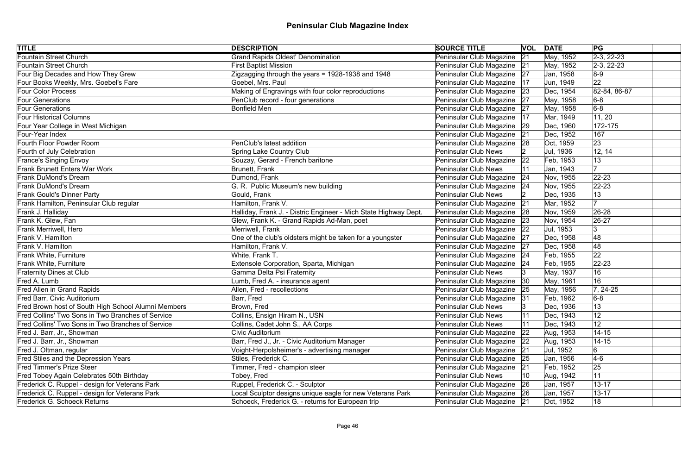| <b>TITLE</b>                                        | <b>DESCRIPTION</b>                                               | <b>SOURCE TITLE</b>           |    | <b>VOL DATE</b> | PG                   |
|-----------------------------------------------------|------------------------------------------------------------------|-------------------------------|----|-----------------|----------------------|
| <b>Fountain Street Church</b>                       | <b>Grand Rapids Oldest' Denomination</b>                         | Peninsular Club Magazine      | 21 | May, 1952       | $\sqrt{2-3}$ , 22-23 |
| <b>Fountain Street Church</b>                       | <b>First Baptist Mission</b>                                     | Peninsular Club Magazine 21   |    | May, 1952       | $ 2-3, 22-23$        |
| Four Big Decades and How They Grew                  | Zigzagging through the years = 1928-1938 and 1948                | Peninsular Club Magazine 27   |    | Jan, 1958       | $8-9$                |
| Four Books Weekly, Mrs. Goebel's Fare               | Goebel, Mrs. Paul                                                | Peninsular Club Magazine      | 17 | Jun, 1949       | 22                   |
| <b>Four Color Process</b>                           | Making of Engravings with four color reproductions               | Peninsular Club Magazine 23   |    | Dec, 1954       | 82-84, 86-87         |
| <b>Four Generations</b>                             | PenClub record - four generations                                | Peninsular Club Magazine 27   |    | May, 1958       | $6-8$                |
| <b>Four Generations</b>                             | <b>Bonfield Men</b>                                              | Peninsular Club Magazine   27 |    | May, 1958       | $6-8$                |
| <b>Four Historical Columns</b>                      |                                                                  | Peninsular Club Magazine  17  |    | Mar, 1949       | 11, 20               |
| Four Year College in West Michigan                  |                                                                  | Peninsular Club Magazine      | 29 | Dec, 1960       | 172-175              |
| Four-Year Index                                     |                                                                  | Peninsular Club Magazine 21   |    | Dec, 1952       | 167                  |
| Fourth Floor Powder Room                            | PenClub's latest addition                                        | Peninsular Club Magazine 28   |    | Oct, 1959       | 23                   |
| Fourth of July Celebration                          | Spring Lake Country Club                                         | <b>Peninsular Club News</b>   |    | Jul, 1936       | 12, 14               |
| <b>France's Singing Envoy</b>                       | Souzay, Gerard - French baritone                                 | Peninsular Club Magazine 22   |    | Feb, 1953       | 13                   |
| <b>Frank Brunett Enters War Work</b>                | Brunett, Frank                                                   | <b>Peninsular Club News</b>   |    | Jan, 1943       | 17                   |
| <b>Frank DuMond's Dream</b>                         | Dumond, Frank                                                    | Peninsular Club Magazine      | 24 | Nov, 1955       | $ 22 - 23 $          |
| <b>Frank DuMond's Dream</b>                         | G. R. Public Museum's new building                               | Peninsular Club Magazine   24 |    | Nov, 1955       | $ 22 - 23 $          |
| <b>Frank Gould's Dinner Party</b>                   | Gould, Frank                                                     | <b>Peninsular Club News</b>   |    | Dec, 1935       | 13                   |
| Frank Hamilton, Peninsular Club regular             | Hamilton, Frank V.                                               | Peninsular Club Magazine      | 21 | Mar, 1952       |                      |
| Frank J. Halliday                                   | Halliday, Frank J. - Distric Engineer - Mich State Highway Dept. | Peninsular Club Magazine      | 28 | Nov, 1959       | 26-28                |
| Frank K. Glew, Fan                                  | Glew, Frank K. - Grand Rapids Ad-Man, poet                       | Peninsular Club Magazine 23   |    | Nov, 1954       | $ 26-27$             |
| <b>Frank Merriwell, Hero</b>                        | Merriwell, Frank                                                 | Peninsular Club Magazine      | 22 | Jul, 1953       | 3                    |
| Frank V. Hamilton                                   | One of the club's oldsters might be taken for a youngster        | Peninsular Club Magazine      | 27 | Dec, 1958       | 48                   |
| Frank V. Hamilton                                   | Hamilton, Frank V.                                               | Peninsular Club Magazine      | 27 | Dec, 1958       | 48                   |
| Frank White, Furniture                              | White, Frank T.                                                  | Peninsular Club Magazine   24 |    | Feb, 1955       | 22                   |
| Frank White, Furniture                              | Extensole Corporation, Sparta, Michigan                          | Peninsular Club Magazine 24   |    | Feb, 1955       | $22 - 23$            |
| <b>Fraternity Dines at Club</b>                     | Gamma Delta Psi Fraternity                                       | <b>Peninsular Club News</b>   |    | May, 1937       | 16                   |
| Fred A. Lumb                                        | Lumb, Fred A. - insurance agent                                  | Peninsular Club Magazine 30   |    | May, 1961       | 16                   |
| <b>Fred Allen in Grand Rapids</b>                   | Allen, Fred - recollections                                      | Peninsular Club Magazine   25 |    | May, 1956       | $ 7, 24-25$          |
| Fred Barr, Civic Auditorium                         | Barr, Fred                                                       | Peninsular Club Magazine 31   |    | Feb, 1962       | $6-8$                |
| Fred Brown host of South High School Alumni Members | Brown, Fred                                                      | <b>Peninsular Club News</b>   |    | Dec, 1936       | 13                   |
| Fred Collins' Two Sons in Two Branches of Service   | Collins, Ensign Hiram N., USN                                    | <b>Peninsular Club News</b>   |    | Dec, 1943       | 12                   |
| Fred Collins' Two Sons in Two Branches of Service   | Collins, Cadet John S., AA Corps                                 | <b>Peninsular Club News</b>   |    | Dec, 1943       | 12 <sub>2</sub>      |
| Fred J. Barr, Jr., Showman                          | Civic Auditorium                                                 | Peninsular Club Magazine      | 22 | Aug, 1953       | $14 - 15$            |
| Fred J. Barr, Jr., Showman                          | Barr, Fred J., Jr. - Civic Auditorium Manager                    | Peninsular Club Magazine      | 22 | Aug, 1953       | $14 - 15$            |
| Fred J. Oltman, regular                             | Voight-Herpolsheimer's - advertising manager                     | Peninsular Club Magazine      | 21 | Jul, 1952       |                      |
| Fred Stiles and the Depression Years                | Stiles, Frederick C.                                             | Peninsular Club Magazine      | 25 | Jan, 1956       | $4-6$                |
| <b>Fred Timmer's Prize Steer</b>                    | Timmer, Fred - champion steer                                    | Peninsular Club Magazine      | 21 | Feb, 1952       | 25                   |
| Fred Tobey Again Celebrates 50th Birthday           | Tobey, Fred                                                      | <b>Peninsular Club News</b>   | 10 | Aug, 1942       | 11                   |
| Frederick C. Ruppel - design for Veterans Park      | Ruppel, Frederick C. - Sculptor                                  | Peninsular Club Magazine      | 26 | Jan, 1957       | $13 - 17$            |
| Frederick C. Ruppel - design for Veterans Park      | Local Sculptor designs unique eagle for new Veterans Park        | Peninsular Club Magazine 26   |    | Jan, 1957       | $13 - 17$            |
| <b>Frederick G. Schoeck Returns</b>                 | Schoeck, Frederick G. - returns for European trip                | Peninsular Club Magazine   21 |    | Oct, 1952       | 18                   |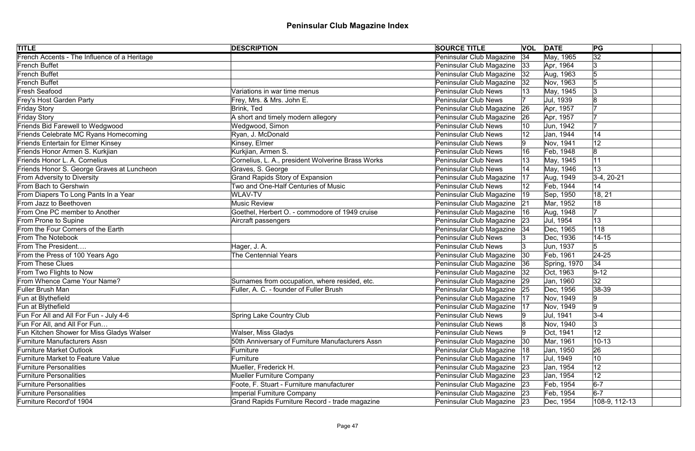| <b>TITLE</b>                                 | <b>DESCRIPTION</b>                                | <b>SOURCE TITLE</b>           |              | <b>VOL DATE</b> | PG              |
|----------------------------------------------|---------------------------------------------------|-------------------------------|--------------|-----------------|-----------------|
| French Accents - The Influence of a Heritage |                                                   | Peninsular Club Magazine      | 34           | May, 1965       | $\overline{32}$ |
| French Buffet                                |                                                   | Peninsular Club Magazine      | 33           | Apr, 1964       | 13              |
| French Buffet                                |                                                   | Peninsular Club Magazine      | 32           | Aug, 1963       | 5               |
| French Buffet                                |                                                   | Peninsular Club Magazine      | 32           | Nov, 1963       | 5               |
| <b>Fresh Seafood</b>                         | Variations in war time menus                      | <b>Peninsular Club News</b>   |              | May, 1945       | Ι3              |
| Frey's Host Garden Party                     | Frey, Mrs. & Mrs. John E.                         | <b>Peninsular Club News</b>   |              | Jul, 1939       | 18              |
| Friday Story                                 | Brink, Ted                                        | Peninsular Club Magazine      | 26           | Apr, 1957       |                 |
| Friday Story                                 | A short and timely modern allegory                | Peninsular Club Magazine      | 26           | Apr, 1957       |                 |
| Friends Bid Farewell to Wedgwood             | Wedgwood, Simon                                   | <b>Peninsular Club News</b>   | 10           | Jun, 1942       |                 |
| Friends Celebrate MC Ryans Homecoming        | Ryan, J. McDonald                                 | <b>Peninsular Club News</b>   |              | Jan, 1944       | 14              |
| <b>Friends Entertain for Elmer Kinsey</b>    | Kinsey, Elmer                                     | <b>Peninsular Club News</b>   |              | Nov, 1941       | 12              |
| Friends Honor Armen S. Kurkjian              | Kurkjian, Armen S.                                | <b>Peninsular Club News</b>   |              | Feb, 1948       | 8               |
| Friends Honor L. A. Cornelius                | Cornelius, L. A., president Wolverine Brass Works | <b>Peninsular Club News</b>   |              | May, 1945       | 11              |
| Friends Honor S. George Graves at Luncheon   | Graves, S. George                                 | <b>Peninsular Club News</b>   |              | May, 1946       | 13              |
| From Adversity to Diversity                  | <b>Grand Rapids Story of Expansion</b>            | Peninsular Club Magazine      | 17           | Aug, 1949       | $3-4, 20-21$    |
| From Bach to Gershwin                        | Two and One-Half Centuries of Music               | <b>Peninsular Club News</b>   |              | Feb, 1944       | 14              |
| From Diapers To Long Pants In a Year         | <b>WLAV-TV</b>                                    | Peninsular Club Magazine      | $ 19\rangle$ | Sep, 1950       | 18, 21          |
| From Jazz to Beethoven                       | <b>Music Review</b>                               | Peninsular Club Magazine      | 21           | Mar, 1952       | 18              |
| From One PC member to Another                | Goethel, Herbert O. - commodore of 1949 cruise    | Peninsular Club Magazine      | 16           | Aug, 1948       |                 |
| From Prone to Supine                         | Aircraft passengers                               | Peninsular Club Magazine      | 23           | Jul, 1954       | 13              |
| From the Four Corners of the Earth           |                                                   | Peninsular Club Magazine      | 34           | Dec, 1965       | 118             |
| <b>From The Notebook</b>                     |                                                   | <b>Peninsular Club News</b>   |              | Dec, 1936       | $14 - 15$       |
| From The President                           | Hager, J. A.                                      | <b>Peninsular Club News</b>   | 13           | Jun, 1937       | 5               |
| From the Press of 100 Years Ago              | <b>The Centennial Years</b>                       | Peninsular Club Magazine      | $ 30\rangle$ | Feb, 1961       | $ 24-25$        |
| From These Clues                             |                                                   | Peninsular Club Magazine 36   |              | Spring, 1970    | 34              |
| From Two Flights to Now                      |                                                   | Peninsular Club Magazine      | 32           | Oct, 1963       | $9 - 12$        |
| From Whence Came Your Name?                  | Surnames from occupation, where resided, etc.     | Peninsular Club Magazine 29   |              | Jan, 1960       | 32              |
| Fuller Brush Man                             | Fuller, A. C. - founder of Fuller Brush           | Peninsular Club Magazine 25   |              | Dec, 1956       | $ 38-39 $       |
| Fun at Blythefield                           |                                                   | Peninsular Club Magazine   17 |              | Nov, 1949       | 9               |
| Fun at Blythefield                           |                                                   | Peninsular Club Magazine      | 17           | Nov, 1949       | $\overline{9}$  |
| Fun For All and All For Fun - July 4-6       | <b>Spring Lake Country Club</b>                   | <b>Peninsular Club News</b>   |              | Jul, 1941       | $3-4$           |
| Fun For All, and All For Fun                 |                                                   | <b>Peninsular Club News</b>   |              | Nov, 1940       | 3               |
| Fun Kitchen Shower for Miss Gladys Walser    | Walser, Miss Gladys                               | <b>Peninsular Club News</b>   |              | Oct, 1941       | 12              |
| Furniture Manufacturers Assn                 | 50th Anniversary of Furniture Manufacturers Assn  | Peninsular Club Magazine      | $ 30\rangle$ | Mar, 1961       | $10 - 13$       |
| <b>Furniture Market Outlook</b>              | Furniture                                         | Peninsular Club Magazine      | 18           | Jan, 1950       | 26              |
| <b>Furniture Market to Feature Value</b>     | Furniture                                         | Peninsular Club Magazine      | 17           | Jul, 1949       | 10              |
| <b>Furniture Personalities</b>               | Mueller, Frederick H.                             | Peninsular Club Magazine      | 23           | Jan, 1954       | 12              |
| <b>Furniture Personalities</b>               | Mueller Furniture Company                         | Peninsular Club Magazine      | 23           | Jan, 1954       | 12              |
| <b>Furniture Personalities</b>               | Foote, F. Stuart - Furniture manufacturer         | Peninsular Club Magazine 23   |              | Feb, 1954       | $6-7$           |
| <b>Furniture Personalities</b>               | <b>Imperial Furniture Company</b>                 | Peninsular Club Magazine 23   |              | Feb, 1954       | $6-7$           |
| Furniture Record'of 1904                     | Grand Rapids Furniture Record - trade magazine    | Peninsular Club Magazine 23   |              | Dec, 1954       | 108-9, 112-13   |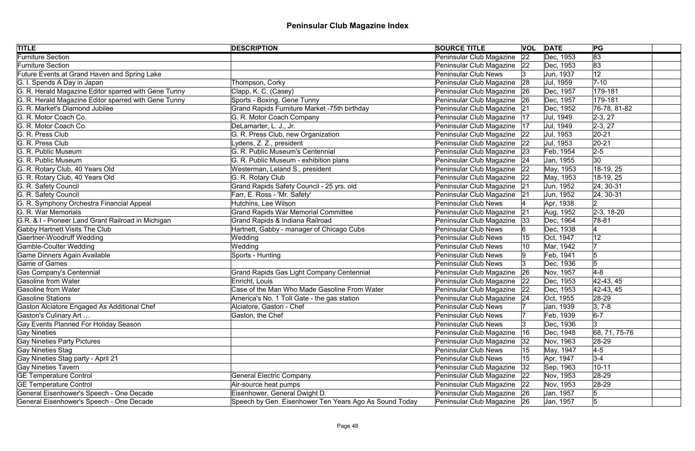| <b>TITLE</b>                                         | <b>DESCRIPTION</b>                                     | <b>SOURCE TITLE</b>           |    | <b>VOL DATE</b> | PG             |
|------------------------------------------------------|--------------------------------------------------------|-------------------------------|----|-----------------|----------------|
| <b>Furniture Section</b>                             |                                                        | Peninsular Club Magazine      | 22 | Dec, 1953       | 83             |
| Furniture Section                                    |                                                        | Peninsular Club Magazine 22   |    | Dec, 1953       | 83             |
| Future Events at Grand Haven and Spring Lake         |                                                        | <b>Peninsular Club News</b>   |    | Jun, 1937       | 12             |
| G. I. Spends A Day in Japan                          | Thompson, Corky                                        | Peninsular Club Magazine 28   |    | Jul, 1959       | $7 - 10$       |
| G. R. Herald Magazine Editor sparred with Gene Tunny | Clapp, K. C. (Casey)                                   | Peninsular Club Magazine      | 26 | Dec, 1957       | 179-181        |
| G. R. Herald Magazine Editor sparred with Gene Tunny | Sports - Boxing, Gene Tunny                            | Peninsular Club Magazine 26   |    | Dec, 1957       | 179-181        |
| G. R. Market's Diamond Jubilee                       | Grand Rapids Furniture Market -75th birthday           | Peninsular Club Magazine 21   |    | Dec, 1952       | 76-78, 81-82   |
| G. R. Motor Coach Co.                                | G. R. Motor Coach Company                              | Peninsular Club Magazine      | 17 | Jul, 1949       | $2-3, 27$      |
| G. R. Motor Coach Co.                                | DeLamarter, L. J., Jr.                                 | Peninsular Club Magazine      | 17 | Jul, 1949       | $ 2-3, 27$     |
| G. R. Press Club                                     | G. R. Press Club, new Organization                     | Peninsular Club Magazine 22   |    | Jul, 1953       | $20 - 21$      |
| G. R. Press Club                                     | Lydens, Z. Z., president                               | Peninsular Club Magazine      | 22 | Jul, 1953       | $ 20-21 $      |
| G. R. Public Museum                                  | G. R. Public Museum's Centennial                       | Peninsular Club Magazine      | 23 | Feb, 1954       | $2 - 5$        |
| G. R. Public Museum                                  | G. R. Public Museum - exhibition plans                 | Peninsular Club Magazine 24   |    | Jan, 1955       | $ 30\rangle$   |
| G. R. Rotary Club, 40 Years Old                      | Westerman, Leland S., president                        | Peninsular Club Magazine 22   |    | May, 1953       | 18-19, 25      |
| G. R. Rotary Club, 40 Years Old                      | G. R. Rotary Club                                      | Peninsular Club Magazine 22   |    | May, 1953       | 18-19, 25      |
| G. R. Safety Council                                 | Grand Rapids Safety Council - 25 yrs. old              | Peninsular Club Magazine      | 21 | Jun, 1952       | 24, 30-31      |
| G. R. Safety Council                                 | Farr, E. Ross - 'Mr. Safety'                           | Peninsular Club Magazine 21   |    | Jun, 1952       | 24, 30-31      |
| G. R. Symphony Orchestra Financial Appeal            | Hutchins, Lee Wilson                                   | <b>Peninsular Club News</b>   |    | Apr, 1938       | 2              |
| G. R. War Memorials                                  | <b>Grand Rapids War Memorial Committee</b>             | Peninsular Club Magazine 21   |    | Aug, 1952       | $ 2-3, 18-20$  |
| G.R. & I - Pioneer Land Grant Railroad in Michigan   | Grand Rapids & Indiana Railroad                        | Peninsular Club Magazine      | 33 | Dec, 1964       | 78-81          |
| Gabby Hartnett Visits The Club                       | Hartnett, Gabby - manager of Chicago Cubs              | <b>Peninsular Club News</b>   |    | Dec, 1938       |                |
| Gaertner-Woodruff Wedding                            | Wedding                                                | <b>Peninsular Club News</b>   |    | Oct, 1947       | 12             |
| Gamble-Coulter Wedding                               | Wedding                                                | <b>Peninsular Club News</b>   |    | Mar, 1942       |                |
| Game Dinners Again Available                         | Sports - Hunting                                       | Peninsular Club News          |    | Feb, 1941       | 5              |
| Game of Games                                        |                                                        | <b>Peninsular Club News</b>   |    | Dec, 1936       | 5              |
| Gas Company's Centennial                             | <b>Grand Rapids Gas Light Company Centennial</b>       | Peninsular Club Magazine 26   |    | Nov, 1957       | $4-8$          |
| Gasoline from Water                                  | Enricht, Louis                                         | Peninsular Club Magazine      | 22 | Dec, 1953       | $ 42-43, 45 $  |
| Gasoline from Water                                  | Case of the Man Who Made Gasoline From Water           | Peninsular Club Magazine   22 |    | Dec, 1953       | $ 42-43, 45 $  |
| Gasoline Stations                                    | America's No. 1 Toll Gate - the gas station            | Peninsular Club Magazine 24   |    | Oct, 1955       | 28-29          |
| Gaston Alciatore Engaged As Additional Chef          | Alciatore, Gaston - Chef                               | <b>Peninsular Club News</b>   |    | Jan, 1939       | $ 3, 7-8$      |
| Gaston's Culinary Art                                | Gaston, the Chef                                       | <b>Peninsular Club News</b>   |    | Feb, 1939       | $6-7$          |
| Gay Events Planned For Holiday Season                |                                                        | <b>Peninsular Club News</b>   |    | Dec, 1936       | 3              |
| <b>Gay Nineties</b>                                  |                                                        | Peninsular Club Magazine      | 16 | Dec, 1948       | 68, 71, 75-76  |
| <b>Gay Nineties Party Pictures</b>                   |                                                        | Peninsular Club Magazine      | 32 | Nov, 1963       | 28-29          |
| Gay Nineties Stag                                    |                                                        | <b>Peninsular Club News</b>   | 15 | May, 1947       | $4-5$          |
| Gay Nineties Stag party - April 21                   |                                                        | <b>Peninsular Club News</b>   | 15 | Apr, 1947       | $3 - 4$        |
| Gay Nineties Tavern                                  |                                                        | Peninsular Club Magazine      | 32 | Sep, 1963       | $10 - 11$      |
| <b>GE Temperature Control</b>                        | <b>General Electric Company</b>                        | Peninsular Club Magazine 22   |    | Nov, 1953       | 28-29          |
| <b>GE Temperature Control</b>                        | Air-source heat pumps                                  | Peninsular Club Magazine      | 22 | Nov, 1953       | 28-29          |
| General Eisenhower's Speech - One Decade             | Eisenhower, General Dwight D.                          | Peninsular Club Magazine 26   |    | Jan, 1957       | 5              |
| General Eisenhower's Speech - One Decade             | Speech by Gen. Eisenhower Ten Years Ago As Sound Today | Peninsular Club Magazine 26   |    | Jan, 1957       | $\overline{5}$ |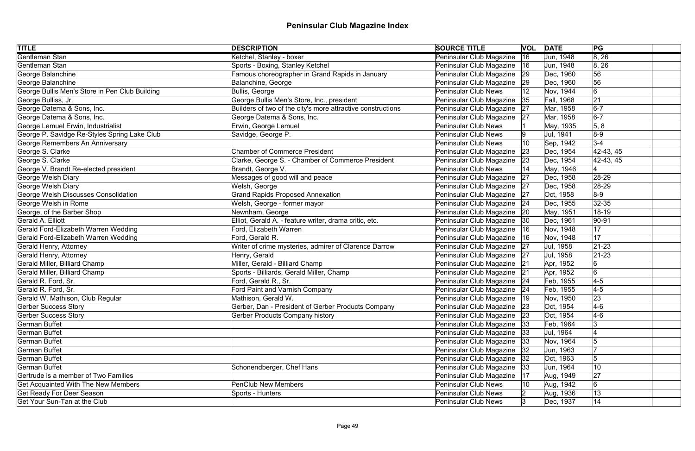| <b>TITLE</b>                                   | <b>DESCRIPTION</b>                                          | <b>SOURCE TITLE</b>           | <b>VOL DATE</b> |                   | PG            |
|------------------------------------------------|-------------------------------------------------------------|-------------------------------|-----------------|-------------------|---------------|
| Gentleman Stan                                 | Ketchel, Stanley - boxer                                    | Peninsular Club Magazine      | 16              | Jun, 1948         | 8, 26         |
| Gentleman Stan                                 | Sports - Boxing, Stanley Ketchel                            | Peninsular Club Magazine      | 16              | Jun, 1948         | 8, 26         |
| George Balanchine                              | Famous choreographer in Grand Rapids in January             | Peninsular Club Magazine 29   |                 | Dec, 1960         | 56            |
| George Balanchine                              | Balanchine, George                                          | Peninsular Club Magazine      | 29              | Dec, 1960         | 56            |
| George Bullis Men's Store in Pen Club Building | Bullis, George                                              | <b>Peninsular Club News</b>   | 12              | Nov, 1944         | 6             |
| George Bulliss, Jr.                            | George Bullis Men's Store, Inc., president                  | Peninsular Club Magazine 35   |                 | <b>Fall, 1968</b> | 21            |
| George Datema & Sons, Inc.                     | Builders of two of the city's more attractive constructions | Peninsular Club Magazine 27   |                 | Mar, 1958         | $6-7$         |
| George Datema & Sons, Inc.                     | George Datema & Sons, Inc.                                  | Peninsular Club Magazine   27 |                 | Mar, 1958         | $6-7$         |
| George Lemuel Erwin, Industrialist             | Erwin, George Lemuel                                        | <b>Peninsular Club News</b>   |                 | May, 1935         | 5, 8          |
| George P. Savidge Re-Styles Spring Lake Club   | Savidge, George P.                                          | Peninsular Club News          | 9               | Jul, 1941         | $8-9$         |
| George Remembers An Anniversary                |                                                             | Peninsular Club News          | 10              | Sep, 1942         | $3 - 4$       |
| George S. Clarke                               | <b>Chamber of Commerce President</b>                        | Peninsular Club Magazine      | $ 23\rangle$    | Dec, 1954         | $42-43, 45$   |
| George S. Clarke                               | Clarke, George S. - Chamber of Commerce President           | Peninsular Club Magazine      | 23              | Dec, 1954         | $ 42-43, 45 $ |
| George V. Brandt Re-elected president          | Brandt, George V.                                           | Peninsular Club News          |                 | May, 1946         |               |
| George Welsh Diary                             | Messages of good will and peace                             | Peninsular Club Magazine      | 27              | Dec, 1958         | 28-29         |
| George Welsh Diary                             | Welsh, George                                               | Peninsular Club Magazine      | 27              | Dec, 1958         | $28-29$       |
| George Welsh Discusses Consolidation           | <b>Grand Rapids Proposed Annexation</b>                     | Peninsular Club Magazine      | 27              | Oct, 1958         | $8-9$         |
| George Welsh in Rome                           | Welsh, George - former mayor                                | Peninsular Club Magazine   24 |                 | Dec, 1955         | $32 - 35$     |
| George, of the Barber Shop                     | Newnham, George                                             | Peninsular Club Magazine      | 20              | May, 1951         | 18-19         |
| <b>Gerald A. Elliott</b>                       | Elliot, Gerald A. - feature writer, drama critic, etc.      | Peninsular Club Magazine 30   |                 | Dec, 1961         | 90-91         |
| Gerald Ford-Elizabeth Warren Wedding           | Ford, Elizabeth Warren                                      | Peninsular Club Magazine      | 16              | Nov, 1948         | 17            |
| Gerald Ford-Elizabeth Warren Wedding           | Ford, Gerald R.                                             | Peninsular Club Magazine   16 |                 | Nov, 1948         | 17            |
| Gerald Henry, Attorney                         | Writer of crime mysteries, admirer of Clarence Darrow       | Peninsular Club Magazine 27   |                 | Jul, 1958         | $21 - 23$     |
| Gerald Henry, Attorney                         | Henry, Gerald                                               | Peninsular Club Magazine 27   |                 | Jul, 1958         | $ 21-23 $     |
| Gerald Miller, Billiard Champ                  | Miller, Gerald - Billiard Champ                             | Peninsular Club Magazine 21   |                 | Apr, 1952         |               |
| Gerald Miller, Billiard Champ                  | Sports - Billiards, Gerald Miller, Champ                    | Peninsular Club Magazine 21   |                 | Apr, 1952         | 6             |
| Gerald R. Ford, Sr.                            | Ford, Gerald R., Sr.                                        | Peninsular Club Magazine 24   |                 | Feb, 1955         | $4-5$         |
| Gerald R. Ford, Sr.                            | Ford Paint and Varnish Company                              | Peninsular Club Magazine   24 |                 | Feb, 1955         | $4-5$         |
| Gerald W. Mathison, Club Regular               | Mathison, Gerald W.                                         | Peninsular Club Magazine   19 |                 | Nov, 1950         | 23            |
| <b>Gerber Success Story</b>                    | Gerber, Dan - President of Gerber Products Company          | Peninsular Club Magazine 23   |                 | Oct, 1954         | $4-6$         |
| <b>Gerber Success Story</b>                    | <b>Gerber Products Company history</b>                      | Peninsular Club Magazine 23   |                 | Oct, 1954         | $4-6$         |
| <b>German Buffet</b>                           |                                                             | Peninsular Club Magazine  33  |                 | Feb, 1964         |               |
| <b>German Buffet</b>                           |                                                             | Peninsular Club Magazine      | 33              | Jul, 1964         |               |
| <b>German Buffet</b>                           |                                                             | Peninsular Club Magazine      | 33              | Nov, 1964         |               |
| <b>German Buffet</b>                           |                                                             | Peninsular Club Magazine      | 32              | Jun, 1963         |               |
| <b>German Buffet</b>                           |                                                             | Peninsular Club Magazine      | 32              | Oct, 1963         |               |
| <b>German Buffet</b>                           | Schonendberger, Chef Hans                                   | Peninsular Club Magazine      | 33              | Jun, 1964         | 10            |
| Gertrude is a member of Two Families           |                                                             | Peninsular Club Magazine      | 17              | Aug, 1949         | 27            |
| <b>Get Acquainted With The New Members</b>     | <b>PenClub New Members</b>                                  | <b>Peninsular Club News</b>   | 10              | Aug, 1942         | 6             |
| <b>Get Ready For Deer Season</b>               | Sports - Hunters                                            | Peninsular Club News          |                 | Aug, 1936         | 13            |
| Get Your Sun-Tan at the Club                   |                                                             | <b>Peninsular Club News</b>   | Ι3              | Dec, 1937         | 14            |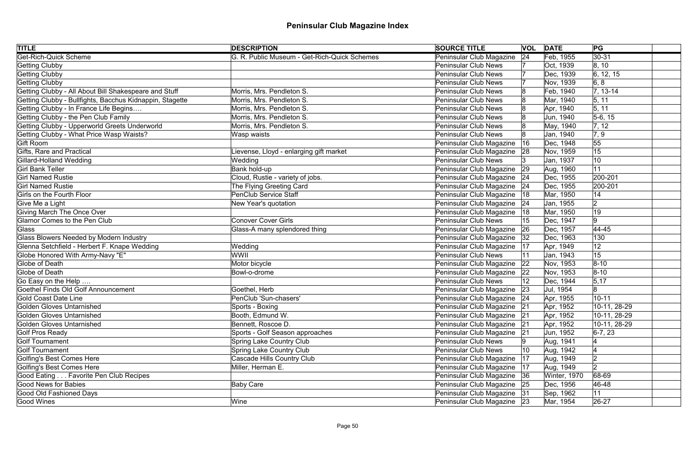| <b>TITLE</b>                                             | <b>DESCRIPTION</b>                           | <b>SOURCE TITLE</b>           |     | <b>VOL DATE</b> | PG                 |
|----------------------------------------------------------|----------------------------------------------|-------------------------------|-----|-----------------|--------------------|
| <b>Get-Rich-Quick Scheme</b>                             | G. R. Public Museum - Get-Rich-Quick Schemes | Peninsular Club Magazine      | 24  | Feb, 1955       | $ 30-31$           |
| <b>Getting Clubby</b>                                    |                                              | <b>Peninsular Club News</b>   |     | Oct, 1939       | 8, 10              |
| Getting Clubby                                           |                                              | <b>Peninsular Club News</b>   |     | Dec, 1939       | 6, 12, 15          |
| Getting Clubby                                           |                                              | <b>Peninsular Club News</b>   |     | Nov, 1939       | 6, 8               |
| Getting Clubby - All About Bill Shakespeare and Stuff    | Morris, Mrs. Pendleton S.                    | <b>Peninsular Club News</b>   |     | Feb, 1940       | $ 7, 13-14$        |
| Getting Clubby - Bullfights, Bacchus Kidnappin, Stagette | Morris, Mrs. Pendleton S.                    | <b>Peninsular Club News</b>   |     | Mar, 1940       | 5, 11              |
| Getting Clubby - In France Life Begins                   | Morris, Mrs. Pendleton S.                    | <b>Peninsular Club News</b>   |     | Apr, 1940       | 5, 11              |
| Getting Clubby - the Pen Club Family                     | Morris, Mrs. Pendleton S.                    | <b>Peninsular Club News</b>   |     | Jun, 1940       | $5-6, 15$          |
| Getting Clubby - Upperworld Greets Underworld            | Morris, Mrs. Pendleton S.                    | <b>Peninsular Club News</b>   |     | May, 1940       | 7, 12              |
| Getting Clubby - What Price Wasp Waists?                 | Wasp waists                                  | <b>Peninsular Club News</b>   |     | Jan, 1940       | $\vert 7, 9 \vert$ |
| Gift Room                                                |                                              | Peninsular Club Magazine      | 16  | Dec, 1948       | 55                 |
| Gifts, Rare and Practical                                | Lievense, Lloyd - enlarging gift market      | Peninsular Club Magazine      | 28  | Nov, 1959       | 15                 |
| Gillard-Holland Wedding                                  | Wedding                                      | <b>Peninsular Club News</b>   |     | Jan, 1937       | 10                 |
| <b>Girl Bank Teller</b>                                  | Bank hold-up                                 | Peninsular Club Magazine      | 29  | Aug, 1960       | 11                 |
| <b>Girl Named Rustie</b>                                 | Cloud, Rustie - variety of jobs.             | Peninsular Club Magazine 24   |     | Dec, 1955       | 200-201            |
| <b>Girl Named Rustie</b>                                 | The Flying Greeting Card                     | Peninsular Club Magazine      | 24  | Dec, 1955       | 200-201            |
| Girls on the Fourth Floor                                | <b>PenClub Service Staff</b>                 | Peninsular Club Magazine      | 18  | Mar, 1950       | 14                 |
| Give Me a Light                                          | New Year's quotation                         | Peninsular Club Magazine 24   |     | Jan, 1955       | 2                  |
| Giving March The Once Over                               |                                              | Peninsular Club Magazine      | ା18 | Mar, 1950       | 19                 |
| Glamor Comes to the Pen Club                             | <b>Conover Cover Girls</b>                   | <b>Peninsular Club News</b>   | 15  | Dec, 1947       | 9                  |
| Glass                                                    | Glass-A many splendored thing                | Peninsular Club Magazine 26   |     | Dec, 1957       | $ 44 - 45$         |
| Glass Blowers Needed by Modern Industry                  |                                              | Peninsular Club Magazine      | 32  | Dec, 1963       | 130                |
| Glenna Setchfield - Herbert F. Knape Wedding             | Wedding                                      | Peninsular Club Magazine      | 17  | Apr, 1949       | 12                 |
| Globe Honored With Army-Navy "E"                         | WWII                                         | <b>Peninsular Club News</b>   |     | Jan, 1943       | 15                 |
| Globe of Death                                           | Motor bicycle                                | Peninsular Club Magazine 22   |     | Nov, 1953       | $ 8 - 10$          |
| Globe of Death                                           | Bowl-o-drome                                 | Peninsular Club Magazine      | 22  | Nov, 1953       | $ 8 - 10 $         |
| Go Easy on the Help                                      |                                              | <b>Peninsular Club News</b>   |     | Dec, 1944       | 5, 17              |
| Goethel Finds Old Golf Announcement                      | Goethel, Herb                                | Peninsular Club Magazine 23   |     | Jul, 1954       | 8                  |
| Gold Coast Date Line                                     | PenClub 'Sun-chasers'                        | Peninsular Club Magazine 24   |     | Apr, 1955       | $10 - 11$          |
| Golden Gloves Untarnished                                | Sports - Boxing                              | Peninsular Club Magazine      | 21  | Apr, 1952       | 10-11, 28-29       |
| Golden Gloves Untarnished                                | Booth, Edmund W.                             | Peninsular Club Magazine   21 |     | Apr, 1952       | 10-11, 28-29       |
| Golden Gloves Untarnished                                | Bennett, Roscoe D.                           | Peninsular Club Magazine      | 21  | Apr, 1952       | 10-11, 28-29       |
| Golf Pros Ready                                          | Sports - Golf Season approaches              | Peninsular Club Magazine      | 21  | Jun, 1952       | $6-7, 23$          |
| Golf Tournament                                          | <b>Spring Lake Country Club</b>              | <b>Peninsular Club News</b>   |     | Aug, 1941       |                    |
| <b>Golf Tournament</b>                                   | <b>Spring Lake Country Club</b>              | <b>Peninsular Club News</b>   | 10  | Aug, 1942       |                    |
| Golfing's Best Comes Here                                | <b>Cascade Hills Country Club</b>            | Peninsular Club Magazine      | 17  | Aug, 1949       |                    |
| Golfing's Best Comes Here                                | Miller, Herman E.                            | Peninsular Club Magazine      | 17  | Aug, 1949       | 2                  |
| Good Eating Favorite Pen Club Recipes                    |                                              | Peninsular Club Magazine 36   |     | Winter, 1970    | 68-69              |
| <b>Good News for Babies</b>                              | <b>Baby Care</b>                             | Peninsular Club Magazine 25   |     | Dec, 1956       | $ 46 - 48$         |
| Good Old Fashioned Days                                  |                                              | Peninsular Club Magazine 31   |     | Sep, 1962       | 11                 |
| Good Wines                                               | Wine                                         | Peninsular Club Magazine 23   |     | Mar, 1954       | $ 26-27 $          |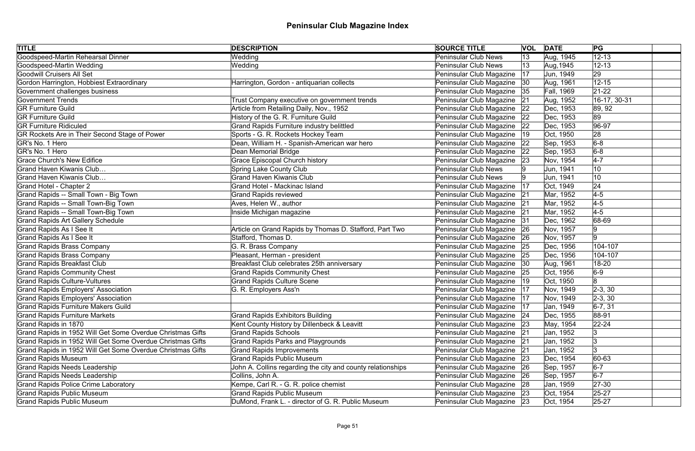| <b>TITLE</b>                                               | <b>DESCRIPTION</b>                                          | <b>SOURCE TITLE</b>           |    | <b>VOL DATE</b> | PG             |
|------------------------------------------------------------|-------------------------------------------------------------|-------------------------------|----|-----------------|----------------|
| Goodspeed-Martin Rehearsal Dinner                          | Wedding                                                     | <b>Peninsular Club News</b>   | 13 | Aug, 1945       | $12 - 13$      |
| Goodspeed-Martin Wedding                                   | Wedding                                                     | <b>Peninsular Club News</b>   | 13 | Aug, 1945       | $12 - 13$      |
| Goodwill Cruisers All Set                                  |                                                             | Peninsular Club Magazine      | 17 | Jun, 1949       | 29             |
| Gordon Harrington, Hobbiest Extraordinary                  | Harrington, Gordon - antiquarian collects                   | Peninsular Club Magazine      | 30 | Aug, 1961       | $12 - 15$      |
| Government challenges business                             |                                                             | Peninsular Club Magazine      | 35 | Fall, 1969      | $21 - 22$      |
| <b>Government Trends</b>                                   | Trust Company executive on government trends                | Peninsular Club Magazine      | 21 | Aug, 1952       | 16-17, 30-31   |
| <b>GR Furniture Guild</b>                                  | Article from Retailing Daily, Nov., 1952                    | Peninsular Club Magazine      | 22 | Dec, 1953       | 89, 92         |
| <b>GR Furniture Guild</b>                                  | History of the G. R. Furniture Guild                        | Peninsular Club Magazine      | 22 | Dec, 1953       | 89             |
| <b>GR Furniture Ridiculed</b>                              | <b>Grand Rapids Furniture industry belittled</b>            | Peninsular Club Magazine      | 22 | Dec, 1953       | $ 96-97$       |
| GR Rockets Are in Their Second Stage of Power              | Sports - G. R. Rockets Hockey Team                          | Peninsular Club Magazine      | 19 | Oct, 1950       | 28             |
| GR's No. 1 Hero                                            | Dean, William H. - Spanish-American war hero                | Peninsular Club Magazine      | 22 | Sep, 1953       | $6-8$          |
| GR's No. 1 Hero                                            | Dean Memorial Bridge                                        | Peninsular Club Magazine      | 22 | Sep, 1953       | $6-8$          |
| <b>Grace Church's New Edifice</b>                          | <b>Grace Episcopal Church history</b>                       | Peninsular Club Magazine      | 23 | Nov, 1954       | $4-7$          |
| Grand Haven Kiwanis Club                                   | <b>Spring Lake County Club</b>                              | <b>Peninsular Club News</b>   |    | Jun, 1941       | 10             |
| Grand Haven Kiwanis Club                                   | <b>Grand Haven Kiwanis Club</b>                             | <b>Peninsular Club News</b>   |    | Jun, 1941       | 10             |
| Grand Hotel - Chapter 2                                    | <b>Grand Hotel - Mackinac Island</b>                        | Peninsular Club Magazine      | 17 | Oct, 1949       | 24             |
| Grand Rapids -- Small Town - Big Town                      | <b>Grand Rapids reviewed</b>                                | Peninsular Club Magazine      | 21 | Mar, 1952       | $4-5$          |
| Grand Rapids -- Small Town-Big Town                        | Aves, Helen W., author                                      | Peninsular Club Magazine 21   |    | Mar, 1952       | $4-5$          |
| Grand Rapids -- Small Town-Big Town                        | Inside Michigan magazine                                    | Peninsular Club Magazine 21   |    | Mar, 1952       | $4-5$          |
| <b>Grand Rapids Art Gallery Schedule</b>                   |                                                             | Peninsular Club Magazine      | 31 | Dec, 1962       | 68-69          |
| Grand Rapids As I See It                                   | Article on Grand Rapids by Thomas D. Stafford, Part Two     | Peninsular Club Magazine   26 |    | Nov, 1957       | 9              |
| Grand Rapids As I See It                                   | Stafford, Thomas D.                                         | Peninsular Club Magazine      | 26 | Nov, 1957       | 9              |
| <b>Grand Rapids Brass Company</b>                          | G. R. Brass Company                                         | Peninsular Club Magazine   25 |    | Dec, 1956       | 104-107        |
| <b>Grand Rapids Brass Company</b>                          | Pleasant, Herman - president                                | Peninsular Club Magazine      | 25 | Dec, 1956       | 104-107        |
| <b>Grand Rapids Breakfast Club</b>                         | Breakfast Club celebrates 25th anniversary                  | Peninsular Club Magazine  30  |    | Aug, 1961       | 18-20          |
| <b>Grand Rapids Community Chest</b>                        | <b>Grand Rapids Community Chest</b>                         | Peninsular Club Magazine      | 25 | Oct, 1956       | $6-9$          |
| <b>Grand Rapids Culture-Vultures</b>                       | <b>Grand Rapids Culture Scene</b>                           | Peninsular Club Magazine      | 19 | Oct, 1950       | $\overline{8}$ |
| <b>Grand Rapids Employers' Association</b>                 | G. R. Employers Ass'n                                       | Peninsular Club Magazine      | 17 | Nov, 1949       | $ 2-3, 30$     |
| Grand Rapids Employers' Association                        |                                                             | Peninsular Club Magazine   17 |    | Nov, 1949       | $ 2-3, 30 $    |
| <b>Grand Rapids Furniture Makers Guild</b>                 |                                                             | Peninsular Club Magazine      | 17 | Jan, 1949       | $ 6-7, 31 $    |
| <b>Grand Rapids Furniture Markets</b>                      | <b>Grand Rapids Exhibitors Building</b>                     | Peninsular Club Magazine      | 24 | Dec, 1955       | 88-91          |
| Grand Rapids in 1870                                       | Kent County History by Dillenbeck & Leavitt                 | Peninsular Club Magazine      | 23 | May, 1954       | $22 - 24$      |
| Grand Rapids in 1952 Will Get Some Overdue Christmas Gifts | <b>Grand Rapids Schools</b>                                 | Peninsular Club Magazine      | 21 | Jan, 1952       | 13             |
| Grand Rapids in 1952 Will Get Some Overdue Christmas Gifts | <b>Grand Rapids Parks and Playgrounds</b>                   | Peninsular Club Magazine      | 21 | Jan, 1952       |                |
| Grand Rapids in 1952 Will Get Some Overdue Christmas Gifts | <b>Grand Rapids Improvements</b>                            | Peninsular Club Magazine      | 21 | Jan, 1952       | l3             |
| <b>Grand Rapids Museum</b>                                 | <b>Grand Rapids Public Museum</b>                           | Peninsular Club Magazine      | 23 | Dec, 1954       | 60-63          |
| <b>Grand Rapids Needs Leadership</b>                       | John A. Collins regarding the city and county relationships | Peninsular Club Magazine      | 26 | Sep, 1957       | $6-7$          |
| <b>Grand Rapids Needs Leadership</b>                       | Collins, John A.                                            | Peninsular Club Magazine 26   |    | Sep, 1957       | $6-7$          |
| <b>Grand Rapids Police Crime Laboratory</b>                | Kempe, Carl R. - G. R. police chemist                       | Peninsular Club Magazine 28   |    | Jan, 1959       | $27 - 30$      |
| <b>Grand Rapids Public Museum</b>                          | <b>Grand Rapids Public Museum</b>                           | Peninsular Club Magazine 23   |    | Oct, 1954       | $25 - 27$      |
| <b>Grand Rapids Public Museum</b>                          | DuMond, Frank L. - director of G. R. Public Museum          | Peninsular Club Magazine 23   |    | Oct, 1954       | $25 - 27$      |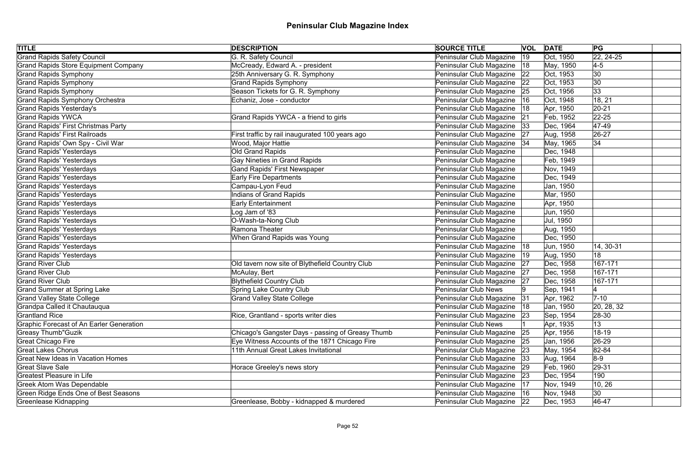| <b>TITLE</b>                                | <b>DESCRIPTION</b>                                | <b>SOURCE TITLE</b>           |              | <b>VOL</b> DATE | PG                 |
|---------------------------------------------|---------------------------------------------------|-------------------------------|--------------|-----------------|--------------------|
| <b>Grand Rapids Safety Council</b>          | G. R. Safety Council                              | Peninsular Club Magazine      | $ 19\rangle$ | Oct, 1950       | $\sqrt{22, 24-25}$ |
| <b>Grand Rapids Store Equipment Company</b> | McCready, Edward A. - president                   | Peninsular Club Magazine   18 |              | May, 1950       | $4-5$              |
| Grand Rapids Symphony                       | 25th Anniversary G. R. Symphony                   | Peninsular Club Magazine   22 |              | Oct, 1953       | 30                 |
| <b>Grand Rapids Symphony</b>                | <b>Grand Rapids Symphony</b>                      | Peninsular Club Magazine 22   |              | Oct, 1953       | $ 30\rangle$       |
| <b>Grand Rapids Symphony</b>                | Season Tickets for G. R. Symphony                 | Peninsular Club Magazine 25   |              | Oct, 1956       | 33                 |
| <b>Grand Rapids Symphony Orchestra</b>      | Echaniz, Jose - conductor                         | Peninsular Club Magazine   16 |              | Oct, 1948       | 18, 21             |
| <b>Grand Rapids Yesterday's</b>             |                                                   | Peninsular Club Magazine      | 18           | Apr, 1950       | $ 20-21$           |
| <b>Grand Rapids YWCA</b>                    | Grand Rapids YWCA - a friend to girls             | Peninsular Club Magazine 21   |              | Feb, 1952       | $ 22 - 25 $        |
| <b>Grand Rapids' First Christmas Party</b>  |                                                   | Peninsular Club Magazine 33   |              | Dec, 1964       | $ 47-49 $          |
| <b>Grand Rapids' First Railroads</b>        | First traffic by rail inaugurated 100 years ago   | Peninsular Club Magazine   27 |              | Aug, 1958       | $ 26-27$           |
| Grand Rapids' Own Spy - Civil War           | Wood, Major Hattie                                | Peninsular Club Magazine   34 |              | May, 1965       | 34                 |
| <b>Grand Rapids' Yesterdays</b>             | Old Grand Rapids                                  | Peninsular Club Magazine      |              | Dec, 1948       |                    |
| <b>Grand Rapids' Yesterdays</b>             | <b>Gay Nineties in Grand Rapids</b>               | Peninsular Club Magazine      |              | Feb, 1949       |                    |
| <b>Grand Rapids' Yesterdays</b>             | <b>Gand Rapids' First Newspaper</b>               | Peninsular Club Magazine      |              | Nov, 1949       |                    |
| <b>Grand Rapids' Yesterdays</b>             | <b>Early Fire Departments</b>                     | Peninsular Club Magazine      |              | Dec, 1949       |                    |
| <b>Grand Rapids' Yesterdays</b>             | Campau-Lyon Feud                                  | Peninsular Club Magazine      |              | Jan, 1950       |                    |
| <b>Grand Rapids' Yesterdays</b>             | <b>Indians of Grand Rapids</b>                    | Peninsular Club Magazine      |              | Mar, 1950       |                    |
| <b>Grand Rapids' Yesterdays</b>             | <b>Early Entertainment</b>                        | Peninsular Club Magazine      |              | Apr, 1950       |                    |
| <b>Grand Rapids' Yesterdays</b>             | Log Jam of '83                                    | Peninsular Club Magazine      |              | Jun, 1950       |                    |
| <b>Grand Rapids' Yesterdays</b>             | O-Wash-ta-Nong Club                               | Peninsular Club Magazine      |              | Jul, 1950       |                    |
| <b>Grand Rapids' Yesterdays</b>             | Ramona Theater                                    | Peninsular Club Magazine      |              | Aug, 1950       |                    |
| <b>Grand Rapids' Yesterdays</b>             | When Grand Rapids was Young                       | Peninsular Club Magazine      |              | Dec, 1950       |                    |
| <b>Grand Rapids' Yesterdays</b>             |                                                   | Peninsular Club Magazine   18 |              | Jun, 1950       | 14, 30-31          |
| <b>Grand Rapids' Yesterdays</b>             |                                                   | Peninsular Club Magazine      | 19           | Aug, 1950       | 18                 |
| <b>Grand River Club</b>                     | Old tavern now site of Blythefield Country Club   | Peninsular Club Magazine 27   |              | Dec, 1958       | 167-171            |
| <b>Grand River Club</b>                     | McAulay, Bert                                     | Peninsular Club Magazine 27   |              | Dec, 1958       | 167-171            |
| <b>Grand River Club</b>                     | <b>Blythefield Country Club</b>                   | Peninsular Club Magazine 27   |              | Dec, 1958       | 167-171            |
| <b>Grand Summer at Spring Lake</b>          | <b>Spring Lake Country Club</b>                   | <b>Peninsular Club News</b>   |              | Sep, 1941       |                    |
| <b>Grand Valley State College</b>           | <b>Grand Valley State College</b>                 | Peninsular Club Magazine   31 |              | Apr, 1962       | $7-10$             |
| Grandpa Called it Chautauqua                |                                                   | Peninsular Club Magazine      | 18           | Jan, 1950       | 20, 28, 32         |
| <b>Grantland Rice</b>                       | Rice, Grantland - sports writer dies              | Peninsular Club Magazine   23 |              | Sep, 1954       | $ 28-30 $          |
| Graphic Forecast of An Earler Generation    |                                                   | <b>Peninsular Club News</b>   |              | Apr, 1935       | 13                 |
| <b>Greasy Thumb"Guzik</b>                   | Chicago's Gangster Days - passing of Greasy Thumb | Peninsular Club Magazine      | 25           | Apr, 1956       | $18 - 19$          |
| Great Chicago Fire                          | Eye Witness Accounts of the 1871 Chicago Fire     | Peninsular Club Magazine      | 25           | Jan, 1956       | 26-29              |
| <b>Great Lakes Chorus</b>                   | 11th Annual Great Lakes Invitational              | Peninsular Club Magazine 23   |              | May, 1954       | $ 82 - 84 $        |
| <b>Great New Ideas in Vacation Homes</b>    |                                                   | Peninsular Club Magazine 33   |              | Aug, 1964       | $8-9$              |
| <b>Great Slave Sale</b>                     | Horace Greeley's news story                       | Peninsular Club Magazine   29 |              | Feb, 1960       | $ 29-31$           |
| <b>Greatest Pleasure in Life</b>            |                                                   | Peninsular Club Magazine 23   |              | Dec, 1954       | 190                |
| <b>Greek Atom Was Dependable</b>            |                                                   | Peninsular Club Magazine      | 17           | Nov, 1949       | 10, 26             |
| <b>Green Ridge Ends One of Best Seasons</b> |                                                   | Peninsular Club Magazine   16 |              | Nov, 1948       | 30                 |
| Greenlease Kidnapping                       | Greenlease, Bobby - kidnapped & murdered          | Peninsular Club Magazine 22   |              | Dec, 1953       | 46-47              |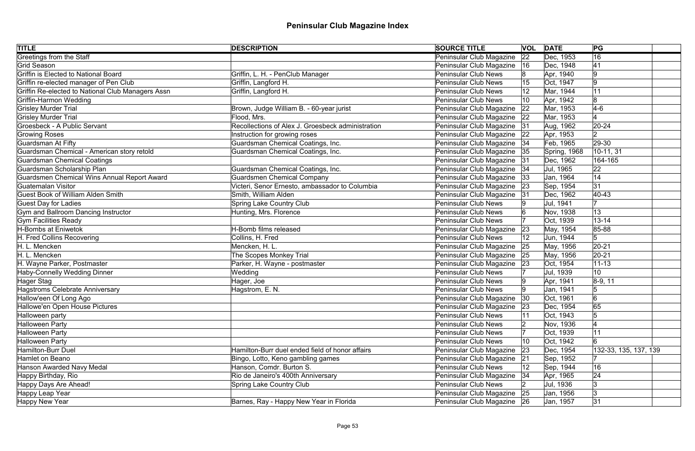| <b>TITLE</b>                                      | <b>DESCRIPTION</b>                                | <b>SOURCE TITLE</b>         |    | <b>VOL DATE</b> | PG                    |  |
|---------------------------------------------------|---------------------------------------------------|-----------------------------|----|-----------------|-----------------------|--|
| Greetings from the Staff                          |                                                   | Peninsular Club Magazine    | 22 | Dec, 1953       | 16                    |  |
| Grid Season                                       |                                                   | Peninsular Club Magazine    | 16 | Dec, 1948       | 41                    |  |
| Griffin is Elected to National Board              | Griffin, L. H. - PenClub Manager                  | <b>Peninsular Club News</b> |    | Apr, 1940       | 9                     |  |
| Griffin re-elected manager of Pen Club            | Griffin, Langford H.                              | Peninsular Club News        |    | Oct, 1947       | 9                     |  |
| Griffin Re-elected to National Club Managers Assn | Griffin, Langford H.                              | <b>Peninsular Club News</b> |    | Mar, 1944       | 11                    |  |
| Griffin-Harmon Wedding                            |                                                   | <b>Peninsular Club News</b> | 10 | Apr, 1942       | 8                     |  |
| <b>Grisley Murder Trial</b>                       | Brown, Judge William B. - 60-year jurist          | Peninsular Club Magazine    | 22 | Mar, 1953       | $4-6$                 |  |
| <b>Grisley Murder Trial</b>                       | Flood, Mrs.                                       | Peninsular Club Magazine    | 22 | Mar, 1953       |                       |  |
| Groesbeck - A Public Servant                      | Recollections of Alex J. Groesbeck administration | Peninsular Club Magazine    | 31 | Aug, 1962       | $20 - 24$             |  |
| <b>Growing Roses</b>                              | Instruction for growing roses                     | Peninsular Club Magazine    | 22 | Apr, 1953       | $ 2\rangle$           |  |
| Guardsman At Fifty                                | Guardsman Chemical Coatings, Inc.                 | Peninsular Club Magazine    | 34 | Feb, 1965       | 29-30                 |  |
| Guardsman Chemical - American story retold        | Guardsman Chemical Coatings, Inc.                 | Peninsular Club Magazine    | 35 | Spring, 1968    | 10-11, 31             |  |
| <b>Guardsman Chemical Coatings</b>                |                                                   | Peninsular Club Magazine    | 31 | Dec, 1962       | 164-165               |  |
| Guardsman Scholarship Plan                        | Guardsman Chemical Coatings, Inc.                 | Peninsular Club Magazine    | 34 | Jul, 1965       | 22                    |  |
| Guardsmen Chemical Wins Annual Report Award       | <b>Guardsmen Chemical Company</b>                 | Peninsular Club Magazine    | 33 | Jan, 1964       | 14                    |  |
| Guatemalan Visitor                                | Victeri, Senor Ernesto, ambassador to Columbia    | Peninsular Club Magazine    | 23 | Sep, 1954       | 31                    |  |
| <b>Guest Book of William Alden Smith</b>          | Smith, William Alden                              | Peninsular Club Magazine    | 31 | Dec, 1962       | $ 40 - 43$            |  |
| <b>Guest Day for Ladies</b>                       | <b>Spring Lake Country Club</b>                   | <b>Peninsular Club News</b> |    | Jul, 1941       |                       |  |
| Gym and Ballroom Dancing Instructor               | Hunting, Mrs. Florence                            | <b>Peninsular Club News</b> |    | Nov, 1938       | 13                    |  |
| <b>Gym Facilities Ready</b>                       |                                                   | <b>Peninsular Club News</b> |    | Oct, 1939       | $13 - 14$             |  |
| H-Bombs at Eniwetok                               | H-Bomb films released                             | Peninsular Club Magazine    | 23 | May, 1954       | 85-88                 |  |
| H. Fred Collins Recovering                        | Collins, H. Fred                                  | <b>Peninsular Club News</b> |    | Jun, 1944       | 5                     |  |
| H. L. Mencken                                     | Mencken, H. L.                                    | Peninsular Club Magazine    | 25 | May, 1956       | $ 20-21 $             |  |
| H. L. Mencken                                     | The Scopes Monkey Trial                           | Peninsular Club Magazine    | 25 | May, 1956       | $ 20-21$              |  |
| H. Wayne Parker, Postmaster                       | Parker, H. Wayne - postmaster                     | Peninsular Club Magazine    | 23 | Oct, 1954       | $ 11 - 13$            |  |
| Haby-Connelly Wedding Dinner                      | Wedding                                           | <b>Peninsular Club News</b> |    | Jul, 1939       | 10                    |  |
| Hager Stag                                        | Hager, Joe                                        | Peninsular Club News        |    | Apr, 1941       | $ 8-9, 11$            |  |
| Hagstroms Celebrate Anniversary                   | Hagstrom, E. N.                                   | <b>Peninsular Club News</b> |    | Jan, 1941       | 5                     |  |
| Hallow'een Of Long Ago                            |                                                   | Peninsular Club Magazine 30 |    | Oct, 1961       | 6                     |  |
| Hallowe'en Open House Pictures                    |                                                   | Peninsular Club Magazine    | 23 | Dec, 1954       | 65                    |  |
| Halloween party                                   |                                                   | Peninsular Club News        |    | Oct, 1943       |                       |  |
| Halloween Party                                   |                                                   | <b>Peninsular Club News</b> |    | Nov, 1936       |                       |  |
| <b>Halloween Party</b>                            |                                                   | <b>Peninsular Club News</b> |    | Oct, 1939       | 11                    |  |
| Halloween Party                                   |                                                   | <b>Peninsular Club News</b> | 10 | Oct, 1942       | ဂြ                    |  |
| <b>Hamilton-Burr Duel</b>                         | Hamilton-Burr duel ended field of honor affairs   | Peninsular Club Magazine    | 23 | Dec, 1954       | 132-33, 135, 137, 139 |  |
| Hamlet on Beano                                   | Bingo, Lotto, Keno gambling games                 | Peninsular Club Magazine    | 21 | Sep, 1952       |                       |  |
| Hanson Awarded Navy Medal                         | Hanson, Comdr. Burton S.                          | <b>Peninsular Club News</b> | 12 | Sep, 1944       | 16                    |  |
| Happy Birthday, Rio                               | Rio de Janeiro's 400th Anniversary                | Peninsular Club Magazine    | 34 | Apr, 1965       | 24                    |  |
| Happy Days Are Ahead!                             | <b>Spring Lake Country Club</b>                   | <b>Peninsular Club News</b> |    | Jul, 1936       | 3                     |  |
| Happy Leap Year                                   |                                                   | Peninsular Club Magazine    | 25 | Jan, 1956       | Ι3                    |  |
| Happy New Year                                    | Barnes, Ray - Happy New Year in Florida           | Peninsular Club Magazine 26 |    | Jan, 1957       | 31                    |  |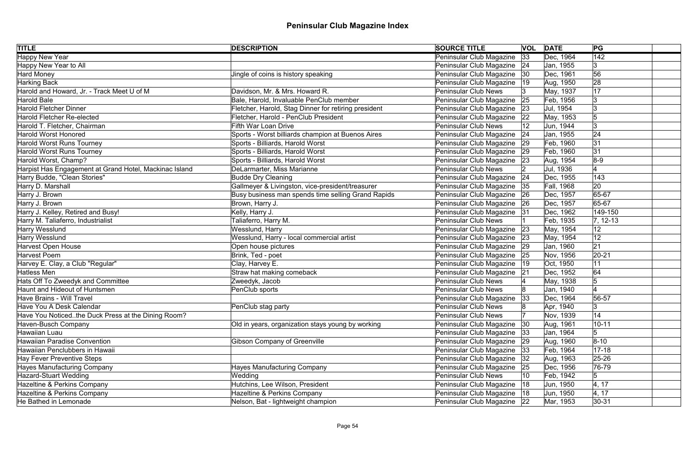| <b>TITLE</b>                                           | <b>DESCRIPTION</b>                                   | <b>SOURCE TITLE</b>           |    | <b>VOL DATE</b>   | PG               |
|--------------------------------------------------------|------------------------------------------------------|-------------------------------|----|-------------------|------------------|
| <b>Happy New Year</b>                                  |                                                      | Peninsular Club Magazine      | 33 | Dec, 1964         | $\overline{142}$ |
| Happy New Year to All                                  |                                                      | Peninsular Club Magazine 24   |    | Jan, 1955         | 3                |
| Hard Money                                             | Jingle of coins is history speaking                  | Peninsular Club Magazine   30 |    | Dec, 1961         | 56               |
| Harking Back                                           |                                                      | Peninsular Club Magazine      | 19 | Aug, 1950         | 28               |
| Harold and Howard, Jr. - Track Meet U of M             | Davidson, Mr. & Mrs. Howard R.                       | <b>Peninsular Club News</b>   |    | May, 1937         | 17               |
| Harold Bale                                            | Bale, Harold, Invaluable PenClub member              | Peninsular Club Magazine 25   |    | Feb, 1956         | 13               |
| <b>Harold Fletcher Dinner</b>                          | Fletcher, Harold, Stag Dinner for retiring president | Peninsular Club Magazine      | 23 | Jul, 1954         |                  |
| Harold Fletcher Re-elected                             | Fletcher, Harold - PenClub President                 | Peninsular Club Magazine      | 22 | May, 1953         |                  |
| Harold T. Fletcher, Chairman                           | <b>Fifth War Loan Drive</b>                          | <b>Peninsular Club News</b>   | 12 | Jun, 1944         | 3                |
| <b>Harold Worst Honored</b>                            | Sports - Worst billiards champion at Buenos Aires    | Peninsular Club Magazine      | 24 | Jan, 1955         | 24               |
| Harold Worst Runs Tourney                              | Sports - Billiards, Harold Worst                     | Peninsular Club Magazine      | 29 | Feb, 1960         | 31               |
| Harold Worst Runs Tourney                              | Sports - Billiards, Harold Worst                     | Peninsular Club Magazine      | 29 | Feb, 1960         | 31               |
| Harold Worst, Champ?                                   | Sports - Billiards, Harold Worst                     | Peninsular Club Magazine      | 23 | Aug, 1954         | $8-9$            |
| Harpist Has Engagement at Grand Hotel, Mackinac Island | DeLarmarter, Miss Marianne                           | Peninsular Club News          |    | Jul, 1936         |                  |
| Harry Budde, "Clean Stories"                           | <b>Budde Dry Cleaning</b>                            | Peninsular Club Magazine      | 24 | Dec, 1955         | 143              |
| Harry D. Marshall                                      | Gallmeyer & Livingston, vice-president/treasurer     | Peninsular Club Magazine      | 35 | <b>Fall, 1968</b> | 20               |
| Harry J. Brown                                         | Busy business man spends time selling Grand Rapids   | Peninsular Club Magazine      | 26 | Dec, 1957         | 65-67            |
| Harry J. Brown                                         | Brown, Harry J.                                      | Peninsular Club Magazine      | 26 | Dec, 1957         | 65-67            |
| Harry J. Kelley, Retired and Busy!                     | Kelly, Harry J.                                      | Peninsular Club Magazine 31   |    | Dec, 1962         | 149-150          |
| Harry M. Taliaferro, Industrialist                     | Taliaferro, Harry M.                                 | <b>Peninsular Club News</b>   |    | Feb, 1935         | $ 7, 12-13$      |
| Harry Wesslund                                         | Wesslund, Harry                                      | Peninsular Club Magazine 23   |    | May, 1954         | 12               |
| Harry Wesslund                                         | Wesslund, Harry - local commercial artist            | Peninsular Club Magazine 23   |    | May, 1954         | 12               |
| Harvest Open House                                     | Open house pictures                                  | Peninsular Club Magazine 29   |    | Jan, 1960         | 21               |
| Harvest Poem                                           | Brink, Ted - poet                                    | Peninsular Club Magazine      | 25 | Nov, 1956         | $ 20-21$         |
| Harvey E. Clay, a Club "Regular"                       | Clay, Harvey E.                                      | Peninsular Club Magazine   19 |    | Oct, 1950         | 11               |
| Hatless Men                                            | Straw hat making comeback                            | Peninsular Club Magazine      | 21 | Dec, 1952         | 64               |
| Hats Off To Zweedyk and Committee                      | Zweedyk, Jacob                                       | Peninsular Club News          |    | May, 1938         |                  |
| Haunt and Hideout of Huntsmen                          | PenClub sports                                       | <b>Peninsular Club News</b>   |    | Jan, 1940         |                  |
| Have Brains - Will Travel                              |                                                      | Peninsular Club Magazine 33   |    | Dec, 1964         | 56-57            |
| Have You A Desk Calendar                               | PenClub stag party                                   | <b>Peninsular Club News</b>   |    | Apr, 1940         | 3                |
| Have You Noticedthe Duck Press at the Dining Room?     |                                                      | <b>Peninsular Club News</b>   |    | Nov, 1939         | 14               |
| Haven-Busch Company                                    | Old in years, organization stays young by working    | Peninsular Club Magazine      | 30 | Aug, 1961         | $10 - 11$        |
| Hawaiian Luau                                          |                                                      | Peninsular Club Magazine      | 33 | Jan, 1964         | 5                |
| Hawaiian Paradise Convention                           | <b>Gibson Company of Greenville</b>                  | Peninsular Club Magazine      | 29 | Aug, 1960         | $ 8 - 10 $       |
| Hawaiian Penclubbers in Hawaii                         |                                                      | Peninsular Club Magazine   33 |    | Feb, 1964         | $ 17 - 18$       |
| Hay Fever Preventive Steps                             |                                                      | Peninsular Club Magazine      | 32 | Aug, 1963         | 25-26            |
| Hayes Manufacturing Company                            | <b>Hayes Manufacturing Company</b>                   | Peninsular Club Magazine      | 25 | Dec, 1956         | 76-79            |
| Hazard-Stuart Wedding                                  | Wedding                                              | <b>Peninsular Club News</b>   | 10 | Feb, 1942         | 5                |
| Hazeltine & Perkins Company                            | Hutchins, Lee Wilson, President                      | Peninsular Club Magazine      | 18 | Jun, 1950         | 4, 17            |
| Hazeltine & Perkins Company                            | Hazeltine & Perkins Company                          | Peninsular Club Magazine   18 |    | Jun, 1950         | 4, 17            |
| He Bathed in Lemonade                                  | Nelson, Bat - lightweight champion                   | Peninsular Club Magazine 22   |    | Mar, 1953         | $ 30-31 $        |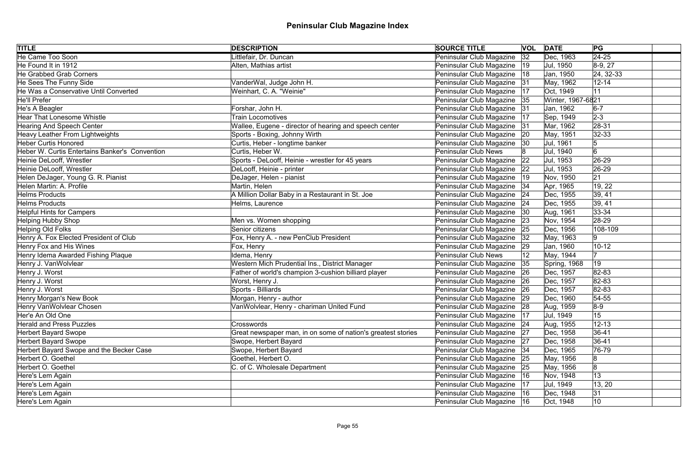| <b>TITLE</b>                                   | <b>DESCRIPTION</b>                                           | <b>SOURCE TITLE</b>           |              | <b>VOL DATE</b>   | PG             |  |
|------------------------------------------------|--------------------------------------------------------------|-------------------------------|--------------|-------------------|----------------|--|
| <b>He Came Too Soon</b>                        | Littlefair, Dr. Duncan                                       | Peninsular Club Magazine      | 32           | Dec, 1963         | $\sqrt{24-25}$ |  |
| He Found It in 1912                            | Alten, Mathias artist                                        | Peninsular Club Magazine      | $ 19\rangle$ | Jul, 1950         | $ 8-9, 27$     |  |
| He Grabbed Grab Corners                        |                                                              | Peninsular Club Magazine      | 18           | Jan, 1950         | $ 24, 32-33 $  |  |
| He Sees The Funny Side                         | VanderWal, Judge John H.                                     | Peninsular Club Magazine 31   |              | May, 1962         | $12 - 14$      |  |
| He Was a Conservative Until Converted          | Weinhart, C. A. "Weinie"                                     | Peninsular Club Magazine      | 17           | Oct, 1949         | 11             |  |
| He'll Prefer                                   |                                                              | Peninsular Club Magazine 35   |              | Winter, 1967-6821 |                |  |
| He's A Beagler                                 | Forshar, John H.                                             | Peninsular Club Magazine      | 31           | Jan, 1962         | $ 6-7 $        |  |
| <b>Hear That Lonesome Whistle</b>              | <b>Train Locomotives</b>                                     | Peninsular Club Magazine      | 17           | Sep, 1949         | $2 - 3$        |  |
| Hearing And Speech Center                      | Wallee, Eugene - director of hearing and speech center       | Peninsular Club Magazine      | 31           | Mar, 1962         | $ 28-31$       |  |
| Heavy Leather From Lightweights                | Sports - Boxing, Johnny Wirth                                | Peninsular Club Magazine      | 20           | May, 1951         | $ 32-33$       |  |
| <b>Heber Curtis Honored</b>                    | Curtis, Heber - longtime banker                              | Peninsular Club Magazine      | 30           | Jul, 1961         | 5              |  |
| Heber W. Curtis Entertains Banker's Convention | Curtis, Heber W.                                             | <b>Peninsular Club News</b>   |              | Jul, 1940         | 6              |  |
| Heinie DeLooff, Wrestler                       | Sports - DeLooff, Heinie - wrestler for 45 years             | Peninsular Club Magazine      | 22           | Jul, 1953         | 26-29          |  |
| Heinie DeLooff, Wrestler                       | DeLooff, Heinie - printer                                    | Peninsular Club Magazine      | 22           | Jul, 1953         | $ 26-29$       |  |
| Helen DeJager, Young G. R. Pianist             | DeJager, Helen - pianist                                     | Peninsular Club Magazine      | 19           | Nov, 1950         | 21             |  |
| Helen Martin: A. Profile                       | Martin, Helen                                                | Peninsular Club Magazine      | 34           | Apr, 1965         | 19, 22         |  |
| <b>Helms Products</b>                          | A Million Dollar Baby in a Restaurant in St. Joe             | Peninsular Club Magazine      | 24           | Dec, 1955         | 39, 41         |  |
| <b>Helms Products</b>                          | Helms, Laurence                                              | Peninsular Club Magazine      | 24           | Dec, 1955         | 39, 41         |  |
| <b>Helpful Hints for Campers</b>               |                                                              | Peninsular Club Magazine      | 30           | Aug, 1961         | $ 33 - 34 $    |  |
| Helping Hubby Shop                             | Men vs. Women shopping                                       | Peninsular Club Magazine      | 23           | Nov, 1954         | 28-29          |  |
| Helping Old Folks                              | Senior citizens                                              | Peninsular Club Magazine      | 25           | Dec, 1956         | 108-109        |  |
| Henry A. Fox Elected President of Club         | Fox, Henry A. - new PenClub President                        | Peninsular Club Magazine      | 32           | May, 1963         | 9              |  |
| Henry Fox and His Wines                        | Fox, Henry                                                   | Peninsular Club Magazine      | 29           | Jan, 1960         | $10 - 12$      |  |
| Henry Idema Awarded Fishing Plaque             | Idema, Henry                                                 | <b>Peninsular Club News</b>   | 12           | May, 1944         |                |  |
| Henry J. VanWolvlear                           | Western Mich Prudential Ins., District Manager               | Peninsular Club Magazine      | 35           | Spring, 1968      | 19             |  |
| Henry J. Worst                                 | Father of world's champion 3-cushion billiard player         | Peninsular Club Magazine      | 26           | Dec, 1957         | 82-83          |  |
| Henry J. Worst                                 | Worst, Henry J.                                              | Peninsular Club Magazine   26 |              | Dec, 1957         | 82-83          |  |
| Henry J. Worst                                 | Sports - Billiards                                           | Peninsular Club Magazine 26   |              | Dec, 1957         | 82-83          |  |
| Henry Morgan's New Book                        | Morgan, Henry - author                                       | Peninsular Club Magazine 29   |              | Dec, 1960         | 54-55          |  |
| Henry VanWolvlear Chosen                       | VanWolvlear, Henry - chariman United Fund                    | Peninsular Club Magazine      | 28           | Aug, 1959         | $8-9$          |  |
| Her'e An Old One                               |                                                              | Peninsular Club Magazine      | 17           | Jul, 1949         | 15             |  |
| <b>Herald and Press Puzzles</b>                | Crosswords                                                   | Peninsular Club Magazine      | 24           | Aug, 1955         | $12 - 13$      |  |
| <b>Herbert Bayard Swope</b>                    | Great newspaper man, in on some of nation's greatest stories | Peninsular Club Magazine      | 27           | Dec, 1958         | $ 36-41$       |  |
| <b>Herbert Bayard Swope</b>                    | Swope, Herbert Bayard                                        | Peninsular Club Magazine      | 27           | Dec, 1958         | $36-41$        |  |
| Herbert Bayard Swope and the Becker Case       | Swope, Herbert Bayard                                        | Peninsular Club Magazine 34   |              | Dec, 1965         | 76-79          |  |
| Herbert O. Goethel                             | Goethel, Herbert O.                                          | Peninsular Club Magazine      | 25           | May, 1956         | 8              |  |
| Herbert O. Goethel                             | C. of C. Wholesale Department                                | Peninsular Club Magazine      | 25           | May, 1956         | 8              |  |
| Here's Lem Again                               |                                                              | Peninsular Club Magazine      | 16           | Nov, 1948         | 13             |  |
| Here's Lem Again                               |                                                              | Peninsular Club Magazine      | 17           | Jul, 1949         | 13, 20         |  |
| Here's Lem Again                               |                                                              | Peninsular Club Magazine      | 16           | Dec, 1948         | 31             |  |
| Here's Lem Again                               |                                                              | Peninsular Club Magazine   16 |              | Oct, 1948         | $ 10\rangle$   |  |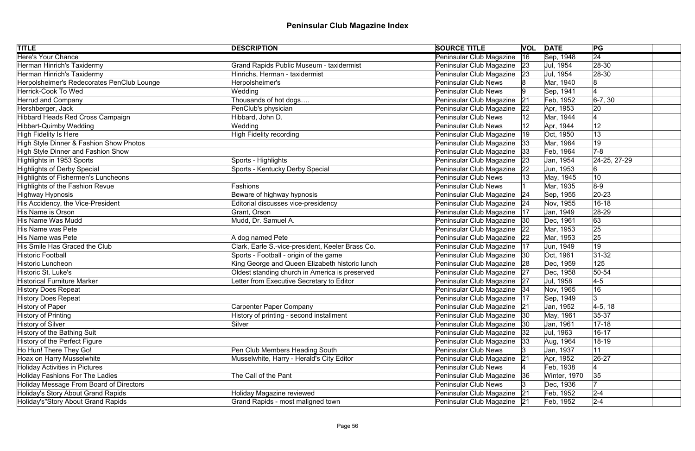| <b>TITLE</b>                               | <b>DESCRIPTION</b>                               | <b>SOURCE TITLE</b>           |              | <b>VOL DATE</b> | PG              |
|--------------------------------------------|--------------------------------------------------|-------------------------------|--------------|-----------------|-----------------|
| <b>Here's Your Chance</b>                  |                                                  | Peninsular Club Magazine      | 16           | Sep, 1948       | $\overline{24}$ |
| Herman Hinrich's Taxidermy                 | <b>Grand Rapids Public Museum - taxidermist</b>  | Peninsular Club Magazine 23   |              | Jul, 1954       | $ 28-30$        |
| Herman Hinrich's Taxidermy                 | Hinrichs, Herman - taxidermist                   | Peninsular Club Magazine 23   |              | Jul, 1954       | 28-30           |
| Herpolsheimer's Redecorates PenClub Lounge | Herpolsheimer's                                  | Peninsular Club News          |              | Mar, 1940       |                 |
| Herrick-Cook To Wed                        | Wedding                                          | <b>Peninsular Club News</b>   |              | Sep, 1941       |                 |
| <b>Herrud and Company</b>                  | Thousands of hot dogs                            | Peninsular Club Magazine      | 21           | Feb, 1952       | $6-7, 30$       |
| Hershberger, Jack                          | PenClub's physician                              | Peninsular Club Magazine      | 22           | Apr, 1953       | 20              |
| Hibbard Heads Red Cross Campaign           | Hibbard, John D.                                 | <b>Peninsular Club News</b>   |              | Mar, 1944       |                 |
| Hibbert-Quimby Wedding                     | Wedding                                          | <b>Peninsular Club News</b>   |              | Apr, 1944       | 12              |
| High Fidelity Is Here                      | <b>High Fidelity recording</b>                   | Peninsular Club Magazine      | $ 19\rangle$ | Oct, 1950       | 13              |
| High Style Dinner & Fashion Show Photos    |                                                  | Peninsular Club Magazine      | 33           | Mar, 1964       | 19              |
| High Style Dinner and Fashion Show         |                                                  | Peninsular Club Magazine      | 33           | Feb, 1964       | $7-8$           |
| Highlights in 1953 Sports                  | Sports - Highlights                              | Peninsular Club Magazine      | 23           | Jan, 1954       | 24-25, 27-29    |
| Highlights of Derby Special                | Sports - Kentucky Derby Special                  | Peninsular Club Magazine      | 22           | Jun, 1953       |                 |
| Highlights of Fishermen's Luncheons        |                                                  | <b>Peninsular Club News</b>   |              | May, 1945       | 10              |
| Highlights of the Fashion Revue            | Fashions                                         | <b>Peninsular Club News</b>   |              | Mar, 1935       | $8-9$           |
| Highway Hypnosis                           | Beware of highway hypnosis                       | Peninsular Club Magazine      | 24           | Sep, 1955       | $ 20-23$        |
| His Accidency, the Vice-President          | Editorial discusses vice-presidency              | Peninsular Club Magazine   24 |              | Nov, 1955       | $16 - 18$       |
| His Name is Orson                          | Grant, Orson                                     | Peninsular Club Magazine      | 17           | Jan, 1949       | 28-29           |
| His Name Was Mudd                          | Mudd, Dr. Samuel A.                              | Peninsular Club Magazine      | 30           | Dec, 1961       | 63              |
| His Name was Pete                          |                                                  | Peninsular Club Magazine      | 22           | Mar, 1953       | 25              |
| His Name was Pete                          | A dog named Pete                                 | Peninsular Club Magazine      | 22           | Mar, 1953       | 25              |
| His Smile Has Graced the Club              | Clark, Earle S.-vice-president, Keeler Brass Co. | Peninsular Club Magazine      | 17           | Jun, 1949       | 19              |
| <b>Historic Football</b>                   | Sports - Football - origin of the game           | Peninsular Club Magazine      | 30           | Oct, 1961       | $ 31-32 $       |
| Historic Luncheon                          | King George and Queen Elizabeth historic lunch   | Peninsular Club Magazine 28   |              | Dec, 1959       | 125             |
| Historic St. Luke's                        | Oldest standing church in America is preserved   | Peninsular Club Magazine 27   |              | Dec, 1958       | $ 50-54 $       |
| Historical Furniture Marker                | Letter from Executive Secretary to Editor        | Peninsular Club Magazine 27   |              | Jul, 1958       | $4-5$           |
| <b>History Does Repeat</b>                 |                                                  | Peninsular Club Magazine   34 |              | Nov, 1965       | 16              |
| History Does Repeat                        |                                                  | Peninsular Club Magazine   17 |              | Sep, 1949       | 3               |
| History of Paper                           | <b>Carpenter Paper Company</b>                   | Peninsular Club Magazine      | 21           | Jan, 1952       | $4-5, 18$       |
| <b>History of Printing</b>                 | History of printing - second installment         | Peninsular Club Magazine      | 30           | May, 1961       | $35-37$         |
| History of Silver                          | Silver                                           | Peninsular Club Magazine      | 30           | Jan, 1961       | $17 - 18$       |
| History of the Bathing Suit                |                                                  | Peninsular Club Magazine      | 32           | Jul, 1963       | $16 - 17$       |
| History of the Perfect Figure              |                                                  | Peninsular Club Magazine      | 33           | Aug, 1964       | 18-19           |
| Ho Hun! There They Go!                     | Pen Club Members Heading South                   | <b>Peninsular Club News</b>   |              | Jan, 1937       | 11              |
| Hoax on Harry Musselwhite                  | Musselwhite, Harry - Herald's City Editor        | Peninsular Club Magazine      | 21           | Apr, 1952       | 26-27           |
| Holiday Activities in Pictures             |                                                  | <b>Peninsular Club News</b>   |              | Feb, 1938       |                 |
| <b>Holiday Fashions For The Ladies</b>     | The Call of the Pant                             | Peninsular Club Magazine      | 36           | Winter, 1970    | 35              |
| Holiday Message From Board of Directors    |                                                  | <b>Peninsular Club News</b>   |              | Dec, 1936       |                 |
| Holiday's Story About Grand Rapids         | <b>Holiday Magazine reviewed</b>                 | Peninsular Club Magazine      | 21           | Feb, 1952       | $2 - 4$         |
| Holiday's"Story About Grand Rapids         | Grand Rapids - most maligned town                | Peninsular Club Magazine   21 |              | Feb, 1952       | $ 2 - 4 $       |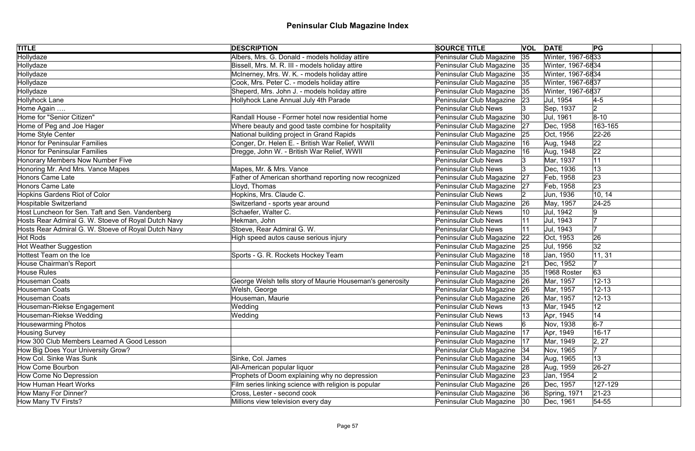| <b>TITLE</b>                                        | <b>DESCRIPTION</b>                                       | <b>SOURCE TITLE</b>         |     | <b>VOL DATE</b>   | PG          |  |
|-----------------------------------------------------|----------------------------------------------------------|-----------------------------|-----|-------------------|-------------|--|
| Hollydaze                                           | Albers, Mrs. G. Donald - models holiday attire           | Peninsular Club Magazine    | 35  | Winter, 1967-6833 |             |  |
| Hollydaze                                           | Bissell, Mrs. M. R. III - models holiday attire          | Peninsular Club Magazine 35 |     | Winter, 1967-6834 |             |  |
| Hollydaze                                           | McInerney, Mrs. W. K. - models holiday attire            | Peninsular Club Magazine    | 35  | Winter, 1967-6834 |             |  |
| Hollydaze                                           | Cook, Mrs. Peter C. - models holiday attire              | Peninsular Club Magazine    | 35  | Winter, 1967-6837 |             |  |
| Hollydaze                                           | Sheperd, Mrs. John J. - models holiday attire            | Peninsular Club Magazine    | 35  | Winter, 1967-6837 |             |  |
| Hollyhock Lane                                      | Hollyhock Lane Annual July 4th Parade                    | Peninsular Club Magazine    | 23  | Jul, 1954         | $4-5$       |  |
| Home Again                                          |                                                          | <b>Peninsular Club News</b> |     | Sep, 1937         | 2           |  |
| Home for "Senior Citizen"                           | Randall House - Former hotel now residential home        | Peninsular Club Magazine    | 30  | Jul, 1961         | $8 - 10$    |  |
| Home of Peg and Joe Hager                           | Where beauty and good taste combine for hospitality      | Peninsular Club Magazine    | 27  | Dec, 1958         | 163-165     |  |
| Home Style Center                                   | National building project in Grand Rapids                | Peninsular Club Magazine    | 25  | Oct, 1956         | $ 22 - 26 $ |  |
| <b>Honor for Peninsular Families</b>                | Conger, Dr. Helen E. - British War Relief, WWII          | Peninsular Club Magazine    | 16  | Aug, 1948         | 22          |  |
| Honor for Peninsular Families                       | Dregge, John W. - British War Relief, WWII               | Peninsular Club Magazine    | 16  | Aug, 1948         | 22          |  |
| Honorary Members Now Number Five                    |                                                          | <b>Peninsular Club News</b> |     | Mar, 1937         | 11          |  |
| Honoring Mr. And Mrs. Vance Mapes                   | Mapes, Mr. & Mrs. Vance                                  | <b>Peninsular Club News</b> |     | Dec, 1936         | 13          |  |
| Honors Came Late                                    | Father of American shorthand reporting now recognized    | Peninsular Club Magazine    | 27  | Feb, 1958         | 23          |  |
| Honors Came Late                                    | Lloyd, Thomas                                            | Peninsular Club Magazine    | 27  | Feb, 1958         | 23          |  |
| Hopkins Gardens Riot of Color                       | Hopkins, Mrs. Claude C.                                  | <b>Peninsular Club News</b> |     | Jun, 1936         | 10, 14      |  |
| Hospitable Switzerland                              | Switzerland - sports year around                         | Peninsular Club Magazine    | 26  | May, 1957         | $24 - 25$   |  |
| Host Luncheon for Sen. Taft and Sen. Vandenberg     | Schaefer, Walter C.                                      | <b>Peninsular Club News</b> |     | Jul, 1942         | 19          |  |
| Hosts Rear Admiral G. W. Stoeve of Royal Dutch Navy | Hekman, John                                             | <b>Peninsular Club News</b> |     | Jul, 1943         |             |  |
| Hosts Rear Admiral G. W. Stoeve of Royal Dutch Navy | Stoeve, Rear Admiral G. W.                               | <b>Peninsular Club News</b> |     | Jul, 1943         |             |  |
| Hot Rods                                            | High speed autos cause serious injury                    | Peninsular Club Magazine    | 22  | Oct, 1953         | 26          |  |
| Hot Weather Suggestion                              |                                                          | Peninsular Club Magazine    | 25  | Jul, 1956         | 32          |  |
| Hottest Team on the Ice                             | Sports - G. R. Rockets Hockey Team                       | Peninsular Club Magazine    | 18  | Jan, 1950         | 11, 31      |  |
| House Chairman's Report                             |                                                          | Peninsular Club Magazine    | 21  | Dec, 1952         |             |  |
| House Rules                                         |                                                          | Peninsular Club Magazine    | 35  | 1968 Roster       | 63          |  |
| Houseman Coats                                      | George Welsh tells story of Maurie Houseman's generosity | Peninsular Club Magazine    | ∣26 | Mar, 1957         | $12 - 13$   |  |
| Houseman Coats                                      | Welsh, George                                            | Peninsular Club Magazine    | 26  | Mar, 1957         | $12 - 13$   |  |
| Houseman Coats                                      | Houseman, Maurie                                         | Peninsular Club Magazine 26 |     | Mar, 1957         | $12 - 13$   |  |
| Houseman-Riekse Engagement                          | Wedding                                                  | <b>Peninsular Club News</b> | 13  | Mar, 1945         | 12          |  |
| Houseman-Riekse Wedding                             | Wedding                                                  | <b>Peninsular Club News</b> | ∣13 | Apr, 1945         | 14          |  |
| <b>Housewarming Photos</b>                          |                                                          | <b>Peninsular Club News</b> |     | Nov, 1938         | $6-7$       |  |
| Housing Survey                                      |                                                          | Peninsular Club Magazine    | 17  | Apr, 1949         | $16 - 17$   |  |
| How 300 Club Members Learned A Good Lesson          |                                                          | Peninsular Club Magazine    | 17  | Mar, 1949         | 2, 27       |  |
| How Big Does Your University Grow?                  |                                                          | Peninsular Club Magazine    | 34  | Nov, 1965         |             |  |
| How Col. Sinke Was Sunk                             | Sinke, Col. James                                        | Peninsular Club Magazine 34 |     | Aug, 1965         | 13          |  |
| How Come Bourbon                                    | All-American popular liquor                              | Peninsular Club Magazine    | 28  | Aug, 1959         | $26-27$     |  |
| How Come No Depression                              | Prophets of Doom explaining why no depression            | Peninsular Club Magazine 23 |     | Jan, 1954         | $ 2\rangle$ |  |
| <b>How Human Heart Works</b>                        | Film series linking science with religion is popular     | Peninsular Club Magazine    | 26  | Dec, 1957         | 127-129     |  |
| How Many For Dinner?                                | Cross, Lester - second cook                              | Peninsular Club Magazine 36 |     | Spring, 1971      | $21 - 23$   |  |
| How Many TV Firsts?                                 | Millions view television every day                       | Peninsular Club Magazine 30 |     | Dec, 1961         | $54 - 55$   |  |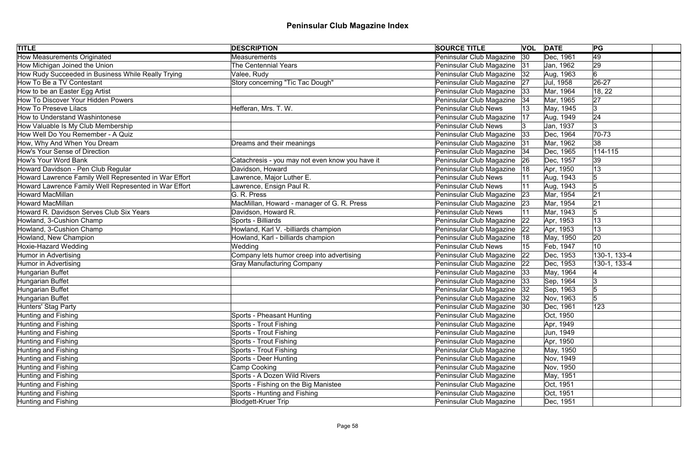| <b>TITLE</b>                                          | <b>DESCRIPTION</b>                              | <b>SOURCE TITLE</b>           |              | <b>VOL DATE</b> | PG              |  |
|-------------------------------------------------------|-------------------------------------------------|-------------------------------|--------------|-----------------|-----------------|--|
| <b>How Measurements Originated</b>                    | Measurements                                    | Peninsular Club Magazine      | $ 30\rangle$ | Dec, 1961       | $\overline{49}$ |  |
| How Michigan Joined the Union                         | <b>The Centennial Years</b>                     | Peninsular Club Magazine 31   |              | Jan, 1962       | 29              |  |
| How Rudy Succeeded in Business While Really Trying    | Valee, Rudy                                     | Peninsular Club Magazine   32 |              | Aug, 1963       | 6               |  |
| How To Be a TV Contestant                             | Story concerning "Tic Tac Dough"                | Peninsular Club Magazine 27   |              | Jul, 1958       | 26-27           |  |
| How to be an Easter Egg Artist                        |                                                 | Peninsular Club Magazine      | 33           | Mar, 1964       | 18, 22          |  |
| How To Discover Your Hidden Powers                    |                                                 | Peninsular Club Magazine 34   |              | Mar, 1965       | 27              |  |
| <b>How To Preseve Lilacs</b>                          | Hefferan, Mrs. T. W.                            | <b>Peninsular Club News</b>   |              | May, 1945       | 3               |  |
| How to Understand Washintonese                        |                                                 | Peninsular Club Magazine      | 17           | Aug, 1949       | 24              |  |
| How Valuable Is My Club Membership                    |                                                 | <b>Peninsular Club News</b>   |              | Jan, 1937       | 3               |  |
| How Well Do You Remember - A Quiz                     |                                                 | Peninsular Club Magazine      | 33           | Dec, 1964       | $70 - 73$       |  |
| How, Why And When You Dream                           | Dreams and their meanings                       | Peninsular Club Magazine      | 31           | Mar, 1962       | 38              |  |
| How's Your Sense of Direction                         |                                                 | Peninsular Club Magazine      | 34           | Dec, 1965       | $114 - 115$     |  |
| How's Your Word Bank                                  | Catachresis - you may not even know you have it | Peninsular Club Magazine      | 26           | Dec, 1957       | 39              |  |
| Howard Davidson - Pen Club Regular                    | Davidson, Howard                                | Peninsular Club Magazine      | 18           | Apr, 1950       | 13              |  |
| Howard Lawrence Family Well Represented in War Effort | Lawrence, Major Luther E.                       | <b>Peninsular Club News</b>   |              | Aug, 1943       | 5               |  |
| Howard Lawrence Family Well Represented in War Effort | Lawrence, Ensign Paul R.                        | <b>Peninsular Club News</b>   |              | Aug, 1943       | $\sqrt{5}$      |  |
| Howard MacMillan                                      | G. R. Press                                     | Peninsular Club Magazine      | 23           | Mar, 1954       | 21              |  |
| <b>Howard MacMillan</b>                               | MacMillan, Howard - manager of G. R. Press      | Peninsular Club Magazine      | 23           | Mar, 1954       | 21              |  |
| Howard R. Davidson Serves Club Six Years              | Davidson, Howard R.                             | <b>Peninsular Club News</b>   |              | Mar, 1943       | 5               |  |
| Howland, 3-Cushion Champ                              | Sports - Billiards                              | Peninsular Club Magazine      | 22           | Apr, 1953       | 13              |  |
| Howland, 3-Cushion Champ                              | Howland, Karl V. - billiards champion           | Peninsular Club Magazine      | 22           | Apr, 1953       | 13              |  |
| Howland, New Champion                                 | Howland, Karl - billiards champion              | Peninsular Club Magazine      | 18           | May, 1950       | 20              |  |
| <b>Hoxie-Hazard Wedding</b>                           | Wedding                                         | <b>Peninsular Club News</b>   |              | Feb, 1947       | 10              |  |
| Humor in Advertising                                  | Company lets humor creep into advertising       | Peninsular Club Magazine      | 22           | Dec, 1953       | 130-1, 133-4    |  |
| Humor in Advertising                                  | <b>Gray Manufacturing Company</b>               | Peninsular Club Magazine 22   |              | Dec, 1953       | 130-1, 133-4    |  |
| Hungarian Buffet                                      |                                                 | Peninsular Club Magazine 33   |              | May, 1964       |                 |  |
| Hungarian Buffet                                      |                                                 | Peninsular Club Magazine   33 |              | Sep, 1964       |                 |  |
| Hungarian Buffet                                      |                                                 | Peninsular Club Magazine   32 |              | Sep, 1963       |                 |  |
| Hungarian Buffet                                      |                                                 | Peninsular Club Magazine 32   |              | Nov, 1963       |                 |  |
| Hunters' Stag Party                                   |                                                 | Peninsular Club Magazine   30 |              | Dec, 1961       | 123             |  |
| Hunting and Fishing                                   | Sports - Pheasant Hunting                       | Peninsular Club Magazine      |              | Oct, 1950       |                 |  |
| Hunting and Fishing                                   | Sports - Trout Fishing                          | Peninsular Club Magazine      |              | Apr, 1949       |                 |  |
| Hunting and Fishing                                   | Sports - Trout Fishing                          | Peninsular Club Magazine      |              | Jun, 1949       |                 |  |
| Hunting and Fishing                                   | Sports - Trout Fishing                          | Peninsular Club Magazine      |              | Apr, 1950       |                 |  |
| Hunting and Fishing                                   | Sports - Trout Fishing                          | Peninsular Club Magazine      |              | May, 1950       |                 |  |
| Hunting and Fishing                                   | Sports - Deer Hunting                           | Peninsular Club Magazine      |              | Nov, 1949       |                 |  |
| Hunting and Fishing                                   | Camp Cooking                                    | Peninsular Club Magazine      |              | Nov, 1950       |                 |  |
| Hunting and Fishing                                   | Sports - A Dozen Wild Rivers                    | Peninsular Club Magazine      |              | May, 1951       |                 |  |
| Hunting and Fishing                                   | Sports - Fishing on the Big Manistee            | Peninsular Club Magazine      |              | Oct, 1951       |                 |  |
| Hunting and Fishing                                   | Sports - Hunting and Fishing                    | Peninsular Club Magazine      |              | Oct, 1951       |                 |  |
| Hunting and Fishing                                   | Blodgett-Kruer Trip                             | Peninsular Club Magazine      |              | Dec, 1951       |                 |  |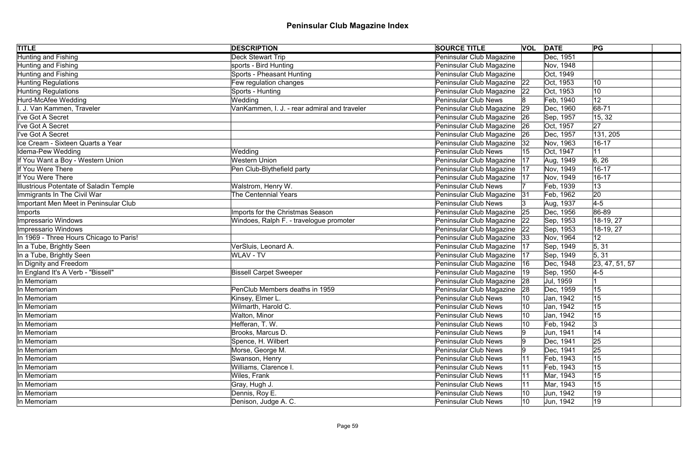| <b>TITLE</b>                            | <b>DESCRIPTION</b>                           | <b>SOURCE TITLE</b>         |    | <b>VOL DATE</b> | PG             |  |
|-----------------------------------------|----------------------------------------------|-----------------------------|----|-----------------|----------------|--|
| Hunting and Fishing                     | <b>Deck Stewart Trip</b>                     | Peninsular Club Magazine    |    | Dec, 1951       |                |  |
| Hunting and Fishing                     | sports - Bird Hunting                        | Peninsular Club Magazine    |    | Nov, 1948       |                |  |
| Hunting and Fishing                     | Sports - Pheasant Hunting                    | Peninsular Club Magazine    |    | Oct, 1949       |                |  |
| Hunting Regulations                     | Few regulation changes                       | Peninsular Club Magazine 22 |    | Oct, 1953       | 10             |  |
| Hunting Regulations                     | Sports - Hunting                             | Peninsular Club Magazine    | 22 | Oct, 1953       | 10             |  |
| Hurd-McAfee Wedding                     | Wedding                                      | Peninsular Club News        |    | Feb, 1940       | 12             |  |
| I. J. Van Kammen, Traveler              | VanKammen, I. J. - rear admiral and traveler | Peninsular Club Magazine    | 29 | Dec, 1960       | 68-71          |  |
| l've Got A Secret                       |                                              | Peninsular Club Magazine    | 26 | Sep, 1957       | 15, 32         |  |
| ll've Got A Secret                      |                                              | Peninsular Club Magazine    | 26 | Oct, 1957       | 27             |  |
| ll've Got A Secret                      |                                              | Peninsular Club Magazine    | 26 | Dec, 1957       | 131, 205       |  |
| Ice Cream - Sixteen Quarts a Year       |                                              | Peninsular Club Magazine    | 32 | Nov, 1963       | $16 - 17$      |  |
| Idema-Pew Wedding                       | Wedding                                      | Peninsular Club News        |    | Oct, 1947       | 11             |  |
| If You Want a Boy - Western Union       | <b>Western Union</b>                         | Peninsular Club Magazine    | 17 | Aug, 1949       | 6, 26          |  |
| If You Were There                       | Pen Club-Blythefield party                   | Peninsular Club Magazine    | 17 | Nov, 1949       | $16 - 17$      |  |
| If You Were There                       |                                              | Peninsular Club Magazine    | 17 | Nov, 1949       | $16 - 17$      |  |
| Illustrious Potentate of Saladin Temple | Walstrom, Henry W.                           | <b>Peninsular Club News</b> |    | Feb, 1939       | 13             |  |
| Immigrants In The Civil War             | <b>The Centennial Years</b>                  | Peninsular Club Magazine    | 31 | Feb, 1962       | 20             |  |
| Important Men Meet in Peninsular Club   |                                              | <b>Peninsular Club News</b> |    | Aug, 1937       | $4-5$          |  |
| <i>Imports</i>                          | Imports for the Christmas Season             | Peninsular Club Magazine    | 25 | Dec, 1956       | 86-89          |  |
| Impressario Windows                     | Windoes, Ralph F. - travelogue promoter      | Peninsular Club Magazine    | 22 | Sep, 1953       | 18-19, 27      |  |
| Impressario Windows                     |                                              | Peninsular Club Magazine    | 22 | Sep, 1953       | 18-19, 27      |  |
| In 1969 - Three Hours Chicago to Paris! |                                              | Peninsular Club Magazine    | 33 | Nov, 1964       | 12             |  |
| In a Tube, Brightly Seen                | VerSluis, Leonard A.                         | Peninsular Club Magazine    | 17 | Sep, 1949       | 5, 31          |  |
| In a Tube, Brightly Seen                | <b>WLAV - TV</b>                             | Peninsular Club Magazine    | 17 | Sep, 1949       | 5, 31          |  |
| In Dignity and Freedom                  |                                              | Peninsular Club Magazine    | 16 | Dec, 1948       | 23, 47, 51, 57 |  |
| In England It's A Verb - "Bissell"      | <b>Bissell Carpet Sweeper</b>                | Peninsular Club Magazine    |    | Sep, 1950       | $4-5$          |  |
| In Memoriam                             |                                              | Peninsular Club Magazine    | 28 | Jul, 1959       |                |  |
| In Memoriam                             | PenClub Members deaths in 1959               | Peninsular Club Magazine    |    | Dec, 1959       | 15             |  |
| In Memoriam                             | Kinsey, Elmer L.                             | Peninsular Club News        | 10 | Jan, 1942       | 15             |  |
| In Memoriam                             | Wilmarth, Harold C.                          | <b>Peninsular Club News</b> | 10 | Jan, 1942       | 15             |  |
| In Memoriam                             | Walton, Minor                                | Peninsular Club News        | 10 | Jan, 1942       | 15             |  |
| In Memoriam                             | Hefferan, T. W.                              | <b>Peninsular Club News</b> |    | Feb, 1942       | Ι3             |  |
| In Memoriam                             | Brooks, Marcus D.                            | Peninsular Club News        |    | Jun, 1941       | 14             |  |
| In Memoriam                             | Spence, H. Wilbert                           | <b>Peninsular Club News</b> |    | Dec, 1941       | 25             |  |
| In Memoriam                             | Morse, George M.                             | Peninsular Club News        |    | Dec, 1941       | 25             |  |
| In Memoriam                             | Swanson, Henry                               | <b>Peninsular Club News</b> |    | Feb, 1943       | 15             |  |
| In Memoriam                             | Williams, Clarence I.                        | Peninsular Club News        |    | Feb, 1943       | 15             |  |
| In Memoriam                             | Wiles, Frank                                 | Peninsular Club News        |    | Mar, 1943       | 15             |  |
| In Memoriam                             | Gray, Hugh J.                                | <b>Peninsular Club News</b> |    | Mar, 1943       | 15             |  |
| In Memoriam                             | Dennis, Roy E.                               | Peninsular Club News        | 10 | Jun, 1942       | 19             |  |
| In Memoriam                             | Denison, Judge A. C.                         | <b>Peninsular Club News</b> | 10 | Jun, 1942       | $ 19\rangle$   |  |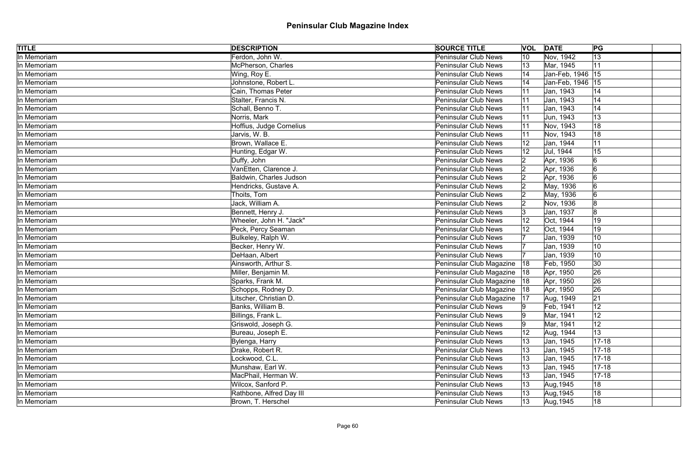| <b>TITLE</b> | <b>DESCRIPTION</b>       | <b>SOURCE TITLE</b>           |    | <b>VOL DATE</b>    | PG          |
|--------------|--------------------------|-------------------------------|----|--------------------|-------------|
| In Memoriam  | Ferdon, John W.          | <b>Peninsular Club News</b>   | 10 | Nov, 1942          | 13          |
| In Memoriam  | McPherson, Charles       | <b>Peninsular Club News</b>   | 13 | Mar, 1945          | 11          |
| In Memoriam  | Wing, Roy E.             | <b>Peninsular Club News</b>   |    | Jan-Feb, 1946   15 |             |
| In Memoriam  | Johnstone, Robert L.     | <b>Peninsular Club News</b>   |    | Jan-Feb, 1946   15 |             |
| In Memoriam  | Cain, Thomas Peter       | <b>Peninsular Club News</b>   |    | Jan, 1943          | 14          |
| In Memoriam  | Stalter, Francis N.      | <b>Peninsular Club News</b>   |    | Jan, 1943          | 14          |
| In Memoriam  | Schall, Benno T.         | <b>Peninsular Club News</b>   |    | Jan, 1943          | 14          |
| In Memoriam  | Norris, Mark             | <b>Peninsular Club News</b>   |    | Jun, 1943          | 13          |
| In Memoriam  | Hoffius, Judge Cornelius | <b>Peninsular Club News</b>   |    | Nov, 1943          | 18          |
| In Memoriam  | Jarvis, W. B.            | <b>Peninsular Club News</b>   |    | Nov, 1943          | 18          |
| In Memoriam  | Brown, Wallace E.        | <b>Peninsular Club News</b>   |    | Jan, 1944          |             |
| In Memoriam  | Hunting, Edgar W.        | Peninsular Club News          |    | Jul, 1944          | 15          |
| In Memoriam  | Duffy, John              | <b>Peninsular Club News</b>   |    | Apr, 1936          | 6           |
| In Memoriam  | VanEtten, Clarence J.    | <b>Peninsular Club News</b>   |    | Apr, 1936          |             |
| In Memoriam  | Baldwin, Charles Judson  | <b>Peninsular Club News</b>   |    | Apr, 1936          |             |
| In Memoriam  | Hendricks, Gustave A.    | <b>Peninsular Club News</b>   |    | May, 1936          |             |
| In Memoriam  | Thoits, Tom              | <b>Peninsular Club News</b>   |    | May, 1936          |             |
| In Memoriam  | Jack, William A.         | <b>Peninsular Club News</b>   |    | Nov, 1936          |             |
| In Memoriam  | Bennett, Henry J.        | <b>Peninsular Club News</b>   |    | Jan, 1937          |             |
| In Memoriam  | Wheeler, John H. "Jack"  | <b>Peninsular Club News</b>   |    | Oct, 1944          | 19          |
| In Memoriam  | Peck, Percy Seaman       | <b>Peninsular Club News</b>   |    | Oct, 1944          | 19          |
| In Memoriam  | Bulkeley, Ralph W.       | <b>Peninsular Club News</b>   |    | Jan, 1939          | 10          |
| In Memoriam  | Becker, Henry W.         | <b>Peninsular Club News</b>   |    | Jan, 1939          | 10          |
| In Memoriam  | DeHaan, Albert           | <b>Peninsular Club News</b>   |    | Jan, 1939          | 10          |
| In Memoriam  | Ainsworth, Arthur S.     | Peninsular Club Magazine      | 18 | Feb, 1950          | 30          |
| In Memoriam  | Miller, Benjamin M.      | Peninsular Club Magazine      | 18 | Apr, 1950          | 26          |
| In Memoriam  | Sparks, Frank M.         | Peninsular Club Magazine  18  |    | Apr, 1950          | 26          |
| In Memoriam  | Schopps, Rodney D.       | Peninsular Club Magazine   18 |    | Apr, 1950          | 26          |
| In Memoriam  | Litscher, Christian D.   | Peninsular Club Magazine   17 |    | Aug, 1949          | 21          |
| In Memoriam  | Banks, William B.        | <b>Peninsular Club News</b>   |    | Feb, 1941          | 12          |
| In Memoriam  | Billings, Frank L.       | <b>Peninsular Club News</b>   |    | Mar, 1941          | 12          |
| In Memoriam  | Griswold, Joseph G.      | <b>Peninsular Club News</b>   |    | Mar, 1941          | 12          |
| In Memoriam  | Bureau, Joseph E.        | <b>Peninsular Club News</b>   |    | Aug, 1944          | 13          |
| In Memoriam  | Bylenga, Harry           | <b>Peninsular Club News</b>   |    | Jan, 1945          | $17 - 18$   |
| In Memoriam  | Drake, Robert R.         | <b>Peninsular Club News</b>   | 13 | Jan, 1945          | $ 17 - 18 $ |
| In Memoriam  | Lockwood, C.L.           | <b>Peninsular Club News</b>   |    | Jan, 1945          | $17 - 18$   |
| In Memoriam  | Munshaw, Earl W.         | <b>Peninsular Club News</b>   | 13 | Jan, 1945          | $ 17 - 18 $ |
| In Memoriam  | MacPhail, Herman W.      | <b>Peninsular Club News</b>   | 13 | Jan, 1945          | $17 - 18$   |
| In Memoriam  | Wilcox, Sanford P.       | <b>Peninsular Club News</b>   | 13 | Aug, 1945          | 18          |
| In Memoriam  | Rathbone, Alfred Day III | <b>Peninsular Club News</b>   |    | Aug, 1945          | 18          |
| In Memoriam  | Brown, T. Herschel       | <b>Peninsular Club News</b>   | 13 | Aug, 1945          | 18          |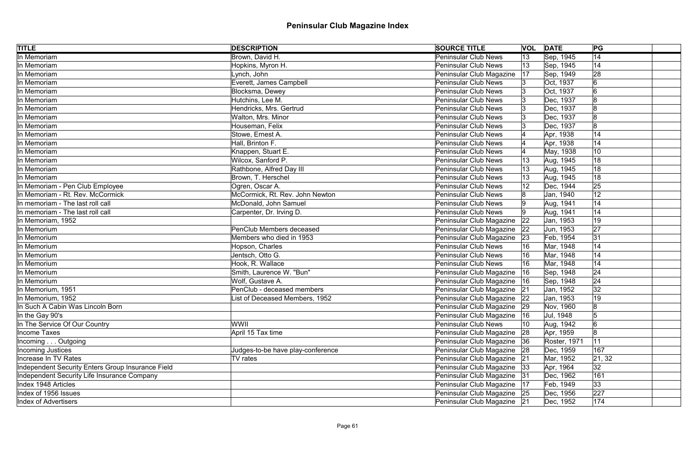| <b>TITLE</b>                                      | <b>DESCRIPTION</b>                | <b>SOURCE TITLE</b>           |              | <b>VOL DATE</b> | PG     |
|---------------------------------------------------|-----------------------------------|-------------------------------|--------------|-----------------|--------|
| In Memoriam                                       | Brown, David H.                   | <b>Peninsular Club News</b>   | $ 13\rangle$ | Sep, 1945       | 14     |
| In Memoriam                                       | Hopkins, Myron H.                 | <b>Peninsular Club News</b>   | 13           | Sep, 1945       | 14     |
| In Memoriam                                       | Lynch, John                       | Peninsular Club Magazine      | 17           | Sep, 1949       | 28     |
| In Memoriam                                       | Everett, James Campbell           | Peninsular Club News          |              | Oct, 1937       |        |
| In Memoriam                                       | Blocksma, Dewey                   | <b>Peninsular Club News</b>   |              | Oct, 1937       | 6      |
| In Memoriam                                       | Hutchins, Lee M.                  | Peninsular Club News          |              | Dec, 1937       | 18     |
| In Memoriam                                       | Hendricks, Mrs. Gertrud           | <b>Peninsular Club News</b>   |              | Dec, 1937       |        |
| In Memoriam                                       | Walton, Mrs. Minor                | <b>Peninsular Club News</b>   |              | Dec, 1937       |        |
| In Memoriam                                       | Houseman, Felix                   | <b>Peninsular Club News</b>   |              | Dec, 1937       | 8      |
| In Memoriam                                       | Stowe, Ernest A.                  | <b>Peninsular Club News</b>   |              | Apr, 1938       | 14     |
| In Memoriam                                       | Hall, Brinton F.                  | <b>Peninsular Club News</b>   |              | Apr, 1938       | 14     |
| In Memoriam                                       | Knappen, Stuart E.                | <b>Peninsular Club News</b>   |              | May, 1938       | 10     |
| In Memoriam                                       | Wilcox, Sanford P.                | <b>Peninsular Club News</b>   |              | Aug, 1945       | 18     |
| In Memoriam                                       | Rathbone, Alfred Day III          | <b>Peninsular Club News</b>   |              | Aug, 1945       | 18     |
| In Memoriam                                       | Brown, T. Herschel                | <b>Peninsular Club News</b>   |              | Aug, 1945       | 18     |
| In Memoriam - Pen Club Employee                   | Ogren, Oscar A.                   | <b>Peninsular Club News</b>   |              | Dec, 1944       | 25     |
| In Memoriam - Rt. Rev. McCormick                  | McCormick, Rt. Rev. John Newton   | <b>Peninsular Club News</b>   |              | Jan, 1940       | 12     |
| In memoriam - The last roll call                  | McDonald, John Samuel             | <b>Peninsular Club News</b>   |              | Aug, 1941       | 14     |
| In memoriam - The last roll call                  | Carpenter, Dr. Irving D.          | <b>Peninsular Club News</b>   |              | Aug, 1941       | 14     |
| In Memoriam, 1952                                 |                                   | Peninsular Club Magazine      | $ 22\rangle$ | Jan, 1953       | 19     |
| In Memorium                                       | <b>PenClub Members deceased</b>   | Peninsular Club Magazine      | 22           | Jun, 1953       | 27     |
| In Memorium                                       | Members who died in 1953          | Peninsular Club Magazine      | 23           | Feb, 1954       | 31     |
| In Memorium                                       | Hopson, Charles                   | <b>Peninsular Club News</b>   |              | Mar, 1948       | 14     |
| In Memorium                                       | Jentsch, Otto G.                  | <b>Peninsular Club News</b>   | 16           | Mar, 1948       | 14     |
| In Memorium                                       | Hook, R. Wallace                  | <b>Peninsular Club News</b>   |              | Mar, 1948       | 14     |
| In Memorium                                       | Smith, Laurence W. "Bun"          | Peninsular Club Magazine      | 16           | Sep, 1948       | 24     |
| In Memorium                                       | Wolf, Gustave A.                  | Peninsular Club Magazine   16 |              | Sep, 1948       | 24     |
| In Memorium, 1951                                 | PenClub - deceased members        | Peninsular Club Magazine 21   |              | Jan, 1952       | 32     |
| In Memorium, 1952                                 | List of Deceased Members, 1952    | Peninsular Club Magazine 22   |              | Jan, 1953       | 19     |
| In Such A Cabin Was Lincoln Born                  |                                   | Peninsular Club Magazine      | 29           | Nov, 1960       |        |
| In the Gay 90's                                   |                                   | Peninsular Club Magazine      | 16           | Jul, 1948       |        |
| In The Service Of Our Country                     | WWII                              | <b>Peninsular Club News</b>   |              | Aug, 1942       | 6      |
| Income Taxes                                      | April 15 Tax time                 | Peninsular Club Magazine      | 28           | Apr, 1959       | 8      |
| Incoming Outgoing                                 |                                   | Peninsular Club Magazine      | 36           | Roster, 1971    | 11     |
| Incoming Justices                                 | Judges-to-be have play-conference | Peninsular Club Magazine 28   |              | Dec, 1959       | 167    |
| Increase In TV Rates                              | TV rates                          | Peninsular Club Magazine 21   |              | Mar, 1952       | 21, 32 |
| Independent Security Enters Group Insurance Field |                                   | Peninsular Club Magazine 33   |              | Apr, 1964       | 32     |
| Independent Security Life Insurance Company       |                                   | Peninsular Club Magazine 31   |              | Dec, 1962       | 161    |
| Index 1948 Articles                               |                                   | Peninsular Club Magazine   17 |              | Feb, 1949       | 33     |
| Index of 1956 Issues                              |                                   | Peninsular Club Magazine 25   |              | Dec, 1956       | 227    |
| <b>Index of Advertisers</b>                       |                                   | Peninsular Club Magazine 21   |              | Dec, 1952       | 174    |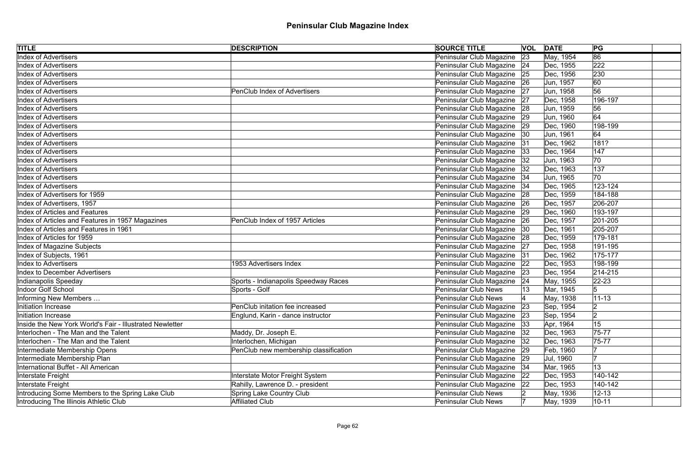| <b>TITLE</b>                                             | <b>DESCRIPTION</b>                    | <b>SOURCE TITLE</b>           |    | <b>VOL DATE</b> | PG             |
|----------------------------------------------------------|---------------------------------------|-------------------------------|----|-----------------|----------------|
| <b>Index of Advertisers</b>                              |                                       | Peninsular Club Magazine      | 23 | May, 1954       | 86             |
| <b>Index of Advertisers</b>                              |                                       | Peninsular Club Magazine 24   |    | Dec, 1955       | 222            |
| <b>Index of Advertisers</b>                              |                                       | Peninsular Club Magazine 25   |    | Dec, 1956       | 230            |
| <b>Index of Advertisers</b>                              |                                       | Peninsular Club Magazine 26   |    | Jun, 1957       | 60             |
| <b>Index of Advertisers</b>                              | <b>PenClub Index of Advertisers</b>   | Peninsular Club Magazine 27   |    | Jun, 1958       | 56             |
| <b>Index of Advertisers</b>                              |                                       | Peninsular Club Magazine 27   |    | Dec, 1958       | 196-197        |
| <b>Index of Advertisers</b>                              |                                       | Peninsular Club Magazine 28   |    | Jun, 1959       | 56             |
| <b>Index of Advertisers</b>                              |                                       | Peninsular Club Magazine 29   |    | Jun, 1960       | 64             |
| <b>Index of Advertisers</b>                              |                                       | Peninsular Club Magazine 29   |    | Dec, 1960       | 198-199        |
| <b>Index of Advertisers</b>                              |                                       | Peninsular Club Magazine   30 |    | Jun, 1961       | 64             |
| <b>Index of Advertisers</b>                              |                                       | Peninsular Club Magazine 31   |    | Dec, 1962       | 181?           |
| <b>Index of Advertisers</b>                              |                                       | Peninsular Club Magazine      | 33 | Dec, 1964       | 147            |
| <b>Index of Advertisers</b>                              |                                       | Peninsular Club Magazine      | 32 | Jun, 1963       | 70             |
| <b>Index of Advertisers</b>                              |                                       | Peninsular Club Magazine      | 32 | Dec, 1963       | 137            |
| <b>Index of Advertisers</b>                              |                                       | Peninsular Club Magazine 34   |    | Jun, 1965       | 70             |
| <b>Index of Advertisers</b>                              |                                       | Peninsular Club Magazine      | 34 | Dec, 1965       | 123-124        |
| Index of Advertisers for 1959                            |                                       | Peninsular Club Magazine      | 28 | Dec, 1959       | 184-188        |
| Index of Advertisers, 1957                               |                                       | Peninsular Club Magazine 26   |    | Dec, 1957       | 206-207        |
| Index of Articles and Features                           |                                       | Peninsular Club Magazine 29   |    | Dec, 1960       | 193-197        |
| Index of Articles and Features in 1957 Magazines         | PenClub Index of 1957 Articles        | Peninsular Club Magazine   26 |    | Dec, 1957       | 201-205        |
| Index of Articles and Features in 1961                   |                                       | Peninsular Club Magazine  30  |    | Dec, 1961       | 205-207        |
| Index of Articles for 1959                               |                                       | Peninsular Club Magazine 28   |    | Dec, 1959       | 179-181        |
| Index of Magazine Subjects                               |                                       | Peninsular Club Magazine 27   |    | Dec, 1958       | 191-195        |
| Index of Subjects, 1961                                  |                                       | Peninsular Club Magazine 31   |    | Dec, 1962       | 175-177        |
| <b>Index to Advertisers</b>                              | 1953 Advertisers Index                | Peninsular Club Magazine 22   |    | Dec, 1953       | 198-199        |
| <b>Index to December Advertisers</b>                     |                                       | Peninsular Club Magazine 23   |    | Dec, 1954       | $ 214 - 215 $  |
| Indianapolis Speeday                                     | Sports - Indianapolis Speedway Races  | Peninsular Club Magazine 24   |    | May, 1955       | $ 22 - 23 $    |
| Indoor Golf School                                       | Sports - Golf                         | <b>Peninsular Club News</b>   |    | Mar, 1945       | 5              |
| Informing New Members                                    |                                       | <b>Peninsular Club News</b>   |    | May, 1938       | $11 - 13$      |
| Initiation Increase                                      | PenClub initation fee increased       | Peninsular Club Magazine      | 23 | Sep, 1954       | 12             |
| Initiation Increase                                      | Englund, Karin - dance instructor     | Peninsular Club Magazine      | 23 | Sep, 1954       | $\overline{2}$ |
| Inside the New York World's Fair - Illustrated Newletter |                                       | Peninsular Club Magazine      | 33 | Apr, 1964       | 15             |
| Interlochen - The Man and the Talent                     | Maddy, Dr. Joseph E.                  | Peninsular Club Magazine      | 32 | Dec, 1963       | 75-77          |
| Interlochen - The Man and the Talent                     | Interlochen, Michigan                 | Peninsular Club Magazine      | 32 | Dec, 1963       | 75-77          |
| Intermediate Membership Opens                            | PenClub new membership classification | Peninsular Club Magazine 29   |    | Feb, 1960       |                |
| Intermediate Membership Plan                             |                                       | Peninsular Club Magazine 29   |    | Jul, 1960       |                |
| International Buffet - All American                      |                                       | Peninsular Club Magazine 34   |    | Mar, 1965       | 13             |
| Interstate Freight                                       | Interstate Motor Freight System       | Peninsular Club Magazine      | 22 | Dec, 1953       | 140-142        |
| Interstate Freight                                       | Rahilly, Lawrence D. - president      | Peninsular Club Magazine      | 22 | Dec, 1953       | 140-142        |
| Introducing Some Members to the Spring Lake Club         | Spring Lake Country Club              | <b>Peninsular Club News</b>   |    | May, 1936       | $12 - 13$      |
| Introducing The Illinois Athletic Club                   | <b>Affiliated Club</b>                | <b>Peninsular Club News</b>   |    | May, 1939       | $10 - 11$      |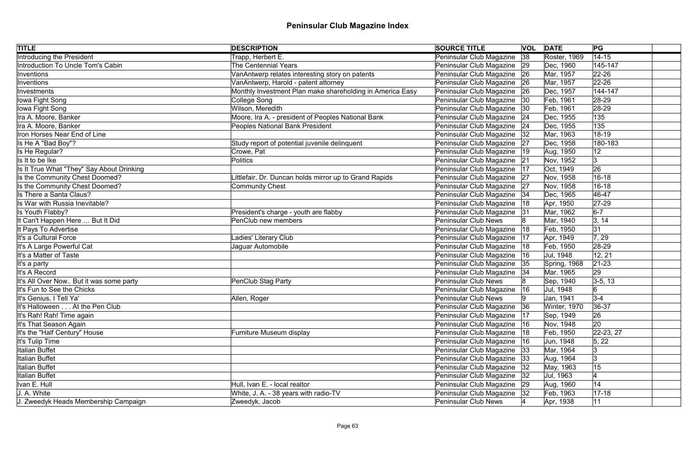| <b>TITLE</b>                              | <b>DESCRIPTION</b>                                        | <b>SOURCE TITLE</b>           | <b>VOL DATE</b> |              | PG          |
|-------------------------------------------|-----------------------------------------------------------|-------------------------------|-----------------|--------------|-------------|
| Introducing the President                 | Trapp, Herbert E.                                         | Peninsular Club Magazine      | 38              | Roster, 1969 | $14 - 15$   |
| Introduction To Uncle Tom's Cabin         | The Centennial Years                                      | Peninsular Club Magazine 29   |                 | Dec, 1960    | 145-147     |
| Inventions                                | VanAntwerp relates interesting story on patents           | Peninsular Club Magazine 26   |                 | Mar, 1957    | $22 - 26$   |
| Inventions                                | VanAntwerp, Harold - patent attorney                      | Peninsular Club Magazine 26   |                 | Mar, 1957    | $ 22 - 26 $ |
| Investments                               | Monthly Investment Plan make shareholding in America Easy | Peninsular Club Magazine 26   |                 | Dec, 1957    | 144-147     |
| lowa Fight Song                           | College Song                                              | Peninsular Club Magazine   30 |                 | Feb, 1961    | $ 28-29$    |
| lowa Fight Song                           | Wilson, Meredith                                          | Peninsular Club Magazine  30  |                 | Feb, 1961    | $ 28-29$    |
| Ira A. Moore, Banker                      | Moore, Ira A. - president of Peoples National Bank        | Peninsular Club Magazine 24   |                 | Dec, 1955    | 135         |
| Ira A. Moore, Banker                      | Peoples National Bank President                           | Peninsular Club Magazine 24   |                 | Dec, 1955    | 135         |
| Iron Horses Near End of Line              |                                                           | Peninsular Club Magazine   32 |                 | Mar, 1963    | 18-19       |
| Is He A "Bad Boy"?                        | Study report of potential juvenile delinquent             | Peninsular Club Magazine      | 27              | Dec, 1958    | 180-183     |
| Is He Regular?                            | Crowe, Pat                                                | Peninsular Club Magazine      | 19              | Aug, 1950    | 12          |
| Is It to be Ike                           | Politics                                                  | Peninsular Club Magazine      | 21              | Nov, 1952    | 3           |
| Is It True What "They" Say About Drinking |                                                           | Peninsular Club Magazine      | 17              | Oct, 1949    | 26          |
| Is the Community Chest Doomed?            | Littlefair, Dr. Duncan holds mirror up to Grand Rapids    | Peninsular Club Magazine 27   |                 | Nov, 1958    | $16 - 18$   |
| Is the Community Chest Doomed?            | Community Chest                                           | Peninsular Club Magazine      | 27              | Nov, 1958    | $16 - 18$   |
| Is There a Santa Claus?                   |                                                           | Peninsular Club Magazine   34 |                 | Dec, 1965    | 46-47       |
| Is War with Russia Inevitable?            |                                                           | Peninsular Club Magazine      | 18              | Apr, 1950    | $ 27-29 $   |
| Is Youth Flabby?                          | President's charge - youth are flabby                     | Peninsular Club Magazine 31   |                 | Mar, 1962    | $6-7$       |
| It Can't Happen Here  But It Did          | PenClub new members                                       | Peninsular Club News          |                 | Mar, 1940    | 3, 14       |
| It Pays To Advertise                      |                                                           | Peninsular Club Magazine      | 18              | Feb, 1950    | 31          |
| It's a Cultural Force                     | Ladies' Literary Club                                     | Peninsular Club Magazine      | 17              | Apr, 1949    | 7, 29       |
| It's A Large Powerful Cat                 | Jaguar Automobile                                         | Peninsular Club Magazine   18 |                 | Feb, 1950    | 28-29       |
| It's a Matter of Taste                    |                                                           | Peninsular Club Magazine      | 16              | Jul, 1948    | 12, 21      |
| It's a party                              |                                                           | Peninsular Club Magazine 35   |                 | Spring, 1968 | $ 21-23 $   |
| It's A Record                             |                                                           | Peninsular Club Magazine   34 |                 | Mar, 1965    | 29          |
| It's All Over Now But it was some party   | PenClub Stag Party                                        | Peninsular Club News          |                 | Sep, 1940    | $3-5, 13$   |
| It's Fun to See the Chicks                |                                                           | Peninsular Club Magazine      | 16              | Jul, 1948    | 6           |
| It's Genius, I Tell Ya'                   | Allen, Roger                                              | Peninsular Club News          | $ 9\rangle$     | Jan, 1941    | $3-4$       |
| It's Halloween At the Pen Club            |                                                           | Peninsular Club Magazine      | 36              | Winter, 1970 | 36-37       |
| It's Rah! Rah! Time again                 |                                                           | Peninsular Club Magazine      | 17              | Sep, 1949    | 26          |
| It's That Season Again                    |                                                           | Peninsular Club Magazine      | 16              | Nov, 1948    | 20          |
| It's the "Half Century" House             | Furniture Museum display                                  | Peninsular Club Magazine      | 18              | Feb, 1950    | $22-23, 27$ |
| It's Tulip Time                           |                                                           | Peninsular Club Magazine      | 16              | Jun, 1948    | 5, 22       |
| Italian Buffet                            |                                                           | Peninsular Club Magazine  33  |                 | Mar, 1964    |             |
| <b>Italian Buffet</b>                     |                                                           | Peninsular Club Magazine 33   |                 | Aug, 1964    |             |
| <b>Italian Buffet</b>                     |                                                           | Peninsular Club Magazine   32 |                 | May, 1963    | 15          |
| <b>Italian Buffet</b>                     |                                                           | Peninsular Club Magazine 32   |                 | Jul, 1963    |             |
| Ivan E. Hull                              | Hull, Ivan E. - local realtor                             | Peninsular Club Magazine 29   |                 | Aug, 1960    | 14          |
| J. A. White                               | White, J. A. - 38 years with radio-TV                     | Peninsular Club Magazine   32 |                 | Feb, 1963    | $17 - 18$   |
| J. Zweedyk Heads Membership Campaign      | Zweedyk, Jacob                                            | Peninsular Club News          |                 | Apr, 1938    | 11          |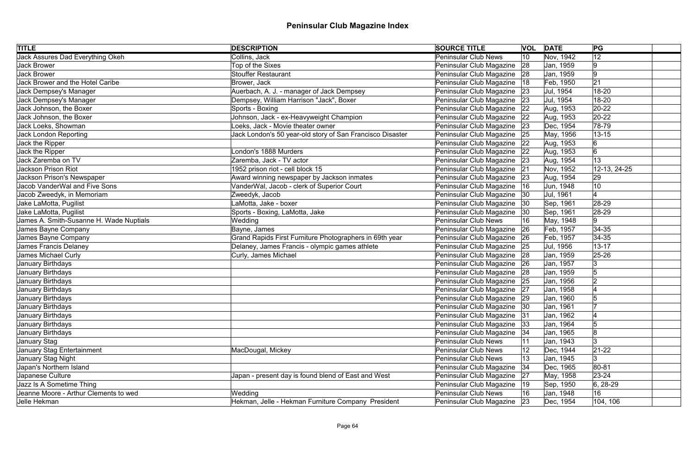| <b>TITLE</b>                            | <b>DESCRIPTION</b>                                        | <b>SOURCE TITLE</b>         |              | <b>VOL DATE</b> | PG              |  |
|-----------------------------------------|-----------------------------------------------------------|-----------------------------|--------------|-----------------|-----------------|--|
| Jack Assures Dad Everything Okeh        | Collins, Jack                                             | <b>Peninsular Club News</b> | 10           | Nov, 1942       | 12              |  |
| Jack Brower                             | Top of the Sixes                                          | Peninsular Club Magazine    | 28           | Jan, 1959       | 9               |  |
| <b>Jack Brower</b>                      | <b>Stouffer Restaurant</b>                                | Peninsular Club Magazine    | 28           | Jan, 1959       | 9               |  |
| Jack Brower and the Hotel Caribe        | Brower, Jack                                              | Peninsular Club Magazine    | 18           | Feb, 1950       | 21              |  |
| Jack Dempsey's Manager                  | Auerbach, A. J. - manager of Jack Dempsey                 | Peninsular Club Magazine    | 23           | Jul, 1954       | 18-20           |  |
| Jack Dempsey's Manager                  | Dempsey, William Harrison "Jack", Boxer                   | Peninsular Club Magazine    | 23           | Jul, 1954       | 18-20           |  |
| Jack Johnson, the Boxer                 | Sports - Boxing                                           | Peninsular Club Magazine    | 22           | Aug, 1953       | $ 20-22 $       |  |
| Jack Johnson, the Boxer                 | Johnson, Jack - ex-Heavyweight Champion                   | Peninsular Club Magazine    | 22           | Aug, 1953       | $20-22$         |  |
| Jack Loeks, Showman                     | oeks, Jack - Movie theater owner                          | Peninsular Club Magazine    | 23           | Dec, 1954       | 78-79           |  |
| <b>Jack London Reporting</b>            | Jack London's 50 year-old story of San Francisco Disaster | Peninsular Club Magazine    | 25           | May, 1956       | $13 - 15$       |  |
| Jack the Ripper                         |                                                           | Peninsular Club Magazine    | 22           | Aug, 1953       | 6               |  |
| Jack the Ripper                         | London's 1888 Murders                                     | Peninsular Club Magazine    | 22           | Aug, 1953       | $6\overline{6}$ |  |
| Jack Zaremba on TV                      | Zaremba, Jack - TV actor                                  | Peninsular Club Magazine    | 23           | Aug, 1954       | 13              |  |
| <b>Jackson Prison Riot</b>              | 1952 prison riot - cell block 15                          | Peninsular Club Magazine    | 21           | Nov, 1952       | 12-13, 24-25    |  |
| Jackson Prison's Newspaper              | Award winning newspaper by Jackson inmates                | Peninsular Club Magazine    | 23           | Aug, 1954       | 29              |  |
| <b>Jacob VanderWal and Five Sons</b>    | VanderWal, Jacob - clerk of Superior Court                | Peninsular Club Magazine    | 16           | Jun, 1948       | 10              |  |
| Jacob Zweedyk, in Memoriam              | Zweedyk, Jacob                                            | Peninsular Club Magazine    | 30           | Jul, 1961       |                 |  |
| Jake LaMotta, Pugilist                  | LaMotta, Jake - boxer                                     | Peninsular Club Magazine    | 30           | Sep, 1961       | 28-29           |  |
| Jake LaMotta, Pugilist                  | Sports - Boxing, LaMotta, Jake                            | Peninsular Club Magazine    | 30           | Sep, 1961       | 28-29           |  |
| James A. Smith-Susanne H. Wade Nuptials | Wedding                                                   | <b>Peninsular Club News</b> | 16           | May, 1948       | 9               |  |
| James Bayne Company                     | Bayne, James                                              | Peninsular Club Magazine    | 26           | Feb, 1957       | $ 34-35$        |  |
| James Bayne Company                     | Grand Rapids First Furniture Photographers in 69th year   | Peninsular Club Magazine    | 26           | Feb, 1957       | $ 34-35$        |  |
| James Francis Delaney                   | Delaney, James Francis - olympic games athlete            | Peninsular Club Magazine    | 25           | Jul, 1956       | $13 - 17$       |  |
| James Michael Curly                     | Curly, James Michael                                      | Peninsular Club Magazine    | 28           | Jan, 1959       | $ 25 - 26 $     |  |
| January Birthdays                       |                                                           | Peninsular Club Magazine    | 26           | Jan, 1957       | Ι3              |  |
| January Birthdays                       |                                                           | Peninsular Club Magazine    | 28           | Jan, 1959       |                 |  |
| January Birthdays                       |                                                           | Peninsular Club Magazine 25 |              | Jan, 1956       | 2               |  |
| January Birthdays                       |                                                           | Peninsular Club Magazine    | 27           | Jan, 1958       |                 |  |
| January Birthdays                       |                                                           | Peninsular Club Magazine 29 |              | Jan, 1960       |                 |  |
| January Birthdays                       |                                                           | Peninsular Club Magazine    | 30           | Jan, 1961       |                 |  |
| January Birthdays                       |                                                           | Peninsular Club Magazine    | 31           | Jan, 1962       |                 |  |
| January Birthdays                       |                                                           | Peninsular Club Magazine    | 33           | Jan, 1964       |                 |  |
| <b>January Birthdays</b>                |                                                           | Peninsular Club Magazine    | 34           | Jan, 1965       | 8               |  |
| January Stag                            |                                                           | <b>Peninsular Club News</b> |              | Jan, 1943       | 3               |  |
| January Stag Entertainment              | MacDougal, Mickey                                         | <b>Peninsular Club News</b> |              | Dec, 1944       | $21-22$         |  |
| January Stag Night                      |                                                           | <b>Peninsular Club News</b> |              | Jan, 1945       |                 |  |
| Japan's Northern Island                 |                                                           | Peninsular Club Magazine    | 34           | Dec, 1965       | 80-81           |  |
| Japanese Culture                        | Japan - present day is found blend of East and West       | Peninsular Club Magazine    | 27           | May, 1958       | $23 - 24$       |  |
| Jazz Is A Sometime Thing                |                                                           | Peninsular Club Magazine    | $ 19\rangle$ | Sep, 1950       | $ 6, 28-29$     |  |
| Jeanne Moore - Arthur Clements to wed   | Wedding                                                   | <b>Peninsular Club News</b> | 16           | Jan, 1948       | 16              |  |
| Jelle Hekman                            | Hekman, Jelle - Hekman Furniture Company President        | Peninsular Club Magazine 23 |              | Dec, 1954       | 104, 106        |  |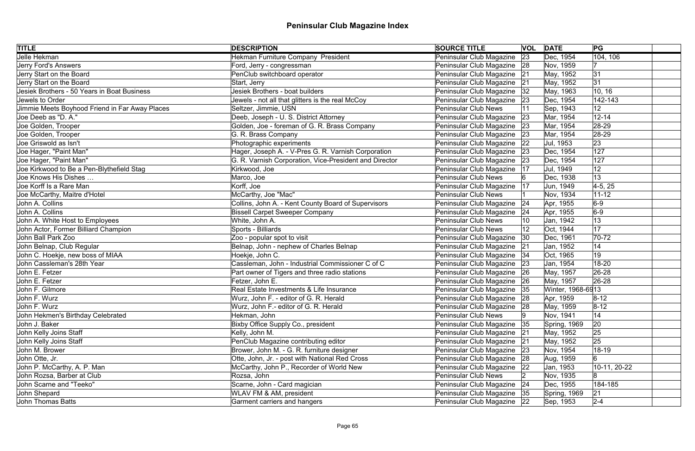| <b>TITLE</b>                                   | <b>DESCRIPTION</b>                                     | <b>SOURCE TITLE</b>           |    | <b>VOL DATE</b>   | PG           |
|------------------------------------------------|--------------------------------------------------------|-------------------------------|----|-------------------|--------------|
| Jelle Hekman                                   | Hekman Furniture Company President                     | Peninsular Club Magazine      | 23 | Dec, 1954         | 104, 106     |
| Jerry Ford's Answers                           | Ford, Jerry - congressman                              | Peninsular Club Magazine 28   |    | Nov, 1959         |              |
| Jerry Start on the Board                       | PenClub switchboard operator                           | Peninsular Club Magazine 21   |    | May, 1952         | 31           |
| Jerry Start on the Board                       | Start, Jerry                                           | Peninsular Club Magazine 21   |    | May, 1952         | 31           |
| Jesiek Brothers - 50 Years in Boat Business    | Jesiek Brothers - boat builders                        | Peninsular Club Magazine      | 32 | May, 1963         | 10, 16       |
| Jewels to Order                                | Jewels - not all that glitters is the real McCoy       | Peninsular Club Magazine 23   |    | Dec, 1954         | 142-143      |
| Jimmie Meets Boyhood Friend in Far Away Places | Seltzer, Jimmie, USN                                   | <b>Peninsular Club News</b>   |    | Sep, 1943         | 12           |
| Joe Deeb as "D. A."                            | Deeb, Joseph - U. S. District Attorney                 | Peninsular Club Magazine 23   |    | Mar, 1954         | $12 - 14$    |
| Joe Golden, Trooper                            | Golden, Joe - foreman of G. R. Brass Company           | Peninsular Club Magazine      | 23 | Mar, 1954         | 28-29        |
| Joe Golden, Trooper                            | G. R. Brass Company                                    | Peninsular Club Magazine 23   |    | Mar, 1954         | 28-29        |
| Joe Griswold as Isn't                          | Photographic experiments                               | Peninsular Club Magazine      | 22 | Jul, 1953         | 23           |
| Joe Hager, "Paint Man"                         | Hager, Joseph A. - V-Pres G. R. Varnish Corporation    | Peninsular Club Magazine      | 23 | Dec, 1954         | 127          |
| Joe Hager, "Paint Man"                         | G. R. Varnish Corporation, Vice-President and Director | Peninsular Club Magazine      | 23 | Dec, 1954         | 127          |
| Joe Kirkwood to Be a Pen-Blythefield Stag      | Kirkwood, Joe                                          | Peninsular Club Magazine      | 17 | Jul, 1949         | 12           |
| Joe Knows His Dishes                           | Marco, Joe                                             | <b>Peninsular Club News</b>   |    | Dec, 1938         | 13           |
| Joe Korff Is a Rare Man                        | Korff, Joe                                             | Peninsular Club Magazine      | 17 | Jun, 1949         | $4-5, 25$    |
| Joe McCarthy, Maitre d'Hotel                   | McCarthy, Joe "Mac"                                    | <b>Peninsular Club News</b>   |    | Nov, 1934         | $11 - 12$    |
| John A. Collins                                | Collins, John A. - Kent County Board of Supervisors    | Peninsular Club Magazine      | 24 | Apr, 1955         | $6-9$        |
| John A. Collins                                | <b>Bissell Carpet Sweeper Company</b>                  | Peninsular Club Magazine      | 24 | Apr, 1955         | $6-9$        |
| John A. White Host to Employees                | White, John A.                                         | <b>Peninsular Club News</b>   |    | Jan, 1942         | 13           |
| John Actor, Former Billiard Champion           | Sports - Billiards                                     | <b>Peninsular Club News</b>   | 12 | Oct, 1944         | 17           |
| John Ball Park Zoo                             | Zoo - popular spot to visit                            | Peninsular Club Magazine      | 30 | Dec, 1961         | $ 70-72$     |
| John Belnap, Club Regular                      | Belnap, John - nephew of Charles Belnap                | Peninsular Club Magazine 21   |    | Jan, 1952         | 14           |
| John C. Hoekje, new boss of MIAA               | Hoekje, John C.                                        | Peninsular Club Magazine   34 |    | Oct, 1965         | 19           |
| John Cassleman's 28th Year                     | Cassleman, John - Industrial Commissioner C of C       | Peninsular Club Magazine 23   |    | Jan, 1954         | 18-20        |
| John E. Fetzer                                 | Part owner of Tigers and three radio stations          | Peninsular Club Magazine 26   |    | May, 1957         | $ 26-28$     |
| John E. Fetzer                                 | Fetzer, John E.                                        | Peninsular Club Magazine 26   |    | May, 1957         | $ 26-28$     |
| John F. Gilmore                                | Real Estate Investments & Life Insurance               | Peninsular Club Magazine  35  |    | Winter, 1968-6913 |              |
| John F. Wurz                                   | Wurz, John F. - editor of G. R. Herald                 | Peninsular Club Magazine 28   |    | Apr, 1959         | $8 - 12$     |
| John F. Wurz                                   | Wurz, John F.- editor of G. R. Herald                  | Peninsular Club Magazine 28   |    | May, 1959         | $8 - 12$     |
| John Hekmen's Birthday Celebrated              | Hekman, John                                           | Peninsular Club News          |    | Nov, 1941         | 14           |
| John J. Baker                                  | Bixby Office Supply Co., president                     | Peninsular Club Magazine      | 35 | Spring, 1969      | 20           |
| John Kelly Joins Staff                         | Kelly, John M.                                         | Peninsular Club Magazine      | 21 | May, 1952         | 25           |
| John Kelly Joins Staff                         | PenClub Magazine contributing editor                   | Peninsular Club Magazine      | 21 | May, 1952         | 25           |
| John M. Brower                                 | Brower, John M. - G. R. furniture designer             | Peninsular Club Magazine 23   |    | Nov, 1954         | 18-19        |
| John Otte, Jr.                                 | Otte, John, Jr. - post with National Red Cross         | Peninsular Club Magazine 28   |    | Aug, 1959         |              |
| John P. McCarthy, A. P. Man                    | McCarthy, John P., Recorder of World New               | Peninsular Club Magazine   22 |    | Jan, 1953         | 10-11, 20-22 |
| John Rozsa, Barber at Club                     | Rozsa, John                                            | <b>Peninsular Club News</b>   |    | Nov, 1935         | 18           |
| John Scarne and "Teeko"                        | Scarne, John - Card magician                           | Peninsular Club Magazine      | 24 | Dec, 1955         | 184-185      |
| John Shepard                                   | WLAV FM & AM, president                                | Peninsular Club Magazine 35   |    | Spring, 1969      | 21           |
| John Thomas Batts                              | Garment carriers and hangers                           | Peninsular Club Magazine 22   |    | Sep, 1953         | $2 - 4$      |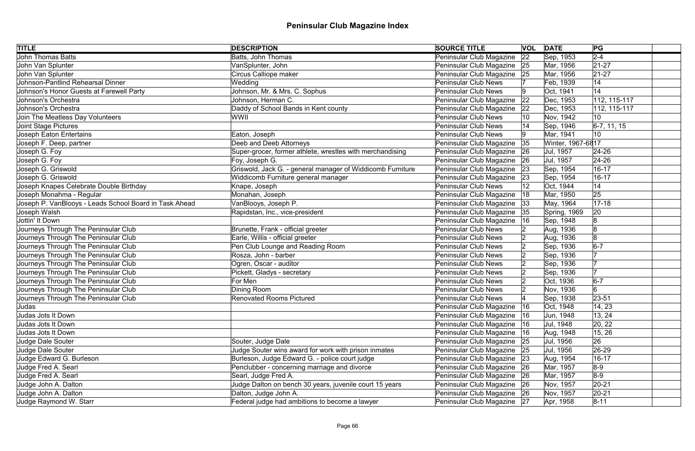| <b>TITLE</b>                                           | <b>DESCRIPTION</b>                                         | <b>SOURCE TITLE</b>         |     | <b>VOL DATE</b>   | PG              |
|--------------------------------------------------------|------------------------------------------------------------|-----------------------------|-----|-------------------|-----------------|
| <b>John Thomas Batts</b>                               | Batts, John Thomas                                         | Peninsular Club Magazine    | 22  | Sep, 1953         | $2 - 4$         |
| John Van Splunter                                      | VanSplunter, John                                          | Peninsular Club Magazine 25 |     | Mar, 1956         | $21 - 27$       |
| John Van Splunter                                      | Circus Calliope maker                                      | Peninsular Club Magazine 25 |     | Mar, 1956         | $ 21-27$        |
| Johnson-Pantlind Rehearsal Dinner                      | Wedding                                                    | <b>Peninsular Club News</b> |     | Feb, 1939         | 14              |
| Johnson's Honor Guests at Farewell Party               | Johnson, Mr. & Mrs. C. Sophus                              | <b>Peninsular Club News</b> | 19  | Oct, 1941         | 14              |
| Johnson's Orchestra                                    | Johnson, Herman C.                                         | Peninsular Club Magazine    | 22  | Dec, 1953         | 112, 115-117    |
| Johnson's Orchestra                                    | Daddy of School Bands in Kent county                       | Peninsular Club Magazine    | 22  | Dec, 1953         | $ 112, 115-117$ |
| Join The Meatless Day Volunteers                       | WWII                                                       | <b>Peninsular Club News</b> |     | Nov, 1942         | 10              |
| Joint Stage Pictures                                   |                                                            | <b>Peninsular Club News</b> |     | Sep, 1946         | $6-7, 11, 15$   |
| Joseph Eaton Entertains                                | Eaton, Joseph                                              | <b>Peninsular Club News</b> |     | Mar, 1941         | 10              |
| Joseph F. Deep, partner                                | Deeb and Deeb Attorneys                                    | Peninsular Club Magazine    | 35  | Winter, 1967-6817 |                 |
| Joseph G. Foy                                          | Super-grocer, former athlete, wrestles with merchandising  | Peninsular Club Magazine    | 26  | Jul, 1957         | $ 24-26$        |
| Joseph G. Foy                                          | Foy, Joseph G.                                             | Peninsular Club Magazine    | 26  | Jul, 1957         | 24-26           |
| Joseph G. Griswold                                     | Griswold, Jack G. - general manager of Widdicomb Furniture | Peninsular Club Magazine    | 23  | Sep, 1954         | $16 - 17$       |
| Joseph G. Griswold                                     | Widdicomb Furniture general manager                        | Peninsular Club Magazine    | 23  | Sep, 1954         | $16 - 17$       |
| Joseph Knapes Celebrate Double Birthday                | Knape, Joseph                                              | <b>Peninsular Club News</b> | 12  | Oct, 1944         | 14              |
| Joseph Monahma - Regular                               | Monahan, Joseph                                            | Peninsular Club Magazine    | 18  | Mar, 1950         | 25              |
| Joseph P. VanBlooys - Leads School Board in Task Ahead | VanBlooys, Joseph P.                                       | Peninsular Club Magazine    | 33  | May, 1964         | $ 17 - 18$      |
| Joseph Walsh                                           | Rapidstan, Inc., vice-president                            | Peninsular Club Magazine 35 |     | Spring, 1969      | 20              |
| Jottin' It Down                                        |                                                            | Peninsular Club Magazine    | 16  | Sep, 1948         | 8               |
| Journeys Through The Peninsular Club                   | Brunette, Frank - official greeter                         | <b>Peninsular Club News</b> |     | Aug, 1936         | 8               |
| Journeys Through The Peninsular Club                   | Earle, Willis - official greeter                           | <b>Peninsular Club News</b> |     | Aug, 1936         | 8               |
| Journeys Through The Peninsular Club                   | Pen Club Lounge and Reading Room                           | <b>Peninsular Club News</b> | 12  | Sep, 1936         | $6-7$           |
| Journeys Through The Peninsular Club                   | Rosza, John - barber                                       | <b>Peninsular Club News</b> |     | Sep, 1936         |                 |
| Journeys Through The Peninsular Club                   | Ogren, Oscar - auditor                                     | <b>Peninsular Club News</b> |     | Sep, 1936         |                 |
| Journeys Through The Peninsular Club                   | Pickett, Gladys - secretary                                | <b>Peninsular Club News</b> |     | Sep, 1936         |                 |
| Journeys Through The Peninsular Club                   | For Men                                                    | <b>Peninsular Club News</b> |     | Oct, 1936         | $6-7$           |
| Journeys Through The Peninsular Club                   | Dining Room                                                | <b>Peninsular Club News</b> |     | Nov, 1936         | 6               |
| Journeys Through The Peninsular Club                   | <b>Renovated Rooms Pictured</b>                            | <b>Peninsular Club News</b> |     | Sep, 1938         | 23-51           |
| Judas                                                  |                                                            | Peninsular Club Magazine    | 16  | Oct, 1948         | 14, 23          |
| Judas Jots It Down                                     |                                                            | Peninsular Club Magazine    | 16  | Jun, 1948         | 13, 24          |
| Judas Jots It Down                                     |                                                            | Peninsular Club Magazine    | 16  | Jul, 1948         | 20, 22          |
| Judas Jots It Down                                     |                                                            | Peninsular Club Magazine    | ∣16 | Aug, 1948         | 15, 26          |
| Judge Dale Souter                                      | Souter, Judge Dale                                         | Peninsular Club Magazine 25 |     | Jul, 1956         | 26              |
| Judge Dale Souter                                      | Judge Souter wins award for work with prison inmates       | Peninsular Club Magazine 25 |     | Jul, 1956         | 26-29           |
| Judge Edward G. Burleson                               | Burleson, Judge Edward G. - police court judge             | Peninsular Club Magazine 23 |     | Aug, 1954         | $16 - 17$       |
| Judge Fred A. Searl                                    | Penclubber - concerning marriage and divorce               | Peninsular Club Magazine 26 |     | Mar, 1957         | $8-9$           |
| Judge Fred A. Searl                                    | Searl, Judge Fred A.                                       | Peninsular Club Magazine 26 |     | Mar, 1957         | $8-9$           |
| Judge John A. Dalton                                   | Judge Dalton on bench 30 years, juvenile court 15 years    | Peninsular Club Magazine 26 |     | Nov, 1957         | $ 20-21$        |
| Judge John A. Dalton                                   | Dalton, Judge John A.                                      | Peninsular Club Magazine 26 |     | Nov, 1957         | $ 20-21$        |
| Judge Raymond W. Starr                                 | Federal judge had ambitions to become a lawyer             | Peninsular Club Magazine 27 |     | Apr, 1958         | $8 - 11$        |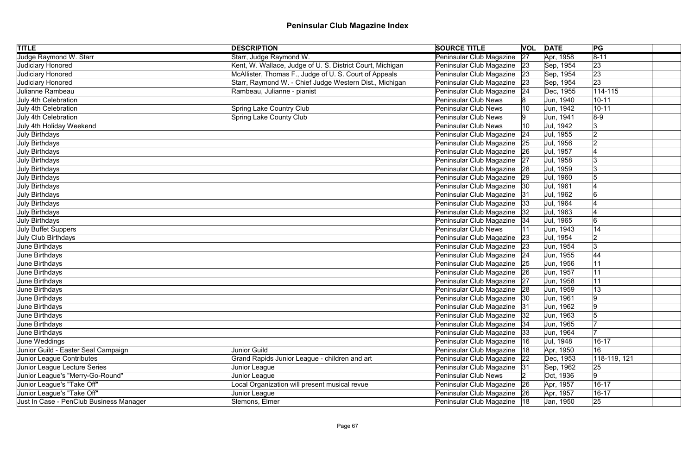| <b>TITLE</b>                            | <b>DESCRIPTION</b>                                        | <b>SOURCE TITLE</b>           |              | <b>VOL DATE</b> | PG           |
|-----------------------------------------|-----------------------------------------------------------|-------------------------------|--------------|-----------------|--------------|
| Judge Raymond W. Starr                  | Starr, Judge Raymond W.                                   | Peninsular Club Magazine      | 27           | Apr, 1958       | $ 8-11 $     |
| Judiciary Honored                       | Kent, W. Wallace, Judge of U. S. District Court, Michigan | Peninsular Club Magazine 23   |              | Sep, 1954       | 23           |
| Judiciary Honored                       | McAllister, Thomas F., Judge of U.S. Court of Appeals     | Peninsular Club Magazine      | 23           | Sep, 1954       | 23           |
| Judiciary Honored                       | Starr, Raymond W. - Chief Judge Western Dist., Michigan   | Peninsular Club Magazine      | 23           | Sep, 1954       | 23           |
| Julianne Rambeau                        | Rambeau, Julianne - pianist                               | Peninsular Club Magazine      | 24           | Dec, 1955       | $114 - 115$  |
| July 4th Celebration                    |                                                           | <b>Peninsular Club News</b>   |              | Jun, 1940       | $10 - 11$    |
| July 4th Celebration                    | <b>Spring Lake Country Club</b>                           | <b>Peninsular Club News</b>   | 10           | Jun, 1942       | $10 - 11$    |
| July 4th Celebration                    | <b>Spring Lake County Club</b>                            | <b>Peninsular Club News</b>   |              | Jun, 1941       | $8-9$        |
| July 4th Holiday Weekend                |                                                           | <b>Peninsular Club News</b>   | 10           | Jul, 1942       | 3            |
| July Birthdays                          |                                                           | Peninsular Club Magazine      | 24           | Jul, 1955       | 2            |
| July Birthdays                          |                                                           | Peninsular Club Magazine      | 25           | Jul, 1956       | 12           |
| July Birthdays                          |                                                           | Peninsular Club Magazine      | 26           | Jul, 1957       |              |
| July Birthdays                          |                                                           | Peninsular Club Magazine      | 27           | Jul, 1958       | 13           |
| July Birthdays                          |                                                           | Peninsular Club Magazine      | 28           | Jul, 1959       |              |
| July Birthdays                          |                                                           | Peninsular Club Magazine      | 29           | Jul, 1960       |              |
| July Birthdays                          |                                                           | Peninsular Club Magazine      | 30           | Jul, 1961       |              |
| July Birthdays                          |                                                           | Peninsular Club Magazine      | 31           | Jul, 1962       | 6            |
| July Birthdays                          |                                                           | Peninsular Club Magazine      | 33           | Jul, 1964       |              |
| July Birthdays                          |                                                           | Peninsular Club Magazine      | 32           | Jul, 1963       |              |
| July Birthdays                          |                                                           | Peninsular Club Magazine      | 34           | Jul, 1965       | 6            |
| July Buffet Suppers                     |                                                           | <b>Peninsular Club News</b>   |              | Jun, 1943       | 14           |
| July Club Birthdays                     |                                                           | Peninsular Club Magazine      | 23           | Jul, 1954       | 2            |
| June Birthdays                          |                                                           | Peninsular Club Magazine 23   |              | Jun, 1954       | 3            |
| June Birthdays                          |                                                           | Peninsular Club Magazine      | 24           | Jun, 1955       | 44           |
| June Birthdays                          |                                                           | Peninsular Club Magazine 25   |              | Jun, 1956       | 11           |
| June Birthdays                          |                                                           | Peninsular Club Magazine      | 26           | Jun, 1957       | 11           |
| June Birthdays                          |                                                           | Peninsular Club Magazine 27   |              | Jun, 1958       | 11           |
| June Birthdays                          |                                                           | Peninsular Club Magazine   28 |              | Jun, 1959       | 13           |
| June Birthdays                          |                                                           | Peninsular Club Magazine   30 |              | Jun, 1961       | 9            |
| June Birthdays                          |                                                           | Peninsular Club Magazine      | 31           | Jun, 1962       | 9            |
| June Birthdays                          |                                                           | Peninsular Club Magazine   32 |              | Jun, 1963       |              |
| June Birthdays                          |                                                           | Peninsular Club Magazine      | 34           | Jun, 1965       |              |
| June Birthdays                          |                                                           | Peninsular Club Magazine      | 33           | Jun, 1964       |              |
| June Weddings                           |                                                           | Peninsular Club Magazine      | 16           | Jul, 1948       | $16 - 17$    |
| Junior Guild - Easter Seal Campaign     | Junior Guild                                              | Peninsular Club Magazine      | 18           | Apr, 1950       | 16           |
| Junior League Contributes               | Grand Rapids Junior League - children and art             | Peninsular Club Magazine      | $ 22\rangle$ | Dec, 1953       | 118-119, 121 |
| Junior League Lecture Series            | Junior League                                             | Peninsular Club Magazine  31  |              | Sep, 1962       | 25           |
| Junior League's "Merry-Go-Round"        | Junior League                                             | <b>Peninsular Club News</b>   |              | Oct, 1936       | 9            |
| Junior League's "Take Off"              | ocal Organization will present musical revue              | Peninsular Club Magazine      | 26           | Apr, 1957       | $16 - 17$    |
| Junior League's "Take Off"              | Junior League                                             | Peninsular Club Magazine 26   |              | Apr, 1957       | $16 - 17$    |
| Just In Case - PenClub Business Manager | Slemons, Elmer                                            | Peninsular Club Magazine   18 |              | Jan, 1950       | 25           |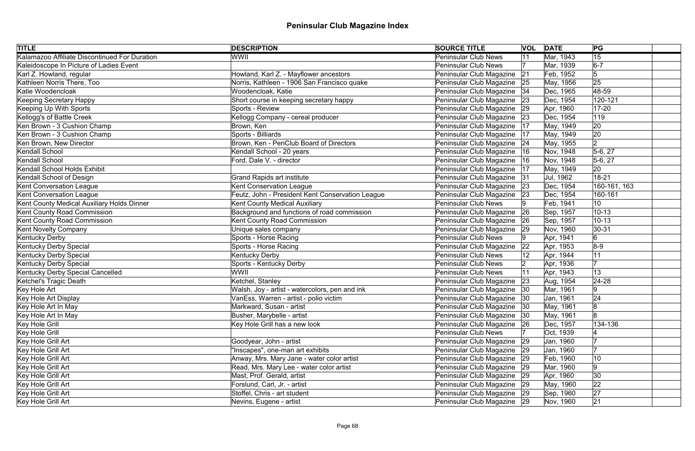| <b>TITLE</b>                                  | <b>DESCRIPTION</b>                               | <b>SOURCE TITLE</b>           |              | <b>VOL DATE</b> | PG           |  |
|-----------------------------------------------|--------------------------------------------------|-------------------------------|--------------|-----------------|--------------|--|
| Kalamazoo Affiliate Discontinued For Duration | WWII                                             | <b>Peninsular Club News</b>   | 11           | Mar, 1943       | 15           |  |
| Kaleidoscope In Picture of Ladies Event       |                                                  | <b>Peninsular Club News</b>   |              | Mar, 1939       | $6-7$        |  |
| Karl Z. Howland, regular                      | Howland, Karl Z. - Mayflower ancestors           | Peninsular Club Magazine      | 21           | Feb, 1952       | 5            |  |
| Kathleen Norris There, Too                    | Norris, Kathleen - 1906 San Francisco quake      | Peninsular Club Magazine      | 25           | May, 1956       | 25           |  |
| Katie Woodencloak                             | Woodencloak, Katie                               | Peninsular Club Magazine      | 34           | Dec, 1965       | 48-59        |  |
| <b>Keeping Secretary Happy</b>                | Short course in keeping secretary happy          | Peninsular Club Magazine      | 23           | Dec, 1954       | 120-121      |  |
| Keeping Up With Sports                        | Sports - Review                                  | Peninsular Club Magazine      | 29           | Apr, 1960       | $17 - 20$    |  |
| Kellogg's of Battle Creek                     | Kellogg Company - cereal producer                | Peninsular Club Magazine      | 23           | Dec, 1954       | 119          |  |
| Ken Brown - 3 Cushion Champ                   | Brown, Ken                                       | Peninsular Club Magazine      | 17           | May, 1949       | 20           |  |
| Ken Brown - 3 Cushion Champ                   | Sports - Billiards                               | Peninsular Club Magazine      | 17           | May, 1949       | 20           |  |
| Ken Brown, New Director                       | Brown, Ken - PenClub Board of Directors          | Peninsular Club Magazine      | 24           | May, 1955       | $ 2\rangle$  |  |
| Kendall School                                | Kendall School - 20 years                        | Peninsular Club Magazine      | 16           | Nov, 1948       | $5-6, 27$    |  |
| Kendall School                                | Ford, Dale V. - director                         | Peninsular Club Magazine      | 16           | Nov, 1948       | $5-6, 27$    |  |
| Kendall School Holds Exhibit                  |                                                  | Peninsular Club Magazine      | 17           | May, 1949       | 20           |  |
| Kendall School of Design                      | <b>Grand Rapids art institute</b>                | Peninsular Club Magazine      | 31           | Jul, 1962       | $18 - 21$    |  |
| <b>Kent Conversation League</b>               | Kent Conservation League                         | Peninsular Club Magazine      | 23           | Dec, 1954       | 160-161, 163 |  |
| <b>Kent Conversation League</b>               | Feutz, John - President Kent Conservation League | Peninsular Club Magazine      | 23           | Dec, 1954       | 160-161      |  |
| Kent County Medical Auxiliary Holds Dinner    | Kent County Medical Auxiliary                    | <b>Peninsular Club News</b>   |              | Feb, 1941       | 10           |  |
| Kent County Road Commission                   | Background and functions of road commission      | Peninsular Club Magazine      | 26           | Sep, 1957       | $10 - 13$    |  |
| Kent County Road Commission                   | <b>Kent County Road Commission</b>               | Peninsular Club Magazine      | 26           | Sep, 1957       | $10 - 13$    |  |
| <b>Kent Novelty Company</b>                   | Unique sales company                             | Peninsular Club Magazine      | $ 29\rangle$ | Nov, 1960       | $30 - 31$    |  |
| Kentucky Derby                                | Sports - Horse Racing                            | <b>Peninsular Club News</b>   |              | Apr, 1941       | 6            |  |
| Kentucky Derby Special                        | Sports - Horse Racing                            | Peninsular Club Magazine      | 22           | Apr, 1953       | $8-9$        |  |
| Kentucky Derby Special                        | Kentucky Derby                                   | <b>Peninsular Club News</b>   |              | Apr, 1944       | 11           |  |
| Kentucky Derby Special                        | Sports - Kentucky Derby                          | Peninsular Club News          |              | Apr, 1936       |              |  |
| Kentucky Derby Special Cancelled              | WWII                                             | <b>Peninsular Club News</b>   |              | Apr, 1943       | 13           |  |
| Ketchel's Tragic Death                        | Ketchel, Stanley                                 | Peninsular Club Magazine      | 23           | Aug, 1954       | $ 24-28$     |  |
| Key Hole Art                                  | Walsh, Joy - artist - watercolors, pen and ink   | Peninsular Club Magazine      | 30           | Mar, 1961       | 9            |  |
| Key Hole Art Display                          | VanEss, Warren - artist - polio victim           | Peninsular Club Magazine   30 |              | Jan, 1961       | 24           |  |
| Key Hole Art In May                           | Markward, Susan - artist                         | Peninsular Club Magazine      | 30           | May, 1961       | 8            |  |
| Key Hole Art In May                           | Busher, Marybelle - artist                       | Peninsular Club Magazine      | 30           | May, 1961       |              |  |
| Key Hole Grill                                | Key Hole Grill has a new look                    | Peninsular Club Magazine      | 26           | Dec, 1957       | 134-136      |  |
| Key Hole Grill                                |                                                  | <b>Peninsular Club News</b>   |              | Oct, 1939       |              |  |
| Key Hole Grill Art                            | Goodyear, John - artist                          | Peninsular Club Magazine      | 29           | Jan, 1960       |              |  |
| Key Hole Grill Art                            | "Inscapes", one-man art exhibits                 | Peninsular Club Magazine      | 29           | Jan, 1960       |              |  |
| Key Hole Grill Art                            | Anway, Mrs. Mary Jane - water color artist       | Peninsular Club Magazine 29   |              | Feb, 1960       | 10           |  |
| Key Hole Grill Art                            | Read, Mrs. Mary Lee - water color artist         | Peninsular Club Magazine      | 29           | Mar, 1960       | 9            |  |
| Key Hole Grill Art                            | Mast, Prof. Gerald, artist                       | Peninsular Club Magazine 29   |              | Apr, 1960       | 30           |  |
| Key Hole Grill Art                            | Forslund, Carl, Jr. - artist                     | Peninsular Club Magazine 29   |              | May, 1960       | 22           |  |
| Key Hole Grill Art                            | Stoffel, Chris - art student                     | Peninsular Club Magazine 29   |              | Sep, 1960       | 27           |  |
| Key Hole Grill Art                            | Nevins, Eugene - artist                          | Peninsular Club Magazine 29   |              | Nov, 1960       | 21           |  |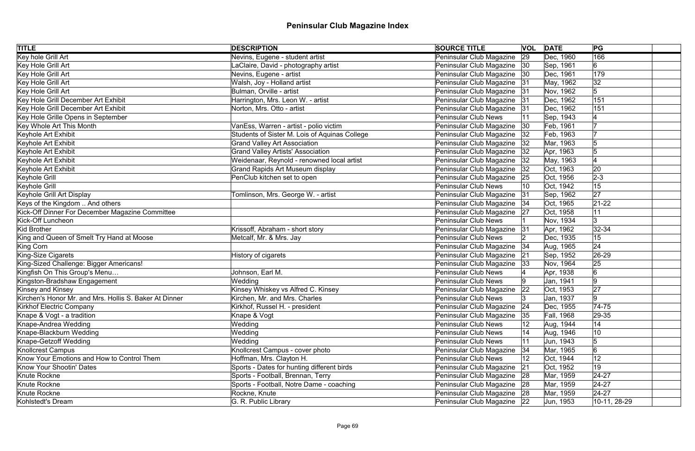| <b>TITLE</b>                                           | <b>DESCRIPTION</b>                            | <b>SOURCE TITLE</b>           |              | <b>VOL DATE</b> | PG             |
|--------------------------------------------------------|-----------------------------------------------|-------------------------------|--------------|-----------------|----------------|
| Key hole Grill Art                                     | Nevins, Eugene - student artist               | Peninsular Club Magazine      | 29           | Dec, 1960       | 166            |
| Key Hole Grill Art                                     | LaClaire, David - photography artist          | Peninsular Club Magazine 30   |              | Sep, 1961       | 6              |
| Key Hole Grill Art                                     | Nevins, Eugene - artist                       | Peninsular Club Magazine      | 30           | Dec, 1961       | 179            |
| Key Hole Grill Art                                     | Walsh, Joy - Holland artist                   | Peninsular Club Magazine      | 31           | May, 1962       | 32             |
| Key Hole Grill Art                                     | Bulman, Orville - artist                      | Peninsular Club Magazine      | 31           | Nov, 1962       | 5              |
| Key Hole Grill December Art Exhibit                    | Harrington, Mrs. Leon W. - artist             | Peninsular Club Magazine 31   |              | Dec, 1962       | 151            |
| Key Hole Grill December Art Exhibit                    | Norton, Mrs. Otto - artist                    | Peninsular Club Magazine      | 31           | Dec, 1962       | 151            |
| Key Hole Grille Opens in September                     |                                               | <b>Peninsular Club News</b>   |              | Sep, 1943       |                |
| Key Whole Art This Month                               | VanEss, Warren - artist - polio victim        | Peninsular Club Magazine      | $ 30\rangle$ | Feb, 1961       |                |
| Keyhole Art Exhibit                                    | Students of Sister M. Lois of Aquinas College | Peninsular Club Magazine      | 32           | Feb, 1963       |                |
| Keyhole Art Exhibit                                    | <b>Grand Valley Art Association</b>           | Peninsular Club Magazine      | 32           | Mar, 1963       |                |
| Keyhole Art Exhibit                                    | <b>Grand Valley Artists' Association</b>      | Peninsular Club Magazine      | 32           | Apr, 1963       |                |
| Keyhole Art Exhibit                                    | Weidenaar, Reynold - renowned local artist    | Peninsular Club Magazine      | 32           | May, 1963       |                |
| Keyhole Art Exhibit                                    | <b>Grand Rapids Art Museum display</b>        | Peninsular Club Magazine      | 32           | Oct, 1963       | 20             |
| Keyhole Grill                                          | PenClub kitchen set to open                   | Peninsular Club Magazine      | 25           | Oct, 1956       | $2 - 3$        |
| Keyhole Grill                                          |                                               | Peninsular Club News          | 10           | Oct, 1942       | 15             |
| Keyhole Grill Art Display                              | Tomlinson, Mrs. George W. - artist            | Peninsular Club Magazine      | 31           | Sep, 1962       | 27             |
| Keys of the Kingdom  And others                        |                                               | Peninsular Club Magazine   34 |              | Oct, 1965       | $ 21-22$       |
| Kick-Off Dinner For December Magazine Committee        |                                               | Peninsular Club Magazine 27   |              | Oct, 1958       | 11             |
| <b>Kick-Off Luncheon</b>                               |                                               | <b>Peninsular Club News</b>   |              | Nov, 1934       | 3              |
| Kid Brother                                            | Krissoff, Abraham - short story               | Peninsular Club Magazine      | 31           | Apr, 1962       | $ 32 - 34 $    |
| King and Queen of Smelt Try Hand at Moose              | Metcalf, Mr. & Mrs. Jay                       | <b>Peninsular Club News</b>   |              | Dec, 1935       | 15             |
| King Corn                                              |                                               | Peninsular Club Magazine      | 34           | Aug, 1965       | 24             |
| King-Size Cigarets                                     | History of cigarets                           | Peninsular Club Magazine      | 21           | Sep, 1952       | $ 26-29$       |
| King-Sized Challenge: Bigger Americans!                |                                               | Peninsular Club Magazine      | 33           | Nov, 1964       | 25             |
| Kingfish On This Group's Menu                          | Johnson, Earl M.                              | <b>Peninsular Club News</b>   |              | Apr, 1938       | $\overline{6}$ |
| Kingston-Bradshaw Engagement                           | Wedding                                       | Peninsular Club News          |              | Jan, 1941       | 9              |
| Kinsey and Kinsey                                      | Kinsey Whiskey vs Alfred C. Kinsey            | Peninsular Club Magazine      | 22           | Oct, 1953       | 27             |
| Kirchen's Honor Mr. and Mrs. Hollis S. Baker At Dinner | Kirchen, Mr. and Mrs. Charles                 | Peninsular Club News          |              | Jan, 1937       | 9              |
| <b>Kirkhof Electric Company</b>                        | Kirkhof, Russel H. - president                | Peninsular Club Magazine      | 24           | Dec, 1955       | $74 - 75$      |
| Knape & Vogt - a tradition                             | Knape & Vogt                                  | Peninsular Club Magazine      | 35           | Fall, 1968      | $ 29-35 $      |
| Knape-Andrea Wedding                                   | Wedding                                       | <b>Peninsular Club News</b>   |              | Aug, 1944       | 14             |
| Knape-Blackburn Wedding                                | Wedding                                       | <b>Peninsular Club News</b>   | 14           | Aug, 1946       | 10             |
| Knape-Getzoff Wedding                                  | Wedding                                       | <b>Peninsular Club News</b>   |              | Jun, 1943       | 5              |
| <b>Knollcrest Campus</b>                               | Knollcrest Campus - cover photo               | Peninsular Club Magazine      | 34           | Mar, 1965       | 6              |
| Know Your Emotions and How to Control Them             | Hoffman, Mrs. Clayton H.                      | <b>Peninsular Club News</b>   |              | Oct, 1944       | 12             |
| <b>Know Your Shootin' Dates</b>                        | Sports - Dates for hunting different birds    | Peninsular Club Magazine      | 21           | Oct, 1952       | 19             |
| Knute Rockne                                           | Sports - Football, Brennan, Terry             | Peninsular Club Magazine 28   |              | Mar, 1959       | $24 - 27$      |
| Knute Rockne                                           | Sports - Football, Notre Dame - coaching      | Peninsular Club Magazine 28   |              | Mar, 1959       | $ 24-27$       |
| Knute Rockne                                           | Rockne, Knute                                 | Peninsular Club Magazine 28   |              | Mar, 1959       | $24-27$        |
| Kohlstedt's Dream                                      | G. R. Public Library                          | Peninsular Club Magazine 22   |              | Jun, 1953       | 10-11, 28-29   |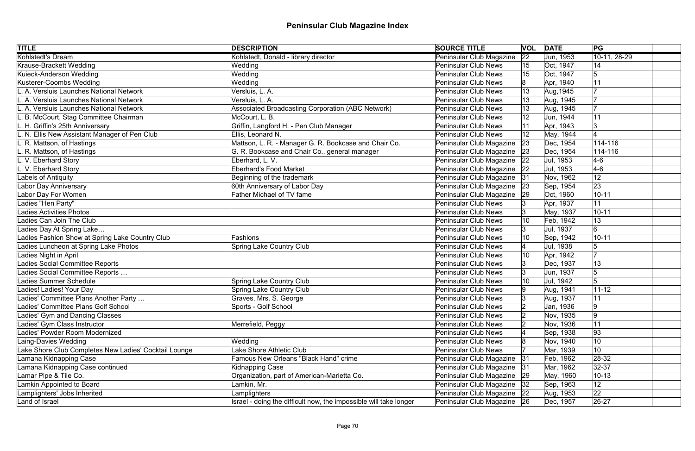| <b>TITLE</b>                                          | <b>DESCRIPTION</b>                                                | <b>SOURCE TITLE</b>         | <b>VOL</b>   | <b>DATE</b> | PG           |
|-------------------------------------------------------|-------------------------------------------------------------------|-----------------------------|--------------|-------------|--------------|
| Kohlstedt's Dream                                     | Kohlstedt, Donald - library director                              | Peninsular Club Magazine    | $ 22\rangle$ | Jun, 1953   | 10-11, 28-29 |
| Krause-Brackett Wedding                               | Wedding                                                           | <b>Peninsular Club News</b> | 15           | Oct, 1947   | 14           |
| Kuieck-Anderson Wedding                               | Wedding                                                           | <b>Peninsular Club News</b> | 15           | Oct, 1947   | 5            |
| Kusterer-Coombs Wedding                               | Wedding                                                           | <b>Peninsular Club News</b> |              | Apr, 1940   | 11           |
| A. Versluis Launches National Network                 | Versluis, L. A.                                                   | <b>Peninsular Club News</b> | 13           | Aug, 1945   |              |
| L. A. Versluis Launches National Network              | Versluis, L. A.                                                   | <b>Peninsular Club News</b> |              | Aug, 1945   |              |
| L. A. Versluis Launches National Network              | Associated Broadcasting Corporation (ABC Network)                 | <b>Peninsular Club News</b> |              | Aug, 1945   |              |
| L. B. McCourt, Stag Committee Chairman                | McCourt, L. B.                                                    | <b>Peninsular Club News</b> |              | Jun, 1944   | 11           |
| L. H. Griffin's 25th Anniversary                      | Griffin, Langford H. - Pen Club Manager                           | <b>Peninsular Club News</b> |              | Apr, 1943   | 3            |
| L. N. Ellis New Assistant Manager of Pen Club         | Ellis, Leonard N.                                                 | <b>Peninsular Club News</b> |              | May, 1944   |              |
| L. R. Mattson, of Hastings                            | Mattson, L. R. - Manager G. R. Bookcase and Chair Co.             | Peninsular Club Magazine    | 23           | Dec, 1954   | 114-116      |
| L. R. Mattson, of Hastings                            | G. R. Bookcase and Chair Co., general manager                     | Peninsular Club Magazine    | 23           | Dec, 1954   | $114 - 116$  |
| L. V. Eberhard Story                                  | Eberhard, L. V.                                                   | Peninsular Club Magazine    | 22           | Jul, 1953   | $4-6$        |
| L. V. Eberhard Story                                  | <b>Eberhard's Food Market</b>                                     | Peninsular Club Magazine    | 22           | Jul, 1953   | $4-6$        |
| Labels of Antiquity                                   | Beginning of the trademark                                        | Peninsular Club Magazine    | 31           | Nov, 1962   | 12           |
| Labor Day Anniversary                                 | 60th Anniversary of Labor Day                                     | Peninsular Club Magazine    | 23           | Sep, 1954   | 23           |
| Labor Day For Women                                   | Father Michael of TV fame                                         | Peninsular Club Magazine    | 29           | Oct, 1960   | $10 - 11$    |
| Ladies "Hen Party"                                    |                                                                   | <b>Peninsular Club News</b> |              | Apr, 1937   | 11           |
| <b>Ladies Activities Photos</b>                       |                                                                   | <b>Peninsular Club News</b> |              | May, 1937   | $10 - 11$    |
| Ladies Can Join The Club                              |                                                                   | <b>Peninsular Club News</b> | 10           | Feb, 1942   | 13           |
| Ladies Day At Spring Lake                             |                                                                   | <b>Peninsular Club News</b> | Ι3           | Jul, 1937   | 6            |
| Ladies Fashion Show at Spring Lake Country Club       | Fashions                                                          | <b>Peninsular Club News</b> | 10           | Sep, 1942   | $10 - 11$    |
| Ladies Luncheon at Spring Lake Photos                 | <b>Spring Lake Country Club</b>                                   | <b>Peninsular Club News</b> |              | Jul, 1938   |              |
| Ladies Night in April                                 |                                                                   | <b>Peninsular Club News</b> | 10           | Apr, 1942   |              |
| Ladies Social Committee Reports                       |                                                                   | <b>Peninsular Club News</b> | Ι3           | Dec, 1937   | 13           |
| Ladies Social Committee Reports                       |                                                                   | <b>Peninsular Club News</b> |              | Jun, 1937   | 5            |
| Ladies Summer Schedule                                | <b>Spring Lake Country Club</b>                                   | <b>Peninsular Club News</b> | 10           | Jul, 1942   |              |
| Ladies! Ladies! Your Day                              | <b>Spring Lake Country Club</b>                                   | <b>Peninsular Club News</b> |              | Aug, 1941   | $11 - 12$    |
| Ladies' Committee Plans Another Party                 | Graves, Mrs. S. George                                            | <b>Peninsular Club News</b> |              | Aug, 1937   | 11           |
| Ladies' Committee Plans Golf School                   | Sports - Golf School                                              | <b>Peninsular Club News</b> |              | Jan, 1936   | 9            |
| Ladies' Gym and Dancing Classes                       |                                                                   | <b>Peninsular Club News</b> |              | Nov, 1935   | 9            |
| Ladies' Gym Class Instructor                          | Merrefield, Peggy                                                 | <b>Peninsular Club News</b> |              | Nov, 1936   | 11           |
| Ladies' Powder Room Modernized                        |                                                                   | <b>Peninsular Club News</b> |              | Sep, 1938   | 93           |
| Laing-Davies Wedding                                  | Wedding                                                           | <b>Peninsular Club News</b> |              | Nov, 1940   | 10           |
| Lake Shore Club Completes New Ladies' Cocktail Lounge | Lake Shore Athletic Club                                          | <b>Peninsular Club News</b> |              | Mar, 1939   | 10           |
| Lamana Kidnapping Case                                | Famous New Orleans "Black Hand" crime                             | Peninsular Club Magazine    | 31           | Feb, 1962   | 28-32        |
| Lamana Kidnapping Case continued                      | <b>Kidnapping Case</b>                                            | Peninsular Club Magazine    | - 31         | Mar, 1962   | $ 32-37$     |
| Lamar Pipe & Tile Co.                                 | Organization, part of American-Marietta Co.                       | Peninsular Club Magazine    | 29           | May, 1960   | $10 - 13$    |
| Lamkin Appointed to Board                             | Lamkin, Mr.                                                       | Peninsular Club Magazine    | 32           | Sep, 1963   | $12 \,$      |
| Lamplighters' Jobs Inherited                          | Lamplighters                                                      | Peninsular Club Magazine 22 |              | Aug, 1953   | 22           |
| Land of Israel                                        | Israel - doing the difficult now, the impossible will take longer | Peninsular Club Magazine 26 |              | Dec, 1957   | $ 26-27$     |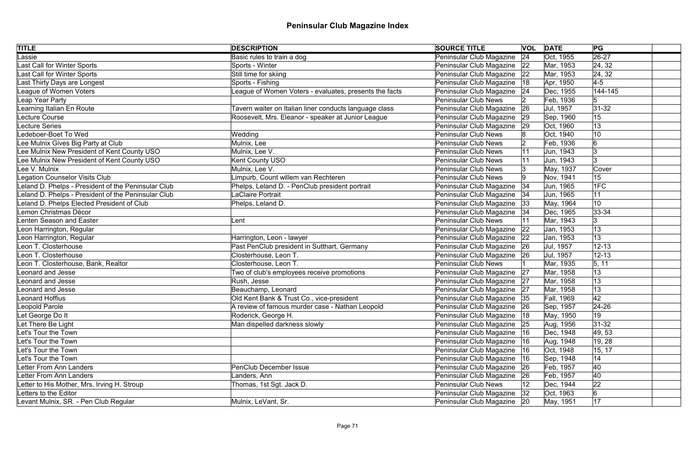| <b>TITLE</b>                                        | <b>DESCRIPTION</b>                                     | <b>SOURCE TITLE</b>           | <b>VOL</b> | <b>DATE</b> | PG               |
|-----------------------------------------------------|--------------------------------------------------------|-------------------------------|------------|-------------|------------------|
| Lassie                                              | Basic rules to train a dog                             | Peninsular Club Magazine      | 24         | Oct, 1955   | $\sqrt{26-27}$   |
| Last Call for Winter Sports                         | Sports - Winter                                        | Peninsular Club Magazine      | 22         | Mar, 1953   | 24, 32           |
| Last Call for Winter Sports                         | Still time for skiing                                  | Peninsular Club Magazine      | 22         | Mar, 1953   | 24, 32           |
| Last Thirty Days are Longest                        | Sports - Fishing                                       | Peninsular Club Magazine      | 18         | Apr, 1950   | $\overline{4-5}$ |
| League of Women Voters                              | League of Women Voters - evaluates, presents the facts | Peninsular Club Magazine 24   |            | Dec, 1955   | 144-145          |
| Leap Year Party                                     |                                                        | <b>Peninsular Club News</b>   |            | Feb, 1936   | 5                |
| Learning Italian En Route                           | Tavern waiter on Italian liner conducts language class | Peninsular Club Magazine      | 26         | Jul, 1957   | $31-32$          |
| Lecture Course                                      | Roosevelt, Mrs. Eleanor - speaker at Junior League     | Peninsular Club Magazine   29 |            | Sep, 1960   | 15               |
| <b>Lecture Series</b>                               |                                                        | Peninsular Club Magazine      | 29         | Oct, 1960   | 13               |
| Ledeboer-Boet To Wed                                | Wedding                                                | Peninsular Club News          |            | Oct, 1940   | 10               |
| Lee Mulnix Gives Big Party at Club                  | Mulnix, Lee                                            | <b>Peninsular Club News</b>   |            | Feb, 1936   | 6                |
| Lee Mulnix New President of Kent County USO         | Mulnix, Lee V.                                         | Peninsular Club News          |            | Jun, 1943   |                  |
| Lee Mulnix New President of Kent County USO         | <b>Kent County USO</b>                                 | <b>Peninsular Club News</b>   |            | Jun, 1943   | l3               |
| Lee V. Mulnix                                       | Mulnix, Lee V.                                         | Peninsular Club News          |            | May, 1937   | Cover            |
| <b>Legation Counselor Visits Club</b>               | Limpurb, Count willem van Rechteren                    | <b>Peninsular Club News</b>   |            | Nov, 1941   | 15               |
| Leland D. Phelps - President of the Peninsular Club | Phelps, Leland D. - PenClub president portrait         | Peninsular Club Magazine      | 34         | Jun, 1965   | 1FC              |
| Leland D. Phelps - President of the Peninsular Club | <b>LaClaire Portrait</b>                               | Peninsular Club Magazine      | 34         | Jun, 1965   | 11               |
| Leland D. Phelps Elected President of Club          | Phelps, Leland D.                                      | Peninsular Club Magazine      | 33         | May, 1964   | 10               |
| Lemon Christmas Décor                               |                                                        | Peninsular Club Magazine      | 34         | Dec, 1965   | 33-34            |
| <b>Lenten Season and Easter</b>                     | Lent                                                   | Peninsular Club News          | 11         | Mar, 1943   | 3                |
| Leon Harrington, Regular                            |                                                        | Peninsular Club Magazine      | 22         | Jan, 1953   | 13               |
| Leon Harrington, Regular                            | Harrington, Leon - lawyer                              | Peninsular Club Magazine 22   |            | Jan, 1953   | 13               |
| Leon T. Closterhouse                                | Past PenClub president in Sutthart, Germany            | Peninsular Club Magazine 26   |            | Jul, 1957   | $12 - 13$        |
| Leon T. Closterhouse                                | Closterhouse, Leon T.                                  | Peninsular Club Magazine 26   |            | Jul, 1957   | $12 - 13$        |
| Leon T. Closterhouse, Bank, Realtor                 | Closterhouse, Leon T.                                  | <b>Peninsular Club News</b>   |            | Mar, 1935   | 5, 11            |
| <b>Leonard and Jesse</b>                            | Two of club's employees receive promotions             | Peninsular Club Magazine 27   |            | Mar, 1958   | 13               |
| <b>Leonard and Jesse</b>                            | Rush, Jesse                                            | Peninsular Club Magazine 27   |            | Mar, 1958   | 13               |
| <b>Leonard and Jesse</b>                            | Beauchamp, Leonard                                     | Peninsular Club Magazine 27   |            | Mar, 1958   | 13               |
| Leonard Hoffius                                     | Old Kent Bank & Trust Co., vice-president              | Peninsular Club Magazine 35   |            | Fall, 1969  | 42               |
| Leopold Parole                                      | A review of famous murder case - Nathan Leopold        | Peninsular Club Magazine 26   |            | Sep, 1957   | 24-26            |
| Let George Do It                                    | Roderick, George H.                                    | Peninsular Club Magazine   18 |            | May, 1950   | 19               |
| Let There Be Light                                  | Man dispelled darkness slowly                          | Peninsular Club Magazine 25   |            | Aug, 1956   | $ 31-32 $        |
| Let's Tour the Town                                 |                                                        | Peninsular Club Magazine      | 16         | Dec, 1948   | 49, 53           |
| Let's Tour the Town                                 |                                                        | Peninsular Club Magazine      | 16         | Aug, 1948   | 19, 28           |
| Let's Tour the Town                                 |                                                        | Peninsular Club Magazine      | ∣16        | Oct, 1948   | 15, 17           |
| Let's Tour the Town                                 |                                                        | Peninsular Club Magazine      | 16         | Sep, 1948   | 14               |
| <b>Letter From Ann Landers</b>                      | <b>PenClub December Issue</b>                          | Peninsular Club Magazine      | 26         | Feb, 1957   | 40               |
| <b>Letter From Ann Landers</b>                      | Landers, Ann                                           | Peninsular Club Magazine      | 26         | Feb, 1957   | 40               |
| Letter to His Mother, Mrs. Irving H. Stroup         | Thomas, 1st Sgt. Jack D.                               | Peninsular Club News          |            | Dec, 1944   | 22               |
| Letters to the Editor                               |                                                        | Peninsular Club Magazine      | 32         | Oct, 1963   | 6                |
| Levant Mulnix, SR. - Pen Club Regular               | Mulnix, LeVant, Sr.                                    | Peninsular Club Magazine 20   |            | May, 1951   | 17               |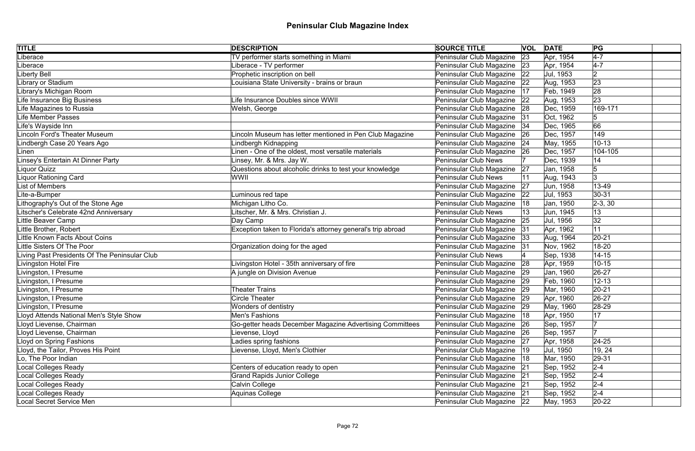| <b>TITLE</b>                                  | <b>DESCRIPTION</b>                                          | <b>SOURCE TITLE</b>           |    | <b>VOL</b> DATE | PG             |  |
|-----------------------------------------------|-------------------------------------------------------------|-------------------------------|----|-----------------|----------------|--|
| Liberace                                      | TV performer starts something in Miami                      | Peninsular Club Magazine      | 23 | Apr, 1954       | $4 - 7$        |  |
| Liberace                                      | Liberace - TV performer                                     | Peninsular Club Magazine 23   |    | Apr, 1954       | $4-7$          |  |
| Liberty Bell                                  | Prophetic inscription on bell                               | Peninsular Club Magazine 22   |    | Jul, 1953       | $\overline{2}$ |  |
| Library or Stadium                            | Louisiana State University - brains or braun                | Peninsular Club Magazine 22   |    | Aug, 1953       | 23             |  |
| Library's Michigan Room                       |                                                             | Peninsular Club Magazine      | 17 | Feb, 1949       | 28             |  |
| Life Insurance Big Business                   | Life Insurance Doubles since WWII                           | Peninsular Club Magazine 22   |    | Aug, 1953       | 23             |  |
| Life Magazines to Russia                      | Welsh, George                                               | Peninsular Club Magazine 28   |    | Dec, 1959       | 169-171        |  |
| <b>Life Member Passes</b>                     |                                                             | Peninsular Club Magazine 31   |    | Oct, 1962       |                |  |
| Life's Wayside Inn                            |                                                             | Peninsular Club Magazine   34 |    | Dec, 1965       | 66             |  |
| <b>Lincoln Ford's Theater Museum</b>          | Lincoln Museum has letter mentioned in Pen Club Magazine    | Peninsular Club Magazine 26   |    | Dec, 1957       | 149            |  |
| Lindbergh Case 20 Years Ago                   | Lindbergh Kidnapping                                        | Peninsular Club Magazine 24   |    | May, 1955       | $10 - 13$      |  |
| Linen                                         | Linen - One of the oldest, most versatile materials         | Peninsular Club Magazine      | 26 | Dec, 1957       | 104-105        |  |
| Linsey's Entertain At Dinner Party            | Linsey, Mr. & Mrs. Jay W.                                   | <b>Peninsular Club News</b>   |    | Dec, 1939       | 14             |  |
| Liquor Quizz                                  | Questions about alcoholic drinks to test your knowledge     | Peninsular Club Magazine      | 27 | Jan, 1958       |                |  |
| Liquor Rationing Card                         | WWII                                                        | <b>Peninsular Club News</b>   |    | Aug, 1943       |                |  |
| <b>List of Members</b>                        |                                                             | Peninsular Club Magazine      | 27 | Jun, 1958       | 13-49          |  |
| Lite-a-Bumper                                 | Luminous red tape                                           | Peninsular Club Magazine      | 22 | Jul, 1953       | $30 - 31$      |  |
| Lithography's Out of the Stone Age            | Michigan Litho Co.                                          | Peninsular Club Magazine      | 18 | Jan, 1950       | $ 2-3, 30 $    |  |
| Litscher's Celebrate 42nd Anniversary         | Litscher, Mr. & Mrs. Christian J.                           | <b>Peninsular Club News</b>   |    | Jun, 1945       | 13             |  |
| Little Beaver Camp                            | Day Camp                                                    | Peninsular Club Magazine      | 25 | Jul, 1956       | 32             |  |
| Little Brother, Robert                        | Exception taken to Florida's attorney general's trip abroad | Peninsular Club Magazine 31   |    | Apr, 1962       | 11             |  |
| Little Known Facts About Coins                |                                                             | Peninsular Club Magazine   33 |    | Aug, 1964       | $20 - 21$      |  |
| Little Sisters Of The Poor                    | Organization doing for the aged                             | Peninsular Club Magazine 31   |    | Nov, 1962       | 18-20          |  |
| Living Past Presidents Of The Peninsular Club |                                                             | <b>Peninsular Club News</b>   |    | Sep, 1938       | $14 - 15$      |  |
| Livingston Hotel Fire                         | Livingston Hotel - 35th anniversary of fire                 | Peninsular Club Magazine 28   |    | Apr, 1959       | $10 - 15$      |  |
| Livingston, I Presume                         | A jungle on Division Avenue                                 | Peninsular Club Magazine 29   |    | Jan, 1960       | $26 - 27$      |  |
| Livingston, I Presume                         |                                                             | Peninsular Club Magazine 29   |    | Feb, 1960       | $12 - 13$      |  |
| Livingston, I Presume                         | <b>Theater Trains</b>                                       | Peninsular Club Magazine 29   |    | Mar, 1960       | $20 - 21$      |  |
| Livingston, I Presume                         | Circle Theater                                              | Peninsular Club Magazine   29 |    | Apr, 1960       | 26-27          |  |
| Livingston, I Presume                         | Wonders of dentistry                                        | Peninsular Club Magazine      | 29 | May, 1960       | 28-29          |  |
| Lloyd Attends National Men's Style Show       | Men's Fashions                                              | Peninsular Club Magazine      | 18 | Apr, 1950       | 17             |  |
| Lloyd Lievense, Chairman                      | Go-getter heads December Magazine Advertising Committees    | Peninsular Club Magazine      | 26 | Sep, 1957       |                |  |
| Lloyd Lievense, Chairman                      | Lievense, Lloyd                                             | Peninsular Club Magazine      | 26 | Sep, 1957       |                |  |
| Lloyd on Spring Fashions                      | Ladies spring fashions                                      | Peninsular Club Magazine      | 27 | Apr, 1958       | 24-25          |  |
| Lloyd, the Tailor, Proves His Point           | Lievense, Lloyd, Men's Clothier                             | Peninsular Club Magazine   19 |    | Jul, 1950       | 19, 24         |  |
| Lo, The Poor Indian                           |                                                             | Peninsular Club Magazine   18 |    | Mar, 1950       | 29-31          |  |
| <b>Local Colleges Ready</b>                   | Centers of education ready to open                          | Peninsular Club Magazine      | 21 | Sep, 1952       | $2 - 4$        |  |
| Local Colleges Ready                          | <b>Grand Rapids Junior College</b>                          | Peninsular Club Magazine 21   |    | Sep, 1952       | $2 - 4$        |  |
| Local Colleges Ready                          | Calvin College                                              | Peninsular Club Magazine 21   |    | Sep, 1952       | $2 - 4$        |  |
| <b>Local Colleges Ready</b>                   | Aquinas College                                             | Peninsular Club Magazine 21   |    | Sep, 1952       | $2 - 4$        |  |
| <b>Local Secret Service Men</b>               |                                                             | Peninsular Club Magazine 22   |    | May, 1953       | $ 20-22 $      |  |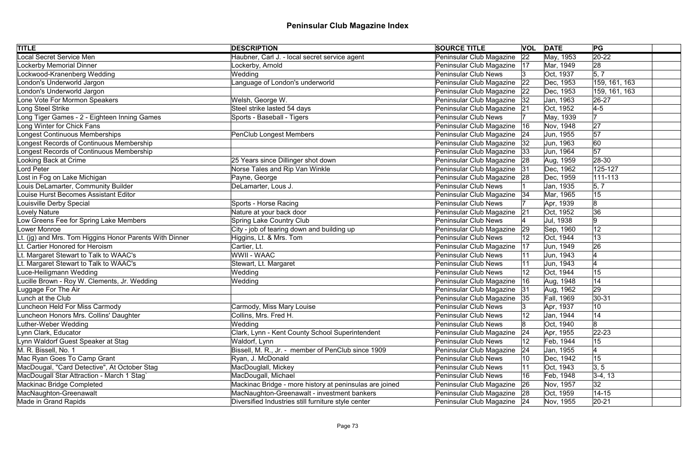| <b>TITLE</b>                                            | <b>DESCRIPTION</b>                                      | <b>SOURCE TITLE</b>           |    | <b>VOL DATE</b> | PG                 |
|---------------------------------------------------------|---------------------------------------------------------|-------------------------------|----|-----------------|--------------------|
| <b>Local Secret Service Men</b>                         | Haubner, Carl J. - local secret service agent           | Peninsular Club Magazine 22   |    | May, 1953       | $ 20-22 $          |
| <b>Lockerby Memorial Dinner</b>                         | ockerby, Arnold                                         | Peninsular Club Magazine   17 |    | Mar, 1949       | 28                 |
| Lockwood-Kranenberg Wedding                             | Wedding                                                 | <b>Peninsular Club News</b>   | 3  | Oct, 1937       | $\vert 5, 7 \vert$ |
| London's Underworld Jargon                              | Language of London's underworld                         | Peninsular Club Magazine 22   |    | Dec, 1953       | 159, 161, 163      |
| London's Underworld Jargon                              |                                                         | Peninsular Club Magazine   22 |    | Dec, 1953       | 159, 161, 163      |
| Lone Vote For Mormon Speakers                           | Welsh, George W.                                        | Peninsular Club Magazine   32 |    | Jan, 1963       | 26-27              |
| Long Steel Strike                                       | Steel strike lasted 54 days                             | Peninsular Club Magazine 21   |    | Oct, 1952       | $4-5$              |
| Long Tiger Games - 2 - Eighteen Inning Games            | Sports - Baseball - Tigers                              | <b>Peninsular Club News</b>   |    | May, 1939       |                    |
| Long Winter for Chick Fans                              |                                                         | Peninsular Club Magazine      | 16 | Nov, 1948       | 27                 |
| <b>Longest Continuous Memberships</b>                   | <b>PenClub Longest Members</b>                          | Peninsular Club Magazine 24   |    | Jun, 1955       | 57                 |
| Longest Records of Continuous Membership                |                                                         | Peninsular Club Magazine      | 32 | Jun, 1963       | 60                 |
| Longest Records of Continuous Membership                |                                                         | Peninsular Club Magazine      | 33 | Jun, 1964       | 57                 |
| Looking Back at Crime                                   | 25 Years since Dillinger shot down                      | Peninsular Club Magazine      | 28 | Aug, 1959       | 28-30              |
| Lord Peter                                              | Norse Tales and Rip Van Winkle                          | Peninsular Club Magazine 31   |    | Dec, 1962       | 125-127            |
| Lost in Fog on Lake Michigan                            | Payne, George                                           | Peninsular Club Magazine 28   |    | Dec, 1959       | $ 111 - 113 $      |
| Louis DeLamarter, Community Builder                     | DeLamarter, Lous J.                                     | <b>Peninsular Club News</b>   |    | Jan, 1935       | $\vert 5, 7 \vert$ |
| Louise Hurst Becomes Assistant Editor                   |                                                         | Peninsular Club Magazine   34 |    | Mar, 1965       | 15                 |
| Louisville Derby Special                                | Sports - Horse Racing                                   | <b>Peninsular Club News</b>   |    | Apr, 1939       | 8                  |
| Lovely Nature                                           | Nature at your back door                                | Peninsular Club Magazine 21   |    | Oct, 1952       | 36                 |
| Low Greens Fee for Spring Lake Members                  | <b>Spring Lake Country Club</b>                         | <b>Peninsular Club News</b>   |    | Jul, 1938       | 9                  |
| Lower Monroe                                            | City - job of tearing down and building up              | Peninsular Club Magazine      | 29 | Sep, 1960       | 12                 |
| Lt. (ig) and Mrs. Tom Higgins Honor Parents With Dinner | Higgins, Lt. & Mrs. Tom                                 | <b>Peninsular Club News</b>   | 12 | Oct, 1944       | 13                 |
| Lt. Cartier Honored for Heroism                         | Cartier, Lt.                                            | Peninsular Club Magazine      | 17 | Jun, 1949       | 26                 |
| Lt. Margaret Stewart to Talk to WAAC's                  | <b>WWII - WAAC</b>                                      | <b>Peninsular Club News</b>   |    | Jun, 1943       |                    |
| Lt. Margaret Stewart to Talk to WAAC's                  | Stewart, Lt. Margaret                                   | <b>Peninsular Club News</b>   |    | Jun, 1943       |                    |
| Luce-Heiligmann Wedding                                 | Wedding                                                 | <b>Peninsular Club News</b>   |    | Oct, 1944       | 15                 |
| Lucille Brown - Roy W. Clements, Jr. Wedding            | Wedding                                                 | Peninsular Club Magazine      | 16 | Aug, 1948       | 14                 |
| Luggage For The Air                                     |                                                         | Peninsular Club Magazine 31   |    | Aug, 1962       | 29                 |
| Lunch at the Club                                       |                                                         | Peninsular Club Magazine 35   |    | Fall, 1969      | 30-31              |
| Luncheon Held For Miss Carmody                          | Carmody, Miss Mary Louise                               | <b>Peninsular Club News</b>   |    | Apr, 1937       | 10                 |
| Luncheon Honors Mrs. Collins' Daughter                  | Collins, Mrs. Fred H.                                   | <b>Peninsular Club News</b>   | 12 | Jan, 1944       | 14                 |
| Luther-Weber Wedding                                    | Wedding                                                 | <b>Peninsular Club News</b>   |    | Oct, 1940       | 8                  |
| Lynn Clark, Educator                                    | Clark, Lynn - Kent County School Superintendent         | Peninsular Club Magazine      | 24 | Apr, 1955       | $ 22 - 23 $        |
| Lynn Waldorf Guest Speaker at Stag                      | Waldorf, Lynn                                           | <b>Peninsular Club News</b>   | 12 | Feb, 1944       | 15                 |
| M. R. Bissell, No. 1                                    | Bissell, M. R., Jr. - member of PenClub since 1909      | Peninsular Club Magazine      | 24 | Jan, 1955       |                    |
| Mac Ryan Goes To Camp Grant                             | Ryan, J. McDonald                                       | <b>Peninsular Club News</b>   | 10 | Dec, 1942       | 15                 |
| MacDougal, "Card Detective", At October Stag            | MacDouglall, Mickey                                     | <b>Peninsular Club News</b>   |    | Oct, 1943       | 3, 5               |
| MacDougall Star Attraction - March 1 Stag`              | MacDougall, Michael                                     | <b>Peninsular Club News</b>   | 16 | Feb, 1948       | $3-4, 13$          |
| Mackinac Bridge Completed                               | Mackinac Bridge - more history at peninsulas are joined | Peninsular Club Magazine      | 26 | Nov, 1957       | 32                 |
| MacNaughton-Greenawalt                                  | MacNaughton-Greenawalt - investment bankers             | Peninsular Club Magazine 28   |    | Oct, 1959       | $14 - 15$          |
| Made in Grand Rapids                                    | Diversified Industries still furniture style center     | Peninsular Club Magazine 24   |    | Nov, 1955       | $ 20-21 $          |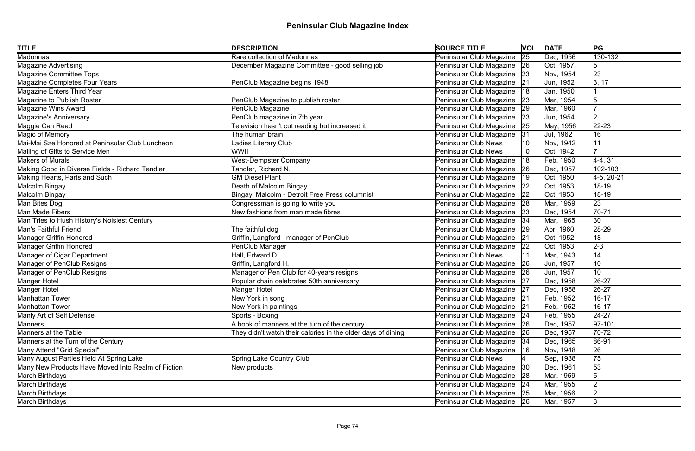| <b>TITLE</b>                                       | <b>DESCRIPTION</b>                                           | <b>SOURCE TITLE</b>           | <b>VOL</b> | <b>DATE</b> | PG           |
|----------------------------------------------------|--------------------------------------------------------------|-------------------------------|------------|-------------|--------------|
| <b>Madonnas</b>                                    | Rare collection of Madonnas                                  | Peninsular Club Magazine      | 25         | Dec, 1956   | $130 - 132$  |
| <b>Magazine Advertising</b>                        | December Magazine Committee - good selling job               | Peninsular Club Magazine 26   |            | Oct, 1957   | 5            |
| Magazine Committee Tops                            |                                                              | Peninsular Club Magazine   23 |            | Nov, 1954   | 23           |
| Magazine Completes Four Years                      | PenClub Magazine begins 1948                                 | Peninsular Club Magazine 21   |            | Jun, 1952   | 3, 17        |
| Magazine Enters Third Year                         |                                                              | Peninsular Club Magazine      | 18         | Jan, 1950   |              |
| Magazine to Publish Roster                         | PenClub Magazine to publish roster                           | Peninsular Club Magazine 23   |            | Mar, 1954   |              |
| Magazine Wins Award                                | PenClub Magazine                                             | Peninsular Club Magazine 29   |            | Mar, 1960   |              |
| <b>Magazine's Anniversary</b>                      | PenClub magazine in 7th year                                 | Peninsular Club Magazine   23 |            | Jun, 1954   | 12           |
| Maggie Can Read                                    | Television hasn't cut reading but increased it               | Peninsular Club Magazine      | 25         | May, 1956   | $22 - 23$    |
| Magic of Memory                                    | The human brain                                              | Peninsular Club Magazine 31   |            | Jul, 1962   | 16           |
| Mai-Mai Sze Honored at Peninsular Club Luncheon    | Ladies Literary Club                                         | Peninsular Club News          |            | Nov, 1942   |              |
| Mailing of Gifts to Service Men                    | WWII                                                         | Peninsular Club News          |            | Oct, 1942   |              |
| <b>Makers of Murals</b>                            | <b>West-Dempster Company</b>                                 | Peninsular Club Magazine      | 18         | Feb, 1950   | 4-4, 31      |
| Making Good in Diverse Fields - Richard Tandler    | Tandler, Richard N.                                          | Peninsular Club Magazine      | 26         | Dec, 1957   | 102-103      |
| Making Hearts, Parts and Such                      | <b>GM Diesel Plant</b>                                       | Peninsular Club Magazine      | 19         | Oct, 1950   | $4-5, 20-21$ |
| Malcolm Bingay                                     | Death of Malcolm Bingay                                      | Peninsular Club Magazine      | 22         | Oct, 1953   | 18-19        |
| Malcolm Bingay                                     | Bingay, Malcolm - Detroit Free Press columnist               | Peninsular Club Magazine      | 22         | Oct, 1953   | 18-19        |
| Man Bites Dog                                      | Congressman is going to write you                            | Peninsular Club Magazine 28   |            | Mar, 1959   | 23           |
| Man Made Fibers                                    | New fashions from man made fibres                            | Peninsular Club Magazine 23   |            | Dec, 1954   | $70 - 71$    |
| Man Tries to Hush History's Noisiest Century       |                                                              | Peninsular Club Magazine   34 |            | Mar, 1965   | 30           |
| <b>Man's Faithful Friend</b>                       | The faithful dog                                             | Peninsular Club Magazine 29   |            | Apr, 1960   | 28-29        |
| <b>Manager Griffin Honored</b>                     | Griffin, Langford - manager of PenClub                       | Peninsular Club Magazine 21   |            | Oct, 1952   | 18           |
| <b>Manager Griffin Honored</b>                     | PenClub Manager                                              | Peninsular Club Magazine 22   |            | Oct, 1953   | $2 - 3$      |
| Manager of Cigar Department                        | Hall, Edward D.                                              | Peninsular Club News          | 11         | Mar, 1943   | 14           |
| Manager of PenClub Resigns                         | Griffin, Langford H.                                         | Peninsular Club Magazine 26   |            | Jun, 1957   | 10           |
| Manager of PenClub Resigns                         | Manager of Pen Club for 40-years resigns                     | Peninsular Club Magazine 26   |            | Jun, 1957   | 10           |
| Manger Hotel                                       | Popular chain celebrates 50th anniversary                    | Peninsular Club Magazine 27   |            | Dec, 1958   | $26 - 27$    |
| Manger Hotel                                       | Manger Hotel                                                 | Peninsular Club Magazine 27   |            | Dec, 1958   | $26 - 27$    |
| Manhattan Tower                                    | New York in song                                             | Peninsular Club Magazine 21   |            | Feb, 1952   | $16 - 17$    |
| <b>Manhattan Tower</b>                             | New York in paintings                                        | Peninsular Club Magazine      | 21         | Feb, 1952   | $16 - 17$    |
| Manly Art of Self Defense                          | Sports - Boxing                                              | Peninsular Club Magazine 24   |            | Feb, 1955   | $24 - 27$    |
| Manners                                            | A book of manners at the turn of the century                 | Peninsular Club Magazine      | 26         | Dec, 1957   | $ 97-101$    |
| <b>Manners at the Table</b>                        | They didn't watch their calories in the older days of dining | Peninsular Club Magazine      | 26         | Dec, 1957   | $70-72$      |
| Manners at the Turn of the Century                 |                                                              | Peninsular Club Magazine   34 |            | Dec, 1965   | 86-91        |
| Many Attend "Grid Special"                         |                                                              | Peninsular Club Magazine      | 16         | Nov, 1948   | 26           |
| Many August Parties Held At Spring Lake            | Spring Lake Country Club                                     | <b>Peninsular Club News</b>   |            | Sep, 1938   | 75           |
| Many New Products Have Moved Into Realm of Fiction | New products                                                 | Peninsular Club Magazine      | 30         | Dec, 1961   | 53           |
| March Birthdays                                    |                                                              | Peninsular Club Magazine 28   |            | Mar, 1959   | 5            |
| <b>March Birthdays</b>                             |                                                              | Peninsular Club Magazine   24 |            | Mar, 1955   |              |
| March Birthdays                                    |                                                              | Peninsular Club Magazine 25   |            | Mar, 1956   |              |
| March Birthdays                                    |                                                              | Peninsular Club Magazine 26   |            | Mar, 1957   | 3            |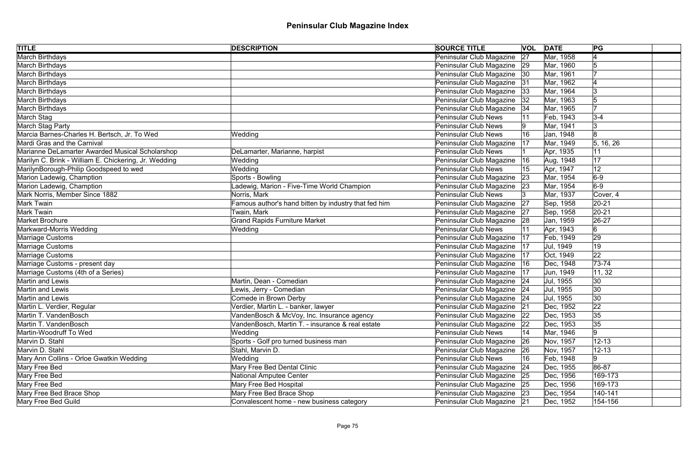| <b>TITLE</b>                                          | <b>DESCRIPTION</b>                                   | <b>SOURCE TITLE</b>           |           | <b>VOL DATE</b> | PG        |
|-------------------------------------------------------|------------------------------------------------------|-------------------------------|-----------|-----------------|-----------|
| <b>March Birthdays</b>                                |                                                      | Peninsular Club Magazine      | 27        | Mar, 1958       |           |
| March Birthdays                                       |                                                      | Peninsular Club Magazine 29   |           | Mar, 1960       | 15        |
| March Birthdays                                       |                                                      | Peninsular Club Magazine   30 |           | Mar, 1961       |           |
| March Birthdays                                       |                                                      | Peninsular Club Magazine 31   |           | Mar, 1962       |           |
| March Birthdays                                       |                                                      | Peninsular Club Magazine      | 33        | Mar, 1964       | l3        |
| March Birthdays                                       |                                                      | Peninsular Club Magazine   32 |           | Mar, 1963       |           |
| March Birthdays                                       |                                                      | Peninsular Club Magazine      | 34        | Mar, 1965       |           |
| March Stag                                            |                                                      | <b>Peninsular Club News</b>   |           | Feb, 1943       | $3-4$     |
| March Stag Party                                      |                                                      | <b>Peninsular Club News</b>   |           | Mar, 1941       | 3         |
| Marcia Barnes-Charles H. Bertsch, Jr. To Wed          | Wedding                                              | <b>Peninsular Club News</b>   |           | Jan, 1948       | 8         |
| Mardi Gras and the Carnival                           |                                                      | Peninsular Club Magazine      | 17        | Mar, 1949       | 5, 16, 26 |
| Marianne DeLamarter Awarded Musical Scholarshop       | DeLamarter, Marianne, harpist                        | <b>Peninsular Club News</b>   |           | Apr, 1935       | 11        |
| Marilyn C. Brink - William E. Chickering, Jr. Wedding | Wedding                                              | Peninsular Club Magazine      | 16        | Aug, 1948       | 17        |
| MarilynBorough-Philip Goodspeed to wed                | Wedding                                              | <b>Peninsular Club News</b>   |           | Apr, 1947       | 12        |
| Marion Ladewig, Chamption                             | Sports - Bowling                                     | Peninsular Club Magazine      | 23        | Mar, 1954       | $6-9$     |
| Marion Ladewig, Chamption                             | Ladewig, Marion - Five-Time World Champion           | Peninsular Club Magazine      | 23        | Mar, 1954       | $6-9$     |
| Mark Norris, Member Since 1882                        | Norris, Mark                                         | <b>Peninsular Club News</b>   |           | Mar, 1937       | Cover, 4  |
| Mark Twain                                            | Famous author's hand bitten by industry that fed him | Peninsular Club Magazine      | 27        | Sep, 1958       | $ 20-21$  |
| Mark Twain                                            | Twain, Mark                                          | Peninsular Club Magazine 27   |           | Sep, 1958       | $ 20-21$  |
| Market Brochure                                       | <b>Grand Rapids Furniture Market</b>                 | Peninsular Club Magazine 28   |           | Jan, 1959       | $ 26-27$  |
| Markward-Morris Wedding                               | Wedding                                              | <b>Peninsular Club News</b>   |           | Apr, 1943       | 6         |
| Marriage Customs                                      |                                                      | Peninsular Club Magazine      | 17        | Feb, 1949       | 29        |
| Marriage Customs                                      |                                                      | Peninsular Club Magazine   17 |           | Jul, 1949       | 19        |
| Marriage Customs                                      |                                                      | Peninsular Club Magazine      | 17        | Oct, 1949       | 22        |
| Marriage Customs - present day                        |                                                      | Peninsular Club Magazine   16 |           | Dec, 1948       | $73 - 74$ |
| Marriage Customs (4th of a Series)                    |                                                      | Peninsular Club Magazine      | 17        | Jun, 1949       | 11, 32    |
| Martin and Lewis                                      | Martin, Dean - Comedian                              | Peninsular Club Magazine   24 |           | Jul, 1955       | 30        |
| Martin and Lewis                                      | Lewis, Jerry - Comedian                              | Peninsular Club Magazine 24   |           | Jul, 1955       | 30        |
| Martin and Lewis                                      | Comede in Brown Derby                                | Peninsular Club Magazine 24   |           | Jul, 1955       | 30        |
| Martin L. Verdier, Regular                            | Verdier, Martin L. - banker, lawyer                  | Peninsular Club Magazine      | 21        | Dec, 1952       | 22        |
| Martin T. VandenBosch                                 | VandenBosch & McVoy, Inc. Insurance agency           | Peninsular Club Magazine      | 22        | Dec, 1953       | 35        |
| Martin T. VandenBosch                                 | VandenBosch, Martin T. - insurance & real estate     | Peninsular Club Magazine      | 22        | Dec, 1953       | 35        |
| Martin-Woodruff To Wed                                | Wedding                                              | <b>Peninsular Club News</b>   | 14        | Mar, 1946       |           |
| Marvin D. Stahl                                       | Sports - Golf pro turned business man                | Peninsular Club Magazine      | <b>26</b> | Nov, 1957       | $12 - 13$ |
| Marvin D. Stahl                                       | Stahl, Marvin D.                                     | Peninsular Club Magazine      | 26        | Nov, 1957       | $12 - 13$ |
| Mary Ann Collins - Orloe Gwatkin Wedding              | Wedding                                              | <b>Peninsular Club News</b>   | 16        | Feb, 1948       | 9         |
| Mary Free Bed                                         | Mary Free Bed Dental Clinic                          | Peninsular Club Magazine      | 24        | Dec, 1955       | 86-87     |
| Mary Free Bed                                         | National Amputee Center                              | Peninsular Club Magazine      | 25        | Dec, 1956       | 169-173   |
| Mary Free Bed                                         | Mary Free Bed Hospital                               | Peninsular Club Magazine 25   |           | Dec, 1956       | 169-173   |
| Mary Free Bed Brace Shop                              | Mary Free Bed Brace Shop                             | Peninsular Club Magazine 23   |           | Dec, 1954       | 140-141   |
| Mary Free Bed Guild                                   | Convalescent home - new business category            | Peninsular Club Magazine 21   |           | Dec, 1952       | 154-156   |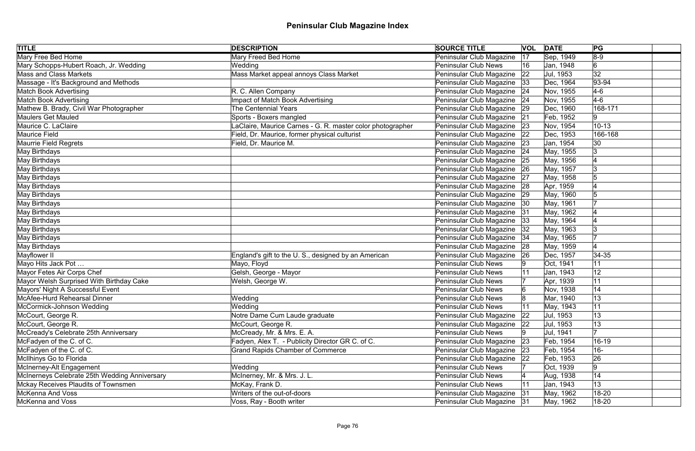| <b>TITLE</b>                                  | <b>DESCRIPTION</b>                                         | <b>SOURCE TITLE</b>         |              | <b>VOL DATE</b> | PG             |
|-----------------------------------------------|------------------------------------------------------------|-----------------------------|--------------|-----------------|----------------|
| Mary Free Bed Home                            | <b>Mary Freed Bed Home</b>                                 | Peninsular Club Magazine    | 17           | Sep, 1949       | $8-9$          |
| Mary Schopps-Hubert Roach, Jr. Wedding        | Wedding                                                    | <b>Peninsular Club News</b> | 16           | Jan, 1948       | $\overline{6}$ |
| <b>Mass and Class Markets</b>                 | Mass Market appeal annoys Class Market                     | Peninsular Club Magazine    | 22           | Jul, 1953       | 32             |
| Massage - It's Background and Methods         |                                                            | Peninsular Club Magazine    | 33           | Dec, 1964       | $ 93 - 94$     |
| <b>Match Book Advertising</b>                 | R. C. Allen Company                                        | Peninsular Club Magazine    | 24           | Nov, 1955       | $4-6$          |
| <b>Match Book Advertising</b>                 | <b>Impact of Match Book Advertising</b>                    | Peninsular Club Magazine 24 |              | Nov, 1955       | $4-6$          |
| Mathew B. Brady, Civil War Photographer       | The Centennial Years                                       | Peninsular Club Magazine    | 29           | Dec, 1960       | 168-171        |
| Maulers Get Mauled                            | Sports - Boxers mangled                                    | Peninsular Club Magazine    | 21           | Feb, 1952       | 9              |
| Maurice C. LaClaire                           | LaClaire, Maurice Carnes - G. R. master color photographer | Peninsular Club Magazine    | 23           | Nov, 1954       | $10 - 13$      |
| Maurice Field                                 | Field, Dr. Maurice, former physical culturist              | Peninsular Club Magazine    | 22           | Dec, 1953       | 166-168        |
| Maurrie Field Regrets                         | Field, Dr. Maurice M.                                      | Peninsular Club Magazine    | 23           | Jan, 1954       | 30             |
| May Birthdays                                 |                                                            | Peninsular Club Magazine    | 24           | May, 1955       | 3              |
| May Birthdays                                 |                                                            | Peninsular Club Magazine    | 25           | May, 1956       |                |
| May Birthdays                                 |                                                            | Peninsular Club Magazine    | 26           | May, 1957       | Ι3             |
| May Birthdays                                 |                                                            | Peninsular Club Magazine    | 27           | May, 1958       |                |
| May Birthdays                                 |                                                            | Peninsular Club Magazine    | 28           | Apr, 1959       |                |
| May Birthdays                                 |                                                            | Peninsular Club Magazine    | 29           | May, 1960       |                |
| May Birthdays                                 |                                                            | Peninsular Club Magazine    | 30           | May, 1961       |                |
| May Birthdays                                 |                                                            | Peninsular Club Magazine    | 31           | May, 1962       |                |
| May Birthdays                                 |                                                            | Peninsular Club Magazine    | 33           | May, 1964       |                |
| May Birthdays                                 |                                                            | Peninsular Club Magazine    | 32           | May, 1963       |                |
| May Birthdays                                 |                                                            | Peninsular Club Magazine    | 34           | May, 1965       |                |
| May Birthdays                                 |                                                            | Peninsular Club Magazine    | 28           | May, 1959       |                |
| Mayflower II                                  | England's gift to the U.S., designed by an American        | Peninsular Club Magazine    | 26           | Dec, 1957       | $ 34-35$       |
| Mayo Hits Jack Pot                            | Mayo, Floyd                                                | Peninsular Club News        |              | Oct, 1941       | 11             |
| Mayor Fetes Air Corps Chef                    | Gelsh, George - Mayor                                      | Peninsular Club News        |              | Jan, 1943       | 12             |
| Mayor Welsh Surprised With Birthday Cake      | Welsh, George W.                                           | Peninsular Club News        |              | Apr, 1939       | 11             |
| Mayors' Night A Successful Event              |                                                            | <b>Peninsular Club News</b> |              | Nov, 1938       | 14             |
| McAfee-Hurd Rehearsal Dinner                  | Wedding                                                    | Peninsular Club News        |              | Mar, 1940       | 13             |
| McCormick-Johnson Wedding                     | Wedding                                                    | <b>Peninsular Club News</b> |              | May, 1943       | 11             |
| McCourt, George R.                            | Notre Dame Cum Laude graduate                              | Peninsular Club Magazine    | $ 22\rangle$ | Jul, 1953       | 13             |
| McCourt, George R.                            | McCourt, George R.                                         | Peninsular Club Magazine    | 22           | Jul, 1953       | 13             |
| McCready's Celebrate 25th Anniversary         | McCready, Mr. & Mrs. E. A.                                 | Peninsular Club News        |              | Jul, 1941       |                |
| McFadyen of the C. of C.                      | Fadyen, Alex T. - Publicity Director GR C. of C.           | Peninsular Club Magazine    | 23           | Feb, 1954       | $16 - 19$      |
| McFadyen of the C. of C.                      | <b>Grand Rapids Chamber of Commerce</b>                    | Peninsular Club Magazine    | 23           | Feb, 1954       | $16 -$         |
| McIlhinys Go to Florida                       |                                                            | Peninsular Club Magazine    | 22           | Feb, 1953       | 26             |
| McInerney-Alt Engagement                      | Wedding                                                    | <b>Peninsular Club News</b> |              | Oct, 1939       | 9              |
| McInerneys Celebrate 25th Wedding Anniversary | McInerney, Mr. & Mrs. J. L.                                | <b>Peninsular Club News</b> |              | Aug, 1938       | 14             |
| Mckay Receives Plaudits of Townsmen           | McKay, Frank D.                                            | <b>Peninsular Club News</b> |              | Jan, 1943       | 13             |
| McKenna And Voss                              | Writers of the out-of-doors                                | Peninsular Club Magazine    | 31           | May, 1962       | 18-20          |
| McKenna and Voss                              | Voss, Ray - Booth writer                                   | Peninsular Club Magazine 31 |              | May, 1962       | 18-20          |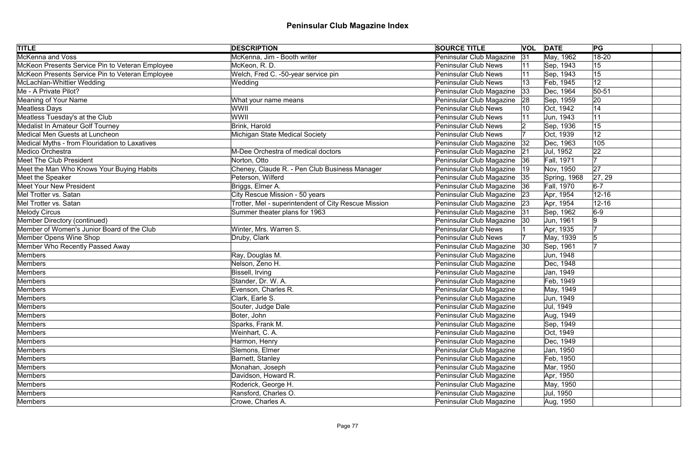| <b>TITLE</b>                                    | <b>DESCRIPTION</b>                                   | <b>SOURCE TITLE</b>           |    | <b>VOL DATE</b>   | PG        |  |
|-------------------------------------------------|------------------------------------------------------|-------------------------------|----|-------------------|-----------|--|
| <b>McKenna and Voss</b>                         | McKenna, Jim - Booth writer                          | Peninsular Club Magazine      | 31 | May, 1962         | $18 - 20$ |  |
| McKeon Presents Service Pin to Veteran Employee | McKeon, R. D.                                        | <b>Peninsular Club News</b>   |    | Sep, 1943         | 15        |  |
| McKeon Presents Service Pin to Veteran Employee | Welch, Fred C. -50-year service pin                  | <b>Peninsular Club News</b>   |    | Sep, 1943         | 15        |  |
| McLachlan-Whittier Wedding                      | Wedding                                              | <b>Peninsular Club News</b>   |    | Feb, 1945         | 12        |  |
| Me - A Private Pilot?                           |                                                      | Peninsular Club Magazine      | 33 | Dec, 1964         | $ 50-51$  |  |
| Meaning of Your Name                            | What your name means                                 | Peninsular Club Magazine      | 28 | Sep, 1959         | 20        |  |
| Meatless Days                                   | WWII                                                 | <b>Peninsular Club News</b>   |    | Oct, 1942         | 14        |  |
| Meatless Tuesday's at the Club                  | WWII                                                 | <b>Peninsular Club News</b>   |    | Jun, 1943         | 11        |  |
| <b>Medalist In Amateur Golf Tourney</b>         | Brink, Harold                                        | <b>Peninsular Club News</b>   |    | Sep, 1936         | 15        |  |
| Medical Men Guests at Luncheon                  | Michigan State Medical Society                       | <b>Peninsular Club News</b>   |    | Oct, 1939         | 12        |  |
| Medical Myths - from Flouridation to Laxatives  |                                                      | Peninsular Club Magazine      | 32 | Dec, 1963         | 105       |  |
| Medico Orchestra                                | M-Dee Orchestra of medical doctors                   | Peninsular Club Magazine      | 21 | Jul, 1952         | 22        |  |
| <b>Meet The Club President</b>                  | Norton, Otto                                         | Peninsular Club Magazine      | 36 | Fall, 1971        | 17        |  |
| Meet the Man Who Knows Your Buying Habits       | Cheney, Claude R. - Pen Club Business Manager        | Peninsular Club Magazine      | 19 | Nov, 1950         | 27        |  |
| Meet the Speaker                                | Peterson, Wilferd                                    | Peninsular Club Magazine      | 35 | Spring, 1968      | 27, 29    |  |
| <b>Meet Your New President</b>                  | Briggs, Elmer A.                                     | Peninsular Club Magazine      | 36 | <b>Fall, 1970</b> | $6-7$     |  |
| Mel Trotter vs. Satan                           | City Rescue Mission - 50 years                       | Peninsular Club Magazine      | 23 | Apr, 1954         | $12 - 16$ |  |
| Mel Trotter vs. Satan                           | Trotter, Mel - superintendent of City Rescue Mission | Peninsular Club Magazine      | 23 | Apr, 1954         | $12 - 16$ |  |
| Melody Circus                                   | Summer theater plans for 1963                        | Peninsular Club Magazine      | 31 | Sep, 1962         | $6-9$     |  |
| Member Directory (continued)                    |                                                      | Peninsular Club Magazine   30 |    | Jun, 1961         | 9         |  |
| Member of Women's Junior Board of the Club      | Winter, Mrs. Warren S.                               | <b>Peninsular Club News</b>   |    | Apr, 1935         |           |  |
| Member Opens Wine Shop                          | Druby, Clark                                         | <b>Peninsular Club News</b>   |    | May, 1939         |           |  |
| Member Who Recently Passed Away                 |                                                      | Peninsular Club Magazine 30   |    | Sep, 1961         |           |  |
| Members                                         | Ray, Douglas M.                                      | Peninsular Club Magazine      |    | Jun, 1948         |           |  |
| Members                                         | Nelson, Zeno H.                                      | Peninsular Club Magazine      |    | Dec, 1948         |           |  |
| Members                                         | Bissell, Irving                                      | Peninsular Club Magazine      |    | Jan, 1949         |           |  |
| Members                                         | Stander, Dr. W. A.                                   | Peninsular Club Magazine      |    | Feb, 1949         |           |  |
| Members                                         | Evenson, Charles R.                                  | Peninsular Club Magazine      |    | May, 1949         |           |  |
| Members                                         | Clark, Earle S.                                      | Peninsular Club Magazine      |    | Jun, 1949         |           |  |
| Members                                         | Souter, Judge Dale                                   | Peninsular Club Magazine      |    | Jul, 1949         |           |  |
| Members                                         | Boter, John                                          | Peninsular Club Magazine      |    | Aug, 1949         |           |  |
| Members                                         | Sparks, Frank M.                                     | Peninsular Club Magazine      |    | Sep, 1949         |           |  |
| Members                                         | Weinhart, C. A.                                      | Peninsular Club Magazine      |    | Oct, 1949         |           |  |
| Members                                         | Harmon, Henry                                        | Peninsular Club Magazine      |    | Dec, 1949         |           |  |
| Members                                         | Slemons, Elmer                                       | Peninsular Club Magazine      |    | Jan, 1950         |           |  |
| Members                                         | Barnett, Stanley                                     | Peninsular Club Magazine      |    | Feb, 1950         |           |  |
| Members                                         | Monahan, Joseph                                      | Peninsular Club Magazine      |    | Mar, 1950         |           |  |
| Members                                         | Davidson, Howard R.                                  | Peninsular Club Magazine      |    | Apr, 1950         |           |  |
| Members                                         | Roderick, George H.                                  | Peninsular Club Magazine      |    | May, 1950         |           |  |
| Members                                         | Ransford, Charles O.                                 | Peninsular Club Magazine      |    | Jul, 1950         |           |  |
| Members                                         | Crowe, Charles A.                                    | Peninsular Club Magazine      |    | Aug, 1950         |           |  |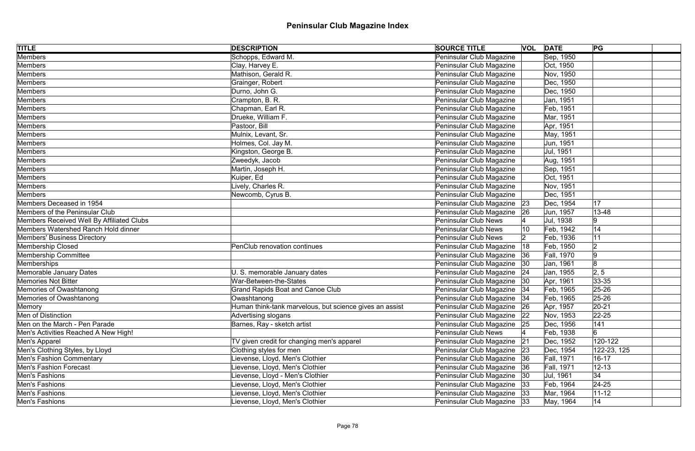| <b>TITLE</b>                              | <b>DESCRIPTION</b>                                      | <b>SOURCE TITLE</b>             | <b>VOL DATE</b> |            | PG          |
|-------------------------------------------|---------------------------------------------------------|---------------------------------|-----------------|------------|-------------|
| Members                                   | Schopps, Edward M.                                      | Peninsular Club Magazine        |                 | Sep, 1950  |             |
| Members                                   | Clay, Harvey E.                                         | Peninsular Club Magazine        |                 | Oct, 1950  |             |
| Members                                   | Mathison, Gerald R.                                     | Peninsular Club Magazine        |                 | Nov, 1950  |             |
| Members                                   | Grainger, Robert                                        | Peninsular Club Magazine        |                 | Dec, 1950  |             |
| Members                                   | Durno, John G.                                          | Peninsular Club Magazine        |                 | Dec, 1950  |             |
| Members                                   | Crampton, B. R.                                         | Peninsular Club Magazine        |                 | Jan, 1951  |             |
| Members                                   | Chapman, Earl R.                                        | Peninsular Club Magazine        |                 | Feb, 1951  |             |
| Members                                   | Drueke, William F.                                      | Peninsular Club Magazine        |                 | Mar, 1951  |             |
| Members                                   | Pastoor, Bill                                           | Peninsular Club Magazine        |                 | Apr, 1951  |             |
| Members                                   | Mulnix, Levant, Sr.                                     | Peninsular Club Magazine        |                 | May, 1951  |             |
| Members                                   | Holmes, Col. Jay M.                                     | Peninsular Club Magazine        |                 | Jun, 1951  |             |
| Members                                   | Kingston, George B.                                     | Peninsular Club Magazine        |                 | Jul, 1951  |             |
| Members                                   | Zweedyk, Jacob                                          | Peninsular Club Magazine        |                 | Aug, 1951  |             |
| Members                                   | Martin, Joseph H.                                       | Peninsular Club Magazine        |                 | Sep, 1951  |             |
| Members                                   | Kuiper, Ed                                              | Peninsular Club Magazine        |                 | Oct, 1951  |             |
| Members                                   | Lively, Charles R.                                      | Peninsular Club Magazine        |                 | Nov, 1951  |             |
| Members                                   | Newcomb, Cyrus B.                                       | Peninsular Club Magazine        |                 | Dec, 1951  |             |
| Members Deceased in 1954                  |                                                         | Peninsular Club Magazine 23     |                 | Dec, 1954  | 17          |
| Members of the Peninsular Club            |                                                         | Peninsular Club Magazine<br> 26 |                 | Jun, 1957  | 13-48       |
| Members Received Well By Affiliated Clubs |                                                         | <b>Peninsular Club News</b>     |                 | Jul, 1938  | 9           |
| Members Watershed Ranch Hold dinner       |                                                         | <b>Peninsular Club News</b>     | 10              | Feb, 1942  | 14          |
| Members' Business Directory               |                                                         | <b>Peninsular Club News</b>     |                 | Feb, 1936  | 11          |
| Membership Closed                         | PenClub renovation continues                            | Peninsular Club Magazine<br> 18 |                 | Feb, 1950  | 2           |
| <b>Membership Committee</b>               |                                                         | Peninsular Club Magazine<br> 36 |                 | Fall, 1970 | 9           |
| Memberships                               |                                                         | Peninsular Club Magazine 30     |                 | Jan, 1961  | 8           |
| Memorable January Dates                   | U. S. memorable January dates                           | Peninsular Club Magazine 24     |                 | Jan, 1955  | 2, 5        |
| Memories Not Bitter                       | War-Between-the-States                                  | Peninsular Club Magazine 30     |                 | Apr, 1961  | $ 33 - 35 $ |
| Memories of Owashtanong                   | <b>Grand Rapids Boat and Canoe Club</b>                 | Peninsular Club Magazine   34   |                 | Feb, 1965  | 25-26       |
| Memories of Owashtanong                   | Owashtanong                                             | Peninsular Club Magazine   34   |                 | Feb, 1965  | 25-26       |
| Memory                                    | Human think-tank marvelous, but science gives an assist | Peninsular Club Magazine<br> 26 |                 | Apr, 1957  | $ 20-21$    |
| Men of Distinction                        | Advertising slogans                                     | Peninsular Club Magazine 22     |                 | Nov, 1953  | $22 - 25$   |
| Men on the March - Pen Parade             | Barnes, Ray - sketch artist                             | Peninsular Club Magazine<br> 25 |                 | Dec, 1956  | 141         |
| Men's Activities Reached A New High!      |                                                         | <b>Peninsular Club News</b>     |                 | Feb, 1938  | 6           |
| Men's Apparel                             | TV given credit for changing men's apparel              | Peninsular Club Magazine<br> 21 |                 | Dec, 1952  | 120-122     |
| Men's Clothing Styles, by Lloyd           | Clothing styles for men                                 | Peninsular Club Magazine   23   |                 | Dec, 1954  | 122-23, 125 |
| Men's Fashion Commentary                  | Lievense, Lloyd, Men's Clothier                         | Peninsular Club Magazine 36     |                 | Fall, 1971 | $16 - 17$   |
| <b>Men's Fashion Forecast</b>             | Lievense, Lloyd, Men's Clothier                         | Peninsular Club Magazine 36     |                 | Fall, 1971 | $12 - 13$   |
| Men's Fashions                            | Lievense, Lloyd - Men's Clothier                        | Peninsular Club Magazine   30   |                 | Jul, 1961  | 34          |
| Men's Fashions                            | Lievense, Lloyd, Men's Clothier                         | Peninsular Club Magazine 33     |                 | Feb, 1964  | $ 24-25 $   |
| Men's Fashions                            | Lievense, Lloyd, Men's Clothier                         | Peninsular Club Magazine 33     |                 | Mar, 1964  | $11 - 12$   |
| Men's Fashions                            | Lievense, Lloyd, Men's Clothier                         | Peninsular Club Magazine 33     |                 | May, 1964  | 14          |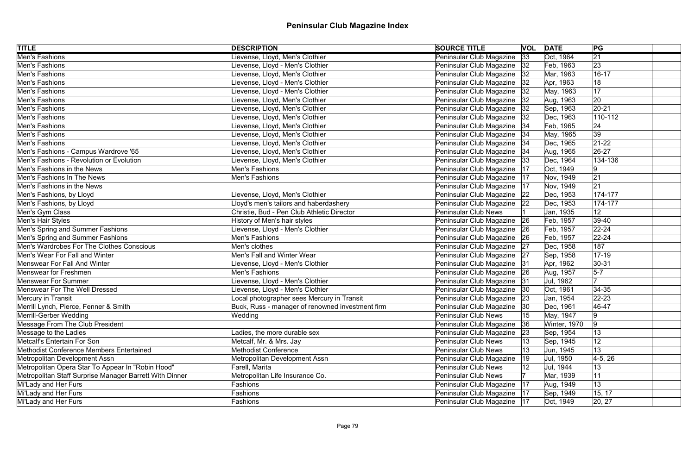| <b>TITLE</b>                                            | <b>DESCRIPTION</b>                               | <b>SOURCE TITLE</b>           |              | <b>VOL DATE</b> | PG              |
|---------------------------------------------------------|--------------------------------------------------|-------------------------------|--------------|-----------------|-----------------|
| <b>Men's Fashions</b>                                   | Lievense, Lloyd, Men's Clothier                  | Peninsular Club Magazine      | 33           | Oct, 1964       | $\overline{21}$ |
| Men's Fashions                                          | Lievense, Lloyd - Men's Clothier                 | Peninsular Club Magazine 32   |              | Feb, 1963       | 23              |
| Men's Fashions                                          | Lievense, Lloyd, Men's Clothier                  | Peninsular Club Magazine   32 |              | Mar, 1963       | $16 - 17$       |
| Men's Fashions                                          | Lievense, Lloyd - Men's Clothier                 | Peninsular Club Magazine 32   |              | Apr, 1963       | 18              |
| Men's Fashions                                          | Lievense, Lloyd - Men's Clothier                 | Peninsular Club Magazine   32 |              | May, 1963       | 17              |
| Men's Fashions                                          | Lievense, Lloyd, Men's Clothier                  | Peninsular Club Magazine 32   |              | Aug, 1963       | 20              |
| Men's Fashions                                          | Lievense, Lloyd, Men's Clothier                  | Peninsular Club Magazine      | 32           | Sep, 1963       | $ 20-21$        |
| Men's Fashions                                          | Lievense, Lloyd, Men's Clothier                  | Peninsular Club Magazine 32   |              | Dec, 1963       | $110 - 112$     |
| Men's Fashions                                          | Lievense, Lloyd, Men's Clothier                  | Peninsular Club Magazine   34 |              | Feb, 1965       | 24              |
| Men's Fashions                                          | Lievense, Lloyd, Men's Clothier                  | Peninsular Club Magazine   34 |              | May, 1965       | 39              |
| Men's Fashions                                          | Lievense, Lloyd, Men's Clothier                  | Peninsular Club Magazine   34 |              | Dec, 1965       | $21-22$         |
| Men's Fashions - Campus Wardrove '65                    | Lievense, Lloyd, Men's Clothier                  | Peninsular Club Magazine   34 |              | Aug, 1965       | 26-27           |
| Men's Fashions - Revolution or Evolution                | Lievense, Lloyd, Men's Clothier                  | Peninsular Club Magazine      | 33           | Dec, 1964       | 134-136         |
| Men's Fashions in the News                              | <b>Men's Fashions</b>                            | Peninsular Club Magazine      | 17           | Oct, 1949       | 9               |
| Men's Fashions In The News                              | Men's Fashions                                   | Peninsular Club Magazine      | 17           | Nov, 1949       | 21              |
| Men's Fashions in the News                              |                                                  | Peninsular Club Magazine      | 17           | Nov, 1949       | 21              |
| Men's Fashions, by Lloyd                                | ievense, Lloyd, Men's Clothier                   | Peninsular Club Magazine      | 22           | Dec, 1953       | 174-177         |
| Men's Fashions, by Lloyd                                | Lloyd's men's tailors and haberdashery           | Peninsular Club Magazine   22 |              | Dec, 1953       | 174-177         |
| Men's Gym Class                                         | Christie, Bud - Pen Club Athletic Director       | <b>Peninsular Club News</b>   |              | Jan, 1935       | 12              |
| Men's Hair Styles                                       | History of Men's hair styles                     | Peninsular Club Magazine 26   |              | Feb, 1957       | $ 39-40$        |
| Men's Spring and Summer Fashions                        | Lievense, Lloyd - Men's Clothier                 | Peninsular Club Magazine 26   |              | Feb, 1957       | $22 - 24$       |
| Men's Spring and Summer Fashions                        | Men's Fashions                                   | Peninsular Club Magazine   26 |              | Feb, 1957       | $22 - 24$       |
| Men's Wardrobes For The Clothes Conscious               | Men's clothes                                    | Peninsular Club Magazine 27   |              | Dec, 1958       | 187             |
| Men's Wear For Fall and Winter                          | Men's Fall and Winter Wear                       | Peninsular Club Magazine   27 |              | Sep, 1958       | $ 17 - 19$      |
| <b>Menswear For Fall And Winter</b>                     | Lievense, Lloyd - Men's Clothier                 | Peninsular Club Magazine 31   |              | Apr, 1962       | $ 30-31 $       |
| <b>Menswear for Freshmen</b>                            | Men's Fashions                                   | Peninsular Club Magazine   26 |              | Aug, 1957       | $5-7$           |
| Menswear For Summer                                     | Lievense, Lloyd - Men's Clothier                 | Peninsular Club Magazine  31  |              | Jul, 1962       | 17              |
| Menswear For The Well Dressed                           | Lievense, Lloyd - Men's Clothier                 | Peninsular Club Magazine  30  |              | Oct, 1961       | $34 - 35$       |
| Mercury in Transit                                      | Local photographer sees Mercury in Transit       | Peninsular Club Magazine 23   |              | Jan, 1954       | $22 - 23$       |
| Merrill Lynch, Pierce, Fenner & Smith                   | Buck, Russ - manager of renowned investment firm | Peninsular Club Magazine      | 30           | Dec, 1961       | 46-47           |
| Merrill-Gerber Wedding                                  | Wedding                                          | <b>Peninsular Club News</b>   | 15           | May, 1947       | 9               |
| Message From The Club President                         |                                                  | Peninsular Club Magazine      | 36           | Winter, 1970    | 9               |
| Message to the Ladies                                   | Ladies, the more durable sex                     | Peninsular Club Magazine      | 23           | Sep, 1954       | 13              |
| Metcalf's Entertain For Son                             | Metcalf, Mr. & Mrs. Jay                          | <b>Peninsular Club News</b>   | 13           | Sep, 1945       | 12              |
| Methodist Conference Members Entertained                | <b>Methodist Conference</b>                      | <b>Peninsular Club News</b>   | 13           | Jun, 1945       | 13              |
| Metropolitan Development Assn                           | Metropolitan Development Assn                    | Peninsular Club Magazine      | $ 19\rangle$ | Jul, 1950       | $4-5, 26$       |
| Metropolitan Opera Star To Appear In "Robin Hood"       | Farell, Marita                                   | <b>Peninsular Club News</b>   | 12           | Jul, 1944       | 13              |
| Metropolitan Staff Surprise Manager Barrett With Dinner | Metropolitan Life Insurance Co.                  | <b>Peninsular Club News</b>   |              | Mar, 1939       | 11              |
| Mi'Lady and Her Furs                                    | Fashions                                         | Peninsular Club Magazine      | 17           | Aug, 1949       | 13              |
| Mi'Lady and Her Furs                                    | Fashions                                         | Peninsular Club Magazine   17 |              | Sep, 1949       | 15, 17          |
| Mi'Lady and Her Furs                                    | Fashions                                         | Peninsular Club Magazine   17 |              | Oct, 1949       | 20, 27          |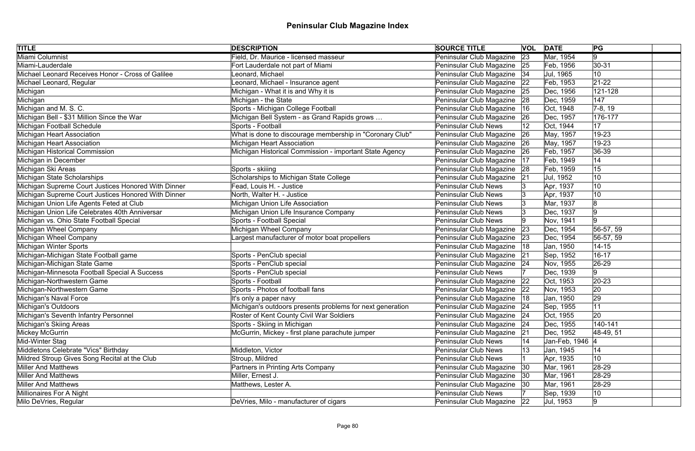| <b>TITLE</b>                                        | <b>DESCRIPTION</b>                                        | <b>SOURCE TITLE</b>           |    | <b>VOL DATE</b> | PG              |
|-----------------------------------------------------|-----------------------------------------------------------|-------------------------------|----|-----------------|-----------------|
| Miami Columnist                                     | Field, Dr. Maurice - licensed masseur                     | Peninsular Club Magazine      | 23 | Mar, 1954       | 19              |
| Miami-Lauderdale                                    | Fort Lauderdale not part of Miami                         | Peninsular Club Magazine 25   |    | Feb, 1956       | $30 - 31$       |
| Michael Leonard Receives Honor - Cross of Galilee   | Leonard, Michael                                          | Peninsular Club Magazine   34 |    | Jul, 1965       | 10              |
| Michael Leonard, Regular                            | Leonard, Michael - Insurance agent                        | Peninsular Club Magazine      | 22 | Feb, 1953       | $21-22$         |
| Michigan                                            | Michigan - What it is and Why it is                       | Peninsular Club Magazine      | 25 | Dec, 1956       | 121-128         |
| Michigan                                            | Michigan - the State                                      | Peninsular Club Magazine 28   |    | Dec, 1959       | 147             |
| Michigan and M. S. C.                               | Sports - Michigan College Football                        | Peninsular Club Magazine      | 16 | Oct, 1948       | $ 7-8, 19 $     |
| Michigan Bell - \$31 Million Since the War          | Michigan Bell System - as Grand Rapids grows              | Peninsular Club Magazine      | 26 | Dec, 1957       | 176-177         |
| Michigan Football Schedule                          | Sports - Football                                         | <b>Peninsular Club News</b>   |    | Oct, 1944       | 17              |
| Michigan Heart Association                          | What is done to discourage membership in "Coronary Club"  | Peninsular Club Magazine      | 26 | May, 1957       | 19-23           |
| Michigan Heart Association                          | Michigan Heart Association                                | Peninsular Club Magazine      | 26 | May, 1957       | 19-23           |
| Michigan Historical Commission                      | Michigan Historical Commission - important State Agency   | Peninsular Club Magazine      | 26 | Feb, 1957       | 36-39           |
| Michigan in December                                |                                                           | Peninsular Club Magazine      | 17 | Feb, 1949       | 14              |
| Michigan Ski Areas                                  | Sports - skiiing                                          | Peninsular Club Magazine      | 28 | Feb, 1959       | 15              |
| Michigan State Scholarships                         | Scholarships to Michigan State College                    | Peninsular Club Magazine      | 21 | Jul, 1952       | 10              |
| Michigan Supreme Court Justices Honored With Dinner | Fead, Louis H. - Justice                                  | <b>Peninsular Club News</b>   |    | Apr, 1937       | 10              |
| Michigan Supreme Court Justices Honored With Dinner | North, Walter H. - Justice                                | <b>Peninsular Club News</b>   |    | Apr, 1937       | 10              |
| Michigan Union Life Agents Feted at Club            | Michigan Union Life Association                           | <b>Peninsular Club News</b>   |    | Mar, 1937       |                 |
| Michigan Union Life Celebrates 40th Anniversar      | Michigan Union Life Insurance Company                     | <b>Peninsular Club News</b>   |    | Dec, 1937       |                 |
| Michigan vs. Ohio State Football Special            | Sports - Football Special                                 | <b>Peninsular Club News</b>   |    | Nov, 1941       |                 |
| Michigan Wheel Company                              | Michigan Wheel Company                                    | Peninsular Club Magazine      | 23 | Dec, 1954       | 56-57, 59       |
| Michigan Wheel Company                              | Largest manufacturer of motor boat propellers             | Peninsular Club Magazine      | 23 | Dec, 1954       | 56-57, 59       |
| Michigan Winter Sports                              |                                                           | Peninsular Club Magazine      | 18 | Jan, 1950       | $14 - 15$       |
| Michigan-Michigan State Football game               | Sports - PenClub special                                  | Peninsular Club Magazine      | 21 | Sep, 1952       | $16 - 17$       |
| Michigan-Michigan State Game                        | Sports - PenClub special                                  | Peninsular Club Magazine   24 |    | Nov, 1955       | 26-29           |
| Michigan-Minnesota Football Special A Success       | Sports - PenClub special                                  | <b>Peninsular Club News</b>   |    | Dec, 1939       | 9               |
| Michigan-Northwestern Game                          | Sports - Football                                         | Peninsular Club Magazine 22   |    | Oct, 1953       | $20 - 23$       |
| Michigan-Northwestern Game                          | Sports - Photos of football fans                          | Peninsular Club Magazine 22   |    | Nov, 1953       | 20              |
| Michigan's Naval Force                              | It's only a paper navy                                    | Peninsular Club Magazine   18 |    | Jan, 1950       | 29              |
| Michigan's Outdoors                                 | Michigan's outdoors presents problems for next generation | Peninsular Club Magazine      | 24 | Sep, 1955       | 11              |
| Michigan's Seventh Infantry Personnel               | Roster of Kent County Civil War Soldiers                  | Peninsular Club Magazine 24   |    | Oct, 1955       | 20              |
| Michigan's Skiing Areas                             | Sports - Skiing in Michigan                               | Peninsular Club Magazine      | 24 | Dec, 1955       | 140-141         |
| Mickey McGurrin                                     | McGurrin, Mickey - first plane parachute jumper           | Peninsular Club Magazine      | 21 | Dec, 1952       | 48-49, 51       |
| Mid-Winter Stag                                     |                                                           | <b>Peninsular Club News</b>   |    | Jan-Feb, 1946 4 |                 |
| Middletons Celebrate "Vics" Birthday                | Middleton, Victor                                         | <b>Peninsular Club News</b>   | 13 | Jan, 1945       | 14              |
| Mildred Stroup Gives Song Recital at the Club       | Stroup, Mildred                                           | <b>Peninsular Club News</b>   |    | Apr, 1935       | 10 <sup>°</sup> |
| <b>Miller And Matthews</b>                          | Partners in Printing Arts Company                         | Peninsular Club Magazine      | 30 | Mar, 1961       | $28-29$         |
| <b>Miller And Matthews</b>                          | Miller, Ernest J.                                         | Peninsular Club Magazine      | 30 | Mar, 1961       | 28-29           |
| <b>Miller And Matthews</b>                          | Matthews, Lester A.                                       | Peninsular Club Magazine      | 30 | Mar, 1961       | 28-29           |
| Millionaires For A Night                            |                                                           | <b>Peninsular Club News</b>   |    | Sep, 1939       | 10              |
| Milo DeVries, Regular                               | DeVries, Milo - manufacturer of cigars                    | Peninsular Club Magazine   22 |    | Jul, 1953       | 9               |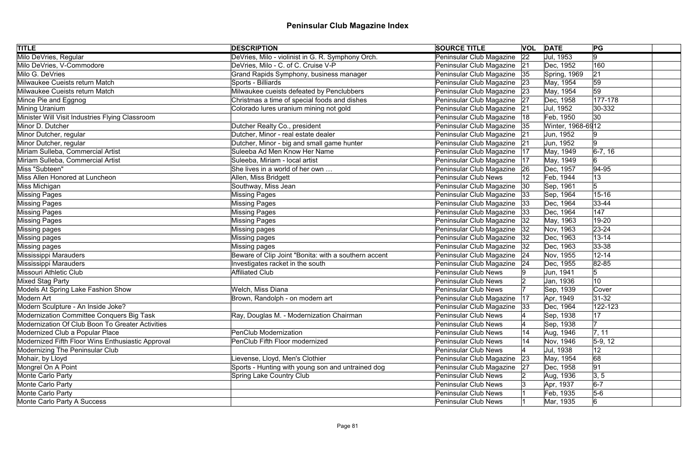| <b>TITLE</b>                                      | <b>DESCRIPTION</b>                                   | <b>SOURCE TITLE</b>           |              | <b>VOL DATE</b>   | PG          |  |
|---------------------------------------------------|------------------------------------------------------|-------------------------------|--------------|-------------------|-------------|--|
| Milo DeVries, Regular                             | DeVries, Milo - violinist in G. R. Symphony Orch.    | Peninsular Club Magazine      | $ 22\rangle$ | Jul, 1953         | $ 9\rangle$ |  |
| Milo DeVries, V-Commodore                         | DeVries, Milo - C. of C. Cruise V-P                  | Peninsular Club Magazine 21   |              | Dec, 1952         | 160         |  |
| Milo G. DeVries                                   | Grand Rapids Symphony, business manager              | Peninsular Club Magazine   35 |              | Spring, 1969      | 21          |  |
| Milwaukee Cueists return Match                    | Sports - Billiards                                   | Peninsular Club Magazine      | 23           | May, 1954         | 59          |  |
| Milwaukee Cueists return Match                    | Milwaukee cueists defeated by Penclubbers            | Peninsular Club Magazine      | 23           | May, 1954         | 59          |  |
| Mince Pie and Eggnog                              | Christmas a time of special foods and dishes         | Peninsular Club Magazine 27   |              | Dec, 1958         | 177-178     |  |
| Mining Uranium                                    | Colorado lures uranium mining not gold               | Peninsular Club Magazine      | 21           | Jul, 1952         | 30-332      |  |
| Minister Will Visit Industries Flying Classroom   |                                                      | Peninsular Club Magazine      | 18           | Feb, 1950         | 30          |  |
| Minor D. Dutcher                                  | Dutcher Realty Co., president                        | Peninsular Club Magazine      | 35           | Winter, 1968-6912 |             |  |
| Minor Dutcher, regular                            | Dutcher, Minor - real estate dealer                  | Peninsular Club Magazine      | 21           | Jun, 1952         |             |  |
| Minor Dutcher, regular                            | Dutcher, Minor - big and small game hunter           | Peninsular Club Magazine      | 21           | Jun, 1952         | 19          |  |
| Miriam Sulleba, Commercial Artist                 | Suleeba Ad Men Know Her Name                         | Peninsular Club Magazine      | 17           | May, 1949         | $6-7, 16$   |  |
| Miriam Sulleba, Commercial Artist                 | Suleeba, Miriam - local artist                       | Peninsular Club Magazine      | 17           | May, 1949         | 6           |  |
| Miss "Subteen"                                    | She lives in a world of her own                      | Peninsular Club Magazine      | 26           | Dec, 1957         | $ 94 - 95$  |  |
| Miss Allen Honored at Luncheon                    | Allen, Miss Bridgett                                 | <b>Peninsular Club News</b>   |              | Feb, 1944         | 13          |  |
| Miss Michigan                                     | Southway, Miss Jean                                  | Peninsular Club Magazine      | 30           | Sep, 1961         | 5           |  |
| Missing Pages                                     | <b>Missing Pages</b>                                 | Peninsular Club Magazine      | 33           | Sep, 1964         | $15 - 16$   |  |
| Missing Pages                                     | <b>Missing Pages</b>                                 | Peninsular Club Magazine      | 33           | Dec, 1964         | $ 33 - 44 $ |  |
| Missing Pages                                     | Missing Pages                                        | Peninsular Club Magazine      | 33           | Dec, 1964         | 147         |  |
| Missing Pages                                     | <b>Missing Pages</b>                                 | Peninsular Club Magazine      | 32           | May, 1963         | 19-20       |  |
| Missing pages                                     | Missing pages                                        | Peninsular Club Magazine      | 32           | Nov, 1963         | $23 - 24$   |  |
| Missing pages                                     | Missing pages                                        | Peninsular Club Magazine      | 32           | Dec, 1963         | $13 - 14$   |  |
| Missing pages                                     | Missing pages                                        | Peninsular Club Magazine      | 32           | Dec, 1963         | $ 33 - 38 $ |  |
| Mississippi Marauders                             | Beware of Clip Joint "Bonita: with a southern accent | Peninsular Club Magazine      | 24           | Nov, 1955         | $12 - 14$   |  |
| Mississippi Marauders                             | Investigates racket in the south                     | Peninsular Club Magazine      | 24           | Dec, 1955         | 82-85       |  |
| Missouri Athletic Club                            | <b>Affiliated Club</b>                               | <b>Peninsular Club News</b>   |              | Jun, 1941         | $\sqrt{5}$  |  |
| Mixed Stag Party                                  |                                                      | Peninsular Club News          |              | Jan, 1936         | 10          |  |
| Models At Spring Lake Fashion Show                | Welch, Miss Diana                                    | <b>Peninsular Club News</b>   |              | Sep, 1939         | Cover       |  |
| Modern Art                                        | Brown, Randolph - on modern art                      | Peninsular Club Magazine      | 17           | Apr, 1949         | $ 31-32 $   |  |
| Modern Sculpture - An Inside Joke?                |                                                      | Peninsular Club Magazine      | 33           | Dec, 1964         | 122-123     |  |
| Modernization Committee Conquers Big Task         | Ray, Douglas M. - Modernization Chairman             | <b>Peninsular Club News</b>   |              | Sep, 1938         | 17          |  |
| Modernization Of Club Boon To Greater Activities  |                                                      | <b>Peninsular Club News</b>   |              | Sep, 1938         |             |  |
| Modernized Club a Popular Place                   | <b>PenClub Modernization</b>                         | <b>Peninsular Club News</b>   | 14           | Aug, 1946         | 7, 11       |  |
| Modernized Fifth Floor Wins Enthusiastic Approval | PenClub Fifth Floor modernized                       | <b>Peninsular Club News</b>   | 14           | Nov, 1946         | $5-9, 12$   |  |
| Modernizing The Peninsular Club                   |                                                      | <b>Peninsular Club News</b>   |              | Jul, 1938         | 12          |  |
| Mohair, by Lloyd                                  | Lievense, Lloyd, Men's Clothier                      | Peninsular Club Magazine      | 23           | May, 1954         | 68          |  |
| Mongrel On A Point                                | Sports - Hunting with young son and untrained dog    | Peninsular Club Magazine      | 27           | Dec, 1958         | 91          |  |
| Monte Carlo Party                                 | <b>Spring Lake Country Club</b>                      | <b>Peninsular Club News</b>   |              | Aug, 1936         | 3, 5        |  |
| Monte Carlo Party                                 |                                                      | <b>Peninsular Club News</b>   |              | Apr, 1937         | $6-7$       |  |
| Monte Carlo Party                                 |                                                      | <b>Peninsular Club News</b>   |              | Feb, 1935         | $5-6$       |  |
| Monte Carlo Party A Success                       |                                                      | <b>Peninsular Club News</b>   |              | Mar, 1935         | $6 \,$      |  |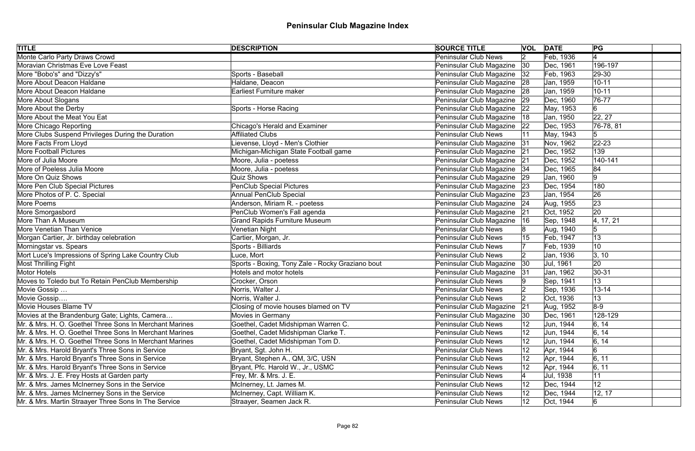| <b>TITLE</b>                                            | <b>DESCRIPTION</b>                               | <b>SOURCE TITLE</b>         |                 | <b>VOL DATE</b> | PG             |
|---------------------------------------------------------|--------------------------------------------------|-----------------------------|-----------------|-----------------|----------------|
| Monte Carlo Party Draws Crowd                           |                                                  | <b>Peninsular Club News</b> | $\vert 2 \vert$ | Feb, 1936       |                |
| Moravian Christmas Eve Love Feast                       |                                                  | Peninsular Club Magazine    | $ 30\rangle$    | Dec, 1961       | 196-197        |
| More "Bobo's" and "Dizzy's"                             | Sports - Baseball                                | Peninsular Club Magazine    | 32              | Feb, 1963       | $ 29-30$       |
| More About Deacon Haldane                               | Haldane, Deacon                                  | Peninsular Club Magazine    | 28              | Jan, 1959       | $10 - 11$      |
| More About Deacon Haldane                               | <b>Earliest Furniture maker</b>                  | Peninsular Club Magazine    | 28              | Jan, 1959       | $10 - 11$      |
| More About Slogans                                      |                                                  | Peninsular Club Magazine    | 29              | Dec, 1960       | 76-77          |
| More About the Derby                                    | Sports - Horse Racing                            | Peninsular Club Magazine    | 22              | May, 1953       | $6 \,$         |
| More About the Meat You Eat                             |                                                  | Peninsular Club Magazine    | 18              | Jan, 1950       | 22, 27         |
| More Chicago Reporting                                  | <b>Chicago's Herald and Examiner</b>             | Peninsular Club Magazine    | 22              | Dec, 1953       | $ 76-78, 81$   |
| More Clubs Suspend Privileges During the Duration       | <b>Affiliated Clubs</b>                          | Peninsular Club News        |                 | May, 1943       | 5              |
| More Facts From Lloyd                                   | Lievense, Lloyd - Men's Clothier                 | Peninsular Club Magazine    | 31              | Nov, 1962       | $22 - 23$      |
| <b>More Football Pictures</b>                           | Michigan-Michigan State Football game            | Peninsular Club Magazine    | 21              | Dec, 1952       | 139            |
| More of Julia Moore                                     | Moore, Julia - poetess                           | Peninsular Club Magazine    | 21              | Dec, 1952       | 140-141        |
| More of Poeless Julia Moore                             | Moore, Julia - poetess                           | Peninsular Club Magazine    | 34              | Dec, 1965       | 84             |
| More On Quiz Shows                                      | <b>Quiz Shows</b>                                | Peninsular Club Magazine    | 29              | Jan, 1960       | 9              |
| More Pen Club Special Pictures                          | <b>PenClub Special Pictures</b>                  | Peninsular Club Magazine    | 23              | Dec, 1954       | 180            |
| More Photos of P. C. Special                            | <b>Annual PenClub Special</b>                    | Peninsular Club Magazine    | 23              | Jan, 1954       | 26             |
| More Poems                                              | Anderson, Miriam R. - poetess                    | Peninsular Club Magazine    | 24              | Aug, 1955       | 23             |
| More Smorgasbord                                        | PenClub Women's Fall agenda                      | Peninsular Club Magazine    | 21              | Oct, 1952       | 20             |
| More Than A Museum                                      | <b>Grand Rapids Furniture Museum</b>             | Peninsular Club Magazine    | 16              | Sep, 1948       | 4, 17, 21      |
| <b>More Venetian Than Venice</b>                        | Venetian Night                                   | <b>Peninsular Club News</b> |                 | Aug, 1940       | $\overline{5}$ |
| Morgan Cartier, Jr. birthday celebration                | Cartier, Morgan, Jr.                             | <b>Peninsular Club News</b> |                 | Feb, 1947       | 13             |
| Morningstar vs. Spears                                  | Sports - Billiards                               | <b>Peninsular Club News</b> |                 | Feb, 1939       | 10             |
| Mort Luce's Impressions of Spring Lake Country Club     | Luce, Mort                                       | <b>Peninsular Club News</b> |                 | Jan, 1936       | 3, 10          |
| <b>Most Thrilling Fight</b>                             | Sports - Boxing, Tony Zale - Rocky Graziano bout | Peninsular Club Magazine    | $ 30\rangle$    | Jul, 1961       | <b>20</b>      |
| Motor Hotels                                            | Hotels and motor hotels                          | Peninsular Club Magazine    | 31              | Jan, 1962       | $ 30-31$       |
| Moves to Toledo but To Retain PenClub Membership        | Crocker, Orson                                   | Peninsular Club News        |                 | Sep, 1941       | 13             |
| Movie Gossip                                            | Norris, Walter J.                                | <b>Peninsular Club News</b> |                 | Sep, 1936       | $13 - 14$      |
| Movie Gossip                                            | Norris, Walter J.                                | Peninsular Club News        |                 | Oct, 1936       | 13             |
| Movie Houses Blame TV                                   | Closing of movie houses blamed on TV             | Peninsular Club Magazine    | 21              | Aug, 1952       | $8-9$          |
| Movies at the Brandenburg Gate; Lights, Camera          | <b>Movies in Germany</b>                         | Peninsular Club Magazine    | $ 30\rangle$    | Dec, 1961       | 128-129        |
| Mr. & Mrs. H. O. Goethel Three Sons In Merchant Marines | Goethel, Cadet Midshipman Warren C.              | <b>Peninsular Club News</b> |                 | Jun, 1944       | 6, 14          |
| Mr. & Mrs. H. O. Goethel Three Sons In Merchant Marines | Goethel, Cadet Midshipman Clarke T.              | <b>Peninsular Club News</b> |                 | Jun, 1944       | 6, 14          |
| Mr. & Mrs. H. O. Goethel Three Sons In Merchant Marines | Goethel, Cadet Midshipman Tom D.                 | <b>Peninsular Club News</b> |                 | Jun, 1944       | 6, 14          |
| Mr. & Mrs. Harold Bryant's Three Sons in Service        | Bryant, Sgt. John H.                             | <b>Peninsular Club News</b> | 12              | Apr, 1944       | 6              |
| Mr. & Mrs. Harold Bryant's Three Sons in Service        | Bryant, Stephen A., QM, 3/C, USN                 | <b>Peninsular Club News</b> | 12              | Apr, 1944       | 6, 11          |
| Mr. & Mrs. Harold Bryant's Three Sons in Service        | Bryant, Pfc. Harold W., Jr., USMC                | <b>Peninsular Club News</b> | 12              | Apr, 1944       | 6, 11          |
| Mr. & Mrs. J. E. Frey Hosts at Garden party             | Frey, Mr. & Mrs. J. E.                           | <b>Peninsular Club News</b> |                 | Jul, 1938       | 11             |
| Mr. & Mrs. James McInerney Sons in the Service          | McInerney, Lt. James M.                          | <b>Peninsular Club News</b> | 12              | Dec, 1944       | 12             |
| Mr. & Mrs. James McInerney Sons in the Service          | McInerney, Capt. William K.                      | <b>Peninsular Club News</b> | 12              | Dec, 1944       | 12, 17         |
| Mr. & Mrs. Martin Straayer Three Sons In The Service    | Straayer, Seamen Jack R.                         | <b>Peninsular Club News</b> | 12              | Oct, 1944       | $6 \,$         |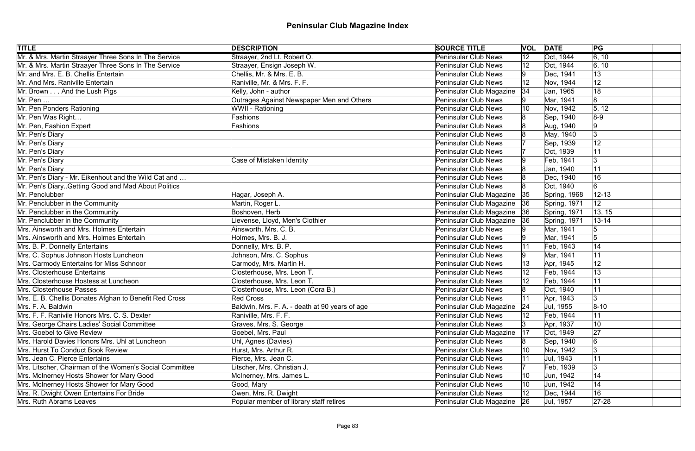| <b>TITLE</b>                                            | <b>DESCRIPTION</b>                             | <b>SOURCE TITLE</b>         |                   | <b>VOL DATE</b> | PG                 |
|---------------------------------------------------------|------------------------------------------------|-----------------------------|-------------------|-----------------|--------------------|
| Mr. & Mrs. Martin Straayer Three Sons In The Service    | Straayer, 2nd Lt. Robert O.                    | <b>Peninsular Club News</b> | $ 12\rangle$      | Oct, 1944       | $\overline{6, 10}$ |
| Mr. & Mrs. Martin Straayer Three Sons In The Service    | Straayer, Ensign Joseph W.                     | <b>Peninsular Club News</b> |                   | Oct, 1944       | 6, 10              |
| Mr. and Mrs. E. B. Chellis Entertain                    | Chellis, Mr. & Mrs. E. B.                      | <b>Peninsular Club News</b> |                   | Dec, 1941       | 13                 |
| Mr. And Mrs. Raniville Entertain                        | Raniville, Mr. & Mrs. F. F.                    | <b>Peninsular Club News</b> |                   | Nov, 1944       | 12                 |
| Mr. Brown And the Lush Pigs                             | Kelly, John - author                           | Peninsular Club Magazine    | 34                | Jan, 1965       | 18                 |
| $Mr.$ Pen $\dots$                                       | Outrages Against Newspaper Men and Others      | <b>Peninsular Club News</b> |                   | Mar, 1941       | 8                  |
| Mr. Pen Ponders Rationing                               | WWII - Rationing                               | <b>Peninsular Club News</b> | 10                | Nov, 1942       | 5, 12              |
| Mr. Pen Was Right                                       | Fashions                                       | <b>Peninsular Club News</b> |                   | Sep, 1940       | $8-9$              |
| Mr. Pen, Fashion Expert                                 | Fashions                                       | <b>Peninsular Club News</b> |                   | Aug, 1940       | 9                  |
| Mr. Pen's Diary                                         |                                                | <b>Peninsular Club News</b> |                   | May, 1940       | 3                  |
| Mr. Pen's Diary                                         |                                                | <b>Peninsular Club News</b> |                   | Sep, 1939       | 12                 |
| Mr. Pen's Diary                                         |                                                | <b>Peninsular Club News</b> |                   | Oct, 1939       | 11                 |
| Mr. Pen's Diary                                         | Case of Mistaken Identity                      | <b>Peninsular Club News</b> |                   | Feb, 1941       | $\overline{3}$     |
| Mr. Pen's Diary                                         |                                                | <b>Peninsular Club News</b> |                   | Jan, 1940       | 11                 |
| Mr. Pen's Diary - Mr. Eikenhout and the Wild Cat and    |                                                | <b>Peninsular Club News</b> |                   | Dec, 1940       | 16                 |
| Mr. Pen's Diary. Getting Good and Mad About Politics    |                                                | <b>Peninsular Club News</b> |                   | Oct, 1940       | 6                  |
| Mr. Penclubber                                          | Hagar, Joseph A.                               | Peninsular Club Magazine    | 35                | Spring, 1968    | $12 - 13$          |
| Mr. Penclubber in the Community                         | Martin, Roger L.                               | Peninsular Club Magazine    | 36                | Spring, 1971    | 12                 |
| Mr. Penclubber in the Community                         | Boshoven, Herb                                 | Peninsular Club Magazine    |                   | Spring, 1971    | 13, 15             |
| Mr. Penclubber in the Community                         | Lievense, Lloyd, Men's Clothier                | Peninsular Club Magazine    | 36                | Spring, 1971    | $13 - 14$          |
| Mrs. Ainsworth and Mrs. Holmes Entertain                | Ainsworth, Mrs. C. B.                          | <b>Peninsular Club News</b> |                   | Mar, 1941       |                    |
| Mrs. Ainsworth and Mrs. Holmes Entertain                | Holmes, Mrs. B. J.                             | <b>Peninsular Club News</b> |                   | Mar, 1941       | $\sqrt{5}$         |
| Mrs. B. P. Donnelly Entertains                          | Donnelly, Mrs. B. P.                           | <b>Peninsular Club News</b> |                   | Feb, 1943       | 14                 |
| Mrs. C. Sophus Johnson Hosts Luncheon                   | Johnson, Mrs. C. Sophus                        | <b>Peninsular Club News</b> |                   | Mar, 1941       | 11                 |
| Mrs. Carmody Entertains for Miss Schnoor                | Carmody, Mrs. Martin H.                        | <b>Peninsular Club News</b> |                   | Apr, 1945       | 12                 |
| Mrs. Closterhouse Entertains                            | Closterhouse, Mrs. Leon T.                     | <b>Peninsular Club News</b> | $12 \overline{ }$ | Feb, 1944       | 13                 |
| Mrs. Closterhouse Hostess at Luncheon                   | Closterhouse, Mrs. Leon T.                     | <b>Peninsular Club News</b> |                   | Feb, 1944       | 11                 |
| Mrs. Closterhouse Passes                                | Closterhouse, Mrs. Leon (Cora B.)              | <b>Peninsular Club News</b> |                   | Oct, 1940       | 11                 |
| Mrs. E. B. Chellis Donates Afghan to Benefit Red Cross  | Red Cross                                      | Peninsular Club News        |                   | Apr, 1943       | 3                  |
| Mrs. F. A. Baldwin                                      | Baldwin, Mrs. F. A. - death at 90 years of age | Peninsular Club Magazine    | 24                | Jul, 1955       | $ 8 - 10 $         |
| Mrs. F. F. Ranivile Honors Mrs. C. S. Dexter            | Raniville, Mrs. F. F.                          | <b>Peninsular Club News</b> |                   | Feb, 1944       | 11                 |
| Mrs. George Chairs Ladies' Social Committee             | Graves, Mrs. S. George                         | <b>Peninsular Club News</b> |                   | Apr, 1937       | 10                 |
| Mrs. Goebel to Give Review                              | Goebel, Mrs. Paul                              | Peninsular Club Magazine    | 17                | Oct, 1949       | 27                 |
| Mrs. Harold Davies Honors Mrs. Uhl at Luncheon          | Uhl, Agnes (Davies)                            | <b>Peninsular Club News</b> |                   | Sep, 1940       | 6                  |
| Mrs. Hurst To Conduct Book Review                       | Hurst, Mrs. Arthur R.                          | <b>Peninsular Club News</b> | 10                | Nov, 1942       |                    |
| Mrs. Jean C. Pierce Entertains                          | Pierce, Mrs. Jean C.                           | <b>Peninsular Club News</b> |                   | Jul, 1943       | 11                 |
| Mrs. Litscher, Chairman of the Women's Social Committee | Litscher, Mrs. Christian J.                    | <b>Peninsular Club News</b> |                   | Feb, 1939       | 3                  |
| Mrs. McInerney Hosts Shower for Mary Good               | McInerney, Mrs. James L.                       | <b>Peninsular Club News</b> | 10                | Jun, 1942       | 14                 |
| Mrs. McInerney Hosts Shower for Mary Good               | Good, Mary                                     | <b>Peninsular Club News</b> | 10                | Jun, 1942       | 14                 |
| Mrs. R. Dwight Owen Entertains For Bride                | Owen, Mrs. R. Dwight                           | <b>Peninsular Club News</b> |                   | Dec, 1944       | 16                 |
| Mrs. Ruth Abrams Leaves                                 | Popular member of library staff retires        | Peninsular Club Magazine 26 |                   | Jul, 1957       | $27 - 28$          |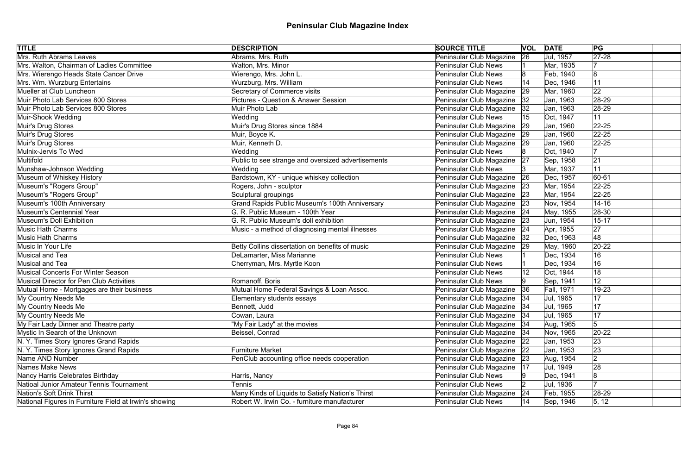| <b>TITLE</b>                                           | <b>DESCRIPTION</b>                                 | <b>SOURCE TITLE</b>           |    | <b>VOL DATE</b> | PG                  |  |
|--------------------------------------------------------|----------------------------------------------------|-------------------------------|----|-----------------|---------------------|--|
| Mrs. Ruth Abrams Leaves                                | Abrams, Mrs. Ruth                                  | Peninsular Club Magazine      | 26 | Jul, 1957       | $\sqrt{27-28}$      |  |
| Mrs. Walton, Chairman of Ladies Committee              | Walton, Mrs. Minor                                 | <b>Peninsular Club News</b>   |    | Mar, 1935       |                     |  |
| Mrs. Wierengo Heads State Cancer Drive                 | Wierengo, Mrs. John L.                             | <b>Peninsular Club News</b>   |    | Feb, 1940       | 8                   |  |
| Mrs. Wm. Wurzburg Entertains                           | Wurzburg, Mrs. William                             | <b>Peninsular Club News</b>   |    | Dec, 1946       | 11                  |  |
| Mueller at Club Luncheon                               | Secretary of Commerce visits                       | Peninsular Club Magazine      | 29 | Mar, 1960       | 22                  |  |
| Muir Photo Lab Services 800 Stores                     | <b>Pictures - Question &amp; Answer Session</b>    | Peninsular Club Magazine      | 32 | Jan, 1963       | 28-29               |  |
| Muir Photo Lab Services 800 Stores                     | Muir Photo Lab                                     | Peninsular Club Magazine      | 32 | Jan, 1963       | $ 28-29$            |  |
| Muir-Shook Wedding                                     | Wedding                                            | <b>Peninsular Club News</b>   |    | Oct, 1947       | 11                  |  |
| Muir's Drug Stores                                     | Muir's Drug Stores since 1884                      | Peninsular Club Magazine      | 29 | Jan, 1960       | $ 22 - 25 $         |  |
| Muir's Drug Stores                                     | Muir, Boyce K.                                     | Peninsular Club Magazine      | 29 | Jan, 1960       | $22 - 25$           |  |
| Muir's Drug Stores                                     | Muir, Kenneth D.                                   | Peninsular Club Magazine   29 |    | Jan, 1960       | $22 - 25$           |  |
| Mulnix-Jervis To Wed                                   | Wedding                                            | <b>Peninsular Club News</b>   |    | Oct, 1940       |                     |  |
| Multifold                                              | Public to see strange and oversized advertisements | Peninsular Club Magazine      | 27 | Sep, 1958       | 21                  |  |
| Munshaw-Johnson Wedding                                | Wedding                                            | <b>Peninsular Club News</b>   |    | Mar, 1937       | 11                  |  |
| Museum of Whiskey History                              | Bardstown, KY - unique whiskey collection          | Peninsular Club Magazine      | 26 | Dec, 1957       | 60-61               |  |
| Museum's "Rogers Group"                                | Rogers, John - sculptor                            | Peninsular Club Magazine      | 23 | Mar, 1954       | $22 - 25$           |  |
| Museum's "Rogers Group"                                | Sculptural groupings                               | Peninsular Club Magazine      | 23 | Mar, 1954       | $22 - 25$           |  |
| Museum's 100th Anniversary                             | Grand Rapids Public Museum's 100th Anniversary     | Peninsular Club Magazine      | 23 | Nov, 1954       | $14 - 16$           |  |
| Museum's Centennial Year                               | G. R. Public Museum - 100th Year                   | Peninsular Club Magazine      | 24 | May, 1955       | 28-30               |  |
| Museum's Doll Exhibition                               | G. R. Public Museum's doll exhibition              | Peninsular Club Magazine      | 23 | Jun, 1954       | $15 - 17$           |  |
| <b>Music Hath Charms</b>                               | Music - a method of diagnosing mental illnesses    | Peninsular Club Magazine      | 24 | Apr, 1955       | 27                  |  |
| <b>Music Hath Charms</b>                               |                                                    | Peninsular Club Magazine      | 32 | Dec, 1963       | 48                  |  |
| Music In Your Life                                     | Betty Collins dissertation on benefits of music    | Peninsular Club Magazine      | 29 | May, 1960       | $20-22$             |  |
| Musical and Tea                                        | DeLamarter, Miss Marianne                          | <b>Peninsular Club News</b>   |    | Dec, 1934       | 16                  |  |
| Musical and Tea                                        | Cherryman, Mrs. Myrtle Koon                        | <b>Peninsular Club News</b>   |    | Dec, 1934       | 16                  |  |
| <b>Musical Concerts For Winter Season</b>              |                                                    | <b>Peninsular Club News</b>   |    | Oct, 1944       | 18                  |  |
| Musical Director for Pen Club Activities               | Romanoff, Boris                                    | Peninsular Club News          |    | Sep, 1941       | 12                  |  |
| Mutual Home - Mortgages are their business             | Mutual Home Federal Savings & Loan Assoc.          | Peninsular Club Magazine      | 36 | Fall, 1971      | 19-23               |  |
| My Country Needs Me                                    | Elementary students essays                         | Peninsular Club Magazine   34 |    | Jul, 1965       | 17                  |  |
| My Country Needs Me                                    | Bennett, Judd                                      | Peninsular Club Magazine      | 34 | Jul, 1965       | 17                  |  |
| My Country Needs Me                                    | Cowan, Laura                                       | Peninsular Club Magazine      | 34 | Jul, 1965       | 17                  |  |
| My Fair Lady Dinner and Theatre party                  | "My Fair Lady" at the movies                       | Peninsular Club Magazine      | 34 | Aug, 1965       | 5                   |  |
| Mystic In Search of the Unknown                        | Beissel, Conrad                                    | Peninsular Club Magazine      | 34 | Nov, 1965       | $20-22$             |  |
| N. Y. Times Story Ignores Grand Rapids                 |                                                    | Peninsular Club Magazine      | 22 | Jan, 1953       | 23                  |  |
| N. Y. Times Story Ignores Grand Rapids                 | <b>Furniture Market</b>                            | Peninsular Club Magazine      | 22 | Jan, 1953       | 23                  |  |
| Name AND Number                                        | PenClub accounting office needs cooperation        | Peninsular Club Magazine      | 23 | Aug, 1954       | 2                   |  |
| Names Make News                                        |                                                    | Peninsular Club Magazine      | 17 | Jul, 1949       | 28                  |  |
| Nancy Harris Celebrates Birthday                       | Harris, Nancy                                      | <b>Peninsular Club News</b>   |    | Dec, 1941       | 8                   |  |
| Natioal Junior Amateur Tennis Tournament               | Tennis                                             | <b>Peninsular Club News</b>   |    | Jul, 1936       |                     |  |
| Nation's Soft Drink Thirst                             | Many Kinds of Liquids to Satisfy Nation's Thirst   | Peninsular Club Magazine      | 24 | Feb, 1955       | 28-29               |  |
| National Figures in Furniture Field at Irwin's showing | Robert W. Irwin Co. - furniture manufacturer       | <b>Peninsular Club News</b>   | 14 | Sep, 1946       | $\vert 5, 12 \vert$ |  |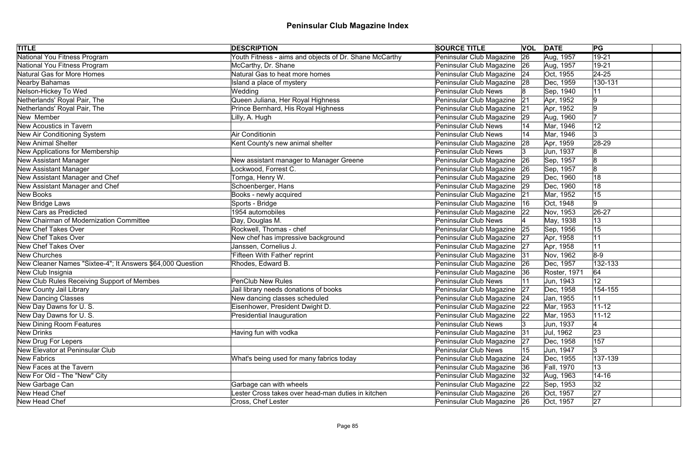| <b>TITLE</b>                                               | <b>DESCRIPTION</b>                                     | <b>SOURCE TITLE</b>           |           | <b>VOL DATE</b> | PG        |
|------------------------------------------------------------|--------------------------------------------------------|-------------------------------|-----------|-----------------|-----------|
| National You Fitness Program                               | Youth Fitness - aims and objects of Dr. Shane McCarthy | Peninsular Club Magazine      | 26        | Aug, 1957       | $19 - 21$ |
| National You Fitness Program                               | McCarthy, Dr. Shane                                    | Peninsular Club Magazine 26   |           | Aug, 1957       | 19-21     |
| Natural Gas for More Homes                                 | Natural Gas to heat more homes                         | Peninsular Club Magazine      | 24        | Oct, 1955       | $24 - 25$ |
| Nearby Bahamas                                             | Island a place of mystery                              | Peninsular Club Magazine      | 28        | Dec, 1959       | 130-131   |
| Nelson-Hickey To Wed                                       | Wedding                                                | <b>Peninsular Club News</b>   |           | Sep, 1940       | 11        |
| Netherlands' Royal Pair, The                               | Queen Juliana, Her Royal Highness                      | Peninsular Club Magazine      | 21        | Apr, 1952       | 9         |
| Netherlands' Royal Pair, The                               | Prince Bernhard, His Royal Highness                    | Peninsular Club Magazine      | 21        | Apr, 1952       | 9         |
| New Member                                                 | Lilly, A. Hugh                                         | Peninsular Club Magazine      | 29        | Aug, 1960       |           |
| New Acoustics in Tavern                                    |                                                        | <b>Peninsular Club News</b>   |           | Mar, 1946       | 12        |
| New Air Conditioning System                                | Air Conditionin                                        | <b>Peninsular Club News</b>   |           | Mar, 1946       | 3         |
| <b>New Animal Shelter</b>                                  | Kent County's new animal shelter                       | Peninsular Club Magazine      | 28        | Apr, 1959       | 28-29     |
| New Applications for Membership                            |                                                        | <b>Peninsular Club News</b>   |           | Jun, 1937       | 8         |
| New Assistant Manager                                      | New assistant manager to Manager Greene                | Peninsular Club Magazine      | <b>26</b> | Sep, 1957       | 8         |
| <b>New Assistant Manager</b>                               | ockwood, Forrest C.                                    | Peninsular Club Magazine      | 26        | Sep, 1957       | 8         |
| New Assistant Manager and Chef                             | Tornga, Henry W.                                       | Peninsular Club Magazine      | 29        | Dec, 1960       | 18        |
| New Assistant Manager and Chef                             | Schoenberger, Hans                                     | Peninsular Club Magazine      | 29        | Dec, 1960       | 18        |
| New Books                                                  | Books - newly acquired                                 | Peninsular Club Magazine      | 21        | Mar, 1952       | 15        |
| New Bridge Laws                                            | Sports - Bridge                                        | Peninsular Club Magazine      | 16        | Oct, 1948       | 9         |
| New Cars as Predicted                                      | 1954 automobiles                                       | Peninsular Club Magazine      | 22        | Nov, 1953       | 26-27     |
| New Chairman of Modernization Committee                    | Day, Douglas M.                                        | <b>Peninsular Club News</b>   |           | May, 1938       | 13        |
| New Chef Takes Over                                        | Rockwell, Thomas - chef                                | Peninsular Club Magazine      | 25        | Sep, 1956       | 15        |
| New Chef Takes Over                                        | New chef has impressive background                     | Peninsular Club Magazine      | 27        | Apr, 1958       | 11        |
| New Chef Takes Over                                        | Janssen, Cornelius J.                                  | Peninsular Club Magazine      | 27        | Apr, 1958       | 11        |
| New Churches                                               | 'Fifteen With Father' reprint                          | Peninsular Club Magazine      | 31        | Nov, 1962       | $8-9$     |
| New Cleaner Names "Sixtee-4"; It Answers \$64,000 Question | Rhodes, Edward B.                                      | Peninsular Club Magazine 26   |           | Dec, 1957       | 132-133   |
| New Club Insignia                                          |                                                        | Peninsular Club Magazine      | 36        | Roster, 1971    | 64        |
| New Club Rules Receiving Support of Membes                 | PenClub New Rules                                      | <b>Peninsular Club News</b>   |           | Jun, 1943       | 12        |
| New County Jail Library                                    | Jail library needs donations of books                  | Peninsular Club Magazine      | 27        | Dec, 1958       | 154-155   |
| New Dancing Classes                                        | New dancing classes scheduled                          | Peninsular Club Magazine 24   |           | Jan, 1955       | 11        |
| New Day Dawns for U.S.                                     | Eisenhower, President Dwight D.                        | Peninsular Club Magazine      | 22        | Mar, 1953       | $11 - 12$ |
| New Day Dawns for U.S.                                     | Presidential Inauguration                              | Peninsular Club Magazine 22   |           | Mar, 1953       | $11 - 12$ |
| New Dining Room Features                                   |                                                        | <b>Peninsular Club News</b>   |           | Jun, 1937       |           |
| New Drinks                                                 | Having fun with vodka                                  | Peninsular Club Magazine      | 31        | Jul, 1962       | 23        |
| New Drug For Lepers                                        |                                                        | Peninsular Club Magazine      | 27        | Dec, 1958       | 157       |
| New Elevator at Peninsular Club                            |                                                        | <b>Peninsular Club News</b>   | 15        | Jun, 1947       | l3        |
| New Fabrics                                                | What's being used for many fabrics today               | Peninsular Club Magazine      | 24        | Dec, 1955       | 137-139   |
| New Faces at the Tavern                                    |                                                        | Peninsular Club Magazine      | 36        | Fall, 1970      | 13        |
| New For Old - The "New" City                               |                                                        | Peninsular Club Magazine      | 32        | Aug, 1963       | $14 - 16$ |
| New Garbage Can                                            | Garbage can with wheels                                | Peninsular Club Magazine   22 |           | Sep, 1953       | 32        |
| New Head Chef                                              | Lester Cross takes over head-man duties in kitchen     | Peninsular Club Magazine 26   |           | Oct, 1957       | 27        |
| New Head Chef                                              | Cross, Chef Lester                                     | Peninsular Club Magazine 26   |           | Oct, 1957       | 27        |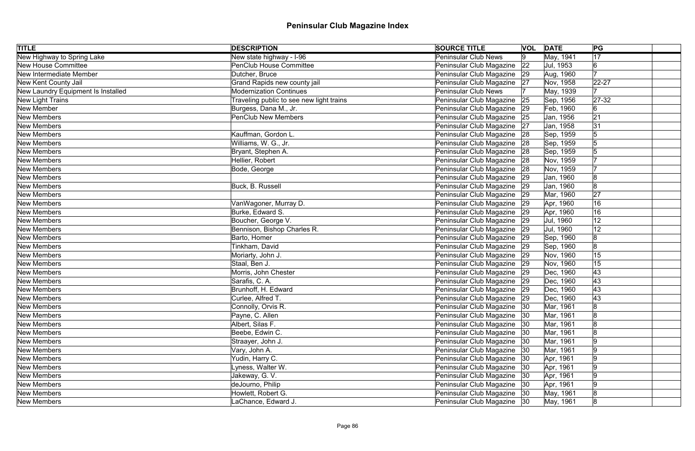| <b>TITLE</b>                       | <b>DESCRIPTION</b>                       | <b>SOURCE TITLE</b>           |    | <b>VOL DATE</b> | PG             |  |
|------------------------------------|------------------------------------------|-------------------------------|----|-----------------|----------------|--|
| New Highway to Spring Lake         | New state highway - I-96                 | <b>Peninsular Club News</b>   | 19 | May, 1941       | 17             |  |
| New House Committee                | <b>PenClub House Committee</b>           | Peninsular Club Magazine      | 22 | Jul, 1953       | 6              |  |
| New Intermediate Member            | Dutcher, Bruce                           | Peninsular Club Magazine 29   |    | Aug, 1960       |                |  |
| New Kent County Jail               | Grand Rapids new county jail             | Peninsular Club Magazine 27   |    | Nov, 1958       | $22 - 27$      |  |
| New Laundry Equipment Is Installed | <b>Modernization Continues</b>           | <b>Peninsular Club News</b>   |    | May, 1939       |                |  |
| New Light Trains                   | Traveling public to see new light trains | Peninsular Club Magazine 25   |    | Sep, 1956       | $27-32$        |  |
| New Member                         | Burgess, Dana M., Jr.                    | Peninsular Club Magazine 29   |    | Feb, 1960       | 6              |  |
| New Members                        | <b>PenClub New Members</b>               | Peninsular Club Magazine 25   |    | Jan, 1956       | 21             |  |
| New Members                        |                                          | Peninsular Club Magazine 27   |    | Jan, 1958       | 31             |  |
| New Members                        | Kauffman, Gordon L.                      | Peninsular Club Magazine 28   |    | Sep, 1959       | 5              |  |
| New Members                        | Williams, W. G., Jr.                     | Peninsular Club Magazine 28   |    | Sep, 1959       |                |  |
| New Members                        | Bryant, Stephen A.                       | Peninsular Club Magazine   28 |    | Sep, 1959       |                |  |
| New Members                        | Hellier, Robert                          | Peninsular Club Magazine      | 28 | Nov, 1959       |                |  |
| New Members                        | Bode, George                             | Peninsular Club Magazine 28   |    | Nov, 1959       |                |  |
| New Members                        |                                          | Peninsular Club Magazine      | 29 | Jan, 1960       |                |  |
| New Members                        | Buck, B. Russell                         | Peninsular Club Magazine      | 29 | Jan, 1960       | 8              |  |
| New Members                        |                                          | Peninsular Club Magazine      | 29 | Mar, 1960       | 27             |  |
| New Members                        | VanWagoner, Murray D.                    | Peninsular Club Magazine      | 29 | Apr, 1960       | 16             |  |
| New Members                        | Burke, Edward S.                         | Peninsular Club Magazine      | 29 | Apr, 1960       | 16             |  |
| New Members                        | Boucher, George V.                       | Peninsular Club Magazine 29   |    | Jul, 1960       | 12             |  |
| New Members                        | Bennison, Bishop Charles R.              | Peninsular Club Magazine 29   |    | Jul, 1960       | 12             |  |
| New Members                        | Barto, Homer                             | Peninsular Club Magazine 29   |    | Sep, 1960       | 8              |  |
| New Members                        | Tinkham, David                           | Peninsular Club Magazine 29   |    | Sep, 1960       | 8              |  |
| New Members                        | Moriarty, John J.                        | Peninsular Club Magazine 29   |    | Nov, 1960       | 15             |  |
| New Members                        | Staal, Ben J.                            | Peninsular Club Magazine 29   |    | Nov, 1960       | 15             |  |
| New Members                        | Morris, John Chester                     | Peninsular Club Magazine 29   |    | Dec, 1960       | 43             |  |
| New Members                        | Sarafis, C. A.                           | Peninsular Club Magazine 29   |    | Dec, 1960       | 43             |  |
| New Members                        | Brunhoff, H. Edward                      | Peninsular Club Magazine 29   |    | Dec, 1960       | 43             |  |
| New Members                        | Curlee, Alfred T.                        | Peninsular Club Magazine 29   |    | Dec, 1960       | 43             |  |
| New Members                        | Connolly, Orvis R.                       | Peninsular Club Magazine      | 30 | Mar, 1961       | 8              |  |
| New Members                        | Payne, C. Allen                          | Peninsular Club Magazine 30   |    | Mar, 1961       | 8              |  |
| New Members                        | Albert, Silas F.                         | Peninsular Club Magazine      | 30 | Mar, 1961       | 18             |  |
| New Members                        | Beebe, Edwin C.                          | Peninsular Club Magazine   30 |    | Mar, 1961       |                |  |
| New Members                        | Straayer, John J.                        | Peninsular Club Magazine      | 30 | Mar, 1961       | 9              |  |
| New Members                        | Vary, John A.                            | Peninsular Club Magazine      | 30 | Mar, 1961       |                |  |
| New Members                        | Yudin, Harry C.                          | Peninsular Club Magazine      | 30 | Apr, 1961       | 19             |  |
| New Members                        | Lyness, Walter W.                        | Peninsular Club Magazine      | 30 | Apr, 1961       | 9              |  |
| New Members                        | Jakeway, G. V.                           | Peninsular Club Magazine   30 |    | Apr, 1961       | 9              |  |
| New Members                        | deJourno, Philip                         | Peninsular Club Magazine 30   |    | Apr, 1961       | 19             |  |
| New Members                        | Howlett, Robert G.                       | Peninsular Club Magazine 30   |    | May, 1961       | 8              |  |
| New Members                        | LaChance, Edward J.                      | Peninsular Club Magazine 30   |    | May, 1961       | $\overline{8}$ |  |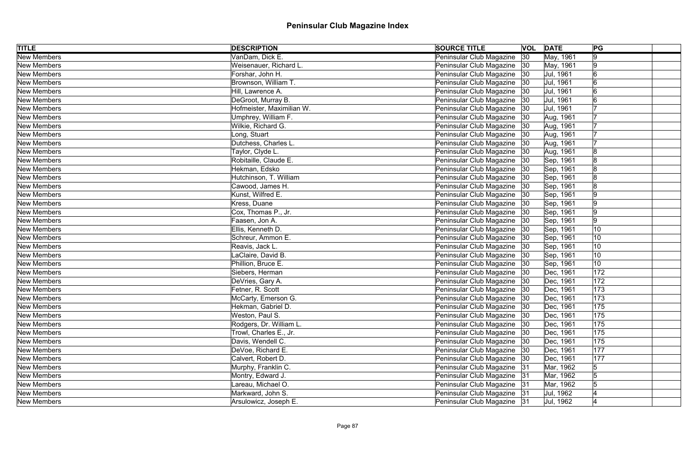| <b>TITLE</b>       | <b>DESCRIPTION</b>        | <b>SOURCE TITLE</b>           |              | <b>VOL DATE</b> | PG             |  |
|--------------------|---------------------------|-------------------------------|--------------|-----------------|----------------|--|
| <b>New Members</b> | VanDam, Dick E.           | Peninsular Club Magazine      | $ 30\rangle$ | May, 1961       | 9              |  |
| New Members        | Weisenauer, Richard L.    | Peninsular Club Magazine 30   |              | May, 1961       | 9              |  |
| New Members        | Forshar, John H.          | Peninsular Club Magazine   30 |              | Jul, 1961       | 6              |  |
| New Members        | Brownson, William T.      | Peninsular Club Magazine 30   |              | Jul, 1961       |                |  |
| <b>New Members</b> | Hill, Lawrence A.         | Peninsular Club Magazine  30  |              | Jul, 1961       | $\overline{6}$ |  |
| New Members        | DeGroot, Murray B.        | Peninsular Club Magazine   30 |              | Jul, 1961       |                |  |
| New Members        | Hofmeister, Maximilian W. | Peninsular Club Magazine  30  |              | Jul, 1961       |                |  |
| New Members        | Umphrey, William F.       | Peninsular Club Magazine 30   |              | Aug, 1961       |                |  |
| New Members        | Wilkie, Richard G.        | Peninsular Club Magazine  30  |              | Aug, 1961       |                |  |
| New Members        | Long, Stuart              | Peninsular Club Magazine 30   |              | Aug, 1961       |                |  |
| New Members        | Dutchess, Charles L.      | Peninsular Club Magazine 30   |              | Aug, 1961       |                |  |
| New Members        | Taylor, Clyde L.          | Peninsular Club Magazine 30   |              | Aug, 1961       |                |  |
| New Members        | Robitaille, Claude E.     | Peninsular Club Magazine      | 30           | Sep, 1961       |                |  |
| New Members        | Hekman, Edsko             | Peninsular Club Magazine      | 30           | Sep, 1961       |                |  |
| New Members        | Hutchinson, T. William    | Peninsular Club Magazine   30 |              | Sep, 1961       |                |  |
| New Members        | Cawood, James H.          | Peninsular Club Magazine      | 30           | Sep, 1961       | 18             |  |
| New Members        | Kunst, Wilfred E.         | Peninsular Club Magazine      | 30           | Sep, 1961       | 19             |  |
| New Members        | Kress, Duane              | Peninsular Club Magazine 30   |              | Sep, 1961       |                |  |
| New Members        | Cox, Thomas P., Jr.       | Peninsular Club Magazine 30   |              | Sep, 1961       | 19             |  |
| New Members        | Faasen, Jon A.            | Peninsular Club Magazine   30 |              | Sep, 1961       | 9              |  |
| New Members        | Ellis, Kenneth D.         | Peninsular Club Magazine 30   |              | Sep, 1961       | 10             |  |
| New Members        | Schreur, Ammon E.         | Peninsular Club Magazine   30 |              | Sep, 1961       | 10             |  |
| New Members        | Reavis, Jack L.           | Peninsular Club Magazine 30   |              | Sep, 1961       | 10             |  |
| <b>New Members</b> | LaClaire, David B.        | Peninsular Club Magazine 30   |              | Sep, 1961       | 10             |  |
| New Members        | Phillion, Bruce E.        | Peninsular Club Magazine 30   |              | Sep, 1961       | 10             |  |
| New Members        | Siebers, Herman           | Peninsular Club Magazine   30 |              | Dec, 1961       | 172            |  |
| New Members        | DeVries, Gary A.          | Peninsular Club Magazine 30   |              | Dec, 1961       | 172            |  |
| New Members        | Fetner, R. Scott          | Peninsular Club Magazine  30  |              | Dec, 1961       | 173            |  |
| New Members        | McCarty, Emerson G.       | Peninsular Club Magazine 30   |              | Dec, 1961       | 173            |  |
| New Members        | Hekman, Gabriel D.        | Peninsular Club Magazine      | 30           | Dec, 1961       | 175            |  |
| New Members        | Weston, Paul S.           | Peninsular Club Magazine   30 |              | Dec, 1961       | 175            |  |
| New Members        | Rodgers, Dr. William L.   | Peninsular Club Magazine      | 30           | Dec, 1961       | 175            |  |
| New Members        | Trowl, Charles E., Jr.    | Peninsular Club Magazine   30 |              | Dec, 1961       | 175            |  |
| New Members        | Davis, Wendell C.         | Peninsular Club Magazine   30 |              | Dec, 1961       | 175            |  |
| New Members        | DeVoe, Richard E.         | Peninsular Club Magazine 30   |              | Dec, 1961       | 177            |  |
| New Members        | Calvert, Robert D.        | Peninsular Club Magazine   30 |              | Dec, 1961       | 177            |  |
| <b>New Members</b> | Murphy, Franklin C.       | Peninsular Club Magazine 31   |              | Mar, 1962       | $\sqrt{5}$     |  |
| New Members        | Montry, Edward J.         | Peninsular Club Magazine 31   |              | Mar, 1962       | $\overline{5}$ |  |
| New Members        | Lareau, Michael O.        | Peninsular Club Magazine 31   |              | Mar, 1962       |                |  |
| New Members        | Markward, John S.         | Peninsular Club Magazine 31   |              | Jul, 1962       |                |  |
| <b>New Members</b> | Arsulowicz, Joseph E.     | Peninsular Club Magazine   31 |              | Jul, 1962       |                |  |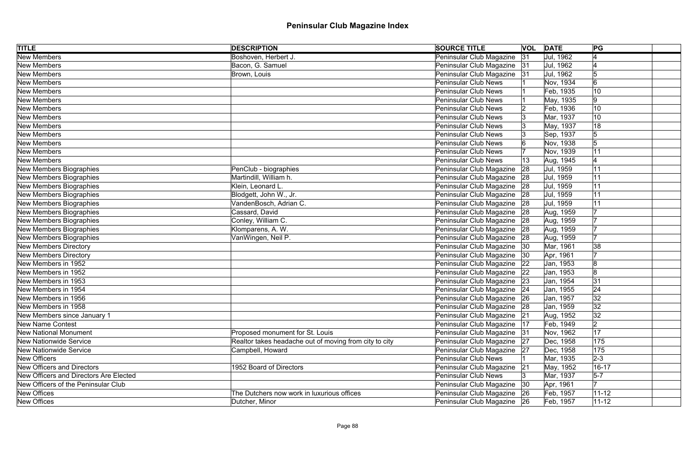| <b>TITLE</b>                           | <b>DESCRIPTION</b>                                     | <b>SOURCE TITLE</b>           |              | <b>VOL DATE</b> | PG             |
|----------------------------------------|--------------------------------------------------------|-------------------------------|--------------|-----------------|----------------|
| <b>New Members</b>                     | Boshoven, Herbert J.                                   | Peninsular Club Magazine      | 31           | Jul, 1962       |                |
| New Members                            | Bacon, G. Samuel                                       | Peninsular Club Magazine 31   |              | Jul, 1962       |                |
| New Members                            | Brown, Louis                                           | Peninsular Club Magazine 31   |              | Jul, 1962       | 15             |
| New Members                            |                                                        | <b>Peninsular Club News</b>   |              | Nov, 1934       | $\overline{6}$ |
| New Members                            |                                                        | Peninsular Club News          |              | Feb, 1935       | 10             |
| New Members                            |                                                        | <b>Peninsular Club News</b>   |              | May, 1935       | 9              |
| New Members                            |                                                        | <b>Peninsular Club News</b>   |              | Feb, 1936       | 10             |
| New Members                            |                                                        | Peninsular Club News          |              | Mar, 1937       | 10             |
| New Members                            |                                                        | <b>Peninsular Club News</b>   |              | May, 1937       | 18             |
| New Members                            |                                                        | <b>Peninsular Club News</b>   |              | Sep, 1937       | 5              |
| New Members                            |                                                        | <b>Peninsular Club News</b>   |              | Nov, 1938       | 5              |
| New Members                            |                                                        | <b>Peninsular Club News</b>   |              | Nov, 1939       | 11             |
| New Members                            |                                                        | <b>Peninsular Club News</b>   | 13           | Aug, 1945       |                |
| New Members Biographies                | PenClub - biographies                                  | Peninsular Club Magazine      | 28           | Jul, 1959       | 11             |
| <b>New Members Biographies</b>         | Martindill, William h.                                 | Peninsular Club Magazine      | 28           | Jul, 1959       | 11             |
| New Members Biographies                | Klein, Leonard L.                                      | Peninsular Club Magazine      | 28           | Jul, 1959       | 11             |
| <b>New Members Biographies</b>         | Blodgett, John W., Jr.                                 | Peninsular Club Magazine      | 28           | Jul, 1959       | 11             |
| New Members Biographies                | VandenBosch, Adrian C.                                 | Peninsular Club Magazine      | 28           | Jul, 1959       |                |
| <b>New Members Biographies</b>         | Cassard, David                                         | Peninsular Club Magazine      | 28           | Aug, 1959       |                |
| New Members Biographies                | Conley, William C.                                     | Peninsular Club Magazine      | 28           | Aug, 1959       |                |
| New Members Biographies                | Klomparens, A. W.                                      | Peninsular Club Magazine 28   |              | Aug, 1959       |                |
| New Members Biographies                | VanWingen, Neil P.                                     | Peninsular Club Magazine      | 28           | Aug, 1959       |                |
| <b>New Members Directory</b>           |                                                        | Peninsular Club Magazine   30 |              | Mar, 1961       | 38             |
| <b>New Members Directory</b>           |                                                        | Peninsular Club Magazine      | 30           | Apr, 1961       |                |
| New Members in 1952                    |                                                        | Peninsular Club Magazine 22   |              | Jan, 1953       | 8              |
| New Members in 1952                    |                                                        | Peninsular Club Magazine      | 22           | Jan, 1953       | 8              |
| New Members in 1953                    |                                                        | Peninsular Club Magazine 23   |              | Jan, 1954       | 31             |
| New Members in 1954                    |                                                        | Peninsular Club Magazine 24   |              | Jan, 1955       | 24             |
| New Members in 1956                    |                                                        | Peninsular Club Magazine 26   |              | Jan, 1957       | 32             |
| New Members in 1958                    |                                                        | Peninsular Club Magazine      | 28           | Jan, 1959       | 32             |
| New Members since January 1            |                                                        | Peninsular Club Magazine      | 21           | Aug, 1952       | 32             |
| <b>New Name Contest</b>                |                                                        | Peninsular Club Magazine      | 17           | Feb, 1949       | $ 2\rangle$    |
| <b>New National Monument</b>           | Proposed monument for St. Louis                        | Peninsular Club Magazine      | 31           | Nov, 1962       | 17             |
| <b>New Nationwide Service</b>          | Realtor takes headache out of moving from city to city | Peninsular Club Magazine      | 27           | Dec, 1958       | 175            |
| <b>New Nationwide Service</b>          | Campbell, Howard                                       | Peninsular Club Magazine 27   |              | Dec, 1958       | 175            |
| New Officers                           |                                                        | <b>Peninsular Club News</b>   |              | Mar, 1935       | $2 - 3$        |
| <b>New Officers and Directors</b>      | 1952 Board of Directors                                | Peninsular Club Magazine      | 21           | May, 1952       | $16 - 17$      |
| New Officers and Directors Are Elected |                                                        | <b>Peninsular Club News</b>   |              | Mar, 1937       | $5-7$          |
| New Officers of the Peninsular Club    |                                                        | Peninsular Club Magazine      | $ 30\rangle$ | Apr, 1961       |                |
| New Offices                            | The Dutchers now work in luxurious offices             | Peninsular Club Magazine 26   |              | Feb, 1957       | $11 - 12$      |
| New Offices                            | Dutcher, Minor                                         | Peninsular Club Magazine 26   |              | Feb, 1957       | $ 11 - 12 $    |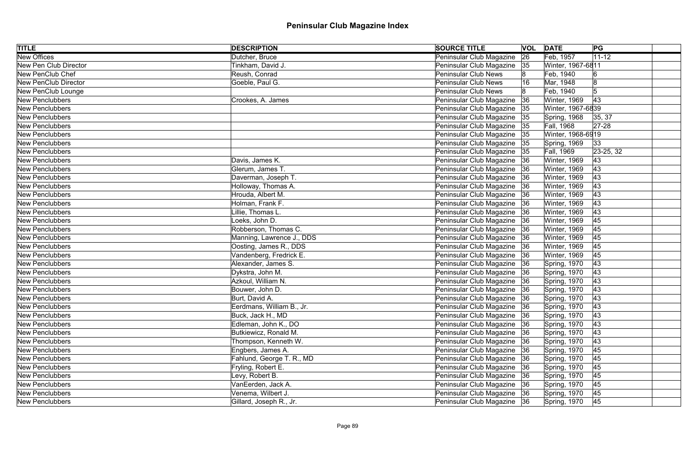| <b>TITLE</b>           | <b>DESCRIPTION</b>        | <b>SOURCE TITLE</b>           |    | <b>VOL DATE</b>   | PG         |  |
|------------------------|---------------------------|-------------------------------|----|-------------------|------------|--|
| <b>New Offices</b>     | Dutcher, Bruce            | Peninsular Club Magazine      | 26 | Feb, 1957         | $11 - 12$  |  |
| New Pen Club Director  | Tinkham, David J.         | Peninsular Club Magazine      | 35 | Winter, 1967-6811 |            |  |
| New PenClub Chef       | Reush, Conrad             | <b>Peninsular Club News</b>   |    | Feb, 1940         | 6          |  |
| New PenClub Director   | Goeble, Paul G.           | <b>Peninsular Club News</b>   |    | Mar, 1948         |            |  |
| New PenClub Lounge     |                           | <b>Peninsular Club News</b>   |    | Feb, 1940         | $\sqrt{5}$ |  |
| New Penclubbers        | Crookes, A. James         | Peninsular Club Magazine      | 36 | Winter, 1969      | 43         |  |
| New Penclubbers        |                           | Peninsular Club Magazine      | 35 | Winter, 1967-6839 |            |  |
| New Penclubbers        |                           | Peninsular Club Magazine      | 35 | Spring, 1968      | 35, 37     |  |
| New Penclubbers        |                           | Peninsular Club Magazine      | 35 | Fall, 1968        | $27 - 28$  |  |
| New Penclubbers        |                           | Peninsular Club Magazine 35   |    | Winter, 1968-6919 |            |  |
| New Penclubbers        |                           | Peninsular Club Magazine      | 35 | Spring, 1969      | 33         |  |
| New Penclubbers        |                           | Peninsular Club Magazine      | 35 | Fall, 1969        | 23-25, 32  |  |
| New Penclubbers        | Davis, James K.           | Peninsular Club Magazine      | 36 | Winter, 1969      | 43         |  |
| New Penclubbers        | Glerum, James T.          | Peninsular Club Magazine      | 36 | Winter, 1969      | 43         |  |
| New Penclubbers        | Daverman, Joseph T.       | Peninsular Club Magazine      | 36 | Winter, 1969      | 43         |  |
| New Penclubbers        | Holloway, Thomas A.       | Peninsular Club Magazine      | 36 | Winter, 1969      | 43         |  |
| New Penclubbers        | Hrouda, Albert M.         | Peninsular Club Magazine      | 36 | Winter, 1969      | 43         |  |
| New Penclubbers        | Holman, Frank F.          | Peninsular Club Magazine      | 36 | Winter, 1969      | 43         |  |
| New Penclubbers        | Lillie, Thomas L.         | Peninsular Club Magazine      |    | Winter, 1969      | 43         |  |
| New Penclubbers        | Loeks, John D.            | Peninsular Club Magazine      | 36 | Winter, 1969      | 45         |  |
| New Penclubbers        | Robberson, Thomas C.      | Peninsular Club Magazine      | 36 | Winter, 1969      | 45         |  |
| New Penclubbers        | Manning, Lawrence J., DDS | Peninsular Club Magazine      | 36 | Winter, 1969      | 45         |  |
| New Penclubbers        | Oosting, James R., DDS    | Peninsular Club Magazine      | 36 | Winter, 1969      | 45         |  |
| New Penclubbers        | Vandenberg, Fredrick E.   | Peninsular Club Magazine      | 36 | Winter, 1969      | 45         |  |
| New Penclubbers        | Alexander, James S.       | Peninsular Club Magazine 36   |    | Spring, 1970      | 43         |  |
| New Penclubbers        | Dykstra, John M.          | Peninsular Club Magazine   36 |    | Spring, 1970      | 43         |  |
| New Penclubbers        | Azkoul, William N.        | Peninsular Club Magazine 36   |    | Spring, 1970      | 43         |  |
| New Penclubbers        | Bouwer, John D.           | Peninsular Club Magazine 36   |    | Spring, 1970      | 43         |  |
| New Penclubbers        | Burt, David A.            | Peninsular Club Magazine   36 |    | Spring, 1970      | 43         |  |
| <b>New Penclubbers</b> | Eerdmans, William B., Jr. | Peninsular Club Magazine      | 36 | Spring, 1970      | 43         |  |
| New Penclubbers        | Buck, Jack H., MD         | Peninsular Club Magazine 36   |    | Spring, 1970      | 43         |  |
| New Penclubbers        | Edleman, John K., DO      | Peninsular Club Magazine      | 36 | Spring, 1970      | 43         |  |
| New Penclubbers        | Butkiewicz, Ronald M.     | Peninsular Club Magazine      | 36 | Spring, 1970      | 43         |  |
| New Penclubbers        | Thompson, Kenneth W.      | Peninsular Club Magazine      | 36 | Spring, 1970      | 43         |  |
| New Penclubbers        | Engbers, James A.         | Peninsular Club Magazine      | 36 | Spring, 1970      | 45         |  |
| <b>New Penclubbers</b> | Fahlund, George T. R., MD | Peninsular Club Magazine      | 36 | Spring, 1970      | 45         |  |
| <b>New Penclubbers</b> | Fryling, Robert E.        | Peninsular Club Magazine      | 36 | Spring, 1970      | 45         |  |
| <b>New Penclubbers</b> | Levy, Robert B.           | Peninsular Club Magazine      | 36 | Spring, 1970      | 45         |  |
| <b>New Penclubbers</b> | VanEerden, Jack A.        | Peninsular Club Magazine      | 36 | Spring, 1970      | 45         |  |
| New Penclubbers        | Venema, Wilbert J.        | Peninsular Club Magazine 36   |    | Spring, 1970      | 45         |  |
| New Penclubbers        | Gillard, Joseph R., Jr.   | Peninsular Club Magazine 36   |    | Spring, 1970      | 45         |  |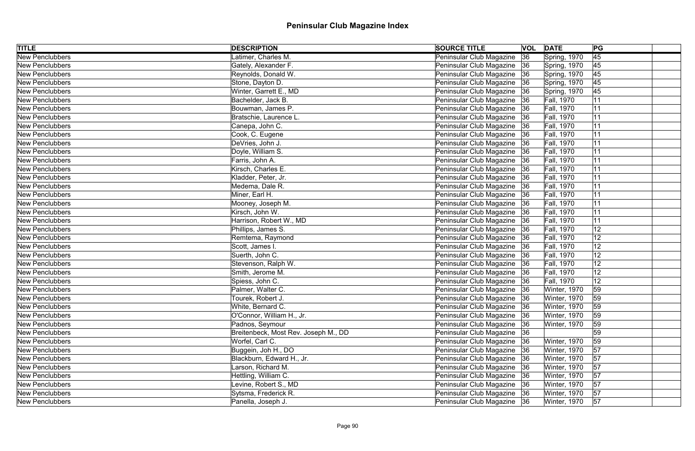| <b>TITLE</b>           | <b>DESCRIPTION</b>                   | <b>SOURCE TITLE</b>           |    | <b>VOL DATE</b>   | PG              |  |
|------------------------|--------------------------------------|-------------------------------|----|-------------------|-----------------|--|
| <b>New Penclubbers</b> | Latimer, Charles M.                  | Peninsular Club Magazine      | 36 | Spring, 1970      | $\overline{45}$ |  |
| New Penclubbers        | Gately, Alexander F.                 | Peninsular Club Magazine      | 36 | Spring, 1970      | 45              |  |
| <b>New Penclubbers</b> | Reynolds, Donald W.                  | Peninsular Club Magazine      | 36 | Spring, 1970      | 45              |  |
| New Penclubbers        | Stone, Dayton D.                     | Peninsular Club Magazine 36   |    | Spring, 1970      | 45              |  |
| New Penclubbers        | Winter, Garrett E., MD               | Peninsular Club Magazine      | 36 | Spring, 1970      | 45              |  |
| New Penclubbers        | Bachelder, Jack B.                   | Peninsular Club Magazine 36   |    | Fall, 1970        | 11              |  |
| New Penclubbers        | Bouwman, James P.                    | Peninsular Club Magazine      | 36 | Fall, 1970        | 11              |  |
| New Penclubbers        | Bratschie, Laurence L.               | Peninsular Club Magazine 36   |    | Fall, 1970        | 11              |  |
| New Penclubbers        | Canepa, John C.                      | Peninsular Club Magazine      | 36 | Fall, 1970        | 11              |  |
| New Penclubbers        | Cook, C. Eugene                      | Peninsular Club Magazine 36   |    | Fall, 1970        | 11              |  |
| New Penclubbers        | DeVries, John J.                     | Peninsular Club Magazine      | 36 | Fall, 1970        | 11              |  |
| New Penclubbers        | Doyle, William S.                    | Peninsular Club Magazine   36 |    | Fall, 1970        | 11              |  |
| New Penclubbers        | Farris, John A.                      | Peninsular Club Magazine      | 36 | Fall, 1970        | 11              |  |
| New Penclubbers        | Kirsch, Charles E.                   | Peninsular Club Magazine      | 36 | Fall, 1970        | 11              |  |
| New Penclubbers        | Kladder, Peter, Jr.                  | Peninsular Club Magazine      | 36 | Fall, 1970        | 11              |  |
| New Penclubbers        | Medema, Dale R.                      | Peninsular Club Magazine      | 36 | Fall, 1970        | 11              |  |
| New Penclubbers        | Miner, Earl H.                       | Peninsular Club Magazine      | 36 | Fall, 1970        | 11              |  |
| New Penclubbers        | Mooney, Joseph M.                    | Peninsular Club Magazine      | 36 | <b>Fall, 1970</b> | 11              |  |
| New Penclubbers        | Kirsch, John W.                      | Peninsular Club Magazine      | 36 | Fall, 1970        | 11              |  |
| New Penclubbers        | Harrison, Robert W., MD              | Peninsular Club Magazine      | 36 | <b>Fall, 1970</b> | 11              |  |
| New Penclubbers        | Phillips, James S.                   | Peninsular Club Magazine      | 36 | Fall, 1970        | 12              |  |
| New Penclubbers        | Remtema, Raymond                     | Peninsular Club Magazine      | 36 | Fall, 1970        | 12              |  |
| New Penclubbers        | Scott, James I.                      | Peninsular Club Magazine      | 36 | Fall, 1970        | 12              |  |
| New Penclubbers        | Suerth, John C.                      | Peninsular Club Magazine      | 36 | <b>Fall, 1970</b> | 12              |  |
| New Penclubbers        | Stevenson, Ralph W.                  | Peninsular Club Magazine 36   |    | Fall, 1970        | 12              |  |
| New Penclubbers        | Smith, Jerome M.                     | Peninsular Club Magazine      | 36 | Fall, 1970        | 12              |  |
| New Penclubbers        | Spiess, John C.                      | Peninsular Club Magazine 36   |    | Fall, 1970        | 12              |  |
| New Penclubbers        | Palmer, Walter C.                    | Peninsular Club Magazine 36   |    | Winter, 1970      | 59              |  |
| New Penclubbers        | Tourek, Robert J.                    | Peninsular Club Magazine   36 |    | Winter, 1970      | 59              |  |
| <b>New Penclubbers</b> | White, Bernard C.                    | Peninsular Club Magazine      | 36 | Winter, 1970      | 59              |  |
| New Penclubbers        | O'Connor, William H., Jr.            | Peninsular Club Magazine 36   |    | Winter, 1970      | 59              |  |
| New Penclubbers        | Padnos, Seymour                      | Peninsular Club Magazine      | 36 | Winter, 1970      | 59              |  |
| New Penclubbers        | Breitenbeck, Most Rev. Joseph M., DD | Peninsular Club Magazine      | 36 |                   | 59              |  |
| New Penclubbers        | Worfel, Carl C.                      | Peninsular Club Magazine      | 36 | Winter, 1970      | 59              |  |
| New Penclubbers        | Buggein, Joh H., DO                  | Peninsular Club Magazine      | 36 | Winter, 1970      | 57              |  |
| <b>New Penclubbers</b> | Blackburn, Edward H., Jr.            | Peninsular Club Magazine      | 36 | Winter, 1970      | 57              |  |
| <b>New Penclubbers</b> | Larson, Richard M.                   | Peninsular Club Magazine      | 36 | Winter, 1970      | 57              |  |
| <b>New Penclubbers</b> | Hettling, William C.                 | Peninsular Club Magazine      | 36 | Winter, 1970      | 57              |  |
| <b>New Penclubbers</b> | Levine, Robert S., MD                | Peninsular Club Magazine      | 36 | Winter, 1970      | 57              |  |
| New Penclubbers        | Sytsma, Frederick R.                 | Peninsular Club Magazine 36   |    | Winter, 1970      | 57              |  |
| New Penclubbers        | Panella, Joseph J.                   | Peninsular Club Magazine 36   |    | Winter, 1970      | 57              |  |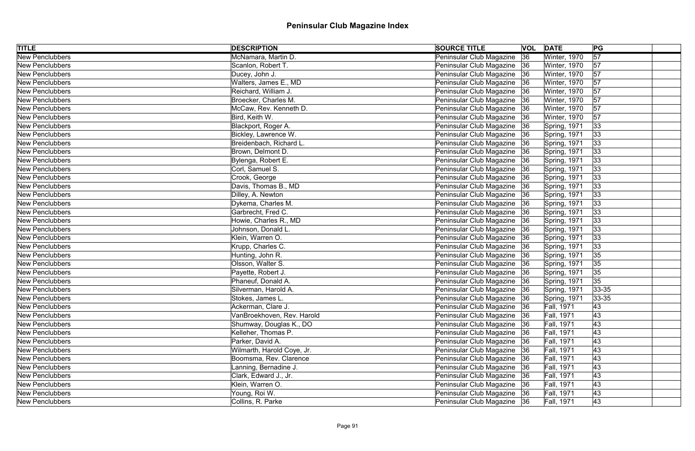| <b>TITLE</b>           | <b>DESCRIPTION</b>         | <b>SOURCE TITLE</b>           |    | <b>VOL DATE</b>   | PG              |  |
|------------------------|----------------------------|-------------------------------|----|-------------------|-----------------|--|
| <b>New Penclubbers</b> | McNamara, Martin D.        | Peninsular Club Magazine      | 36 | Winter, 1970      | $\overline{57}$ |  |
| New Penclubbers        | Scanlon, Robert T.         | Peninsular Club Magazine 36   |    | Winter, 1970      | 57              |  |
| New Penclubbers        | Ducey, John J.             | Peninsular Club Magazine 36   |    | Winter, 1970      | 57              |  |
| New Penclubbers        | Walters, James E., MD      | Peninsular Club Magazine 36   |    | Winter, 1970      | 57              |  |
| <b>New Penclubbers</b> | Reichard, William J.       | Peninsular Club Magazine   36 |    | Winter, 1970      | 57              |  |
| New Penclubbers        | Broecker, Charles M.       | Peninsular Club Magazine 36   |    | Winter, 1970      | 57              |  |
| New Penclubbers        | McCaw, Rev. Kenneth D.     | Peninsular Club Magazine   36 |    | Winter, 1970      | 57              |  |
| New Penclubbers        | Bird, Keith W.             | Peninsular Club Magazine 36   |    | Winter, 1970      | 57              |  |
| <b>New Penclubbers</b> | Blackport, Roger A.        | Peninsular Club Magazine   36 |    | Spring, 1971      | 33              |  |
| New Penclubbers        | Bickley, Lawrence W.       | Peninsular Club Magazine 36   |    | Spring, 1971      | 33              |  |
| New Penclubbers        | Breidenbach, Richard L.    | Peninsular Club Magazine 36   |    | Spring, 1971      | 33              |  |
| New Penclubbers        | Brown, Delmont D.          | Peninsular Club Magazine   36 |    | Spring, 1971      | 33              |  |
| New Penclubbers        | Bylenga, Robert E.         | Peninsular Club Magazine      | 36 | Spring, 1971      | 33              |  |
| New Penclubbers        | Corl, Samuel S.            | Peninsular Club Magazine 36   |    | Spring, 1971      | 33              |  |
| New Penclubbers        | Crook, George              | Peninsular Club Magazine      | 36 | Spring, 1971      | 33              |  |
| New Penclubbers        | Davis, Thomas B., MD       | Peninsular Club Magazine      | 36 | Spring, 1971      | 33              |  |
| New Penclubbers        | Dilley, A. Newton          | Peninsular Club Magazine      | 36 | Spring, 1971      | 33              |  |
| New Penclubbers        | Dykema, Charles M.         | Peninsular Club Magazine      | 36 | Spring, 1971      | 33              |  |
| New Penclubbers        | Garbrecht, Fred C.         | Peninsular Club Magazine      | 36 | Spring, 1971      | 33              |  |
| New Penclubbers        | Howie, Charles R., MD      | Peninsular Club Magazine      | 36 | Spring, 1971      | 33              |  |
| New Penclubbers        | Johnson, Donald L.         | Peninsular Club Magazine 36   |    | Spring, 1971      | 33              |  |
| New Penclubbers        | Klein, Warren O.           | Peninsular Club Magazine 36   |    | Spring, 1971      | 33              |  |
| New Penclubbers        | Krupp, Charles C.          | Peninsular Club Magazine 36   |    | Spring, 1971      | 33              |  |
| <b>New Penclubbers</b> | Hunting, John R.           | Peninsular Club Magazine   36 |    | Spring, 1971      | 35              |  |
| New Penclubbers        | Olsson, Walter S.          | Peninsular Club Magazine 36   |    | Spring, 1971      | 35              |  |
| New Penclubbers        | Payette, Robert J.         | Peninsular Club Magazine 36   |    | Spring, 1971      | 35              |  |
| New Penclubbers        | Phaneuf, Donald A.         | Peninsular Club Magazine   36 |    | Spring, 1971      | 35              |  |
| New Penclubbers        | Silverman, Harold A.       | Peninsular Club Magazine 36   |    | Spring, 1971      | $ 33 - 35 $     |  |
| New Penclubbers        | Stokes, James L.           | Peninsular Club Magazine   36 |    | Spring, 1971      | $33 - 35$       |  |
| New Penclubbers        | Ackerman, Clare J.         | Peninsular Club Magazine      | 36 | Fall, 1971        | 43              |  |
| New Penclubbers        | VanBroekhoven, Rev. Harold | Peninsular Club Magazine 36   |    | <b>Fall, 1971</b> | 43              |  |
| New Penclubbers        | Shumway, Douglas K., DO    | Peninsular Club Magazine 36   |    | Fall, 1971        | 43              |  |
| New Penclubbers        | Kelleher, Thomas P.        | Peninsular Club Magazine      | 36 | <b>Fall, 1971</b> | 43              |  |
| New Penclubbers        | Parker, David A.           | Peninsular Club Magazine      | 36 | Fall, 1971        | 43              |  |
| New Penclubbers        | Wilmarth, Harold Coye, Jr. | Peninsular Club Magazine 36   |    | <b>Fall, 1971</b> | 43              |  |
| New Penclubbers        | Boomsma, Rev. Clarence     | Peninsular Club Magazine      | 36 | Fall, 1971        | 43              |  |
| New Penclubbers        | Lanning, Bernadine J.      | Peninsular Club Magazine      | 36 | <b>Fall, 1971</b> | 43              |  |
| New Penclubbers        | Clark, Edward J., Jr.      | Peninsular Club Magazine 36   |    | Fall, 1971        | 43              |  |
| New Penclubbers        | Klein, Warren O.           | Peninsular Club Magazine 36   |    | <b>Fall, 1971</b> | 43              |  |
| New Penclubbers        | Young, Roi W.              | Peninsular Club Magazine 36   |    | <b>Fall, 1971</b> | 43              |  |
| <b>New Penclubbers</b> | Collins, R. Parke          | Peninsular Club Magazine 36   |    | <b>Fall, 1971</b> | 43              |  |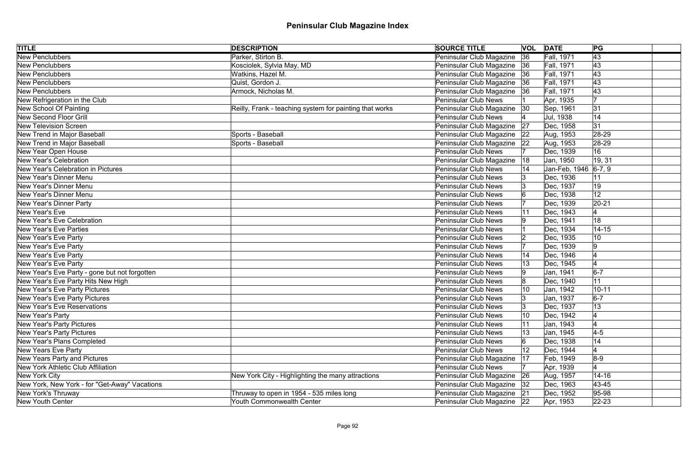| <b>TITLE</b>                                  | <b>DESCRIPTION</b>                                      | <b>SOURCE TITLE</b>           |    | <b>VOL DATE</b>      | PG              |
|-----------------------------------------------|---------------------------------------------------------|-------------------------------|----|----------------------|-----------------|
| <b>New Penclubbers</b>                        | Parker, Stirton B.                                      | Peninsular Club Magazine      | 36 | Fall, 1971           | $\overline{43}$ |
| New Penclubbers                               | Kosciolek, Sylvia May, MD                               | Peninsular Club Magazine 36   |    | <b>Fall, 1971</b>    | 43              |
| New Penclubbers                               | Watkins, Hazel M.                                       | Peninsular Club Magazine   36 |    | <b>Fall, 1971</b>    | 43              |
| New Penclubbers                               | Quist, Gordon J.                                        | Peninsular Club Magazine   36 |    | <b>Fall, 1971</b>    | 43              |
| <b>New Penclubbers</b>                        | Armock, Nicholas M.                                     | Peninsular Club Magazine 36   |    | <b>Fall, 1971</b>    | 43              |
| New Refrigeration in the Club                 |                                                         | Peninsular Club News          |    | Apr, 1935            |                 |
| New School Of Painting                        | Reilly, Frank - teaching system for painting that works | Peninsular Club Magazine      | 30 | Sep, 1961            | 31              |
| New Second Floor Grill                        |                                                         | Peninsular Club News          |    | Jul, 1938            | 14              |
| <b>New Television Screen</b>                  |                                                         | Peninsular Club Magazine      | 27 | Dec, 1958            | 31              |
| New Trend in Major Baseball                   | Sports - Baseball                                       | Peninsular Club Magazine 22   |    | Aug, 1953            | 28-29           |
| New Trend in Major Baseball                   | Sports - Baseball                                       | Peninsular Club Magazine      | 22 | Aug, 1953            | 28-29           |
| New Year Open House                           |                                                         | <b>Peninsular Club News</b>   |    | Dec, 1939            | 16              |
| New Year's Celebration                        |                                                         | Peninsular Club Magazine      | 18 | Jan, 1950            | 19, 31          |
| New Year's Celebration in Pictures            |                                                         | Peninsular Club News          |    | Jan-Feb, 1946 6-7, 9 |                 |
| New Year's Dinner Menu                        |                                                         | Peninsular Club News          |    | Dec, 1936            | 11              |
| New Year's Dinner Menu                        |                                                         | <b>Peninsular Club News</b>   |    | Dec, 1937            | 19              |
| New Year's Dinner Menu                        |                                                         | <b>Peninsular Club News</b>   |    | Dec, 1938            | 12              |
| New Year's Dinner Party                       |                                                         | <b>Peninsular Club News</b>   |    | Dec, 1939            | $ 20-21$        |
| New Year's Eve                                |                                                         | <b>Peninsular Club News</b>   |    | Dec, 1943            |                 |
| New Year's Eve Celebration                    |                                                         | <b>Peninsular Club News</b>   |    | Dec, 1941            | 18              |
| New Year's Eve Parties                        |                                                         | <b>Peninsular Club News</b>   |    | Dec, 1934            | $14 - 15$       |
| New Year's Eve Party                          |                                                         | <b>Peninsular Club News</b>   |    | Dec, 1935            | 10              |
| New Year's Eve Party                          |                                                         | <b>Peninsular Club News</b>   |    | Dec, 1939            | 9               |
| New Year's Eve Party                          |                                                         | <b>Peninsular Club News</b>   |    | Dec, 1946            |                 |
| New Year's Eve Party                          |                                                         | <b>Peninsular Club News</b>   |    | Dec, 1945            |                 |
| New Year's Eve Party - gone but not forgotten |                                                         | <b>Peninsular Club News</b>   |    | Jan, 1941            | $6-7$           |
| New Year's Eve Party Hits New High            |                                                         | Peninsular Club News          |    | Dec, 1940            | 11              |
| New Year's Eve Party Pictures                 |                                                         | <b>Peninsular Club News</b>   |    | Jan, 1942            | $10 - 11$       |
| New Year's Eve Party Pictures                 |                                                         | Peninsular Club News          |    | Jan, 1937            | $6-7$           |
| New Year's Eve Reservations                   |                                                         | <b>Peninsular Club News</b>   |    | Dec, 1937            | 13              |
| New Year's Party                              |                                                         | <b>Peninsular Club News</b>   | 10 | Dec, 1942            |                 |
| New Year's Party Pictures                     |                                                         | <b>Peninsular Club News</b>   |    | Jan, 1943            |                 |
| New Year's Party Pictures                     |                                                         | <b>Peninsular Club News</b>   |    | Jan, 1945            | $4-5$           |
| New Year's Plans Completed                    |                                                         | <b>Peninsular Club News</b>   |    | Dec, 1938            | 14              |
| New Years Eve Party                           |                                                         | <b>Peninsular Club News</b>   |    | Dec, 1944            |                 |
| New Years Party and Pictures                  |                                                         | Peninsular Club Magazine      | 17 | Feb, 1949            | $8-9$           |
| New York Athletic Club Affiliation            |                                                         | <b>Peninsular Club News</b>   |    | Apr, 1939            |                 |
| New York City                                 | New York City - Highlighting the many attractions       | Peninsular Club Magazine 26   |    | Aug, 1957            | $14 - 16$       |
| New York, New York - for "Get-Away" Vacations |                                                         | Peninsular Club Magazine   32 |    | Dec, 1963            | $ 43 - 45 $     |
| New York's Thruway                            | Thruway to open in 1954 - 535 miles long                | Peninsular Club Magazine 21   |    | Dec, 1952            | $95-98$         |
| <b>New Youth Center</b>                       | <b>Youth Commonwealth Center</b>                        | Peninsular Club Magazine 22   |    | Apr, 1953            | $ 22 - 23 $     |
|                                               |                                                         |                               |    |                      |                 |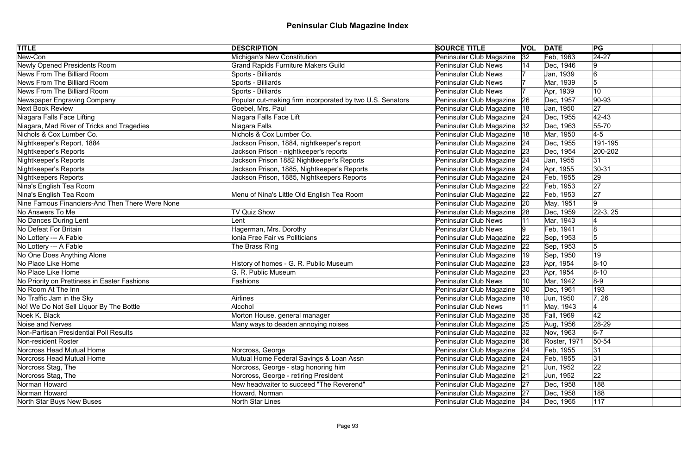| <b>TITLE</b>                                    | <b>DESCRIPTION</b>                                        | <b>SOURCE TITLE</b>           |              | <b>VOL DATE</b> | PG             |  |
|-------------------------------------------------|-----------------------------------------------------------|-------------------------------|--------------|-----------------|----------------|--|
| New-Con                                         | <b>Michigan's New Constitution</b>                        | Peninsular Club Magazine      | 32           | Feb, 1963       | $\sqrt{24-27}$ |  |
| Newly Opened Presidents Room                    | <b>Grand Rapids Furniture Makers Guild</b>                | <b>Peninsular Club News</b>   | 14           | Dec, 1946       | 9              |  |
| News From The Billiard Room                     | Sports - Billiards                                        | <b>Peninsular Club News</b>   |              | Jan, 1939       | 6              |  |
| News From The Billiard Room                     | Sports - Billiards                                        | <b>Peninsular Club News</b>   |              | Mar, 1939       | 5              |  |
| News From The Billiard Room                     | Sports - Billiards                                        | <b>Peninsular Club News</b>   |              | Apr, 1939       | 10             |  |
| Newspaper Engraving Company                     | Popular cut-making firm incorporated by two U.S. Senators | Peninsular Club Magazine      | 26           | Dec, 1957       | $ 90 - 93$     |  |
| <b>Next Book Review</b>                         | Goebel, Mrs. Paul                                         | Peninsular Club Magazine      | 18           | Jan, 1950       | 27             |  |
| Niagara Falls Face Lifting                      | Niagara Falls Face Lift                                   | Peninsular Club Magazine      | 24           | Dec, 1955       | $ 42 - 43$     |  |
| Niagara, Mad River of Tricks and Tragedies      | Niagara Falls                                             | Peninsular Club Magazine      | 32           | Dec, 1963       | $55 - 70$      |  |
| Nichols & Cox Lumber Co.                        | Nichols & Cox Lumber Co.                                  | Peninsular Club Magazine      | 18           | Mar, 1950       | $4-5$          |  |
| Nightkeeper's Report, 1884                      | Jackson Prison, 1884, nightkeeper's report                | Peninsular Club Magazine      | 24           | Dec, 1955       | 191-195        |  |
| Nightkeeper's Reports                           | Jackson Prison - nightkeeper's reports                    | Peninsular Club Magazine      | 23           | Dec, 1954       | 200-202        |  |
| Nightkeeper's Reports                           | Jackson Prison 1882 Nightkeeper's Reports                 | Peninsular Club Magazine      | 24           | Jan, 1955       | 31             |  |
| Nightkeeper's Reports                           | Jackson Prison, 1885, Nightkeeper's Reports               | Peninsular Club Magazine      | 24           | Apr, 1955       | $ 30-31$       |  |
| Nightkeepers Reports                            | Jackson Prison, 1885, Nightkeepers Reports                | Peninsular Club Magazine      | 24           | Feb, 1955       | 29             |  |
| Nina's English Tea Room                         |                                                           | Peninsular Club Magazine      | 22           | Feb, 1953       | 27             |  |
| Nina's English Tea Room                         | Menu of Nina's Little Old English Tea Room                | Peninsular Club Magazine      | 22           | Feb, 1953       | 27             |  |
| Nine Famous Financiers-And Then There Were None |                                                           | Peninsular Club Magazine      | 20           | May, 1951       | 9              |  |
| No Answers To Me                                | <b>TV Quiz Show</b>                                       | Peninsular Club Magazine      | 28           | Dec, 1959       | $22-3, 25$     |  |
| No Dances During Lent                           | Lent                                                      | <b>Peninsular Club News</b>   |              | Mar, 1943       |                |  |
| No Defeat For Britain                           | Hagerman, Mrs. Dorothy                                    | <b>Peninsular Club News</b>   |              | Feb, 1941       | 18             |  |
| No Lottery --- A Fable                          | Ionia Free Fair vs Politicians                            | Peninsular Club Magazine      | 22           | Sep, 1953       | 5              |  |
| No Lottery --- A Fable                          | The Brass Ring                                            | Peninsular Club Magazine      | 22           | Sep, 1953       | $\overline{5}$ |  |
| No One Does Anything Alone                      |                                                           | Peninsular Club Magazine      | $ 19\rangle$ | Sep, 1950       | 19             |  |
| No Place Like Home                              | History of homes - G. R. Public Museum                    | Peninsular Club Magazine      | 23           | Apr, 1954       | $ 8 - 10 $     |  |
| No Place Like Home                              | G. R. Public Museum                                       | Peninsular Club Magazine      | 23           | Apr, 1954       | $8 - 10$       |  |
| No Priority on Prettiness in Easter Fashions    | Fashions                                                  | Peninsular Club News          |              | Mar, 1942       | $8-9$          |  |
| No Room At The Inn                              |                                                           | Peninsular Club Magazine      |              | Dec, 1961       | 193            |  |
| No Traffic Jam in the Sky                       | <b>Airlines</b>                                           | Peninsular Club Magazine   18 |              | Jun, 1950       | 7, 26          |  |
| No! We Do Not Sell Liquor By The Bottle         | <b>Alcohol</b>                                            | <b>Peninsular Club News</b>   |              | May, 1943       |                |  |
| Noek K. Black                                   | Morton House, general manager                             | Peninsular Club Magazine      | 35           | Fall, 1969      | 42             |  |
| Noise and Nerves                                | Many ways to deaden annoying noises                       | Peninsular Club Magazine      | 25           | Aug, 1956       | 28-29          |  |
| Non-Partisan Presidential Poll Results          |                                                           | Peninsular Club Magazine      | 32           | Nov, 1963       | $6-7$          |  |
| Non-resident Roster                             |                                                           | Peninsular Club Magazine      | 36           | Roster, 1971    | $50 - 54$      |  |
| Norcross Head Mutual Home                       | Norcross, George                                          | Peninsular Club Magazine      | 24           | Feb, 1955       | 31             |  |
| Norcross Head Mutual Home                       | Mutual Home Federal Savings & Loan Assn                   | Peninsular Club Magazine 24   |              | Feb, 1955       | 31             |  |
| Norcross Stag, The                              | Norcross, George - stag honoring him                      | Peninsular Club Magazine      | 21           | Jun, 1952       | 22             |  |
| Norcross Stag, The                              | Norcross, George - retiring President                     | Peninsular Club Magazine      | 21           | Jun, 1952       | 22             |  |
| Norman Howard                                   | New headwaiter to succeed "The Reverend"                  | Peninsular Club Magazine 27   |              | Dec, 1958       | 188            |  |
| Norman Howard                                   | Howard, Norman                                            | Peninsular Club Magazine 27   |              | Dec, 1958       | 188            |  |
| North Star Buys New Buses                       | North Star Lines                                          | Peninsular Club Magazine 34   |              | Dec, 1965       | 117            |  |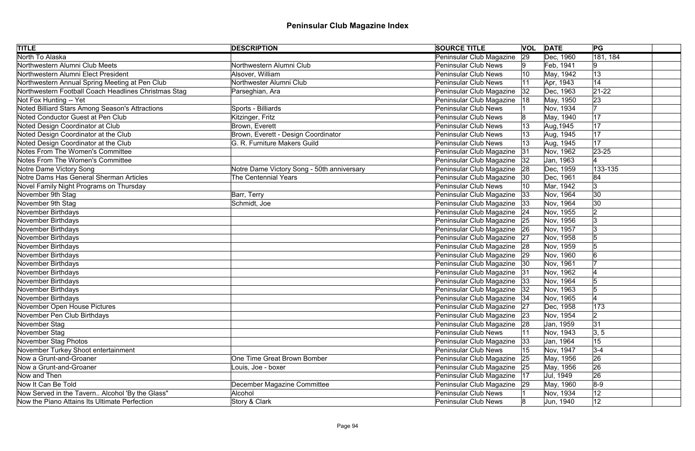| <b>TITLE</b>                                         | <b>DESCRIPTION</b>                         | <b>SOURCE TITLE</b>           | <b>VOL</b> | <b>DATE</b> | PG          |  |
|------------------------------------------------------|--------------------------------------------|-------------------------------|------------|-------------|-------------|--|
| North To Alaska                                      |                                            | Peninsular Club Magazine      | 29         | Dec, 1960   | 181, 184    |  |
| Northwestern Alumni Club Meets                       | Northwestern Alumni Club                   | <b>Peninsular Club News</b>   |            | Feb, 1941   | 9           |  |
| Northwestern Alumni Elect President                  | Alsover, William                           | <b>Peninsular Club News</b>   | 10         | May, 1942   | 13          |  |
| Northwestern Annual Spring Meeting at Pen Club       | Northwester Alumni Club                    | <b>Peninsular Club News</b>   |            | Apr, 1943   | 14          |  |
| Northwestern Football Coach Headlines Christmas Stag | Parseghian, Ara                            | Peninsular Club Magazine      | 32         | Dec, 1963   | $21 - 22$   |  |
| Not Fox Hunting -- Yet                               |                                            | Peninsular Club Magazine      | 18         | May, 1950   | 23          |  |
| Noted Billiard Stars Among Season's Attractions      | Sports - Billiards                         | <b>Peninsular Club News</b>   |            | Nov, 1934   | 17          |  |
| Noted Conductor Guest at Pen Club                    | Kitzinger, Fritz                           | <b>Peninsular Club News</b>   |            | May, 1940   | 17          |  |
| Noted Design Coordinator at Club                     | Brown, Everett                             | <b>Peninsular Club News</b>   |            | Aug, 1945   | 17          |  |
| Noted Design Coordinator at the Club                 | Brown, Everett - Design Coordinator        | <b>Peninsular Club News</b>   |            | Aug, 1945   | 17          |  |
| Noted Design Coordinator at the Club                 | G. R. Furniture Makers Guild               | <b>Peninsular Club News</b>   |            | Aug, 1945   | 17          |  |
| Notes From The Women's Committee                     |                                            | Peninsular Club Magazine      | 31         | Nov, 1962   | $ 23 - 25 $ |  |
| Notes From The Women's Committee                     |                                            | Peninsular Club Magazine      | 32         | Jan, 1963   |             |  |
| Notre Dame Victory Song                              | Notre Dame Victory Song - 50th anniversary | Peninsular Club Magazine      | 28         | Dec, 1959   | 133-135     |  |
| Notre Dams Has General Sherman Articles              | <b>The Centennial Years</b>                | Peninsular Club Magazine      | 30         | Dec, 1961   | 84          |  |
| Novel Family Night Programs on Thursday              |                                            | <b>Peninsular Club News</b>   | 10         | Mar, 1942   | 3           |  |
| November 9th Stag                                    | Barr, Terry                                | Peninsular Club Magazine      | 33         | Nov, 1964   | 30          |  |
| November 9th Stag                                    | Schmidt, Joe                               | Peninsular Club Magazine      | 33         | Nov, 1964   | 30          |  |
| November Birthdays                                   |                                            | Peninsular Club Magazine      | 24         | Nov, 1955   | 2           |  |
| November Birthdays                                   |                                            | Peninsular Club Magazine      | 25         | Nov, 1956   | Ι3          |  |
| November Birthdays                                   |                                            | Peninsular Club Magazine      | 26         | Nov, 1957   | Ι3          |  |
| November Birthdays                                   |                                            | Peninsular Club Magazine      | 27         | Nov, 1958   |             |  |
| November Birthdays                                   |                                            | Peninsular Club Magazine 28   |            | Nov, 1959   | 5           |  |
| November Birthdays                                   |                                            | Peninsular Club Magazine      | 29         | Nov, 1960   | 6           |  |
| November Birthdays                                   |                                            | Peninsular Club Magazine   30 |            | Nov, 1961   |             |  |
| November Birthdays                                   |                                            | Peninsular Club Magazine      | 31         | Nov, 1962   |             |  |
| November Birthdays                                   |                                            | Peninsular Club Magazine 33   |            | Nov, 1964   |             |  |
| November Birthdays                                   |                                            | Peninsular Club Magazine   32 |            | Nov, 1963   |             |  |
| November Birthdays                                   |                                            | Peninsular Club Magazine   34 |            | Nov, 1965   |             |  |
| November Open House Pictures                         |                                            | Peninsular Club Magazine      | 27         | Dec, 1958   | 173         |  |
| November Pen Club Birthdays                          |                                            | Peninsular Club Magazine 23   |            | Nov, 1954   | 2           |  |
| November Stag                                        |                                            | Peninsular Club Magazine      | 28         | Jan, 1959   | 31          |  |
| November Stag                                        |                                            | <b>Peninsular Club News</b>   |            | Nov, 1943   | 3, 5        |  |
| November Stag Photos                                 |                                            | Peninsular Club Magazine      | 33         | Jan, 1964   | 15          |  |
| November Turkey Shoot entertainment                  |                                            | <b>Peninsular Club News</b>   | 15         | Nov, 1947   | $3 - 4$     |  |
| Now a Grunt-and-Groaner                              | One Time Great Brown Bomber                | Peninsular Club Magazine      | 25         | May, 1956   | 26          |  |
| Now a Grunt-and-Groaner                              | Louis, Joe - boxer                         | Peninsular Club Magazine      | 25         | May, 1956   | 26          |  |
| Now and Then                                         |                                            | Peninsular Club Magazine      | 17         | Jul, 1949   | 26          |  |
| Now It Can Be Told                                   | December Magazine Committee                | Peninsular Club Magazine 29   |            | May, 1960   | $8-9$       |  |
| Now Served in the Tavern Alcohol 'By the Glass"      | Alcohol                                    | <b>Peninsular Club News</b>   |            | Nov, 1934   | 12          |  |
| Now the Piano Attains Its Ultimate Perfection        | Story & Clark                              | <b>Peninsular Club News</b>   |            | Jun, 1940   | 12          |  |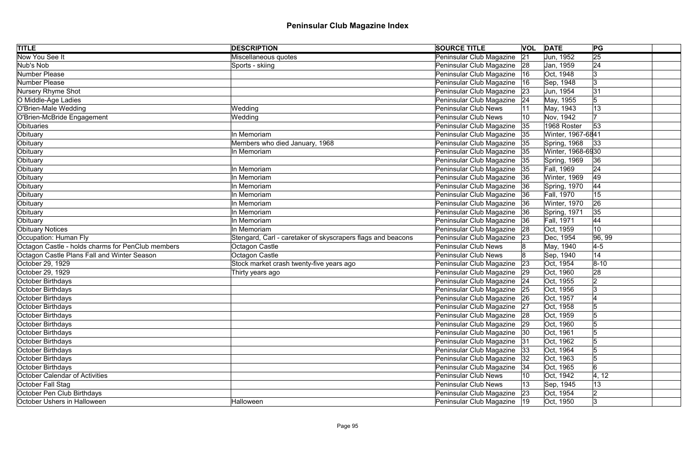| <b>TITLE</b>                                      | <b>DESCRIPTION</b>                                          | <b>SOURCE TITLE</b>           |    | <b>VOL DATE</b>   | PG              |  |
|---------------------------------------------------|-------------------------------------------------------------|-------------------------------|----|-------------------|-----------------|--|
| Now You See It                                    | Miscellaneous quotes                                        | Peninsular Club Magazine      | 21 | Jun, 1952         | $\overline{25}$ |  |
| Nub's Nob                                         | Sports - skiing                                             | Peninsular Club Magazine 28   |    | Jan, 1959         | 24              |  |
| Number Please                                     |                                                             | Peninsular Club Magazine      | 16 | Oct, 1948         | 3               |  |
| Number Please                                     |                                                             | Peninsular Club Magazine      | 16 | Sep, 1948         | Ι3              |  |
| Nursery Rhyme Shot                                |                                                             | Peninsular Club Magazine      | 23 | Jun, 1954         | 31              |  |
| O Middle-Age Ladies                               |                                                             | Peninsular Club Magazine      | 24 | May, 1955         | 5               |  |
| O'Brien-Male Wedding                              | Wedding                                                     | <b>Peninsular Club News</b>   |    | May, 1943         | 13              |  |
| O'Brien-McBride Engagement                        | Wedding                                                     | <b>Peninsular Club News</b>   |    | Nov, 1942         |                 |  |
| Obituaries                                        |                                                             | Peninsular Club Magazine      | 35 | 1968 Roster       | 53              |  |
| Obituary                                          | In Memoriam                                                 | Peninsular Club Magazine 35   |    | Winter, 1967-6841 |                 |  |
| Obituary                                          | Members who died January, 1968                              | Peninsular Club Magazine      | 35 | Spring, 1968      | 33              |  |
| Obituary                                          | In Memoriam                                                 | Peninsular Club Magazine      | 35 | Winter, 1968-6930 |                 |  |
| Obituary                                          |                                                             | Peninsular Club Magazine      | 35 | Spring, 1969      | 36              |  |
| Obituary                                          | In Memoriam                                                 | Peninsular Club Magazine      | 35 | <b>Fall, 1969</b> | 24              |  |
| Obituary                                          | In Memoriam                                                 | Peninsular Club Magazine      | 36 | Winter, 1969      | 49              |  |
| Obituary                                          | In Memoriam                                                 | Peninsular Club Magazine      | 36 | Spring, 1970      | 44              |  |
| Obituary                                          | In Memoriam                                                 | Peninsular Club Magazine      | 36 | Fall, 1970        | 15              |  |
| Obituary                                          | In Memoriam                                                 | Peninsular Club Magazine      | 36 | Winter, 1970      | 26              |  |
| Obituary                                          | In Memoriam                                                 | Peninsular Club Magazine      | 36 | Spring, 1971      | 35              |  |
| Obituary                                          | In Memoriam                                                 | Peninsular Club Magazine      | 36 | <b>Fall, 1971</b> | 44              |  |
| Obituary Notices                                  | In Memoriam                                                 | Peninsular Club Magazine      | 28 | Oct, 1959         | 10              |  |
| Occupation: Human Fly                             | Stengard, Carl - caretaker of skyscrapers flags and beacons | Peninsular Club Magazine      | 23 | Dec, 1954         | 96, 99          |  |
| Octagon Castle - holds charms for PenClub members | Octagon Castle                                              | Peninsular Club News          |    | May, 1940         | $4-5$           |  |
| Octagon Castle Plans Fall and Winter Season       | Octagon Castle                                              | <b>Peninsular Club News</b>   |    | Sep, 1940         | 14              |  |
| October 29, 1929                                  | Stock market crash twenty-five years ago                    | Peninsular Club Magazine      | 23 | Oct, 1954         | $ 8 - 10$       |  |
| October 29, 1929                                  | Thirty years ago                                            | Peninsular Club Magazine 29   |    | Oct, 1960         | 28              |  |
| October Birthdays                                 |                                                             | Peninsular Club Magazine   24 |    | Oct, 1955         | $\overline{2}$  |  |
| October Birthdays                                 |                                                             | Peninsular Club Magazine   25 |    | Oct, 1956         | Ι3              |  |
| October Birthdays                                 |                                                             | Peninsular Club Magazine 26   |    | Oct, 1957         |                 |  |
| October Birthdays                                 |                                                             | Peninsular Club Magazine      | 27 | Oct, 1958         |                 |  |
| October Birthdays                                 |                                                             | Peninsular Club Magazine 28   |    | Oct, 1959         |                 |  |
| October Birthdays                                 |                                                             | Peninsular Club Magazine      | 29 | Oct, 1960         |                 |  |
| October Birthdays                                 |                                                             | Peninsular Club Magazine      | 30 | Oct, 1961         |                 |  |
| October Birthdays                                 |                                                             | Peninsular Club Magazine      | 31 | Oct, 1962         |                 |  |
| October Birthdays                                 |                                                             | Peninsular Club Magazine   33 |    | Oct, 1964         |                 |  |
| October Birthdays                                 |                                                             | Peninsular Club Magazine      | 32 | Oct, 1963         |                 |  |
| October Birthdays                                 |                                                             | Peninsular Club Magazine      | 34 | Oct, 1965         | 6               |  |
| <b>October Calendar of Activities</b>             |                                                             | <b>Peninsular Club News</b>   |    | Oct, 1942         | 4, 12           |  |
| October Fall Stag                                 |                                                             | <b>Peninsular Club News</b>   |    | Sep, 1945         | 13              |  |
| October Pen Club Birthdays                        |                                                             | Peninsular Club Magazine      | 23 | Oct, 1954         | 2               |  |
| October Ushers in Halloween                       | Halloween                                                   | Peninsular Club Magazine   19 |    | Oct, 1950         | 3               |  |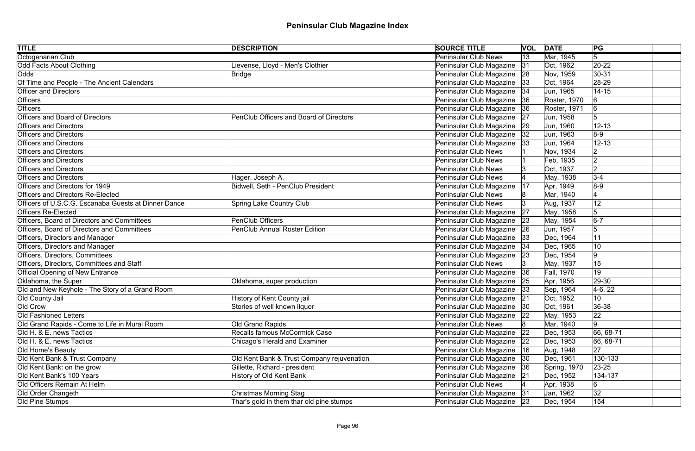| <b>TITLE</b>                                         | <b>DESCRIPTION</b>                         | <b>SOURCE TITLE</b>           |    | <b>VOL DATE</b> | PG              |  |
|------------------------------------------------------|--------------------------------------------|-------------------------------|----|-----------------|-----------------|--|
| Octogenarian Club                                    |                                            | <b>Peninsular Club News</b>   | 13 | Mar, 1945       | 5               |  |
| Odd Facts About Clothing                             | ievense, Lloyd - Men's Clothier            | Peninsular Club Magazine      | 31 | Oct, 1962       | $20 - 22$       |  |
| Odds                                                 | <b>Bridge</b>                              | Peninsular Club Magazine      | 28 | Nov, 1959       | $ 30-31$        |  |
| Of Time and People - The Ancient Calendars           |                                            | Peninsular Club Magazine      | 33 | Oct, 1964       | 28-29           |  |
| <b>Officer and Directors</b>                         |                                            | Peninsular Club Magazine   34 |    | Jun, 1965       | $14 - 15$       |  |
| Officers                                             |                                            | Peninsular Club Magazine 36   |    | Roster, 1970    | 6               |  |
| <b>Officers</b>                                      |                                            | Peninsular Club Magazine      | 36 | Roster, 1971    | 6               |  |
| <b>Officers and Board of Directors</b>               | PenClub Officers and Board of Directors    | Peninsular Club Magazine      | 27 | Jun, 1958       | 5               |  |
| <b>Officers and Directors</b>                        |                                            | Peninsular Club Magazine      | 29 | Jun, 1960       | $12 - 13$       |  |
| <b>Officers and Directors</b>                        |                                            | Peninsular Club Magazine      | 32 | Jun, 1963       | $8-9$           |  |
| <b>Officers and Directors</b>                        |                                            | Peninsular Club Magazine      | 33 | Jun, 1964       | $12 - 13$       |  |
| <b>Officers and Directors</b>                        |                                            | <b>Peninsular Club News</b>   |    | Nov, 1934       | 2               |  |
| <b>Officers and Directors</b>                        |                                            | <b>Peninsular Club News</b>   |    | Feb, 1935       | 2               |  |
| <b>Officers and Directors</b>                        |                                            | <b>Peninsular Club News</b>   |    | Oct, 1937       | 2               |  |
| <b>Officers and Directors</b>                        | Hager, Joseph A.                           | <b>Peninsular Club News</b>   |    | May, 1938       | $3-4$           |  |
| Officers and Directors for 1949                      | Bidwell, Seth - PenClub President          | Peninsular Club Magazine      | 17 | Apr, 1949       | $8-9$           |  |
| <b>Officers and Directors Re-Elected</b>             |                                            | <b>Peninsular Club News</b>   |    | Mar, 1940       |                 |  |
| Officers of U.S.C.G. Escanaba Guests at Dinner Dance | <b>Spring Lake Country Club</b>            | <b>Peninsular Club News</b>   |    | Aug, 1937       | 12              |  |
| <b>Officers Re-Elected</b>                           |                                            | Peninsular Club Magazine      | 27 | May, 1958       | 5               |  |
| Officers, Board of Directors and Committees          | <b>PenClub Officers</b>                    | Peninsular Club Magazine      | 23 | May, 1954       | $6-7$           |  |
| Officers, Board of Directors and Committees          | <b>PenClub Annual Roster Edition</b>       | Peninsular Club Magazine      | 26 | Jun, 1957       | 5               |  |
| <b>Officers, Directors and Manager</b>               |                                            | Peninsular Club Magazine      | 33 | Dec, 1964       | 11              |  |
| Officers, Directors and Manager                      |                                            | Peninsular Club Magazine      |    | Dec, 1965       | 10              |  |
| Officers, Directors, Committees                      |                                            | Peninsular Club Magazine      | 23 | Dec, 1954       | 9               |  |
| Officers, Directors, Committees and Staff            |                                            | <b>Peninsular Club News</b>   |    | May, 1937       | 15              |  |
| <b>Official Opening of New Entrance</b>              |                                            | Peninsular Club Magazine      | 36 | Fall, 1970      | 19              |  |
| Oklahoma, the Super                                  | Oklahoma, super production                 | Peninsular Club Magazine 25   |    | Apr, 1956       | 29-30           |  |
| Old and New Keyhole - The Story of a Grand Room      |                                            | Peninsular Club Magazine  33  |    | Sep, 1964       | $4-6, 22$       |  |
| Old County Jail                                      | History of Kent County jail                | Peninsular Club Magazine 21   |    | Oct, 1952       | 10 <sup>1</sup> |  |
| Old Crow                                             | Stories of well known liquor               | Peninsular Club Magazine      | 30 | Oct, 1961       | 36-38           |  |
| <b>Old Fashioned Letters</b>                         |                                            | Peninsular Club Magazine 22   |    | May, 1953       | 22              |  |
| Old Grand Rapids - Come to Life in Mural Room        | Old Grand Rapids                           | <b>Peninsular Club News</b>   |    | Mar, 1940       | 9               |  |
| Old H. & E. news Tactics                             | Recalls famous McCormick Case              | Peninsular Club Magazine      | 22 | Dec, 1953       | 66, 68-71       |  |
| Old H. & E. news Tactics                             | <b>Chicago's Herald and Examiner</b>       | Peninsular Club Magazine      | 22 | Dec, 1953       | $ 66, 68-71$    |  |
| Old Home's Beauty                                    |                                            | Peninsular Club Magazine      | 16 | Aug, 1948       | 27              |  |
| Old Kent Bank & Trust Company                        | Old Kent Bank & Trust Company rejuvenation | Peninsular Club Magazine      | 30 | Dec, 1961       | 130-133         |  |
| Old Kent Bank: on the grow                           | Gillette, Richard - president              | Peninsular Club Magazine      | 36 | Spring, 1970    | $23 - 25$       |  |
| Old Kent Bank's 100 Years                            | <b>History of Old Kent Bank</b>            | Peninsular Club Magazine 21   |    | Dec, 1952       | 134-137         |  |
| Old Officers Remain At Helm                          |                                            | <b>Peninsular Club News</b>   |    | Apr, 1938       | 6               |  |
| Old Order Changeth                                   | <b>Christmas Morning Stag</b>              | Peninsular Club Magazine      | 31 | Jan, 1962       | 32              |  |
| Old Pine Stumps                                      | Thar's gold in them thar old pine stumps   | Peninsular Club Magazine 23   |    | Dec, 1954       | 154             |  |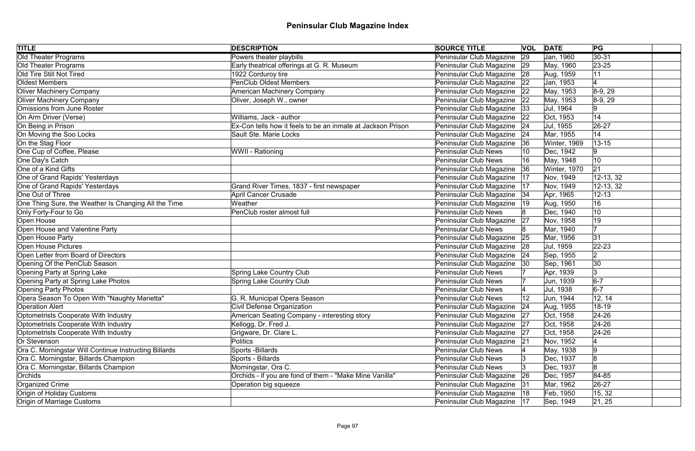| <b>TITLE</b>                                          | <b>DESCRIPTION</b>                                          | <b>SOURCE TITLE</b>           |    | <b>VOL DATE</b> | PG          |
|-------------------------------------------------------|-------------------------------------------------------------|-------------------------------|----|-----------------|-------------|
| <b>Old Theater Programs</b>                           | Powers theater playbills                                    | Peninsular Club Magazine      | 29 | Jan, 1960       | $ 30-31 $   |
| Old Theater Programs                                  | Early theatrical offerings at G. R. Museum                  | Peninsular Club Magazine 29   |    | May, 1960       | $ 23 - 25 $ |
| Old Tire Still Not Tired                              | 1922 Corduroy tire                                          | Peninsular Club Magazine 28   |    | Aug, 1959       | 11          |
| Oldest Members                                        | <b>PenClub Oldest Members</b>                               | Peninsular Club Magazine      | 22 | Jan, 1953       |             |
| <b>Oliver Machinery Company</b>                       | American Machinery Company                                  | Peninsular Club Magazine      | 22 | May, 1953       | $ 8-9, 29 $ |
| <b>Oliver Machinery Company</b>                       | Oliver, Joseph W., owner                                    | Peninsular Club Magazine 22   |    | May, 1953       | $8-9, 29$   |
| Omissions from June Roster                            |                                                             | Peninsular Club Magazine  33  |    | Jul, 1964       | Ι9          |
| On Arm Driver (Verse)                                 | Williams, Jack - author                                     | Peninsular Club Magazine      | 22 | Oct, 1953       | 14          |
| On Being in Prison                                    | Ex-Con tells how it feels to be an inmate at Jackson Prison | Peninsular Club Magazine      | 24 | Jul, 1955       | $ 26-27$    |
| On Moving the Soo Locks                               | Sault Ste. Marie Locks                                      | Peninsular Club Magazine      | 24 | Mar, 1955       | 14          |
| On the Stag Floor                                     |                                                             | Peninsular Club Magazine      | 36 | Winter, 1969    | $13 - 15$   |
| One Cup of Coffee, Please                             | WWII - Rationing                                            | <b>Peninsular Club News</b>   |    | Dec, 1942       | 9           |
| One Day's Catch                                       |                                                             | <b>Peninsular Club News</b>   |    | May, 1948       | 10          |
| One of a Kind Gifts                                   |                                                             | Peninsular Club Magazine      | 36 | Winter, 1970    | 21          |
| One of Grand Rapids' Yesterdays                       |                                                             | Peninsular Club Magazine      | 17 | Nov, 1949       | 12-13, 32   |
| One of Grand Rapids' Yesterdays                       | Grand River Times, 1837 - first newspaper                   | Peninsular Club Magazine      | 17 | Nov, 1949       | 12-13, 32   |
| One Out of Three                                      | <b>April Cancer Crusade</b>                                 | Peninsular Club Magazine      | 34 | Apr, 1965       | $12 - 13$   |
| One Thing Sure, the Weather Is Changing All the Time  | Weather                                                     | Peninsular Club Magazine      | 19 | Aug, 1950       | 16          |
| Only Forty-Four to Go                                 | PenClub roster almost full                                  | <b>Peninsular Club News</b>   |    | Dec, 1940       | 10          |
| Open House                                            |                                                             | Peninsular Club Magazine      | 27 | Nov, 1958       | 19          |
| Open House and Valentine Party                        |                                                             | <b>Peninsular Club News</b>   |    | Mar, 1940       | 17          |
| Open House Party                                      |                                                             | Peninsular Club Magazine      | 25 | Mar, 1956       | 31          |
| Open House Pictures                                   |                                                             | Peninsular Club Magazine      | 28 | Jul, 1959       | $22 - 23$   |
| Open Letter from Board of Directors                   |                                                             | Peninsular Club Magazine      | 24 | Sep, 1955       | 2           |
| Opening Of the PenClub Season                         |                                                             | Peninsular Club Magazine      | 30 | Sep, 1961       | 30          |
| Opening Party at Spring Lake                          | <b>Spring Lake Country Club</b>                             | <b>Peninsular Club News</b>   |    | Apr, 1939       | 3           |
| Opening Party at Spring Lake Photos                   | <b>Spring Lake Country Club</b>                             | <b>Peninsular Club News</b>   |    | Jun, 1939       | $6-7$       |
| <b>Opening Party Photos</b>                           |                                                             | <b>Peninsular Club News</b>   |    | Jul, 1938       | $6-7$       |
| Opera Season To Open With "Naughty Marietta"          | G. R. Municipal Opera Season                                | Peninsular Club News          | 12 | Jun, 1944       | 12, 14      |
| <b>Operation Alert</b>                                | <b>Civil Defense Organization</b>                           | Peninsular Club Magazine      | 24 | Aug, 1955       | 18-19       |
| Optometrists Cooperate With Industry                  | American Seating Company - interesting story                | Peninsular Club Magazine      | 27 | Oct, 1958       | $24 - 26$   |
| Optometrists Cooperate With Industry                  | Kellogg, Dr. Fred J.                                        | Peninsular Club Magazine      | 27 | Oct, 1958       | $24 - 26$   |
| Optometrists Cooperate With Industry                  | Grigware, Dr. Clare L.                                      | Peninsular Club Magazine      | 27 | Oct, 1958       | $ 24-26 $   |
| Or Stevenson                                          | Politics                                                    | Peninsular Club Magazine      | 21 | Nov, 1952       |             |
| Ora C. Morningstar Will Continue Instructing Billards | Sports - Billards                                           | <b>Peninsular Club News</b>   |    | May, 1938       |             |
| Ora C. Morningstar, Billards Champion                 | Sports - Billards                                           | <b>Peninsular Club News</b>   |    | Dec, 1937       |             |
| Ora C. Morningstar, Billards Champion                 | Morningstar, Ora C.                                         | <b>Peninsular Club News</b>   |    | Dec, 1937       |             |
| Orchids                                               | Orchids - if you are fond of them - "Make Mine Vanilla"     | Peninsular Club Magazine      | 26 | Dec, 1957       | 84-85       |
| Organized Crime                                       | Operation big squeeze                                       | Peninsular Club Magazine      | 31 | Mar, 1962       | 26-27       |
| Origin of Holiday Customs                             |                                                             | Peninsular Club Magazine   18 |    | Feb, 1950       | 15, 32      |
| Origin of Marriage Customs                            |                                                             | Peninsular Club Magazine   17 |    | Sep, 1949       | 21, 25      |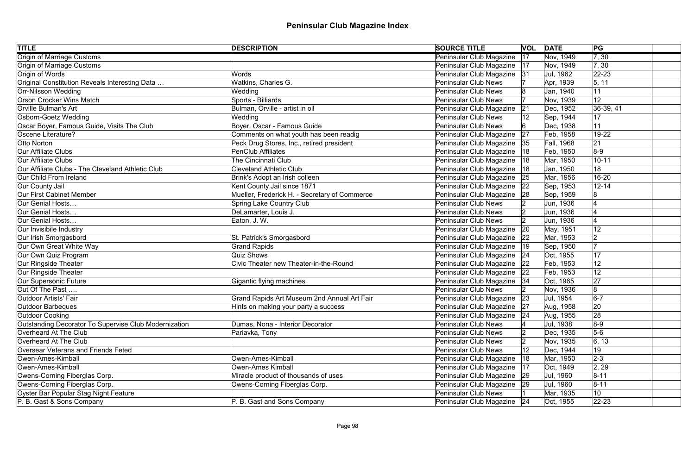| <b>TITLE</b>                                          | <b>DESCRIPTION</b>                            | <b>SOURCE TITLE</b>           |              | <b>VOL DATE</b> | PG          |
|-------------------------------------------------------|-----------------------------------------------|-------------------------------|--------------|-----------------|-------------|
| <b>Origin of Marriage Customs</b>                     |                                               | Peninsular Club Magazine      | 17           | Nov, 1949       | 7, 30       |
| Origin of Marriage Customs                            |                                               | Peninsular Club Magazine      | 17           | Nov, 1949       | 7, 30       |
| Origin of Words                                       | Words                                         | Peninsular Club Magazine 31   |              | Jul, 1962       | $ 22 - 23$  |
| Original Constitution Reveals Interesting Data        | Watkins, Charles G.                           | <b>Peninsular Club News</b>   |              | Apr, 1939       | 5, 11       |
| <b>Orr-Nilsson Wedding</b>                            | Wedding                                       | <b>Peninsular Club News</b>   |              | Jan, 1940       | 11          |
| <b>Orson Crocker Wins Match</b>                       | Sports - Billiards                            | <b>Peninsular Club News</b>   |              | Nov, 1939       | 12          |
| <b>Orville Bulman's Art</b>                           | Bulman, Orville - artist in oil               | Peninsular Club Magazine      | 21           | Dec, 1952       | 36-39, 41   |
| <b>Osborn-Goetz Wedding</b>                           | Wedding                                       | <b>Peninsular Club News</b>   |              | Sep, 1944       | 17          |
| Oscar Boyer, Famous Guide, Visits The Club            | Boyer, Oscar - Famous Guide                   | <b>Peninsular Club News</b>   |              | Dec, 1938       | 11          |
| Oscene Literature?                                    | Comments on what youth has been readig        | Peninsular Club Magazine      | 27           | Feb, 1958       | 19-22       |
| Otto Norton                                           | Peck Drug Stores, Inc., retired president     | Peninsular Club Magazine      | 35           | Fall, 1968      | 21          |
| Our Affiliate Clubs                                   | <b>PenClub Affiliates</b>                     | Peninsular Club Magazine      | ା18          | Feb, 1950       | $8-9$       |
| Our Affiliate Clubs                                   | The Cincinnati Club                           | Peninsular Club Magazine      | 18           | Mar, 1950       | $10 - 11$   |
| Our Affiliate Clubs - The Cleveland Athletic Club     | <b>Cleveland Athletic Club</b>                | Peninsular Club Magazine      | 18           | Jan, 1950       | 18          |
| Our Child From Ireland                                | Brink's Adopt an Irish colleen                | Peninsular Club Magazine      | 25           | Mar, 1956       | 16-20       |
| Our County Jail                                       | Kent County Jail since 1871                   | Peninsular Club Magazine      | 22           | Sep, 1953       | $12 - 14$   |
| Our First Cabinet Member                              | Mueller, Frederick H. - Secretary of Commerce | Peninsular Club Magazine      | 28           | Sep, 1959       |             |
| Our Genial Hosts                                      | <b>Spring Lake Country Club</b>               | <b>Peninsular Club News</b>   |              | Jun, 1936       |             |
| Our Genial Hosts                                      | DeLamarter, Louis J.                          | <b>Peninsular Club News</b>   |              | Jun, 1936       |             |
| Our Genial Hosts                                      | Eaton, J. W.                                  | <b>Peninsular Club News</b>   |              | Jun, 1936       |             |
| Our Invisibile Industry                               |                                               | Peninsular Club Magazine      | 20           | May, 1951       | 12          |
| Our Irish Smorgasbord                                 | St. Patrick's Smorgasbord                     | Peninsular Club Magazine   22 |              | Mar, 1953       |             |
| Our Own Great White Way                               | <b>Grand Rapids</b>                           | Peninsular Club Magazine      | $ 19\rangle$ | Sep, 1950       |             |
| Our Own Quiz Program                                  | <b>Quiz Shows</b>                             | Peninsular Club Magazine 24   |              | Oct, 1955       | 17          |
| Our Ringside Theater                                  | Civic Theater new Theater-in-the-Round        | Peninsular Club Magazine 22   |              | Feb, 1953       | 12          |
| Our Ringside Theater                                  |                                               | Peninsular Club Magazine 22   |              | Feb, 1953       | 12          |
| Our Supersonic Future                                 | Gigantic flying machines                      | Peninsular Club Magazine   34 |              | Oct, 1965       | 27          |
| Out Of The Past                                       |                                               | <b>Peninsular Club News</b>   | 12           | Nov, 1936       | 8           |
| Outdoor Artists' Fair                                 | Grand Rapids Art Museum 2nd Annual Art Fair   | Peninsular Club Magazine 23   |              | Jul, 1954       | $6-7$       |
| Outdoor Barbeques                                     | Hints on making your party a success          | Peninsular Club Magazine      | 27           | Aug, 1958       | 20          |
| Outdoor Cooking                                       |                                               | Peninsular Club Magazine 24   |              | Aug, 1955       | 28          |
| Outstanding Decorator To Supervise Club Modernization | Dumas, Nona - Interior Decorator              | <b>Peninsular Club News</b>   |              | Jul, 1938       | $8-9$       |
| Overheard At The Club                                 | Pariavka, Tony                                | <b>Peninsular Club News</b>   |              | Dec, 1935       | $5-6$       |
| Overheard At The Club                                 |                                               | <b>Peninsular Club News</b>   |              | Nov, 1935       | 6, 13       |
| <b>Oversear Veterans and Friends Feted</b>            |                                               | <b>Peninsular Club News</b>   | 12           | Dec, 1944       | 19          |
| Owen-Ames-Kimball                                     | Owen-Ames-Kimball                             | Peninsular Club Magazine      | 18           | Mar, 1950       | $2 - 3$     |
| Owen-Ames-Kimball                                     | <b>Owen-Ames Kimball</b>                      | Peninsular Club Magazine      | 17           | Oct, 1949       | 2, 29       |
| Owens-Corning Fiberglas Corp.                         | Miracle product of thousands of uses          | Peninsular Club Magazine 29   |              | Jul, 1960       | $8 - 11$    |
| Owens-Corning Fiberglas Corp.                         | Owens-Corning Fiberglas Corp.                 | Peninsular Club Magazine 29   |              | Jul, 1960       | $ 8 - 11 $  |
| Oyster Bar Popular Stag Night Feature                 |                                               | <b>Peninsular Club News</b>   |              | Mar, 1935       | 10          |
| P. B. Gast & Sons Company                             | P. B. Gast and Sons Company                   | Peninsular Club Magazine   24 |              | Oct, 1955       | $ 22 - 23 $ |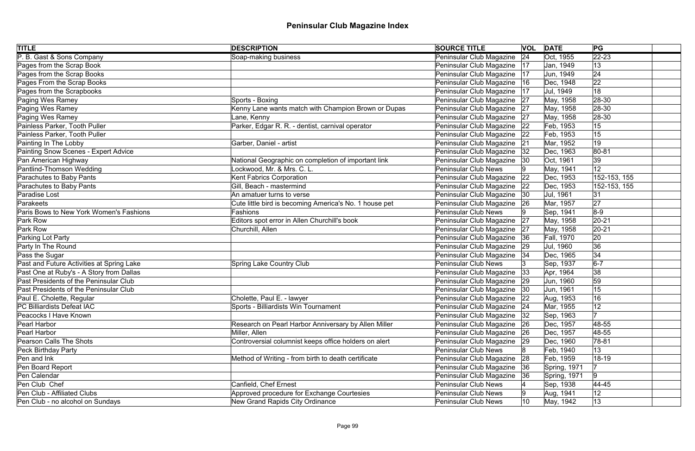| <b>TITLE</b>                              | <b>DESCRIPTION</b>                                     | <b>SOURCE TITLE</b>           |    | <b>VOL DATE</b>   | PG             |
|-------------------------------------------|--------------------------------------------------------|-------------------------------|----|-------------------|----------------|
| P. B. Gast & Sons Company                 | Soap-making business                                   | Peninsular Club Magazine      | 24 | Oct, 1955         | $\sqrt{22-23}$ |
| Pages from the Scrap Book                 |                                                        | Peninsular Club Magazine      | 17 | Jan, 1949         | 13             |
| Pages from the Scrap Books                |                                                        | Peninsular Club Magazine      | 17 | Jun, 1949         | 24             |
| Pages From the Scrap Books                |                                                        | Peninsular Club Magazine      | 16 | Dec, 1948         | 22             |
| Pages from the Scrapbooks                 |                                                        | Peninsular Club Magazine      | 17 | Jul, 1949         | 18             |
| Paging Wes Ramey                          | Sports - Boxing                                        | Peninsular Club Magazine 27   |    | May, 1958         | 28-30          |
| Paging Wes Ramey                          | Kenny Lane wants match with Champion Brown or Dupas    | Peninsular Club Magazine 27   |    | May, 1958         | $ 28-30$       |
| Paging Wes Ramey                          | Lane, Kenny                                            | Peninsular Club Magazine 27   |    | May, 1958         | $ 28-30$       |
| Painless Parker, Tooth Puller             | Parker, Edgar R. R. - dentist, carnival operator       | Peninsular Club Magazine      | 22 | Feb, 1953         | 15             |
| Painless Parker, Tooth Puller             |                                                        | Peninsular Club Magazine 22   |    | Feb, 1953         | 15             |
| Painting In The Lobby                     | Garber, Daniel - artist                                | Peninsular Club Magazine      | 21 | Mar, 1952         | 19             |
| Painting Snow Scenes - Expert Advice      |                                                        | Peninsular Club Magazine   32 |    | Dec, 1963         | 80-81          |
| Pan American Highway                      | National Geographic on completion of important link    | Peninsular Club Magazine      | 30 | Oct. 1961         | 39             |
| Pantlind-Thomson Wedding                  | Lockwood, Mr. & Mrs. C. L.                             | <b>Peninsular Club News</b>   |    | May, 1941         | 12             |
| Parachutes to Baby Pants                  | Kent Fabrics Corporation                               | Peninsular Club Magazine      | 22 | Dec, 1953         | 152-153, 155   |
| Parachutes to Baby Pants                  | Gill, Beach - mastermind                               | Peninsular Club Magazine      | 22 | Dec, 1953         | 152-153, 155   |
| Paradise Lost                             | An amatuer turns to verse                              | Peninsular Club Magazine      | 30 | Jul, 1961         | 31             |
| Parakeets                                 | Cute little bird is becoming America's No. 1 house pet | Peninsular Club Magazine      | 26 | Mar, 1957         | 27             |
| Paris Bows to New York Women's Fashions   | Fashions                                               | <b>Peninsular Club News</b>   |    | Sep, 1941         | $8-9$          |
| Park Row                                  | Editors spot error in Allen Churchill's book           | Peninsular Club Magazine      | 27 | May, 1958         | $ 20-21$       |
| Park Row                                  | Churchill, Allen                                       | Peninsular Club Magazine      | 27 | May, 1958         | $ 20-21$       |
| Parking Lot Party                         |                                                        | Peninsular Club Magazine      | 36 | <b>Fall, 1970</b> | 20             |
| Party In The Round                        |                                                        | Peninsular Club Magazine      | 29 | Jul, 1960         | 36             |
| Pass the Sugar                            |                                                        | Peninsular Club Magazine   34 |    | Dec, 1965         | 34             |
| Past and Future Activities at Spring Lake | <b>Spring Lake Country Club</b>                        | <b>Peninsular Club News</b>   |    | Sep, 1937         | $6-7$          |
| Past One at Ruby's - A Story from Dallas  |                                                        | Peninsular Club Magazine      | 33 | Apr, 1964         | 38             |
| Past Presidents of the Peninsular Club    |                                                        | Peninsular Club Magazine 29   |    | Jun, 1960         | 59             |
| Past Presidents of the Peninsular Club    |                                                        | Peninsular Club Magazine  30  |    | Jun, 1961         | 15             |
| Paul E. Cholette, Regular                 | Cholette, Paul E. - lawyer                             | Peninsular Club Magazine 22   |    | Aug, 1953         | 16             |
| PC Billiardists Defeat IAC                | Sports - Billiardists Win Tournament                   | Peninsular Club Magazine      | 24 | Mar, 1955         | 12             |
| Peacocks I Have Known                     |                                                        | Peninsular Club Magazine      | 32 | Sep, 1963         |                |
| Pearl Harbor                              | Research on Pearl Harbor Anniversary by Allen Miller   | Peninsular Club Magazine      | 26 | Dec, 1957         | 48-55          |
| Pearl Harbor                              | Miller, Allen                                          | Peninsular Club Magazine      | 26 | Dec, 1957         | 48-55          |
| Pearson Calls The Shots                   | Controversial columnist keeps office holders on alert  | Peninsular Club Magazine      | 29 | Dec, 1960         | $ 78-81$       |
| Peck Birthday Party                       |                                                        | <b>Peninsular Club News</b>   |    | Feb, 1940         | 13             |
| Pen and Ink                               | Method of Writing - from birth to death certificate    | Peninsular Club Magazine      | 28 | Feb, 1959         | 18-19          |
| Pen Board Report                          |                                                        | Peninsular Club Magazine      | 36 | Spring, 1971      |                |
| Pen Calendar                              |                                                        | Peninsular Club Magazine      | 36 | Spring, 1971      | 9              |
| Pen Club Chef                             | Canfield, Chef Ernest                                  | <b>Peninsular Club News</b>   |    | Sep, 1938         | 44-45          |
| Pen Club - Affiliated Clubs               | Approved procedure for Exchange Courtesies             | <b>Peninsular Club News</b>   |    | Aug, 1941         | 12             |
| Pen Club - no alcohol on Sundays          | New Grand Rapids City Ordinance                        | <b>Peninsular Club News</b>   | 10 | May, 1942         | 13             |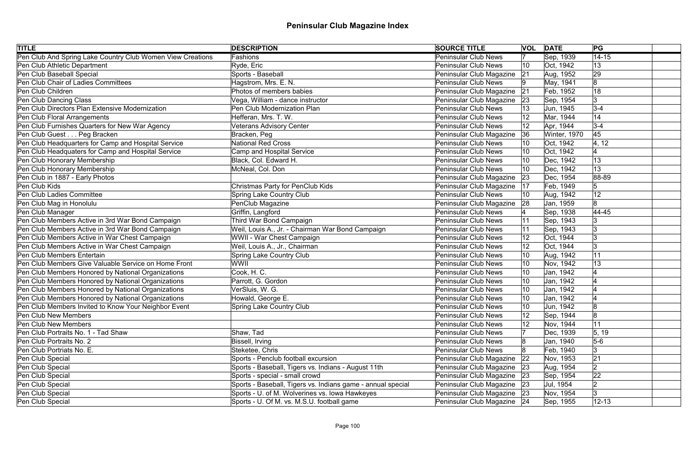| <b>TITLE</b>                                               | <b>DESCRIPTION</b>                                          | <b>SOURCE TITLE</b>         | <b>VOL DATE</b> |              | PG             |
|------------------------------------------------------------|-------------------------------------------------------------|-----------------------------|-----------------|--------------|----------------|
| Pen Club And Spring Lake Country Club Women View Creations | <b>Fashions</b>                                             | <b>Peninsular Club News</b> |                 | Sep, 1939    | $14 - 15$      |
| Pen Club Athletic Department                               | Ryde, Eric                                                  | Peninsular Club News        | 10              | Oct, 1942    | 13             |
| Pen Club Baseball Special                                  | Sports - Baseball                                           | Peninsular Club Magazine    | 21              | Aug, 1952    | 29             |
| Pen Club Chair of Ladies Committees                        | Hagstrom, Mrs. E. N.                                        | <b>Peninsular Club News</b> |                 | May, 1941    | 8              |
| Pen Club Children                                          | Photos of members babies                                    | Peninsular Club Magazine    | 21              | Feb, 1952    | 18             |
| Pen Club Dancing Class                                     | Vega, William - dance instructor                            | Peninsular Club Magazine    | 23              | Sep, 1954    | 3              |
| Pen Club Directors Plan Extensive Modernization            | Pen Club Modernization Plan                                 | <b>Peninsular Club News</b> |                 | Jun, 1945    | $3 - 4$        |
| Pen Club Floral Arrangements                               | Hefferan, Mrs. T. W.                                        | Peninsular Club News        | $ 12\rangle$    | Mar, 1944    | 14             |
| Pen Club Furnishes Quarters for New War Agency             | <b>Veterans Advisory Center</b>                             | <b>Peninsular Club News</b> | 12              | Apr, 1944    | $3 - 4$        |
| Pen Club Guest Peg Bracken                                 | Bracken, Peg                                                | Peninsular Club Magazine    | 36              | Winter, 1970 | 45             |
| Pen Club Headquarters for Camp and Hospital Service        | <b>National Red Cross</b>                                   | Peninsular Club News        |                 | Oct, 1942    | 4, 12          |
| Pen Club Headquaters for Camp and Hospital Service         | Camp and Hospital Service                                   | Peninsular Club News        |                 | Oct, 1942    |                |
| Pen Club Honorary Membership                               | Black, Col. Edward H.                                       | Peninsular Club News        |                 | Dec, 1942    | 13             |
| Pen Club Honorary Membership                               | McNeal, Col. Don                                            | Peninsular Club News        |                 | Dec, 1942    | 13             |
| Pen Club in 1887 - Early Photos                            |                                                             | Peninsular Club Magazine    | 23              | Dec, 1954    | 88-89          |
| Pen Club Kids                                              | Christmas Party for PenClub Kids                            | Peninsular Club Magazine    | 17              | Feb, 1949    | 5              |
| Pen Club Ladies Committee                                  | Spring Lake Country Club                                    | <b>Peninsular Club News</b> |                 | Aug, 1942    | 12             |
| Pen Club Mag in Honolulu                                   | PenClub Magazine                                            | Peninsular Club Magazine    | 28              | Jan, 1959    |                |
| Pen Club Manager                                           | Griffin, Langford                                           | Peninsular Club News        |                 | Sep, 1938    | 44-45          |
| Pen Club Members Active in 3rd War Bond Campaign           | Third War Bond Campaign                                     | <b>Peninsular Club News</b> | 11              | Sep, 1943    |                |
| Pen Club Members Active in 3rd War Bond Campaign           | Weil, Louis A., Jr. - Chairman War Bond Campaign            | <b>Peninsular Club News</b> | 11              | Sep, 1943    |                |
| Pen Club Members Active in War Chest Campaign              | WWII - War Chest Campaign                                   | <b>Peninsular Club News</b> | 12              | Oct, 1944    | l3             |
| Pen Club Members Active in War Chest Campaign              | Weil, Louis A., Jr., Chairman                               | Peninsular Club News        | 12              | Oct, 1944    | 13             |
| Pen Club Members Entertain                                 | Spring Lake Country Club                                    | <b>Peninsular Club News</b> | 10              | Aug, 1942    | 11             |
| Pen Club Members Give Valuable Service on Home Front       | WWII                                                        | Peninsular Club News        | 10              | Nov, 1942    | 13             |
| Pen Club Members Honored by National Organizations         | Cook, H. C.                                                 | Peninsular Club News        |                 | Jan, 1942    |                |
| Pen Club Members Honored by National Organizations         | Parrott, G. Gordon                                          | <b>Peninsular Club News</b> |                 | Jan, 1942    |                |
| Pen Club Members Honored by National Organizations         | VerSluis, W. G.                                             | Peninsular Club News        | 10              | Jan, 1942    |                |
| Pen Club Members Honored by National Organizations         | Howald, George E.                                           | <b>Peninsular Club News</b> | 10              | Jan, 1942    |                |
| Pen Club Members Invited to Know Your Neighbor Event       | Spring Lake Country Club                                    | <b>Peninsular Club News</b> |                 | Jun, 1942    | $\overline{8}$ |
| <b>Pen Club New Members</b>                                |                                                             | Peninsular Club News        |                 | Sep, 1944    | 18             |
| <b>Pen Club New Members</b>                                |                                                             | <b>Peninsular Club News</b> |                 | Nov, 1944    | 11             |
| Pen Club Portraits No. 1 - Tad Shaw                        | Shaw, Tad                                                   | Peninsular Club News        |                 | Dec, 1939    | 5, 19          |
| Pen Club Portraits No. 2                                   | Bissell, Irving                                             | <b>Peninsular Club News</b> |                 | Jan, 1940    | $5-6$          |
| Pen Club Portriats No. E.                                  | Steketee, Chris                                             | <b>Peninsular Club News</b> |                 | Feb, 1940    |                |
| Pen Club Special                                           | Sports - Penclub football excursion                         | Peninsular Club Magazine    | 22              | Nov, 1953    | 21             |
| Pen Club Special                                           | Sports - Baseball, Tigers vs. Indians - August 11th         | Peninsular Club Magazine    | 23              | Aug, 1954    | 2              |
| Pen Club Special                                           | Sports - special - small crowd                              | Peninsular Club Magazine 23 |                 | Sep, 1954    | 22             |
| Pen Club Special                                           | Sports - Baseball, Tigers vs. Indians game - annual special | Peninsular Club Magazine 23 |                 | Jul, 1954    |                |
| Pen Club Special                                           | Sports - U. of M. Wolverines vs. Iowa Hawkeyes              | Peninsular Club Magazine 23 |                 | Nov, 1954    | 3              |
| Pen Club Special                                           | Sports - U. Of M. vs. M.S.U. football game                  | Peninsular Club Magazine 24 |                 | Sep, 1955    | $12 - 13$      |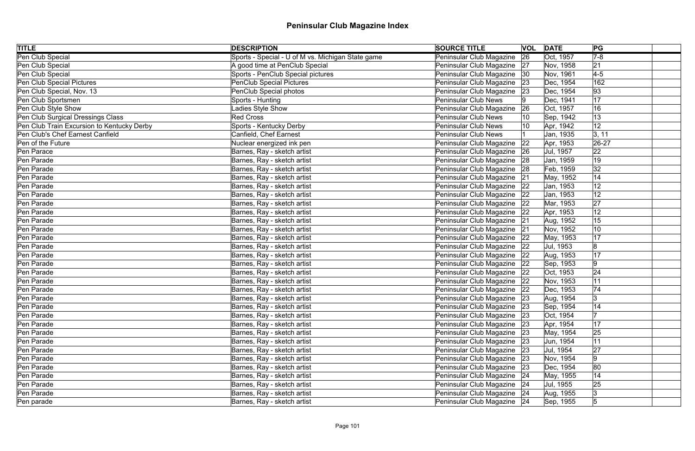| <b>TITLE</b>                               | <b>DESCRIPTION</b>                                | <b>SOURCE TITLE</b>           | <b>VOL DATE</b> |           | PG             |
|--------------------------------------------|---------------------------------------------------|-------------------------------|-----------------|-----------|----------------|
| Pen Club Special                           | Sports - Special - U of M vs. Michigan State game | Peninsular Club Magazine      | 26              | Oct, 1957 | $7 - 8$        |
| Pen Club Special                           | A good time at PenClub Special                    | Peninsular Club Magazine 27   |                 | Nov, 1958 | 21             |
| Pen Club Special                           | Sports - PenClub Special pictures                 | Peninsular Club Magazine 30   |                 | Nov, 1961 | $4-5$          |
| Pen Club Special Pictures                  | PenClub Special Pictures                          | Peninsular Club Magazine 23   |                 | Dec, 1954 | 162            |
| Pen Club Special, Nov. 13                  | PenClub Special photos                            | Peninsular Club Magazine   23 |                 | Dec, 1954 | 93             |
| Pen Club Sportsmen                         | Sports - Hunting                                  | Peninsular Club News          |                 | Dec, 1941 | 17             |
| Pen Club Style Show                        | Ladies Style Show                                 | Peninsular Club Magazine      | 26              | Oct, 1957 | 16             |
| Pen Club Surgical Dressings Class          | Red Cross                                         | Peninsular Club News          |                 | Sep, 1942 | $ 13\rangle$   |
| Pen Club Train Excursion to Kentucky Derby | Sports - Kentucky Derby                           | <b>Peninsular Club News</b>   |                 | Apr, 1942 | 12             |
| Pen Club's Chef Earnest Canfield           | Canfield, Chef Earnest                            | <b>Peninsular Club News</b>   |                 | Jan, 1935 | 3, 11          |
| Pen of the Future                          | Nuclear energized ink pen                         | Peninsular Club Magazine      | 22              | Apr, 1953 | $ 26-27$       |
| Pen Parace                                 | Barnes, Ray - sketch artist                       | Peninsular Club Magazine 26   |                 | Jul, 1957 | 22             |
| Pen Parade                                 | Barnes, Ray - sketch artist                       | Peninsular Club Magazine   28 |                 | Jan, 1959 | 19             |
| Pen Parade                                 | Barnes, Ray - sketch artist                       | Peninsular Club Magazine 28   |                 | Feb, 1959 | 32             |
| Pen Parade                                 | Barnes, Ray - sketch artist                       | Peninsular Club Magazine 21   |                 | May, 1952 | 14             |
| Pen Parade                                 | Barnes, Ray - sketch artist                       | Peninsular Club Magazine 22   |                 | Jan, 1953 | 12             |
| Pen Parade                                 | Barnes, Ray - sketch artist                       | Peninsular Club Magazine      | 22              | Jan, 1953 | 12             |
| Pen Parade                                 | Barnes, Ray - sketch artist                       | Peninsular Club Magazine 22   |                 | Mar, 1953 | 27             |
| Pen Parade                                 | Barnes, Ray - sketch artist                       | Peninsular Club Magazine   22 |                 | Apr, 1953 | 12             |
| Pen Parade                                 | Barnes, Ray - sketch artist                       | Peninsular Club Magazine 21   |                 | Aug, 1952 | 15             |
| Pen Parade                                 | Barnes, Ray - sketch artist                       | Peninsular Club Magazine 21   |                 | Nov, 1952 | 10             |
| Pen Parade                                 | Barnes, Ray - sketch artist                       | Peninsular Club Magazine 22   |                 | May, 1953 | 17             |
| Pen Parade                                 | Barnes, Ray - sketch artist                       | Peninsular Club Magazine   22 |                 | Jul, 1953 | 8              |
| Pen Parade                                 | Barnes, Ray - sketch artist                       | Peninsular Club Magazine 22   |                 | Aug, 1953 | 17             |
| Pen Parade                                 | Barnes, Ray - sketch artist                       | Peninsular Club Magazine 22   |                 | Sep, 1953 | $\overline{9}$ |
| Pen Parade                                 | Barnes, Ray - sketch artist                       | Peninsular Club Magazine 22   |                 | Oct, 1953 | 24             |
| Pen Parade                                 | Barnes, Ray - sketch artist                       | Peninsular Club Magazine 22   |                 | Nov, 1953 | 11             |
| Pen Parade                                 | Barnes, Ray - sketch artist                       | Peninsular Club Magazine 22   |                 | Dec, 1953 | 74             |
| Pen Parade                                 | Barnes, Ray - sketch artist                       | Peninsular Club Magazine 23   |                 | Aug, 1954 | 3              |
| Pen Parade                                 | Barnes, Ray - sketch artist                       | Peninsular Club Magazine   23 |                 | Sep, 1954 | 14             |
| Pen Parade                                 | Barnes, Ray - sketch artist                       | Peninsular Club Magazine 23   |                 | Oct, 1954 |                |
| Pen Parade                                 | Barnes, Ray - sketch artist                       | Peninsular Club Magazine 23   |                 | Apr, 1954 | 17             |
| Pen Parade                                 | Barnes, Ray - sketch artist                       | Peninsular Club Magazine 23   |                 | May, 1954 | 25             |
| Pen Parade                                 | Barnes, Ray - sketch artist                       | Peninsular Club Magazine 23   |                 | Jun, 1954 | 11             |
| Pen Parade                                 | Barnes, Ray - sketch artist                       | Peninsular Club Magazine 23   |                 | Jul, 1954 | 27             |
| Pen Parade                                 | Barnes, Ray - sketch artist                       | Peninsular Club Magazine 23   |                 | Nov, 1954 | $\overline{9}$ |
| Pen Parade                                 | Barnes, Ray - sketch artist                       | Peninsular Club Magazine   23 |                 | Dec, 1954 | 80             |
| Pen Parade                                 | Barnes, Ray - sketch artist                       | Peninsular Club Magazine 24   |                 | May, 1955 | 14             |
| Pen Parade                                 | Barnes, Ray - sketch artist                       | Peninsular Club Magazine 24   |                 | Jul, 1955 | 25             |
| Pen Parade                                 | Barnes, Ray - sketch artist                       | Peninsular Club Magazine 24   |                 | Aug, 1955 |                |
| Pen parade                                 | Barnes, Ray - sketch artist                       | Peninsular Club Magazine 24   |                 | Sep, 1955 | $\sqrt{5}$     |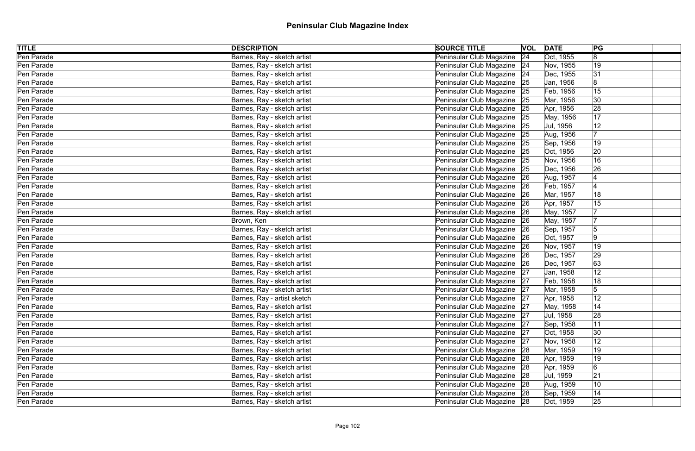| <b>TITLE</b> | <b>DESCRIPTION</b>          | <b>SOURCE TITLE</b>           | <b>VOL DATE</b> | PG                          |  |
|--------------|-----------------------------|-------------------------------|-----------------|-----------------------------|--|
| Pen Parade   | Barnes, Ray - sketch artist | Peninsular Club Magazine 24   |                 | Oct, 1955<br>8              |  |
| Pen Parade   | Barnes, Ray - sketch artist | Peninsular Club Magazine 24   |                 | 19<br>Nov, 1955             |  |
| Pen Parade   | Barnes, Ray - sketch artist | Peninsular Club Magazine 24   |                 | 31<br>Dec, 1955             |  |
| Pen Parade   | Barnes, Ray - sketch artist | Peninsular Club Magazine 25   |                 | Jan, 1956                   |  |
| Pen Parade   | Barnes, Ray - sketch artist | Peninsular Club Magazine   25 |                 | 15<br>Feb, 1956             |  |
| Pen Parade   | Barnes, Ray - sketch artist | Peninsular Club Magazine 25   |                 | Mar, 1956<br>30             |  |
| Pen Parade   | Barnes, Ray - sketch artist | Peninsular Club Magazine 25   |                 | 28<br>Apr, 1956             |  |
| Pen Parade   | Barnes, Ray - sketch artist | Peninsular Club Magazine 25   |                 | 17<br>May, 1956             |  |
| Pen Parade   | Barnes, Ray - sketch artist | Peninsular Club Magazine   25 |                 | 12<br>Jul, 1956             |  |
| Pen Parade   | Barnes, Ray - sketch artist | Peninsular Club Magazine 25   |                 | Aug, 1956                   |  |
| Pen Parade   | Barnes, Ray - sketch artist | Peninsular Club Magazine 25   |                 | 19<br>Sep, 1956             |  |
| Pen Parade   | Barnes, Ray - sketch artist | Peninsular Club Magazine 25   |                 | Oct, 1956<br>20             |  |
| Pen Parade   | Barnes, Ray - sketch artist | Peninsular Club Magazine 25   |                 | 16<br>Nov, 1956             |  |
| Pen Parade   | Barnes, Ray - sketch artist | Peninsular Club Magazine 25   |                 | 26<br>Dec, 1956             |  |
| Pen Parade   | Barnes, Ray - sketch artist | Peninsular Club Magazine 26   |                 | Aug, 1957                   |  |
| Pen Parade   | Barnes, Ray - sketch artist | Peninsular Club Magazine   26 |                 | Feb, 1957                   |  |
| Pen Parade   | Barnes, Ray - sketch artist | Peninsular Club Magazine 26   |                 | 18<br>Mar, 1957             |  |
| Pen Parade   | Barnes, Ray - sketch artist | Peninsular Club Magazine 26   |                 | 15<br>Apr, 1957             |  |
| Pen Parade   | Barnes, Ray - sketch artist | Peninsular Club Magazine 26   |                 | May, 1957                   |  |
| Pen Parade   | Brown, Ken                  | Peninsular Club Magazine 26   |                 | May, 1957                   |  |
| Pen Parade   | Barnes, Ray - sketch artist | Peninsular Club Magazine 26   |                 | Sep, 1957<br>5              |  |
| Pen Parade   | Barnes, Ray - sketch artist | Peninsular Club Magazine 26   |                 | Oct, 1957<br>9              |  |
| Pen Parade   | Barnes, Ray - sketch artist | Peninsular Club Magazine 26   |                 | Nov, 1957<br>19             |  |
| Pen Parade   | Barnes, Ray - sketch artist | Peninsular Club Magazine 26   |                 | 29<br>Dec, 1957             |  |
| Pen Parade   | Barnes, Ray - sketch artist | Peninsular Club Magazine 26   |                 | Dec, 1957<br>63             |  |
| Pen Parade   | Barnes, Ray - sketch artist | Peninsular Club Magazine 27   |                 | 12<br>Jan, 1958             |  |
| Pen Parade   | Barnes, Ray - sketch artist | Peninsular Club Magazine 27   |                 | 18<br>Feb, 1958             |  |
| Pen Parade   | Barnes, Ray - sketch artist | Peninsular Club Magazine 27   |                 | 5<br>Mar, 1958              |  |
| Pen Parade   | Barnes, Ray - artist sketch | Peninsular Club Magazine 27   |                 | Apr, 1958<br>12             |  |
| Pen Parade   | Barnes, Ray - sketch artist | Peninsular Club Magazine   27 |                 | 14<br>May, 1958             |  |
| Pen Parade   | Barnes, Ray - sketch artist | Peninsular Club Magazine 27   |                 | 28<br>Jul, 1958             |  |
| Pen Parade   | Barnes, Ray - sketch artist | Peninsular Club Magazine 27   |                 | 11<br>Sep, 1958             |  |
| Pen Parade   | Barnes, Ray - sketch artist | Peninsular Club Magazine 27   |                 | $ 30\rangle$<br>Oct, 1958   |  |
| Pen Parade   | Barnes, Ray - sketch artist | Peninsular Club Magazine 27   |                 | 12<br>Nov, 1958             |  |
| Pen Parade   | Barnes, Ray - sketch artist | Peninsular Club Magazine 28   |                 | 19<br>Mar, 1959             |  |
| Pen Parade   | Barnes, Ray - sketch artist | Peninsular Club Magazine 28   |                 | 19<br>Apr, 1959             |  |
| Pen Parade   | Barnes, Ray - sketch artist | Peninsular Club Magazine 28   |                 | $\overline{6}$<br>Apr, 1959 |  |
| Pen Parade   | Barnes, Ray - sketch artist | Peninsular Club Magazine 28   |                 | 21<br>Jul, 1959             |  |
| Pen Parade   | Barnes, Ray - sketch artist | Peninsular Club Magazine 28   |                 | 10<br>Aug, 1959             |  |
| Pen Parade   | Barnes, Ray - sketch artist | Peninsular Club Magazine 28   |                 | 14<br>Sep, 1959             |  |
| Pen Parade   | Barnes, Ray - sketch artist | Peninsular Club Magazine 28   |                 | 25<br>Oct, 1959             |  |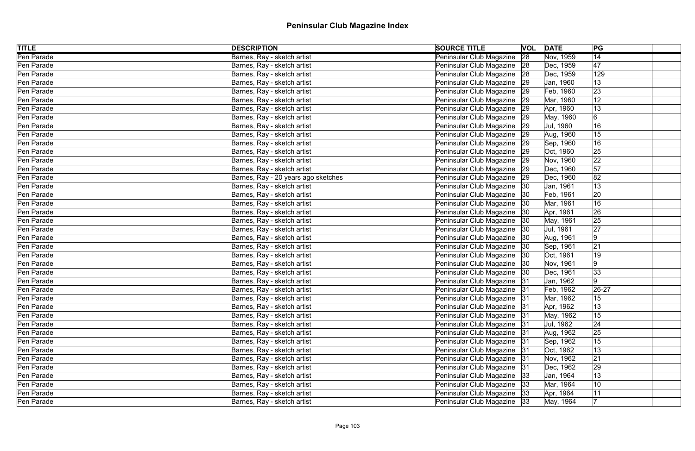| <b>TITLE</b> | <b>DESCRIPTION</b>                  | <b>SOURCE TITLE</b>           | <b>VOL DATE</b> | PG                          |  |
|--------------|-------------------------------------|-------------------------------|-----------------|-----------------------------|--|
| Pen Parade   | Barnes, Ray - sketch artist         | Peninsular Club Magazine      | 28              | 14<br>Nov, 1959             |  |
| Pen Parade   | Barnes, Ray - sketch artist         | Peninsular Club Magazine 28   |                 | 47<br>Dec, 1959             |  |
| Pen Parade   | Barnes, Ray - sketch artist         | Peninsular Club Magazine 28   |                 | 129<br>Dec, 1959            |  |
| Pen Parade   | Barnes, Ray - sketch artist         | Peninsular Club Magazine 29   |                 | 13<br>Jan, 1960             |  |
| Pen Parade   | Barnes, Ray - sketch artist         | Peninsular Club Magazine   29 |                 | 23<br>Feb, 1960             |  |
| Pen Parade   | Barnes, Ray - sketch artist         | Peninsular Club Magazine 29   |                 | Mar, 1960<br>12             |  |
| Pen Parade   | Barnes, Ray - sketch artist         | Peninsular Club Magazine 29   |                 | $ 13\rangle$<br>Apr, 1960   |  |
| Pen Parade   | Barnes, Ray - sketch artist         | Peninsular Club Magazine 29   |                 | 6<br>May, 1960              |  |
| Pen Parade   | Barnes, Ray - sketch artist         | Peninsular Club Magazine   29 |                 | 16<br>Jul, 1960             |  |
| Pen Parade   | Barnes, Ray - sketch artist         | Peninsular Club Magazine 29   |                 | Aug, 1960<br>15             |  |
| Pen Parade   | Barnes, Ray - sketch artist         | Peninsular Club Magazine 29   |                 | 16<br>Sep, 1960             |  |
| Pen Parade   | Barnes, Ray - sketch artist         | Peninsular Club Magazine 29   |                 | 25<br>Oct, 1960             |  |
| Pen Parade   | Barnes, Ray - sketch artist         | Peninsular Club Magazine 29   |                 | 22<br>Nov, 1960             |  |
| Pen Parade   | Barnes, Ray - sketch artist         | Peninsular Club Magazine 29   |                 | 57<br>Dec, 1960             |  |
| Pen Parade   | Barnes, Ray - 20 years ago sketches | Peninsular Club Magazine 29   |                 | 82<br>Dec, 1960             |  |
| Pen Parade   | Barnes, Ray - sketch artist         | Peninsular Club Magazine 30   |                 | 13<br>Jan, 1961             |  |
| Pen Parade   | Barnes, Ray - sketch artist         | Peninsular Club Magazine 30   |                 | 20<br>Feb, 1961             |  |
| Pen Parade   | Barnes, Ray - sketch artist         | Peninsular Club Magazine   30 |                 | 16<br>Mar, 1961             |  |
| Pen Parade   | Barnes, Ray - sketch artist         | Peninsular Club Magazine 30   |                 | 26<br>Apr, 1961             |  |
| Pen Parade   | Barnes, Ray - sketch artist         | Peninsular Club Magazine 30   |                 | 25<br>May, 1961             |  |
| Pen Parade   | Barnes, Ray - sketch artist         | Peninsular Club Magazine 30   |                 | 27<br>Jul, 1961             |  |
| Pen Parade   | Barnes, Ray - sketch artist         | Peninsular Club Magazine   30 |                 | 9<br>Aug, 1961              |  |
| Pen Parade   | Barnes, Ray - sketch artist         | Peninsular Club Magazine   30 |                 | 21<br>Sep, 1961             |  |
| Pen Parade   | Barnes, Ray - sketch artist         | Peninsular Club Magazine   30 |                 | 19<br>Oct, 1961             |  |
| Pen Parade   | Barnes, Ray - sketch artist         | Peninsular Club Magazine 30   |                 | $\overline{9}$<br>Nov, 1961 |  |
| Pen Parade   | Barnes, Ray - sketch artist         | Peninsular Club Magazine   30 |                 | 33 <br>Dec, 1961            |  |
| Pen Parade   | Barnes, Ray - sketch artist         | Peninsular Club Magazine 31   |                 | $\overline{9}$<br>Jan, 1962 |  |
| Pen Parade   | Barnes, Ray - sketch artist         | Peninsular Club Magazine 31   |                 | $26 - 27$<br>Feb, 1962      |  |
| Pen Parade   | Barnes, Ray - sketch artist         | Peninsular Club Magazine   31 |                 | Mar, 1962<br>15             |  |
| Pen Parade   | Barnes, Ray - sketch artist         | Peninsular Club Magazine   31 |                 | 13<br>Apr, 1962             |  |
| Pen Parade   | Barnes, Ray - sketch artist         | Peninsular Club Magazine 31   |                 | 15<br>May, 1962             |  |
| Pen Parade   | Barnes, Ray - sketch artist         | Peninsular Club Magazine   31 |                 | 24 <br>Jul, 1962            |  |
| Pen Parade   | Barnes, Ray - sketch artist         | Peninsular Club Magazine 31   |                 | 25<br>Aug, 1962             |  |
| Pen Parade   | Barnes, Ray - sketch artist         | Peninsular Club Magazine 31   |                 | 15<br>Sep, 1962             |  |
| Pen Parade   | Barnes, Ray - sketch artist         | Peninsular Club Magazine 31   |                 | 13<br>Oct, 1962             |  |
| Pen Parade   | Barnes, Ray - sketch artist         | Peninsular Club Magazine 31   |                 | 21<br>Nov, 1962             |  |
| Pen Parade   | Barnes, Ray - sketch artist         | Peninsular Club Magazine 31   |                 | 29<br>Dec, 1962             |  |
| Pen Parade   | Barnes, Ray - sketch artist         | Peninsular Club Magazine 33   |                 | 13<br>Jan, 1964             |  |
| Pen Parade   | Barnes, Ray - sketch artist         | Peninsular Club Magazine   33 |                 | 10<br>Mar, 1964             |  |
| Pen Parade   | Barnes, Ray - sketch artist         | Peninsular Club Magazine 33   |                 | 11<br>Apr, 1964             |  |
| Pen Parade   | Barnes, Ray - sketch artist         | Peninsular Club Magazine 33   |                 | May, 1964                   |  |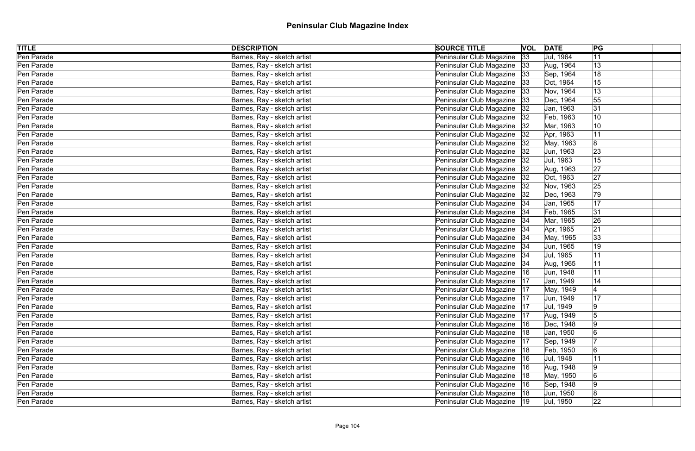| <b>TITLE</b> | <b>DESCRIPTION</b>          | <b>SOURCE TITLE</b>           | <b>VOL DATE</b> | PG                        |  |
|--------------|-----------------------------|-------------------------------|-----------------|---------------------------|--|
| Pen Parade   | Barnes, Ray - sketch artist | Peninsular Club Magazine 33   |                 | Jul, 1964<br> 11          |  |
| Pen Parade   | Barnes, Ray - sketch artist | Peninsular Club Magazine 33   |                 | 13<br>Aug, 1964           |  |
| Pen Parade   | Barnes, Ray - sketch artist | Peninsular Club Magazine   33 |                 | 18<br>Sep, 1964           |  |
| Pen Parade   | Barnes, Ray - sketch artist | Peninsular Club Magazine 33   |                 | 15<br>Oct, 1964           |  |
| Pen Parade   | Barnes, Ray - sketch artist | Peninsular Club Magazine   33 |                 | $ 13\rangle$<br>Nov, 1964 |  |
| Pen Parade   | Barnes, Ray - sketch artist | Peninsular Club Magazine 33   |                 | Dec, 1964<br>55           |  |
| Pen Parade   | Barnes, Ray - sketch artist | Peninsular Club Magazine   32 |                 | 31<br>Jan, 1963           |  |
| Pen Parade   | Barnes, Ray - sketch artist | Peninsular Club Magazine   32 |                 | 10<br>Feb, 1963           |  |
| Pen Parade   | Barnes, Ray - sketch artist | Peninsular Club Magazine   32 |                 | 10<br>Mar, 1963           |  |
| Pen Parade   | Barnes, Ray - sketch artist | Peninsular Club Magazine   32 |                 | 11<br>Apr, 1963           |  |
| Pen Parade   | Barnes, Ray - sketch artist | Peninsular Club Magazine   32 |                 | 8<br>May, 1963            |  |
| Pen Parade   | Barnes, Ray - sketch artist | Peninsular Club Magazine 32   |                 | 23<br>Jun, 1963           |  |
| Pen Parade   | Barnes, Ray - sketch artist | Peninsular Club Magazine   32 |                 | 15<br>Jul, 1963           |  |
| Pen Parade   | Barnes, Ray - sketch artist | Peninsular Club Magazine   32 |                 | 27<br>Aug, 1963           |  |
| Pen Parade   | Barnes, Ray - sketch artist | Peninsular Club Magazine   32 |                 | 27<br>Oct, 1963           |  |
| Pen Parade   | Barnes, Ray - sketch artist | Peninsular Club Magazine   32 |                 | 25<br>Nov, 1963           |  |
| Pen Parade   | Barnes, Ray - sketch artist | Peninsular Club Magazine   32 |                 | 79<br>Dec, 1963           |  |
| Pen Parade   | Barnes, Ray - sketch artist | Peninsular Club Magazine   34 |                 | 17<br>Jan, 1965           |  |
| Pen Parade   | Barnes, Ray - sketch artist | Peninsular Club Magazine 34   |                 | 31<br>Feb, 1965           |  |
| Pen Parade   | Barnes, Ray - sketch artist | Peninsular Club Magazine   34 |                 | 26<br>Mar, 1965           |  |
| Pen Parade   | Barnes, Ray - sketch artist | Peninsular Club Magazine   34 |                 | 21<br>Apr, 1965           |  |
| Pen Parade   | Barnes, Ray - sketch artist | Peninsular Club Magazine   34 |                 | 33 <br>May, 1965          |  |
| Pen Parade   | Barnes, Ray - sketch artist | Peninsular Club Magazine   34 |                 | 19<br>Jun, 1965           |  |
| Pen Parade   | Barnes, Ray - sketch artist | Peninsular Club Magazine   34 |                 | 11<br>Jul, 1965           |  |
| Pen Parade   | Barnes, Ray - sketch artist | Peninsular Club Magazine   34 |                 | 11<br>Aug, 1965           |  |
| Pen Parade   | Barnes, Ray - sketch artist | Peninsular Club Magazine   16 |                 | 11<br>Jun, 1948           |  |
| Pen Parade   | Barnes, Ray - sketch artist | Peninsular Club Magazine   17 |                 | Jan, 1949<br>14           |  |
| Pen Parade   | Barnes, Ray - sketch artist | Peninsular Club Magazine   17 |                 | May, 1949                 |  |
| Pen Parade   | Barnes, Ray - sketch artist | Peninsular Club Magazine   17 |                 | 17<br>Jun, 1949           |  |
| Pen Parade   | Barnes, Ray - sketch artist | Peninsular Club Magazine      | 17              | 9<br>Jul, 1949            |  |
| Pen Parade   | Barnes, Ray - sketch artist | Peninsular Club Magazine      | 17              | Aug, 1949                 |  |
| Pen Parade   | Barnes, Ray - sketch artist | Peninsular Club Magazine      | 16              | Dec, 1948                 |  |
| Pen Parade   | Barnes, Ray - sketch artist | Peninsular Club Magazine      | 18              | Jan, 1950                 |  |
| Pen Parade   | Barnes, Ray - sketch artist | Peninsular Club Magazine      | 17              | Sep, 1949                 |  |
| Pen Parade   | Barnes, Ray - sketch artist | Peninsular Club Magazine      | 18              | Feb, 1950<br>6            |  |
| Pen Parade   | Barnes, Ray - sketch artist | Peninsular Club Magazine   16 |                 | Jul, 1948                 |  |
| Pen Parade   | Barnes, Ray - sketch artist | Peninsular Club Magazine      | 16              | Aug, 1948<br>19           |  |
| Pen Parade   | Barnes, Ray - sketch artist | Peninsular Club Magazine   18 |                 | 6<br>May, 1950            |  |
| Pen Parade   | Barnes, Ray - sketch artist | Peninsular Club Magazine   16 |                 | Sep, 1948<br>19           |  |
| Pen Parade   | Barnes, Ray - sketch artist | Peninsular Club Magazine   18 |                 | Jun, 1950<br>8            |  |
| Pen Parade   | Barnes, Ray - sketch artist | Peninsular Club Magazine   19 |                 | 22<br>Jul, 1950           |  |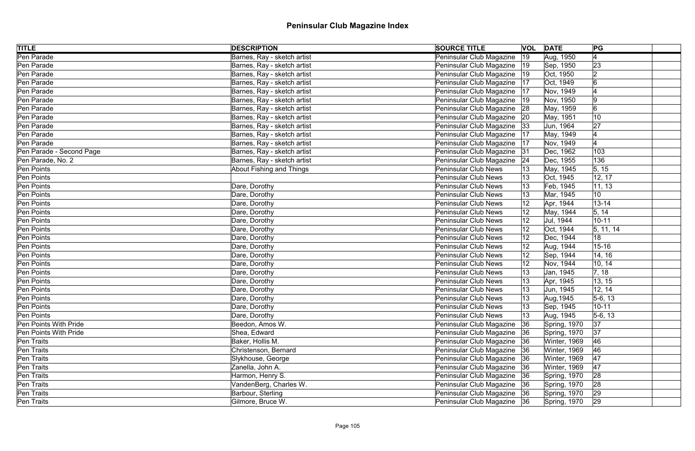| <b>TITLE</b>             | <b>DESCRIPTION</b>              | <b>SOURCE TITLE</b>           |              | <b>VOL</b> DATE | PG             |  |
|--------------------------|---------------------------------|-------------------------------|--------------|-----------------|----------------|--|
| Pen Parade               | Barnes, Ray - sketch artist     | Peninsular Club Magazine      | 19           | Aug, 1950       | 4              |  |
| Pen Parade               | Barnes, Ray - sketch artist     | Peninsular Club Magazine   19 |              | Sep, 1950       | 23             |  |
| Pen Parade               | Barnes, Ray - sketch artist     | Peninsular Club Magazine  19  |              | Oct, 1950       | $\overline{2}$ |  |
| Pen Parade               | Barnes, Ray - sketch artist     | Peninsular Club Magazine   17 |              | Oct, 1949       | 6              |  |
| Pen Parade               | Barnes, Ray - sketch artist     | Peninsular Club Magazine   17 |              | Nov, 1949       |                |  |
| Pen Parade               | Barnes, Ray - sketch artist     | Peninsular Club Magazine   19 |              | Nov, 1950       | $ 9\rangle$    |  |
| Pen Parade               | Barnes, Ray - sketch artist     | Peninsular Club Magazine 28   |              | May, 1959       | $\overline{6}$ |  |
| Pen Parade               | Barnes, Ray - sketch artist     | Peninsular Club Magazine 20   |              | May, 1951       | 10             |  |
| Pen Parade               | Barnes, Ray - sketch artist     | Peninsular Club Magazine  33  |              | Jun, 1964       | 27             |  |
| Pen Parade               | Barnes, Ray - sketch artist     | Peninsular Club Magazine   17 |              | May, 1949       |                |  |
| Pen Parade               | Barnes, Ray - sketch artist     | Peninsular Club Magazine      | 17           | Nov, 1949       |                |  |
| Pen Parade - Second Page | Barnes, Ray - sketch artist     | Peninsular Club Magazine 31   |              | Dec, 1962       | 103            |  |
| Pen Parade, No. 2        | Barnes, Ray - sketch artist     | Peninsular Club Magazine      | 24           | Dec, 1955       | 136            |  |
| Pen Points               | <b>About Fishing and Things</b> | Peninsular Club News          |              | May, 1945       | 5, 15          |  |
| Pen Points               |                                 | <b>Peninsular Club News</b>   |              | Oct, 1945       | 12, 17         |  |
| Pen Points               | Dare, Dorothy                   | <b>Peninsular Club News</b>   |              | Feb, 1945       | 11, 13         |  |
| Pen Points               | Dare, Dorothy                   | <b>Peninsular Club News</b>   | 13           | Mar, 1945       | 10             |  |
| Pen Points               | Dare, Dorothy                   | <b>Peninsular Club News</b>   |              | Apr, 1944       | $13 - 14$      |  |
| Pen Points               | Dare, Dorothy                   | <b>Peninsular Club News</b>   |              | May, 1944       | 5, 14          |  |
| Pen Points               | Dare, Dorothy                   | <b>Peninsular Club News</b>   |              | Jul, 1944       | $10 - 11$      |  |
| Pen Points               | Dare, Dorothy                   | <b>Peninsular Club News</b>   | 12           | Oct, 1944       | 5, 11, 14      |  |
| Pen Points               | Dare, Dorothy                   | <b>Peninsular Club News</b>   |              | Dec, 1944       | 18             |  |
| Pen Points               | Dare, Dorothy                   | <b>Peninsular Club News</b>   |              | Aug, 1944       | $15 - 16$      |  |
| Pen Points               | Dare, Dorothy                   | <b>Peninsular Club News</b>   | 12           | Sep, 1944       | 14, 16         |  |
| Pen Points               | Dare, Dorothy                   | Peninsular Club News          |              | Nov, 1944       | 10, 14         |  |
| Pen Points               | Dare, Dorothy                   | <b>Peninsular Club News</b>   |              | Jan, 1945       | 7, 18          |  |
| Pen Points               | Dare, Dorothy                   | <b>Peninsular Club News</b>   |              | Apr, 1945       | 13, 15         |  |
| Pen Points               | Dare, Dorothy                   | <b>Peninsular Club News</b>   |              | Jun, 1945       | 12, 14         |  |
| Pen Points               | Dare, Dorothy                   | Peninsular Club News          | 13           | Aug, 1945       | $5-6, 13$      |  |
| Pen Points               | Dare, Dorothy                   | <b>Peninsular Club News</b>   |              | Sep, 1945       | $10 - 11$      |  |
| Pen Points               | Dare, Dorothy                   | Peninsular Club News          | $ 13\rangle$ | Aug, 1945       | $5-6, 13$      |  |
| Pen Points With Pride    | Beedon, Amos W.                 | Peninsular Club Magazine      | 36           | Spring, 1970    | 37             |  |
| Pen Points With Pride    | Shea, Edward                    | Peninsular Club Magazine 36   |              | Spring, 1970    | 37             |  |
| Pen Traits               | Baker, Hollis M.                | Peninsular Club Magazine 36   |              | Winter, 1969    | 46             |  |
| Pen Traits               | Christenson, Bernard            | Peninsular Club Magazine   36 |              | Winter, 1969    | 46             |  |
| Pen Traits               | Slykhouse, George               | Peninsular Club Magazine 36   |              | Winter, 1969    | 47             |  |
| Pen Traits               | Zanella, John A.                | Peninsular Club Magazine 36   |              | Winter, 1969    | 47             |  |
| Pen Traits               | Harmon, Henry S.                | Peninsular Club Magazine 36   |              | Spring, 1970    | 28             |  |
| Pen Traits               | VandenBerg, Charles W.          | Peninsular Club Magazine 36   |              | Spring, 1970    | 28             |  |
| Pen Traits               | Barbour, Sterling               | Peninsular Club Magazine 36   |              | Spring, 1970    | 29             |  |
| Pen Traits               | Gilmore, Bruce W.               | Peninsular Club Magazine 36   |              | Spring, 1970    | 29             |  |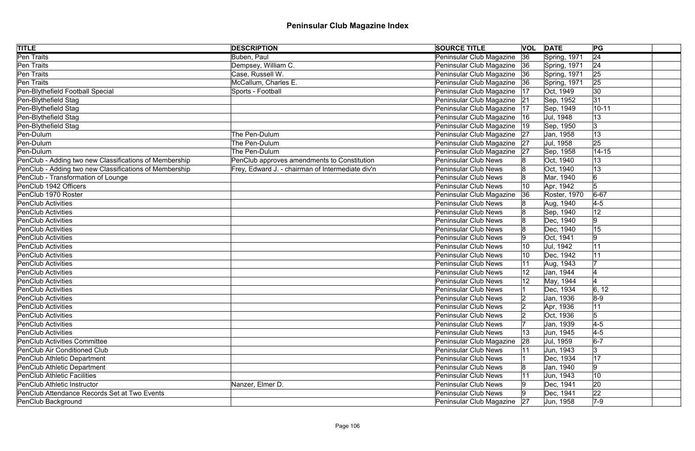| <b>TITLE</b>                                           | <b>DESCRIPTION</b>                               | <b>SOURCE TITLE</b>           |    | <b>VOL DATE</b> | PG              |
|--------------------------------------------------------|--------------------------------------------------|-------------------------------|----|-----------------|-----------------|
| <b>Pen Traits</b>                                      | Buben, Paul                                      | Peninsular Club Magazine      | 36 | Spring, 1971    | $\overline{24}$ |
| Pen Traits                                             | Dempsey, William C.                              | Peninsular Club Magazine 36   |    | Spring, 1971    | 24              |
| Pen Traits                                             | Case, Russell W.                                 | Peninsular Club Magazine   36 |    | Spring, 1971    | 25              |
| Pen Traits                                             | McCallum, Charles E.                             | Peninsular Club Magazine 36   |    | Spring, 1971    | 25              |
| Pen-Blythefield Football Special                       | Sports - Football                                | Peninsular Club Magazine      | 17 | Oct, 1949       | $ 30\rangle$    |
| Pen-Blythefield Stag                                   |                                                  | Peninsular Club Magazine 21   |    | Sep, 1952       | 31              |
| Pen-Blythefield Stag                                   |                                                  | Peninsular Club Magazine      | 17 | Sep, 1949       | $10 - 11$       |
| Pen-Blythefield Stag                                   |                                                  | Peninsular Club Magazine      | 16 | Jul, 1948       | 13              |
| Pen-Blythefield Stag                                   |                                                  | Peninsular Club Magazine      | 19 | Sep, 1950       | 3               |
| Pen-Dulum                                              | The Pen-Dulum                                    | Peninsular Club Magazine 27   |    | Jan, 1958       | 13              |
| Pen-Dulum                                              | The Pen-Dulum                                    | Peninsular Club Magazine      | 27 | Jul, 1958       | 25              |
| Pen-Dulum                                              | The Pen-Dulum                                    | Peninsular Club Magazine      | 27 | Sep, 1958       | $14 - 15$       |
| PenClub - Adding two new Classifications of Membership | PenClub approves amendments to Constitution      | <b>Peninsular Club News</b>   |    | Oct, 1940       | 13              |
| PenClub - Adding two new Classifications of Membership | Frey, Edward J. - chairman of Intermediate div'n | <b>Peninsular Club News</b>   |    | Oct, 1940       | 13              |
| PenClub - Transformation of Lounge                     |                                                  | <b>Peninsular Club News</b>   |    | Mar, 1940       | 6               |
| PenClub 1942 Officers                                  |                                                  | <b>Peninsular Club News</b>   | 10 | Apr, 1942       | 5               |
| PenClub 1970 Roster                                    |                                                  | Peninsular Club Magazine      | 36 | Roster, 1970    | $6 - 67$        |
| <b>PenClub Activities</b>                              |                                                  | Peninsular Club News          |    | Aug, 1940       | $4-5$           |
| <b>PenClub Activities</b>                              |                                                  | <b>Peninsular Club News</b>   |    | Sep, 1940       | 12              |
| <b>PenClub Activities</b>                              |                                                  | <b>Peninsular Club News</b>   |    | Dec, 1940       | 9               |
| <b>PenClub Activities</b>                              |                                                  | <b>Peninsular Club News</b>   |    | Dec, 1940       | 15              |
| <b>PenClub Activities</b>                              |                                                  | <b>Peninsular Club News</b>   |    | Oct, 1941       | 9               |
| <b>PenClub Activities</b>                              |                                                  | <b>Peninsular Club News</b>   |    | Jul, 1942       | 11              |
| <b>PenClub Activities</b>                              |                                                  | <b>Peninsular Club News</b>   | 10 | Dec, 1942       | 11              |
| PenClub Activities                                     |                                                  | Peninsular Club News          |    | Aug, 1943       |                 |
| <b>PenClub Activities</b>                              |                                                  | <b>Peninsular Club News</b>   |    | Jan, 1944       |                 |
| PenClub Activities                                     |                                                  | Peninsular Club News          |    | May, 1944       |                 |
| PenClub Activities                                     |                                                  | <b>Peninsular Club News</b>   |    | Dec, 1934       | 6, 12           |
| PenClub Activities                                     |                                                  | <b>Peninsular Club News</b>   |    | Jan, 1936       | $8-9$           |
| <b>PenClub Activities</b>                              |                                                  | <b>Peninsular Club News</b>   |    | Apr, 1936       | 11              |
| <b>PenClub Activities</b>                              |                                                  | <b>Peninsular Club News</b>   |    | Oct, 1936       | 5               |
| <b>PenClub Activities</b>                              |                                                  | <b>Peninsular Club News</b>   |    | Jan, 1939       | $4-5$           |
| <b>PenClub Activities</b>                              |                                                  | <b>Peninsular Club News</b>   |    | Jun, 1945       | $4-5$           |
| <b>PenClub Activities Committee</b>                    |                                                  | Peninsular Club Magazine      | 28 | Jul, 1959       | $6-7$           |
| PenClub Air Conditioned Club                           |                                                  | <b>Peninsular Club News</b>   |    | Jun, 1943       |                 |
| PenClub Athletic Department                            |                                                  | <b>Peninsular Club News</b>   |    | Dec, 1934       | 17              |
| PenClub Athletic Department                            |                                                  | <b>Peninsular Club News</b>   |    | Jan, 1940       | 9               |
| <b>PenClub Athletic Facilities</b>                     |                                                  | <b>Peninsular Club News</b>   |    | Jun, 1943       | 10              |
| PenClub Athletic Instructor                            | Nanzer, Elmer D.                                 | <b>Peninsular Club News</b>   |    | Dec, 1941       | 20              |
| PenClub Attendance Records Set at Two Events           |                                                  | <b>Peninsular Club News</b>   |    | Dec, 1941       | 22              |
| PenClub Background                                     |                                                  | Peninsular Club Magazine 27   |    | Jun, 1958       | $7-9$           |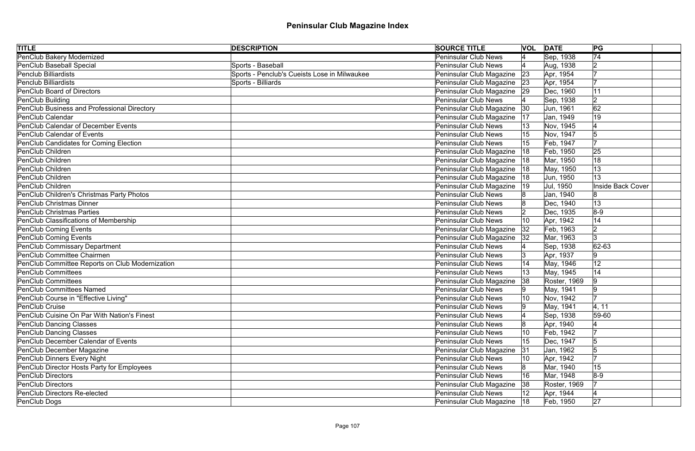| <b>TITLE</b>                                    | <b>DESCRIPTION</b>                           | <b>SOURCE TITLE</b>           | <b>VOL DATE</b> |              | PG                       |  |
|-------------------------------------------------|----------------------------------------------|-------------------------------|-----------------|--------------|--------------------------|--|
| <b>PenClub Bakery Modernized</b>                |                                              | <b>Peninsular Club News</b>   |                 | Sep, 1938    | $\overline{74}$          |  |
| PenClub Baseball Special                        | Sports - Baseball                            | Peninsular Club News          |                 | Aug, 1938    |                          |  |
| <b>Penclub Billiardists</b>                     | Sports - Penclub's Cueists Lose in Milwaukee | Peninsular Club Magazine      | 23              | Apr, 1954    |                          |  |
| <b>Penclub Billiardists</b>                     | Sports - Billiards                           | Peninsular Club Magazine 23   |                 | Apr, 1954    |                          |  |
| <b>PenClub Board of Directors</b>               |                                              | Peninsular Club Magazine 29   |                 | Dec, 1960    | 11                       |  |
| PenClub Building                                |                                              | Peninsular Club News          |                 | Sep, 1938    | 2                        |  |
| PenClub Business and Professional Directory     |                                              | Peninsular Club Magazine      | 30              | Jun, 1961    | 62                       |  |
| <b>PenClub Calendar</b>                         |                                              | Peninsular Club Magazine      | 17              | Jan, 1949    | 19                       |  |
| PenClub Calendar of December Events             |                                              | <b>Peninsular Club News</b>   |                 | Nov, 1945    |                          |  |
| <b>PenClub Calendar of Events</b>               |                                              | Peninsular Club News          |                 | Nov, 1947    |                          |  |
| PenClub Candidates for Coming Election          |                                              | Peninsular Club News          |                 | Feb, 1947    |                          |  |
| PenClub Children                                |                                              | Peninsular Club Magazine      | 18              | Feb, 1950    | 25                       |  |
| PenClub Children                                |                                              | Peninsular Club Magazine      | 18              | Mar, 1950    | 18                       |  |
| PenClub Children                                |                                              | Peninsular Club Magazine      | 18              | May, 1950    | 13                       |  |
| PenClub Children                                |                                              | Peninsular Club Magazine      | 18              | Jun, 1950    | 13                       |  |
| PenClub Children                                |                                              | Peninsular Club Magazine      | 19              | Jul, 1950    | <b>Inside Back Cover</b> |  |
| PenClub Children's Christmas Party Photos       |                                              | Peninsular Club News          |                 | Jan, 1940    |                          |  |
| <b>PenClub Christmas Dinner</b>                 |                                              | Peninsular Club News          |                 | Dec, 1940    | 13                       |  |
| <b>PenClub Christmas Parties</b>                |                                              | Peninsular Club News          |                 | Dec, 1935    | $8-9$                    |  |
| PenClub Classifications of Membership           |                                              | Peninsular Club News          | 10              | Apr, 1942    | 14                       |  |
| <b>PenClub Coming Events</b>                    |                                              | Peninsular Club Magazine      | 32              | Feb, 1963    | 2                        |  |
| <b>PenClub Coming Events</b>                    |                                              | Peninsular Club Magazine      | 32              | Mar, 1963    |                          |  |
| <b>PenClub Commissary Department</b>            |                                              | Peninsular Club News          |                 | Sep, 1938    | $ 62 - 63 $              |  |
| PenClub Committee Chairmen                      |                                              | <b>Peninsular Club News</b>   | Ι3              | Apr, 1937    | 9                        |  |
| PenClub Committee Reports on Club Modernization |                                              | Peninsular Club News          |                 | May, 1946    | 12                       |  |
| <b>PenClub Committees</b>                       |                                              | <b>Peninsular Club News</b>   |                 | May, 1945    | 14                       |  |
| <b>PenClub Committees</b>                       |                                              | Peninsular Club Magazine      | 38              | Roster, 1969 | 9                        |  |
| <b>PenClub Committees Named</b>                 |                                              | <b>Peninsular Club News</b>   |                 | May, 1941    | 19                       |  |
| PenClub Course in "Effective Living"            |                                              | <b>Peninsular Club News</b>   | 10              | Nov, 1942    |                          |  |
| <b>PenClub Cruise</b>                           |                                              | Peninsular Club News          | ۱g              | May, 1941    | 4, 11                    |  |
| PenClub Cuisine On Par With Nation's Finest     |                                              | Peninsular Club News          |                 | Sep, 1938    | 59-60                    |  |
| <b>PenClub Dancing Classes</b>                  |                                              | Peninsular Club News          |                 | Apr, 1940    |                          |  |
| <b>PenClub Dancing Classes</b>                  |                                              | Peninsular Club News          | 10              | Feb, 1942    |                          |  |
| <b>PenClub December Calendar of Events</b>      |                                              | <b>Peninsular Club News</b>   | 15              | Dec, 1947    | 15                       |  |
| PenClub December Magazine                       |                                              | Peninsular Club Magazine      | 31              | Jan, 1962    |                          |  |
| <b>PenClub Dinners Every Night</b>              |                                              | Peninsular Club News          |                 | Apr, 1942    |                          |  |
| PenClub Director Hosts Party for Employees      |                                              | <b>Peninsular Club News</b>   |                 | Mar, 1940    | 15                       |  |
| <b>PenClub Directors</b>                        |                                              | <b>Peninsular Club News</b>   | 16              | Mar, 1948    | $8-9$                    |  |
| <b>PenClub Directors</b>                        |                                              | Peninsular Club Magazine      | 38              | Roster, 1969 |                          |  |
| <b>PenClub Directors Re-elected</b>             |                                              | Peninsular Club News          |                 | Apr, 1944    |                          |  |
| PenClub Dogs                                    |                                              | Peninsular Club Magazine   18 |                 | Feb, 1950    | 27                       |  |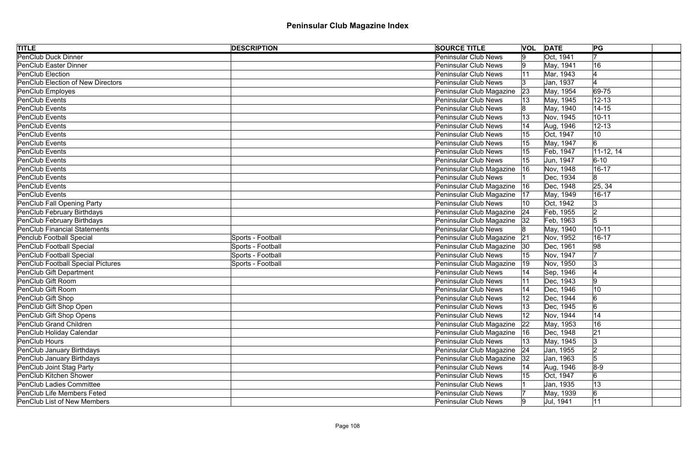| <b>TITLE</b>                             | <b>DESCRIPTION</b> | <b>SOURCE TITLE</b>           | <b>VOL DATE</b> |           | PG             |
|------------------------------------------|--------------------|-------------------------------|-----------------|-----------|----------------|
| <b>PenClub Duck Dinner</b>               |                    | <b>Peninsular Club News</b>   | 9               | Oct, 1941 |                |
| <b>PenClub Easter Dinner</b>             |                    | <b>Peninsular Club News</b>   | 19.             | May, 1941 | 16             |
| PenClub Election                         |                    | <b>Peninsular Club News</b>   | 11              | Mar, 1943 |                |
| PenClub Election of New Directors        |                    | Peninsular Club News          |                 | Jan, 1937 |                |
| PenClub Employes                         |                    | Peninsular Club Magazine      | 23              | May, 1954 | 69-75          |
| PenClub Events                           |                    | Peninsular Club News          |                 | May, 1945 | $12 - 13$      |
| <b>PenClub Events</b>                    |                    | <b>Peninsular Club News</b>   |                 | May, 1940 | $14 - 15$      |
| PenClub Events                           |                    | <b>Peninsular Club News</b>   |                 | Nov, 1945 | $10 - 11$      |
| <b>PenClub Events</b>                    |                    | Peninsular Club News          |                 | Aug, 1946 | $12 - 13$      |
| PenClub Events                           |                    | Peninsular Club News          |                 | Oct, 1947 | 10             |
| PenClub Events                           |                    | <b>Peninsular Club News</b>   |                 | May, 1947 | 6              |
| PenClub Events                           |                    | <b>Peninsular Club News</b>   |                 | Feb, 1947 | $11-12, 14$    |
| PenClub Events                           |                    | Peninsular Club News          |                 | Jun, 1947 | $6 - 10$       |
| PenClub Events                           |                    | Peninsular Club Magazine      | 16              | Nov, 1948 | $16 - 17$      |
| PenClub Events                           |                    | Peninsular Club News          |                 | Dec, 1934 | 8              |
| PenClub Events                           |                    | Peninsular Club Magazine      | 16              | Dec, 1948 | 25, 34         |
| PenClub Events                           |                    | Peninsular Club Magazine      | 17              | May, 1949 | $16 - 17$      |
| PenClub Fall Opening Party               |                    | Peninsular Club News          | 10              | Oct, 1942 | 3              |
| PenClub February Birthdays               |                    | Peninsular Club Magazine      | 24              | Feb, 1955 |                |
| PenClub February Birthdays               |                    | Peninsular Club Magazine   32 |                 | Feb, 1963 | 5              |
| <b>PenClub Financial Statements</b>      |                    | Peninsular Club News          |                 | May, 1940 | $10 - 11$      |
| Penclub Football Special                 | Sports - Football  | Peninsular Club Magazine      | 21              | Nov, 1952 | $16 - 17$      |
| <b>PenClub Football Special</b>          | Sports - Football  | Peninsular Club Magazine   30 |                 | Dec, 1961 | 98             |
| <b>PenClub Football Special</b>          | Sports - Football  | Peninsular Club News          | 15              | Nov, 1947 | 17             |
| <b>PenClub Football Special Pictures</b> | Sports - Football  | Peninsular Club Magazine      | $ 19\rangle$    | Nov, 1950 | 3              |
| PenClub Gift Department                  |                    | Peninsular Club News          |                 | Sep, 1946 |                |
| PenClub Gift Room                        |                    | Peninsular Club News          |                 | Dec, 1943 | 9              |
| PenClub Gift Room                        |                    | Peninsular Club News          |                 | Dec, 1946 | 10             |
| PenClub Gift Shop                        |                    | Peninsular Club News          | 12              | Dec, 1944 | $\overline{6}$ |
| PenClub Gift Shop Open                   |                    | <b>Peninsular Club News</b>   |                 | Dec, 1945 | 6              |
| PenClub Gift Shop Opens                  |                    | Peninsular Club News          |                 | Nov, 1944 | 14             |
| PenClub Grand Children                   |                    | Peninsular Club Magazine      | 22              | May, 1953 | 16             |
| PenClub Holiday Calendar                 |                    | Peninsular Club Magazine      | 16              | Dec, 1948 | 21             |
| <b>PenClub Hours</b>                     |                    | Peninsular Club News          |                 | May, 1945 | 3              |
| PenClub January Birthdays                |                    | Peninsular Club Magazine      | 24              | Jan, 1955 |                |
| PenClub January Birthdays                |                    | Peninsular Club Magazine      | 32              | Jan, 1963 |                |
| PenClub Joint Stag Party                 |                    | <b>Peninsular Club News</b>   |                 | Aug, 1946 | $8-9$          |
| <b>PenClub Kitchen Shower</b>            |                    | Peninsular Club News          |                 | Oct, 1947 |                |
| <b>PenClub Ladies Committee</b>          |                    | Peninsular Club News          |                 | Jan, 1935 | 13             |
| <b>PenClub Life Members Feted</b>        |                    | Peninsular Club News          |                 | May, 1939 |                |
| <b>PenClub List of New Members</b>       |                    | Peninsular Club News          | 19.             | Jul, 1941 | 11             |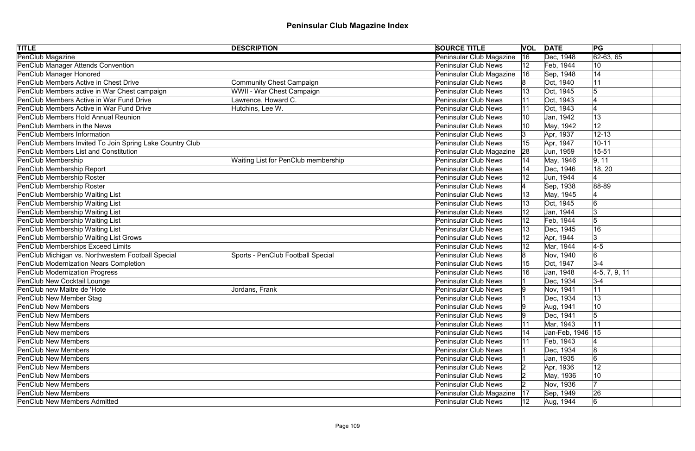| <b>TITLE</b>                                             | <b>DESCRIPTION</b>                         | <b>SOURCE TITLE</b>         | <b>VOL DATE</b> |                    | PG                     |  |
|----------------------------------------------------------|--------------------------------------------|-----------------------------|-----------------|--------------------|------------------------|--|
| PenClub Magazine                                         |                                            | Peninsular Club Magazine    | 16              | Dec, 1948          | $\overline{62-63, 65}$ |  |
| PenClub Manager Attends Convention                       |                                            | Peninsular Club News        | 12              | Feb, 1944          | 10                     |  |
| PenClub Manager Honored                                  |                                            | Peninsular Club Magazine    | 16              | Sep, 1948          | 14                     |  |
| PenClub Members Active in Chest Drive                    | <b>Community Chest Campaign</b>            | <b>Peninsular Club News</b> |                 | Oct, 1940          | 11                     |  |
| PenClub Members active in War Chest campaign             | WWII - War Chest Campaign                  | Peninsular Club News        |                 | Oct, 1945          | 5                      |  |
| PenClub Members Active in War Fund Drive                 | Lawrence, Howard C.                        | Peninsular Club News        |                 | Oct, 1943          |                        |  |
| PenClub Members Active in War Fund Drive                 | Hutchins, Lee W.                           | <b>Peninsular Club News</b> | 11              | Oct, 1943          |                        |  |
| <b>PenClub Members Hold Annual Reunion</b>               |                                            | Peninsular Club News        |                 | Jan, 1942          | 13                     |  |
| <b>PenClub Members in the News</b>                       |                                            | <b>Peninsular Club News</b> |                 | May, 1942          | 12                     |  |
| <b>PenClub Members Information</b>                       |                                            | Peninsular Club News        |                 | Apr, 1937          | $12 - 13$              |  |
| PenClub Members Invited To Join Spring Lake Country Club |                                            | Peninsular Club News        |                 | Apr, 1947          | $10 - 11$              |  |
| <b>PenClub Members List and Constitution</b>             |                                            | Peninsular Club Magazine    | 28              | Jun, 1959          | $15 - 51$              |  |
| PenClub Membership                                       | <b>Waiting List for PenClub membership</b> | Peninsular Club News        |                 | May, 1946          | 9, 11                  |  |
| PenClub Membership Report                                |                                            | <b>Peninsular Club News</b> |                 | Dec, 1946          | 18, 20                 |  |
| PenClub Membership Roster                                |                                            | <b>Peninsular Club News</b> |                 | Jun, 1944          |                        |  |
| PenClub Membership Roster                                |                                            | Peninsular Club News        |                 | Sep, 1938          | 88-89                  |  |
| PenClub Membership Waiting List                          |                                            | <b>Peninsular Club News</b> | 13              | May, 1945          |                        |  |
| PenClub Membership Waiting List                          |                                            | <b>Peninsular Club News</b> | 13              | Oct, 1945          |                        |  |
| PenClub Membership Waiting List                          |                                            | <b>Peninsular Club News</b> |                 | Jan, 1944          |                        |  |
| PenClub Membership Waiting List                          |                                            | <b>Peninsular Club News</b> | 12              | Feb, 1944          | 5                      |  |
| PenClub Membership Waiting List                          |                                            | <b>Peninsular Club News</b> |                 | Dec, 1945          | 16                     |  |
| PenClub Membership Waiting List Grows                    |                                            | <b>Peninsular Club News</b> | 12              | Apr, 1944          | 3                      |  |
| PenClub Memberships Exceed Limits                        |                                            | Peninsular Club News        | $ 12\rangle$    | Mar, 1944          | $4-5$                  |  |
| PenClub Michigan vs. Northwestern Football Special       | Sports - PenClub Football Special          | <b>Peninsular Club News</b> |                 | Nov, 1940          | 6                      |  |
| PenClub Modernization Nears Completion                   |                                            | Peninsular Club News        | 15              | Oct, 1947          | $3 - 4$                |  |
| <b>PenClub Modernization Progress</b>                    |                                            | <b>Peninsular Club News</b> |                 | Jan, 1948          | $4-5, 7, 9, 11$        |  |
| PenClub New Cocktail Lounge                              |                                            | <b>Peninsular Club News</b> |                 | Dec, 1934          | $3 - 4$                |  |
| PenClub new Maitre de 'Hote                              | Jordans, Frank                             | Peninsular Club News        |                 | Nov, 1941          | 11                     |  |
| PenClub New Member Stag                                  |                                            | <b>Peninsular Club News</b> |                 | Dec, 1934          | 13                     |  |
| <b>PenClub New Members</b>                               |                                            | Peninsular Club News        | 19              | Aug, 1941          | 10                     |  |
| <b>PenClub New Members</b>                               |                                            | Peninsular Club News        |                 | Dec, 1941          |                        |  |
| <b>PenClub New Members</b>                               |                                            | <b>Peninsular Club News</b> |                 | Mar, 1943          |                        |  |
| <b>PenClub New members</b>                               |                                            | <b>Peninsular Club News</b> |                 | Jan-Feb, 1946   15 |                        |  |
| <b>PenClub New Members</b>                               |                                            | Peninsular Club News        | 11              | Feb, 1943          |                        |  |
| <b>PenClub New Members</b>                               |                                            | <b>Peninsular Club News</b> |                 | Dec, 1934          |                        |  |
| <b>PenClub New Members</b>                               |                                            | <b>Peninsular Club News</b> |                 | Jan, 1935          |                        |  |
| <b>PenClub New Members</b>                               |                                            | <b>Peninsular Club News</b> |                 | Apr, 1936          | 12                     |  |
| <b>PenClub New Members</b>                               |                                            | <b>Peninsular Club News</b> |                 | May, 1936          | 10                     |  |
| <b>PenClub New Members</b>                               |                                            | <b>Peninsular Club News</b> |                 | Nov, 1936          |                        |  |
| <b>PenClub New Members</b>                               |                                            | Peninsular Club Magazine    | 17              | Sep, 1949          | 26                     |  |
| <b>PenClub New Members Admitted</b>                      |                                            | Peninsular Club News        | $ 12\rangle$    | Aug, 1944          | 6                      |  |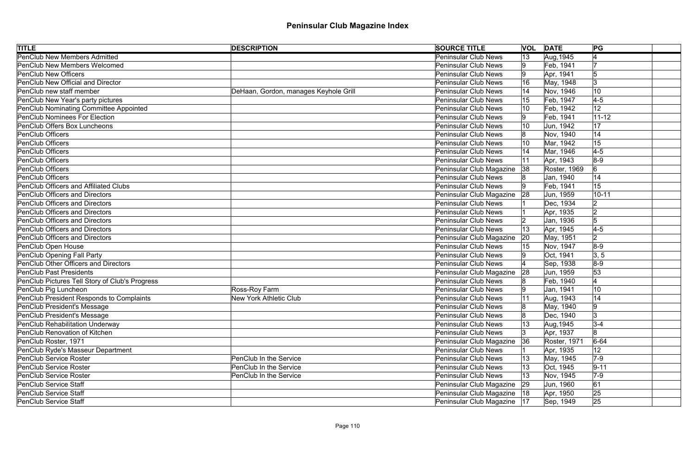| <b>TITLE</b>                                   | <b>DESCRIPTION</b>                    | <b>SOURCE TITLE</b>           | <b>VOL DATE</b> |              | PG             |  |
|------------------------------------------------|---------------------------------------|-------------------------------|-----------------|--------------|----------------|--|
| <b>PenClub New Members Admitted</b>            |                                       | <b>Peninsular Club News</b>   | $ 13\rangle$    | Aug, 1945    |                |  |
| <b>PenClub New Members Welcomed</b>            |                                       | Peninsular Club News          | Ι9              | Feb, 1941    |                |  |
| <b>PenClub New Officers</b>                    |                                       | <b>Peninsular Club News</b>   | 19              | Apr, 1941    |                |  |
| PenClub New Official and Director              |                                       | Peninsular Club News          |                 | May, 1948    | 13             |  |
| PenClub new staff member                       | DeHaan, Gordon, manages Keyhole Grill | <b>Peninsular Club News</b>   |                 | Nov, 1946    | 10             |  |
| PenClub New Year's party pictures              |                                       | Peninsular Club News          |                 | Feb, 1947    | $4-5$          |  |
| <b>PenClub Nominating Committee Appointed</b>  |                                       | <b>Peninsular Club News</b>   |                 | Feb, 1942    | 12             |  |
| <b>PenClub Nominees For Election</b>           |                                       | <b>Peninsular Club News</b>   |                 | Feb, 1941    | $11 - 12$      |  |
| PenClub Offers Box Luncheons                   |                                       | <b>Peninsular Club News</b>   |                 | Jun, 1942    | 17             |  |
| <b>PenClub Officers</b>                        |                                       | Peninsular Club News          |                 | Nov, 1940    | 14             |  |
| <b>PenClub Officers</b>                        |                                       | Peninsular Club News          |                 | Mar, 1942    | 15             |  |
| <b>PenClub Officers</b>                        |                                       | <b>Peninsular Club News</b>   |                 | Mar, 1946    | $4-5$          |  |
| <b>PenClub Officers</b>                        |                                       | Peninsular Club News          | 11              | Apr, 1943    | $8-9$          |  |
| <b>PenClub Officers</b>                        |                                       | Peninsular Club Magazine      | 38              | Roster, 1969 | 6              |  |
| <b>PenClub Officers</b>                        |                                       | Peninsular Club News          |                 | Jan, 1940    | 14             |  |
| <b>PenClub Officers and Affiliated Clubs</b>   |                                       | <b>Peninsular Club News</b>   |                 | Feb, 1941    | 15             |  |
| <b>PenClub Officers and Directors</b>          |                                       | Peninsular Club Magazine      | 28              | Jun, 1959    | $10 - 11$      |  |
| <b>PenClub Officers and Directors</b>          |                                       | <b>Peninsular Club News</b>   |                 | Dec, 1934    |                |  |
| <b>PenClub Officers and Directors</b>          |                                       | <b>Peninsular Club News</b>   |                 | Apr, 1935    |                |  |
| <b>PenClub Officers and Directors</b>          |                                       | <b>Peninsular Club News</b>   |                 | Jan, 1936    | 5              |  |
| <b>PenClub Officers and Directors</b>          |                                       | Peninsular Club News          | 13              | Apr, 1945    | $4-5$          |  |
| <b>PenClub Officers and Directors</b>          |                                       | Peninsular Club Magazine      | 20              | May, 1951    | $\overline{2}$ |  |
| PenClub Open House                             |                                       | Peninsular Club News          |                 | Nov, 1947    | $8-9$          |  |
| <b>PenClub Opening Fall Party</b>              |                                       | <b>Peninsular Club News</b>   |                 | Oct, 1941    | 3, 5           |  |
| PenClub Other Officers and Directors           |                                       | Peninsular Club News          |                 | Sep, 1938    | $8-9$          |  |
| <b>PenClub Past Presidents</b>                 |                                       | Peninsular Club Magazine      | 28              | Jun, 1959    | 53             |  |
| PenClub Pictures Tell Story of Club's Progress |                                       | Peninsular Club News          |                 | Feb, 1940    |                |  |
| PenClub Pig Luncheon                           | Ross-Roy Farm                         | Peninsular Club News          | 19.             | Jan, 1941    | 10             |  |
| PenClub President Responds to Complaints       | New York Athletic Club                | Peninsular Club News          | 11              | Aug, 1943    | 14             |  |
| PenClub President's Message                    |                                       | Peninsular Club News          |                 | May, 1940    | 9              |  |
| PenClub President's Message                    |                                       | Peninsular Club News          |                 | Dec, 1940    |                |  |
| <b>PenClub Rehabilitation Underway</b>         |                                       | Peninsular Club News          |                 | Aug, 1945    | $3 - 4$        |  |
| <b>PenClub Renovation of Kitchen</b>           |                                       | Peninsular Club News          | 13.             | Apr, 1937    | 8              |  |
| PenClub Roster, 1971                           |                                       | Peninsular Club Magazine      | 36              | Roster, 1971 | $6 - 64$       |  |
| PenClub Ryde's Masseur Department              |                                       | <b>Peninsular Club News</b>   |                 | Apr, 1935    | 12             |  |
| <b>PenClub Service Roster</b>                  | PenClub In the Service                | Peninsular Club News          |                 | May, 1945    | $7-9$          |  |
| <b>PenClub Service Roster</b>                  | PenClub In the Service                | <b>Peninsular Club News</b>   | 13              | Oct, 1945    | $9 - 11$       |  |
| <b>PenClub Service Roster</b>                  | PenClub In the Service                | Peninsular Club News          | 13              | Nov, 1945    | $7-9$          |  |
| <b>PenClub Service Staff</b>                   |                                       | Peninsular Club Magazine      | 29              | Jun, 1960    | 61             |  |
| <b>PenClub Service Staff</b>                   |                                       | Peninsular Club Magazine   18 |                 | Apr, 1950    | 25             |  |
| <b>PenClub Service Staff</b>                   |                                       | Peninsular Club Magazine   17 |                 | Sep, 1949    | 25             |  |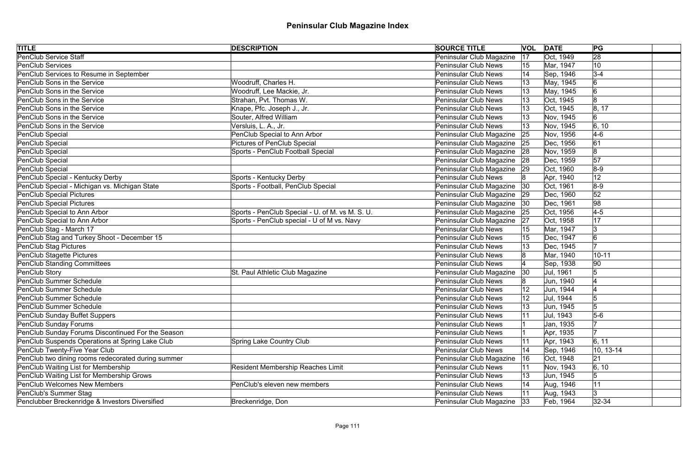| <b>TITLE</b>                                       | <b>DESCRIPTION</b>                              | <b>SOURCE TITLE</b>         |    | <b>VOL DATE</b> | PG              |  |
|----------------------------------------------------|-------------------------------------------------|-----------------------------|----|-----------------|-----------------|--|
| <b>PenClub Service Staff</b>                       |                                                 | Peninsular Club Magazine    | 17 | Oct, 1949       | $\overline{28}$ |  |
| <b>PenClub Services</b>                            |                                                 | <b>Peninsular Club News</b> | 15 | Mar, 1947       | 10              |  |
| PenClub Services to Resume in September            |                                                 | <b>Peninsular Club News</b> | 14 | Sep, 1946       | $3-4$           |  |
| PenClub Sons in the Service                        | Woodruff, Charles H.                            | <b>Peninsular Club News</b> |    | May, 1945       | 6               |  |
| PenClub Sons in the Service                        | Woodruff, Lee Mackie, Jr.                       | <b>Peninsular Club News</b> |    | May, 1945       | $6\overline{6}$ |  |
| PenClub Sons in the Service                        | Strahan, Pvt. Thomas W.                         | <b>Peninsular Club News</b> |    | Oct, 1945       | 8               |  |
| PenClub Sons in the Service                        | Knape, Pfc. Joseph J., Jr.                      | <b>Peninsular Club News</b> |    | Oct, 1945       | 8, 17           |  |
| PenClub Sons in the Service                        | Souter, Alfred William                          | <b>Peninsular Club News</b> |    | Nov, 1945       | 6               |  |
| PenClub Sons in the Service                        | Versluis, L. A., Jr.                            | <b>Peninsular Club News</b> |    | Nov, 1945       | 6, 10           |  |
| PenClub Special                                    | PenClub Special to Ann Arbor                    | Peninsular Club Magazine    | 25 | Nov, 1956       | $4-6$           |  |
| PenClub Special                                    | <b>Pictures of PenClub Special</b>              | Peninsular Club Magazine    | 25 | Dec, 1956       | 61              |  |
| PenClub Special                                    | Sports - PenClub Football Special               | Peninsular Club Magazine    | 28 | Nov, 1959       | 8               |  |
| PenClub Special                                    |                                                 | Peninsular Club Magazine    | 28 | Dec, 1959       | 57              |  |
| PenClub Special                                    |                                                 | Peninsular Club Magazine    | 29 | Oct, 1960       | $8-9$           |  |
| PenClub Special - Kentucky Derby                   | Sports - Kentucky Derby                         | Peninsular Club News        |    | Apr, 1940       | 12              |  |
| PenClub Special - Michigan vs. Michigan State      | Sports - Football, PenClub Special              | Peninsular Club Magazine    | 30 | Oct, 1961       | $8-9$           |  |
| PenClub Special Pictures                           |                                                 | Peninsular Club Magazine    | 29 | Dec, 1960       | 52              |  |
| PenClub Special Pictures                           |                                                 | Peninsular Club Magazine    | 30 | Dec, 1961       | 98              |  |
| PenClub Special to Ann Arbor                       | Sports - PenClub Special - U. of M. vs M. S. U. | Peninsular Club Magazine    | 25 | Oct, 1956       | $4-5$           |  |
| PenClub Special to Ann Arbor                       | Sports - PenClub special - U of M vs. Navy      | Peninsular Club Magazine    | 27 | Oct, 1958       | 17              |  |
| PenClub Stag - March 17                            |                                                 | <b>Peninsular Club News</b> |    | Mar, 1947       | 3               |  |
| PenClub Stag and Turkey Shoot - December 15        |                                                 | <b>Peninsular Club News</b> |    | Dec, 1947       | 6               |  |
| PenClub Stag Pictures                              |                                                 | <b>Peninsular Club News</b> |    | Dec, 1945       |                 |  |
| PenClub Stagette Pictures                          |                                                 | <b>Peninsular Club News</b> |    | Mar, 1940       | $10 - 11$       |  |
| PenClub Standing Committees                        |                                                 | Peninsular Club News        |    | Sep, 1938       | 90              |  |
| PenClub Story                                      | St. Paul Athletic Club Magazine                 | Peninsular Club Magazine    | 30 | Jul, 1961       | 5               |  |
| PenClub Summer Schedule                            |                                                 | Peninsular Club News        |    | Jun, 1940       |                 |  |
| PenClub Summer Schedule                            |                                                 | <b>Peninsular Club News</b> |    | Jun, 1944       |                 |  |
| PenClub Summer Schedule                            |                                                 | <b>Peninsular Club News</b> | 12 | Jul, 1944       | IЭ              |  |
| PenClub Summer Schedule                            |                                                 | <b>Peninsular Club News</b> | 13 | Jun, 1945       | 5               |  |
| PenClub Sunday Buffet Suppers                      |                                                 | <b>Peninsular Club News</b> |    | Jul, 1943       | $5-6$           |  |
| PenClub Sunday Forums                              |                                                 | <b>Peninsular Club News</b> |    | Jan, 1935       |                 |  |
| PenClub Sunday Forums Discontinued For the Season  |                                                 | <b>Peninsular Club News</b> |    | Apr, 1935       |                 |  |
| PenClub Suspends Operations at Spring Lake Club    | <b>Spring Lake Country Club</b>                 | <b>Peninsular Club News</b> | 11 | Apr, 1943       | 6, 11           |  |
| PenClub Twenty-Five Year Club                      |                                                 | <b>Peninsular Club News</b> |    | Sep, 1946       | $10, 13-14$     |  |
| PenClub two dining rooms redecorated during summer |                                                 | Peninsular Club Magazine    | 16 | Oct, 1948       | 21              |  |
| PenClub Waiting List for Membership                | <b>Resident Membership Reaches Limit</b>        | <b>Peninsular Club News</b> | 11 | Nov, 1943       | 6, 10           |  |
| PenClub Waiting List for Membership Grows          |                                                 | <b>Peninsular Club News</b> | 13 | Jun, 1945       | 5               |  |
| <b>PenClub Welcomes New Members</b>                | PenClub's eleven new members                    | <b>Peninsular Club News</b> |    | Aug, 1946       | 11              |  |
| PenClub's Summer Stag                              |                                                 | <b>Peninsular Club News</b> |    | Aug, 1943       | 3               |  |
| Penclubber Breckenridge & Investors Diversified    | Breckenridge, Don                               | Peninsular Club Magazine    | 33 | Feb, 1964       | $ 32 - 34 $     |  |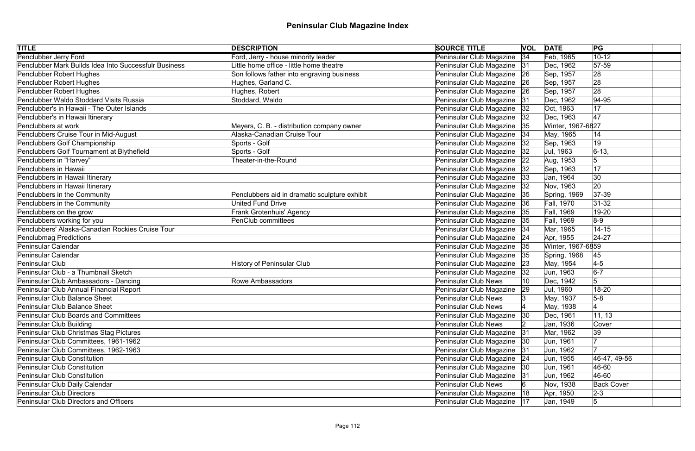| <b>TITLE</b>                                          | <b>DESCRIPTION</b>                            | <b>SOURCE TITLE</b>           | <b>VOL DATE</b> |                   | PG                |
|-------------------------------------------------------|-----------------------------------------------|-------------------------------|-----------------|-------------------|-------------------|
| <b>Penclubber Jerry Ford</b>                          | Ford, Jerry - house minority leader           | Peninsular Club Magazine 34   |                 | Feb, 1965         | $10 - 12$         |
| Penclubber Mark Builds Idea Into Successfulr Business | Little home office - little home theatre      | Peninsular Club Magazine 31   |                 | Dec, 1962         | $ 57-59$          |
| Penclubber Robert Hughes                              | Son follows father into engraving business    | Peninsular Club Magazine 26   |                 | Sep, 1957         | 28                |
| Penclubber Robert Hughes                              | Hughes, Garland C.                            | Peninsular Club Magazine   26 |                 | Sep, 1957         | 28                |
| Penclubber Robert Hughes                              | Hughes, Robert                                | Peninsular Club Magazine 26   |                 | Sep, 1957         | 28                |
| Penclubber Waldo Stoddard Visits Russia               | Stoddard, Waldo                               | Peninsular Club Magazine 31   |                 | Dec, 1962         | 94-95             |
| Penclubber's in Hawaii - The Outer Islands            |                                               | Peninsular Club Magazine   32 |                 | Oct, 1963         | 17                |
| Penclubber's in Hawaii Itinerary                      |                                               | Peninsular Club Magazine   32 |                 | Dec, 1963         | 47                |
| Penclubbers at work                                   | Meyers, C. B. - distribution company owner    | Peninsular Club Magazine 35   |                 | Winter, 1967-6827 |                   |
| Penclubbers Cruise Tour in Mid-August                 | Alaska-Canadian Cruise Tour                   | Peninsular Club Magazine 34   |                 | May, 1965         | 14                |
| Penclubbers Golf Championship                         | Sports - Golf                                 | Peninsular Club Magazine      | 32              | Sep, 1963         | 19                |
| Penclubbers Golf Tournament at Blythefield            | Sports - Golf                                 | Peninsular Club Magazine      | 32              | Jul, 1963         | $6-13,$           |
| Penclubbers in "Harvey"                               | Theater-in-the-Round                          | Peninsular Club Magazine      | 22              | Aug, 1953         | 5                 |
| Penclubbers in Hawaii                                 |                                               | Peninsular Club Magazine      | 32              | Sep, 1963         | 17                |
| Penclubbers in Hawaii Itinerary                       |                                               | Peninsular Club Magazine      | 33              | Jan, 1964         | 30                |
| Penclubbers in Hawaii Itinerary                       |                                               | Peninsular Club Magazine      | 32              | Nov, 1963         | 20                |
| Penclubbers in the Community                          | Penclubbers aid in dramatic sculpture exhibit | Peninsular Club Magazine      | 35              | Spring, 1969      | 37-39             |
| Penclubbers in the Community                          | <b>United Fund Drive</b>                      | Peninsular Club Magazine 36   |                 | Fall, 1970        | $ 31-32 $         |
| Penclubbers on the grow                               | Frank Grotenhuis' Agency                      | Peninsular Club Magazine 35   |                 | Fall, 1969        | 19-20             |
| Penclubbers working for you                           | <b>PenClub committees</b>                     | Peninsular Club Magazine 35   |                 | Fall, 1969        | $ 8-9 $           |
| Penclubbers' Alaska-Canadian Rockies Cruise Tour      |                                               | Peninsular Club Magazine   34 |                 | Mar, 1965         | $14 - 15$         |
| Penclubmag Predictions                                |                                               | Peninsular Club Magazine 24   |                 | Apr, 1955         | $ 24-27$          |
| <b>Peninsular Calendar</b>                            |                                               | Peninsular Club Magazine 35   |                 | Winter, 1967-6859 |                   |
| Peninsular Calendar                                   |                                               | Peninsular Club Magazine 35   |                 | Spring, 1968      | 45                |
| Peninsular Club                                       | <b>History of Peninsular Club</b>             | Peninsular Club Magazine 23   |                 | May, 1954         | $4-5$             |
| Peninsular Club - a Thumbnail Sketch                  |                                               | Peninsular Club Magazine   32 |                 | Jun, 1963         | $6-7$             |
| Peninsular Club Ambassadors - Dancing                 | Rowe Ambassadors                              | Peninsular Club News          |                 | Dec, 1942         |                   |
| Peninsular Club Annual Financial Report               |                                               | Peninsular Club Magazine      | 29              | Jul, 1960         | 18-20             |
| Peninsular Club Balance Sheet                         |                                               | Peninsular Club News          |                 | May, 1937         | $5-8$             |
| <b>Peninsular Club Balance Sheet</b>                  |                                               | <b>Peninsular Club News</b>   |                 | May, 1938         |                   |
| <b>Peninsular Club Boards and Committees</b>          |                                               | Peninsular Club Magazine 30   |                 | Dec, 1961         | 11, 13            |
| Peninsular Club Building                              |                                               | Peninsular Club News          |                 | Jan, 1936         | Cover             |
| Peninsular Club Christmas Stag Pictures               |                                               | Peninsular Club Magazine 31   |                 | Mar, 1962         | 39                |
| Peninsular Club Committees, 1961-1962                 |                                               | Peninsular Club Magazine   30 |                 | Jun, 1961         |                   |
| Peninsular Club Committees, 1962-1963                 |                                               | Peninsular Club Magazine 31   |                 | Jun, 1962         |                   |
| Peninsular Club Constitution                          |                                               | Peninsular Club Magazine 24   |                 | Jun, 1955         | 46-47, 49-56      |
| Peninsular Club Constitution                          |                                               | Peninsular Club Magazine   30 |                 | Jun, 1961         | 46-60             |
| Peninsular Club Constitution                          |                                               | Peninsular Club Magazine 31   |                 | Jun, 1962         | 46-60             |
| Peninsular Club Daily Calendar                        |                                               | Peninsular Club News          |                 | Nov, 1938         | <b>Back Cover</b> |
| Peninsular Club Directors                             |                                               | Peninsular Club Magazine   18 |                 | Apr, 1950         | $2 - 3$           |
| <b>Peninsular Club Directors and Officers</b>         |                                               | Peninsular Club Magazine   17 |                 | Jan, 1949         | $\overline{5}$    |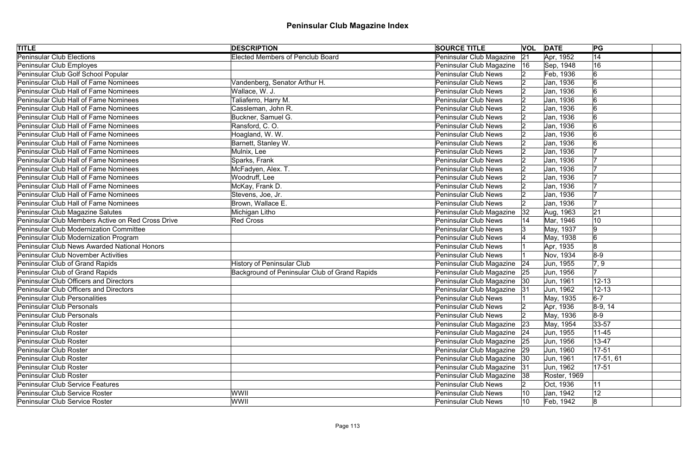| <b>TITLE</b>                                      | <b>DESCRIPTION</b>                            | <b>SOURCE TITLE</b>           |    | <b>VOL DATE</b> | PG                 |
|---------------------------------------------------|-----------------------------------------------|-------------------------------|----|-----------------|--------------------|
| <b>Peninsular Club Elections</b>                  | <b>Elected Members of Penclub Board</b>       | Peninsular Club Magazine      | 21 | Apr, 1952       | 14                 |
| Peninsular Club Employes                          |                                               | Peninsular Club Magazine      | 16 | Sep, 1948       | 16                 |
| Peninsular Club Golf School Popular               |                                               | Peninsular Club News          |    | Feb, 1936       | 6                  |
| Peninsular Club Hall of Fame Nominees             | Vandenberg, Senator Arthur H.                 | <b>Peninsular Club News</b>   |    | Jan, 1936       |                    |
| Peninsular Club Hall of Fame Nominees             | Wallace, W. J.                                | <b>Peninsular Club News</b>   |    | Jan, 1936       |                    |
| Peninsular Club Hall of Fame Nominees             | Taliaferro, Harry M.                          | <b>Peninsular Club News</b>   |    | Jan, 1936       |                    |
| Peninsular Club Hall of Fame Nominees             | Cassleman, John R.                            | <b>Peninsular Club News</b>   |    | Jan, 1936       |                    |
| Peninsular Club Hall of Fame Nominees             | Buckner, Samuel G.                            | <b>Peninsular Club News</b>   |    | Jan, 1936       |                    |
| Peninsular Club Hall of Fame Nominees             | Ransford, C.O.                                | <b>Peninsular Club News</b>   |    | Jan, 1936       |                    |
| Peninsular Club Hall of Fame Nominees             | Hoagland, W. W.                               | <b>Peninsular Club News</b>   |    | Jan, 1936       |                    |
| Peninsular Club Hall of Fame Nominees             | Barnett, Stanley W.                           | <b>Peninsular Club News</b>   |    | Jan, 1936       |                    |
| Peninsular Club Hall of Fame Nominees             | Mulnix, Lee                                   | Peninsular Club News          |    | Jan, 1936       |                    |
| Peninsular Club Hall of Fame Nominees             | Sparks, Frank                                 | <b>Peninsular Club News</b>   |    | Jan, 1936       |                    |
| Peninsular Club Hall of Fame Nominees             | McFadyen, Alex. T.                            | <b>Peninsular Club News</b>   |    | Jan, 1936       |                    |
| Peninsular Club Hall of Fame Nominees             | Woodruff, Lee                                 | <b>Peninsular Club News</b>   |    | Jan, 1936       |                    |
| Peninsular Club Hall of Fame Nominees             | McKay, Frank D.                               | <b>Peninsular Club News</b>   |    | Jan, 1936       |                    |
| Peninsular Club Hall of Fame Nominees             | Stevens, Joe, Jr.                             | <b>Peninsular Club News</b>   |    | Jan, 1936       |                    |
| Peninsular Club Hall of Fame Nominees             | Brown, Wallace E.                             | Peninsular Club News          |    | Jan, 1936       |                    |
| Peninsular Club Magazine Salutes                  | Michigan Litho                                | Peninsular Club Magazine      | 32 | Aug, 1963       | 21                 |
| Peninsular Club Members Active on Red Cross Drive | <b>Red Cross</b>                              | <b>Peninsular Club News</b>   |    | Mar, 1946       | 10                 |
| Peninsular Club Modernization Committee           |                                               | <b>Peninsular Club News</b>   |    | May, 1937       | 9                  |
| Peninsular Club Modernization Program             |                                               | <b>Peninsular Club News</b>   |    | May, 1938       | 6                  |
| Peninsular Club News Awarded National Honors      |                                               | <b>Peninsular Club News</b>   |    | Apr, 1935       | 8                  |
| Peninsular Club November Activities               |                                               | <b>Peninsular Club News</b>   |    | Nov, 1934       | $8-9$              |
| Peninsular Club of Grand Rapids                   | <b>History of Peninsular Club</b>             | Peninsular Club Magazine   24 |    | Jun, 1955       | $\vert 7, 9 \vert$ |
| Peninsular Club of Grand Rapids                   | Background of Peninsular Club of Grand Rapids | Peninsular Club Magazine 25   |    | Jun, 1956       |                    |
| Peninsular Club Officers and Directors            |                                               | Peninsular Club Magazine   30 |    | Jun, 1961       | $12 - 13$          |
| Peninsular Club Officers and Directors            |                                               | Peninsular Club Magazine 31   |    | Jun, 1962       | $12 - 13$          |
| Peninsular Club Personalities                     |                                               | Peninsular Club News          |    | May, 1935       | $6-7$              |
| Peninsular Club Personals                         |                                               | <b>Peninsular Club News</b>   |    | Apr, 1936       | $8-9, 14$          |
| Peninsular Club Personals                         |                                               | <b>Peninsular Club News</b>   |    | May, 1936       | $8-9$              |
| Peninsular Club Roster                            |                                               | Peninsular Club Magazine      | 23 | May, 1954       | 33-57              |
| Peninsular Club Roster                            |                                               | Peninsular Club Magazine 24   |    | Jun, 1955       | $11 - 45$          |
| Peninsular Club Roster                            |                                               | Peninsular Club Magazine 25   |    | Jun, 1956       | 13-47              |
| Peninsular Club Roster                            |                                               | Peninsular Club Magazine   29 |    | Jun, 1960       | $17 - 51$          |
| Peninsular Club Roster                            |                                               | Peninsular Club Magazine   30 |    | Jun, 1961       | $ 17-51, 61 $      |
| Peninsular Club Roster                            |                                               | Peninsular Club Magazine      | 31 | Jun, 1962       | $17 - 51$          |
| Peninsular Club Roster                            |                                               | Peninsular Club Magazine 38   |    | Roster, 1969    |                    |
| Peninsular Club Service Features                  |                                               | <b>Peninsular Club News</b>   |    | Oct, 1936       | 11                 |
| Peninsular Club Service Roster                    | WWII                                          | <b>Peninsular Club News</b>   |    | Jan, 1942       | 12                 |
| Peninsular Club Service Roster                    | <b>WWII</b>                                   | <b>Peninsular Club News</b>   | 10 | Feb, 1942       | 8                  |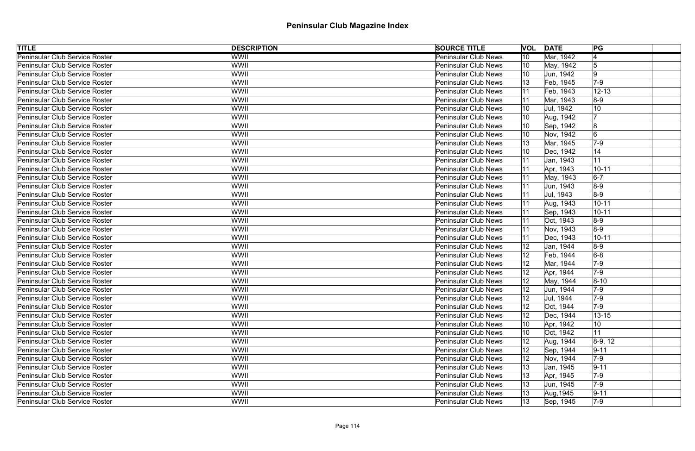| <b>TITLE</b>                   | <b>DESCRIPTION</b> | <b>SOURCE TITLE</b>         | <b>VOL</b>   | <b>DATE</b> | PG              |
|--------------------------------|--------------------|-----------------------------|--------------|-------------|-----------------|
| Peninsular Club Service Roster | <b>WWII</b>        | <b>Peninsular Club News</b> | 10           | Mar, 1942   |                 |
| Peninsular Club Service Roster | WWII               | <b>Peninsular Club News</b> | 10           | May, 1942   | 5               |
| Peninsular Club Service Roster | <b>WWII</b>        | <b>Peninsular Club News</b> | 10           | Jun, 1942   | 9               |
| Peninsular Club Service Roster | WWII               | <b>Peninsular Club News</b> |              | Feb, 1945   | $7-9$           |
| Peninsular Club Service Roster | WWII               | <b>Peninsular Club News</b> | 11           | Feb, 1943   | $12 - 13$       |
| Peninsular Club Service Roster | WWII               | <b>Peninsular Club News</b> |              | Mar, 1943   | $8-9$           |
| Peninsular Club Service Roster | WWII               | <b>Peninsular Club News</b> | 10           | Jul, 1942   | 10              |
| Peninsular Club Service Roster | WWII               | <b>Peninsular Club News</b> |              | Aug, 1942   |                 |
| Peninsular Club Service Roster | WWII               | <b>Peninsular Club News</b> | 10           | Sep, 1942   | $\overline{8}$  |
| Peninsular Club Service Roster | WWII               | <b>Peninsular Club News</b> | 10           | Nov, 1942   | $6\overline{6}$ |
| Peninsular Club Service Roster | WWII               | <b>Peninsular Club News</b> |              | Mar, 1945   | $7-9$           |
| Peninsular Club Service Roster | WWII               | <b>Peninsular Club News</b> |              | Dec, 1942   | 14              |
| Peninsular Club Service Roster | WWII               | <b>Peninsular Club News</b> | 11           | Jan, 1943   | 11              |
| Peninsular Club Service Roster | <b>WWII</b>        | <b>Peninsular Club News</b> |              | Apr, 1943   | $10 - 11$       |
| Peninsular Club Service Roster | WWII               | <b>Peninsular Club News</b> |              | May, 1943   | $6-7$           |
| Peninsular Club Service Roster | WWII               | <b>Peninsular Club News</b> |              | Jun, 1943   | $8-9$           |
| Peninsular Club Service Roster | WWII               | <b>Peninsular Club News</b> | 11           | Jul, 1943   | $8-9$           |
| Peninsular Club Service Roster | <b>WWII</b>        | <b>Peninsular Club News</b> | 11           | Aug, 1943   | $10 - 11$       |
| Peninsular Club Service Roster | WWII               | <b>Peninsular Club News</b> | 11           | Sep, 1943   | $10 - 11$       |
| Peninsular Club Service Roster | <b>WWII</b>        | <b>Peninsular Club News</b> | 11           | Oct, 1943   | $8-9$           |
| Peninsular Club Service Roster | WWII               | <b>Peninsular Club News</b> | 11           | Nov, 1943   | $8-9$           |
| Peninsular Club Service Roster | WWII               | <b>Peninsular Club News</b> | 11           | Dec, 1943   | $10 - 11$       |
| Peninsular Club Service Roster | WWII               | <b>Peninsular Club News</b> | 12           | Jan, 1944   | $8-9$           |
| Peninsular Club Service Roster | WWII               | <b>Peninsular Club News</b> | 12           | Feb, 1944   | $6-8$           |
| Peninsular Club Service Roster | WWII               | <b>Peninsular Club News</b> | 12           | Mar, 1944   | $7-9$           |
| Peninsular Club Service Roster | WWII               | <b>Peninsular Club News</b> | 12           | Apr, 1944   | $7-9$           |
| Peninsular Club Service Roster | WWII               | <b>Peninsular Club News</b> |              | May, 1944   | $8 - 10$        |
| Peninsular Club Service Roster | WWII               | Peninsular Club News        | 12           | Jun, 1944   | $7-9$           |
| Peninsular Club Service Roster | WWII               | Peninsular Club News        | 12           | Jul, 1944   | $7-9$           |
| Peninsular Club Service Roster | WWII               | <b>Peninsular Club News</b> | 12           | Oct, 1944   | $ 7-9 $         |
| Peninsular Club Service Roster | <b>WWII</b>        | <b>Peninsular Club News</b> | 12           | Dec, 1944   | $13 - 15$       |
| Peninsular Club Service Roster | WWII               | <b>Peninsular Club News</b> |              | Apr, 1942   | 10              |
| Peninsular Club Service Roster | <b>WWII</b>        | <b>Peninsular Club News</b> | 10           | Oct, 1942   | 11              |
| Peninsular Club Service Roster | WWII               | <b>Peninsular Club News</b> | 12           | Aug, 1944   | $8-9, 12$       |
| Peninsular Club Service Roster | <b>WWII</b>        | <b>Peninsular Club News</b> | 12           | Sep, 1944   | $9 - 11$        |
| Peninsular Club Service Roster | WWII               | <b>Peninsular Club News</b> |              | Nov, 1944   | $7-9$           |
| Peninsular Club Service Roster | <b>WWII</b>        | <b>Peninsular Club News</b> | 13           | Jan, 1945   | $9 - 11$        |
| Peninsular Club Service Roster | WWII               | <b>Peninsular Club News</b> | 13           | Apr, 1945   | $7-9$           |
| Peninsular Club Service Roster | <b>WWII</b>        | <b>Peninsular Club News</b> | 13           | Uun, 1945   | $ 7-9 $         |
| Peninsular Club Service Roster | WWII               | <b>Peninsular Club News</b> |              | Aug, 1945   | $9 - 11$        |
| Peninsular Club Service Roster | <b>WWII</b>        | <b>Peninsular Club News</b> | $ 13\rangle$ | Sep, 1945   | $7-9$           |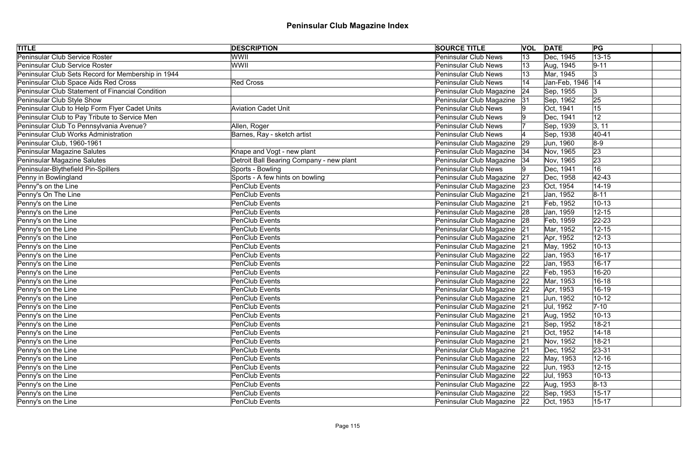| <b>TITLE</b>                                       | <b>DESCRIPTION</b>                       | <b>SOURCE TITLE</b>           |    | <b>VOL DATE</b>    | PG              |  |
|----------------------------------------------------|------------------------------------------|-------------------------------|----|--------------------|-----------------|--|
| <b>Peninsular Club Service Roster</b>              | <b>WWII</b>                              | <b>Peninsular Club News</b>   | 13 | Dec, 1945          | $13 - 15$       |  |
| Peninsular Club Service Roster                     | WWII                                     | <b>Peninsular Club News</b>   | 13 | Aug, 1945          | $9 - 11$        |  |
| Peninsular Club Sets Record for Membership in 1944 |                                          | <b>Peninsular Club News</b>   |    | Mar, 1945          | $\vert 3 \vert$ |  |
| Peninsular Club Space Aids Red Cross               | <b>Red Cross</b>                         | <b>Peninsular Club News</b>   |    | Jan-Feb, 1946   14 |                 |  |
| Peninsular Club Statement of Financial Condition   |                                          | Peninsular Club Magazine      | 24 | Sep, 1955          | 3               |  |
| Peninsular Club Style Show                         |                                          | Peninsular Club Magazine      | 31 | Sep, 1962          | 25              |  |
| Peninsular Club to Help Form Flyer Cadet Units     | <b>Aviation Cadet Unit</b>               | <b>Peninsular Club News</b>   |    | Oct, 1941          | 15              |  |
| Peninsular Club to Pay Tribute to Service Men      |                                          | Peninsular Club News          |    | Dec, 1941          | 12              |  |
| Peninsular Club To Pennsylvania Avenue?            | Allen, Roger                             | <b>Peninsular Club News</b>   |    | Sep, 1939          | 3, 11           |  |
| Peninsular Club Works Administration               | Barnes, Ray - sketch artist              | <b>Peninsular Club News</b>   |    | Sep, 1938          | $40 - 41$       |  |
| Peninsular Club, 1960-1961                         |                                          | Peninsular Club Magazine      | 29 | Jun, 1960          | $8-9$           |  |
| Peninsular Magazine Salutes                        | Knape and Vogt - new plant               | Peninsular Club Magazine      | 34 | Nov, 1965          | 23              |  |
| Peninsular Magazine Salutes                        | Detroit Ball Bearing Company - new plant | Peninsular Club Magazine      | 34 | Nov, 1965          | 23              |  |
| Peninsular-Blythefield Pin-Spillers                | Sports - Bowling                         | Peninsular Club News          |    | Dec, 1941          | 16              |  |
| Penny in Bowlingland                               | Sports - A few hints on bowling          | Peninsular Club Magazine      | 27 | Dec, 1958          | $ 42 - 43$      |  |
| Penny"s on the Line                                | <b>PenClub Events</b>                    | Peninsular Club Magazine      | 23 | Oct, 1954          | 14-19           |  |
| Penny's On The Line                                | <b>PenClub Events</b>                    | Peninsular Club Magazine      | 21 | Jan, 1952          | $8 - 11$        |  |
| Penny's on the Line                                | <b>PenClub Events</b>                    | Peninsular Club Magazine      | 21 | Feb, 1952          | $10 - 13$       |  |
| Penny's on the Line                                | <b>PenClub Events</b>                    | Peninsular Club Magazine      | 28 | Jan, 1959          | $12 - 15$       |  |
| Penny's on the Line                                | PenClub Events                           | Peninsular Club Magazine      | 28 | Feb, 1959          | $ 22 - 23 $     |  |
| Penny's on the Line                                | <b>PenClub Events</b>                    | Peninsular Club Magazine 21   |    | Mar, 1952          | $12 - 15$       |  |
| Penny's on the Line                                | <b>PenClub Events</b>                    | Peninsular Club Magazine 21   |    | Apr, 1952          | $12 - 13$       |  |
| Penny's on the Line                                | <b>PenClub Events</b>                    | Peninsular Club Magazine 21   |    | May, 1952          | $10 - 13$       |  |
| Penny's on the Line                                | PenClub Events                           | Peninsular Club Magazine      | 22 | Jan, 1953          | 16-17           |  |
| Penny's on the Line                                | <b>PenClub Events</b>                    | Peninsular Club Magazine 22   |    | Jan, 1953          | $16 - 17$       |  |
| Penny's on the Line                                | <b>PenClub Events</b>                    | Peninsular Club Magazine 22   |    | Feb, 1953          | 16-20           |  |
| Penny's on the Line                                | PenClub Events                           | Peninsular Club Magazine  22  |    | Mar, 1953          | $16 - 18$       |  |
| Penny's on the Line                                | <b>PenClub Events</b>                    | Peninsular Club Magazine 22   |    | Apr, 1953          | 16-19           |  |
| Penny's on the Line                                | <b>PenClub Events</b>                    | Peninsular Club Magazine 21   |    | Jun, 1952          | $10 - 12$       |  |
| Penny's on the Line                                | <b>PenClub Events</b>                    | Peninsular Club Magazine      | 21 | Jul, 1952          | $ 7 - 10 $      |  |
| Penny's on the Line                                | PenClub Events                           | Peninsular Club Magazine      | 21 | Aug, 1952          | $10-13$         |  |
| Penny's on the Line                                | <b>PenClub Events</b>                    | Peninsular Club Magazine      | 21 | Sep, 1952          | $18 - 21$       |  |
| Penny's on the Line                                | <b>PenClub Events</b>                    | Peninsular Club Magazine      | 21 | Oct, 1952          | $14 - 18$       |  |
| Penny's on the Line                                | PenClub Events                           | Peninsular Club Magazine      | 21 | Nov, 1952          | $18 - 21$       |  |
| Penny's on the Line                                | PenClub Events                           | Peninsular Club Magazine 21   |    | Dec, 1952          | $ 23 - 31 $     |  |
| Penny's on the Line                                | <b>PenClub Events</b>                    | Peninsular Club Magazine      | 22 | May, 1953          | $12 - 16$       |  |
| Penny's on the Line                                | PenClub Events                           | Peninsular Club Magazine      | 22 | Jun, 1953          | $12 - 15$       |  |
| Penny's on the Line                                | <b>PenClub Events</b>                    | Peninsular Club Magazine      | 22 | Jul, 1953          | $10 - 13$       |  |
| Penny's on the Line                                | PenClub Events                           | Peninsular Club Magazine   22 |    | Aug, 1953          | $ 8 - 13 $      |  |
| Penny's on the Line                                | <b>PenClub Events</b>                    | Peninsular Club Magazine 22   |    | Sep, 1953          | $15 - 17$       |  |
| Penny's on the Line                                | PenClub Events                           | Peninsular Club Magazine 22   |    | Oct, 1953          | $15 - 17$       |  |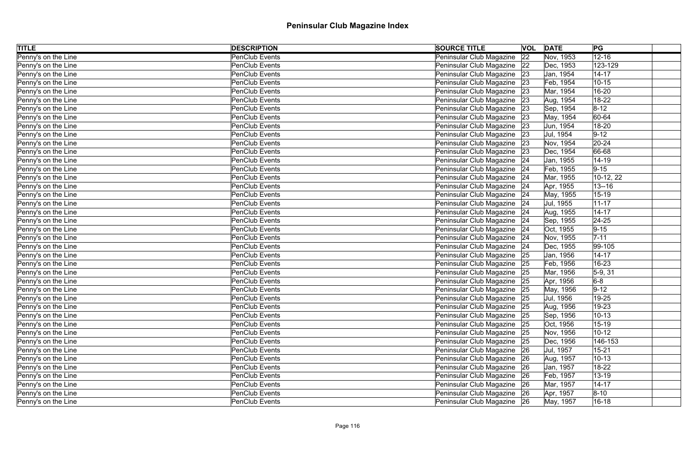| <b>TITLE</b>        | <b>DESCRIPTION</b>    | <b>SOURCE TITLE</b>           | VOL | <b>DATE</b> | PG          |
|---------------------|-----------------------|-------------------------------|-----|-------------|-------------|
| Penny's on the Line | <b>PenClub Events</b> | Peninsular Club Magazine 22   |     | Nov, 1953   | $12 - 16$   |
| Penny's on the Line | <b>PenClub Events</b> | Peninsular Club Magazine 22   |     | Dec, 1953   | 123-129     |
| Penny's on the Line | PenClub Events        | Peninsular Club Magazine 23   |     | Jan, 1954   | $14 - 17$   |
| Penny's on the Line | <b>PenClub Events</b> | Peninsular Club Magazine 23   |     | Feb, 1954   | $10 - 15$   |
| Penny's on the Line | <b>PenClub Events</b> | Peninsular Club Magazine   23 |     | Mar, 1954   | 16-20       |
| Penny's on the Line | PenClub Events        | Peninsular Club Magazine 23   |     | Aug, 1954   | 18-22       |
| Penny's on the Line | <b>PenClub Events</b> | Peninsular Club Magazine 23   |     | Sep, 1954   | $ 8-12 $    |
| Penny's on the Line | <b>PenClub Events</b> | Peninsular Club Magazine 23   |     | May, 1954   | $ 60 - 64$  |
| Penny's on the Line | <b>PenClub Events</b> | Peninsular Club Magazine 23   |     | Jun, 1954   | 18-20       |
| Penny's on the Line | <b>PenClub Events</b> | Peninsular Club Magazine 23   |     | Jul, 1954   | $9 - 12$    |
| Penny's on the Line | PenClub Events        | Peninsular Club Magazine      | 23  | Nov, 1954   | $20 - 24$   |
| Penny's on the Line | <b>PenClub Events</b> | Peninsular Club Magazine 23   |     | Dec, 1954   | 66-68       |
| Penny's on the Line | <b>PenClub Events</b> | Peninsular Club Magazine 24   |     | Jan, 1955   | 14-19       |
| Penny's on the Line | <b>PenClub Events</b> | Peninsular Club Magazine 24   |     | Feb, 1955   | $ 9-15 $    |
| Penny's on the Line | PenClub Events        | Peninsular Club Magazine 24   |     | Mar, 1955   | $10-12, 22$ |
| Penny's on the Line | <b>PenClub Events</b> | Peninsular Club Magazine 24   |     | Apr, 1955   | $13 - 16$   |
| Penny's on the Line | <b>PenClub Events</b> | Peninsular Club Magazine 24   |     | May, 1955   | $15 - 19$   |
| Penny's on the Line | <b>PenClub Events</b> | Peninsular Club Magazine 24   |     | Jul, 1955   | $ 11 - 17$  |
| Penny's on the Line | PenClub Events        | Peninsular Club Magazine 24   |     | Aug, 1955   | $14 - 17$   |
| Penny's on the Line | PenClub Events        | Peninsular Club Magazine 24   |     | Sep, 1955   | $ 24-25$    |
| Penny's on the Line | <b>PenClub Events</b> | Peninsular Club Magazine 24   |     | Oct, 1955   | $ 9-15 $    |
| Penny's on the Line | PenClub Events        | Peninsular Club Magazine 24   |     | Nov, 1955   | $7 - 11$    |
| Penny's on the Line | <b>PenClub Events</b> | Peninsular Club Magazine 24   |     | Dec, 1955   | 99-105      |
| Penny's on the Line | PenClub Events        | Peninsular Club Magazine 25   |     | Jan, 1956   | $14 - 17$   |
| Penny's on the Line | <b>PenClub Events</b> | Peninsular Club Magazine 25   |     | Feb, 1956   | 16-23       |
| Penny's on the Line | <b>PenClub Events</b> | Peninsular Club Magazine 25   |     | Mar, 1956   | $5-9, 31$   |
| Penny's on the Line | <b>PenClub Events</b> | Peninsular Club Magazine   25 |     | Apr, 1956   | $6-8$       |
| Penny's on the Line | <b>PenClub Events</b> | Peninsular Club Magazine 25   |     | May, 1956   | $ 9-12 $    |
| Penny's on the Line | <b>PenClub Events</b> | Peninsular Club Magazine 25   |     | Jul, 1956   | 19-25       |
| Penny's on the Line | <b>PenClub Events</b> | Peninsular Club Magazine      | 25  | Aug, 1956   | 19-23       |
| Penny's on the Line | <b>PenClub Events</b> | Peninsular Club Magazine 25   |     | Sep, 1956   | $10 - 13$   |
| Penny's on the Line | <b>PenClub Events</b> | Peninsular Club Magazine 25   |     | Oct, 1956   | $15 - 19$   |
| Penny's on the Line | PenClub Events        | Peninsular Club Magazine 25   |     | Nov, 1956   | $10 - 12$   |
| Penny's on the Line | PenClub Events        | Peninsular Club Magazine 25   |     | Dec, 1956   | 146-153     |
| Penny's on the Line | <b>PenClub Events</b> | Peninsular Club Magazine   26 |     | Jul, 1957   | $15 - 21$   |
| Penny's on the Line | <b>PenClub Events</b> | Peninsular Club Magazine 26   |     | Aug, 1957   | $10 - 13$   |
| Penny's on the Line | PenClub Events        | Peninsular Club Magazine   26 |     | Jan, 1957   | 18-22       |
| Penny's on the Line | <b>PenClub Events</b> | Peninsular Club Magazine 26   |     | Feb, 1957   | $13 - 19$   |
| Penny's on the Line | PenClub Events        | Peninsular Club Magazine 26   |     | Mar, 1957   | $14 - 17$   |
| Penny's on the Line | PenClub Events        | Peninsular Club Magazine 26   |     | Apr, 1957   | $ 8 - 10 $  |
| Penny's on the Line | PenClub Events        | Peninsular Club Magazine   26 |     | May, 1957   | $16 - 18$   |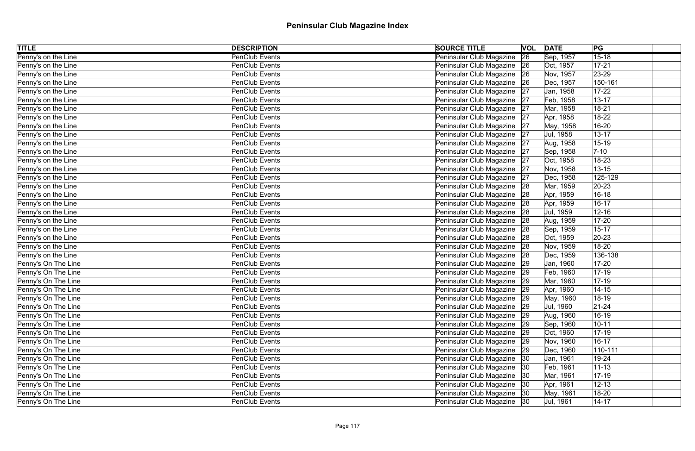| <b>TITLE</b>        | <b>DESCRIPTION</b>    | <b>SOURCE TITLE</b>           | VOL | <b>DATE</b> | PG            |
|---------------------|-----------------------|-------------------------------|-----|-------------|---------------|
| Penny's on the Line | <b>PenClub Events</b> | Peninsular Club Magazine      | 26  | Sep, 1957   | $15 - 18$     |
| Penny's on the Line | <b>PenClub Events</b> | Peninsular Club Magazine 26   |     | Oct, 1957   | $17 - 21$     |
| Penny's on the Line | PenClub Events        | Peninsular Club Magazine 26   |     | Nov, 1957   | $ 23 - 29$    |
| Penny's on the Line | <b>PenClub Events</b> | Peninsular Club Magazine 26   |     | Dec, 1957   | 150-161       |
| Penny's on the Line | PenClub Events        | Peninsular Club Magazine 27   |     | Jan, 1958   | $17 - 22$     |
| Penny's on the Line | PenClub Events        | Peninsular Club Magazine 27   |     | Feb, 1958   | $13 - 17$     |
| Penny's on the Line | <b>PenClub Events</b> | Peninsular Club Magazine 27   |     | Mar, 1958   | $18 - 21$     |
| Penny's on the Line | <b>PenClub Events</b> | Peninsular Club Magazine 27   |     | Apr, 1958   | 18-22         |
| Penny's on the Line | PenClub Events        | Peninsular Club Magazine 27   |     | May, 1958   | 16-20         |
| Penny's on the Line | <b>PenClub Events</b> | Peninsular Club Magazine 27   |     | Jul, 1958   | $13 - 17$     |
| Penny's on the Line | PenClub Events        | Peninsular Club Magazine      | 27  | Aug, 1958   | 15-19         |
| Penny's on the Line | <b>PenClub Events</b> | Peninsular Club Magazine 27   |     | Sep, 1958   | $7 - 10$      |
| Penny's on the Line | <b>PenClub Events</b> | Peninsular Club Magazine 27   |     | Oct, 1958   | 18-23         |
| Penny's on the Line | <b>PenClub Events</b> | Peninsular Club Magazine 27   |     | Nov, 1958   | $13 - 15$     |
| Penny's on the Line | <b>PenClub Events</b> | Peninsular Club Magazine 27   |     | Dec, 1958   | 125-129       |
| Penny's on the Line | <b>PenClub Events</b> | Peninsular Club Magazine 28   |     | Mar, 1959   | $ 20-23 $     |
| Penny's on the Line | <b>PenClub Events</b> | Peninsular Club Magazine      | 28  | Apr, 1959   | $16 - 18$     |
| Penny's on the Line | <b>PenClub Events</b> | Peninsular Club Magazine 28   |     | Apr, 1959   | $16 - 17$     |
| Penny's on the Line | PenClub Events        | Peninsular Club Magazine 28   |     | Jul, 1959   | $12 - 16$     |
| Penny's on the Line | PenClub Events        | Peninsular Club Magazine 28   |     | Aug, 1959   | $17 - 20$     |
| Penny's on the Line | <b>PenClub Events</b> | Peninsular Club Magazine 28   |     | Sep, 1959   | $15 - 17$     |
| Penny's on the Line | PenClub Events        | Peninsular Club Magazine 28   |     | Oct, 1959   | $20 - 23$     |
| Penny's on the Line | <b>PenClub Events</b> | Peninsular Club Magazine 28   |     | Nov, 1959   | 18-20         |
| Penny's on the Line | PenClub Events        | Peninsular Club Magazine 28   |     | Dec, 1959   | 136-138       |
| Penny's On The Line | <b>PenClub Events</b> | Peninsular Club Magazine 29   |     | Jan, 1960   | $ 17 - 20 $   |
| Penny's On The Line | <b>PenClub Events</b> | Peninsular Club Magazine 29   |     | Feb, 1960   | $17-19$       |
| Penny's On The Line | <b>PenClub Events</b> | Peninsular Club Magazine   29 |     | Mar, 1960   | $ 17 - 19$    |
| Penny's On The Line | <b>PenClub Events</b> | Peninsular Club Magazine 29   |     | Apr, 1960   | $14 - 15$     |
| Penny's On The Line | PenClub Events        | Peninsular Club Magazine 29   |     | May, 1960   | $18 - 19$     |
| Penny's On The Line | <b>PenClub Events</b> | Peninsular Club Magazine   29 |     | Jul, 1960   | $ 21 - 24$    |
| Penny's On The Line | <b>PenClub Events</b> | Peninsular Club Magazine 29   |     | Aug, 1960   | $16-19$       |
| Penny's On The Line | <b>PenClub Events</b> | Peninsular Club Magazine 29   |     | Sep, 1960   | $10 - 11$     |
| Penny's On The Line | PenClub Events        | Peninsular Club Magazine   29 |     | Oct, 1960   | $ 17 - 19 $   |
| Penny's On The Line | PenClub Events        | Peninsular Club Magazine 29   |     | Nov, 1960   | $16 - 17$     |
| Penny's On The Line | <b>PenClub Events</b> | Peninsular Club Magazine 29   |     | Dec, 1960   | $ 110 - 111 $ |
| Penny's On The Line | <b>PenClub Events</b> | Peninsular Club Magazine 30   |     | Jan, 1961   | 19-24         |
| Penny's On The Line | PenClub Events        | Peninsular Club Magazine  30  |     | Feb, 1961   | $ 11 - 13 $   |
| Penny's On The Line | <b>PenClub Events</b> | Peninsular Club Magazine   30 |     | Mar, 1961   | $17 - 19$     |
| Penny's On The Line | PenClub Events        | Peninsular Club Magazine   30 |     | Apr, 1961   | $12 - 13$     |
| Penny's On The Line | PenClub Events        | Peninsular Club Magazine 30   |     | May, 1961   | 18-20         |
| Penny's On The Line | PenClub Events        | Peninsular Club Magazine 30   |     | Jul, 1961   | $ 14 - 17 $   |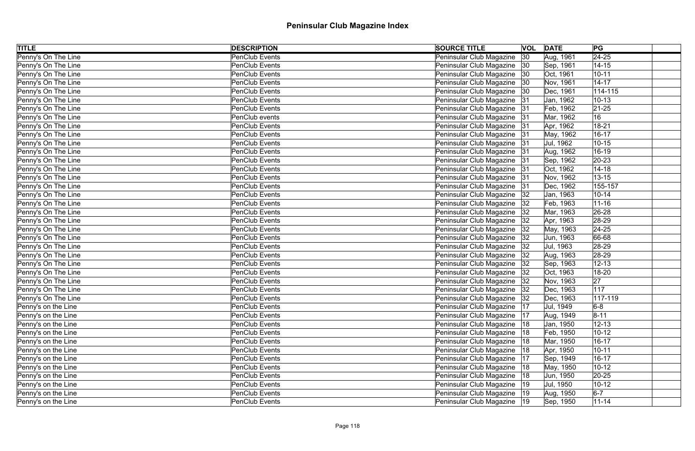| <b>TITLE</b>        | <b>DESCRIPTION</b>    | <b>SOURCE TITLE</b>           | VOL | <b>DATE</b> | PG             |
|---------------------|-----------------------|-------------------------------|-----|-------------|----------------|
| Penny's On The Line | <b>PenClub Events</b> | Peninsular Club Magazine      | 30  | Aug, 1961   | $\sqrt{24-25}$ |
| Penny's On The Line | <b>PenClub Events</b> | Peninsular Club Magazine  30  |     | Sep, 1961   | $14 - 15$      |
| Penny's On The Line | PenClub Events        | Peninsular Club Magazine   30 |     | Oct, 1961   | $10 - 11$      |
| Penny's On The Line | <b>PenClub Events</b> | Peninsular Club Magazine   30 |     | Nov, 1961   | $14 - 17$      |
| Penny's On The Line | PenClub Events        | Peninsular Club Magazine   30 |     | Dec, 1961   | 114-115        |
| Penny's On The Line | PenClub Events        | Peninsular Club Magazine 31   |     | Jan, 1962   | $10 - 13$      |
| Penny's On The Line | <b>PenClub Events</b> | Peninsular Club Magazine 31   |     | Feb, 1962   | $ 21 - 25 $    |
| Penny's On The Line | PenClub events        | Peninsular Club Magazine 31   |     | Mar, 1962   | 16             |
| Penny's On The Line | PenClub Events        | Peninsular Club Magazine 31   |     | Apr, 1962   | $18 - 21$      |
| Penny's On The Line | PenClub Events        | Peninsular Club Magazine 31   |     | May, 1962   | $16 - 17$      |
| Penny's On The Line | PenClub Events        | Peninsular Club Magazine 31   |     | Jul, 1962   | $10 - 15$      |
| Penny's On The Line | <b>PenClub Events</b> | Peninsular Club Magazine 31   |     | Aug, 1962   | 16-19          |
| Penny's On The Line | <b>PenClub Events</b> | Peninsular Club Magazine 31   |     | Sep, 1962   | $20 - 23$      |
| Penny's On The Line | <b>PenClub Events</b> | Peninsular Club Magazine 31   |     | Oct, 1962   | $14 - 18$      |
| Penny's On The Line | <b>PenClub Events</b> | Peninsular Club Magazine 31   |     | Nov, 1962   | $13 - 15$      |
| Penny's On The Line | <b>PenClub Events</b> | Peninsular Club Magazine 31   |     | Dec, 1962   | 155-157        |
| Penny's On The Line | <b>PenClub Events</b> | Peninsular Club Magazine      | 32  | Jan, 1963   | $10 - 14$      |
| Penny's On The Line | PenClub Events        | Peninsular Club Magazine   32 |     | Feb, 1963   | $ 11 - 16$     |
| Penny's On The Line | <b>PenClub Events</b> | Peninsular Club Magazine   32 |     | Mar, 1963   | 26-28          |
| Penny's On The Line | PenClub Events        | Peninsular Club Magazine   32 |     | Apr, 1963   | $ 28-29$       |
| Penny's On The Line | <b>PenClub Events</b> | Peninsular Club Magazine 32   |     | May, 1963   | $ 24 - 25 $    |
| Penny's On The Line | PenClub Events        | Peninsular Club Magazine   32 |     | Jun, 1963   | 66-68          |
| Penny's On The Line | <b>PenClub Events</b> | Peninsular Club Magazine 32   |     | Jul, 1963   | $ 28-29 $      |
| Penny's On The Line | PenClub Events        | Peninsular Club Magazine   32 |     | Aug, 1963   | $ 28-29$       |
| Penny's On The Line | <b>PenClub Events</b> | Peninsular Club Magazine 32   |     | Sep, 1963   | $12 - 13$      |
| Penny's On The Line | <b>PenClub Events</b> | Peninsular Club Magazine   32 |     | Oct, 1963   | 18-20          |
| Penny's On The Line | <b>PenClub Events</b> | Peninsular Club Magazine  32  |     | Nov, 1963   | 27             |
| Penny's On The Line | <b>PenClub Events</b> | Peninsular Club Magazine  32  |     | Dec, 1963   | 117            |
| Penny's On The Line | <b>PenClub Events</b> | Peninsular Club Magazine 32   |     | Dec, 1963   | $117 - 119$    |
| Penny's on the Line | <b>PenClub Events</b> | Peninsular Club Magazine      | 17  | Jul, 1949   | $6-8$          |
| Penny's on the Line | <b>PenClub Events</b> | Peninsular Club Magazine   17 |     | Aug, 1949   | $ 8 - 11 $     |
| Penny's on the Line | <b>PenClub Events</b> | Peninsular Club Magazine      | 18  | Jan, 1950   | $12 - 13$      |
| Penny's on the Line | PenClub Events        | Peninsular Club Magazine      | 18  | Feb, 1950   | $10 - 12$      |
| Penny's on the Line | PenClub Events        | Peninsular Club Magazine      | 18  | Mar, 1950   | $16 - 17$      |
| Penny's on the Line | <b>PenClub Events</b> | Peninsular Club Magazine   18 |     | Apr, 1950   | $10 - 11$      |
| Penny's on the Line | <b>PenClub Events</b> | Peninsular Club Magazine      | 17  | Sep, 1949   | $16 - 17$      |
| Penny's on the Line | PenClub Events        | Peninsular Club Magazine      | 18  | May, 1950   | $10 - 12$      |
| Penny's on the Line | <b>PenClub Events</b> | Peninsular Club Magazine   18 |     | Jun, 1950   | $ 20 - 25 $    |
| Penny's on the Line | PenClub Events        | Peninsular Club Magazine      | 19  | Jul, 1950   | $10-12$        |
| Penny's on the Line | PenClub Events        | Peninsular Club Magazine  19  |     | Aug, 1950   | $6-7$          |
| Penny's on the Line | PenClub Events        | Peninsular Club Magazine  19  |     | Sep, 1950   | $11 - 14$      |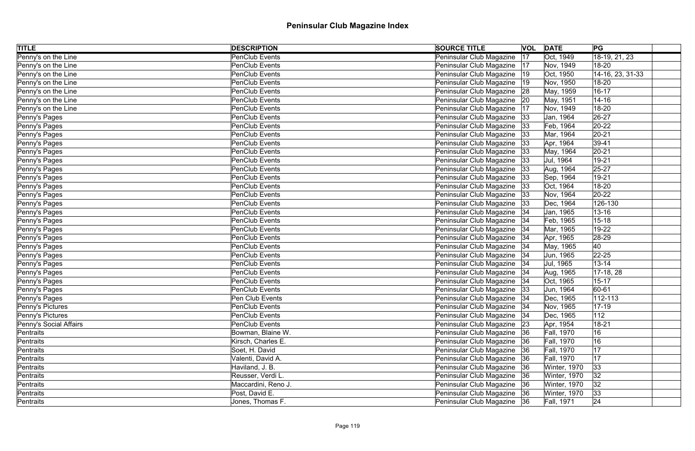| <b>TITLE</b>           | <b>DESCRIPTION</b>    | <b>SOURCE TITLE</b>           |    | <b>VOL DATE</b>   | PG               |  |
|------------------------|-----------------------|-------------------------------|----|-------------------|------------------|--|
| Penny's on the Line    | PenClub Events        | Peninsular Club Magazine      | 17 | Oct, 1949         | 18-19, 21, 23    |  |
| Penny's on the Line    | PenClub Events        | Peninsular Club Magazine      | 17 | Nov, 1949         | 18-20            |  |
| Penny's on the Line    | <b>PenClub Events</b> | Peninsular Club Magazine      | 19 | Oct, 1950         | 14-16, 23, 31-33 |  |
| Penny's on the Line    | PenClub Events        | Peninsular Club Magazine      | 19 | Nov, 1950         | 18-20            |  |
| Penny's on the Line    | PenClub Events        | Peninsular Club Magazine      | 28 | May, 1959         | $16 - 17$        |  |
| Penny's on the Line    | PenClub Events        | Peninsular Club Magazine   20 |    | May, 1951         | $14 - 16$        |  |
| Penny's on the Line    | <b>PenClub Events</b> | Peninsular Club Magazine      | 17 | Nov, 1949         | 18-20            |  |
| Penny's Pages          | PenClub Events        | Peninsular Club Magazine      | 33 | Jan, 1964         | $26 - 27$        |  |
| Penny's Pages          | <b>PenClub Events</b> | Peninsular Club Magazine      | 33 | Feb, 1964         | $20-22$          |  |
| Penny's Pages          | PenClub Events        | Peninsular Club Magazine      | 33 | Mar, 1964         | $ 20-21 $        |  |
| Penny's Pages          | PenClub Events        | Peninsular Club Magazine      | 33 | Apr, 1964         | $ 39-41$         |  |
| Penny's Pages          | PenClub Events        | Peninsular Club Magazine      | 33 | May, 1964         | $20 - 21$        |  |
| Penny's Pages          | <b>PenClub Events</b> | Peninsular Club Magazine      | 33 | Jul, 1964         | 19-21            |  |
| Penny's Pages          | PenClub Events        | Peninsular Club Magazine      | 33 | Aug, 1964         | $25 - 27$        |  |
| Penny's Pages          | PenClub Events        | Peninsular Club Magazine      | 33 | Sep, 1964         | 19-21            |  |
| Penny's Pages          | PenClub Events        | Peninsular Club Magazine      | 33 | Oct, 1964         | 18-20            |  |
| Penny's Pages          | <b>PenClub Events</b> | Peninsular Club Magazine      | 33 | Nov, 1964         | $20-22$          |  |
| Penny's Pages          | PenClub Events        | Peninsular Club Magazine      | 33 | Dec, 1964         | 126-130          |  |
| Penny's Pages          | PenClub Events        | Peninsular Club Magazine   34 |    | Jan, 1965         | $13 - 16$        |  |
| Penny's Pages          | PenClub Events        | Peninsular Club Magazine      | 34 | Feb, 1965         | $15 - 18$        |  |
| Penny's Pages          | PenClub Events        | Peninsular Club Magazine   34 |    | Mar, 1965         | 19-22            |  |
| Penny's Pages          | <b>PenClub Events</b> | Peninsular Club Magazine      | 34 | Apr, 1965         | $ 28-29$         |  |
| Penny's Pages          | PenClub Events        | Peninsular Club Magazine   34 |    | May, 1965         | 40               |  |
| Penny's Pages          | <b>PenClub Events</b> | Peninsular Club Magazine      | 34 | Jun, 1965         | $ 22 - 25 $      |  |
| Penny's Pages          | PenClub Events        | Peninsular Club Magazine   34 |    | Jul, 1965         | $13 - 14$        |  |
| Penny's Pages          | PenClub Events        | Peninsular Club Magazine      | 34 | Aug, 1965         | 17-18, 28        |  |
| Penny's Pages          | PenClub Events        | Peninsular Club Magazine 34   |    | Oct, 1965         | $15 - 17$        |  |
| Penny's Pages          | PenClub Events        | Peninsular Club Magazine      | 33 | Jun, 1964         | 60-61            |  |
| Penny's Pages          | Pen Club Events       | Peninsular Club Magazine 34   |    | Dec, 1965         | 112-113          |  |
| Penny's Pictures       | PenClub Events        | Peninsular Club Magazine      | 34 | Nov, 1965         | $17-19$          |  |
| Penny's Pictures       | PenClub Events        | Peninsular Club Magazine   34 |    | Dec, 1965         | 112              |  |
| Penny's Social Affairs | PenClub Events        | Peninsular Club Magazine      | 23 | Apr, 1954         | $18 - 21$        |  |
| Pentraits              | Bowman, Blaine W.     | Peninsular Club Magazine 36   |    | <b>Fall, 1970</b> | 16               |  |
| Pentraits              | Kirsch, Charles E.    | Peninsular Club Magazine 36   |    | Fall, 1970        | 16               |  |
| Pentraits              | Soet, H. David        | Peninsular Club Magazine 36   |    | <b>Fall, 1970</b> | 17               |  |
| Pentraits              | Valenti, David A.     | Peninsular Club Magazine 36   |    | <b>Fall, 1970</b> | 17               |  |
| Pentraits              | Haviland, J. B.       | Peninsular Club Magazine 36   |    | Winter, 1970      | 33               |  |
| Pentraits              | Reusser, Verdi L.     | Peninsular Club Magazine 36   |    | Winter, 1970      | 32               |  |
| Pentraits              | Maccardini, Reno J.   | Peninsular Club Magazine 36   |    | Winter, 1970      | 32               |  |
| Pentraits              | Post, David E.        | Peninsular Club Magazine 36   |    | Winter, 1970      | 33               |  |
| Pentraits              | Jones, Thomas F.      | Peninsular Club Magazine 36   |    | <b>Fall, 1971</b> | 24               |  |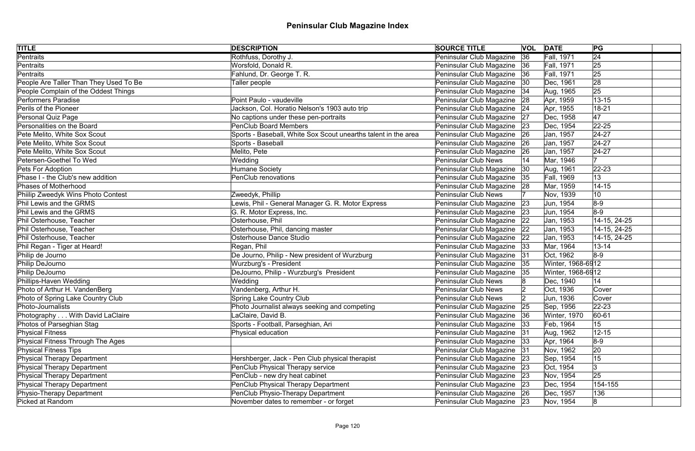| <b>TITLE</b>                             | <b>DESCRIPTION</b>                                             | <b>SOURCE TITLE</b>           | <b>VOL DATE</b> |                   | PG              |
|------------------------------------------|----------------------------------------------------------------|-------------------------------|-----------------|-------------------|-----------------|
| <b>Pentraits</b>                         | Rothfuss, Dorothy J.                                           | Peninsular Club Magazine      | 36              | <b>Fall, 1971</b> | $\overline{24}$ |
| Pentraits                                | Worsfold, Donald R.                                            | Peninsular Club Magazine   36 |                 | <b>Fall, 1971</b> | 25              |
| Pentraits                                | Fahlund, Dr. George T. R.                                      | Peninsular Club Magazine 36   |                 | <b>Fall, 1971</b> | 25              |
| People Are Taller Than They Used To Be   | Taller people                                                  | Peninsular Club Magazine 30   |                 | Dec, 1961         | 28              |
| People Complain of the Oddest Things     |                                                                | Peninsular Club Magazine   34 |                 | Aug, 1965         | 25              |
| <b>Performers Paradise</b>               | Point Paulo - vaudeville                                       | Peninsular Club Magazine 28   |                 | Apr, 1959         | $13 - 15$       |
| Perils of the Pioneer                    | Jackson, Col. Horatio Nelson's 1903 auto trip                  | Peninsular Club Magazine 24   |                 | Apr, 1955         | $18 - 21$       |
| Personal Quiz Page                       | No captions under these pen-portraits                          | Peninsular Club Magazine 27   |                 | Dec, 1958         | 47              |
| Personalities on the Board               | <b>PenClub Board Members</b>                                   | Peninsular Club Magazine 23   |                 | Dec, 1954         | $ 22 - 25 $     |
| Pete Melito, White Sox Scout             | Sports - Baseball, White Sox Scout unearths talent in the area | Peninsular Club Magazine 26   |                 | Jan, 1957         | $ 24-27$        |
| Pete Melito, White Sox Scout             | Sports - Baseball                                              | Peninsular Club Magazine 26   |                 | Jan, 1957         | $ 24-27$        |
| Pete Melito, White Sox Scout             | Melito, Pete                                                   | Peninsular Club Magazine 26   |                 | Jan, 1957         | $24 - 27$       |
| Petersen-Goethel To Wed                  | Wedding                                                        | Peninsular Club News          |                 | Mar, 1946         |                 |
| Pets For Adoption                        | Humane Society                                                 | Peninsular Club Magazine      | 30              | Aug, 1961         | $22 - 23$       |
| Phase I - the Club's new addition        | PenClub renovations                                            | Peninsular Club Magazine 35   |                 | <b>Fall, 1969</b> | 13              |
| <b>Phases of Motherhood</b>              |                                                                | Peninsular Club Magazine 28   |                 | Mar, 1959         | $14 - 15$       |
| Phiilip Zweedyk Wins Photo Contest       | Zweedyk, Phillip                                               | Peninsular Club News          |                 | Nov, 1939         | 10              |
| Phil Lewis and the GRMS                  | Lewis, Phil - General Manager G. R. Motor Express              | Peninsular Club Magazine 23   |                 | Jun, 1954         | $8-9$           |
| Phil Lewis and the GRMS                  | G. R. Motor Express, Inc.                                      | Peninsular Club Magazine 23   |                 | Jun, 1954         | $8-9$           |
| Phil Osterhouse, Teacher                 | Osterhouse, Phil                                               | Peninsular Club Magazine 22   |                 | Jan, 1953         | 14-15, 24-25    |
| Phil Osterhouse, Teacher                 | Osterhouse, Phil, dancing master                               | Peninsular Club Magazine   22 |                 | Jan, 1953         | 14-15, 24-25    |
| Phil Osterhouse, Teacher                 | <b>Osterhouse Dance Studio</b>                                 | Peninsular Club Magazine 22   |                 | Jan, 1953         | 14-15, 24-25    |
| Phil Regan - Tiger at Heard!             | Regan, Phil                                                    | Peninsular Club Magazine   33 |                 | Mar, 1964         | $13 - 14$       |
| Philip de Journo                         | De Journo, Philip - New president of Wurzburg                  | Peninsular Club Magazine 31   |                 | Oct, 1962         | $8-9$           |
| Philip DeJourno                          | Wurzburg's - President                                         | Peninsular Club Magazine 35   |                 | Winter, 1968-6912 |                 |
| Philip DeJourno                          | DeJourno, Philip - Wurzburg's President                        | Peninsular Club Magazine 35   |                 | Winter, 1968-6912 |                 |
| Phillips-Haven Wedding                   | Wedding                                                        | Peninsular Club News          |                 | Dec, 1940         | 14              |
| Photo of Arthur H. VandenBerg            | Vandenberg, Arthur H.                                          | Peninsular Club News          |                 | Oct, 1936         | Cover           |
| Photo of Spring Lake Country Club        | Spring Lake Country Club                                       | Peninsular Club News          |                 | Jun, 1936         | Cover           |
| Photo-Journalists                        | Photo Journalist always seeking and competing                  | Peninsular Club Magazine      | 25              | Sep, 1956         | $22 - 23$       |
| Photography With David LaClaire          | LaClaire, David B.                                             | Peninsular Club Magazine 36   |                 | Winter, 1970      | 60-61           |
| Photos of Parseghian Stag                | Sports - Football, Parseghian, Ari                             | Peninsular Club Magazine      | 33              | Feb, 1964         | 15              |
| <b>Physical Fitness</b>                  | Physical education                                             | Peninsular Club Magazine      | 31              | Aug, 1962         | $12 - 15$       |
| <b>Physical Fitness Through The Ages</b> |                                                                | Peninsular Club Magazine      | 33              | Apr, 1964         | $8-9$           |
| <b>Physical Fitness Tips</b>             |                                                                | Peninsular Club Magazine 31   |                 | Nov, 1962         | 20              |
| <b>Physical Therapy Department</b>       | Hershberger, Jack - Pen Club physical therapist                | Peninsular Club Magazine 23   |                 | Sep, 1954         | 15              |
| <b>Physical Therapy Department</b>       | PenClub Physical Therapy service                               | Peninsular Club Magazine   23 |                 | Oct, 1954         | 3               |
| <b>Physical Therapy Department</b>       | PenClub - new dry heat cabinet                                 | Peninsular Club Magazine 23   |                 | Nov, 1954         | 25              |
| <b>Physical Therapy Department</b>       | PenClub Physical Therapy Department                            | Peninsular Club Magazine 23   |                 | Dec, 1954         | 154-155         |
| Physio-Therapy Department                | PenClub Physio-Therapy Department                              | Peninsular Club Magazine 26   |                 | Dec, 1957         | 136             |
| Picked at Random                         | November dates to remember - or forget                         | Peninsular Club Magazine 23   |                 | Nov, 1954         | 8               |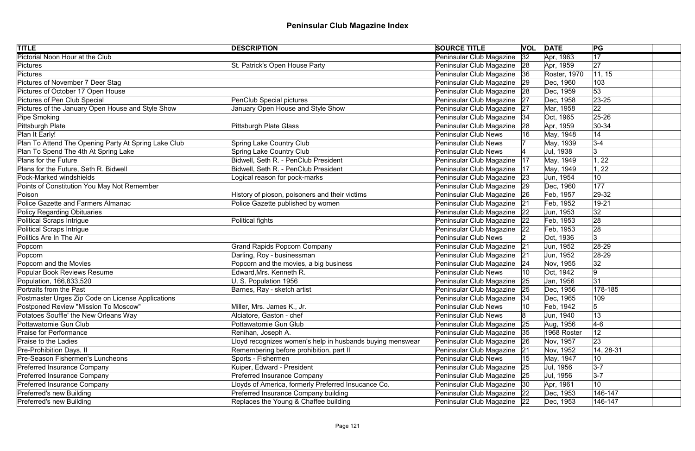| <b>TITLE</b>                                         | <b>DESCRIPTION</b>                                        | <b>SOURCE TITLE</b>           | <b>VOL DATE</b> |              | PG              |
|------------------------------------------------------|-----------------------------------------------------------|-------------------------------|-----------------|--------------|-----------------|
| <b>Pictorial Noon Hour at the Club</b>               |                                                           | Peninsular Club Magazine      | 32              | Apr, 1963    | $\overline{17}$ |
| <b>Pictures</b>                                      | St. Patrick's Open House Party                            | Peninsular Club Magazine 28   |                 | Apr, 1959    | 27              |
| <b>Pictures</b>                                      |                                                           | Peninsular Club Magazine 36   |                 | Roster, 1970 | 11, 15          |
| Pictures of November 7 Deer Stag                     |                                                           | Peninsular Club Magazine 29   |                 | Dec, 1960    | 103             |
| Pictures of October 17 Open House                    |                                                           | Peninsular Club Magazine 28   |                 | Dec, 1959    | 53              |
| Pictures of Pen Club Special                         | PenClub Special pictures                                  | Peninsular Club Magazine 27   |                 | Dec, 1958    | $23 - 25$       |
| Pictures of the January Open House and Style Show    | January Open House and Style Show                         | Peninsular Club Magazine      | 27              | Mar, 1958    | 22              |
| Pipe Smoking                                         |                                                           | Peninsular Club Magazine   34 |                 | Oct, 1965    | 25-26           |
| Pittsburgh Plate                                     | Pittsburgh Plate Glass                                    | Peninsular Club Magazine      | 28              | Apr, 1959    | 30-34           |
| Plan It Early!                                       |                                                           | Peninsular Club News          |                 | May, 1948    | 14              |
| Plan To Attend The Opening Party At Spring Lake Club | Spring Lake Country Club                                  | Peninsular Club News          |                 | May, 1939    | $3 - 4$         |
| Plan To Spend The 4th At Spring Lake                 | Spring Lake Country Club                                  | Peninsular Club News          |                 | Jul, 1938    | 3               |
| Plans for the Future                                 | Bidwell, Seth R. - PenClub President                      | Peninsular Club Magazine      | 17              | May, 1949    | 1, 22           |
| Plans for the Future, Seth R. Bidwell                | Bidwell, Seth R. - PenClub President                      | Peninsular Club Magazine      | 17              | May, 1949    | 1, 22           |
| Pock-Marked windshields                              | Logical reason for pock-marks                             | Peninsular Club Magazine      | 23              | Jun, 1954    | 10              |
| Points of Constitution You May Not Remember          |                                                           | Peninsular Club Magazine      | 29              | Dec, 1960    | 177             |
| Poison                                               | History of pioson, poisoners and their victims            | Peninsular Club Magazine      | 26              | Feb, 1957    | 29-32           |
| Police Gazette and Farmers Almanac                   | Police Gazette published by women                         | Peninsular Club Magazine      | 21              | Feb, 1952    | 19-21           |
| <b>Policy Regarding Obituaries</b>                   |                                                           | Peninsular Club Magazine      | 22              | Jun, 1953    | 32              |
| <b>Political Scraps Intrigue</b>                     | Political fights                                          | Peninsular Club Magazine      | 22              | Feb, 1953    | 28              |
| Political Scraps Intrigue                            |                                                           | Peninsular Club Magazine      | 22              | Feb, 1953    | 28              |
| Politics Are In The Air                              |                                                           | Peninsular Club News          |                 | Oct, 1936    | 3               |
| Popcorn                                              | <b>Grand Rapids Popcorn Company</b>                       | Peninsular Club Magazine 21   |                 | Jun, 1952    | 28-29           |
| Popcorn                                              | Darling, Roy - businessman                                | Peninsular Club Magazine 21   |                 | Jun, 1952    | $ 28-29$        |
| Popcorn and the Movies                               | Popcorn and the movies, a big business                    | Peninsular Club Magazine   24 |                 | Nov, 1955    | 32              |
| Popular Book Reviews Resume                          | Edward, Mrs. Kenneth R.                                   | <b>Peninsular Club News</b>   |                 | Oct, 1942    | 9               |
| Population, 166,833,520                              | U. S. Population 1956                                     | Peninsular Club Magazine 25   |                 | Jan, 1956    | 31              |
| Portraits from the Past                              | Barnes, Ray - sketch artist                               | Peninsular Club Magazine 25   |                 | Dec, 1956    | 178-185         |
| Postmaster Urges Zip Code on License Applications    |                                                           | Peninsular Club Magazine   34 |                 | Dec, 1965    | 109             |
| Postponed Review "Mission To Moscow"                 | Miller, Mrs. James K., Jr.                                | Peninsular Club News          |                 | Feb, 1942    |                 |
| Potatoes Souffle' the New Orleans Way                | Alciatore, Gaston - chef                                  | Peninsular Club News          | 18              | Jun, 1940    | 13              |
| Pottawatomie Gun Club                                | Pottawatomie Gun Glub                                     | Peninsular Club Magazine      | 25              | Aug, 1956    | $4-6$           |
| <b>Praise for Performance</b>                        | Renihan, Joseph A.                                        | Peninsular Club Magazine      | 35              | 1968 Roster  | 12              |
| Praise to the Ladies                                 | Lloyd recognizes women's help in husbands buying menswear | Peninsular Club Magazine      | 26              | Nov, 1957    | 23              |
| Pre-Prohibition Days, II                             | Remembering before prohibition, part II                   | Peninsular Club Magazine      | 21              | Nov, 1952    | 14, 28-31       |
| Pre-Season Fishermen's Luncheons                     | Sports - Fishermen                                        | <b>Peninsular Club News</b>   | 15              | May, 1947    | 10              |
| <b>Preferred Insurance Company</b>                   | Kuiper, Edward - President                                | Peninsular Club Magazine      | 25              | Jul, 1956    | $ 3-7 $         |
| <b>Preferred Insurance Company</b>                   | <b>Preferred Insurance Company</b>                        | Peninsular Club Magazine 25   |                 | Jul, 1956    | $ 3-7 $         |
| <b>Preferred Insurance Company</b>                   | Lloyds of America, formerly Preferred Insucance Co.       | Peninsular Club Magazine  30  |                 | Apr, 1961    | 10              |
| Preferred's new Building                             | Preferred Insurance Company building                      | Peninsular Club Magazine 22   |                 | Dec, 1953    | 146-147         |
| Preferred's new Building                             | Replaces the Young & Chaffee building                     | Peninsular Club Magazine 22   |                 | Dec, 1953    | 146-147         |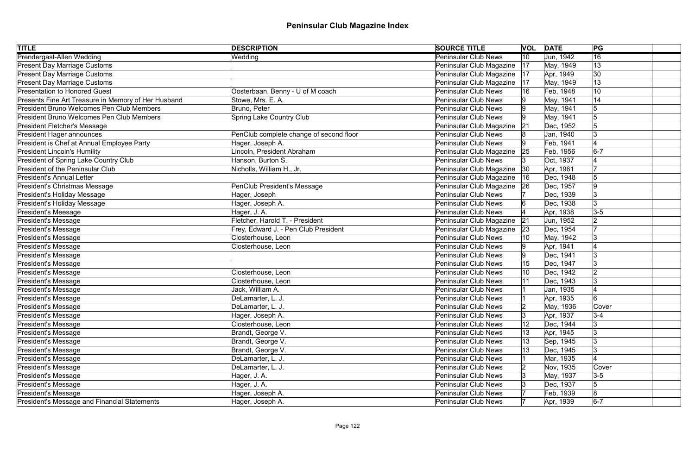| <b>TITLE</b>                                        | <b>DESCRIPTION</b>                      | <b>SOURCE TITLE</b>         |    | <b>VOL DATE</b> | PG             |  |
|-----------------------------------------------------|-----------------------------------------|-----------------------------|----|-----------------|----------------|--|
| Prendergast-Allen Wedding                           | Wedding                                 | <b>Peninsular Club News</b> | 10 | Jun, 1942       | 16             |  |
| <b>Present Day Marriage Customs</b>                 |                                         | Peninsular Club Magazine    | 17 | May, 1949       | 13             |  |
| <b>Present Day Marriage Customs</b>                 |                                         | Peninsular Club Magazine    | 17 | Apr, 1949       | 30             |  |
| <b>Present Day Marriage Customs</b>                 |                                         | Peninsular Club Magazine    | 17 | May, 1949       | 13             |  |
| <b>Presentation to Honored Guest</b>                | Oosterbaan, Benny - U of M coach        | <b>Peninsular Club News</b> | 16 | Feb, 1948       | 10             |  |
| Presents Fine Art Treasure in Memory of Her Husband | Stowe, Mrs. E. A.                       | <b>Peninsular Club News</b> |    | May, 1941       | 14             |  |
| <b>President Bruno Welcomes Pen Club Members</b>    | Bruno, Peter                            | <b>Peninsular Club News</b> |    | May, 1941       | 5              |  |
| President Bruno Welcomes Pen Club Members           | Spring Lake Country Club                | <b>Peninsular Club News</b> |    | May, 1941       |                |  |
| <b>President Fletcher's Message</b>                 |                                         | Peninsular Club Magazine    | 21 | Dec, 1952       |                |  |
| President Hager announces                           | PenClub complete change of second floor | <b>Peninsular Club News</b> |    | Jan, 1940       |                |  |
| President is Chef at Annual Employee Party          | Hager, Joseph A.                        | <b>Peninsular Club News</b> |    | Feb, 1941       |                |  |
| <b>President Lincoln's Humility</b>                 | Lincoln, President Abraham              | Peninsular Club Magazine    | 25 | Feb, 1956       | $6-7$          |  |
| President of Spring Lake Country Club               | Hanson, Burton S.                       | <b>Peninsular Club News</b> |    | Oct, 1937       |                |  |
| <b>President of the Peninsular Club</b>             | Nicholls, William H., Jr.               | Peninsular Club Magazine    | 30 | Apr, 1961       |                |  |
| <b>President's Annual Letter</b>                    |                                         | Peninsular Club Magazine    | 16 | Dec, 1948       |                |  |
| President's Christmas Message                       | PenClub President's Message             | Peninsular Club Magazine    | 26 | Dec, 1957       |                |  |
| President's Holiday Message                         | Hager, Joseph                           | <b>Peninsular Club News</b> |    | Dec, 1939       |                |  |
| President's Holiday Message                         | Hager, Joseph A.                        | <b>Peninsular Club News</b> |    | Dec, 1938       | <sup>3</sup>   |  |
| <b>President's Meesage</b>                          | Hager, J. A.                            | <b>Peninsular Club News</b> |    | Apr, 1938       | $3-5$          |  |
| President's Message                                 | Fletcher, Harold T. - President         | Peninsular Club Magazine    | 21 | Jun, 1952       | 2              |  |
| <b>President's Message</b>                          | Frey, Edward J. - Pen Club President    | Peninsular Club Magazine    | 23 | Dec, 1954       |                |  |
| <b>President's Message</b>                          | Closterhouse, Leon                      | <b>Peninsular Club News</b> |    | May, 1942       |                |  |
| <b>President's Message</b>                          | Closterhouse, Leon                      | <b>Peninsular Club News</b> |    | Apr, 1941       |                |  |
| <b>President's Message</b>                          |                                         | <b>Peninsular Club News</b> |    | Dec, 1941       |                |  |
| President's Message                                 |                                         | <b>Peninsular Club News</b> |    | Dec, 1947       |                |  |
| President's Message                                 | Closterhouse, Leon                      | <b>Peninsular Club News</b> |    | Dec, 1942       |                |  |
| President's Message                                 | Closterhouse, Leon                      | <b>Peninsular Club News</b> |    | Dec, 1943       |                |  |
| President's Message                                 | Jack, William A.                        | <b>Peninsular Club News</b> |    | Jan, 1935       |                |  |
| President's Message                                 | DeLamarter, L. J.                       | <b>Peninsular Club News</b> |    | Apr, 1935       |                |  |
| President's Message                                 | DeLamarter, L. J.                       | <b>Peninsular Club News</b> |    | May, 1936       | Cover          |  |
| <b>President's Message</b>                          | Hager, Joseph A.                        | <b>Peninsular Club News</b> | 13 | Apr, 1937       | $3 - 4$        |  |
| <b>President's Message</b>                          | Closterhouse, Leon                      | <b>Peninsular Club News</b> |    | Dec, 1944       |                |  |
| <b>President's Message</b>                          | Brandt, George V.                       | <b>Peninsular Club News</b> | 13 | Apr, 1945       | 13             |  |
| <b>President's Message</b>                          | Brandt, George V.                       | <b>Peninsular Club News</b> | 13 | Sep, 1945       | 13             |  |
| President's Message                                 | Brandt, George V.                       | <b>Peninsular Club News</b> | 13 | Dec, 1945       | 13             |  |
| President's Message                                 | DeLamarter, L. J.                       | <b>Peninsular Club News</b> |    | Mar, 1935       |                |  |
| President's Message                                 | DeLamarter, L. J.                       | <b>Peninsular Club News</b> |    | Nov, 1935       | Cover          |  |
| <b>President's Message</b>                          | Hager, J. A.                            | <b>Peninsular Club News</b> |    | May, 1937       | $ 3-5 $        |  |
| President's Message                                 | Hager, J. A.                            | <b>Peninsular Club News</b> |    | Dec, 1937       | 5              |  |
| President's Message                                 | Hager, Joseph A.                        | <b>Peninsular Club News</b> |    | Feb, 1939       | $\overline{8}$ |  |
| President's Message and Financial Statements        | Hager, Joseph A.                        | <b>Peninsular Club News</b> |    | Apr, 1939       | $6-7$          |  |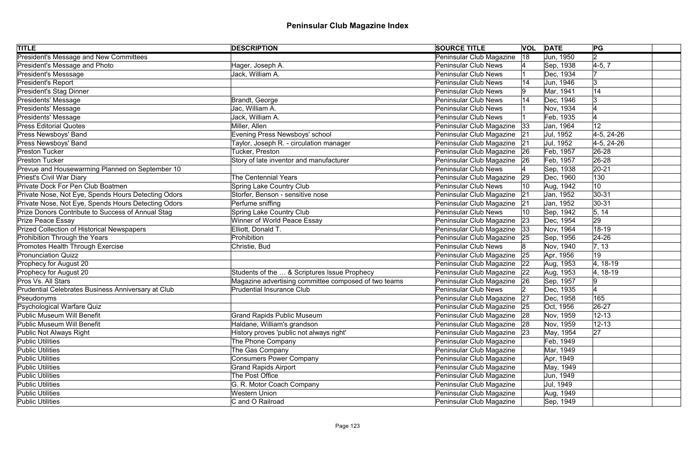| <b>TITLE</b>                                        | <b>DESCRIPTION</b>                                   | <b>SOURCE TITLE</b>           |    | <b>VOL DATE</b> | PG             |  |
|-----------------------------------------------------|------------------------------------------------------|-------------------------------|----|-----------------|----------------|--|
| <b>President's Message and New Committees</b>       |                                                      | Peninsular Club Magazine      | 18 | Jun, 1950       | $\overline{2}$ |  |
| President's Message and Photo                       | Hager, Joseph A.                                     | <b>Peninsular Club News</b>   |    | Sep, 1938       | $4-5, 7$       |  |
| President's Messsage                                | Jack, William A.                                     | <b>Peninsular Club News</b>   |    | Dec, 1934       |                |  |
| President's Report                                  |                                                      | <b>Peninsular Club News</b>   |    | Jun, 1946       | 3              |  |
| President's Stag Dinner                             |                                                      | <b>Peninsular Club News</b>   |    | Mar, 1941       | 14             |  |
| Presidents' Message                                 | Brandt, George                                       | <b>Peninsular Club News</b>   |    | Dec, 1946       | 13             |  |
| Presidents' Message                                 | Jac, William A.                                      | <b>Peninsular Club News</b>   |    | Nov, 1934       |                |  |
| Presidents' Message                                 | Jack, William A.                                     | <b>Peninsular Club News</b>   |    | Feb, 1935       |                |  |
| <b>Press Editorial Quotes</b>                       | Miller, Allen                                        | Peninsular Club Magazine      | 33 | Jan, 1964       | 12             |  |
| Press Newsboys' Band                                | Evening Press Newsboys' school                       | Peninsular Club Magazine      | 21 | Jul, 1952       | $4-5, 24-26$   |  |
| Press Newsboys' Band                                | Taylor, Joseph R. - circulation manager              | Peninsular Club Magazine      | 21 | Jul, 1952       | $4-5, 24-26$   |  |
| <b>Preston Tucker</b>                               | Tucker, Preston                                      | Peninsular Club Magazine      | 26 | Feb, 1957       | 26-28          |  |
| <b>Preston Tucker</b>                               | Story of late inventor and manufacturer              | Peninsular Club Magazine      | 26 | Feb, 1957       | 26-28          |  |
| Prevue and Housewarming Planned on September 10     |                                                      | <b>Peninsular Club News</b>   |    | Sep, 1938       | $20 - 21$      |  |
| Priest's Civil War Diary                            | <b>The Centennial Years</b>                          | Peninsular Club Magazine      | 29 | Dec, 1960       | 130            |  |
| Private Dock For Pen Club Boatmen                   | <b>Spring Lake Country Club</b>                      | <b>Peninsular Club News</b>   | 10 | Aug, 1942       | 10             |  |
| Private Nose, Not Eye, Spends Hours Detecting Odors | Storfer, Benson - sensitive nose                     | Peninsular Club Magazine      | 21 | Jan, 1952       | $30 - 31$      |  |
| Private Nose, Not Eye, Spends Hours Detecting Odors | Perfume sniffing                                     | Peninsular Club Magazine      | 21 | Jan, 1952       | $ 30-31$       |  |
| Prize Donors Contribute to Success of Annual Stag   | <b>Spring Lake Country Club</b>                      | <b>Peninsular Club News</b>   |    | Sep, 1942       | 5, 14          |  |
| Prize Peace Essay                                   | Winner of World Peace Essay                          | Peninsular Club Magazine      | 23 | Dec, 1954       | 29             |  |
| Prized Collection of Historical Newspapers          | Elliott, Donald T.                                   | Peninsular Club Magazine      | 33 | Nov, 1964       | 18-19          |  |
| Prohibition Through the Years                       | Prohibition                                          | Peninsular Club Magazine      | 25 | Sep, 1956       | $24 - 26$      |  |
| Promotes Health Through Exercise                    | Christie, Bud                                        | <b>Peninsular Club News</b>   |    | Nov, 1940       | 7, 13          |  |
| <b>Pronunciation Quizz</b>                          |                                                      | Peninsular Club Magazine      | 25 | Apr, 1956       | 19             |  |
| Prophecy for August 20                              |                                                      | Peninsular Club Magazine      | 22 | Aug, 1953       | 4, 18-19       |  |
| Prophecy for August 20                              | Students of the  & Scriptures Issue Prophecy         | Peninsular Club Magazine      | 22 | Aug, 1953       | $ 4, 18-19$    |  |
| Pros Vs. All Stars                                  | Magazine advertising committee composed of two teams | Peninsular Club Magazine      | 26 | Sep, 1957       |                |  |
| Prudential Celebrates Business Anniversary at Club  | <b>Prudential Insurance Club</b>                     | <b>Peninsular Club News</b>   |    | Dec, 1935       |                |  |
| Pseudonyms                                          |                                                      | Peninsular Club Magazine 27   |    | Dec, 1958       | 165            |  |
| Psychological Warfare Quiz                          |                                                      | Peninsular Club Magazine      | 25 | Oct, 1956       | 26-27          |  |
| Public Museum Will Benefit                          | <b>Grand Rapids Public Museum</b>                    | Peninsular Club Magazine 28   |    | Nov, 1959       | $12 - 13$      |  |
| Public Museum Will Benefit                          | Haldane, William's grandson                          | Peninsular Club Magazine      | 28 | Nov, 1959       | $12 - 13$      |  |
| Public Not Always Right                             | History proves 'public not always right'             | Peninsular Club Magazine   23 |    | May, 1954       | 27             |  |
| <b>Public Utilities</b>                             | The Phone Company                                    | Peninsular Club Magazine      |    | Feb, 1949       |                |  |
| <b>Public Utilities</b>                             | The Gas Company                                      | Peninsular Club Magazine      |    | Mar, 1949       |                |  |
| <b>Public Utilities</b>                             | <b>Consumers Power Company</b>                       | Peninsular Club Magazine      |    | Apr, 1949       |                |  |
| <b>Public Utilities</b>                             | <b>Grand Rapids Airport</b>                          | Peninsular Club Magazine      |    | May, 1949       |                |  |
| <b>Public Utilities</b>                             | The Post Office                                      | Peninsular Club Magazine      |    | Jun, 1949       |                |  |
| <b>Public Utilities</b>                             | G. R. Motor Coach Company                            | Peninsular Club Magazine      |    | Jul, 1949       |                |  |
| Public Utilities                                    | <b>Western Union</b>                                 | Peninsular Club Magazine      |    | Aug, 1949       |                |  |
| <b>Public Utilities</b>                             | C and O Railroad                                     | Peninsular Club Magazine      |    | Sep, 1949       |                |  |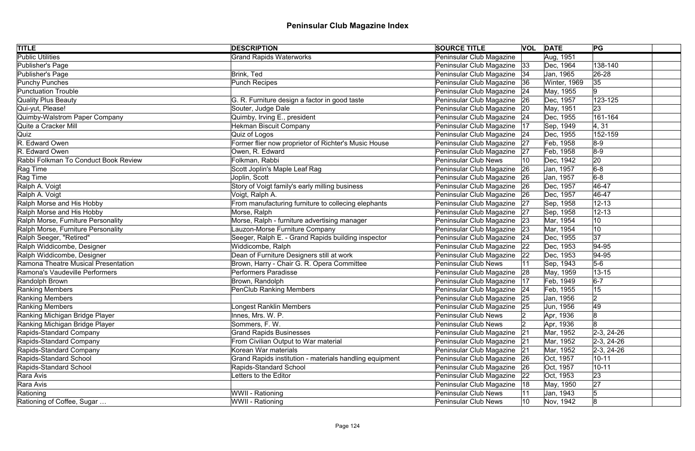| <b>TITLE</b>                         | <b>DESCRIPTION</b>                                      | <b>SOURCE TITLE</b>           |    | <b>VOL DATE</b> | PG           |
|--------------------------------------|---------------------------------------------------------|-------------------------------|----|-----------------|--------------|
| <b>Public Utilities</b>              | <b>Grand Rapids Waterworks</b>                          | Peninsular Club Magazine      |    | Aug, 1951       |              |
| Publisher's Page                     |                                                         | Peninsular Club Magazine 33   |    | Dec, 1964       | 138-140      |
| Publisher's Page                     | Brink, Ted                                              | Peninsular Club Magazine   34 |    | Jan, 1965       | 26-28        |
| Punchy Punches                       | Punch Recipes                                           | Peninsular Club Magazine 36   |    | Winter, 1969    | 35           |
| <b>Punctuation Trouble</b>           |                                                         | Peninsular Club Magazine      | 24 | May, 1955       | 9            |
| Quality Plus Beauty                  | G. R. Furniture design a factor in good taste           | Peninsular Club Magazine   26 |    | Dec, 1957       | 123-125      |
| Qui-yut, Please!                     | Souter, Judge Dale                                      | Peninsular Club Magazine      | 20 | May, 1951       | 23           |
| Quimby-Walstrom Paper Company        | Quimby, Irving E., president                            | Peninsular Club Magazine 24   |    | Dec, 1955       | 161-164      |
| Quite a Cracker Mill                 | <b>Hekman Biscuit Company</b>                           | Peninsular Club Magazine      | 17 | Sep, 1949       | 4, 31        |
| Quiz                                 | Quiz of Logos                                           | Peninsular Club Magazine 24   |    | Dec, 1955       | 152-159      |
| R. Edward Owen                       | Former flier now proprietor of Richter's Music House    | Peninsular Club Magazine      | 27 | Feb, 1958       | $8-9$        |
| R. Edward Owen                       | Owen, R. Edward                                         | Peninsular Club Magazine      | 27 | Feb, 1958       | $8-9$        |
| Rabbi Folkman To Conduct Book Review | Folkman, Rabbi                                          | <b>Peninsular Club News</b>   | 10 | Dec, 1942       | 20           |
| Rag Time                             | Scott Joplin's Maple Leaf Rag                           | Peninsular Club Magazine      | 26 | Jan, 1957       | $6-8$        |
| Rag Time                             | Joplin, Scott                                           | Peninsular Club Magazine 26   |    | Jan, 1957       | $6-8$        |
| Ralph A. Voigt                       | Story of Voigt family's early milling business          | Peninsular Club Magazine   26 |    | Dec, 1957       | 46-47        |
| Ralph A. Voigt                       | Voigt, Ralph A.                                         | Peninsular Club Magazine   26 |    | Dec, 1957       | $ 46 - 47$   |
| Ralph Morse and His Hobby            | From manufacturing furniture to collecing elephants     | Peninsular Club Magazine 27   |    | Sep, 1958       | $12 - 13$    |
| Ralph Morse and His Hobby            | Morse, Ralph                                            | Peninsular Club Magazine 27   |    | Sep, 1958       | $12 - 13$    |
| Ralph Morse, Furniture Personality   | Morse, Ralph - furniture advertising manager            | Peninsular Club Magazine 23   |    | Mar, 1954       | 10           |
| Ralph Morse, Furniture Personality   | Lauzon-Morse Furniture Company                          | Peninsular Club Magazine 23   |    | Mar, 1954       | 10           |
| Ralph Seeger, "Retired"              | Seeger, Ralph E. - Grand Rapids building inspector      | Peninsular Club Magazine   24 |    | Dec, 1955       | 37           |
| Ralph Widdicombe, Designer           | Widdicombe, Ralph                                       | Peninsular Club Magazine   22 |    | Dec, 1953       | $ 94 - 95$   |
| Ralph Widdicombe, Designer           | Dean of Furniture Designers still at work               | Peninsular Club Magazine      | 22 | Dec, 1953       | $ 94 - 95$   |
| Ramona Theatre Musical Presentation  | Brown, Harry - Chair G. R. Opera Committee              | Peninsular Club News          |    | Sep, 1943       | $5-6$        |
| Ramona's Vaudeville Performers       | <b>Performers Paradisse</b>                             | Peninsular Club Magazine 28   |    | May, 1959       | $13 - 15$    |
| Randolph Brown                       | Brown, Randolph                                         | Peninsular Club Magazine      | 17 | Feb, 1949       | $6-7$        |
| Ranking Members                      | PenClub Ranking Members                                 | Peninsular Club Magazine   24 |    | Feb, 1955       | 15           |
| Ranking Members                      |                                                         | Peninsular Club Magazine 25   |    | Jan, 1956       | 2            |
| <b>Ranking Members</b>               | Longest Ranklin Members                                 | Peninsular Club Magazine      | 25 | Jun, 1956       | 49           |
| Ranking Michigan Bridge Player       | Innes, Mrs. W. P.                                       | <b>Peninsular Club News</b>   |    | Apr, 1936       | 8            |
| Ranking Michigan Bridge Player       | Sommers, F.W.                                           | <b>Peninsular Club News</b>   |    | Apr, 1936       |              |
| Rapids-Standard Company              | <b>Grand Rapids Businesses</b>                          | Peninsular Club Magazine      | 21 | Mar, 1952       | $2-3, 24-26$ |
| Rapids-Standard Company              | From Civilian Output to War material                    | Peninsular Club Magazine      | 21 | Mar, 1952       | $2-3, 24-26$ |
| Rapids-Standard Company              | Korean War materials                                    | Peninsular Club Magazine      | 21 | Mar, 1952       | $2-3, 24-26$ |
| Rapids-Standard School               | Grand Rapids institution - materials handling equipment | Peninsular Club Magazine      | 26 | Oct, 1957       | $10 - 11$    |
| Rapids-Standard School               | Rapids-Standard School                                  | Peninsular Club Magazine      | 26 | Oct, 1957       | $10 - 11$    |
| Rara Avis                            | Letters to the Editor                                   | Peninsular Club Magazine      | 22 | Oct, 1953       | 23           |
| Rara Avis                            |                                                         | Peninsular Club Magazine      | 18 | May, 1950       | 27           |
| Rationing                            | WWII - Rationing                                        | Peninsular Club News          |    | Jan, 1943       | 5            |
| Rationing of Coffee, Sugar           | WWII - Rationing                                        | <b>Peninsular Club News</b>   | 10 | Nov, 1942       | 8            |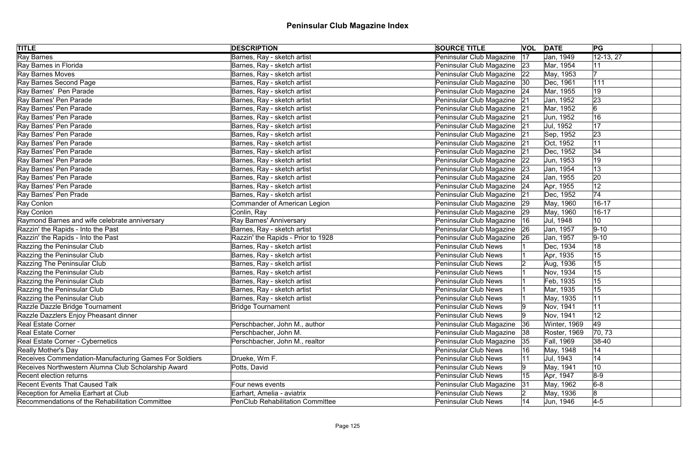| <b>TITLE</b>                                           | <b>DESCRIPTION</b>                      | <b>SOURCE TITLE</b>           |    | <b>VOL</b> DATE     | PG          |  |
|--------------------------------------------------------|-----------------------------------------|-------------------------------|----|---------------------|-------------|--|
| <b>Ray Barnes</b>                                      | Barnes, Ray - sketch artist             | Peninsular Club Magazine      | 17 | Jan, 1949           | $12-13, 27$ |  |
| Ray Barnes in Florida                                  | Barnes, Ray - sketch artist             | Peninsular Club Magazine 23   |    | Mar, 1954           | 11          |  |
| Ray Barnes Moves                                       | Barnes, Ray - sketch artist             | Peninsular Club Magazine   22 |    | May, 1953           |             |  |
| Ray Barnes Second Page                                 | Barnes, Ray - sketch artist             | Peninsular Club Magazine   30 |    | Dec, 1961           | 111         |  |
| Ray Barnes' Pen Parade                                 | Barnes, Ray - sketch artist             | Peninsular Club Magazine   24 |    | Mar, 1955           | 19          |  |
| Ray Barnes' Pen Parade                                 | Barnes, Ray - sketch artist             | Peninsular Club Magazine 21   |    | Jan, 1952           | 23          |  |
| Ray Barnes' Pen Parade                                 | Barnes, Ray - sketch artist             | Peninsular Club Magazine 21   |    | Mar, 1952           | 6           |  |
| Ray Barnes' Pen Parade                                 | Barnes, Ray - sketch artist             | Peninsular Club Magazine 21   |    | Jun, 1952           | 16          |  |
| Ray Barnes' Pen Parade                                 | Barnes, Ray - sketch artist             | Peninsular Club Magazine 21   |    | Jul, 1952           | 17          |  |
| Ray Barnes' Pen Parade                                 | Barnes, Ray - sketch artist             | Peninsular Club Magazine 21   |    | Sep, 1952           | 23          |  |
| Ray Barnes' Pen Parade                                 | Barnes, Ray - sketch artist             | Peninsular Club Magazine      | 21 | Oct, 1952           | 11          |  |
| Ray Barnes' Pen Parade                                 | Barnes, Ray - sketch artist             | Peninsular Club Magazine      | 21 | Dec, 1952           | 34          |  |
| Ray Barnes' Pen Parade                                 | Barnes, Ray - sketch artist             | Peninsular Club Magazine      | 22 | Jun, 1953           | 19          |  |
| Ray Barnes' Pen Parade                                 | Barnes, Ray - sketch artist             | Peninsular Club Magazine      | 23 | Jan, 1954           | 13          |  |
| Ray Barnes' Pen Parade                                 | Barnes, Ray - sketch artist             | Peninsular Club Magazine 24   |    | Jan, 1955           | 20          |  |
| Ray Barnes' Pen Parade                                 | Barnes, Ray - sketch artist             | Peninsular Club Magazine      | 24 | Apr, 1955           | 12          |  |
| Ray Barnes' Pen Prade                                  | Barnes, Ray - sketch artist             | Peninsular Club Magazine      | 21 | Dec, 1952           | 74          |  |
| Ray Conlon                                             | Commander of American Legion            | Peninsular Club Magazine   29 |    | May, 1960           | $16 - 17$   |  |
| Ray Conlon                                             | Conlin, Ray                             | Peninsular Club Magazine   29 |    | May, 1960           | $16 - 17$   |  |
| Raymond Barnes and wife celebrate anniversary          | Ray Barnes' Anniversary                 | Peninsular Club Magazine      | 16 | Jul, 1948           | 10          |  |
| Razzin' the Rapids - Into the Past                     | Barnes, Ray - sketch artist             | Peninsular Club Magazine   26 |    | Jan, 1957           | $9 - 10$    |  |
| Razzin' the Rapids - Into the Past                     | Razzin' the Rapids - Prior to 1928      | Peninsular Club Magazine   26 |    | Jan, 1957           | $ 9 - 10 $  |  |
| Razzing the Peninsular Club                            | Barnes, Ray - sketch artist             | Peninsular Club News          |    | Dec, 1934           | 18          |  |
| Razzing the Peninsular Club                            | Barnes, Ray - sketch artist             | Peninsular Club News          |    | Apr, 1935           | 15          |  |
| Razzing The Peninsular Club                            | Barnes, Ray - sketch artist             | <b>Peninsular Club News</b>   |    | Aug, 1936           | 15          |  |
| Razzing the Peninsular Club                            | Barnes, Ray - sketch artist             | <b>Peninsular Club News</b>   |    | Nov, 1934           | 15          |  |
| Razzing the Peninsular Club                            | Barnes, Ray - sketch artist             | Peninsular Club News          |    | Feb, 1935           | 15          |  |
| Razzing the Peninsular Club                            | Barnes, Ray - sketch artist             | <b>Peninsular Club News</b>   |    | Mar, 1935           | 15          |  |
| Razzing the Peninsular Club                            | Barnes, Ray - sketch artist             | <b>Peninsular Club News</b>   |    | May, 1935           | 11          |  |
| Razzle Dazzle Bridge Tournament                        | <b>Bridge Tournament</b>                | <b>Peninsular Club News</b>   | Ι9 | Nov, 1941           | 11          |  |
| Razzle Dazzlers Enjoy Pheasant dinner                  |                                         | <b>Peninsular Club News</b>   |    | Nov, 1941           | 12          |  |
| <b>Real Estate Corner</b>                              | Perschbacher, John M., author           | Peninsular Club Magazine      | 36 | Winter, 1969        | 49          |  |
| <b>Real Estate Corner</b>                              | Perschbacher, John M.                   | Peninsular Club Magazine      | 38 | <b>Roster, 1969</b> | 70, 73      |  |
| Real Estate Corner - Cybernetics                       | Perschbacher, John M., realtor          | Peninsular Club Magazine      | 35 | Fall, 1969          | $ 38-40 $   |  |
| <b>Really Mother's Day</b>                             |                                         | <b>Peninsular Club News</b>   | 16 | May, 1948           | 14          |  |
| Receives Commendation-Manufacturing Games For Soldiers | Drueke, Wm F.                           | <b>Peninsular Club News</b>   | 11 | Jul, 1943           | 14          |  |
| Receives Northwestern Alumna Club Scholarship Award    | Potts, David                            | <b>Peninsular Club News</b>   |    | May, 1941           | 10          |  |
| <b>Recent election returns</b>                         |                                         | <b>Peninsular Club News</b>   | 15 | Apr, 1947           | $8-9$       |  |
| <b>Recent Events That Caused Talk</b>                  | Four news events                        | Peninsular Club Magazine      | 31 | May, 1962           | $6-8$       |  |
| Reception for Amelia Earhart at Club                   | Earhart, Amelia - aviatrix              | <b>Peninsular Club News</b>   |    | May, 1936           | 8           |  |
| Recommendations of the Rehabilitation Committee        | <b>PenClub Rehabilitation Committee</b> | Peninsular Club News          | 14 | Jun, 1946           | $4-5$       |  |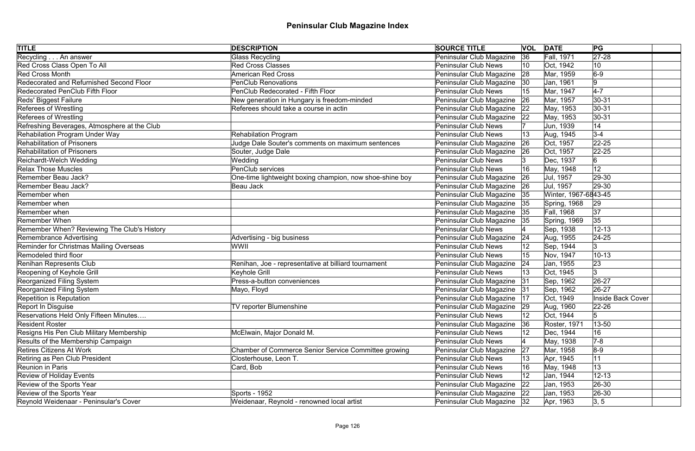| <b>TITLE</b>                                 | <b>DESCRIPTION</b>                                       | <b>SOURCE TITLE</b>           |    | <b>VOL DATE</b>      | PG                |
|----------------------------------------------|----------------------------------------------------------|-------------------------------|----|----------------------|-------------------|
| Recycling An answer                          | <b>Glass Recycling</b>                                   | Peninsular Club Magazine      | 36 | Fall, 1971           | $\sqrt{27-28}$    |
| Red Cross Class Open To All                  | <b>Red Cross Classes</b>                                 | <b>Peninsular Club News</b>   | 10 | Oct. 1942            | 10                |
| <b>Red Cross Month</b>                       | <b>American Red Cross</b>                                | Peninsular Club Magazine      | 28 | Mar, 1959            | $6-9$             |
| Redecorated and Refurnished Second Floor     | <b>PenClub Renovations</b>                               | Peninsular Club Magazine      | 30 | Jan, 1961            | 9                 |
| <b>Redecorated PenClub Fifth Floor</b>       | PenClub Redecorated - Fifth Floor                        | <b>Peninsular Club News</b>   | 15 | Mar, 1947            | $4-7$             |
| Reds' Biggest Failure                        | New generation in Hungary is freedom-minded              | Peninsular Club Magazine      | 26 | Mar, 1957            | $30 - 31$         |
| <b>Referees of Wrestling</b>                 | Referees should take a course in actin                   | Peninsular Club Magazine      | 22 | May, 1953            | $30 - 31$         |
| <b>Referees of Wrestling</b>                 |                                                          | Peninsular Club Magazine      | 22 | May, 1953            | $30 - 31$         |
| Refreshing Beverages, Atmosphere at the Club |                                                          | <b>Peninsular Club News</b>   |    | Jun, 1939            | 14                |
| <b>Rehabilation Program Under Way</b>        | <b>Rehabilation Program</b>                              | <b>Peninsular Club News</b>   |    | Aug, 1945            | $3-4$             |
| <b>Rehabilitation of Prisoners</b>           | Judge Dale Souter's comments on maximum sentences        | Peninsular Club Magazine      | 26 | Oct, 1957            | $22 - 25$         |
| <b>Rehabilitation of Prisoners</b>           | Souter, Judge Dale                                       | Peninsular Club Magazine      | 26 | Oct, 1957            | $22 - 25$         |
| Reichardt-Welch Wedding                      | Wedding                                                  | <b>Peninsular Club News</b>   |    | Dec, 1937            | $6 \,$            |
| <b>Relax Those Muscles</b>                   | PenClub services                                         | Peninsular Club News          | 16 | May, 1948            | 12                |
| Remember Beau Jack?                          | One-time lightweight boxing champion, now shoe-shine boy | Peninsular Club Magazine      | 26 | Jul, 1957            | 29-30             |
| Remember Beau Jack?                          | Beau Jack                                                | Peninsular Club Magazine      | 26 | Jul, 1957            | 29-30             |
| Remember when                                |                                                          | Peninsular Club Magazine      | 35 | Winter, 1967-6843-45 |                   |
| Remember when                                |                                                          | Peninsular Club Magazine      | 35 | Spring, 1968         | 29                |
| Remember when                                |                                                          | Peninsular Club Magazine      | 35 | Fall, 1968           | 37                |
| <b>Remember When</b>                         |                                                          | Peninsular Club Magazine      | 35 | Spring, 1969         | 35                |
| Remember When? Reviewing The Club's History  |                                                          | <b>Peninsular Club News</b>   |    | Sep, 1938            | $12 - 13$         |
| <b>Remembrance Advertising</b>               | Advertising - big business                               | Peninsular Club Magazine      | 24 | Aug, 1955            | $ 24-25 $         |
| Reminder for Christmas Mailing Overseas      | WWII                                                     | <b>Peninsular Club News</b>   |    | Sep, 1944            | Ι3                |
| Remodeled third floor                        |                                                          | <b>Peninsular Club News</b>   | 15 | Nov, 1947            | $10 - 13$         |
| Renihan Represents Club                      | Renihan, Joe - representative at billiard tournament     | Peninsular Club Magazine      | 24 | Jan, 1955            | 23                |
| Reopening of Keyhole Grill                   | Keyhole Grill                                            | <b>Peninsular Club News</b>   |    | Oct, 1945            | 3                 |
| Reorganized Filing System                    | Press-a-button conveniences                              | Peninsular Club Magazine      | 31 | Sep, 1962            | 26-27             |
| Reorganized Filing System                    | Mayo, Floyd                                              | Peninsular Club Magazine      | 31 | Sep, 1962            | 26-27             |
| <b>Repetition is Reputation</b>              |                                                          | Peninsular Club Magazine   17 |    | Oct, 1949            | Inside Back Cover |
| Report In Disguise                           | TV reporter Blumenshine                                  | Peninsular Club Magazine      | 29 | Aug, 1960            | $ 22 - 26 $       |
| Reservations Held Only Fifteen Minutes       |                                                          | <b>Peninsular Club News</b>   |    | Oct, 1944            | 5                 |
| <b>Resident Roster</b>                       |                                                          | Peninsular Club Magazine      | 36 | Roster, 1971         | 13-50             |
| Resigns His Pen Club Military Membership     | McElwain, Major Donald M.                                | <b>Peninsular Club News</b>   |    | Dec, 1944            | 16                |
| Results of the Membership Campaign           |                                                          | <b>Peninsular Club News</b>   |    | May, 1938            | $7-8$             |
| <b>Retires Citizens At Work</b>              | Chamber of Commerce Senior Service Committee growing     | Peninsular Club Magazine      | 27 | Mar, 1958            | $8-9$             |
| Retiring as Pen Club President               | Closterhouse, Leon T.                                    | <b>Peninsular Club News</b>   | 13 | Apr, 1945            | 11                |
| <b>Reunion in Paris</b>                      | Card, Bob                                                | <b>Peninsular Club News</b>   | 16 | May, 1948            | 13                |
| <b>Review of Holiday Events</b>              |                                                          | <b>Peninsular Club News</b>   | 12 | Jan, 1944            | $12 - 13$         |
| Review of the Sports Year                    |                                                          | Peninsular Club Magazine      | 22 | Jan, 1953            | $ 26-30$          |
| Review of the Sports Year                    | Sports - 1952                                            | Peninsular Club Magazine      | 22 | Jan, 1953            | $ 26-30 $         |
| Reynold Weidenaar - Peninsular's Cover       | Weidenaar, Reynold - renowned local artist               | Peninsular Club Magazine 32   |    | Apr, 1963            | 3, 5              |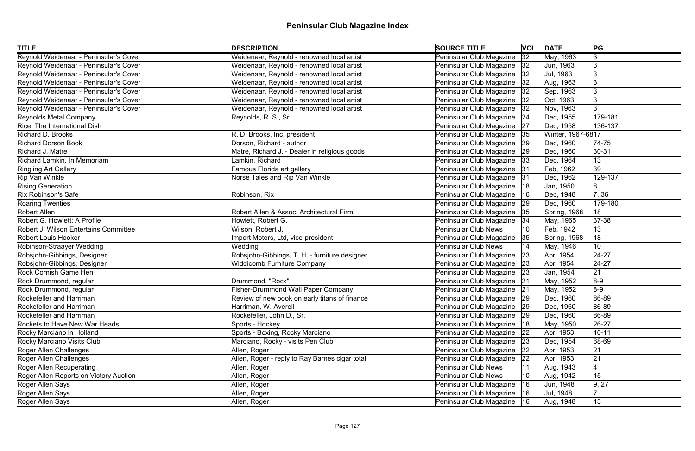| <b>TITLE</b>                           | <b>DESCRIPTION</b>                             | <b>SOURCE TITLE</b>           |    | <b>VOL DATE</b>   | PG              |
|----------------------------------------|------------------------------------------------|-------------------------------|----|-------------------|-----------------|
| Reynold Weidenaar - Peninsular's Cover | Weidenaar, Reynold - renowned local artist     | Peninsular Club Magazine      | 32 | May, 1963         | $\vert 3 \vert$ |
| Reynold Weidenaar - Peninsular's Cover | Weidenaar, Reynold - renowned local artist     | Peninsular Club Magazine      | 32 | Jun, 1963         | Ι3              |
| Reynold Weidenaar - Peninsular's Cover | Weidenaar, Reynold - renowned local artist     | Peninsular Club Magazine   32 |    | Jul, 1963         |                 |
| Reynold Weidenaar - Peninsular's Cover | Weidenaar, Reynold - renowned local artist     | Peninsular Club Magazine      | 32 | Aug, 1963         |                 |
| Reynold Weidenaar - Peninsular's Cover | Weidenaar, Reynold - renowned local artist     | Peninsular Club Magazine      | 32 | Sep, 1963         | Ι3              |
| Reynold Weidenaar - Peninsular's Cover | Weidenaar, Reynold - renowned local artist     | Peninsular Club Magazine   32 |    | Oct, 1963         | Ι3              |
| Reynold Weidenaar - Peninsular's Cover | Weidenaar, Reynold - renowned local artist     | Peninsular Club Magazine      | 32 | Nov, 1963         |                 |
| Reynolds Metal Company                 | Reynolds, R. S., Sr.                           | Peninsular Club Magazine   24 |    | Dec, 1955         | 179-181         |
| Rice, The International Dish           |                                                | Peninsular Club Magazine      | 27 | Dec, 1958         | 136-137         |
| <b>Richard D. Brooks</b>               | R. D. Brooks, Inc. president                   | Peninsular Club Magazine   35 |    | Winter, 1967-6817 |                 |
| <b>Richard Dorson Book</b>             | Dorson, Richard - author                       | Peninsular Club Magazine      | 29 | Dec, 1960         | $ 74-75$        |
| Richard J. Matre                       | Matre, Richard J. - Dealer in religious goods  | Peninsular Club Magazine      | 29 | Dec, 1960         | $ 30-31$        |
| Richard Lamkin, In Memoriam            | Lamkin, Richard                                | Peninsular Club Magazine      | 33 | Dec, 1964         | 13              |
| <b>Ringling Art Gallery</b>            | Famous Florida art gallery                     | Peninsular Club Magazine      | 31 | Feb, 1962         | 39              |
| Rip Van Winkle                         | Norse Tales and Rip Van Winkle                 | Peninsular Club Magazine      | 31 | Dec, 1962         | 129-137         |
| <b>Rising Generation</b>               |                                                | Peninsular Club Magazine      | 18 | Jan, 1950         | 8               |
| Rix Robinson's Safe                    | Robinson, Rix                                  | Peninsular Club Magazine      | 16 | Dec, 1948         | 7, 36           |
| Roaring Twenties                       |                                                | Peninsular Club Magazine      | 29 | Dec, 1960         | 179-180         |
| Robert Allen                           | Robert Allen & Assoc. Architectural Firm       | Peninsular Club Magazine      | 35 | Spring, 1968      | 18              |
| Robert G. Howlett: A Profile           | Howlett, Robert G.                             | Peninsular Club Magazine      | 34 | May, 1965         | $ 37-38$        |
| Robert J. Wilson Entertains Committee  | Wilson, Robert J.                              | <b>Peninsular Club News</b>   |    | Feb, 1942         | 13              |
| <b>Robert Louis Hooker</b>             | Import Motors, Ltd, vice-president             | Peninsular Club Magazine      | 35 | Spring, 1968      | 18              |
| Robinson-Straayer Wedding              | Wedding                                        | <b>Peninsular Club News</b>   |    | May, 1946         | 10              |
| Robsjohn-Gibbings, Designer            | Robsjohn-Gibbings, T. H. - furniture designer  | Peninsular Club Magazine      | 23 | Apr, 1954         | $ 24-27$        |
| Robsjohn-Gibbings, Designer            | <b>Widdicomb Furniture Company</b>             | Peninsular Club Magazine 23   |    | Apr, 1954         | $ 24-27$        |
| <b>Rock Cornish Game Hen</b>           |                                                | Peninsular Club Magazine 23   |    | Jan, 1954         | 21              |
| Rock Drummond, regular                 | Drummond, "Rock"                               | Peninsular Club Magazine 21   |    | May, 1952         | $8-9$           |
| Rock Drummond, regular                 | <b>Fisher-Drummond Wall Paper Company</b>      | Peninsular Club Magazine 21   |    | May, 1952         | $8-9$           |
| Rockefeller and Harriman               | Review of new book on early titans of finance  | Peninsular Club Magazine   29 |    | Dec, 1960         | 86-89           |
| Rockefeller and Harriman               | Harriman, W. Averell                           | Peninsular Club Magazine      | 29 | Dec, 1960         | 86-89           |
| Rockefeller and Harriman               | Rockefeller, John D., Sr.                      | Peninsular Club Magazine 29   |    | Dec, 1960         | 86-89           |
| Rockets to Have New War Heads          | Sports - Hockey                                | Peninsular Club Magazine      | 18 | May, 1950         | $ 26-27$        |
| Rocky Marciano in Holland              | Sports - Boxing, Rocky Marciano                | Peninsular Club Magazine      | 22 | Apr, 1953         | $10 - 11$       |
| Rocky Marciano Visits Club             | Marciano, Rocky - visits Pen Club              | Peninsular Club Magazine      | 23 | Dec, 1954         | 68-69           |
| Roger Allen Challenges                 | Allen, Roger                                   | Peninsular Club Magazine      | 22 | Apr, 1953         | 21              |
| Roger Allen Challenges                 | Allen, Roger - reply to Ray Barnes cigar total | Peninsular Club Magazine      | 22 | Apr, 1953         | 21              |
| Roger Allen Recuperating               | Allen, Roger                                   | <b>Peninsular Club News</b>   | 11 | Aug, 1943         |                 |
| Roger Allen Reports on Victory Auction | Allen, Roger                                   | <b>Peninsular Club News</b>   | 10 | Aug, 1942         | 15              |
| Roger Allen Says                       | Allen, Roger                                   | Peninsular Club Magazine      | 16 | Jun, 1948         | 9, 27           |
| Roger Allen Says                       | Allen, Roger                                   | Peninsular Club Magazine      | 16 | Jul, 1948         |                 |
| Roger Allen Says                       | Allen, Roger                                   | Peninsular Club Magazine   16 |    | Aug, 1948         | $ 13\rangle$    |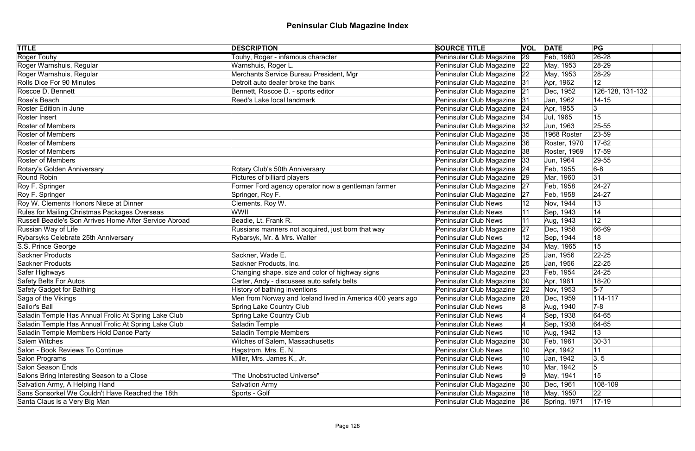| <b>TITLE</b>                                           | <b>DESCRIPTION</b>                                         | <b>SOURCE TITLE</b>           | <b>VOL</b>   | <b>DATE</b>  | PG               |
|--------------------------------------------------------|------------------------------------------------------------|-------------------------------|--------------|--------------|------------------|
| Roger Touhy                                            | Touhy, Roger - infamous character                          | Peninsular Club Magazine      | 29           | Feb, 1960    | $ 26-28$         |
| Roger Warnshuis, Regular                               | Warnshuis, Roger L.                                        | Peninsular Club Magazine 22   |              | May, 1953    | 28-29            |
| Roger Warnshuis, Regular                               | Merchants Service Bureau President, Mgr                    | Peninsular Club Magazine 22   |              | May, 1953    | $ 28-29$         |
| Rolls Dice For 90 Minutes                              | Detroit auto dealer broke the bank                         | Peninsular Club Magazine 31   |              | Apr, 1962    | 12 <sub>2</sub>  |
| Roscoe D. Bennett                                      | Bennett, Roscoe D. - sports editor                         | Peninsular Club Magazine      | 21           | Dec, 1952    | 126-128, 131-132 |
| Rose's Beach                                           | Reed's Lake local landmark                                 | Peninsular Club Magazine 31   |              | Jan, 1962    | $14 - 15$        |
| <b>Roster Edition in June</b>                          |                                                            | Peninsular Club Magazine      | 24           | Apr, 1955    | 13               |
| Roster Insert                                          |                                                            | Peninsular Club Magazine   34 |              | Jul, 1965    | 15               |
| <b>Roster of Members</b>                               |                                                            | Peninsular Club Magazine      | 32           | Jun, 1963    | 25-55            |
| <b>Roster of Members</b>                               |                                                            | Peninsular Club Magazine 35   |              | 1968 Roster  | $ 23 - 59$       |
| <b>Roster of Members</b>                               |                                                            | Peninsular Club Magazine      | 36           | Roster, 1970 | $17 - 62$        |
| <b>Roster of Members</b>                               |                                                            | Peninsular Club Magazine      | 38           | Roster, 1969 | $ 17-59$         |
| <b>Roster of Members</b>                               |                                                            | Peninsular Club Magazine      | 33           | Jun, 1964    | 29-55            |
| Rotary's Golden Anniversary                            | Rotary Club's 50th Anniversary                             | Peninsular Club Magazine      | 24           | Feb, 1955    | $6-8$            |
| Round Robin                                            | Pictures of billiard players                               | Peninsular Club Magazine      | 29           | Mar, 1960    | 31               |
| Roy F. Springer                                        | Former Ford agency operator now a gentleman farmer         | Peninsular Club Magazine      | 27           | Feb, 1958    | $ 24-27$         |
| Roy F. Springer                                        | Springer, Roy F.                                           | Peninsular Club Magazine      | 27           | Feb, 1958    | $24 - 27$        |
| Roy W. Clements Honors Niece at Dinner                 | Clements, Roy W.                                           | <b>Peninsular Club News</b>   | 12           | Nov, 1944    | 13               |
| Rules for Mailing Christmas Packages Overseas          | WWII                                                       | <b>Peninsular Club News</b>   |              | Sep, 1943    | 14               |
| Russell Beadle's Son Arrives Home After Service Abroad | Beadle, Lt. Frank R.                                       | <b>Peninsular Club News</b>   |              | Aug, 1943    | 12               |
| Russian Way of Life                                    | Russians manners not acquired, just born that way          | Peninsular Club Magazine      | 27           | Dec, 1958    | 66-69            |
| Rybarsyks Celebrate 25th Anniversary                   | Rybarsyk, Mr. & Mrs. Walter                                | <b>Peninsular Club News</b>   | 12           | Sep, 1944    | 18               |
| S.S. Prince George                                     |                                                            | Peninsular Club Magazine   34 |              | May, 1965    | 15               |
| Sackner Products                                       | Sackner, Wade E.                                           | Peninsular Club Magazine      | 25           | Jan, 1956    | $ 22 - 25 $      |
| Sackner Products                                       | Sackner Products, Inc.                                     | Peninsular Club Magazine 25   |              | Jan, 1956    | $ 22 - 25 $      |
| Safer Highways                                         | Changing shape, size and color of highway signs            | Peninsular Club Magazine 23   |              | Feb, 1954    | $ 24-25$         |
| Safety Belts For Autos                                 | Carter, Andy - discusses auto safety belts                 | Peninsular Club Magazine 30   |              | Apr, 1961    | 18-20            |
| Safety Gadget for Bathing                              | History of bathing inventions                              | Peninsular Club Magazine 22   |              | Nov, 1953    | $5-7$            |
| Saga of the Vikings                                    | Men from Norway and Iceland lived in America 400 years ago | Peninsular Club Magazine 28   |              | Dec, 1959    | $114 - 117$      |
| Sailor's Ball                                          | Spring Lake Country Club                                   | <b>Peninsular Club News</b>   |              | Aug, 1940    | $7-8$            |
| Saladin Temple Has Annual Frolic At Spring Lake Club   | <b>Spring Lake Country Club</b>                            | <b>Peninsular Club News</b>   |              | Sep, 1938    | $ 64-65 $        |
| Saladin Temple Has Annual Frolic At Spring Lake Club   | Saladin Temple                                             | <b>Peninsular Club News</b>   |              | Sep, 1938    | $ 64-65 $        |
| Saladin Temple Members Hold Dance Party                | <b>Saladin Temple Members</b>                              | <b>Peninsular Club News</b>   | 10           | Aug, 1942    | 13               |
| Salem Witches                                          | Witches of Salem, Massachusetts                            | Peninsular Club Magazine      | $ 30\rangle$ | Feb, 1961    | $ 30-31 $        |
| Salon - Book Reviews To Continue                       | Hagstrom, Mrs. E. N.                                       | <b>Peninsular Club News</b>   | 10           | Apr, 1942    | 11               |
| Salon Programs                                         | Miller, Mrs. James K., Jr.                                 | <b>Peninsular Club News</b>   | 10           | Jan, 1942    | 3, 5             |
| Salon Season Ends                                      |                                                            | <b>Peninsular Club News</b>   | 10           | Mar, 1942    | 5                |
| Salons Bring Interesting Season to a Close             | "The Unobstructed Universe"                                | <b>Peninsular Club News</b>   |              | May, 1941    | 15               |
| Salvation Army, A Helping Hand                         | <b>Salvation Army</b>                                      | Peninsular Club Magazine      | 30           | Dec, 1961    | 108-109          |
| Sans Sonsorkel We Couldn't Have Reached the 18th       | Sports - Golf                                              | Peninsular Club Magazine  18  |              | May, 1950    | 22               |
| Santa Claus is a Very Big Man                          |                                                            | Peninsular Club Magazine 36   |              | Spring, 1971 | $ 17-19 $        |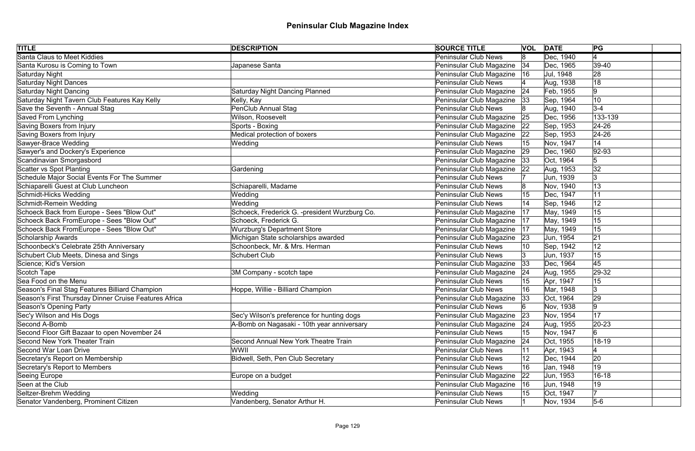| <b>TITLE</b>                                          | <b>DESCRIPTION</b>                            | <b>SOURCE TITLE</b>         |              | <b>VOL DATE</b> | PG             |
|-------------------------------------------------------|-----------------------------------------------|-----------------------------|--------------|-----------------|----------------|
| <b>Santa Claus to Meet Kiddies</b>                    |                                               | <b>Peninsular Club News</b> | 8            | Dec, 1940       | $\overline{4}$ |
| Santa Kurosu is Coming to Town                        | Japanese Santa                                | Peninsular Club Magazine    | 34           | Dec, 1965       | $ 39-40$       |
| Saturday Night                                        |                                               | Peninsular Club Magazine    | 16           | Jul, 1948       | 28             |
| <b>Saturday Night Dances</b>                          |                                               | Peninsular Club News        |              | Aug, 1938       | 18             |
| Saturday Night Dancing                                | <b>Saturday Night Dancing Planned</b>         | Peninsular Club Magazine    | 24           | Feb, 1955       | 9              |
| Saturday Night Tavern Club Features Kay Kelly         | Kelly, Kay                                    | Peninsular Club Magazine 33 |              | Sep, 1964       | 10             |
| Save the Seventh - Annual Stag                        | <b>PenClub Annual Stag</b>                    | <b>Peninsular Club News</b> |              | Aug, 1940       | $3-4$          |
| Saved From Lynching                                   | Wilson, Roosevelt                             | Peninsular Club Magazine    | 25           | Dec, 1956       | 133-139        |
| Saving Boxers from Injury                             | Sports - Boxing                               | Peninsular Club Magazine    | 22           | Sep, 1953       | $24 - 26$      |
| Saving Boxers from Injury                             | Medical protection of boxers                  | Peninsular Club Magazine    | 22           | Sep, 1953       | $24 - 26$      |
| Sawyer-Brace Wedding                                  | Wedding                                       | <b>Peninsular Club News</b> |              | Nov, 1947       | 14             |
| Sawyer's and Dockery's Experience                     |                                               | Peninsular Club Magazine    | 29           | Dec, 1960       | $ 92 - 93$     |
| Scandinavian Smorgasbord                              |                                               | Peninsular Club Magazine    | 33           | Oct, 1964       | 5              |
| Scatter vs Spot Planting                              | Gardening                                     | Peninsular Club Magazine    | 22           | Aug, 1953       | 32             |
| Schedule Major Social Events For The Summer           |                                               | <b>Peninsular Club News</b> |              | Jun, 1939       | 3              |
| Schiaparelli Guest at Club Luncheon                   | Schiaparelli, Madame                          | <b>Peninsular Club News</b> |              | Nov, 1940       | 13             |
| Schmidt-Hicks Wedding                                 | Wedding                                       | <b>Peninsular Club News</b> | 15           | Dec, 1947       | 11             |
| Schmidt-Remein Wedding                                | Wedding                                       | <b>Peninsular Club News</b> |              | Sep, 1946       | 12             |
| Schoeck Back from Europe - Sees "Blow Out"            | Schoeck, Frederick G. -president Wurzburg Co. | Peninsular Club Magazine    | 17           | May, 1949       | 15             |
| Schoeck Back FromEurope - Sees "Blow Out"             | Schoeck, Frederick G.                         | Peninsular Club Magazine    | 17           | May, 1949       | 15             |
| Schoeck Back FromEurope - Sees "Blow Out"             | <b>Wurzburg's Department Store</b>            | Peninsular Club Magazine    | 17           | May, 1949       | 15             |
| <b>Scholarship Awards</b>                             | Michigan State scholarships awarded           | Peninsular Club Magazine    | 23           | Jun, 1954       | 21             |
| Schoonbeck's Celebrate 25th Anniversary               | Schoonbeck, Mr. & Mrs. Herman                 | <b>Peninsular Club News</b> |              | Sep, 1942       | 12             |
| Schubert Club Meets, Dinesa and Sings                 | <b>Schubert Club</b>                          | <b>Peninsular Club News</b> | 13.          | Jun, 1937       | 15             |
| Science; Kid's Version                                |                                               | Peninsular Club Magazine    | 33           | Dec, 1964       | 45             |
| Scotch Tape                                           | 3M Company - scotch tape                      | Peninsular Club Magazine    | 24           | Aug, 1955       | $ 29-32 $      |
| Sea Food on the Menu                                  |                                               | Peninsular Club News        |              | Apr, 1947       | 15             |
| Season's Final Stag Features Billiard Champion        | Hoppe, Willie - Billiard Champion             | <b>Peninsular Club News</b> |              | Mar, 1948       | 3              |
| Season's First Thursday Dinner Cruise Features Africa |                                               | Peninsular Club Magazine 33 |              | Oct, 1964       | 29             |
| Season's Opening Party                                |                                               | <b>Peninsular Club News</b> |              | Nov, 1938       | 9              |
| Sec'y Wilson and His Dogs                             | Sec'y Wilson's preference for hunting dogs    | Peninsular Club Magazine    | 23           | Nov, 1954       | 17             |
| Second A-Bomb                                         | A-Bomb on Nagasaki - 10th year anniversary    | Peninsular Club Magazine    | 24           | Aug, 1955       | $ 20-23 $      |
| Second Floor Gift Bazaar to open November 24          |                                               | <b>Peninsular Club News</b> | 15           | Nov, 1947       | 6              |
| Second New York Theater Train                         | Second Annual New York Theatre Train          | Peninsular Club Magazine    | 24           | Oct, 1955       | $18 - 19$      |
| <b>Second War Loan Drive</b>                          | WWII                                          | <b>Peninsular Club News</b> | ∣11          | Apr, 1943       |                |
| Secretary's Report on Membership                      | Bidwell, Seth, Pen Club Secretary             | <b>Peninsular Club News</b> | 12           | Dec, 1944       | 20             |
| Secretary's Report to Members                         |                                               | <b>Peninsular Club News</b> | 16           | Jan, 1948       | 19             |
| Seeing Europe                                         | Europe on a budget                            | Peninsular Club Magazine    | $ 22\rangle$ | Jun, 1953       | $16 - 18$      |
| Seen at the Club                                      |                                               | Peninsular Club Magazine    | 16           | Jun, 1948       | 19             |
| Seltzer-Brehm Wedding                                 | Wedding                                       | Peninsular Club News        |              | Oct, 1947       | 17             |
| Senator Vandenberg, Prominent Citizen                 | Vandenberg, Senator Arthur H.                 | <b>Peninsular Club News</b> |              | Nov, 1934       | $5-6$          |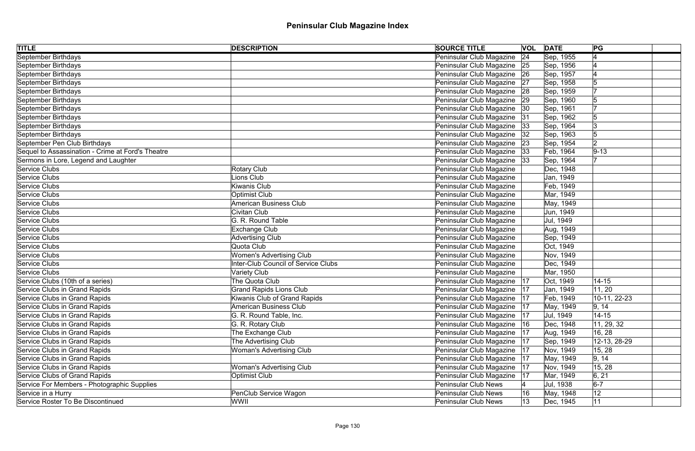| <b>TITLE</b><br><b>DESCRIPTION</b>                               | <b>SOURCE TITLE</b>           |    | <b>VOL DATE</b> | PG           |  |
|------------------------------------------------------------------|-------------------------------|----|-----------------|--------------|--|
| September Birthdays                                              | Peninsular Club Magazine      | 24 | Sep, 1955       |              |  |
| September Birthdays                                              | Peninsular Club Magazine 25   |    | Sep, 1956       |              |  |
| September Birthdays                                              | Peninsular Club Magazine 26   |    | Sep, 1957       |              |  |
| September Birthdays                                              | Peninsular Club Magazine 27   |    | Sep, 1958       |              |  |
| September Birthdays                                              | Peninsular Club Magazine      | 28 | Sep, 1959       |              |  |
| September Birthdays                                              | Peninsular Club Magazine 29   |    | Sep, 1960       |              |  |
| September Birthdays                                              | Peninsular Club Magazine      | 30 | Sep, 1961       |              |  |
| September Birthdays                                              | Peninsular Club Magazine 31   |    | Sep, 1962       |              |  |
| September Birthdays                                              | Peninsular Club Magazine      | 33 | Sep, 1964       | Ι3           |  |
| September Birthdays                                              | Peninsular Club Magazine      | 32 | Sep, 1963       |              |  |
| September Pen Club Birthdays                                     | Peninsular Club Magazine      | 23 | Sep, 1954       | 2            |  |
| Sequel to Assassination - Crime at Ford's Theatre                | Peninsular Club Magazine      | 33 | Feb, 1964       | $9 - 13$     |  |
| Sermons in Lore, Legend and Laughter                             | Peninsular Club Magazine      | 33 | Sep, 1964       |              |  |
| Service Clubs<br><b>Rotary Club</b>                              | Peninsular Club Magazine      |    | Dec, 1948       |              |  |
| Service Clubs<br>Lions Club                                      | Peninsular Club Magazine      |    | Jan, 1949       |              |  |
| Service Clubs<br><b>Kiwanis Club</b>                             | Peninsular Club Magazine      |    | Feb, 1949       |              |  |
| Service Clubs<br><b>Optimist Club</b>                            | Peninsular Club Magazine      |    | Mar, 1949       |              |  |
| Service Clubs<br><b>American Business Club</b>                   | Peninsular Club Magazine      |    | May, 1949       |              |  |
| Service Clubs<br><b>Civitan Club</b>                             | Peninsular Club Magazine      |    | Jun, 1949       |              |  |
| G. R. Round Table<br>Service Clubs                               | Peninsular Club Magazine      |    | Jul, 1949       |              |  |
| Service Clubs<br><b>Exchange Club</b>                            | Peninsular Club Magazine      |    | Aug, 1949       |              |  |
| Service Clubs<br><b>Advertising Club</b>                         | Peninsular Club Magazine      |    | Sep, 1949       |              |  |
| Service Clubs<br>Quota Club                                      | Peninsular Club Magazine      |    | Oct, 1949       |              |  |
| Service Clubs<br><b>Women's Advertising Club</b>                 | Peninsular Club Magazine      |    | Nov, 1949       |              |  |
| Service Clubs<br>Inter-Club Council of Service Clubs             | Peninsular Club Magazine      |    | Dec, 1949       |              |  |
| Service Clubs<br><b>Variety Club</b>                             | Peninsular Club Magazine      |    | Mar, 1950       |              |  |
| Service Clubs (10th of a series)<br>The Quota Club               | Peninsular Club Magazine   17 |    | Oct, 1949       | $14 - 15$    |  |
| Service Clubs in Grand Rapids<br><b>Grand Rapids Lions Club</b>  | Peninsular Club Magazine      | 17 | Jan, 1949       | 11, 20       |  |
| Service Clubs in Grand Rapids<br>Kiwanis Club of Grand Rapids    | Peninsular Club Magazine   17 |    | Feb, 1949       | 10-11, 22-23 |  |
| Service Clubs in Grand Rapids<br><b>American Business Club</b>   | Peninsular Club Magazine      | 17 | May, 1949       | 9, 14        |  |
| Service Clubs in Grand Rapids<br>G. R. Round Table, Inc.         | Peninsular Club Magazine      | 17 | Jul, 1949       | $14 - 15$    |  |
| G. R. Rotary Club<br>Service Clubs in Grand Rapids               | Peninsular Club Magazine      | 16 | Dec, 1948       | 11, 29, 32   |  |
| Service Clubs in Grand Rapids<br>The Exchange Club               | Peninsular Club Magazine      | 17 | Aug, 1949       | 16, 28       |  |
| The Advertising Club<br>Service Clubs in Grand Rapids            | Peninsular Club Magazine      | 17 | Sep, 1949       | 12-13, 28-29 |  |
| Service Clubs in Grand Rapids<br>Woman's Advertising Club        | Peninsular Club Magazine      | 17 | Nov, 1949       | 15, 28       |  |
| Service Clubs in Grand Rapids                                    | Peninsular Club Magazine      | 17 | May, 1949       | 9, 14        |  |
| Service Clubs in Grand Rapids<br><b>Woman's Advertising Club</b> | Peninsular Club Magazine      | 17 | Nov, 1949       | 15, 28       |  |
| Service Clubs of Grand Rapids<br><b>Optimist Club</b>            | Peninsular Club Magazine      | 17 | Mar, 1949       | 6, 21        |  |
| Service For Members - Photographic Supplies                      | <b>Peninsular Club News</b>   |    | Jul, 1938       | $6-7$        |  |
| Service in a Hurry<br>PenClub Service Wagon                      | Peninsular Club News          | 16 | May, 1948       | 12           |  |
| Service Roster To Be Discontinued<br>WWII                        | Peninsular Club News          | 13 | Dec, 1945       | 11           |  |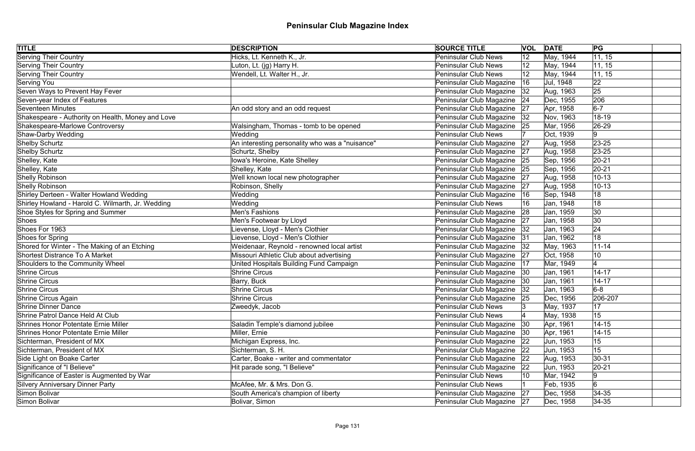| <b>TITLE</b>                                      | <b>DESCRIPTION</b>                              | <b>SOURCE TITLE</b>         | <b>VOL</b>   | <b>DATE</b> | PG           |
|---------------------------------------------------|-------------------------------------------------|-----------------------------|--------------|-------------|--------------|
| <b>Serving Their Country</b>                      | Hicks, Lt. Kenneth K., Jr.                      | <b>Peninsular Club News</b> | $ 12\rangle$ | May, 1944   | 11, 15       |
| Serving Their Country                             | Luton, Lt. (jg) Harry H.                        | <b>Peninsular Club News</b> | 12           | May, 1944   | 11, 15       |
| <b>Serving Their Country</b>                      | Wendell, Lt. Walter H., Jr.                     | <b>Peninsular Club News</b> | 12           | May, 1944   | 11, 15       |
| Serving You                                       |                                                 | Peninsular Club Magazine    | 16           | Jul, 1948   | 22           |
| Seven Ways to Prevent Hay Fever                   |                                                 | Peninsular Club Magazine    | 32           | Aug, 1963   | 25           |
| Seven-year Index of Features                      |                                                 | Peninsular Club Magazine    | 24           | Dec, 1955   | 206          |
| Seventeen Minutes                                 | An odd story and an odd request                 | Peninsular Club Magazine    | 27           | Apr, 1958   | $6-7$        |
| Shakespeare - Authority on Health, Money and Love |                                                 | Peninsular Club Magazine    | 32           | Nov, 1963   | 18-19        |
| Shakespeare-Marlowe Controversy                   | Walsingham, Thomas - tomb to be opened          | Peninsular Club Magazine    | 25           | Mar, 1956   | 26-29        |
| Shaw-Darby Wedding                                | Wedding                                         | <b>Peninsular Club News</b> |              | Oct, 1939   | 9            |
| Shelby Schurtz                                    | An interesting personality who was a "nuisance" | Peninsular Club Magazine    | 27           | Aug, 1958   | $ 23 - 25 $  |
| Shelby Schurtz                                    | Schurtz, Shelby                                 | Peninsular Club Magazine    | 27           | Aug, 1958   | $23 - 25$    |
| Shelley, Kate                                     | Iowa's Heroine, Kate Shelley                    | Peninsular Club Magazine    | 25           | Sep, 1956   | $ 20-21$     |
| Shelley, Kate                                     | Shelley, Kate                                   | Peninsular Club Magazine    | 25           | Sep, 1956   | $ 20-21$     |
| Shelly Robinson                                   | Well known local new photographer               | Peninsular Club Magazine    | 27           | Aug, 1958   | $10 - 13$    |
| Shelly Robinson                                   | Robinson, Shelly                                | Peninsular Club Magazine    | 27           | Aug, 1958   | $10 - 13$    |
| Shirley Derteen - Walter Howland Wedding          | Wedding                                         | Peninsular Club Magazine    | 16           | Sep, 1948   | 18           |
| Shirley Howland - Harold C. Wilmarth, Jr. Wedding | Wedding                                         | <b>Peninsular Club News</b> | 16           | Jan, 1948   | 18           |
| Shoe Styles for Spring and Summer                 | Men's Fashions                                  | Peninsular Club Magazine    | 28           | Jan, 1959   | 30           |
| Shoes                                             | Men's Footwear by Lloyd                         | Peninsular Club Magazine    | 27           | Jan, 1958   | $ 30\rangle$ |
| Shoes For 1963                                    | ievense, Lloyd - Men's Clothier                 | Peninsular Club Magazine    | 32           | Jan, 1963   | 24           |
| Shoes for Spring                                  | ievense, Lloyd - Men's Clothier                 | Peninsular Club Magazine    | 31           | Jan, 1962   | 18           |
| Shored for Winter - The Making of an Etching      | Weidenaar, Reynold - renowned local artist      | Peninsular Club Magazine    | 32           | May, 1963   | $11 - 14$    |
| <b>Shortest Distrance To A Market</b>             | Missouri Athletic Club about advertising        | Peninsular Club Magazine    | 27           | Oct, 1958   | 10           |
| Shoulders to the Community Wheel                  | United Hospitals Building Fund Campaign         | Peninsular Club Magazine    | 17           | Mar, 1949   |              |
| <b>Shrine Circus</b>                              | <b>Shrine Circus</b>                            | Peninsular Club Magazine    | 30           | Jan, 1961   | $14 - 17$    |
| Shrine Circus                                     | Barry, Buck                                     | Peninsular Club Magazine 30 |              | Jan, 1961   | $14 - 17$    |
| <b>Shrine Circus</b>                              | <b>Shrine Circus</b>                            | Peninsular Club Magazine    | 32           | Jan, 1963   | $6-8$        |
| Shrine Circus Again                               | <b>Shrine Circus</b>                            | Peninsular Club Magazine 25 |              | Dec, 1956   | 206-207      |
| Shrine Dinner Dance                               | Zweedyk, Jacob                                  | <b>Peninsular Club News</b> |              | May, 1937   | 17           |
| Shrine Patrol Dance Held At Club                  |                                                 | <b>Peninsular Club News</b> |              | May, 1938   | 15           |
| Shrines Honor Potentate Ernie Miller              | Saladin Temple's diamond jubilee                | Peninsular Club Magazine    | 30           | Apr, 1961   | $14 - 15$    |
| Shrines Honor Potentate Ernie Miller              | Miller, Ernie                                   | Peninsular Club Magazine    | - 130        | Apr, 1961   | $14 - 15$    |
| Sichterman, President of MX                       | Michigan Express, Inc.                          | Peninsular Club Magazine    | $ 22\rangle$ | Jun, 1953   | 15           |
| Sichterman, President of MX                       | Sichterman, S. H.                               | Peninsular Club Magazine    | 22           | Jun, 1953   | 15           |
| Side Light on Boake Carter                        | Carter, Boake - writer and commentator          | Peninsular Club Magazine    | 22           | Aug, 1953   | $ 30-31$     |
| Significance of "I Believe"                       | Hit parade song, "I Believe"                    | Peninsular Club Magazine    | $ 22\rangle$ | Jun, 1953   | $20 - 21$    |
| Significance of Easter is Augmented by War        |                                                 | <b>Peninsular Club News</b> | 10           | Mar, 1942   | 9            |
| <b>Silvery Anniversary Dinner Party</b>           | McAfee, Mr. & Mrs. Don G.                       | <b>Peninsular Club News</b> |              | Feb, 1935   | 6            |
| Simon Bolivar                                     | South America's champion of liberty             | Peninsular Club Magazine 27 |              | Dec, 1958   | $ 34-35 $    |
| Simon Bolivar                                     | Bolivar, Simon                                  | Peninsular Club Magazine 27 |              | Dec, 1958   | $ 34-35 $    |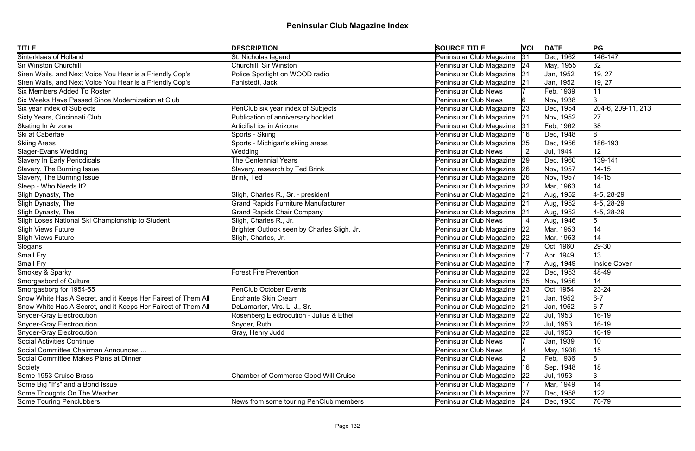| <b>TITLE</b>                                                  | <b>DESCRIPTION</b>                          | <b>SOURCE TITLE</b>         |    | <b>VOL DATE</b> | PG                     |
|---------------------------------------------------------------|---------------------------------------------|-----------------------------|----|-----------------|------------------------|
| Sinterklaas of Holland                                        | St. Nicholas legend                         | Peninsular Club Magazine    | 31 | Dec, 1962       | 146-147                |
| <b>Sir Winston Churchill</b>                                  | Churchill, Sir Winston                      | Peninsular Club Magazine 24 |    | May, 1955       | 32                     |
| Siren Wails, and Next Voice You Hear is a Friendly Cop's      | Police Spotlight on WOOD radio              | Peninsular Club Magazine    | 21 | Jan, 1952       | 19, 27                 |
| Siren Wails, and Next Voice You Hear is a Friendly Cop's      | Fahlstedt, Jack                             | Peninsular Club Magazine    | 21 | Jan, 1952       | 19, 27                 |
| <b>Six Members Added To Roster</b>                            |                                             | <b>Peninsular Club News</b> |    | Feb, 1939       | 11                     |
| Six Weeks Have Passed Since Modernization at Club             |                                             | <b>Peninsular Club News</b> |    | Nov, 1938       | 3                      |
| Six year index of Subjects                                    | PenClub six year index of Subjects          | Peninsular Club Magazine    | 23 | Dec, 1954       | $[204-6, 209-11, 213]$ |
| Sixty Years, Cincinnati Club                                  | Publication of anniversary booklet          | Peninsular Club Magazine    | 21 | Nov, 1952       | 27                     |
| Skating In Arizona                                            | Articifial ice in Arizona                   | Peninsular Club Magazine    | 31 | Feb, 1962       | 38                     |
| Ski at Caberfae                                               | Sports - Skiing                             | Peninsular Club Magazine    | 16 | Dec, 1948       | 8                      |
| <b>Skiing Areas</b>                                           | Sports - Michigan's skiing areas            | Peninsular Club Magazine    | 25 | Dec, 1956       | 186-193                |
| Slager-Evans Wedding                                          | Wedding                                     | Peninsular Club News        |    | Jul, 1944       | 12                     |
| Slavery In Early Periodicals                                  | <b>The Centennial Years</b>                 | Peninsular Club Magazine    | 29 | Dec, 1960       | 139-141                |
| Slavery, The Burning Issue                                    | Slavery, research by Ted Brink              | Peninsular Club Magazine    | 26 | Nov, 1957       | $14 - 15$              |
| Slavery, The Burning Issue                                    | Brink, Ted                                  | Peninsular Club Magazine    | 26 | Nov, 1957       | $14 - 15$              |
| Sleep - Who Needs It?                                         |                                             | Peninsular Club Magazine    | 32 | Mar, 1963       | 14                     |
| Sligh Dynasty, The                                            | Sligh, Charles R., Sr. - president          | Peninsular Club Magazine    | 21 | Aug, 1952       | 4-5, 28-29             |
| Sligh Dynasty, The                                            | <b>Grand Rapids Furniture Manufacturer</b>  | Peninsular Club Magazine    | 21 | Aug, 1952       | 4-5, 28-29             |
| Sligh Dynasty, The                                            | <b>Grand Rapids Chair Company</b>           | Peninsular Club Magazine 21 |    | Aug, 1952       | 4-5, 28-29             |
| Sligh Loses National Ski Championship to Student              | Sligh, Charles R., Jr.                      | <b>Peninsular Club News</b> | 14 | Aug, 1946       | 5                      |
| Sligh Views Future                                            | Brighter Outlook seen by Charles Sligh, Jr. | Peninsular Club Magazine    | 22 | Mar, 1953       | 14                     |
| Sligh Views Future                                            | Sligh, Charles, Jr.                         | Peninsular Club Magazine    | 22 | Mar, 1953       | 14                     |
| Slogans                                                       |                                             | Peninsular Club Magazine 29 |    | Oct, 1960       | 29-30                  |
| Small Fry                                                     |                                             | Peninsular Club Magazine    | 17 | Apr, 1949       | 13                     |
| Small Fry                                                     |                                             | Peninsular Club Magazine    | 17 | Aug, 1949       | <b>Inside Cover</b>    |
| Smokey & Sparky                                               | <b>Forest Fire Prevention</b>               | Peninsular Club Magazine    | 22 | Dec, 1953       | 48-49                  |
| Smorgasbord of Culture                                        |                                             | Peninsular Club Magazine 25 |    | Nov, 1956       | 14                     |
| Smorgasborg for 1954-55                                       | PenClub October Events                      | Peninsular Club Magazine    | 23 | Oct, 1954       | $23 - 24$              |
| Snow White Has A Secret, and it Keeps Her Fairest of Them All | Enchante Skin Cream                         | Peninsular Club Magazine 21 |    | Jan, 1952       | $6-7$                  |
| Snow White Has A Secret, and it Keeps Her Fairest of Them All | DeLamarter, Mrs. L. J., Sr.                 | Peninsular Club Magazine    | 21 | Jan, 1952       | $6-7$                  |
| Snyder-Gray Electrocution                                     | Rosenberg Electrocution - Julius & Ethel    | Peninsular Club Magazine    | 22 | Jul, 1953       | 16-19                  |
| Snyder-Gray Electrocution                                     | Snyder, Ruth                                | Peninsular Club Magazine    | 22 | Jul, 1953       | 16-19                  |
| Snyder-Gray Electrocution                                     | Gray, Henry Judd                            | Peninsular Club Magazine    | 22 | Jul, 1953       | 16-19                  |
| Social Activities Continue                                    |                                             | <b>Peninsular Club News</b> |    | Jan, 1939       | 10                     |
| Social Committee Chairman Announces                           |                                             | <b>Peninsular Club News</b> |    | May, 1938       | 15                     |
| Social Committee Makes Plans at Dinner                        |                                             | <b>Peninsular Club News</b> |    | Feb, 1936       | 8                      |
| Society                                                       |                                             | Peninsular Club Magazine    | 16 | Sep, 1948       | 18                     |
| Some 1953 Cruise Brass                                        | <b>Chamber of Commerce Good Will Cruise</b> | Peninsular Club Magazine    | 22 | Jul, 1953       | 3                      |
| Some Big "If's" and a Bond Issue                              |                                             | Peninsular Club Magazine    | 17 | Mar, 1949       | 14                     |
| Some Thoughts On The Weather                                  |                                             | Peninsular Club Magazine 27 |    | Dec, 1958       | 122                    |
| Some Touring Penclubbers                                      | News from some touring PenClub members      | Peninsular Club Magazine 24 |    | Dec, 1955       | 76-79                  |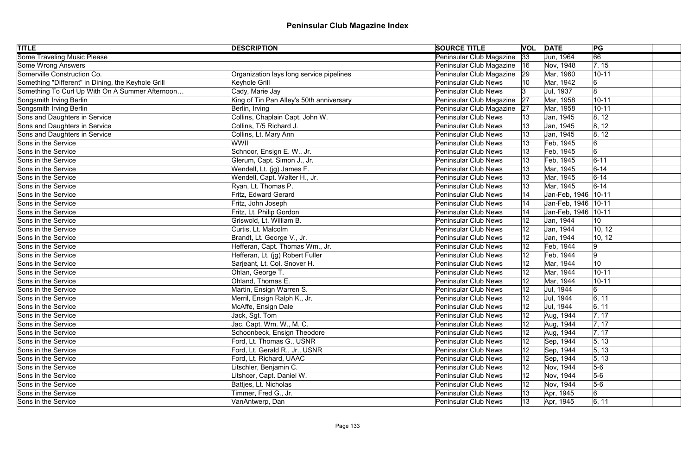| <b>TITLE</b>                                       | <b>DESCRIPTION</b>                       | <b>SOURCE TITLE</b>         |    | <b>VOL DATE</b>       | PG              |
|----------------------------------------------------|------------------------------------------|-----------------------------|----|-----------------------|-----------------|
| <b>Some Traveling Music Please</b>                 |                                          | Peninsular Club Magazine    | 33 | Jun, 1964             | 66              |
| Some Wrong Answers                                 |                                          | Peninsular Club Magazine    | 16 | Nov, 1948             | 7, 15           |
| Somerville Construction Co.                        | Organization lays long service pipelines | Peninsular Club Magazine    | 29 | Mar, 1960             | $10 - 11$       |
| Something "Different" in Dining, the Keyhole Grill | Keyhole Grill                            | <b>Peninsular Club News</b> |    | Mar, 1942             | 6               |
| Something To Curl Up With On A Summer Afternoon    | Cady, Marie Jay                          | <b>Peninsular Club News</b> | 13 | Jul, 1937             | 8               |
| Songsmith Irving Berlin                            | King of Tin Pan Alley's 50th anniversary | Peninsular Club Magazine    | 27 | Mar, 1958             | $10 - 11$       |
| Songsmith Irving Berlin                            | Berlin, Irving                           | Peninsular Club Magazine    | 27 | Mar, 1958             | $10 - 11$       |
| Sons and Daughters in Service                      | Collins, Chaplain Capt. John W.          | <b>Peninsular Club News</b> |    | Jan, 1945             | 8, 12           |
| Sons and Daughters in Service                      | Collins, T/5 Richard J.                  | <b>Peninsular Club News</b> |    | Jan, 1945             | 8, 12           |
| Sons and Daughters in Service                      | Collins, Lt. Mary Ann                    | <b>Peninsular Club News</b> |    | Jan, 1945             | 8, 12           |
| Sons in the Service                                | WWII                                     | <b>Peninsular Club News</b> |    | Feb, 1945             | 6               |
| Sons in the Service                                | Schnoor, Ensign E. W., Jr.               | <b>Peninsular Club News</b> |    | Feb, 1945             | 6               |
| Sons in the Service                                | Glerum, Capt. Simon J., Jr.              | <b>Peninsular Club News</b> |    | Feb, 1945             | $6 - 11$        |
| Sons in the Service                                | Wendell, Lt. (jg) James F.               | <b>Peninsular Club News</b> |    | Mar, 1945             | $6 - 14$        |
| Sons in the Service                                | Wendell, Capt. Walter H., Jr.            | <b>Peninsular Club News</b> |    | Mar, 1945             | $6 - 14$        |
| Sons in the Service                                | Ryan, Lt. Thomas P.                      | <b>Peninsular Club News</b> |    | Mar, 1945             | $6 - 14$        |
| Sons in the Service                                | Fritz, Edward Gerard                     | <b>Peninsular Club News</b> | 14 | Jan-Feb, 1946   10-11 |                 |
| Sons in the Service                                | Fritz, John Joseph                       | <b>Peninsular Club News</b> | 14 | Jan-Feb, 1946   10-11 |                 |
| Sons in the Service                                | Fritz, Lt. Philip Gordon                 | <b>Peninsular Club News</b> |    | Jan-Feb, 1946   10-11 |                 |
| Sons in the Service                                | Griswold, Lt. William B.                 | <b>Peninsular Club News</b> |    | Jan, 1944             | 10              |
| Sons in the Service                                | Curtis, Lt. Malcolm                      | <b>Peninsular Club News</b> | 12 | Jan, 1944             | 10, 12          |
| Sons in the Service                                | Brandt, Lt. George V., Jr.               | <b>Peninsular Club News</b> | 12 | Jan, 1944             | 10, 12          |
| Sons in the Service                                | Hefferan, Capt. Thomas Wm., Jr.          | <b>Peninsular Club News</b> | 12 | Feb, 1944             | 9               |
| Sons in the Service                                | Hefferan, Lt. (jg) Robert Fuller         | <b>Peninsular Club News</b> | 12 | Feb, 1944             | 9               |
| Sons in the Service                                | Sarjeant, Lt. Col. Snover H.             | <b>Peninsular Club News</b> | 12 | Mar, 1944             | 10 <sub>1</sub> |
| Sons in the Service                                | Ohlan, George T.                         | <b>Peninsular Club News</b> |    | Mar, 1944             | $10 - 11$       |
| Sons in the Service                                | Ohland, Thomas E.                        | <b>Peninsular Club News</b> |    | Mar, 1944             | $10 - 11$       |
| Sons in the Service                                | Martin, Ensign Warren S.                 | <b>Peninsular Club News</b> |    | Jul, 1944             | 6               |
| Sons in the Service                                | Merril, Ensign Ralph K., Jr.             | Peninsular Club News        | 12 | Jul, 1944             | 6, 11           |
| Sons in the Service                                | McAffe, Ensign Dale                      | <b>Peninsular Club News</b> | 12 | Jul, 1944             | 6, 11           |
| Sons in the Service                                | Jack, Sgt. Tom                           | <b>Peninsular Club News</b> | 12 | Aug, 1944             | 7, 17           |
| Sons in the Service                                | Jac, Capt. Wm. W., M. C.                 | <b>Peninsular Club News</b> | 12 | Aug, 1944             | 7, 17           |
| Sons in the Service                                | Schoonbeck, Ensign Theodore              | <b>Peninsular Club News</b> |    | Aug, 1944             | 7, 17           |
| Sons in the Service                                | Ford, Lt. Thomas G., USNR                | <b>Peninsular Club News</b> | 12 | Sep, 1944             | 5, 13           |
| Sons in the Service                                | Ford, Lt. Gerald R., Jr., USNR           | <b>Peninsular Club News</b> | 12 | Sep, 1944             | 5, 13           |
| Sons in the Service                                | Ford, Lt. Richard, UAAC                  | <b>Peninsular Club News</b> | 12 | Sep, 1944             | 5, 13           |
| Sons in the Service                                | itschler, Benjamin C.                    | <b>Peninsular Club News</b> | 12 | Nov, 1944             | $5-6$           |
| Sons in the Service                                | itshcer, Capt. Daniel W.                 | <b>Peninsular Club News</b> | 12 | Nov, 1944             | $5-6$           |
| Sons in the Service                                | Battjes, Lt. Nicholas                    | <b>Peninsular Club News</b> | 12 | Nov, 1944             | $5-6$           |
| Sons in the Service                                | Timmer, Fred G., Jr.                     | <b>Peninsular Club News</b> | 13 | Apr, 1945             | $6 \,$          |
| Sons in the Service                                | VanAntwerp, Dan                          | <b>Peninsular Club News</b> | 13 | Apr, 1945             | 6, 11           |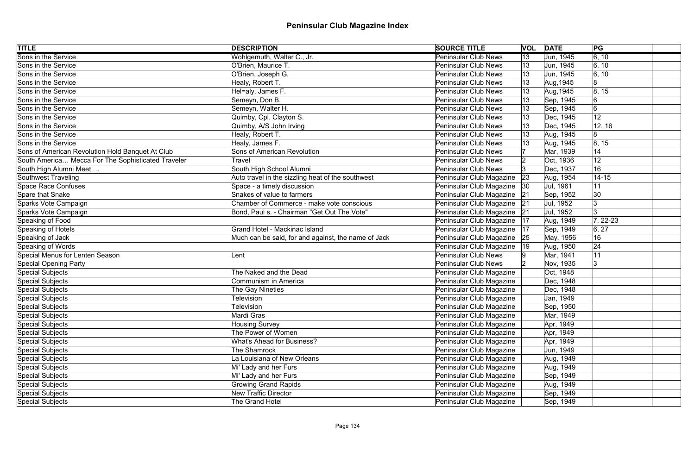| <b>TITLE</b>                                       | <b>DESCRIPTION</b>                                  | <b>SOURCE TITLE</b>         | <b>VOL</b> | <b>DATE</b> | PG                 |  |
|----------------------------------------------------|-----------------------------------------------------|-----------------------------|------------|-------------|--------------------|--|
| Sons in the Service                                | Wohlgemuth, Walter C., Jr.                          | <b>Peninsular Club News</b> | 13         | Jun, 1945   | $\overline{6, 10}$ |  |
| Sons in the Service                                | O'Brien, Maurice T.                                 | <b>Peninsular Club News</b> | 13         | Jun, 1945   | 6, 10              |  |
| Sons in the Service                                | O'Brien, Joseph G.                                  | <b>Peninsular Club News</b> | 13         | Jun, 1945   | 6, 10              |  |
| Sons in the Service                                | Healy, Robert T.                                    | <b>Peninsular Club News</b> | 13         | Aug, 1945   | 8                  |  |
| Sons in the Service                                | Hel=aly, James F.                                   | <b>Peninsular Club News</b> | 13         | Aug, 1945   | 8, 15              |  |
| Sons in the Service                                | Semeyn, Don B.                                      | <b>Peninsular Club News</b> |            | Sep, 1945   | 6                  |  |
| Sons in the Service                                | Semeyn, Walter H.                                   | <b>Peninsular Club News</b> |            | Sep, 1945   | 6                  |  |
| Sons in the Service                                | Quimby, Cpl. Clayton S.                             | <b>Peninsular Club News</b> |            | Dec, 1945   | 12                 |  |
| Sons in the Service                                | Quimby, A/S John Irving                             | <b>Peninsular Club News</b> |            | Dec, 1945   | 12, 16             |  |
| Sons in the Service                                | Healy, Robert T.                                    | <b>Peninsular Club News</b> |            | Aug, 1945   | 8                  |  |
| Sons in the Service                                | Healy, James F.                                     | <b>Peninsular Club News</b> |            | Aug, 1945   | 8, 15              |  |
| Sons of American Revolution Hold Banquet At Club   | <b>Sons of American Revolution</b>                  | <b>Peninsular Club News</b> |            | Mar, 1939   | 14                 |  |
| South America Mecca For The Sophisticated Traveler | <b>Travel</b>                                       | <b>Peninsular Club News</b> |            | Oct, 1936   | 12                 |  |
| South High Alumni Meet                             | South High School Alumni                            | <b>Peninsular Club News</b> |            | Dec, 1937   | 16                 |  |
| Southwest Traveling                                | Auto travel in the sizzling heat of the southwest   | Peninsular Club Magazine    | 23         | Aug, 1954   | $14 - 15$          |  |
| Space Race Confuses                                | Space - a timely discussion                         | Peninsular Club Magazine    | 30         | Jul, 1961   | 11                 |  |
| Spare that Snake                                   | Snakes of value to farmers                          | Peninsular Club Magazine    | 21         | Sep, 1952   | 30                 |  |
| Sparks Vote Campaign                               | Chamber of Commerce - make vote conscious           | Peninsular Club Magazine    | 21         | Jul, 1952   |                    |  |
| Sparks Vote Campaign                               | Bond, Paul s. - Chairman "Get Out The Vote"         | Peninsular Club Magazine    | 21         | Jul, 1952   |                    |  |
| Speaking of Food                                   |                                                     | Peninsular Club Magazine    | 17         | Aug, 1949   | $7, 22-23$         |  |
| Speaking of Hotels                                 | Grand Hotel - Mackinac Island                       | Peninsular Club Magazine    | 17         | Sep, 1949   | 6, 27              |  |
| Speaking of Jack                                   | Much can be said, for and against, the name of Jack | Peninsular Club Magazine    | 25         | May, 1956   | 16                 |  |
| Speaking of Words                                  |                                                     | Peninsular Club Magazine    | 19         | Aug, 1950   | 24                 |  |
| Special Menus for Lenten Season                    | Lent                                                | <b>Peninsular Club News</b> |            | Mar, 1941   | 11                 |  |
| Special Opening Party                              |                                                     | <b>Peninsular Club News</b> |            | Nov, 1935   | 3                  |  |
| Special Subjects                                   | The Naked and the Dead                              | Peninsular Club Magazine    |            | Oct, 1948   |                    |  |
| Special Subjects                                   | Communism in America                                | Peninsular Club Magazine    |            | Dec, 1948   |                    |  |
| Special Subjects                                   | The Gay Nineties                                    | Peninsular Club Magazine    |            | Dec, 1948   |                    |  |
| Special Subjects                                   | Television                                          | Peninsular Club Magazine    |            | Jan, 1949   |                    |  |
| Special Subjects                                   | <b>Television</b>                                   | Peninsular Club Magazine    |            | Sep, 1950   |                    |  |
| Special Subjects                                   | Mardi Gras                                          | Peninsular Club Magazine    |            | Mar, 1949   |                    |  |
| Special Subjects                                   | <b>Housing Survey</b>                               | Peninsular Club Magazine    |            | Apr, 1949   |                    |  |
| Special Subjects                                   | The Power of Women                                  | Peninsular Club Magazine    |            | Apr, 1949   |                    |  |
| Special Subjects                                   | <b>What's Ahead for Business?</b>                   | Peninsular Club Magazine    |            | Apr, 1949   |                    |  |
| Special Subjects                                   | The Shamrock                                        | Peninsular Club Magazine    |            | Jun, 1949   |                    |  |
| Special Subjects                                   | La Louisiana of New Orleans                         | Peninsular Club Magazine    |            | Aug, 1949   |                    |  |
| Special Subjects                                   | Mi' Lady and her Furs                               | Peninsular Club Magazine    |            | Aug, 1949   |                    |  |
| Special Subjects                                   | Mi' Lady and her Furs                               | Peninsular Club Magazine    |            | Sep, 1949   |                    |  |
| Special Subjects                                   | <b>Growing Grand Rapids</b>                         | Peninsular Club Magazine    |            | Aug, 1949   |                    |  |
| Special Subjects                                   | <b>New Traffic Director</b>                         | Peninsular Club Magazine    |            | Sep, 1949   |                    |  |
| Special Subjects                                   | The Grand Hotel                                     | Peninsular Club Magazine    |            | Sep, 1949   |                    |  |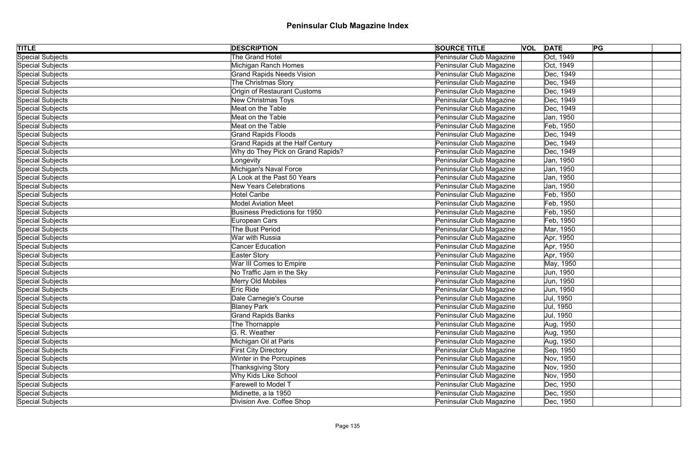| <b>TITLE</b>            | <b>DESCRIPTION</b>                      | <b>SOURCE TITLE</b>      | <b>VOL DATE</b><br>PG |  |
|-------------------------|-----------------------------------------|--------------------------|-----------------------|--|
| <b>Special Subjects</b> | The Grand Hotel                         | Peninsular Club Magazine | Oct, 1949             |  |
| Special Subjects        | Michigan Ranch Homes                    | Peninsular Club Magazine | Oct, 1949             |  |
| Special Subjects        | <b>Grand Rapids Needs Vision</b>        | Peninsular Club Magazine | Dec, 1949             |  |
| Special Subjects        | The Christmas Story                     | Peninsular Club Magazine | Dec, 1949             |  |
| Special Subjects        | Origin of Restaurant Customs            | Peninsular Club Magazine | Dec, 1949             |  |
| Special Subjects        | New Christmas Toys                      | Peninsular Club Magazine | Dec, 1949             |  |
| Special Subjects        | Meat on the Table                       | Peninsular Club Magazine | Dec, 1949             |  |
| Special Subjects        | Meat on the Table                       | Peninsular Club Magazine | Jan, 1950             |  |
| Special Subjects        | Meat on the Table                       | Peninsular Club Magazine | Feb, 1950             |  |
| Special Subjects        | <b>Grand Rapids Floods</b>              | Peninsular Club Magazine | Dec, 1949             |  |
| Special Subjects        | <b>Grand Rapids at the Half Century</b> | Peninsular Club Magazine | Dec, 1949             |  |
| Special Subjects        | Why do They Pick on Grand Rapids?       | Peninsular Club Magazine | Dec, 1949             |  |
| Special Subjects        | Longevity                               | Peninsular Club Magazine | Jan, 1950             |  |
| Special Subjects        | Michigan's Naval Force                  | Peninsular Club Magazine | Jan, 1950             |  |
| Special Subjects        | A Look at the Past 50 Years             | Peninsular Club Magazine | Jan, 1950             |  |
| Special Subjects        | <b>New Years Celebrations</b>           | Peninsular Club Magazine | Jan, 1950             |  |
| Special Subjects        | <b>Hotel Caribe</b>                     | Peninsular Club Magazine | Feb, 1950             |  |
| Special Subjects        | <b>Model Aviation Meet</b>              | Peninsular Club Magazine | Feb, 1950             |  |
| Special Subjects        | <b>Business Predictions for 1950</b>    | Peninsular Club Magazine | Feb, 1950             |  |
| Special Subjects        | European Cars                           | Peninsular Club Magazine | Feb, 1950             |  |
| Special Subjects        | The Bust Period                         | Peninsular Club Magazine | Mar, 1950             |  |
| Special Subjects        | War with Russia                         | Peninsular Club Magazine | Apr, 1950             |  |
| Special Subjects        | <b>Cancer Education</b>                 | Peninsular Club Magazine | Apr, 1950             |  |
| Special Subjects        | <b>Easter Story</b>                     | Peninsular Club Magazine | Apr, 1950             |  |
| Special Subjects        | War III Comes to Empire                 | Peninsular Club Magazine | May, 1950             |  |
| Special Subjects        | No Traffic Jam in the Sky               | Peninsular Club Magazine | Jun, 1950             |  |
| Special Subjects        | Merry Old Mobiles                       | Peninsular Club Magazine | Jun, 1950             |  |
| Special Subjects        | Eric Ride                               | Peninsular Club Magazine | Jun, 1950             |  |
| Special Subjects        | Dale Carnegie's Course                  | Peninsular Club Magazine | Jul, 1950             |  |
| Special Subjects        | <b>Blaney Park</b>                      | Peninsular Club Magazine | Jul, 1950             |  |
| Special Subjects        | <b>Grand Rapids Banks</b>               | Peninsular Club Magazine | Jul, 1950             |  |
| Special Subjects        | The Thornapple                          | Peninsular Club Magazine | Aug, 1950             |  |
| Special Subjects        | G. R. Weather                           | Peninsular Club Magazine | Aug, 1950             |  |
| Special Subjects        | Michigan Oil at Paris                   | Peninsular Club Magazine | Aug, 1950             |  |
| Special Subjects        | <b>First City Directory</b>             | Peninsular Club Magazine | Sep, 1950             |  |
| Special Subjects        | Winter in the Porcupines                | Peninsular Club Magazine | Nov, 1950             |  |
| Special Subjects        | Thanksgiving Story                      | Peninsular Club Magazine | Nov, 1950             |  |
| Special Subjects        | Why Kids Like School                    | Peninsular Club Magazine | Nov, 1950             |  |
| Special Subjects        | Farewell to Model T                     | Peninsular Club Magazine | Dec, 1950             |  |
| Special Subjects        | Midinette, a la 1950                    | Peninsular Club Magazine | Dec, 1950             |  |
| Special Subjects        | Division Ave. Coffee Shop               | Peninsular Club Magazine | Dec, 1950             |  |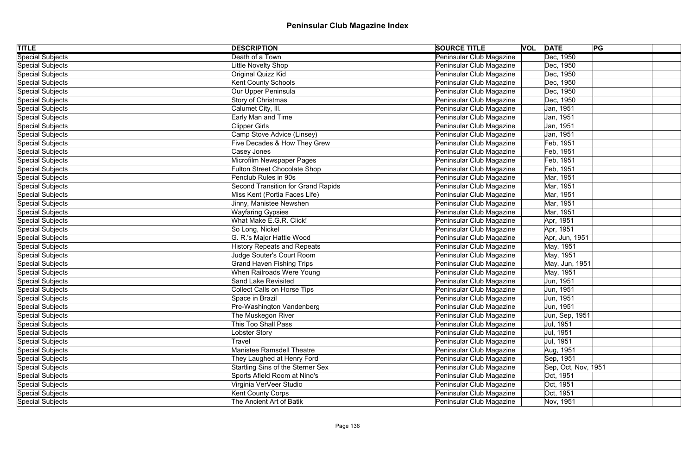| <b>TITLE</b>     | <b>DESCRIPTION</b>                        | <b>SOURCE TITLE</b>      | <b>VOL DATE</b>     | PG |
|------------------|-------------------------------------------|--------------------------|---------------------|----|
| Special Subjects | Death of a Town                           | Peninsular Club Magazine | Dec, 1950           |    |
| Special Subjects | Little Novelty Shop                       | Peninsular Club Magazine | Dec, 1950           |    |
| Special Subjects | <b>Original Quizz Kid</b>                 | Peninsular Club Magazine | Dec, 1950           |    |
| Special Subjects | <b>Kent County Schools</b>                | Peninsular Club Magazine | Dec, 1950           |    |
| Special Subjects | Our Upper Peninsula                       | Peninsular Club Magazine | Dec, 1950           |    |
| Special Subjects | Story of Christmas                        | Peninsular Club Magazine | Dec, 1950           |    |
| Special Subjects | Calumet City, III.                        | Peninsular Club Magazine | Jan, 1951           |    |
| Special Subjects | Early Man and Time                        | Peninsular Club Magazine | Jan, 1951           |    |
| Special Subjects | <b>Clipper Girls</b>                      | Peninsular Club Magazine | Jan, 1951           |    |
| Special Subjects | Camp Stove Advice (Linsey)                | Peninsular Club Magazine | Jan, 1951           |    |
| Special Subjects | Five Decades & How They Grew              | Peninsular Club Magazine | Feb, 1951           |    |
| Special Subjects | Casey Jones                               | Peninsular Club Magazine | Feb, 1951           |    |
| Special Subjects | Microfilm Newspaper Pages                 | Peninsular Club Magazine | Feb, 1951           |    |
| Special Subjects | <b>Fulton Street Chocolate Shop</b>       | Peninsular Club Magazine | Feb, 1951           |    |
| Special Subjects | Penclub Rules in 90s                      | Peninsular Club Magazine | Mar, 1951           |    |
| Special Subjects | <b>Second Transition for Grand Rapids</b> | Peninsular Club Magazine | Mar, 1951           |    |
| Special Subjects | Miss Kent (Portia Faces Life)             | Peninsular Club Magazine | Mar, 1951           |    |
| Special Subjects | Jinny, Manistee Newshen                   | Peninsular Club Magazine | Mar, 1951           |    |
| Special Subjects | <b>Wayfaring Gypsies</b>                  | Peninsular Club Magazine | Mar, 1951           |    |
| Special Subjects | What Make E.G.R. Click!                   | Peninsular Club Magazine | Apr, 1951           |    |
| Special Subjects | So Long, Nickel                           | Peninsular Club Magazine | Apr, 1951           |    |
| Special Subjects | G. R.'s Major Hattie Wood                 | Peninsular Club Magazine | Apr, Jun, 1951      |    |
| Special Subjects | <b>History Repeats and Repeats</b>        | Peninsular Club Magazine | May, 1951           |    |
| Special Subjects | Judge Souter's Court Room                 | Peninsular Club Magazine | May, 1951           |    |
| Special Subjects | <b>Grand Haven Fishing Trips</b>          | Peninsular Club Magazine | May, Jun, 1951      |    |
| Special Subjects | When Railroads Were Young                 | Peninsular Club Magazine | May, 1951           |    |
| Special Subjects | Sand Lake Revisited                       | Peninsular Club Magazine | Jun, 1951           |    |
| Special Subjects | <b>Collect Calls on Horse Tips</b>        | Peninsular Club Magazine | Jun, 1951           |    |
| Special Subjects | Space in Brazil                           | Peninsular Club Magazine | Jun, 1951           |    |
| Special Subjects | Pre-Washington Vandenberg                 | Peninsular Club Magazine | Jun, 1951           |    |
| Special Subjects | The Muskegon River                        | Peninsular Club Magazine | Jun, Sep, 1951      |    |
| Special Subjects | <b>This Too Shall Pass</b>                | Peninsular Club Magazine | Jul, 1951           |    |
| Special Subjects | Lobster Story                             | Peninsular Club Magazine | Jul, 1951           |    |
| Special Subjects | Travel                                    | Peninsular Club Magazine | Jul, 1951           |    |
| Special Subjects | <b>Manistee Ramsdell Theatre</b>          | Peninsular Club Magazine | Aug, 1951           |    |
| Special Subjects | They Laughed at Henry Ford                | Peninsular Club Magazine | Sep, 1951           |    |
| Special Subjects | Startling Sins of the Sterner Sex         | Peninsular Club Magazine | Sep, Oct, Nov, 1951 |    |
| Special Subjects | Sports Afield Room at Nino's              | Peninsular Club Magazine | Oct, 1951           |    |
| Special Subjects | Virginia VerVeer Studio                   | Peninsular Club Magazine | Oct, 1951           |    |
| Special Subjects | <b>Kent County Corps</b>                  | Peninsular Club Magazine | Oct, 1951           |    |
| Special Subjects | The Ancient Art of Batik                  | Peninsular Club Magazine | Nov, 1951           |    |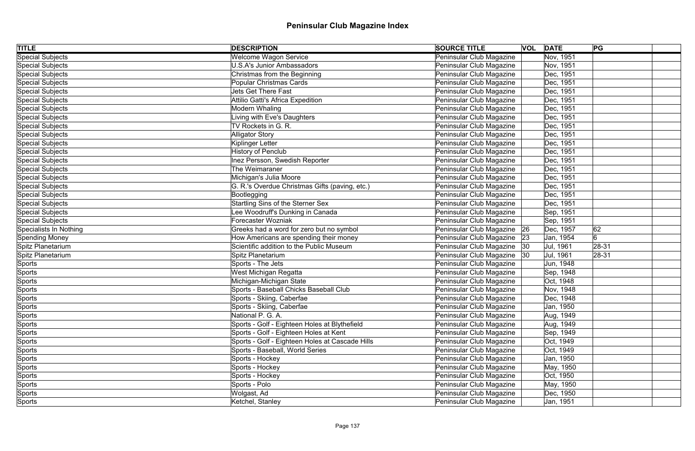| <b>TITLE</b>           | <b>DESCRIPTION</b>                              | <b>SOURCE TITLE</b>          | <b>VOL DATE</b> | PG        |
|------------------------|-------------------------------------------------|------------------------------|-----------------|-----------|
| Special Subjects       | <b>Welcome Wagon Service</b>                    | Peninsular Club Magazine     | Nov, 1951       |           |
| Special Subjects       | <b>U.S.A's Junior Ambassadors</b>               | Peninsular Club Magazine     | Nov, 1951       |           |
| Special Subjects       | Christmas from the Beginning                    | Peninsular Club Magazine     | Dec, 1951       |           |
| Special Subjects       | Popular Christmas Cards                         | Peninsular Club Magazine     | Dec, 1951       |           |
| Special Subjects       | <b>Jets Get There Fast</b>                      | Peninsular Club Magazine     | Dec, 1951       |           |
| Special Subjects       | <b>Attilio Gatti's Africa Expedition</b>        | Peninsular Club Magazine     | Dec, 1951       |           |
| Special Subjects       | Modern Whaling                                  | Peninsular Club Magazine     | Dec, 1951       |           |
| Special Subjects       | Living with Eve's Daughters                     | Peninsular Club Magazine     | Dec, 1951       |           |
| Special Subjects       | TV Rockets in G. R.                             | Peninsular Club Magazine     | Dec, 1951       |           |
| Special Subjects       | <b>Alligator Story</b>                          | Peninsular Club Magazine     | Dec, 1951       |           |
| Special Subjects       | Kiplinger Letter                                | Peninsular Club Magazine     | Dec, 1951       |           |
| Special Subjects       | <b>History of Penclub</b>                       | Peninsular Club Magazine     | Dec, 1951       |           |
| Special Subjects       | Inez Persson, Swedish Reporter                  | Peninsular Club Magazine     | Dec, 1951       |           |
| Special Subjects       | The Weimaraner                                  | Peninsular Club Magazine     | Dec, 1951       |           |
| Special Subjects       | Michigan's Julia Moore                          | Peninsular Club Magazine     | Dec, 1951       |           |
| Special Subjects       | G. R.'s Overdue Christmas Gifts (paving, etc.)  | Peninsular Club Magazine     | Dec, 1951       |           |
| Special Subjects       | Bootlegging                                     | Peninsular Club Magazine     | Dec, 1951       |           |
| Special Subjects       | <b>Startling Sins of the Sterner Sex</b>        | Peninsular Club Magazine     | Dec, 1951       |           |
| Special Subjects       | ee Woodruff's Dunking in Canada                 | Peninsular Club Magazine     | Sep, 1951       |           |
| Special Subjects       | Forecaster Wozniak                              | Peninsular Club Magazine     | Sep, 1951       |           |
| Specialists In Nothing | Greeks had a word for zero but no symbol        | Peninsular Club Magazine 26  | Dec, 1957       | 62        |
| Spending Money         | How Americans are spending their money          | Peninsular Club Magazine 23  | Jan, 1954       | 6         |
| Spitz Planetarium      | Scientific addition to the Public Museum        | Peninsular Club Magazine  30 | Jul, 1961       | $ 28-31 $ |
| Spitz Planetarium      | Spitz Planetarium                               | Peninsular Club Magazine 30  | Jul, 1961       | $ 28-31 $ |
| Sports                 | Sports - The Jets                               | Peninsular Club Magazine     | Jun, 1948       |           |
| Sports                 | West Michigan Regatta                           | Peninsular Club Magazine     | Sep, 1948       |           |
| Sports                 | Michigan-Michigan State                         | Peninsular Club Magazine     | Oct, 1948       |           |
| Sports                 | Sports - Baseball Chicks Baseball Club          | Peninsular Club Magazine     | Nov, 1948       |           |
| Sports                 | Sports - Skiing, Caberfae                       | Peninsular Club Magazine     | Dec, 1948       |           |
| Sports                 | Sports - Skiing, Caberfae                       | Peninsular Club Magazine     | Jan, 1950       |           |
| Sports                 | National P. G. A.                               | Peninsular Club Magazine     | Aug, 1949       |           |
| Sports                 | Sports - Golf - Eighteen Holes at Blythefield   | Peninsular Club Magazine     | Aug, 1949       |           |
| Sports                 | Sports - Golf - Eighteen Holes at Kent          | Peninsular Club Magazine     | Sep, 1949       |           |
| Sports                 | Sports - Golf - Eighteen Holes at Cascade Hills | Peninsular Club Magazine     | Oct, 1949       |           |
| Sports                 | Sports - Baseball, World Series                 | Peninsular Club Magazine     | Oct, 1949       |           |
| Sports                 | Sports - Hockey                                 | Peninsular Club Magazine     | Jan, 1950       |           |
| Sports                 | Sports - Hockey                                 | Peninsular Club Magazine     | May, 1950       |           |
| Sports                 | Sports - Hockey                                 | Peninsular Club Magazine     | Oct, 1950       |           |
| Sports                 | Sports - Polo                                   | Peninsular Club Magazine     | May, 1950       |           |
| Sports                 | Wolgast, Ad                                     | Peninsular Club Magazine     | Dec, 1950       |           |
| Sports                 | Ketchel, Stanley                                | Peninsular Club Magazine     | Jan, 1951       |           |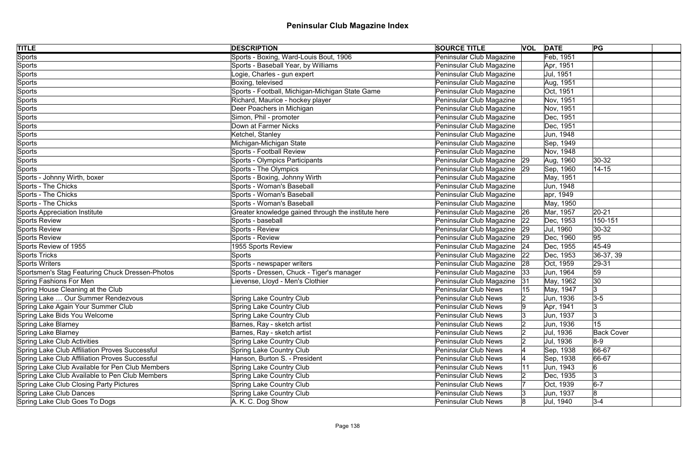| <b>TITLE</b>                                    | <b>DESCRIPTION</b>                                  | <b>SOURCE TITLE</b>           |    | <b>VOL DATE</b> | PG                |
|-------------------------------------------------|-----------------------------------------------------|-------------------------------|----|-----------------|-------------------|
| <b>Sports</b>                                   | Sports - Boxing, Ward-Louis Bout, 1906              | Peninsular Club Magazine      |    | Feb, 1951       |                   |
| Sports                                          | Sports - Baseball Year, by Williams                 | Peninsular Club Magazine      |    | Apr, 1951       |                   |
| Sports                                          | Logie, Charles - gun expert                         | Peninsular Club Magazine      |    | Jul, 1951       |                   |
| Sports                                          | Boxing, televised                                   | Peninsular Club Magazine      |    | Aug, 1951       |                   |
| Sports                                          | Sports - Football, Michigan-Michigan State Game     | Peninsular Club Magazine      |    | Oct, 1951       |                   |
| Sports                                          | Richard, Maurice - hockey player                    | Peninsular Club Magazine      |    | Nov, 1951       |                   |
| Sports                                          | Deer Poachers in Michigan                           | Peninsular Club Magazine      |    | Nov, 1951       |                   |
| Sports                                          | Simon, Phil - promoter                              | Peninsular Club Magazine      |    | Dec, 1951       |                   |
| Sports                                          | Down at Farmer Nicks                                | Peninsular Club Magazine      |    | Dec, 1951       |                   |
| Sports                                          | Ketchel, Stanley                                    | Peninsular Club Magazine      |    | Jun, 1948       |                   |
| Sports                                          | Michigan-Michigan State                             | Peninsular Club Magazine      |    | Sep, 1949       |                   |
| Sports                                          | Sports - Football Review                            | Peninsular Club Magazine      |    | Nov, 1948       |                   |
| Sports                                          | Sports - Olympics Participants                      | Peninsular Club Magazine 29   |    | Aug, 1960       | $ 30-32 $         |
| Sports                                          | Sports - The Olympics                               | Peninsular Club Magazine   29 |    | Sep, 1960       | $14 - 15$         |
| Sports - Johnny Wirth, boxer                    | Sports - Boxing, Johnny Wirth                       | Peninsular Club Magazine      |    | May, 1951       |                   |
| Sports - The Chicks                             | Sports - Woman's Baseball                           | Peninsular Club Magazine      |    | Jun, 1948       |                   |
| <b>Sports - The Chicks</b>                      | Sports - Woman's Baseball                           | Peninsular Club Magazine      |    | apr, 1949       |                   |
| <b>Sports - The Chicks</b>                      | Sports - Woman's Baseball                           | Peninsular Club Magazine      |    | May, 1950       |                   |
| Sports Appreciation Institute                   | Greater knowledge gained through the institute here | Peninsular Club Magazine   26 |    | Mar, 1957       | $20 - 21$         |
| Sports Review                                   | Sports - baseball                                   | Peninsular Club Magazine   22 |    | Dec, 1953       | 150-151           |
| Sports Review                                   | Sports - Review                                     | Peninsular Club Magazine   29 |    | Jul, 1960       | 30-32             |
| <b>Sports Review</b>                            | Sports - Review                                     | Peninsular Club Magazine   29 |    | Dec, 1960       | 95                |
| Sports Review of 1955                           | 1955 Sports Review                                  | Peninsular Club Magazine   24 |    | Dec, 1955       | 45-49             |
| Sports Tricks                                   | Sports                                              | Peninsular Club Magazine      | 22 | Dec, 1953       | $ 36-37, 39 $     |
| Sports Writers                                  | Sports - newspaper writers                          | Peninsular Club Magazine 28   |    | Oct, 1959       | 29-31             |
| Sportsmen's Stag Featuring Chuck Dressen-Photos | Sports - Dressen, Chuck - Tiger's manager           | Peninsular Club Magazine      | 33 | Jun, 1964       | 59                |
| Spring Fashions For Men                         | Lievense, Lloyd - Men's Clothier                    | Peninsular Club Magazine      | 31 | May, 1962       | 30                |
| Spring House Cleaning at the Club               |                                                     | <b>Peninsular Club News</b>   |    | May, 1947       | 3                 |
| Spring Lake  Our Summer Rendezvous              | <b>Spring Lake Country Club</b>                     | Peninsular Club News          |    | Jun, 1936       | $3-5$             |
| Spring Lake Again Your Summer Club              | Spring Lake Country Club                            | <b>Peninsular Club News</b>   |    | Apr, 1941       | 3                 |
| Spring Lake Bids You Welcome                    | Spring Lake Country Club                            | <b>Peninsular Club News</b>   |    | Jun, 1937       |                   |
| Spring Lake Blarney                             | Barnes, Ray - sketch artist                         | <b>Peninsular Club News</b>   |    | Jun, 1936       | 15                |
| Spring Lake Blarney                             | Barnes, Ray - sketch artist                         | <b>Peninsular Club News</b>   |    | Jul, 1936       | <b>Back Cover</b> |
| Spring Lake Club Activities                     | Spring Lake Country Club                            | <b>Peninsular Club News</b>   |    | Jul, 1936       | $ 8-9 $           |
| Spring Lake Club Affiliation Proves Successful  | <b>Spring Lake Country Club</b>                     | <b>Peninsular Club News</b>   |    | Sep, 1938       | 66-67             |
| Spring Lake Club Affiliation Proves Successful  | Hanson, Burton S. - President                       | <b>Peninsular Club News</b>   |    | Sep, 1938       | 66-67             |
| Spring Lake Club Available for Pen Club Members | <b>Spring Lake Country Club</b>                     | <b>Peninsular Club News</b>   |    | Jun, 1943       | 6                 |
| Spring Lake Club Available to Pen Club Members  | Spring Lake Country Club                            | <b>Peninsular Club News</b>   |    | Dec, 1935       | 3                 |
| <b>Spring Lake Club Closing Party Pictures</b>  | <b>Spring Lake Country Club</b>                     | <b>Peninsular Club News</b>   |    | Oct, 1939       | $6-7$             |
| Spring Lake Club Dances                         | Spring Lake Country Club                            | <b>Peninsular Club News</b>   |    | Jun, 1937       | $\overline{8}$    |
| Spring Lake Club Goes To Dogs                   | A. K. C. Dog Show                                   | <b>Peninsular Club News</b>   | 18 | Jul, 1940       | $3 - 4$           |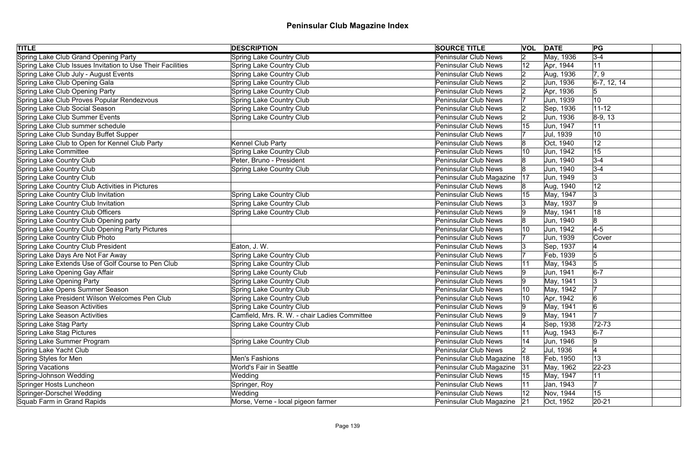| <b>TITLE</b>                                               | <b>DESCRIPTION</b>                            | <b>SOURCE TITLE</b>           |              | <b>VOL DATE</b> | PG              |
|------------------------------------------------------------|-----------------------------------------------|-------------------------------|--------------|-----------------|-----------------|
| Spring Lake Club Grand Opening Party                       | <b>Spring Lake Country Club</b>               | <b>Peninsular Club News</b>   | 2            | May, 1936       | $3-4$           |
| Spring Lake Club Issues Invitation to Use Their Facilities | Spring Lake Country Club                      | <b>Peninsular Club News</b>   | 12           | Apr, 1944       | 11              |
| Spring Lake Club July - August Events                      | <b>Spring Lake Country Club</b>               | <b>Peninsular Club News</b>   |              | Aug, 1936       | 7, 9            |
| Spring Lake Club Opening Gala                              | Spring Lake Country Club                      | <b>Peninsular Club News</b>   |              | Jun, 1936       | $ 6-7, 12, 14$  |
| Spring Lake Club Opening Party                             | <b>Spring Lake Country Club</b>               | <b>Peninsular Club News</b>   |              | Apr, 1936       |                 |
| Spring Lake Club Proves Popular Rendezvous                 | Spring Lake Country Club                      | <b>Peninsular Club News</b>   |              | Jun, 1939       | 10 <sub>1</sub> |
| Spring Lake Club Social Season                             | <b>Spring Lake Country Club</b>               | <b>Peninsular Club News</b>   |              | Sep, 1936       | $11 - 12$       |
| Spring Lake Club Summer Events                             | Spring Lake Country Club                      | <b>Peninsular Club News</b>   |              | Jun, 1936       | $ 8-9, 13 $     |
| Spring Lake Club summer schedule                           |                                               | <b>Peninsular Club News</b>   |              | Jun, 1947       | 11              |
| Spring Lake Club Sunday Buffet Supper                      |                                               | <b>Peninsular Club News</b>   |              | Jul, 1939       | 10              |
| Spring Lake Club to Open for Kennel Club Party             | Kennel Club Party                             | <b>Peninsular Club News</b>   |              | Oct, 1940       | 12              |
| Spring Lake Committee                                      | Spring Lake Country Club                      | <b>Peninsular Club News</b>   |              | Jun, 1942       | 15              |
| Spring Lake Country Club                                   | Peter, Bruno - President                      | <b>Peninsular Club News</b>   |              | Jun, 1940       | $3-4$           |
| Spring Lake Country Club                                   | <b>Spring Lake Country Club</b>               | <b>Peninsular Club News</b>   |              | Jun, 1940       | $3-4$           |
| Spring Lake Country Club                                   |                                               | Peninsular Club Magazine      | 17           | Jun, 1949       | 3               |
| Spring Lake Country Club Activities in Pictures            |                                               | <b>Peninsular Club News</b>   |              | Aug, 1940       | 12              |
| Spring Lake Country Club Invitation                        | Spring Lake Country Club                      | <b>Peninsular Club News</b>   | 15           | May, 1947       | Ι3              |
| Spring Lake Country Club Invitation                        | Spring Lake Country Club                      | <b>Peninsular Club News</b>   |              | May, 1937       | 9               |
| Spring Lake Country Club Officers                          | Spring Lake Country Club                      | <b>Peninsular Club News</b>   |              | May, 1941       | 18              |
| Spring Lake Country Club Opening party                     |                                               | <b>Peninsular Club News</b>   |              | Jun, 1940       | 8               |
| Spring Lake Country Club Opening Party Pictures            |                                               | <b>Peninsular Club News</b>   | 10           | Jun, 1942       | $4-5$           |
| Spring Lake Country Club Photo                             |                                               | <b>Peninsular Club News</b>   |              | Jun, 1939       | Cover           |
| Spring Lake Country Club President                         | Eaton, J. W.                                  | <b>Peninsular Club News</b>   |              | Sep, 1937       |                 |
| Spring Lake Days Are Not Far Away                          | <b>Spring Lake Country Club</b>               | <b>Peninsular Club News</b>   |              | Feb, 1939       | 5               |
| Spring Lake Extends Use of Golf Course to Pen Club         | Spring Lake Country Club                      | <b>Peninsular Club News</b>   | 11           | May, 1943       | 5               |
| Spring Lake Opening Gay Affair                             | Spring Lake County Club                       | <b>Peninsular Club News</b>   |              | Jun, 1941       | $6-7$           |
| Spring Lake Opening Party                                  | Spring Lake Country Club                      | <b>Peninsular Club News</b>   |              | May, 1941       |                 |
| Spring Lake Opens Summer Season                            | <b>Spring Lake Country Club</b>               | <b>Peninsular Club News</b>   | 10           | May, 1942       |                 |
| Spring Lake President Wilson Welcomes Pen Club             | Spring Lake Country Club                      | Peninsular Club News          | 10           | Apr, 1942       | 6               |
| Spring Lake Season Activities                              | Spring Lake Country Club                      | <b>Peninsular Club News</b>   | ۱g           | May, 1941       | 6               |
| Spring Lake Season Activities                              | Camfield, Mrs. R. W. - chair Ladies Committee | Peninsular Club News          |              | May, 1941       |                 |
| Spring Lake Stag Party                                     | Spring Lake Country Club                      | <b>Peninsular Club News</b>   |              | Sep, 1938       | $72 - 73$       |
| Spring Lake Stag Pictures                                  |                                               | <b>Peninsular Club News</b>   |              | Aug, 1943       | $6-7$           |
| Spring Lake Summer Program                                 | Spring Lake Country Club                      | <b>Peninsular Club News</b>   |              | Jun, 1946       | 9               |
| Spring Lake Yacht Club                                     |                                               | <b>Peninsular Club News</b>   |              | Jul, 1936       |                 |
| Spring Styles for Men                                      | Men's Fashions                                | Peninsular Club Magazine      | 18           | Feb, 1950       | 13              |
| <b>Spring Vacations</b>                                    | <b>World's Fair in Seattle</b>                | Peninsular Club Magazine      | 31           | May, 1962       | $22 - 23$       |
| Spring-Johnson Wedding                                     | Wedding                                       | <b>Peninsular Club News</b>   | 15           | May, 1947       | 11              |
| Springer Hosts Luncheon                                    | Springer, Roy                                 | <b>Peninsular Club News</b>   | 11           | Jan, 1943       |                 |
| Springer-Dorschel Wedding                                  | Wedding                                       | <b>Peninsular Club News</b>   | $ 12\rangle$ | Nov, 1944       | 15              |
| Squab Farm in Grand Rapids                                 | Morse, Verne - local pigeon farmer            | Peninsular Club Magazine   21 |              | Oct, 1952       | $ 20-21$        |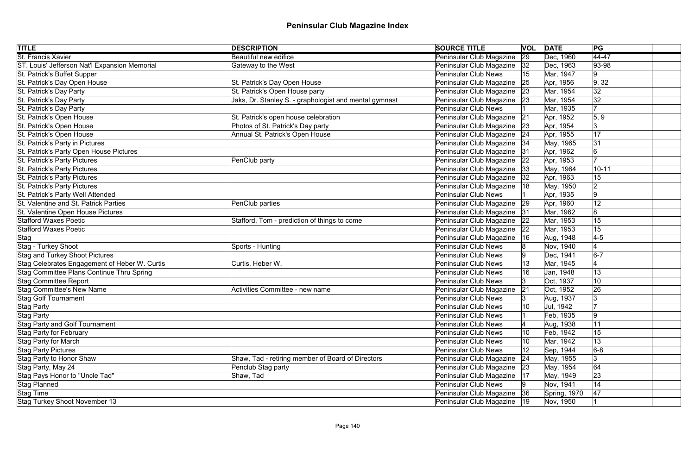| <b>TITLE</b>                                  | <b>DESCRIPTION</b>                                     | <b>SOURCE TITLE</b>           | <b>VOL</b> | <b>DATE</b>  | PG             |  |
|-----------------------------------------------|--------------------------------------------------------|-------------------------------|------------|--------------|----------------|--|
| <b>St. Francis Xavier</b>                     | <b>Beautiful new edifice</b>                           | Peninsular Club Magazine      | 29         | Dec, 1960    | $\sqrt{44-47}$ |  |
| ST. Louis' Jefferson Nat'l Expansion Memorial | Gateway to the West                                    | Peninsular Club Magazine      | 32         | Dec, 1963    | $ 93 - 98$     |  |
| St. Patrick's Buffet Supper                   |                                                        | Peninsular Club News          | 15         | Mar, 1947    | 9              |  |
| St. Patrick's Day Open House                  | St. Patrick's Day Open House                           | Peninsular Club Magazine      | 25         | Apr, 1956    | 9, 32          |  |
| St. Patrick's Day Party                       | St. Patrick's Open House party                         | Peninsular Club Magazine      | 23         | Mar, 1954    | 32             |  |
| St. Patrick's Day Party                       | Jaks, Dr. Stanley S. - graphologist and mental gymnast | Peninsular Club Magazine 23   |            | Mar, 1954    | 32             |  |
| St. Patrick's Day Party                       |                                                        | <b>Peninsular Club News</b>   |            | Mar, 1935    | 17             |  |
| St. Patrick's Open House                      | St. Patrick's open house celebration                   | Peninsular Club Magazine      | 21         | Apr, 1952    | 5, 9           |  |
| St. Patrick's Open House                      | Photos of St. Patrick's Day party                      | Peninsular Club Magazine      | 23         | Apr, 1954    | 3              |  |
| St. Patrick's Open House                      | Annual St. Patrick's Open House                        | Peninsular Club Magazine 24   |            | Apr, 1955    | 17             |  |
| St. Patrick's Party in Pictures               |                                                        | Peninsular Club Magazine      | 34         | May, 1965    | 31             |  |
| St. Patrick's Party Open House Pictures       |                                                        | Peninsular Club Magazine      | 31         | Apr, 1962    | 6              |  |
| St. Patrick's Party Pictures                  | PenClub party                                          | Peninsular Club Magazine      | 22         | Apr, 1953    |                |  |
| St. Patrick's Party Pictures                  |                                                        | Peninsular Club Magazine      | 33         | May, 1964    | $10 - 11$      |  |
| St. Patrick's Party Pictures                  |                                                        | Peninsular Club Magazine      | 32         | Apr, 1963    | 15             |  |
| St. Patrick's Party Pictures                  |                                                        | Peninsular Club Magazine      | ା18        | May, 1950    | $\overline{2}$ |  |
| St. Patrick's Party Well Attended             |                                                        | <b>Peninsular Club News</b>   |            | Apr, 1935    | 9              |  |
| St. Valentine and St. Patrick Parties         | PenClub parties                                        | Peninsular Club Magazine      | 29         | Apr, 1960    | 12             |  |
| St. Valentine Open House Pictures             |                                                        | Peninsular Club Magazine      | 31         | Mar, 1962    | 8              |  |
| <b>Stafford Waxes Poetic</b>                  | Stafford, Tom - prediction of things to come           | Peninsular Club Magazine      | 22         | Mar, 1953    | 15             |  |
| <b>Stafford Waxes Poetic</b>                  |                                                        | Peninsular Club Magazine      | 22         | Mar, 1953    | 15             |  |
| Stag                                          |                                                        | Peninsular Club Magazine      | 16         | Aug, 1948    | $4-5$          |  |
| Stag - Turkey Shoot                           | Sports - Hunting                                       | Peninsular Club News          |            | Nov, 1940    |                |  |
| Stag and Turkey Shoot Pictures                |                                                        | <b>Peninsular Club News</b>   |            | Dec, 1941    | $6-7$          |  |
| Stag Celebrates Engagement of Heber W. Curtis | Curtis, Heber W.                                       | <b>Peninsular Club News</b>   |            | Mar, 1945    |                |  |
| Stag Committee Plans Continue Thru Spring     |                                                        | Peninsular Club News          |            | Jan, 1948    | 13             |  |
| <b>Stag Committee Report</b>                  |                                                        | Peninsular Club News          | 13         | Oct, 1937    | 10             |  |
| <b>Stag Committee's New Name</b>              | Activities Committee - new name                        | Peninsular Club Magazine      | 21         | Oct, 1952    | 26             |  |
| <b>Stag Golf Tournament</b>                   |                                                        | Peninsular Club News          |            | Aug, 1937    | 3              |  |
| Stag Party                                    |                                                        | Peninsular Club News          |            | Jul, 1942    |                |  |
| Stag Party                                    |                                                        | <b>Peninsular Club News</b>   |            | Feb, 1935    | 19             |  |
| <b>Stag Party and Golf Tournament</b>         |                                                        | <b>Peninsular Club News</b>   |            | Aug, 1938    | 11             |  |
| <b>Stag Party for February</b>                |                                                        | <b>Peninsular Club News</b>   |            | Feb, 1942    | 15             |  |
| <b>Stag Party for March</b>                   |                                                        | <b>Peninsular Club News</b>   |            | Mar, 1942    | 13             |  |
| <b>Stag Party Pictures</b>                    |                                                        | Peninsular Club News          |            | Sep, 1944    | $6-8$          |  |
| Stag Party to Honor Shaw                      | Shaw, Tad - retiring member of Board of Directors      | Peninsular Club Magazine      | 24         | May, 1955    | 3              |  |
| Stag Party, May 24                            | Penclub Stag party                                     | Peninsular Club Magazine      | 23         | May, 1954    | 64             |  |
| Stag Pays Honor to "Uncle Tad"                | Shaw, Tad                                              | Peninsular Club Magazine      | 17         | May, 1949    | 23             |  |
| Stag Planned                                  |                                                        | <b>Peninsular Club News</b>   |            | Nov, 1941    | 14             |  |
| Stag Time                                     |                                                        | Peninsular Club Magazine      | 36         | Spring, 1970 | 47             |  |
| Stag Turkey Shoot November 13                 |                                                        | Peninsular Club Magazine   19 |            | Nov, 1950    |                |  |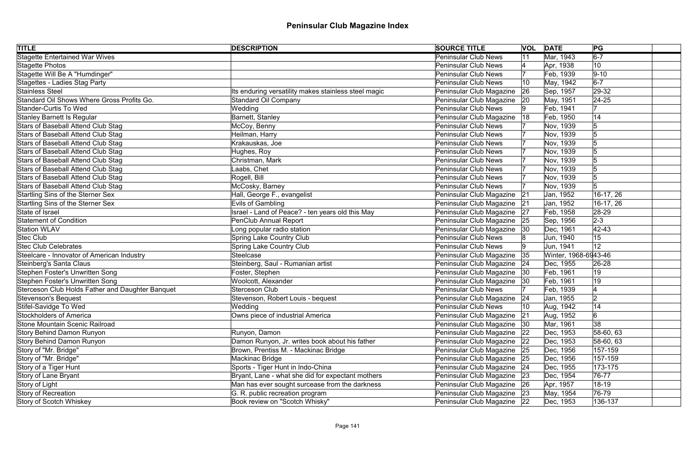| <b>TITLE</b>                                     | <b>DESCRIPTION</b>                                   | <b>SOURCE TITLE</b>           |    | <b>VOL DATE</b>      | PG          |
|--------------------------------------------------|------------------------------------------------------|-------------------------------|----|----------------------|-------------|
| <b>Stagette Entertained War Wives</b>            |                                                      | <b>Peninsular Club News</b>   |    | Mar, 1943            | $6-7$       |
| Stagette Photos                                  |                                                      | Peninsular Club News          |    | Apr, 1938            | 10          |
| Stagette Will Be A "Humdinger"                   |                                                      | <b>Peninsular Club News</b>   |    | Feb, 1939            | $ 9-10$     |
| Stagettes - Ladies Stag Party                    |                                                      | <b>Peninsular Club News</b>   | 10 | May, 1942            | $6-7$       |
| Stainless Steel                                  | Its enduring versatility makes stainless steel magic | Peninsular Club Magazine      | 26 | Sep, 1957            | 29-32       |
| Standard Oil Shows Where Gross Profits Go.       | <b>Standard Oil Company</b>                          | Peninsular Club Magazine 20   |    | May, 1951            | $24 - 25$   |
| Stander-Curtis To Wed                            | Wedding                                              | <b>Peninsular Club News</b>   |    | Feb, 1941            |             |
| Stanley Barnett Is Regular                       | Barnett, Stanley                                     | Peninsular Club Magazine      | 18 | Feb, 1950            | 14          |
| Stars of Baseball Attend Club Stag               | McCoy, Benny                                         | <b>Peninsular Club News</b>   |    | Nov, 1939            | 5           |
| Stars of Baseball Attend Club Stag               | Heilman, Harry                                       | <b>Peninsular Club News</b>   |    | Nov, 1939            |             |
| Stars of Baseball Attend Club Stag               | Krakauskas, Joe                                      | <b>Peninsular Club News</b>   |    | Nov, 1939            |             |
| Stars of Baseball Attend Club Stag               | Hughes, Roy                                          | Peninsular Club News          |    | Nov, 1939            |             |
| Stars of Baseball Attend Club Stag               | Christman, Mark                                      | <b>Peninsular Club News</b>   |    | Nov, 1939            |             |
| Stars of Baseball Attend Club Stag               | Laabs, Chet                                          | <b>Peninsular Club News</b>   |    | Nov, 1939            |             |
| Stars of Baseball Attend Club Stag               | Rogell, Bill                                         | <b>Peninsular Club News</b>   |    | Nov, 1939            |             |
| Stars of Baseball Attend Club Stag               | McCosky, Barney                                      | <b>Peninsular Club News</b>   |    | Nov, 1939            |             |
| Startling Sins of the Sterner Sex                | Hall, George F., evangelist                          | Peninsular Club Magazine      | 21 | Jan, 1952            | 16-17, 26   |
| Startling Sins of the Sterner Sex                | Evils of Gambling                                    | Peninsular Club Magazine      | 21 | Jan, 1952            | 16-17, 26   |
| State of Israel                                  | Israel - Land of Peace? - ten years old this May     | Peninsular Club Magazine      | 27 | Feb, 1958            | 28-29       |
| <b>Statement of Condition</b>                    | <b>PenClub Annual Report</b>                         | Peninsular Club Magazine      | 25 | Sep, 1956            | $2-3$       |
| <b>Station WLAV</b>                              | Long popular radio station                           | Peninsular Club Magazine      | 30 | Dec, 1961            | 42-43       |
| <b>Stec Club</b>                                 | <b>Spring Lake Country Club</b>                      | <b>Peninsular Club News</b>   |    | Jun, 1940            | 15          |
| <b>Stec Club Celebrates</b>                      | Spring Lake Country Club                             | <b>Peninsular Club News</b>   | 19 | Jun, 1941            | 12          |
| Steelcare - Innovator of American Industry       | Steelcase                                            | Peninsular Club Magazine      | 35 | Winter, 1968-6943-46 |             |
| Steinberg's Santa Claus                          | Steinberg, Saul - Rumanian artist                    | Peninsular Club Magazine 24   |    | Dec, 1955            | 26-28       |
| Stephen Foster's Unwritten Song                  | Foster, Stephen                                      | Peninsular Club Magazine      | 30 | Feb, 1961            | 19          |
| Stephen Foster's Unwritten Song                  | Woolcott, Alexander                                  | Peninsular Club Magazine 30   |    | Feb, 1961            | 19          |
| Sterceson Club Holds Father and Daughter Banquet | <b>Sterceson Club</b>                                | <b>Peninsular Club News</b>   |    | Feb, 1939            |             |
| Stevenson's Bequest                              | Stevenson, Robert Louis - bequest                    | Peninsular Club Magazine 24   |    | Jan, 1955            | ഥ<br>$\sim$ |
| Stifel-Savidge To Wed                            | Wedding                                              | <b>Peninsular Club News</b>   | 10 | Aug, 1942            | 14          |
| Stockholders of America                          | Owns piece of industrial America                     | Peninsular Club Magazine      | 21 | Aug, 1952            | 6           |
| Stone Mountain Scenic Railroad                   |                                                      | Peninsular Club Magazine      | 30 | Mar, 1961            | 38          |
| Story Behind Damon Runyon                        | Runyon, Damon                                        | Peninsular Club Magazine      | 22 | Dec, 1953            | 58-60, 63   |
| Story Behind Damon Runyon                        | Damon Runyon, Jr. writes book about his father       | Peninsular Club Magazine      | 22 | Dec, 1953            | 58-60, 63   |
| Story of "Mr. Bridge"                            | Brown, Prentiss M. - Mackinac Bridge                 | Peninsular Club Magazine 25   |    | Dec, 1956            | 157-159     |
| Story of "Mr. Bridge"                            | Mackinac Bridge                                      | Peninsular Club Magazine 25   |    | Dec, 1956            | 157-159     |
| Story of a Tiger Hunt                            | Sports - Tiger Hunt in Indo-China                    | Peninsular Club Magazine   24 |    | Dec, 1955            | 173-175     |
| Story of Lane Bryant                             | Bryant, Lane - what she did for expectant mothers    | Peninsular Club Magazine 23   |    | Dec, 1954            | 76-77       |
| Story of Light                                   | Man has ever sought surcease from the darkness       | Peninsular Club Magazine   26 |    | Apr, 1957            | $18-19$     |
| Story of Recreation                              | G. R. public recreation program                      | Peninsular Club Magazine 23   |    | May, 1954            | 76-79       |
| Story of Scotch Whiskey                          | Book review on "Scotch Whisky"                       | Peninsular Club Magazine 22   |    | Dec, 1953            | 136-137     |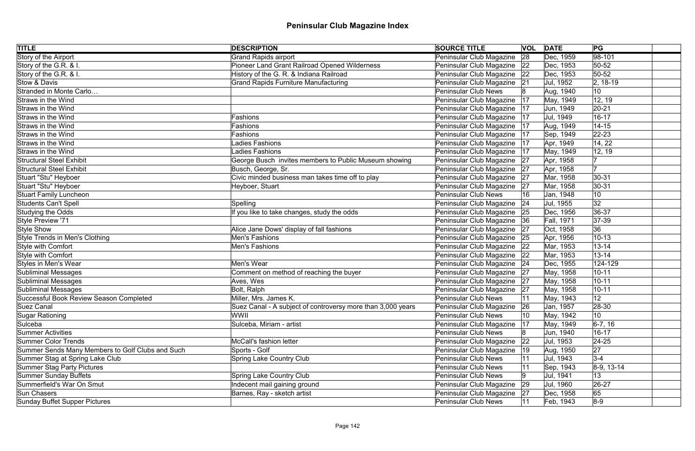| <b>TITLE</b>                                     | <b>DESCRIPTION</b>                                          | <b>SOURCE TITLE</b>           | <b>VOL</b> | <b>DATE</b> | PG           |
|--------------------------------------------------|-------------------------------------------------------------|-------------------------------|------------|-------------|--------------|
| Story of the Airport                             | <b>Grand Rapids airport</b>                                 | Peninsular Club Magazine      | 28         | Dec, 1959   | $98-101$     |
| Story of the G.R. & I.                           | Pioneer Land Grant Railroad Opened Wilderness               | Peninsular Club Magazine      | 22         | Dec, 1953   | $50 - 52$    |
| Story of the G.R. & I.                           | History of the G. R. & Indiana Railroad                     | Peninsular Club Magazine   22 |            | Dec, 1953   | $50 - 52$    |
| Stow & Davis                                     | <b>Grand Rapids Furniture Manufacturing</b>                 | Peninsular Club Magazine 21   |            | Jul, 1952   | $ 2, 18-19$  |
| Stranded in Monte Carlo                          |                                                             | <b>Peninsular Club News</b>   |            | Aug, 1940   | 10           |
| Straws in the Wind                               |                                                             | Peninsular Club Magazine      | 17         | May, 1949   | 12, 19       |
| Straws in the Wind                               |                                                             | Peninsular Club Magazine      | 17         | Jun, 1949   | $20 - 21$    |
| Straws in the Wind                               | Fashions                                                    | Peninsular Club Magazine      | 17         | Jul, 1949   | $16 - 17$    |
| Straws in the Wind                               | Fashions                                                    | Peninsular Club Magazine      | 17         | Aug, 1949   | $14 - 15$    |
| Straws in the Wind                               | Fashions                                                    | Peninsular Club Magazine      | 17         | Sep, 1949   | $ 22 - 23$   |
| Straws in the Wind                               | adies Fashions                                              | Peninsular Club Magazine      | 17         | Apr, 1949   | 14, 22       |
| Straws in the Wind                               | Ladies Fashions                                             | Peninsular Club Magazine      | 17         | May, 1949   | 12, 19       |
| <b>Structural Steel Exhibit</b>                  | George Busch invites members to Public Museum showing       | Peninsular Club Magazine      | 27         | Apr, 1958   |              |
| <b>Structural Steel Exhibit</b>                  | Busch, George, Sr.                                          | Peninsular Club Magazine      | 27         | Apr, 1958   | 17           |
| Stuart "Stu" Heyboer                             | Civic minded business man takes time off to play            | Peninsular Club Magazine      | 27         | Mar, 1958   | $30 - 31$    |
| Stuart "Stu" Heyboer                             | Heyboer, Stuart                                             | Peninsular Club Magazine      | 27         | Mar, 1958   | 30-31        |
| <b>Stuart Family Luncheon</b>                    |                                                             | <b>Peninsular Club News</b>   | 16         | Jan, 1948   | 10           |
| Students Can't Spell                             | Spelling                                                    | Peninsular Club Magazine      | 24         | Jul, 1955   | 32           |
| Studying the Odds                                | If you like to take changes, study the odds                 | Peninsular Club Magazine 25   |            | Dec, 1956   | 36-37        |
| Style Preview '71                                |                                                             | Peninsular Club Magazine      | 36         | Fall, 1971  | $ 37-39$     |
| Style Show                                       | Alice Jane Dows' display of fall fashions                   | Peninsular Club Magazine      | 27         | Oct, 1958   | 36           |
| Style Trends in Men's Clothing                   | Men's Fashions                                              | Peninsular Club Magazine      | 25         | Apr, 1956   | $10 - 13$    |
| Style with Comfort                               | <b>Men's Fashions</b>                                       | Peninsular Club Magazine 22   |            | Mar, 1953   | $13 - 14$    |
| Style with Comfort                               |                                                             | Peninsular Club Magazine   22 |            | Mar, 1953   | $13 - 14$    |
| Styles in Men's Wear                             | Men's Wear                                                  | Peninsular Club Magazine 24   |            | Dec, 1955   | 124-129      |
| Subliminal Messages                              | Comment on method of reaching the buyer                     | Peninsular Club Magazine      | 27         | May, 1958   | $10 - 11$    |
| Subliminal Messages                              | Aves, Wes                                                   | Peninsular Club Magazine 27   |            | May, 1958   | $10 - 11$    |
| Subliminal Messages                              | Bolt, Ralph                                                 | Peninsular Club Magazine      | 27         | May, 1958   | $10 - 11$    |
| Successful Book Review Season Completed          | Miller, Mrs. James K.                                       | Peninsular Club News          |            | May, 1943   | 12           |
| Suez Canal                                       | Suez Canal - A subject of controversy more than 3,000 years | Peninsular Club Magazine      | 26         | Jan, 1957   | 28-30        |
| Sugar Rationing                                  | WWII                                                        | <b>Peninsular Club News</b>   | 10         | May, 1942   | 10           |
| Sulceba                                          | Sulceba, Miriam - artist                                    | Peninsular Club Magazine      | 17         | May, 1949   | $ 6-7, 16$   |
| Summer Activities                                |                                                             | <b>Peninsular Club News</b>   |            | Jun, 1940   | $16 - 17$    |
| Summer Color Trends                              | McCall's fashion letter                                     | Peninsular Club Magazine      | 22         | Jul, 1953   | $ 24-25 $    |
| Summer Sends Many Members to Golf Clubs and Such | Sports - Golf                                               | Peninsular Club Magazine      | 19         | Aug, 1950   | 27           |
| Summer Stag at Spring Lake Club                  | <b>Spring Lake Country Club</b>                             | <b>Peninsular Club News</b>   |            | Jul, 1943   | $3 - 4$      |
| Summer Stag Party Pictures                       |                                                             | <b>Peninsular Club News</b>   |            | Sep, 1943   | $8-9, 13-14$ |
| Summer Sunday Buffets                            | <b>Spring Lake Country Club</b>                             | <b>Peninsular Club News</b>   |            | Jul, 1941   | 13           |
| Summerfield's War On Smut                        | Indecent mail gaining ground                                | Peninsular Club Magazine      | 29         | Jul, 1960   | $ 26-27$     |
| Sun Chasers                                      | Barnes, Ray - sketch artist                                 | Peninsular Club Magazine      | 27         | Dec, 1958   | 65           |
| Sunday Buffet Supper Pictures                    |                                                             | <b>Peninsular Club News</b>   |            | Feb, 1943   | $ 8-9 $      |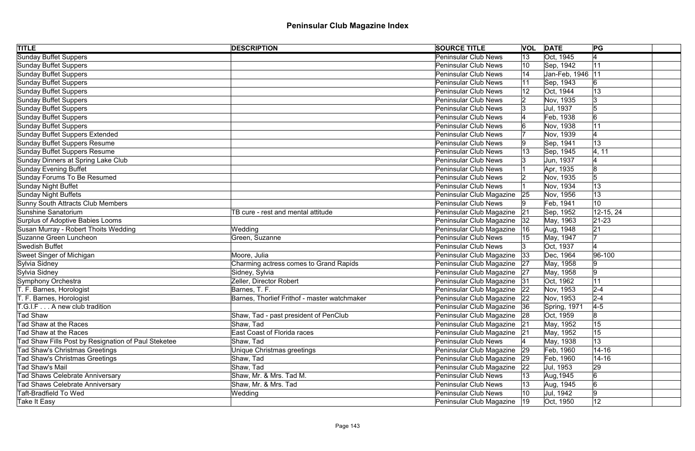| <b>TITLE</b>                                        | <b>DESCRIPTION</b>                           | <b>SOURCE TITLE</b>           | <b>VOL</b>   | <b>DATE</b>        | PG          |
|-----------------------------------------------------|----------------------------------------------|-------------------------------|--------------|--------------------|-------------|
| <b>Sunday Buffet Suppers</b>                        |                                              | <b>Peninsular Club News</b>   | $ 13\rangle$ | Oct, 1945          |             |
| Sunday Buffet Suppers                               |                                              | <b>Peninsular Club News</b>   | 10           | Sep, 1942          | 11          |
| Sunday Buffet Suppers                               |                                              | <b>Peninsular Club News</b>   |              | Jan-Feb, 1946   11 |             |
| Sunday Buffet Suppers                               |                                              | <b>Peninsular Club News</b>   |              | Sep, 1943          |             |
| Sunday Buffet Suppers                               |                                              | <b>Peninsular Club News</b>   |              | Oct, 1944          | 13          |
| Sunday Buffet Suppers                               |                                              | <b>Peninsular Club News</b>   |              | Nov, 1935          | 13          |
| <b>Sunday Buffet Suppers</b>                        |                                              | <b>Peninsular Club News</b>   |              | Jul, 1937          |             |
| Sunday Buffet Suppers                               |                                              | <b>Peninsular Club News</b>   |              | Feb, 1938          |             |
| <b>Sunday Buffet Suppers</b>                        |                                              | <b>Peninsular Club News</b>   |              | Nov, 1938          | 11          |
| <b>Sunday Buffet Suppers Extended</b>               |                                              | <b>Peninsular Club News</b>   |              | Nov, 1939          |             |
| Sunday Buffet Suppers Resume                        |                                              | <b>Peninsular Club News</b>   |              | Sep, 1941          | 13          |
| <b>Sunday Buffet Suppers Resume</b>                 |                                              | <b>Peninsular Club News</b>   |              | Sep, 1945          | 4, 11       |
| Sunday Dinners at Spring Lake Club                  |                                              | <b>Peninsular Club News</b>   |              | Jun, 1937          |             |
| <b>Sunday Evening Buffet</b>                        |                                              | <b>Peninsular Club News</b>   |              | Apr, 1935          |             |
| Sunday Forums To Be Resumed                         |                                              | <b>Peninsular Club News</b>   |              | Nov, 1935          | 5           |
| Sunday Night Buffet                                 |                                              | <b>Peninsular Club News</b>   |              | Nov, 1934          | 13          |
| Sunday Night Buffets                                |                                              | Peninsular Club Magazine      | 25           | Nov, 1956          | 13          |
| <b>Sunny South Attracts Club Members</b>            |                                              | <b>Peninsular Club News</b>   |              | Feb, 1941          | 10          |
| Sunshine Sanatorium                                 | TB cure - rest and mental attitude           | Peninsular Club Magazine      | 21           | Sep, 1952          | 12-15, 24   |
| Surplus of Adoptive Babies Looms                    |                                              | Peninsular Club Magazine      | 32           | May, 1963          | $ 21 - 23 $ |
| Susan Murray - Robert Thoits Wedding                | Wedding                                      | Peninsular Club Magazine      | 16           | Aug, 1948          | 21          |
| Suzanne Green Luncheon                              | Green, Suzanne                               | <b>Peninsular Club News</b>   |              | May, 1947          |             |
| Swedish Buffet                                      |                                              | <b>Peninsular Club News</b>   |              | Oct, 1937          |             |
| Sweet Singer of Michigan                            | Moore, Julia                                 | Peninsular Club Magazine      | 33           | Dec, 1964          | 96-100      |
| Sylvia Sidney                                       | Charming actress comes to Grand Rapids       | Peninsular Club Magazine 27   |              | May, 1958          | 19          |
| Sylvia Sidney                                       | Sidney, Sylvia                               | Peninsular Club Magazine 27   |              | May, 1958          | $ 9\rangle$ |
| Symphony Orchestra                                  | Zeller, Director Robert                      | Peninsular Club Magazine 31   |              | Oct, 1962          | 11          |
| T. F. Barnes, Horologist                            | Barnes, T. F.                                | Peninsular Club Magazine 22   |              | Nov, 1953          | $2 - 4$     |
| T. F. Barnes, Horologist                            | Barnes, Thorlief Frithof - master watchmaker | Peninsular Club Magazine   22 |              | Nov, 1953          | $2 - 4$     |
| T.G.I.F A new club tradition                        |                                              | Peninsular Club Magazine 36   |              | Spring, 1971       | $4-5$       |
| Tad Shaw                                            | Shaw, Tad - past president of PenClub        | Peninsular Club Magazine 28   |              | Oct, 1959          |             |
| Tad Shaw at the Races                               | Shaw, Tad                                    | Peninsular Club Magazine 21   |              | May, 1952          | 15          |
| Tad Shaw at the Races                               | <b>East Coast of Florida races</b>           | Peninsular Club Magazine 21   |              | May, 1952          | 15          |
| Tad Shaw Fills Post by Resignation of Paul Steketee | Shaw, Tad                                    | <b>Peninsular Club News</b>   |              | May, 1938          | 13          |
| <b>Tad Shaw's Christmas Greetings</b>               | Unique Christmas greetings                   | Peninsular Club Magazine      | 29           | Feb, 1960          | $14 - 16$   |
| <b>Tad Shaw's Christmas Greetings</b>               | Shaw, Tad                                    | Peninsular Club Magazine      | 29           | Feb, 1960          | $14 - 16$   |
| Tad Shaw's Mail                                     | Shaw, Tad                                    | Peninsular Club Magazine      | 22           | Jul, 1953          | 29          |
| <b>Tad Shaws Celebrate Anniversary</b>              | Shaw, Mr. & Mrs. Tad M.                      | <b>Peninsular Club News</b>   | 13           | Aug, 1945          | 6           |
| <b>Tad Shaws Celebrate Anniversary</b>              | Shaw, Mr. & Mrs. Tad                         | <b>Peninsular Club News</b>   | 13           | Aug, 1945          | 6           |
| <b>Taft-Bradfield To Wed</b>                        | Wedding                                      | <b>Peninsular Club News</b>   | 10           | Jul, 1942          | 19          |
| Take It Easy                                        |                                              | Peninsular Club Magazine   19 |              | Oct, 1950          | 12          |
|                                                     |                                              |                               |              |                    |             |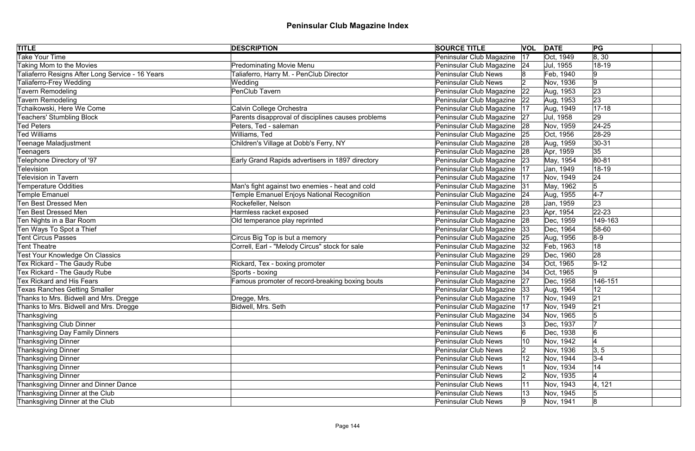| <b>TITLE</b>                                     | <b>DESCRIPTION</b>                                 | <b>SOURCE TITLE</b>           |    | <b>VOL DATE</b> | PG             |
|--------------------------------------------------|----------------------------------------------------|-------------------------------|----|-----------------|----------------|
| <b>Take Your Time</b>                            |                                                    | Peninsular Club Magazine      | 17 | Oct, 1949       | 8, 30          |
| Taking Mom to the Movies                         | <b>Predominating Movie Menu</b>                    | Peninsular Club Magazine   24 |    | Jul, 1955       | 18-19          |
| Taliaferro Resigns After Long Service - 16 Years | Taliaferro, Harry M. - PenClub Director            | <b>Peninsular Club News</b>   |    | Feb, 1940       |                |
| Taliaferro-Frey Wedding                          | Wedding                                            | <b>Peninsular Club News</b>   |    | Nov, 1936       | 9              |
| <b>Tavern Remodeling</b>                         | PenClub Tavern                                     | Peninsular Club Magazine      | 22 | Aug, 1953       | 23             |
| Tavern Remodeling                                |                                                    | Peninsular Club Magazine 22   |    | Aug, 1953       | 23             |
| Tchaikowski, Here We Come                        | Calvin College Orchestra                           | Peninsular Club Magazine      | 17 | Aug, 1949       | $ 17 - 18$     |
| <b>Teachers' Stumbling Block</b>                 | Parents disapproval of disciplines causes problems | Peninsular Club Magazine      | 27 | Jul, 1958       | 29             |
| <b>Ted Peters</b>                                | Peters, Ted - saleman                              | Peninsular Club Magazine      | 28 | Nov, 1959       | $ 24-25$       |
| <b>Ted Williams</b>                              | Williams, Ted                                      | Peninsular Club Magazine 25   |    | Oct, 1956       | 28-29          |
| <b>Teenage Maladjustment</b>                     | Children's Village at Dobb's Ferry, NY             | Peninsular Club Magazine      | 28 | Aug, 1959       | $ 30-31 $      |
| Teenagers                                        |                                                    | Peninsular Club Magazine      | 28 | Apr, 1959       | 35             |
| Telephone Directory of '97                       | Early Grand Rapids advertisers in 1897 directory   | Peninsular Club Magazine      | 23 | May, 1954       | 80-81          |
| <b>Television</b>                                |                                                    | Peninsular Club Magazine      | 17 | Jan, 1949       | 18-19          |
| <b>Television in Tavern</b>                      |                                                    | Peninsular Club Magazine      | 17 | Nov, 1949       | 24             |
| <b>Temperature Oddities</b>                      | Man's fight against two enemies - heat and cold    | Peninsular Club Magazine      | 31 | May, 1962       | $\overline{5}$ |
| <b>Temple Emanuel</b>                            | Temple Emanuel Enjoys National Recognition         | Peninsular Club Magazine      | 24 | Aug, 1955       | $4-7$          |
| <b>Ten Best Dressed Men</b>                      | Rockefeller, Nelson                                | Peninsular Club Magazine      | 28 | Jan, 1959       | 23             |
| <b>Ten Best Dressed Men</b>                      | Harmless racket exposed                            | Peninsular Club Magazine      | 23 | Apr, 1954       | $22 - 23$      |
| Ten Nights in a Bar Room                         | Old temperance play reprinted                      | Peninsular Club Magazine      | 28 | Dec, 1959       | 149-163        |
| Ten Ways To Spot a Thief                         |                                                    | Peninsular Club Magazine      | 33 | Dec, 1964       | 58-60          |
| <b>Tent Circus Passes</b>                        | Circus Big Top is but a memory                     | Peninsular Club Magazine      | 25 | Aug, 1956       | $8-9$          |
| Tent Theatre                                     | Correll, Earl - "Melody Circus" stock for sale     | Peninsular Club Magazine      | 32 | Feb, 1963       | 18             |
| <b>Test Your Knowledge On Classics</b>           |                                                    | Peninsular Club Magazine      | 29 | Dec, 1960       | 28             |
| Tex Rickard - The Gaudy Rube                     | Rickard, Tex - boxing promoter                     | Peninsular Club Magazine   34 |    | Oct, 1965       | $9 - 12$       |
| Tex Rickard - The Gaudy Rube                     | Sports - boxing                                    | Peninsular Club Magazine   34 |    | Oct, 1965       | 9              |
| <b>Tex Rickard and His Fears</b>                 | Famous promoter of record-breaking boxing bouts    | Peninsular Club Magazine 27   |    | Dec, 1958       | 146-151        |
| <b>Texas Ranches Getting Smaller</b>             |                                                    | Peninsular Club Magazine  33  |    | Aug, 1964       | 12             |
| Thanks to Mrs. Bidwell and Mrs. Dregge           | Dregge, Mrs.                                       | Peninsular Club Magazine   17 |    | Nov, 1949       | 21             |
| Thanks to Mrs. Bidwell and Mrs. Dregge           | Bidwell, Mrs. Seth                                 | Peninsular Club Magazine      | 17 | Nov, 1949       | 21             |
| Thanksgiving                                     |                                                    | Peninsular Club Magazine      | 34 | Nov, 1965       |                |
| Thanksgiving Club Dinner                         |                                                    | <b>Peninsular Club News</b>   |    | Dec, 1937       |                |
| Thanksgiving Day Family Dinners                  |                                                    | <b>Peninsular Club News</b>   |    | Dec, 1938       | 16             |
| <b>Thanksgiving Dinner</b>                       |                                                    | <b>Peninsular Club News</b>   | 10 | Nov, 1942       |                |
| <b>Thanksgiving Dinner</b>                       |                                                    | <b>Peninsular Club News</b>   |    | Nov, 1936       | 3, 5           |
| <b>Thanksgiving Dinner</b>                       |                                                    | <b>Peninsular Club News</b>   |    | Nov, 1944       | $3-4$          |
| <b>Thanksgiving Dinner</b>                       |                                                    | <b>Peninsular Club News</b>   |    | Nov, 1934       | 14             |
| <b>Thanksgiving Dinner</b>                       |                                                    | <b>Peninsular Club News</b>   |    | Nov, 1935       |                |
| Thanksgiving Dinner and Dinner Dance             |                                                    | <b>Peninsular Club News</b>   | 11 | Nov, 1943       | 4, 121         |
| Thanksgiving Dinner at the Club                  |                                                    | <b>Peninsular Club News</b>   |    | Nov, 1945       |                |
| Thanksgiving Dinner at the Club                  |                                                    | <b>Peninsular Club News</b>   |    | Nov, 1941       | 8              |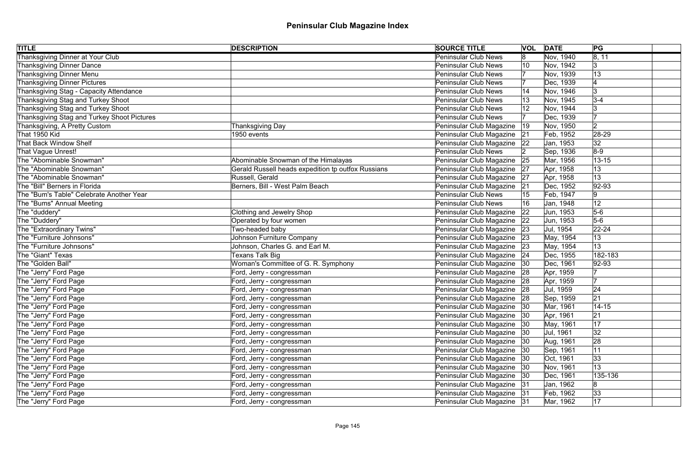| <b>TITLE</b>                                | <b>DESCRIPTION</b>                                 | <b>SOURCE TITLE</b>           |              | <b>VOL DATE</b> | PG          |
|---------------------------------------------|----------------------------------------------------|-------------------------------|--------------|-----------------|-------------|
| <b>Thanksgiving Dinner at Your Club</b>     |                                                    | <b>Peninsular Club News</b>   | 18.          | Nov, 1940       | 8, 11       |
| Thanksgiving Dinner Dance                   |                                                    | <b>Peninsular Club News</b>   | 10           | Nov, 1942       | 3           |
| Thanksgiving Dinner Menu                    |                                                    | <b>Peninsular Club News</b>   |              | Nov, 1939       | 13          |
| Thanksgiving Dinner Pictures                |                                                    | Peninsular Club News          |              | Dec, 1939       |             |
| Thanksgiving Stag - Capacity Attendance     |                                                    | <b>Peninsular Club News</b>   |              | Nov, 1946       | 3           |
| Thanksgiving Stag and Turkey Shoot          |                                                    | Peninsular Club News          |              | Nov, 1945       | $3-4$       |
| Thanksgiving Stag and Turkey Shoot          |                                                    | Peninsular Club News          |              | Nov, 1944       |             |
| Thanksgiving Stag and Turkey Shoot Pictures |                                                    | <b>Peninsular Club News</b>   |              | Dec, 1939       |             |
| Thanksgiving, A Pretty Custom               | Thanksgiving Day                                   | Peninsular Club Magazine      | $ 19\rangle$ | Nov, 1950       | 2           |
| That 1950 Kid                               | 1950 events                                        | Peninsular Club Magazine      | 21           | Feb, 1952       | 28-29       |
| That Back Window Shelf                      |                                                    | Peninsular Club Magazine      | 22           | Jan, 1953       | 32          |
| That Vague Unrest!                          |                                                    | Peninsular Club News          |              | Sep, 1936       | $8-9$       |
| The "Abominable Snowman"                    | Abominable Snowman of the Himalayas                | Peninsular Club Magazine      | 25           | Mar, 1956       | $13 - 15$   |
| The "Abominable Snowman"                    | Gerald Russell heads expedition tp outfox Russians | Peninsular Club Magazine      | 27           | Apr, 1958       | 13          |
| The "Abominable Snowman"                    | Russell, Gerald                                    | Peninsular Club Magazine 27   |              | Apr, 1958       | 13          |
| The "Bill" Berners in Florida               | Berners, Bill - West Palm Beach                    | Peninsular Club Magazine      | 21           | Dec, 1952       | $ 92 - 93$  |
| The "Bum's Table" Celebrate Another Year    |                                                    | <b>Peninsular Club News</b>   |              | Feb, 1947       | 19          |
| The "Bums" Annual Meeting                   |                                                    | <b>Peninsular Club News</b>   | 16           | Jan, 1948       | 12          |
| The "duddery"                               | <b>Clothing and Jewelry Shop</b>                   | Peninsular Club Magazine      | $ 22\rangle$ | Jun, 1953       | $5-6$       |
| The "Duddery"                               | Operated by four women                             | Peninsular Club Magazine 22   |              | Jun, 1953       | $5-6$       |
| The "Extraordinary Twins"                   | Two-headed baby                                    | Peninsular Club Magazine 23   |              | Jul, 1954       | $22 - 24$   |
| The "Furniture Johnsons"                    | Johnson Furniture Company                          | Peninsular Club Magazine 23   |              | May, 1954       | 13          |
| The "Furniture Johnsons"                    | Johnson, Charles G. and Earl M.                    | Peninsular Club Magazine 23   |              | May, 1954       | 13          |
| The "Giant" Texas                           | Texans Talk Big                                    | Peninsular Club Magazine   24 |              | Dec, 1955       | 182-183     |
| The "Golden Ball"                           | Woman's Committee of G. R. Symphony                | Peninsular Club Magazine 30   |              | Dec, 1961       | $ 92 - 93 $ |
| The "Jerry" Ford Page                       | Ford, Jerry - congressman                          | Peninsular Club Magazine 28   |              | Apr, 1959       |             |
| The "Jerry" Ford Page                       | Ford, Jerry - congressman                          | Peninsular Club Magazine 28   |              | Apr, 1959       |             |
| The "Jerry" Ford Page                       | Ford, Jerry - congressman                          | Peninsular Club Magazine 28   |              | Jul, 1959       | 24          |
| The "Jerry" Ford Page                       | Ford, Jerry - congressman                          | Peninsular Club Magazine 28   |              | Sep, 1959       | 21          |
| The "Jerry" Ford Page                       | Ford, Jerry - congressman                          | Peninsular Club Magazine      | 30           | Mar, 1961       | $14 - 15$   |
| The "Jerry" Ford Page                       | Ford, Jerry - congressman                          | Peninsular Club Magazine   30 |              | Apr, 1961       | 21          |
| The "Jerry" Ford Page                       | Ford, Jerry - congressman                          | Peninsular Club Magazine      | 30           | May, 1961       | 17          |
| The "Jerry" Ford Page                       | Ford, Jerry - congressman                          | Peninsular Club Magazine   30 |              | Jul, 1961       | 32          |
| The "Jerry" Ford Page                       | Ford, Jerry - congressman                          | Peninsular Club Magazine   30 |              | Aug, 1961       | 28          |
| The "Jerry" Ford Page                       | Ford, Jerry - congressman                          | Peninsular Club Magazine   30 |              | Sep, 1961       | 11          |
| The "Jerry" Ford Page                       | Ford, Jerry - congressman                          | Peninsular Club Magazine   30 |              | Oct, 1961       | 33          |
| The "Jerry" Ford Page                       | Ford, Jerry - congressman                          | Peninsular Club Magazine   30 |              | Nov, 1961       | 13          |
| The "Jerry" Ford Page                       | Ford, Jerry - congressman                          | Peninsular Club Magazine   30 |              | Dec, 1961       | 135-136     |
| The "Jerry" Ford Page                       | Ford, Jerry - congressman                          | Peninsular Club Magazine 31   |              | Jan, 1962       | 8           |
| The "Jerry" Ford Page                       | Ford, Jerry - congressman                          | Peninsular Club Magazine 31   |              | Feb, 1962       | 33          |
| The "Jerry" Ford Page                       | Ford, Jerry - congressman                          | Peninsular Club Magazine   31 |              | Mar, 1962       | 17          |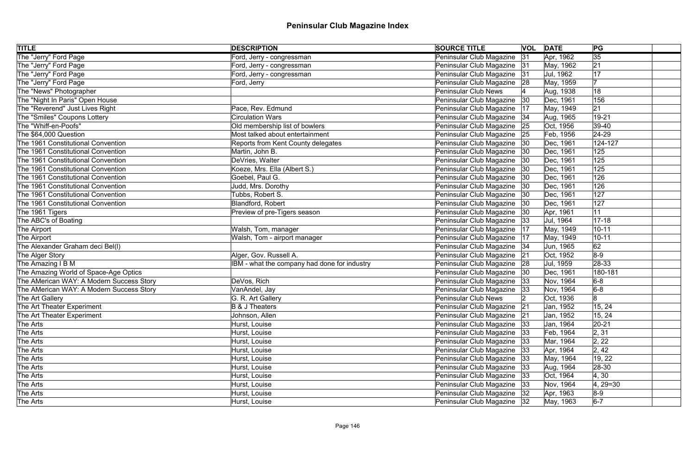| <b>TITLE</b>                             | <b>DESCRIPTION</b>                           | <b>SOURCE TITLE</b>           |              | <b>VOL DATE</b> | PG              |  |
|------------------------------------------|----------------------------------------------|-------------------------------|--------------|-----------------|-----------------|--|
| The "Jerry" Ford Page                    | Ford, Jerry - congressman                    | Peninsular Club Magazine      | 31           | Apr, 1962       | $\overline{35}$ |  |
| The "Jerry" Ford Page                    | Ford, Jerry - congressman                    | Peninsular Club Magazine 31   |              | May, 1962       | 21              |  |
| The "Jerry" Ford Page                    | Ford, Jerry - congressman                    | Peninsular Club Magazine 31   |              | Jul, 1962       | 17              |  |
| The "Jerry" Ford Page                    | Ford, Jerry                                  | Peninsular Club Magazine 28   |              | May, 1959       |                 |  |
| The "News" Photographer                  |                                              | <b>Peninsular Club News</b>   |              | Aug, 1938       | 18              |  |
| The "Night In Paris" Open House          |                                              | Peninsular Club Magazine      | $ 30\rangle$ | Dec, 1961       | 156             |  |
| The "Reverend" Just Lives Right          | Pace, Rev. Edmund                            | Peninsular Club Magazine      | 17           | May, 1949       | 21              |  |
| The "Smiles" Coupons Lottery             | <b>Circulation Wars</b>                      | Peninsular Club Magazine   34 |              | Aug, 1965       | 19-21           |  |
| The "Whiff-en-Poofs"                     | Old membership list of bowlers               | Peninsular Club Magazine      | 25           | Oct, 1956       | 39-40           |  |
| The \$64,000 Question                    | Most talked about entertainment              | Peninsular Club Magazine 25   |              | Feb, 1956       | $24-29$         |  |
| The 1961 Constitutional Convention       | Reports from Kent County delegates           | Peninsular Club Magazine      | 30           | Dec, 1961       | 124-127         |  |
| The 1961 Constitutional Convention       | Martin, John B.                              | Peninsular Club Magazine      | 30           | Dec, 1961       | 125             |  |
| The 1961 Constitutional Convention       | DeVries, Walter                              | Peninsular Club Magazine      | 30           | Dec, 1961       | 125             |  |
| The 1961 Constitutional Convention       | Koeze, Mrs. Ella (Albert S.)                 | Peninsular Club Magazine      | 30           | Dec, 1961       | 125             |  |
| The 1961 Constitutional Convention       | Goebel, Paul G.                              | Peninsular Club Magazine      | 30           | Dec, 1961       | 126             |  |
| The 1961 Constitutional Convention       | Judd, Mrs. Dorothy                           | Peninsular Club Magazine      | 30           | Dec, 1961       | 126             |  |
| The 1961 Constitutional Convention       | Tubbs, Robert S.                             | Peninsular Club Magazine      | 30           | Dec, 1961       | 127             |  |
| The 1961 Constitutional Convention       | Blandford, Robert                            | Peninsular Club Magazine      | 30           | Dec, 1961       | 127             |  |
| The 1961 Tigers                          | Preview of pre-Tigers season                 | Peninsular Club Magazine      | 30           | Apr, 1961       | 11              |  |
| The ABC's of Boating                     |                                              | Peninsular Club Magazine      | 33           | Jul, 1964       | $17 - 18$       |  |
| The Airport                              | Walsh, Tom, manager                          | Peninsular Club Magazine      | 17           | May, 1949       | $10 - 11$       |  |
| The Airport                              | Walsh, Tom - airport manager                 | Peninsular Club Magazine      | 17           | May, 1949       | $10 - 11$       |  |
| The Alexander Graham deci Bel(I)         |                                              | Peninsular Club Magazine   34 |              | Jun, 1965       | 62              |  |
| The Alger Story                          | Alger, Gov. Russell A.                       | Peninsular Club Magazine      | 21           | Oct, 1952       | $8-9$           |  |
| The Amazing I B M                        | IBM - what the company had done for industry | Peninsular Club Magazine 28   |              | Jul, 1959       | $ 28-33 $       |  |
| The Amazing World of Space-Age Optics    |                                              | Peninsular Club Magazine      | 30           | Dec, 1961       | 180-181         |  |
| The AMerican WAY: A Modern Success Story | DeVos, Rich                                  | Peninsular Club Magazine 33   |              | Nov, 1964       | $6-8$           |  |
| The AMerican WAY: A Modern Success Story | VanAndel, Jay                                | Peninsular Club Magazine   33 |              | Nov, 1964       | $6-8$           |  |
| The Art Gallery                          | G. R. Art Gallery                            | Peninsular Club News          |              | Oct, 1936       | 8               |  |
| The Art Theater Experiment               | <b>B &amp; J Theaters</b>                    | Peninsular Club Magazine      | 21           | Jan, 1952       | 15, 24          |  |
| The Art Theater Experiment               | Johnson, Allen                               | Peninsular Club Magazine 21   |              | Jan, 1952       | 15, 24          |  |
| The Arts                                 | Hurst, Louise                                | Peninsular Club Magazine      | 33           | Jan, 1964       | $ 20-21$        |  |
| The Arts                                 | Hurst, Louise                                | Peninsular Club Magazine      | 33           | Feb, 1964       | 2, 31           |  |
| The Arts                                 | Hurst, Louise                                | Peninsular Club Magazine      | 33           | Mar, 1964       | 2, 22           |  |
| The Arts                                 | Hurst, Louise                                | Peninsular Club Magazine   33 |              | Apr, 1964       | 2, 42           |  |
| The Arts                                 | Hurst, Louise                                | Peninsular Club Magazine   33 |              | May, 1964       | 19, 22          |  |
| The Arts                                 | Hurst, Louise                                | Peninsular Club Magazine 33   |              | Aug, 1964       | 28-30           |  |
| The Arts                                 | Hurst, Louise                                | Peninsular Club Magazine 33   |              | Oct, 1964       | 4, 30           |  |
| The Arts                                 | Hurst, Louise                                | Peninsular Club Magazine 33   |              | Nov, 1964       | $ 4, 29=30$     |  |
| The Arts                                 | Hurst, Louise                                | Peninsular Club Magazine   32 |              | Apr, 1963       | $8-9$           |  |
| The Arts                                 | Hurst, Louise                                | Peninsular Club Magazine   32 |              | May, 1963       | $6-7$           |  |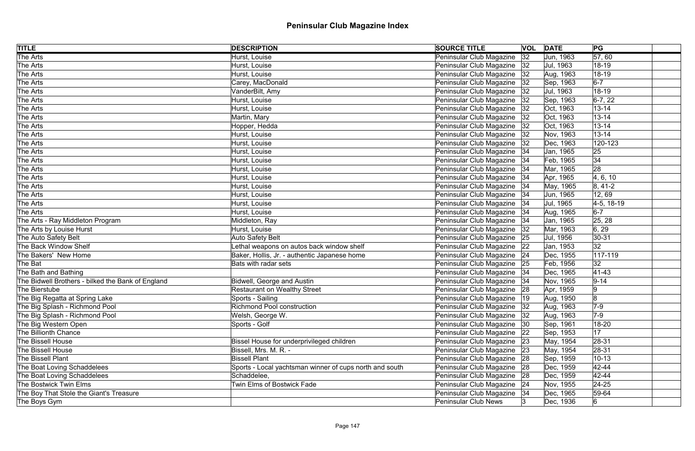| <b>TITLE</b>                                      | <b>DESCRIPTION</b>                                      | <b>SOURCE TITLE</b>           |    | <b>VOL DATE</b> | PG              |
|---------------------------------------------------|---------------------------------------------------------|-------------------------------|----|-----------------|-----------------|
| The Arts                                          | Hurst, Louise                                           | Peninsular Club Magazine      | 32 | Jun, 1963       | $\sqrt{57, 60}$ |
| The Arts                                          | Hurst, Louise                                           | Peninsular Club Magazine      | 32 | Jul, 1963       | 18-19           |
| The Arts                                          | Hurst, Louise                                           | Peninsular Club Magazine      | 32 | Aug, 1963       | 18-19           |
| The Arts                                          | Carey, MacDonald                                        | Peninsular Club Magazine      | 32 | Sep, 1963       | $6-7$           |
| The Arts                                          | VanderBilt, Amy                                         | Peninsular Club Magazine      | 32 | Jul, 1963       | 18-19           |
| The Arts                                          | Hurst, Louise                                           | Peninsular Club Magazine   32 |    | Sep, 1963       | $6-7, 22$       |
| The Arts                                          | Hurst, Louise                                           | Peninsular Club Magazine      | 32 | Oct, 1963       | $13 - 14$       |
| The Arts                                          | Martin, Mary                                            | Peninsular Club Magazine      | 32 | Oct, 1963       | $13 - 14$       |
| The Arts                                          | Hopper, Hedda                                           | Peninsular Club Magazine      | 32 | Oct, 1963       | $13 - 14$       |
| The Arts                                          | Hurst, Louise                                           | Peninsular Club Magazine   32 |    | Nov, 1963       | $13 - 14$       |
| The Arts                                          | Hurst, Louise                                           | Peninsular Club Magazine      | 32 | Dec, 1963       | 120-123         |
| The Arts                                          | Hurst, Louise                                           | Peninsular Club Magazine   34 |    | Jan, 1965       | 25              |
| The Arts                                          | Hurst, Louise                                           | Peninsular Club Magazine      | 34 | Feb, 1965       | 34              |
| The Arts                                          | Hurst, Louise                                           | Peninsular Club Magazine      | 34 | Mar, 1965       | 28              |
| The Arts                                          | Hurst, Louise                                           | Peninsular Club Magazine      | 34 | Apr, 1965       | 4, 6, 10        |
| The Arts                                          | Hurst, Louise                                           | Peninsular Club Magazine      | 34 | May, 1965       | $ 8, 41-2 $     |
| The Arts                                          | Hurst, Louise                                           | Peninsular Club Magazine      | 34 | Jun, 1965       | 12,69           |
| The Arts                                          | Hurst, Louise                                           | Peninsular Club Magazine      | 34 | Jul, 1965       | $ 4-5, 18-19 $  |
| The Arts                                          | Hurst, Louise                                           | Peninsular Club Magazine      | 34 | Aug, 1965       | $6-7$           |
| The Arts - Ray Middleton Program                  | Middleton, Ray                                          | Peninsular Club Magazine      | 34 | Jan, 1965       | 25, 28          |
| The Arts by Louise Hurst                          | Hurst, Louise                                           | Peninsular Club Magazine      | 32 | Mar, 1963       | 6, 29           |
| The Auto Safety Belt                              | <b>Auto Safety Belt</b>                                 | Peninsular Club Magazine 25   |    | Jul, 1956       | $ 30-31$        |
| The Back Window Shelf                             | Lethal weapons on autos back window shelf               | Peninsular Club Magazine      | 22 | Jan, 1953       | 32              |
| The Bakers' New Home                              | Baker, Hollis, Jr. - authentic Japanese home            | Peninsular Club Magazine   24 |    | Dec, 1955       | $117 - 119$     |
| The Bat                                           | Bats with radar sets                                    | Peninsular Club Magazine 25   |    | Feb, 1956       | 32              |
| The Bath and Bathing                              |                                                         | Peninsular Club Magazine   34 |    | Dec, 1965       | $ 41 - 43$      |
| The Bidwell Brothers - bilked the Bank of England | Bidwell, George and Austin                              | Peninsular Club Magazine 34   |    | Nov, 1965       | $9 - 14$        |
| The Bierstube                                     | <b>Restaurant on Wealthy Street</b>                     | Peninsular Club Magazine 28   |    | Apr, 1959       | 9               |
| The Big Regatta at Spring Lake                    | Sports - Sailing                                        | Peninsular Club Magazine   19 |    | Aug, 1950       | $8\,$           |
| The Big Splash - Richmond Pool                    | Richmond Pool construction                              | Peninsular Club Magazine      | 32 | Aug, 1963       | $7-9$           |
| The Big Splash - Richmond Pool                    | Welsh, George W.                                        | Peninsular Club Magazine 32   |    | Aug, 1963       | $7-9$           |
| The Big Western Open                              | Sports - Golf                                           | Peninsular Club Magazine      | 30 | Sep, 1961       | 18-20           |
| <b>The Billionth Chance</b>                       |                                                         | Peninsular Club Magazine      | 22 | Sep, 1953       | 17              |
| <b>The Bissell House</b>                          | Bissel House for underprivileged children               | Peninsular Club Magazine      | 23 | May, 1954       | 28-31           |
| <b>The Bissell House</b>                          | Bissell, Mrs. M. R. -                                   | Peninsular Club Magazine      | 23 | May, 1954       | $ 28-31$        |
| The Bissell Plant                                 | <b>Bissell Plant</b>                                    | Peninsular Club Magazine      | 28 | Sep, 1959       | $10 - 13$       |
| The Boat Loving Schaddelees                       | Sports - Local yachtsman winner of cups north and south | Peninsular Club Magazine      | 28 | Dec, 1959       | $ 42 - 44$      |
| The Boat Loving Schaddelees                       | Schaddelee,                                             | Peninsular Club Magazine      | 28 | Dec, 1959       | 42-44           |
| <b>The Bostwick Twin Elms</b>                     | <b>Twin Elms of Bostwick Fade</b>                       | Peninsular Club Magazine      | 24 | Nov, 1955       | $ 24-25$        |
| The Boy That Stole the Giant's Treasure           |                                                         | Peninsular Club Magazine 34   |    | Dec, 1965       | 59-64           |
| The Boys Gym                                      |                                                         | <b>Peninsular Club News</b>   |    | Dec, 1936       | $6 \,$          |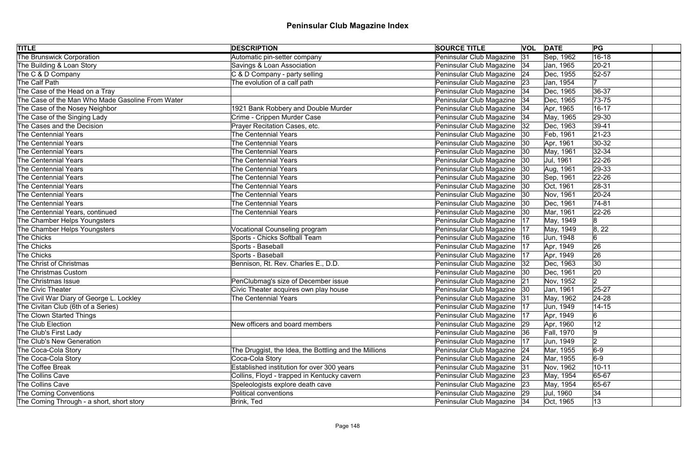| <b>TITLE</b>                                     | <b>DESCRIPTION</b>                                    | <b>SOURCE TITLE</b>           |    | <b>VOL</b> DATE   | PG             |
|--------------------------------------------------|-------------------------------------------------------|-------------------------------|----|-------------------|----------------|
| <b>The Brunswick Corporation</b>                 | Automatic pin-setter company                          | Peninsular Club Magazine      | 31 | Sep, 1962         | $16 - 18$      |
| The Building & Loan Story                        | Savings & Loan Association                            | Peninsular Club Magazine   34 |    | Jan, 1965         | $20 - 21$      |
| The C & D Company                                | C & D Company - party selling                         | Peninsular Club Magazine 24   |    | Dec, 1955         | $52 - 57$      |
| The Calf Path                                    | The evolution of a calf path                          | Peninsular Club Magazine 23   |    | Jan, 1954         |                |
| The Case of the Head on a Tray                   |                                                       | Peninsular Club Magazine   34 |    | Dec, 1965         | $ 36-37$       |
| The Case of the Man Who Made Gasoline From Water |                                                       | Peninsular Club Magazine   34 |    | Dec, 1965         | $73 - 75$      |
| The Case of the Nosey Neighbor                   | 1921 Bank Robbery and Double Murder                   | Peninsular Club Magazine   34 |    | Apr, 1965         | $16 - 17$      |
| The Case of the Singing Lady                     | Crime - Crippen Murder Case                           | Peninsular Club Magazine   34 |    | May, 1965         | $ 29-30 $      |
| The Cases and the Decision                       | Prayer Recitation Cases, etc.                         | Peninsular Club Magazine      | 32 | Dec, 1963         | $ 39-41$       |
| The Centennial Years                             | <b>The Centennial Years</b>                           | Peninsular Club Magazine   30 |    | Feb, 1961         | $ 21-23 $      |
| The Centennial Years                             | <b>The Centennial Years</b>                           | Peninsular Club Magazine      | 30 | Apr, 1961         | $ 30-32 $      |
| The Centennial Years                             | <b>The Centennial Years</b>                           | Peninsular Club Magazine      | 30 | May, 1961         | $ 32-34 $      |
| The Centennial Years                             | <b>The Centennial Years</b>                           | Peninsular Club Magazine      | 30 | Jul, 1961         | $22 - 26$      |
| The Centennial Years                             | <b>The Centennial Years</b>                           | Peninsular Club Magazine      | 30 | Aug, 1961         | $ 29-33 $      |
| The Centennial Years                             | <b>The Centennial Years</b>                           | Peninsular Club Magazine      | 30 | Sep, 1961         | $22 - 26$      |
| The Centennial Years                             | <b>The Centennial Years</b>                           | Peninsular Club Magazine      | 30 | Oct, 1961         | $ 28-31 $      |
| The Centennial Years                             | <b>The Centennial Years</b>                           | Peninsular Club Magazine      | 30 | Nov, 1961         | $20 - 24$      |
| The Centennial Years                             | <b>The Centennial Years</b>                           | Peninsular Club Magazine   30 |    | Dec, 1961         | $74-81$        |
| The Centennial Years, continued                  | <b>The Centennial Years</b>                           | Peninsular Club Magazine 30   |    | Mar, 1961         | $22 - 26$      |
| The Chamber Helps Youngsters                     |                                                       | Peninsular Club Magazine      | 17 | May, 1949         | 8              |
| The Chamber Helps Youngsters                     | <b>Vocational Counseling program</b>                  | Peninsular Club Magazine   17 |    | May, 1949         | 8, 22          |
| The Chicks                                       | Sports - Chicks Softball Team                         | Peninsular Club Magazine      | 16 | Jun, 1948         | 6              |
| The Chicks                                       | Sports - Baseball                                     | Peninsular Club Magazine   17 |    | Apr, 1949         | 26             |
| The Chicks                                       | Sports - Baseball                                     | Peninsular Club Magazine      | 17 | Apr, 1949         | 26             |
| The Christ of Christmas                          | Bennison, Rt. Rev. Charles E., D.D.                   | Peninsular Club Magazine   32 |    | Dec, 1963         | 30             |
| The Christmas Custom                             |                                                       | Peninsular Club Magazine  30  |    | Dec, 1961         | 20             |
| The Christmas Issue                              | PenClubmag's size of December issue                   | Peninsular Club Magazine 21   |    | Nov, 1952         | 2              |
| The Civic Theater                                | Civic Theater acquires own play house                 | Peninsular Club Magazine  30  |    | Jan, 1961         | $25 - 27$      |
| The Civil War Diary of George L. Lockley         | The Centennial Years                                  | Peninsular Club Magazine 31   |    | May, 1962         | $24 - 28$      |
| The Civitan Club (6th of a Series)               |                                                       | Peninsular Club Magazine      | 17 | Jun, 1949         | $14 - 15$      |
| The Clown Started Things                         |                                                       | Peninsular Club Magazine      | 17 | Apr, 1949         | $\overline{6}$ |
| The Club Election                                | New officers and board members                        | Peninsular Club Magazine      | 29 | Apr, 1960         | 12             |
| The Club's First Lady                            |                                                       | Peninsular Club Magazine   36 |    | <b>Fall, 1970</b> | 9              |
| The Club's New Generation                        |                                                       | Peninsular Club Magazine      | 17 | Jun, 1949         | $\overline{2}$ |
| The Coca-Cola Story                              | The Druggist, the Idea, the Bottling and the Millions | Peninsular Club Magazine   24 |    | Mar, 1955         | $6-9$          |
| The Coca-Cola Story                              | Coca-Cola Story                                       | Peninsular Club Magazine 24   |    | Mar, 1955         | $6-9$          |
| The Coffee Break                                 | Established institution for over 300 years            | Peninsular Club Magazine 31   |    | Nov, 1962         | $10 - 11$      |
| The Collins Cave                                 | Collins, Floyd - trapped in Kentucky cavern           | Peninsular Club Magazine 23   |    | May, 1954         | 65-67          |
| The Collins Cave                                 | Speleologists explore death cave                      | Peninsular Club Magazine 23   |    | May, 1954         | 65-67          |
| The Coming Conventions                           | Political conventions                                 | Peninsular Club Magazine 29   |    | Jul, 1960         | 34             |
| The Coming Through - a short, short story        | Brink, Ted                                            | Peninsular Club Magazine   34 |    | Oct, 1965         | $ 13\rangle$   |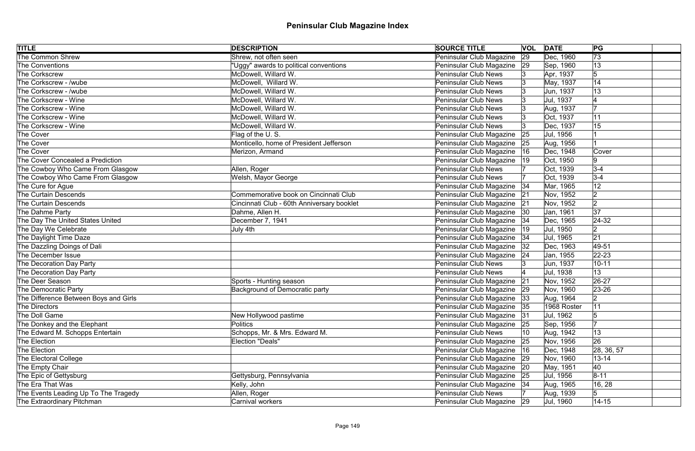| <b>TITLE</b>                          | <b>DESCRIPTION</b>                         | <b>SOURCE TITLE</b>           |    | <b>VOL</b> DATE | PG              |
|---------------------------------------|--------------------------------------------|-------------------------------|----|-----------------|-----------------|
| <b>The Common Shrew</b>               | Shrew, not often seen                      | Peninsular Club Magazine      | 29 | Dec, 1960       | $\overline{73}$ |
| The Conventions                       | "Uggy" awards to political conventions     | Peninsular Club Magazine      | 29 | Sep, 1960       | 13              |
| The Corkscrew                         | McDowell, Willard W.                       | <b>Peninsular Club News</b>   |    | Apr, 1937       | 5               |
| The Corkscrew - /wube                 | McDowell, Willard W.                       | <b>Peninsular Club News</b>   |    | May, 1937       | 14              |
| The Corkscrew - /wube                 | McDowell, Willard W.                       | <b>Peninsular Club News</b>   |    | Jun, 1937       | 13              |
| The Corkscrew - Wine                  | McDowell, Willard W.                       | <b>Peninsular Club News</b>   |    | Jul, 1937       |                 |
| The Corkscrew - Wine                  | McDowell, Willard W.                       | <b>Peninsular Club News</b>   |    | Aug, 1937       |                 |
| The Corkscrew - Wine                  | McDowell, Willard W.                       | <b>Peninsular Club News</b>   |    | Oct, 1937       | 11              |
| The Corkscrew - Wine                  | McDowell, Willard W.                       | <b>Peninsular Club News</b>   |    | Dec, 1937       | 15              |
| The Cover                             | Flag of the U.S.                           | Peninsular Club Magazine      | 25 | Jul, 1956       |                 |
| The Cover                             | Monticello, home of President Jefferson    | Peninsular Club Magazine      | 25 | Aug, 1956       |                 |
| The Cover                             | Merizon, Armand                            | Peninsular Club Magazine      | 16 | Dec, 1948       | Cover           |
| The Cover Concealed a Prediction      |                                            | Peninsular Club Magazine      | 19 | Oct, 1950       | 9               |
| The Cowboy Who Came From Glasgow      | Allen, Roger                               | <b>Peninsular Club News</b>   |    | Oct, 1939       | $3-4$           |
| The Cowboy Who Came From Glasgow      | Welsh, Mayor George                        | <b>Peninsular Club News</b>   |    | Oct, 1939       | $3-4$           |
| The Cure for Ague                     |                                            | Peninsular Club Magazine      | 34 | Mar, 1965       | 12              |
| The Curtain Descends                  | Commemorative book on Cincinnati Club      | Peninsular Club Magazine      | 21 | Nov, 1952       | $\overline{2}$  |
| The Curtain Descends                  | Cincinnati Club - 60th Anniversary booklet | Peninsular Club Magazine 21   |    | Nov, 1952       | 2               |
| The Dahme Party                       | Dahme, Allen H.                            | Peninsular Club Magazine  30  |    | Jan, 1961       | 37              |
| The Day The United States United      | December 7, 1941                           | Peninsular Club Magazine   34 |    | Dec, 1965       | $24-32$         |
| The Day We Celebrate                  | July 4th                                   | Peninsular Club Magazine      | 19 | Jul, 1950       | 2               |
| The Daylight Time Daze                |                                            | Peninsular Club Magazine   34 |    | Jul, 1965       | 21              |
| The Dazzling Doings of Dali           |                                            | Peninsular Club Magazine      | 32 | Dec, 1963       | 49-51           |
| The December Issue                    |                                            | Peninsular Club Magazine   24 |    | Jan, 1955       | $ 22 - 23 $     |
| The Decoration Day Party              |                                            | <b>Peninsular Club News</b>   |    | Jun, 1937       | $10 - 11$       |
| The Decoration Day Party              |                                            | <b>Peninsular Club News</b>   |    | Jul, 1938       | 13              |
| The Deer Season                       | Sports - Hunting season                    | Peninsular Club Magazine 21   |    | Nov, 1952       | $26-27$         |
| The Democratic Party                  | <b>Background of Democratic party</b>      | Peninsular Club Magazine 29   |    | Nov, 1960       | 23-26           |
| The Difference Between Boys and Girls |                                            | Peninsular Club Magazine 33   |    | Aug, 1964       | $ 2\rangle$     |
| The Directors                         |                                            | Peninsular Club Magazine   35 |    | 1968 Roster     | 11              |
| The Doll Game                         | New Hollywood pastime                      | Peninsular Club Magazine 31   |    | Jul, 1962       |                 |
| The Donkey and the Elephant           | <b>Politics</b>                            | Peninsular Club Magazine 25   |    | Sep, 1956       |                 |
| The Edward M. Schopps Entertain       | Schopps, Mr. & Mrs. Edward M.              | <b>Peninsular Club News</b>   | 10 | Aug, 1942       | 13              |
| The Election                          | Election "Deals"                           | Peninsular Club Magazine 25   |    | Nov, 1956       | 26              |
| The Election                          |                                            | Peninsular Club Magazine   16 |    | Dec, 1948       | 28, 36, 57      |
| The Electoral College                 |                                            | Peninsular Club Magazine 29   |    | Nov, 1960       | $13 - 14$       |
| The Empty Chair                       |                                            | Peninsular Club Magazine 20   |    | May, 1951       | 40              |
| The Epic of Gettysburg                | Gettysburg, Pennsylvania                   | Peninsular Club Magazine 25   |    | Jul, 1956       | $8 - 11$        |
| The Era That Was                      | Kelly, John                                | Peninsular Club Magazine   34 |    | Aug, 1965       | 16, 28          |
| The Events Leading Up To The Tragedy  | Allen, Roger                               | <b>Peninsular Club News</b>   |    | Aug, 1939       |                 |
| The Extraordinary Pitchman            | Carnival workers                           | Peninsular Club Magazine 29   |    | Jul, 1960       | $14 - 15$       |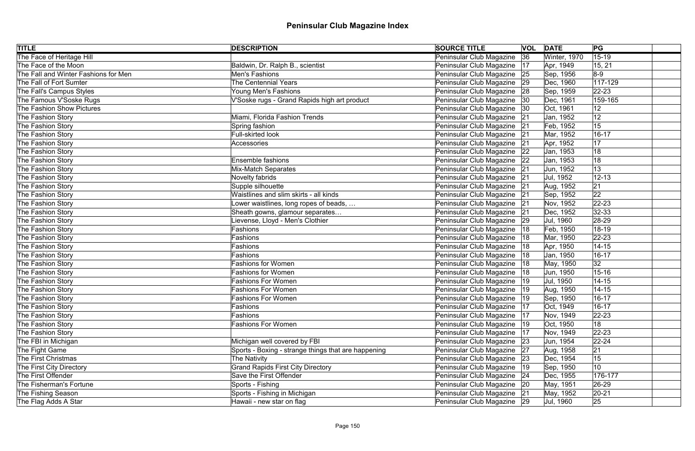| <b>TITLE</b>                         | <b>DESCRIPTION</b>                                  | <b>SOURCE TITLE</b>           |    | <b>VOL DATE</b> | PG          |
|--------------------------------------|-----------------------------------------------------|-------------------------------|----|-----------------|-------------|
| The Face of Heritage Hill            |                                                     | Peninsular Club Magazine      | 36 | Winter, 1970    | $15 - 19$   |
| The Face of the Moon                 | Baldwin, Dr. Ralph B., scientist                    | Peninsular Club Magazine      | 17 | Apr, 1949       | 15, 21      |
| The Fall and Winter Fashions for Men | Men's Fashions                                      | Peninsular Club Magazine 25   |    | Sep, 1956       | $8-9$       |
| The Fall of Fort Sumter              | <b>The Centennial Years</b>                         | Peninsular Club Magazine 29   |    | Dec, 1960       | 117-129     |
| The Fall's Campus Styles             | Young Men's Fashions                                | Peninsular Club Magazine 28   |    | Sep, 1959       | $22 - 23$   |
| The Famous V'Soske Rugs              | V'Soske rugs - Grand Rapids high art product        | Peninsular Club Magazine 30   |    | Dec, 1961       | 159-165     |
| The Fashion Show Pictures            |                                                     | Peninsular Club Magazine  30  |    | Oct, 1961       | 12          |
| The Fashion Story                    | Miami, Florida Fashion Trends                       | Peninsular Club Magazine 21   |    | Jan, 1952       | 12          |
| The Fashion Story                    | Spring fashion                                      | Peninsular Club Magazine 21   |    | Feb, 1952       | 15          |
| The Fashion Story                    | <b>Full-skirted look</b>                            | Peninsular Club Magazine 21   |    | Mar, 1952       | $16 - 17$   |
| The Fashion Story                    | <b>Accessories</b>                                  | Peninsular Club Magazine      | 21 | Apr, 1952       | 17          |
| The Fashion Story                    |                                                     | Peninsular Club Magazine      | 22 | Jan, 1953       | 18          |
| The Fashion Story                    | <b>Ensemble fashions</b>                            | Peninsular Club Magazine      | 22 | Jan, 1953       | 18          |
| The Fashion Story                    | Mix-Match Separates                                 | Peninsular Club Magazine      | 21 | Jun, 1952       | 13          |
| The Fashion Story                    | Novelty fabrids                                     | Peninsular Club Magazine 21   |    | Jul, 1952       | $12 - 13$   |
| The Fashion Story                    | Supple silhouette                                   | Peninsular Club Magazine      | 21 | Aug, 1952       | 21          |
| The Fashion Story                    | Waistlines and slim skirts - all kinds              | Peninsular Club Magazine      | 21 | Sep, 1952       | 22          |
| The Fashion Story                    | Lower waistlines, long ropes of beads,              | Peninsular Club Magazine 21   |    | Nov, 1952       | $ 22 - 23 $ |
| The Fashion Story                    | Sheath gowns, glamour separates                     | Peninsular Club Magazine 21   |    | Dec, 1952       | $ 32-33$    |
| The Fashion Story                    | Lievense, Lloyd - Men's Clothier                    | Peninsular Club Magazine 29   |    | Jul, 1960       | 28-29       |
| The Fashion Story                    | Fashions                                            | Peninsular Club Magazine      | 18 | Feb, 1950       | 18-19       |
| The Fashion Story                    | Fashions                                            | Peninsular Club Magazine      | 18 | Mar, 1950       | $ 22 - 23 $ |
| The Fashion Story                    | Fashions                                            | Peninsular Club Magazine      | 18 | Apr, 1950       | $14 - 15$   |
| The Fashion Story                    | Fashions                                            | Peninsular Club Magazine      | 18 | Jan, 1950       | 16-17       |
| The Fashion Story                    | <b>Fashions for Women</b>                           | Peninsular Club Magazine  18  |    | May, 1950       | 32          |
| The Fashion Story                    | <b>Fashions for Women</b>                           | Peninsular Club Magazine      | 18 | Jun, 1950       | $15 - 16$   |
| The Fashion Story                    | Fashions For Women                                  | Peninsular Club Magazine  19  |    | Jul, 1950       | $14 - 15$   |
| The Fashion Story                    | <b>Fashions For Women</b>                           | Peninsular Club Magazine      |    | Aug, 1950       | $14 - 15$   |
| The Fashion Story                    | <b>Fashions For Women</b>                           | Peninsular Club Magazine   19 |    | Sep, 1950       | $16 - 17$   |
| The Fashion Story                    | Fashions                                            | Peninsular Club Magazine      | 17 | Oct, 1949       | $16 - 17$   |
| The Fashion Story                    | Fashions                                            | Peninsular Club Magazine      | 17 | Nov, 1949       | $22 - 23$   |
| The Fashion Story                    | <b>Fashions For Women</b>                           | Peninsular Club Magazine      | 19 | Oct, 1950       | 18          |
| The Fashion Story                    |                                                     | Peninsular Club Magazine      | 17 | Nov, 1949       | $ 22 - 23 $ |
| The FBI in Michigan                  | Michigan well covered by FBI                        | Peninsular Club Magazine      | 23 | Jun, 1954       | $22 - 24$   |
| The Fight Game                       | Sports - Boxing - strange things that are happening | Peninsular Club Magazine      | 27 | Aug, 1958       | 21          |
| The First Christmas                  | The Nativity                                        | Peninsular Club Magazine 23   |    | Dec, 1954       | 15          |
| The First City Directory             | <b>Grand Rapids First City Directory</b>            | Peninsular Club Magazine      | 19 | Sep, 1950       | 10          |
| The First Offender                   | Save the First Offender                             | Peninsular Club Magazine 24   |    | Dec, 1955       | 176-177     |
| The Fisherman's Fortune              | Sports - Fishing                                    | Peninsular Club Magazine 20   |    | May, 1951       | $ 26-29$    |
| The Fishing Season                   | Sports - Fishing in Michigan                        | Peninsular Club Magazine 21   |    | May, 1952       | $20 - 21$   |
| The Flag Adds A Star                 | Hawaii - new star on flag                           | Peninsular Club Magazine 29   |    | Jul, 1960       | 25          |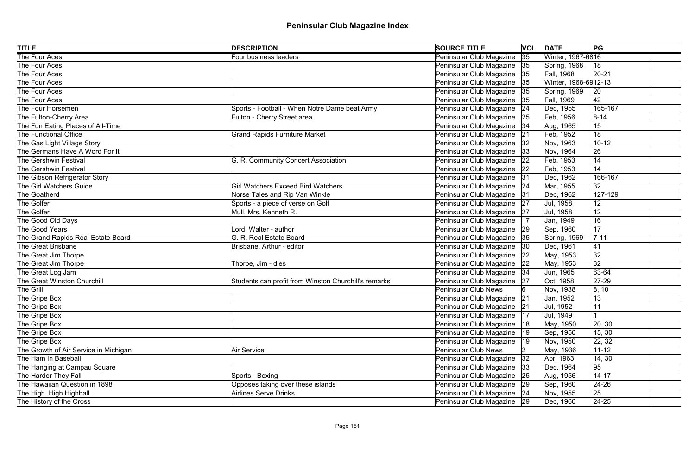| <b>TITLE</b>                          | <b>DESCRIPTION</b>                                   | <b>SOURCE TITLE</b>           |    | <b>VOL DATE</b>      | PG           |
|---------------------------------------|------------------------------------------------------|-------------------------------|----|----------------------|--------------|
| The Four Aces                         | Four business leaders                                | Peninsular Club Magazine      | 35 | Winter, 1967-6816    |              |
| The Four Aces                         |                                                      | Peninsular Club Magazine 35   |    | Spring, 1968         | 18           |
| The Four Aces                         |                                                      | Peninsular Club Magazine   35 |    | <b>Fall, 1968</b>    | $ 20-21$     |
| The Four Aces                         |                                                      | Peninsular Club Magazine   35 |    | Winter, 1968-6912-13 |              |
| The Four Aces                         |                                                      | Peninsular Club Magazine      | 35 | Spring, 1969         | $ 20\rangle$ |
| The Four Aces                         |                                                      | Peninsular Club Magazine   35 |    | Fall, 1969           | 42           |
| The Four Horsemen                     | Sports - Football - When Notre Dame beat Army        | Peninsular Club Magazine   24 |    | Dec, 1955            | 165-167      |
| The Fulton-Cherry Area                | Fulton - Cherry Street area                          | Peninsular Club Magazine 25   |    | Feb, 1956            | $8 - 14$     |
| The Fun Eating Places of All-Time     |                                                      | Peninsular Club Magazine 34   |    | Aug, 1965            | 15           |
| The Functional Office                 | <b>Grand Rapids Furniture Market</b>                 | Peninsular Club Magazine      | 21 | Feb, 1952            | 18           |
| The Gas Light Village Story           |                                                      | Peninsular Club Magazine      | 32 | Nov, 1963            | $10 - 12$    |
| The Germans Have A Word For It        |                                                      | Peninsular Club Magazine      | 33 | Nov, 1964            | 26           |
| The Gershwin Festival                 | G. R. Community Concert Association                  | Peninsular Club Magazine      | 22 | Feb, 1953            | 14           |
| The Gershwin Festival                 |                                                      | Peninsular Club Magazine 22   |    | Feb, 1953            | 14           |
| The Gibson Refrigerator Story         |                                                      | Peninsular Club Magazine 31   |    | Dec, 1962            | 166-167      |
| The Girl Watchers Guide               | <b>Girl Watchers Exceed Bird Watchers</b>            | Peninsular Club Magazine 24   |    | Mar, 1955            | 32           |
| The Goatherd                          | Norse Tales and Rip Van Winkle                       | Peninsular Club Magazine 31   |    | Dec, 1962            | 127-129      |
| The Golfer                            | Sports - a piece of verse on Golf                    | Peninsular Club Magazine 27   |    | Jul, 1958            | 12           |
| The Golfer                            | Mull, Mrs. Kenneth R.                                | Peninsular Club Magazine 27   |    | Jul, 1958            | 12           |
| The Good Old Days                     |                                                      | Peninsular Club Magazine      | 17 | Jan, 1949            | 16           |
| The Good Years                        | Lord, Walter - author                                | Peninsular Club Magazine 29   |    | Sep, 1960            | 17           |
| The Grand Rapids Real Estate Board    | G. R. Real Estate Board                              | Peninsular Club Magazine   35 |    | Spring, 1969         | $7 - 11$     |
| The Great Brisbane                    | Brisbane, Arthur - editor                            | Peninsular Club Magazine   30 |    | Dec, 1961            | 41           |
| The Great Jim Thorpe                  |                                                      | Peninsular Club Magazine      | 22 | May, 1953            | 32           |
| The Great Jim Thorpe                  | Thorpe, Jim - dies                                   | Peninsular Club Magazine 22   |    | May, 1953            | 32           |
| The Great Log Jam                     |                                                      | Peninsular Club Magazine 34   |    | Jun, 1965            | 63-64        |
| The Great Winston Churchill           | Students can profit from Winston Churchill's remarks | Peninsular Club Magazine      | 27 | Oct, 1958            | $27-29$      |
| The Grill                             |                                                      | <b>Peninsular Club News</b>   |    | Nov, 1938            | 8, 10        |
| The Gripe Box                         |                                                      | Peninsular Club Magazine 21   |    | Jan, 1952            | 13           |
| The Gripe Box                         |                                                      | Peninsular Club Magazine      | 21 | Jul, 1952            | 11           |
| The Gripe Box                         |                                                      | Peninsular Club Magazine      | 17 | Jul, 1949            |              |
| The Gripe Box                         |                                                      | Peninsular Club Magazine      | 18 | May, 1950            | 20, 30       |
| The Gripe Box                         |                                                      | Peninsular Club Magazine      | 19 | Sep, 1950            | 15, 30       |
| The Gripe Box                         |                                                      | Peninsular Club Magazine      | 19 | Nov, 1950            | 22, 32       |
| The Growth of Air Service in Michigan | <b>Air Service</b>                                   | <b>Peninsular Club News</b>   |    | May, 1936            | $11 - 12$    |
| The Ham In Baseball                   |                                                      | Peninsular Club Magazine      | 32 | Apr, 1963            | 14, 30       |
| The Hanging at Campau Square          |                                                      | Peninsular Club Magazine   33 |    | Dec, 1964            | 95           |
| The Harder They Fall                  | Sports - Boxing                                      | Peninsular Club Magazine 25   |    | Aug, 1956            | $14 - 17$    |
| The Hawaiian Question in 1898         | Opposes taking over these islands                    | Peninsular Club Magazine 29   |    | Sep, 1960            | $ 24-26 $    |
| The High, High Highball               | Airlines Serve Drinks                                | Peninsular Club Magazine 24   |    | Nov, 1955            | 25           |
| The History of the Cross              |                                                      | Peninsular Club Magazine 29   |    | Dec, 1960            | $24 - 25$    |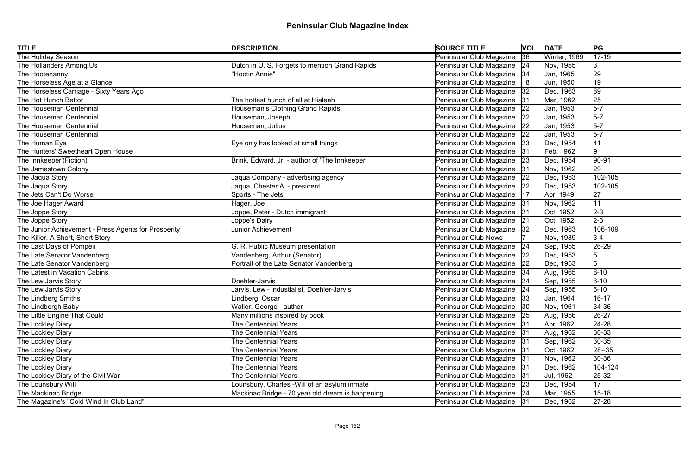| <b>TITLE</b>                                         | <b>DESCRIPTION</b>                               | <b>SOURCE TITLE</b>           |       | <b>VOL DATE</b> | PG             |
|------------------------------------------------------|--------------------------------------------------|-------------------------------|-------|-----------------|----------------|
| The Holiday Season                                   |                                                  | Peninsular Club Magazine      | 36    | Winter, 1969    | $17-19$        |
| The Hollanders Among Us                              | Dutch in U. S. Forgets to mention Grand Rapids   | Peninsular Club Magazine   24 |       | Nov, 1955       | 3              |
| The Hootenanny                                       | 'Hootin Annie"                                   | Peninsular Club Magazine   34 |       | Jan, 1965       | 29             |
| The Horseless Age at a Glance                        |                                                  | Peninsular Club Magazine      | 18    | Jun, 1950       | 19             |
| The Horseless Carriage - Sixty Years Ago             |                                                  | Peninsular Club Magazine   32 |       | Dec, 1963       | 89             |
| The Hot Hunch Bettor                                 | The hottest hunch of all at Hialeah              | Peninsular Club Magazine 31   |       | Mar, 1962       | 25             |
| The Houseman Centennial                              | Houseman's Clothing Grand Rapids                 | Peninsular Club Magazine   22 |       | Jan, 1953       | $5-7$          |
| The Houseman Centennial                              | Houseman, Joseph                                 | Peninsular Club Magazine 22   |       | Jan, 1953       | $5-7$          |
| The Houseman Centennial                              | Houseman, Julius                                 | Peninsular Club Magazine   22 |       | Jan, 1953       | $5-7$          |
| The Houseman Centennial                              |                                                  | Peninsular Club Magazine 22   |       | Jan, 1953       | $5-7$          |
| The Human Eye                                        | Eye only has looked at small things              | Peninsular Club Magazine 23   |       | Dec, 1954       | 41             |
| The Hunters' Sweetheart Open House                   |                                                  | Peninsular Club Magazine 31   |       | Feb, 1962       | 9              |
| The Innkeeper'(Fiction)                              | Brink, Edward, Jr. - author of 'The Innkeeper'   | Peninsular Club Magazine      | 23    | Dec, 1954       | $ 90-91 $      |
| The Jamestown Colony                                 |                                                  | Peninsular Club Magazine 31   |       | Nov, 1962       | 29             |
| The Jaqua Story                                      | Jaqua Company - advertising agency               | Peninsular Club Magazine      | 22    | Dec, 1953       | 102-105        |
| The Jaqua Story                                      | Jaqua, Chester A. - president                    | Peninsular Club Magazine      | 22    | Dec, 1953       | 102-105        |
| The Jets Can't Do Worse                              | Sports - The Jets                                | Peninsular Club Magazine      | 17    | Apr, 1949       | 27             |
| The Joe Hager Award                                  | Hager, Joe                                       | Peninsular Club Magazine      | 31    | Nov, 1962       | 11             |
| The Joppe Story                                      | Joppe, Peter - Dutch immigrant                   | Peninsular Club Magazine      | 21    | Oct, 1952       | $2 - 3$        |
| The Joppe Story                                      | Joppe's Dairy                                    | Peninsular Club Magazine      | 21    | Oct, 1952       | $2-3$          |
| The Junior Achievement - Press Agents for Prosperity | <b>Junior Achievement</b>                        | Peninsular Club Magazine      | 32    | Dec, 1963       | 106-109        |
| The Killer, A Short, Short Story                     |                                                  | <b>Peninsular Club News</b>   |       | Nov, 1939       | $3-4$          |
| The Last Days of Pompeii                             | G. R. Public Museum presentation                 | Peninsular Club Magazine 24   |       | Sep, 1955       | $ 26-29 $      |
| The Late Senator Vandenberg                          | Vandenberg, Arthur (Senator)                     | Peninsular Club Magazine   22 |       | Dec, 1953       | $\sqrt{5}$     |
| The Late Senator Vandenberg                          | Portrait of the Late Senator Vandenberg          | Peninsular Club Magazine 22   |       | Dec, 1953       | $\overline{5}$ |
| The Latest in Vacation Cabins                        |                                                  | Peninsular Club Magazine   34 |       | Aug, 1965       | $8 - 10$       |
| The Lew Jarvis Story                                 | Doehler-Jarvis                                   | Peninsular Club Magazine 24   |       | Sep, 1955       | $6 - 10$       |
| The Lew Jarvis Story                                 | Jarvis, Lew - industialist, Doehler-Jarvis       | Peninsular Club Magazine 24   |       | Sep, 1955       | $6 - 10$       |
| The Lindberg Smiths                                  | Lindberg, Oscar                                  | Peninsular Club Magazine   33 |       | Jan, 1964       | $16 - 17$      |
| The Lindbergh Baby                                   | Waller, George - author                          | Peninsular Club Magazine      | 30    | Nov, 1961       | $ 34-36 $      |
| The Little Engine That Could                         | Many millions inspired by book                   | Peninsular Club Magazine 25   |       | Aug, 1956       | $26 - 27$      |
| The Lockley Diary                                    | <b>The Centennial Years</b>                      | Peninsular Club Magazine 31   |       | Apr, 1962       | $24 - 28$      |
| The Lockley Diary                                    | <b>The Centennial Years</b>                      | Peninsular Club Magazine      | 31    | Aug, 1962       | $ 30-33 $      |
| The Lockley Diary                                    | <b>The Centennial Years</b>                      | Peninsular Club Magazine      | 31    | Sep, 1962       | $ 30-35 $      |
| The Lockley Diary                                    | <b>The Centennial Years</b>                      | Peninsular Club Magazine      | - 131 | Oct, 1962       | $ 28 - 35 $    |
| The Lockley Diary                                    | <b>The Centennial Years</b>                      | Peninsular Club Magazine      | 31    | Nov, 1962       | $ 30-36 $      |
| The Lockley Diary                                    | <b>The Centennial Years</b>                      | Peninsular Club Magazine      | 31    | Dec, 1962       | 104-124        |
| The Lockley Diary of the Civil War                   | <b>The Centennial Years</b>                      | Peninsular Club Magazine 31   |       | Jul, 1962       | $25 - 32$      |
| The Lounsbury Will                                   | Lounsbury, Charles -Will of an asylum inmate     | Peninsular Club Magazine 23   |       | Dec, 1954       | 17             |
| The Mackinac Bridge                                  | Mackinac Bridge - 70 year old dream is happening | Peninsular Club Magazine 24   |       | Mar, 1955       | $15 - 18$      |
| The Magazine's "Cold Wind In Club Land"              |                                                  | Peninsular Club Magazine   31 |       | Dec, 1962       | $27 - 28$      |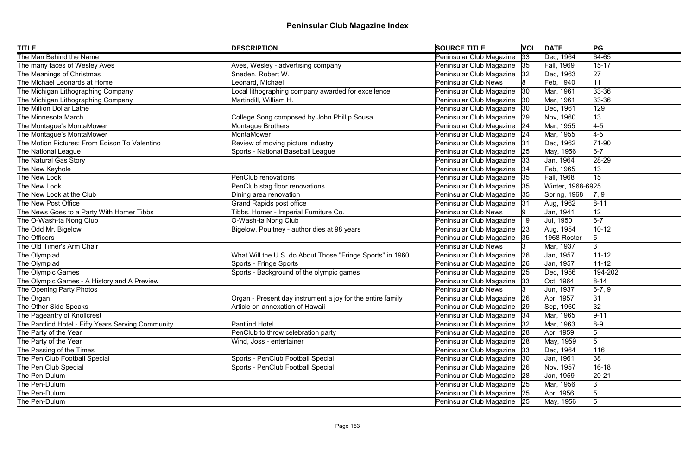| <b>TITLE</b>                                       | <b>DESCRIPTION</b>                                         | <b>SOURCE TITLE</b>           | <b>VOL</b> | <b>DATE</b>       | PG         |  |
|----------------------------------------------------|------------------------------------------------------------|-------------------------------|------------|-------------------|------------|--|
| The Man Behind the Name                            |                                                            | Peninsular Club Magazine      | 33         | Dec, 1964         | $64 - 65$  |  |
| The many faces of Wesley Aves                      | Aves, Wesley - advertising company                         | Peninsular Club Magazine 35   |            | <b>Fall, 1969</b> | $15 - 17$  |  |
| The Meanings of Christmas                          | Sneden, Robert W.                                          | Peninsular Club Magazine   32 |            | Dec, 1963         | 27         |  |
| The Michael Leonards at Home                       | Leonard, Michael                                           | <b>Peninsular Club News</b>   |            | Feb, 1940         | 11         |  |
| The Michigan Lithographing Company                 | Local lithographing company awarded for excellence         | Peninsular Club Magazine      | 30         | Mar, 1961         | $ 33 - 36$ |  |
| The Michigan Lithographing Company                 | Martindill, William H.                                     | Peninsular Club Magazine 30   |            | Mar, 1961         | 33-36      |  |
| The Million Dollar Lathe                           |                                                            | Peninsular Club Magazine      | 30         | Dec, 1961         | 129        |  |
| The Minnesota March                                | College Song composed by John Phillip Sousa                | Peninsular Club Magazine 29   |            | Nov, 1960         | 13         |  |
| The Montague's MontaMower                          | Montague Brothers                                          | Peninsular Club Magazine      | 24         | Mar, 1955         | $4-5$      |  |
| The Montague's MontaMower                          | MontaMower                                                 | Peninsular Club Magazine 24   |            | Mar, 1955         | $4-5$      |  |
| The Motion Pictures: From Edison To Valentino      | Review of moving picture industry                          | Peninsular Club Magazine      | 31         | Dec, 1962         | $71-90$    |  |
| The National League                                | Sports - National Baseball League                          | Peninsular Club Magazine      | 25         | May, 1956         | $6-7$      |  |
| The Natural Gas Story                              |                                                            | Peninsular Club Magazine      | 33         | Jan, 1964         | 28-29      |  |
| The New Keyhole                                    |                                                            | Peninsular Club Magazine      | 34         | Feb, 1965         | 13         |  |
| The New Look                                       | PenClub renovations                                        | Peninsular Club Magazine      | 35         | Fall, 1968        | 15         |  |
| The New Look                                       | PenClub stag floor renovations                             | Peninsular Club Magazine      | 35         | Winter, 1968-6925 |            |  |
| The New Look at the Club                           | Dining area renovation                                     | Peninsular Club Magazine      | 35         | Spring, 1968      | 7, 9       |  |
| The New Post Office                                | Grand Rapids post office                                   | Peninsular Club Magazine      | 31         | Aug, 1962         | $8 - 11$   |  |
| The News Goes to a Party With Homer Tibbs          | Tibbs, Homer - Imperial Furniture Co.                      | <b>Peninsular Club News</b>   |            | Jan, 1941         | 12         |  |
| The O-Wash-ta Nong Club                            | O-Wash-ta Nong Club                                        | Peninsular Club Magazine      | 19         | Jul, 1950         | $6-7$      |  |
| The Odd Mr. Bigelow                                | Bigelow, Poultney - author dies at 98 years                | Peninsular Club Magazine      | 23         | Aug, 1954         | $10 - 12$  |  |
| The Officers                                       |                                                            | Peninsular Club Magazine 35   |            | 1968 Roster       | 5          |  |
| The Old Timer's Arm Chair                          |                                                            | Peninsular Club News          | 3          | Mar, 1937         | 3          |  |
| The Olympiad                                       | What Will the U.S. do About Those "Fringe Sports" in 1960  | Peninsular Club Magazine      | 26         | Jan, 1957         | $11 - 12$  |  |
| The Olympiad                                       | Sports - Fringe Sports                                     | Peninsular Club Magazine 26   |            | Jan, 1957         | $11 - 12$  |  |
| The Olympic Games                                  | Sports - Background of the olympic games                   | Peninsular Club Magazine      | 25         | Dec, 1956         | 194-202    |  |
| The Olympic Games - A History and A Preview        |                                                            | Peninsular Club Magazine      | 33         | Oct, 1964         | $8 - 14$   |  |
| The Opening Party Photos                           |                                                            | <b>Peninsular Club News</b>   | Ι3         | Jun, 1937         | $6-7, 9$   |  |
| The Organ                                          | Organ - Present day instrument a joy for the entire family | Peninsular Club Magazine 26   |            | Apr, 1957         | 31         |  |
| The Other Side Speaks                              | Article on annexation of Hawaii                            | Peninsular Club Magazine   29 |            | Sep, 1960         | 32         |  |
| The Pageantry of Knollcrest                        |                                                            | Peninsular Club Magazine   34 |            | Mar, 1965         | $9 - 11$   |  |
| The Pantlind Hotel - Fifty Years Serving Community | Pantlind Hotel                                             | Peninsular Club Magazine      | 32         | Mar, 1963         | $8-9$      |  |
| The Party of the Year                              | PenClub to throw celebration party                         | Peninsular Club Magazine   28 |            | Apr, 1959         | 15         |  |
| The Party of the Year                              | Wind, Joss - entertainer                                   | Peninsular Club Magazine 28   |            | May, 1959         | 5          |  |
| The Passing of the Times                           |                                                            | Peninsular Club Magazine  33  |            | Dec, 1964         | 116        |  |
| The Pen Club Football Special                      | Sports - PenClub Football Special                          | Peninsular Club Magazine 30   |            | Jan, 1961         | 38         |  |
| The Pen Club Special                               | Sports - PenClub Football Special                          | Peninsular Club Magazine 26   |            | Nov, 1957         | $16 - 18$  |  |
| The Pen-Dulum                                      |                                                            | Peninsular Club Magazine 28   |            | Jan, 1959         | $20 - 21$  |  |
| The Pen-Dulum                                      |                                                            | Peninsular Club Magazine 25   |            | Mar, 1956         |            |  |
| The Pen-Dulum                                      |                                                            | Peninsular Club Magazine 25   |            | Apr, 1956         |            |  |
| The Pen-Dulum                                      |                                                            | Peninsular Club Magazine 25   |            | May, 1956         | 5          |  |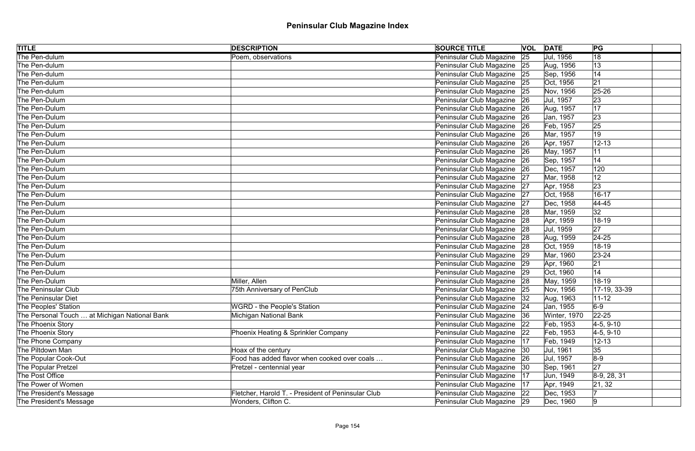| <b>TITLE</b>                                  | <b>DESCRIPTION</b>                                 | <b>SOURCE TITLE</b>           |    | <b>VOL DATE</b> | PG              |  |
|-----------------------------------------------|----------------------------------------------------|-------------------------------|----|-----------------|-----------------|--|
| The Pen-dulum                                 | Poem, observations                                 | Peninsular Club Magazine      | 25 | Jul, 1956       | $\overline{18}$ |  |
| The Pen-dulum                                 |                                                    | Peninsular Club Magazine 25   |    | Aug, 1956       | 13              |  |
| The Pen-dulum                                 |                                                    | Peninsular Club Magazine 25   |    | Sep, 1956       | 14              |  |
| The Pen-dulum                                 |                                                    | Peninsular Club Magazine 25   |    | Oct, 1956       | 21              |  |
| The Pen-dulum                                 |                                                    | Peninsular Club Magazine 25   |    | Nov, 1956       | $25 - 26$       |  |
| The Pen-Dulum                                 |                                                    | Peninsular Club Magazine 26   |    | Jul, 1957       | 23              |  |
| The Pen-Dulum                                 |                                                    | Peninsular Club Magazine   26 |    | Aug, 1957       | 17              |  |
| The Pen-Dulum                                 |                                                    | Peninsular Club Magazine 26   |    | Jan, 1957       | 23              |  |
| The Pen-Dulum                                 |                                                    | Peninsular Club Magazine 26   |    | Feb, 1957       | 25              |  |
| The Pen-Dulum                                 |                                                    | Peninsular Club Magazine 26   |    | Mar, 1957       | 19              |  |
| The Pen-Dulum                                 |                                                    | Peninsular Club Magazine 26   |    | Apr, 1957       | $12 - 13$       |  |
| The Pen-Dulum                                 |                                                    | Peninsular Club Magazine 26   |    | May, 1957       | 11              |  |
| The Pen-Dulum                                 |                                                    | Peninsular Club Magazine 26   |    | Sep, 1957       | 14              |  |
| The Pen-Dulum                                 |                                                    | Peninsular Club Magazine 26   |    | Dec, 1957       | 120             |  |
| The Pen-Dulum                                 |                                                    | Peninsular Club Magazine 27   |    | Mar, 1958       | 12              |  |
| The Pen-Dulum                                 |                                                    | Peninsular Club Magazine 27   |    | Apr, 1958       | 23              |  |
| The Pen-Dulum                                 |                                                    | Peninsular Club Magazine 27   |    | Oct, 1958       | $16 - 17$       |  |
| The Pen-Dulum                                 |                                                    | Peninsular Club Magazine 27   |    | Dec, 1958       | $ 44 - 45$      |  |
| The Pen-Dulum                                 |                                                    | Peninsular Club Magazine 28   |    | Mar, 1959       | 32              |  |
| The Pen-Dulum                                 |                                                    | Peninsular Club Magazine 28   |    | Apr, 1959       | $18 - 19$       |  |
| The Pen-Dulum                                 |                                                    | Peninsular Club Magazine 28   |    | Jul, 1959       | 27              |  |
| The Pen-Dulum                                 |                                                    | Peninsular Club Magazine 28   |    | Aug, 1959       | $ 24-25$        |  |
| The Pen-Dulum                                 |                                                    | Peninsular Club Magazine 28   |    | Oct, 1959       | $18 - 19$       |  |
| The Pen-Dulum                                 |                                                    | Peninsular Club Magazine 29   |    | Mar, 1960       | $ 23 - 24 $     |  |
| The Pen-Dulum                                 |                                                    | Peninsular Club Magazine 29   |    | Apr, 1960       | 21              |  |
| The Pen-Dulum                                 |                                                    | Peninsular Club Magazine 29   |    | Oct, 1960       | 14              |  |
| The Pen-Dulum                                 | Miller, Allen                                      | Peninsular Club Magazine   28 |    | May, 1959       | $18-19$         |  |
| The Peninsular Club                           | <b>75th Anniversary of PenClub</b>                 | Peninsular Club Magazine 25   |    | Nov, 1956       | 17-19, 33-39    |  |
| The Peninsular Diet                           |                                                    | Peninsular Club Magazine   32 |    | Aug, 1963       | $11 - 12$       |  |
| The Peoples' Station                          | <b>WGRD - the People's Station</b>                 | Peninsular Club Magazine   24 |    | Jan, 1955       | $6-9$           |  |
| The Personal Touch  at Michigan National Bank | Michigan National Bank                             | Peninsular Club Magazine 36   |    | Winter, 1970    | $22 - 25$       |  |
| The Phoenix Story                             |                                                    | Peninsular Club Magazine      | 22 | Feb, 1953       | $ 4-5, 9-10 $   |  |
| The Phoenix Story                             | Phoenix Heating & Sprinkler Company                | Peninsular Club Magazine      | 22 | Feb, 1953       | $4-5, 9-10$     |  |
| The Phone Company                             |                                                    | Peninsular Club Magazine      | 17 | Feb, 1949       | $12 - 13$       |  |
| The Piltdown Man                              | Hoax of the century                                | Peninsular Club Magazine   30 |    | Jul, 1961       | 35              |  |
| The Popular Cook-Out                          | Food has added flavor when cooked over coals       | Peninsular Club Magazine      | 26 | Jul, 1957       | $8-9$           |  |
| The Popular Pretzel                           | Pretzel - centennial year                          | Peninsular Club Magazine      | 30 | Sep, 1961       | 27              |  |
| The Post Office                               |                                                    | Peninsular Club Magazine      | 17 | Jun, 1949       | $ 8-9, 28, 31$  |  |
| The Power of Women                            |                                                    | Peninsular Club Magazine      | 17 | Apr, 1949       | 21, 32          |  |
| The President's Message                       | Fletcher, Harold T. - President of Peninsular Club | Peninsular Club Magazine 22   |    | Dec, 1953       |                 |  |
| The President's Message                       | Wonders, Clifton C.                                | Peninsular Club Magazine 29   |    | Dec, 1960       | $ 9\rangle$     |  |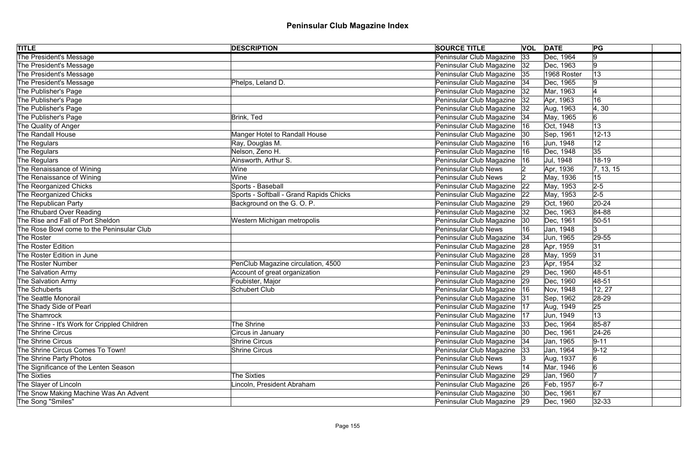| <b>TITLE</b>                                 | <b>DESCRIPTION</b>                      | <b>SOURCE TITLE</b>           | <b>VOL DATE</b> |             | PG                      |
|----------------------------------------------|-----------------------------------------|-------------------------------|-----------------|-------------|-------------------------|
| The President's Message                      |                                         | Peninsular Club Magazine      | 33              | Dec, 1964   | 9                       |
| The President's Message                      |                                         | Peninsular Club Magazine  32  |                 | Dec, 1963   | 19                      |
| The President's Message                      |                                         | Peninsular Club Magazine 35   |                 | 1968 Roster | 13                      |
| The President's Message                      | Phelps, Leland D.                       | Peninsular Club Magazine 34   |                 | Dec, 1965   |                         |
| The Publisher's Page                         |                                         | Peninsular Club Magazine      | 32              | Mar, 1963   |                         |
| The Publisher's Page                         |                                         | Peninsular Club Magazine  32  |                 | Apr, 1963   | 16                      |
| The Publisher's Page                         |                                         | Peninsular Club Magazine   32 |                 | Aug, 1963   | 4,30                    |
| The Publisher's Page                         | Brink, Ted                              | Peninsular Club Magazine   34 |                 | May, 1965   | 6                       |
| The Quality of Anger                         |                                         | Peninsular Club Magazine      | 16              | Oct, 1948   | 13                      |
| <b>The Randall House</b>                     | Manger Hotel to Randall House           | Peninsular Club Magazine 30   |                 | Sep, 1961   | $12 - 13$               |
| The Regulars                                 | Ray, Douglas M.                         | Peninsular Club Magazine      | 16              | Jun, 1948   | 12                      |
| The Regulars                                 | Nelson, Zeno H.                         | Peninsular Club Magazine      | 16              | Dec, 1948   | 35                      |
| The Regulars                                 | Ainsworth, Arthur S.                    | Peninsular Club Magazine      | 16              | Jul, 1948   | 18-19                   |
| The Renaissance of Wining                    | Wine                                    | Peninsular Club News          |                 | Apr, 1936   | $\vert 7, 13, 15 \vert$ |
| The Renaissance of Wining                    | Wine                                    | Peninsular Club News          |                 | May, 1936   | 15                      |
| The Reorganized Chicks                       | Sports - Baseball                       | Peninsular Club Magazine      | 22              | May, 1953   | $2 - 5$                 |
| The Reorganized Chicks                       | Sports - Softball - Grand Rapids Chicks | Peninsular Club Magazine      | 22              | May, 1953   | $2-5$                   |
| The Republican Party                         | Background on the G.O.P.                | Peninsular Club Magazine 29   |                 | Oct, 1960   | $ 20-24 $               |
| The Rhubard Over Reading                     |                                         | Peninsular Club Magazine      | 32              | Dec, 1963   | 84-88                   |
| The Rise and Fall of Port Sheldon            | Western Michigan metropolis             | Peninsular Club Magazine      | 30              | Dec, 1961   | $50 - 51$               |
| The Rose Bowl come to the Peninsular Club    |                                         | Peninsular Club News          | 16              | Jan, 1948   | 3                       |
| <b>The Roster</b>                            |                                         | Peninsular Club Magazine   34 |                 | Jun, 1965   | $ 29-55$                |
| The Roster Edition                           |                                         | Peninsular Club Magazine 28   |                 | Apr, 1959   | 31                      |
| The Roster Edition in June                   |                                         | Peninsular Club Magazine 28   |                 | May, 1959   | 31                      |
| <b>The Roster Number</b>                     | PenClub Magazine circulation, 4500      | Peninsular Club Magazine 23   |                 | Apr, 1954   | 32                      |
| The Salvation Army                           | Account of great organization           | Peninsular Club Magazine 29   |                 | Dec, 1960   | 48-51                   |
| The Salvation Army                           | Foubister, Major                        | Peninsular Club Magazine   29 |                 | Dec, 1960   | 48-51                   |
| The Schuberts                                | Schubert Club                           | Peninsular Club Magazine   16 |                 | Nov, 1948   | 12, 27                  |
| The Seattle Monorail                         |                                         | Peninsular Club Magazine 31   |                 | Sep, 1962   | 28-29                   |
| The Shady Side of Pearl                      |                                         | Peninsular Club Magazine      | 17              | Aug, 1949   | 25                      |
| The Shamrock                                 |                                         | Peninsular Club Magazine      | 17              | Jun, 1949   | 13                      |
| The Shrine - It's Work for Crippled Children | The Shrine                              | Peninsular Club Magazine   33 |                 | Dec, 1964   | 85-87                   |
| <b>The Shrine Circus</b>                     | Circus in January                       | Peninsular Club Magazine  30  |                 | Dec, 1961   | $ 24-26$                |
| <b>The Shrine Circus</b>                     | <b>Shrine Circus</b>                    | Peninsular Club Magazine 34   |                 | Jan, 1965   | $9 - 11$                |
| The Shrine Circus Comes To Town!             | <b>Shrine Circus</b>                    | Peninsular Club Magazine 33   |                 | Jan, 1964   | $9-12$                  |
| The Shrine Party Photos                      |                                         | Peninsular Club News          |                 | Aug, 1937   |                         |
| The Significance of the Lenten Season        |                                         | <b>Peninsular Club News</b>   | 14              | Mar, 1946   | 6                       |
| <b>The Sixties</b>                           | The Sixties                             | Peninsular Club Magazine      | 29              | Jan, 1960   |                         |
| The Slayer of Lincoln                        | Lincoln, President Abraham              | Peninsular Club Magazine 26   |                 | Feb, 1957   | $6-7$                   |
| The Snow Making Machine Was An Advent        |                                         | Peninsular Club Magazine 30   |                 | Dec, 1961   | 67                      |
| The Song "Smiles"                            |                                         | Peninsular Club Magazine 29   |                 | Dec, 1960   | $ 32-33 $               |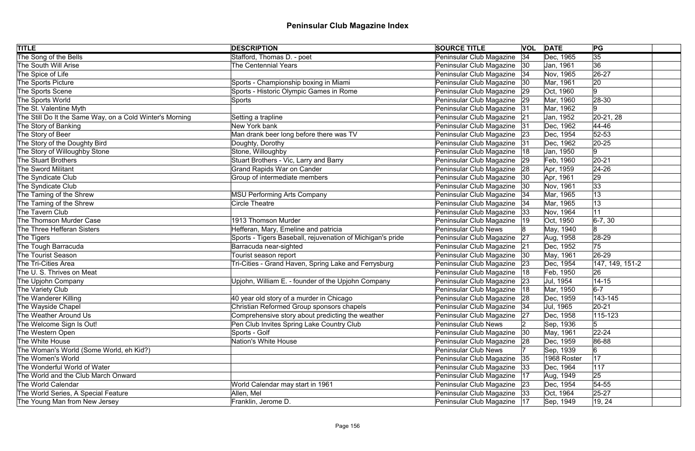| <b>TITLE</b>                                             | <b>DESCRIPTION</b>                                         | <b>SOURCE TITLE</b>           |    | <b>VOL DATE</b> | PG              |
|----------------------------------------------------------|------------------------------------------------------------|-------------------------------|----|-----------------|-----------------|
| The Song of the Bells                                    | Stafford, Thomas D. - poet                                 | Peninsular Club Magazine      | 34 | Dec, 1965       | $\overline{35}$ |
| The South Will Arise                                     | <b>The Centennial Years</b>                                | Peninsular Club Magazine  30  |    | Jan, 1961       | 36              |
| The Spice of Life                                        |                                                            | Peninsular Club Magazine   34 |    | Nov, 1965       | 26-27           |
| The Sports Picture                                       | Sports - Championship boxing in Miami                      | Peninsular Club Magazine      | 30 | Mar, 1961       | 20              |
| The Sports Scene                                         | Sports - Historic Olympic Games in Rome                    | Peninsular Club Magazine      | 29 | Oct, 1960       | 9               |
| The Sports World                                         | <b>Sports</b>                                              | Peninsular Club Magazine 29   |    | Mar, 1960       | 28-30           |
| The St. Valentine Myth                                   |                                                            | Peninsular Club Magazine      | 31 | Mar, 1962       | 19              |
| The Still Do It the Same Way, on a Cold Winter's Morning | Setting a trapline                                         | Peninsular Club Magazine 21   |    | Jan, 1952       | 20-21, 28       |
| The Story of Banking                                     | New York bank                                              | Peninsular Club Magazine      | 31 | Dec, 1962       | 44-46           |
| The Story of Beer                                        | Man drank beer long before there was TV                    | Peninsular Club Magazine 23   |    | Dec, 1954       | $52 - 53$       |
| The Story of the Doughty Bird                            | Doughty, Dorothy                                           | Peninsular Club Magazine      | 31 | Dec, 1962       | $ 20-25 $       |
| The Story of Willoughby Stone                            | Stone, Willoughby                                          | Peninsular Club Magazine      | 18 | Jan, 1950       | 9               |
| The Stuart Brothers                                      | Stuart Brothers - Vic, Larry and Barry                     | Peninsular Club Magazine      | 29 | Feb, 1960       | $ 20-21$        |
| <b>The Sword Militant</b>                                | <b>Grand Rapids War on Cander</b>                          | Peninsular Club Magazine      | 28 | Apr, 1959       | $ 24 - 26$      |
| The Syndicate Club                                       | Group of intermediate members                              | Peninsular Club Magazine      | 30 | Apr, 1961       | 29              |
| The Syndicate Club                                       |                                                            | Peninsular Club Magazine      | 30 | Nov, 1961       | 33              |
| The Taming of the Shrew                                  | <b>MSU Performing Arts Company</b>                         | Peninsular Club Magazine      | 34 | Mar, 1965       | 13              |
| The Taming of the Shrew                                  | <b>Circle Theatre</b>                                      | Peninsular Club Magazine      | 34 | Mar, 1965       | 13              |
| The Tavern Club                                          |                                                            | Peninsular Club Magazine      | 33 | Nov, 1964       | 11              |
| The Thomson Murder Case                                  | 1913 Thomson Murder                                        | Peninsular Club Magazine      | 19 | Oct, 1950       | $ 6-7, 30 $     |
| The Three Hefferan Sisters                               | Hefferan, Mary, Emeline and patricia                       | <b>Peninsular Club News</b>   |    | May, 1940       | 8               |
| The Tigers                                               | Sports - Tigers Baseball, rejuvenation of Michigan's pride | Peninsular Club Magazine      | 27 | Aug, 1958       | $ 28-29 $       |
| The Tough Barracuda                                      | Barracuda near-sighted                                     | Peninsular Club Magazine 21   |    | Dec, 1952       | 75              |
| The Tourist Season                                       | Tourist season report                                      | Peninsular Club Magazine   30 |    | May, 1961       | 26-29           |
| The Tri-Cities Area                                      | Tri-Cities - Grand Haven, Spring Lake and Ferrysburg       | Peninsular Club Magazine 23   |    | Dec, 1954       | 147, 149, 151-2 |
| The U.S. Thrives on Meat                                 |                                                            | Peninsular Club Magazine      | 18 | Feb, 1950       | 26              |
| The Upjohn Company                                       | Upjohn, William E. - founder of the Upjohn Company         | Peninsular Club Magazine   23 |    | Jul, 1954       | $14 - 15$       |
| The Variety Club                                         |                                                            | Peninsular Club Magazine      |    | Mar, 1950       | $6-7$           |
| The Wanderer Killing                                     | 40 year old story of a murder in Chicago                   | Peninsular Club Magazine 28   |    | Dec, 1959       | 143-145         |
| The Wayside Chapel                                       | Christian Reformed Group sponsors chapels                  | Peninsular Club Magazine      | 34 | Jul, 1965       | $20 - 21$       |
| The Weather Around Us                                    | Comprehensive story about predicting the weather           | Peninsular Club Magazine      | 27 | Dec, 1958       | $115 - 123$     |
| The Welcome Sign Is Out!                                 | Pen Club Invites Spring Lake Country Club                  | <b>Peninsular Club News</b>   |    | Sep, 1936       | 15              |
| The Western Open                                         | Sports - Golf                                              | Peninsular Club Magazine      | 30 | May, 1961       | $22 - 24$       |
| The White House                                          | Nation's White House                                       | Peninsular Club Magazine      | 28 | Dec, 1959       | 86-88           |
| The Woman's World (Some World, eh Kid?)                  |                                                            | <b>Peninsular Club News</b>   |    | Sep, 1939       | $6 \,$          |
| The Women's World                                        |                                                            | Peninsular Club Magazine      | 35 | 1968 Roster     | 17              |
| The Wonderful World of Water                             |                                                            | Peninsular Club Magazine      | 33 | Dec, 1964       | 117             |
| The World and the Club March Onward                      |                                                            | Peninsular Club Magazine      | 17 | Aug, 1949       | 25              |
| The World Calendar                                       | World Calendar may start in 1961                           | Peninsular Club Magazine 23   |    | Dec, 1954       | $54 - 55$       |
| The World Series, A Special Feature                      | Allen, Mel                                                 | Peninsular Club Magazine 33   |    | Oct, 1964       | $25 - 27$       |
| The Young Man from New Jersey                            | Franklin, Jerome D.                                        | Peninsular Club Magazine   17 |    | Sep, 1949       | 19, 24          |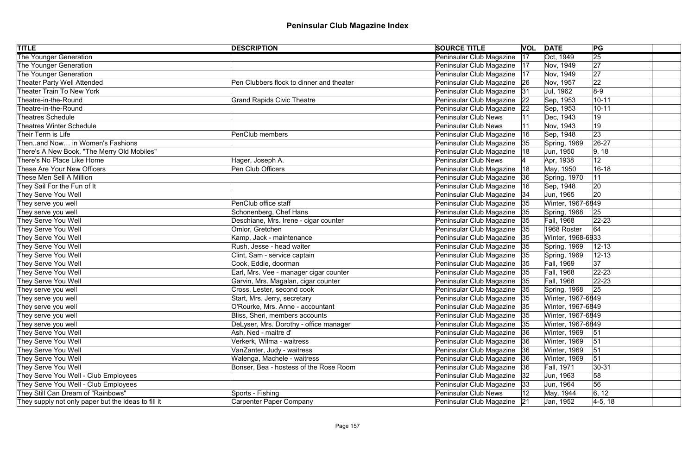| <b>TITLE</b>                                        | <b>DESCRIPTION</b>                       | <b>SOURCE TITLE</b>           |    | <b>VOL DATE</b><br>PG        |  |
|-----------------------------------------------------|------------------------------------------|-------------------------------|----|------------------------------|--|
| The Younger Generation                              |                                          | Peninsular Club Magazine      | 17 | $\overline{25}$<br>Oct, 1949 |  |
| The Younger Generation                              |                                          | Peninsular Club Magazine      | 17 | 27<br>Nov, 1949              |  |
| The Younger Generation                              |                                          | Peninsular Club Magazine      | 17 | 27<br>Nov, 1949              |  |
| Theater Party Well Attended                         | Pen Clubbers flock to dinner and theater | Peninsular Club Magazine 26   |    | 22<br>Nov, 1957              |  |
| Theater Train To New York                           |                                          | Peninsular Club Magazine      | 31 | $8-9$<br>Jul, 1962           |  |
| Theatre-in-the-Round                                | <b>Grand Rapids Civic Theatre</b>        | Peninsular Club Magazine 22   |    | Sep, 1953<br>$10 - 11$       |  |
| Theatre-in-the-Round                                |                                          | Peninsular Club Magazine      | 22 | Sep, 1953<br>$10 - 11$       |  |
| Theatres Schedule                                   |                                          | Peninsular Club News          |    | Dec, 1943<br>19              |  |
| Theatres Winter Schedule                            |                                          | <b>Peninsular Club News</b>   |    | 19<br>Nov, 1943              |  |
| Their Term is Life                                  | PenClub members                          | Peninsular Club Magazine      | 16 | 23<br>Sep, 1948              |  |
| Thenand Now in Women's Fashions                     |                                          | Peninsular Club Magazine      | 35 | $26 - 27$<br>Spring, 1969    |  |
| There's A New Book, "The Merry Old Mobiles"         |                                          | Peninsular Club Magazine      |    | 9, 18<br>Jun, 1950           |  |
| There's No Place Like Home                          | Hager, Joseph A.                         | <b>Peninsular Club News</b>   |    | 12<br>Apr, 1938              |  |
| These Are Your New Officers                         | Pen Club Officers                        | Peninsular Club Magazine      | 18 | $16 - 18$<br>May, 1950       |  |
| These Men Sell A Million                            |                                          | Peninsular Club Magazine      | 36 | 11<br>Spring, 1970           |  |
| They Sail For the Fun of It                         |                                          | Peninsular Club Magazine      | 16 | 20<br>Sep, 1948              |  |
| They Serve You Well                                 |                                          | Peninsular Club Magazine      | 34 | 20<br>Jun, 1965              |  |
| They serve you well                                 | PenClub office staff                     | Peninsular Club Magazine      | 35 | Winter, 1967-6849            |  |
| They serve you well                                 | Schonenberg, Chef Hans                   | Peninsular Club Magazine      | 35 | 25<br>Spring, 1968           |  |
| They Serve You Well                                 | Deschiane, Mrs. Irene - cigar counter    | Peninsular Club Magazine      | 35 | Fall, 1968<br>$ 22 - 23 $    |  |
| They Serve You Well                                 | Omlor, Gretchen                          | Peninsular Club Magazine      | 35 | 1968 Roster<br>64            |  |
| They Serve You Well                                 | Kamp, Jack - maintenance                 | Peninsular Club Magazine  35  |    | Winter, 1968-6933            |  |
| They Serve You Well                                 | Rush, Jesse - head waiter                | Peninsular Club Magazine 35   |    | Spring, 1969<br>$12 - 13$    |  |
| They Serve You Well                                 | Clint, Sam - service captain             | Peninsular Club Magazine  35  |    | Spring, 1969<br>$ 12 - 13$   |  |
| They Serve You Well                                 | Cook, Eddie, doorman                     | Peninsular Club Magazine 35   |    | 37 <br>Fall, 1969            |  |
| They Serve You Well                                 | Earl, Mrs. Vee - manager cigar counter   | Peninsular Club Magazine  35  |    | Fall, 1968<br>$22 - 23$      |  |
| They Serve You Well                                 | Garvin, Mrs. Magalan, cigar counter      | Peninsular Club Magazine 35   |    | $22 - 23$<br>Fall, 1968      |  |
| They serve you well                                 | Cross, Lester, second cook               | Peninsular Club Magazine   35 |    | 25<br>Spring, 1968           |  |
| They serve you well                                 | Start, Mrs. Jerry, secretary             | Peninsular Club Magazine   35 |    | Winter, 1967-6849            |  |
| They serve you well                                 | O'Rourke, Mrs. Anne - accountant         | Peninsular Club Magazine      | 35 | Winter, 1967-6849            |  |
| They serve you well                                 | Bliss, Sheri, members accounts           | Peninsular Club Magazine 35   |    | Winter, 1967-6849            |  |
| They serve you well                                 | DeLyser, Mrs. Dorothy - office manager   | Peninsular Club Magazine      | 35 | Winter, 1967-6849            |  |
| They Serve You Well                                 | Ash, Ned - maitre d'                     | Peninsular Club Magazine      | 36 | Winter, 1969<br> 51          |  |
| They Serve You Well                                 | Verkerk, Wilma - waitress                | Peninsular Club Magazine      | 36 | 51<br>Winter, 1969           |  |
| They Serve You Well                                 | VanZanter, Judy - waitress               | Peninsular Club Magazine      | 36 | 51<br>Winter, 1969           |  |
| They Serve You Well                                 | Walenga, Machele - waitress              | Peninsular Club Magazine      | 36 | 51<br>Winter, 1969           |  |
| They Serve You Well                                 | Bonser, Bea - hostess of the Rose Room   | Peninsular Club Magazine      | 36 | Fall, 1971<br>$ 30-31$       |  |
| They Serve You Well - Club Employees                |                                          | Peninsular Club Magazine      | 32 | Jun, 1963<br>58              |  |
| They Serve You Well - Club Employees                |                                          | Peninsular Club Magazine      | 33 | 56<br>Jun, 1964              |  |
| They Still Can Dream of "Rainbows"                  | Sports - Fishing                         | <b>Peninsular Club News</b>   |    | 6, 12<br>May, 1944           |  |
| They supply not only paper but the ideas to fill it | <b>Carpenter Paper Company</b>           | Peninsular Club Magazine 21   |    | $ 4-5, 18 $<br>Jan, 1952     |  |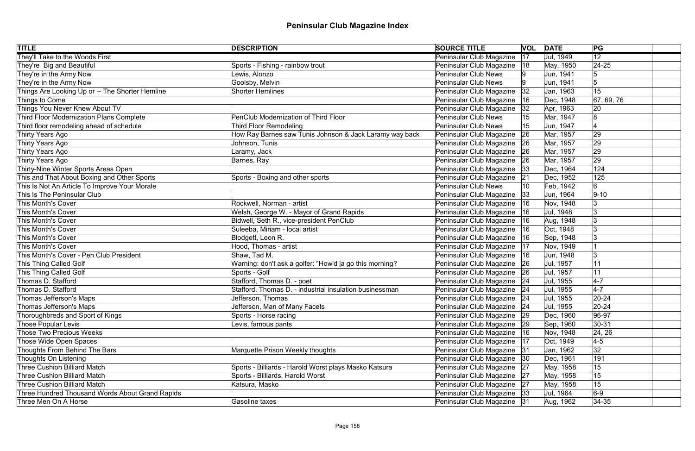| <b>TITLE</b>                                    | <b>DESCRIPTION</b>                                      | <b>SOURCE TITLE</b>           |    | <b>VOL DATE</b> | PG         |
|-------------------------------------------------|---------------------------------------------------------|-------------------------------|----|-----------------|------------|
| They'll Take to the Woods First                 |                                                         | Peninsular Club Magazine      | 17 | Jul, 1949       | 12         |
| They're Big and Beautiful                       | Sports - Fishing - rainbow trout                        | Peninsular Club Magazine      | 18 | May, 1950       | $24 - 25$  |
| They're in the Army Now                         | ewis, Alonzo                                            | <b>Peninsular Club News</b>   |    | Jun, 1941       |            |
| They're in the Army Now                         | Goolsby, Melvin                                         | <b>Peninsular Club News</b>   |    | Jun, 1941       | 5          |
| Things Are Looking Up or -- The Shorter Hemline | <b>Shorter Hemlines</b>                                 | Peninsular Club Magazine      | 32 | Jan, 1963       | 15         |
| Things to Come                                  |                                                         | Peninsular Club Magazine      | 16 | Dec, 1948       | 67, 69, 76 |
| Things You Never Knew About TV                  |                                                         | Peninsular Club Magazine      | 32 | Apr, 1963       | 20         |
| Third Floor Modernization Plans Complete        | PenClub Modernization of Third Floor                    | <b>Peninsular Club News</b>   |    | Mar, 1947       |            |
| Third floor remodeling ahead of schedule        | <b>Third Floor Remodeling</b>                           | <b>Peninsular Club News</b>   |    | Jun, 1947       |            |
| Thirty Years Ago                                | How Ray Barnes saw Tunis Johnson & Jack Laramy way back | Peninsular Club Magazine      | 26 | Mar, 1957       | 29         |
| Thirty Years Ago                                | Johnson, Tunis                                          | Peninsular Club Magazine      | 26 | Mar, 1957       | 29         |
| Thirty Years Ago                                | Laramy, Jack                                            | Peninsular Club Magazine      | 26 | Mar, 1957       | 29         |
| Thirty Years Ago                                | Barnes, Ray                                             | Peninsular Club Magazine      | 26 | Mar, 1957       | 29         |
| Thirty-Nine Winter Sports Areas Open            |                                                         | Peninsular Club Magazine      | 33 | Dec, 1964       | 124        |
| This and That About Boxing and Other Sports     | Sports - Boxing and other sports                        | Peninsular Club Magazine      | 21 | Dec, 1952       | 125        |
| This Is Not An Article To Improve Your Morale   |                                                         | <b>Peninsular Club News</b>   | 10 | Feb, 1942       | 6          |
| This Is The Peninsular Club                     |                                                         | Peninsular Club Magazine      | 33 | Jun, 1964       | $ 9 - 10 $ |
| This Month's Cover                              | Rockwell, Norman - artist                               | Peninsular Club Magazine      | 16 | Nov, 1948       |            |
| This Month's Cover                              | Welsh, George W. - Mayor of Grand Rapids                | Peninsular Club Magazine      | 16 | Jul, 1948       |            |
| This Month's Cover                              | Bidwell, Seth R., vice-president PenClub                | Peninsular Club Magazine      | 16 | Aug, 1948       |            |
| This Month's Cover                              | Suleeba, Miriam - local artist                          | Peninsular Club Magazine      | 16 | Oct, 1948       |            |
| This Month's Cover                              | Blodgett, Leon R.                                       | Peninsular Club Magazine      | 16 | Sep, 1948       |            |
| This Month's Cover                              | Hood, Thomas - artist                                   | Peninsular Club Magazine      | 17 | Nov, 1949       |            |
| This Month's Cover - Pen Club President         | Shaw, Tad M.                                            | Peninsular Club Magazine      | 16 | Jun, 1948       | 3          |
| This Thing Called Golf                          | Warning: don't ask a golfer: "How'd ja go this morning? | Peninsular Club Magazine   26 |    | Jul, 1957       |            |
| This Thing Called Golf                          | Sports - Golf                                           | Peninsular Club Magazine 26   |    | Jul, 1957       | 11         |
| Thomas D. Stafford                              | Stafford, Thomas D. - poet                              | Peninsular Club Magazine 24   |    | Jul, 1955       | $4-7$      |
| Thomas D. Stafford                              | Stafford, Thomas D. - industrial insulation businessman | Peninsular Club Magazine 24   |    | Jul, 1955       | $4 - 7$    |
| Thomas Jefferson's Maps                         | Jefferson, Thomas                                       | Peninsular Club Magazine 24   |    | Jul, 1955       | $ 20-24 $  |
| Thomas Jefferson's Maps                         | Jefferson, Man of Many Facets                           | Peninsular Club Magazine      | 24 | Jul, 1955       | $20 - 24$  |
| Thoroughbreds and Sport of Kings                | Sports - Horse racing                                   | Peninsular Club Magazine      | 29 | Dec, 1960       | 96-97      |
| Those Popular Levis                             | Levis, famous pants                                     | Peninsular Club Magazine      | 29 | Sep, 1960       | $ 30-31$   |
| Those Two Precious Weeks                        |                                                         | Peninsular Club Magazine      | 16 | Nov, 1948       | 24, 26     |
| Those Wide Open Spaces                          |                                                         | Peninsular Club Magazine      | 17 | Oct, 1949       | $4-5$      |
| Thoughts From Behind The Bars                   | Marquette Prison Weekly thoughts                        | Peninsular Club Magazine 31   |    | Jan, 1962       | 32         |
| Thoughts On Listening                           |                                                         | Peninsular Club Magazine   30 |    | Dec, 1961       | 191        |
| <b>Three Cushion Billiard Match</b>             | Sports - Billiards - Harold Worst plays Masko Katsura   | Peninsular Club Magazine      | 27 | May, 1958       | 15         |
| <b>Three Cushion Billiard Match</b>             | Sports - Billiards, Harold Worst                        | Peninsular Club Magazine 27   |    | May, 1958       | 15         |
| <b>Three Cushion Billiard Match</b>             | Katsura, Masko                                          | Peninsular Club Magazine 27   |    | May, 1958       | 15         |
| Three Hundred Thousand Words About Grand Rapids |                                                         | Peninsular Club Magazine 33   |    | Jul, 1964       | $6-9$      |
| Three Men On A Horse                            | <b>Gasoline taxes</b>                                   | Peninsular Club Magazine 31   |    | Aug, 1962       | $ 34-35 $  |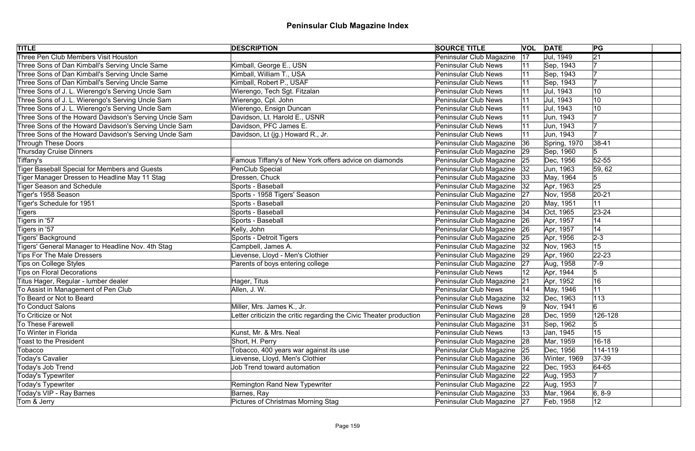| <b>TITLE</b>                                          | <b>DESCRIPTION</b>                                                 | <b>SOURCE TITLE</b>           |    | <b>VOL DATE</b> | PG            |  |
|-------------------------------------------------------|--------------------------------------------------------------------|-------------------------------|----|-----------------|---------------|--|
| Three Pen Club Members Visit Houston                  |                                                                    | Peninsular Club Magazine      | 17 | Jul, 1949       | 21            |  |
| Three Sons of Dan Kimball's Serving Uncle Same        | Kimball, George E., USN                                            | <b>Peninsular Club News</b>   |    | Sep, 1943       | 17            |  |
| Three Sons of Dan Kimball's Serving Uncle Same        | Kimball, William T., USA                                           | <b>Peninsular Club News</b>   |    | Sep, 1943       |               |  |
| Three Sons of Dan Kimball's Serving Uncle Same        | Kimball, Robert P., USAF                                           | <b>Peninsular Club News</b>   |    | Sep, 1943       |               |  |
| Three Sons of J. L. Wierengo's Serving Uncle Sam      | Wierengo, Tech Sgt. Fitzalan                                       | <b>Peninsular Club News</b>   |    | Jul, 1943       | 10            |  |
| Three Sons of J. L. Wierengo's Serving Uncle Sam      | Wierengo, Cpl. John                                                | <b>Peninsular Club News</b>   |    | Jul, 1943       | 10            |  |
| Three Sons of J. L. Wierengo's Serving Uncle Sam      | Wierengo, Ensign Duncan                                            | <b>Peninsular Club News</b>   |    | Jul, 1943       | 10            |  |
| Three Sons of the Howard Davidson's Serving Uncle Sam | Davidson, Lt. Harold E., USNR                                      | <b>Peninsular Club News</b>   |    | Jun, 1943       |               |  |
| Three Sons of the Howard Davidson's Serving Uncle Sam | Davidson, PFC James E.                                             | <b>Peninsular Club News</b>   |    | Jun, 1943       |               |  |
| Three Sons of the Howard Davidson's Serving Uncle Sam | Davidson, Lt (jg.) Howard R., Jr.                                  | <b>Peninsular Club News</b>   |    | Jun, 1943       |               |  |
| Through These Doors                                   |                                                                    | Peninsular Club Magazine      | 36 | Spring, 1970    | $ 38-41$      |  |
| <b>Thursday Cruise Dinners</b>                        |                                                                    | Peninsular Club Magazine      | 29 | Sep, 1960       | 5             |  |
| Tiffany's                                             | Famous Tiffany's of New York offers advice on diamonds             | Peninsular Club Magazine      | 25 | Dec, 1956       | 52-55         |  |
| Tiger Baseball Special for Members and Guests         | PenClub Special                                                    | Peninsular Club Magazine      | 32 | Jun, 1963       | 59, 62        |  |
| Tiger Manager Dressen to Headline May 11 Stag         | Dressen, Chuck                                                     | Peninsular Club Magazine      | 33 | May, 1964       | 5             |  |
| <b>Tiger Season and Schedule</b>                      | Sports - Baseball                                                  | Peninsular Club Magazine      | 32 | Apr, 1963       | 25            |  |
| Tiger's 1958 Season                                   | Sports - 1958 Tigers' Season                                       | Peninsular Club Magazine      | 27 | Nov, 1958       | $20 - 21$     |  |
| Tiger's Schedule for 1951                             | Sports - Baseball                                                  | Peninsular Club Magazine      | 20 | May, 1951       | 11            |  |
| Tigers                                                | Sports - Baseball                                                  | Peninsular Club Magazine      | 34 | Oct, 1965       | $ 23 - 24$    |  |
| Tigers in '57                                         | Sports - Baseball                                                  | Peninsular Club Magazine      | 26 | Apr, 1957       | 14            |  |
| Tigers in '57                                         | Kelly, John                                                        | Peninsular Club Magazine      | 26 | Apr, 1957       | 14            |  |
| Tigers' Background                                    | <b>Sports - Detroit Tigers</b>                                     | Peninsular Club Magazine      | 25 | Apr, 1956       | $ 2-3 $       |  |
| Tigers' General Manager to Headline Nov. 4th Stag     | Campbell, James A.                                                 | Peninsular Club Magazine      | 32 | Nov, 1963       | 15            |  |
| Tips For The Male Dressers                            | ievense, Lloyd - Men's Clothier                                    | Peninsular Club Magazine      | 29 | Apr, 1960       | $ 22 - 23 $   |  |
| <b>Tips on College Styles</b>                         | Parents of boys entering college                                   | Peninsular Club Magazine      | 27 | Aug, 1958       | $7-9$         |  |
| Tips on Floral Decorations                            |                                                                    | <b>Peninsular Club News</b>   |    | Apr, 1944       | 5             |  |
| Titus Hager, Regular - lumber dealer                  | Hager, Titus                                                       | Peninsular Club Magazine      | 21 | Apr, 1952       | 16            |  |
| To Assist in Management of Pen Club                   | Allen, J. W.                                                       | <b>Peninsular Club News</b>   |    | May, 1946       | 11            |  |
| To Beard or Not to Beard                              |                                                                    | Peninsular Club Magazine 32   |    | Dec, 1963       | $ 113\rangle$ |  |
| <b>To Conduct Salons</b>                              | Miller, Mrs. James K., Jr.                                         | <b>Peninsular Club News</b>   |    | Nov, 1941       | 6             |  |
| To Criticize or Not                                   | etter criticizin the critic regarding the Civic Theater production | Peninsular Club Magazine      | 28 | Dec, 1959       | 126-128       |  |
| To These Farewell                                     |                                                                    | Peninsular Club Magazine      | 31 | Sep, 1962       | 5             |  |
| To Winter in Florida                                  | Kunst, Mr. & Mrs. Neal                                             | <b>Peninsular Club News</b>   | 13 | Jan, 1945       | 15            |  |
| <b>Toast to the President</b>                         | Short, H. Perry                                                    | Peninsular Club Magazine      | 28 | Mar, 1959       | $16 - 18$     |  |
| Tobacco                                               | Tobacco, 400 years war against its use                             | Peninsular Club Magazine      | 25 | Dec, 1956       | 114-119       |  |
| <b>Today's Cavalier</b>                               | ievense, Lloyd, Men's Clothier                                     | Peninsular Club Magazine 36   |    | Winter, 1969    | $37-39$       |  |
| Today's Job Trend                                     | Job Trend toward automation                                        | Peninsular Club Magazine      | 22 | Dec, 1953       | 64-65         |  |
| <b>Today's Typewriter</b>                             |                                                                    | Peninsular Club Magazine 22   |    | Aug, 1953       | 17            |  |
| <b>Today's Typewriter</b>                             | Remington Rand New Typewriter                                      | Peninsular Club Magazine   22 |    | Aug, 1953       |               |  |
| Today's VIP - Ray Barnes                              | Barnes, Ray                                                        | Peninsular Club Magazine 33   |    | Mar, 1964       | $6, 8-9$      |  |
| Tom & Jerry                                           | <b>Pictures of Christmas Morning Stag</b>                          | Peninsular Club Magazine 27   |    | Feb, 1958       | $12$          |  |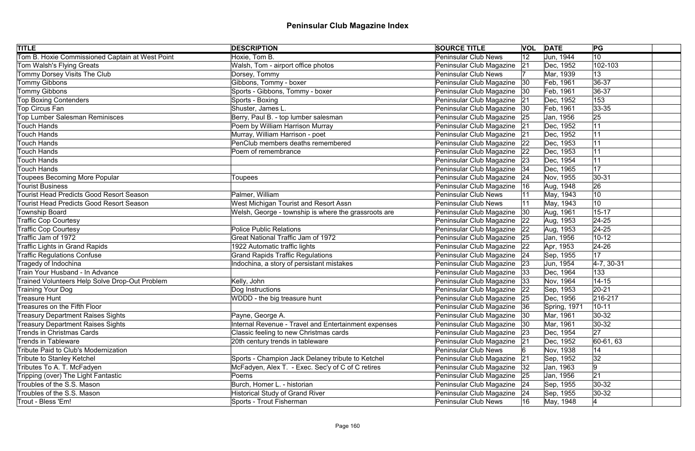| Tom B. Hoxie Commissioned Captain at West Point<br>Hoxie, Tom B.<br>10<br><b>Peninsular Club News</b><br>$ 12\rangle$<br>Jun, 1944<br>Walsh, Tom - airport office photos<br>102-103<br>Tom Walsh's Flying Greats<br>Peninsular Club Magazine<br>Dec, 1952<br> 21<br>Tommy Dorsey Visits The Club<br>13<br>Dorsey, Tommy<br><b>Peninsular Club News</b><br>Mar, 1939<br>Gibbons, Tommy - boxer<br>36-37<br>Tommy Gibbons<br>Peninsular Club Magazine<br> 30<br>Feb, 1961<br>Tommy Gibbons<br>Sports - Gibbons, Tommy - boxer<br>Peninsular Club Magazine<br>$ 36-37$<br>Feb, 1961<br> 30<br><b>Top Boxing Contenders</b><br>Sports - Boxing<br>Peninsular Club Magazine 21<br>Dec, 1952<br>153<br>Top Circus Fan<br>Shuster, James L.<br>Peninsular Club Magazine<br>Feb, 1961<br>$ 33 - 35 $<br> 30<br><b>Top Lumber Salesman Reminisces</b><br>Berry, Paul B. - top lumber salesman<br>Peninsular Club Magazine<br>25<br>Jan, 1956<br> 25<br>Poem by William Harrison Murray<br>Peninsular Club Magazine<br>Touch Hands<br>11<br>Dec, 1952<br> 21<br>Murray, William Harrison - poet<br>Peninsular Club Magazine<br>11<br>Touch Hands<br>Dec, 1952<br> 21<br>PenClub members deaths remembered<br>Peninsular Club Magazine<br>Touch Hands<br>11<br>Dec, 1953<br> 22<br>Peninsular Club Magazine<br>11<br>Touch Hands<br>Poem of remembrance<br>Dec, 1953<br> 22<br>Peninsular Club Magazine<br>11<br>Touch Hands<br> 23<br>Dec, 1954<br>17<br>Touch Hands<br>Peninsular Club Magazine<br>Dec, 1965<br> 34<br>Peninsular Club Magazine<br>$ 30-31$<br> 24<br>Nov, 1955<br><b>Toupees</b><br>26<br><b>Tourist Business</b><br>Peninsular Club Magazine<br>Aug, 1948<br> 16<br>Tourist Head Predicts Good Resort Season<br>Palmer, William<br><b>Peninsular Club News</b><br>May, 1943<br>10<br>10<br>West Michigan Tourist and Resort Assn<br>Tourist Head Predicts Good Resort Season<br><b>Peninsular Club News</b><br>May, 1943<br>Township Board<br>Welsh, George - township is where the grassroots are<br>Peninsular Club Magazine<br>Aug, 1961<br>$15 - 17$<br> 30<br>Peninsular Club Magazine<br><b>Traffic Cop Courtesy</b><br>Aug, 1953<br>$ 24-25$<br> 22<br><b>Police Public Relations</b><br>Peninsular Club Magazine 22<br><b>Traffic Cop Courtesy</b><br>Aug, 1953<br>$ 24-25$<br>Traffic Jam of 1972<br>Great National Traffic Jam of 1972<br>Peninsular Club Magazine 25<br>Jan, 1956<br>$10 - 12$<br>Traffic Lights in Grand Rapids<br>Peninsular Club Magazine<br>$ 24-26 $<br>1922 Automatic traffic lights<br>Apr, 1953<br> 22<br><b>Grand Rapids Traffic Regulations</b><br><b>Traffic Regulations Confuse</b><br>Peninsular Club Magazine<br>17<br>Sep, 1955<br> 24<br>Tragedy of Indochina<br>Indochina, a story of persistant mistakes<br>Peninsular Club Magazine 23<br>$ 4-7, 30-31$<br>Jun, 1954<br>Peninsular Club Magazine<br>Train Your Husband - In Advance<br>133<br>Dec, 1964<br> 33<br>Kelly, John<br>Peninsular Club Magazine 33<br>Trained Volunteers Help Solve Drop-Out Problem<br>$14 - 15$<br>Nov, 1964<br>Peninsular Club Magazine<br>$20 - 21$<br>Training Your Dog<br>Dog Instructions<br>Sep, 1953<br> 22<br>WDDD - the big treasure hunt<br>216-217<br>Peninsular Club Magazine 25<br>Dec, 1956<br>Peninsular Club Magazine 36<br>Spring, 1971<br>$10 - 11$<br>Payne, George A.<br>Peninsular Club Magazine   30<br>Mar, 1961<br>$ 30-32 $<br><b>Internal Revenue - Travel and Entertainment expenses</b><br>Peninsular Club Magazine<br>$ 30-32 $<br>Mar, 1961<br> 30<br> 27 <br>Peninsular Club Magazine<br>Classic feeling to new Christmas cards<br>Dec, 1954<br> 23<br>60-61, 63<br>20th century trends in tableware<br>Peninsular Club Magazine 21<br>Dec, 1952<br>14<br><b>Peninsular Club News</b><br>Nov, 1938<br>32<br>Sports - Champion Jack Delaney tribute to Ketchel<br>Peninsular Club Magazine<br> 21<br>Sep, 1952<br>McFadyen, Alex T. - Exec. Sec'y of C of C retires<br>9<br>Peninsular Club Magazine   32<br>Jan, 1963<br> 21 <br>Poems<br>Peninsular Club Magazine 25<br>Jan, 1956<br>Burch, Homer L. - historian<br>Peninsular Club Magazine 24<br>$ 30-32 $<br>Sep, 1955<br><b>Historical Study of Grand River</b><br>Peninsular Club Magazine 24<br>Sep, 1955<br>$30-32$<br>Sports - Trout Fisherman<br><b>Peninsular Club News</b><br>16<br>May, 1948 | <b>TITLE</b>                             | <b>DESCRIPTION</b> | <b>SOURCE TITLE</b> | <b>VOL DATE</b> | PG |
|-----------------------------------------------------------------------------------------------------------------------------------------------------------------------------------------------------------------------------------------------------------------------------------------------------------------------------------------------------------------------------------------------------------------------------------------------------------------------------------------------------------------------------------------------------------------------------------------------------------------------------------------------------------------------------------------------------------------------------------------------------------------------------------------------------------------------------------------------------------------------------------------------------------------------------------------------------------------------------------------------------------------------------------------------------------------------------------------------------------------------------------------------------------------------------------------------------------------------------------------------------------------------------------------------------------------------------------------------------------------------------------------------------------------------------------------------------------------------------------------------------------------------------------------------------------------------------------------------------------------------------------------------------------------------------------------------------------------------------------------------------------------------------------------------------------------------------------------------------------------------------------------------------------------------------------------------------------------------------------------------------------------------------------------------------------------------------------------------------------------------------------------------------------------------------------------------------------------------------------------------------------------------------------------------------------------------------------------------------------------------------------------------------------------------------------------------------------------------------------------------------------------------------------------------------------------------------------------------------------------------------------------------------------------------------------------------------------------------------------------------------------------------------------------------------------------------------------------------------------------------------------------------------------------------------------------------------------------------------------------------------------------------------------------------------------------------------------------------------------------------------------------------------------------------------------------------------------------------------------------------------------------------------------------------------------------------------------------------------------------------------------------------------------------------------------------------------------------------------------------------------------------------------------------------------------------------------------------------------------------------------------------------------------------------------------------------------------------------------------------------------------------------------------------------------------------------------------------------------------------------------------------------------------------------------------------------------------------------------------------------------------------------------------------------------------------------------------------------------------------------------------------------------------------------------------------------------------------------------------------------------------------------------------------------------------------------------|------------------------------------------|--------------------|---------------------|-----------------|----|
|                                                                                                                                                                                                                                                                                                                                                                                                                                                                                                                                                                                                                                                                                                                                                                                                                                                                                                                                                                                                                                                                                                                                                                                                                                                                                                                                                                                                                                                                                                                                                                                                                                                                                                                                                                                                                                                                                                                                                                                                                                                                                                                                                                                                                                                                                                                                                                                                                                                                                                                                                                                                                                                                                                                                                                                                                                                                                                                                                                                                                                                                                                                                                                                                                                                                                                                                                                                                                                                                                                                                                                                                                                                                                                                                                                                                                                                                                                                                                                                                                                                                                                                                                                                                                                                                                                                             |                                          |                    |                     |                 |    |
|                                                                                                                                                                                                                                                                                                                                                                                                                                                                                                                                                                                                                                                                                                                                                                                                                                                                                                                                                                                                                                                                                                                                                                                                                                                                                                                                                                                                                                                                                                                                                                                                                                                                                                                                                                                                                                                                                                                                                                                                                                                                                                                                                                                                                                                                                                                                                                                                                                                                                                                                                                                                                                                                                                                                                                                                                                                                                                                                                                                                                                                                                                                                                                                                                                                                                                                                                                                                                                                                                                                                                                                                                                                                                                                                                                                                                                                                                                                                                                                                                                                                                                                                                                                                                                                                                                                             |                                          |                    |                     |                 |    |
|                                                                                                                                                                                                                                                                                                                                                                                                                                                                                                                                                                                                                                                                                                                                                                                                                                                                                                                                                                                                                                                                                                                                                                                                                                                                                                                                                                                                                                                                                                                                                                                                                                                                                                                                                                                                                                                                                                                                                                                                                                                                                                                                                                                                                                                                                                                                                                                                                                                                                                                                                                                                                                                                                                                                                                                                                                                                                                                                                                                                                                                                                                                                                                                                                                                                                                                                                                                                                                                                                                                                                                                                                                                                                                                                                                                                                                                                                                                                                                                                                                                                                                                                                                                                                                                                                                                             |                                          |                    |                     |                 |    |
|                                                                                                                                                                                                                                                                                                                                                                                                                                                                                                                                                                                                                                                                                                                                                                                                                                                                                                                                                                                                                                                                                                                                                                                                                                                                                                                                                                                                                                                                                                                                                                                                                                                                                                                                                                                                                                                                                                                                                                                                                                                                                                                                                                                                                                                                                                                                                                                                                                                                                                                                                                                                                                                                                                                                                                                                                                                                                                                                                                                                                                                                                                                                                                                                                                                                                                                                                                                                                                                                                                                                                                                                                                                                                                                                                                                                                                                                                                                                                                                                                                                                                                                                                                                                                                                                                                                             |                                          |                    |                     |                 |    |
|                                                                                                                                                                                                                                                                                                                                                                                                                                                                                                                                                                                                                                                                                                                                                                                                                                                                                                                                                                                                                                                                                                                                                                                                                                                                                                                                                                                                                                                                                                                                                                                                                                                                                                                                                                                                                                                                                                                                                                                                                                                                                                                                                                                                                                                                                                                                                                                                                                                                                                                                                                                                                                                                                                                                                                                                                                                                                                                                                                                                                                                                                                                                                                                                                                                                                                                                                                                                                                                                                                                                                                                                                                                                                                                                                                                                                                                                                                                                                                                                                                                                                                                                                                                                                                                                                                                             |                                          |                    |                     |                 |    |
|                                                                                                                                                                                                                                                                                                                                                                                                                                                                                                                                                                                                                                                                                                                                                                                                                                                                                                                                                                                                                                                                                                                                                                                                                                                                                                                                                                                                                                                                                                                                                                                                                                                                                                                                                                                                                                                                                                                                                                                                                                                                                                                                                                                                                                                                                                                                                                                                                                                                                                                                                                                                                                                                                                                                                                                                                                                                                                                                                                                                                                                                                                                                                                                                                                                                                                                                                                                                                                                                                                                                                                                                                                                                                                                                                                                                                                                                                                                                                                                                                                                                                                                                                                                                                                                                                                                             |                                          |                    |                     |                 |    |
|                                                                                                                                                                                                                                                                                                                                                                                                                                                                                                                                                                                                                                                                                                                                                                                                                                                                                                                                                                                                                                                                                                                                                                                                                                                                                                                                                                                                                                                                                                                                                                                                                                                                                                                                                                                                                                                                                                                                                                                                                                                                                                                                                                                                                                                                                                                                                                                                                                                                                                                                                                                                                                                                                                                                                                                                                                                                                                                                                                                                                                                                                                                                                                                                                                                                                                                                                                                                                                                                                                                                                                                                                                                                                                                                                                                                                                                                                                                                                                                                                                                                                                                                                                                                                                                                                                                             |                                          |                    |                     |                 |    |
|                                                                                                                                                                                                                                                                                                                                                                                                                                                                                                                                                                                                                                                                                                                                                                                                                                                                                                                                                                                                                                                                                                                                                                                                                                                                                                                                                                                                                                                                                                                                                                                                                                                                                                                                                                                                                                                                                                                                                                                                                                                                                                                                                                                                                                                                                                                                                                                                                                                                                                                                                                                                                                                                                                                                                                                                                                                                                                                                                                                                                                                                                                                                                                                                                                                                                                                                                                                                                                                                                                                                                                                                                                                                                                                                                                                                                                                                                                                                                                                                                                                                                                                                                                                                                                                                                                                             |                                          |                    |                     |                 |    |
|                                                                                                                                                                                                                                                                                                                                                                                                                                                                                                                                                                                                                                                                                                                                                                                                                                                                                                                                                                                                                                                                                                                                                                                                                                                                                                                                                                                                                                                                                                                                                                                                                                                                                                                                                                                                                                                                                                                                                                                                                                                                                                                                                                                                                                                                                                                                                                                                                                                                                                                                                                                                                                                                                                                                                                                                                                                                                                                                                                                                                                                                                                                                                                                                                                                                                                                                                                                                                                                                                                                                                                                                                                                                                                                                                                                                                                                                                                                                                                                                                                                                                                                                                                                                                                                                                                                             |                                          |                    |                     |                 |    |
|                                                                                                                                                                                                                                                                                                                                                                                                                                                                                                                                                                                                                                                                                                                                                                                                                                                                                                                                                                                                                                                                                                                                                                                                                                                                                                                                                                                                                                                                                                                                                                                                                                                                                                                                                                                                                                                                                                                                                                                                                                                                                                                                                                                                                                                                                                                                                                                                                                                                                                                                                                                                                                                                                                                                                                                                                                                                                                                                                                                                                                                                                                                                                                                                                                                                                                                                                                                                                                                                                                                                                                                                                                                                                                                                                                                                                                                                                                                                                                                                                                                                                                                                                                                                                                                                                                                             |                                          |                    |                     |                 |    |
|                                                                                                                                                                                                                                                                                                                                                                                                                                                                                                                                                                                                                                                                                                                                                                                                                                                                                                                                                                                                                                                                                                                                                                                                                                                                                                                                                                                                                                                                                                                                                                                                                                                                                                                                                                                                                                                                                                                                                                                                                                                                                                                                                                                                                                                                                                                                                                                                                                                                                                                                                                                                                                                                                                                                                                                                                                                                                                                                                                                                                                                                                                                                                                                                                                                                                                                                                                                                                                                                                                                                                                                                                                                                                                                                                                                                                                                                                                                                                                                                                                                                                                                                                                                                                                                                                                                             |                                          |                    |                     |                 |    |
|                                                                                                                                                                                                                                                                                                                                                                                                                                                                                                                                                                                                                                                                                                                                                                                                                                                                                                                                                                                                                                                                                                                                                                                                                                                                                                                                                                                                                                                                                                                                                                                                                                                                                                                                                                                                                                                                                                                                                                                                                                                                                                                                                                                                                                                                                                                                                                                                                                                                                                                                                                                                                                                                                                                                                                                                                                                                                                                                                                                                                                                                                                                                                                                                                                                                                                                                                                                                                                                                                                                                                                                                                                                                                                                                                                                                                                                                                                                                                                                                                                                                                                                                                                                                                                                                                                                             |                                          |                    |                     |                 |    |
|                                                                                                                                                                                                                                                                                                                                                                                                                                                                                                                                                                                                                                                                                                                                                                                                                                                                                                                                                                                                                                                                                                                                                                                                                                                                                                                                                                                                                                                                                                                                                                                                                                                                                                                                                                                                                                                                                                                                                                                                                                                                                                                                                                                                                                                                                                                                                                                                                                                                                                                                                                                                                                                                                                                                                                                                                                                                                                                                                                                                                                                                                                                                                                                                                                                                                                                                                                                                                                                                                                                                                                                                                                                                                                                                                                                                                                                                                                                                                                                                                                                                                                                                                                                                                                                                                                                             |                                          |                    |                     |                 |    |
|                                                                                                                                                                                                                                                                                                                                                                                                                                                                                                                                                                                                                                                                                                                                                                                                                                                                                                                                                                                                                                                                                                                                                                                                                                                                                                                                                                                                                                                                                                                                                                                                                                                                                                                                                                                                                                                                                                                                                                                                                                                                                                                                                                                                                                                                                                                                                                                                                                                                                                                                                                                                                                                                                                                                                                                                                                                                                                                                                                                                                                                                                                                                                                                                                                                                                                                                                                                                                                                                                                                                                                                                                                                                                                                                                                                                                                                                                                                                                                                                                                                                                                                                                                                                                                                                                                                             |                                          |                    |                     |                 |    |
|                                                                                                                                                                                                                                                                                                                                                                                                                                                                                                                                                                                                                                                                                                                                                                                                                                                                                                                                                                                                                                                                                                                                                                                                                                                                                                                                                                                                                                                                                                                                                                                                                                                                                                                                                                                                                                                                                                                                                                                                                                                                                                                                                                                                                                                                                                                                                                                                                                                                                                                                                                                                                                                                                                                                                                                                                                                                                                                                                                                                                                                                                                                                                                                                                                                                                                                                                                                                                                                                                                                                                                                                                                                                                                                                                                                                                                                                                                                                                                                                                                                                                                                                                                                                                                                                                                                             | Toupees Becoming More Popular            |                    |                     |                 |    |
|                                                                                                                                                                                                                                                                                                                                                                                                                                                                                                                                                                                                                                                                                                                                                                                                                                                                                                                                                                                                                                                                                                                                                                                                                                                                                                                                                                                                                                                                                                                                                                                                                                                                                                                                                                                                                                                                                                                                                                                                                                                                                                                                                                                                                                                                                                                                                                                                                                                                                                                                                                                                                                                                                                                                                                                                                                                                                                                                                                                                                                                                                                                                                                                                                                                                                                                                                                                                                                                                                                                                                                                                                                                                                                                                                                                                                                                                                                                                                                                                                                                                                                                                                                                                                                                                                                                             |                                          |                    |                     |                 |    |
|                                                                                                                                                                                                                                                                                                                                                                                                                                                                                                                                                                                                                                                                                                                                                                                                                                                                                                                                                                                                                                                                                                                                                                                                                                                                                                                                                                                                                                                                                                                                                                                                                                                                                                                                                                                                                                                                                                                                                                                                                                                                                                                                                                                                                                                                                                                                                                                                                                                                                                                                                                                                                                                                                                                                                                                                                                                                                                                                                                                                                                                                                                                                                                                                                                                                                                                                                                                                                                                                                                                                                                                                                                                                                                                                                                                                                                                                                                                                                                                                                                                                                                                                                                                                                                                                                                                             |                                          |                    |                     |                 |    |
|                                                                                                                                                                                                                                                                                                                                                                                                                                                                                                                                                                                                                                                                                                                                                                                                                                                                                                                                                                                                                                                                                                                                                                                                                                                                                                                                                                                                                                                                                                                                                                                                                                                                                                                                                                                                                                                                                                                                                                                                                                                                                                                                                                                                                                                                                                                                                                                                                                                                                                                                                                                                                                                                                                                                                                                                                                                                                                                                                                                                                                                                                                                                                                                                                                                                                                                                                                                                                                                                                                                                                                                                                                                                                                                                                                                                                                                                                                                                                                                                                                                                                                                                                                                                                                                                                                                             |                                          |                    |                     |                 |    |
|                                                                                                                                                                                                                                                                                                                                                                                                                                                                                                                                                                                                                                                                                                                                                                                                                                                                                                                                                                                                                                                                                                                                                                                                                                                                                                                                                                                                                                                                                                                                                                                                                                                                                                                                                                                                                                                                                                                                                                                                                                                                                                                                                                                                                                                                                                                                                                                                                                                                                                                                                                                                                                                                                                                                                                                                                                                                                                                                                                                                                                                                                                                                                                                                                                                                                                                                                                                                                                                                                                                                                                                                                                                                                                                                                                                                                                                                                                                                                                                                                                                                                                                                                                                                                                                                                                                             |                                          |                    |                     |                 |    |
|                                                                                                                                                                                                                                                                                                                                                                                                                                                                                                                                                                                                                                                                                                                                                                                                                                                                                                                                                                                                                                                                                                                                                                                                                                                                                                                                                                                                                                                                                                                                                                                                                                                                                                                                                                                                                                                                                                                                                                                                                                                                                                                                                                                                                                                                                                                                                                                                                                                                                                                                                                                                                                                                                                                                                                                                                                                                                                                                                                                                                                                                                                                                                                                                                                                                                                                                                                                                                                                                                                                                                                                                                                                                                                                                                                                                                                                                                                                                                                                                                                                                                                                                                                                                                                                                                                                             |                                          |                    |                     |                 |    |
|                                                                                                                                                                                                                                                                                                                                                                                                                                                                                                                                                                                                                                                                                                                                                                                                                                                                                                                                                                                                                                                                                                                                                                                                                                                                                                                                                                                                                                                                                                                                                                                                                                                                                                                                                                                                                                                                                                                                                                                                                                                                                                                                                                                                                                                                                                                                                                                                                                                                                                                                                                                                                                                                                                                                                                                                                                                                                                                                                                                                                                                                                                                                                                                                                                                                                                                                                                                                                                                                                                                                                                                                                                                                                                                                                                                                                                                                                                                                                                                                                                                                                                                                                                                                                                                                                                                             |                                          |                    |                     |                 |    |
|                                                                                                                                                                                                                                                                                                                                                                                                                                                                                                                                                                                                                                                                                                                                                                                                                                                                                                                                                                                                                                                                                                                                                                                                                                                                                                                                                                                                                                                                                                                                                                                                                                                                                                                                                                                                                                                                                                                                                                                                                                                                                                                                                                                                                                                                                                                                                                                                                                                                                                                                                                                                                                                                                                                                                                                                                                                                                                                                                                                                                                                                                                                                                                                                                                                                                                                                                                                                                                                                                                                                                                                                                                                                                                                                                                                                                                                                                                                                                                                                                                                                                                                                                                                                                                                                                                                             |                                          |                    |                     |                 |    |
|                                                                                                                                                                                                                                                                                                                                                                                                                                                                                                                                                                                                                                                                                                                                                                                                                                                                                                                                                                                                                                                                                                                                                                                                                                                                                                                                                                                                                                                                                                                                                                                                                                                                                                                                                                                                                                                                                                                                                                                                                                                                                                                                                                                                                                                                                                                                                                                                                                                                                                                                                                                                                                                                                                                                                                                                                                                                                                                                                                                                                                                                                                                                                                                                                                                                                                                                                                                                                                                                                                                                                                                                                                                                                                                                                                                                                                                                                                                                                                                                                                                                                                                                                                                                                                                                                                                             |                                          |                    |                     |                 |    |
|                                                                                                                                                                                                                                                                                                                                                                                                                                                                                                                                                                                                                                                                                                                                                                                                                                                                                                                                                                                                                                                                                                                                                                                                                                                                                                                                                                                                                                                                                                                                                                                                                                                                                                                                                                                                                                                                                                                                                                                                                                                                                                                                                                                                                                                                                                                                                                                                                                                                                                                                                                                                                                                                                                                                                                                                                                                                                                                                                                                                                                                                                                                                                                                                                                                                                                                                                                                                                                                                                                                                                                                                                                                                                                                                                                                                                                                                                                                                                                                                                                                                                                                                                                                                                                                                                                                             |                                          |                    |                     |                 |    |
|                                                                                                                                                                                                                                                                                                                                                                                                                                                                                                                                                                                                                                                                                                                                                                                                                                                                                                                                                                                                                                                                                                                                                                                                                                                                                                                                                                                                                                                                                                                                                                                                                                                                                                                                                                                                                                                                                                                                                                                                                                                                                                                                                                                                                                                                                                                                                                                                                                                                                                                                                                                                                                                                                                                                                                                                                                                                                                                                                                                                                                                                                                                                                                                                                                                                                                                                                                                                                                                                                                                                                                                                                                                                                                                                                                                                                                                                                                                                                                                                                                                                                                                                                                                                                                                                                                                             |                                          |                    |                     |                 |    |
|                                                                                                                                                                                                                                                                                                                                                                                                                                                                                                                                                                                                                                                                                                                                                                                                                                                                                                                                                                                                                                                                                                                                                                                                                                                                                                                                                                                                                                                                                                                                                                                                                                                                                                                                                                                                                                                                                                                                                                                                                                                                                                                                                                                                                                                                                                                                                                                                                                                                                                                                                                                                                                                                                                                                                                                                                                                                                                                                                                                                                                                                                                                                                                                                                                                                                                                                                                                                                                                                                                                                                                                                                                                                                                                                                                                                                                                                                                                                                                                                                                                                                                                                                                                                                                                                                                                             |                                          |                    |                     |                 |    |
|                                                                                                                                                                                                                                                                                                                                                                                                                                                                                                                                                                                                                                                                                                                                                                                                                                                                                                                                                                                                                                                                                                                                                                                                                                                                                                                                                                                                                                                                                                                                                                                                                                                                                                                                                                                                                                                                                                                                                                                                                                                                                                                                                                                                                                                                                                                                                                                                                                                                                                                                                                                                                                                                                                                                                                                                                                                                                                                                                                                                                                                                                                                                                                                                                                                                                                                                                                                                                                                                                                                                                                                                                                                                                                                                                                                                                                                                                                                                                                                                                                                                                                                                                                                                                                                                                                                             |                                          |                    |                     |                 |    |
|                                                                                                                                                                                                                                                                                                                                                                                                                                                                                                                                                                                                                                                                                                                                                                                                                                                                                                                                                                                                                                                                                                                                                                                                                                                                                                                                                                                                                                                                                                                                                                                                                                                                                                                                                                                                                                                                                                                                                                                                                                                                                                                                                                                                                                                                                                                                                                                                                                                                                                                                                                                                                                                                                                                                                                                                                                                                                                                                                                                                                                                                                                                                                                                                                                                                                                                                                                                                                                                                                                                                                                                                                                                                                                                                                                                                                                                                                                                                                                                                                                                                                                                                                                                                                                                                                                                             |                                          |                    |                     |                 |    |
|                                                                                                                                                                                                                                                                                                                                                                                                                                                                                                                                                                                                                                                                                                                                                                                                                                                                                                                                                                                                                                                                                                                                                                                                                                                                                                                                                                                                                                                                                                                                                                                                                                                                                                                                                                                                                                                                                                                                                                                                                                                                                                                                                                                                                                                                                                                                                                                                                                                                                                                                                                                                                                                                                                                                                                                                                                                                                                                                                                                                                                                                                                                                                                                                                                                                                                                                                                                                                                                                                                                                                                                                                                                                                                                                                                                                                                                                                                                                                                                                                                                                                                                                                                                                                                                                                                                             | Treasure Hunt                            |                    |                     |                 |    |
|                                                                                                                                                                                                                                                                                                                                                                                                                                                                                                                                                                                                                                                                                                                                                                                                                                                                                                                                                                                                                                                                                                                                                                                                                                                                                                                                                                                                                                                                                                                                                                                                                                                                                                                                                                                                                                                                                                                                                                                                                                                                                                                                                                                                                                                                                                                                                                                                                                                                                                                                                                                                                                                                                                                                                                                                                                                                                                                                                                                                                                                                                                                                                                                                                                                                                                                                                                                                                                                                                                                                                                                                                                                                                                                                                                                                                                                                                                                                                                                                                                                                                                                                                                                                                                                                                                                             | Treasures on the Fifth Floor             |                    |                     |                 |    |
|                                                                                                                                                                                                                                                                                                                                                                                                                                                                                                                                                                                                                                                                                                                                                                                                                                                                                                                                                                                                                                                                                                                                                                                                                                                                                                                                                                                                                                                                                                                                                                                                                                                                                                                                                                                                                                                                                                                                                                                                                                                                                                                                                                                                                                                                                                                                                                                                                                                                                                                                                                                                                                                                                                                                                                                                                                                                                                                                                                                                                                                                                                                                                                                                                                                                                                                                                                                                                                                                                                                                                                                                                                                                                                                                                                                                                                                                                                                                                                                                                                                                                                                                                                                                                                                                                                                             | <b>Treasury Department Raises Sights</b> |                    |                     |                 |    |
|                                                                                                                                                                                                                                                                                                                                                                                                                                                                                                                                                                                                                                                                                                                                                                                                                                                                                                                                                                                                                                                                                                                                                                                                                                                                                                                                                                                                                                                                                                                                                                                                                                                                                                                                                                                                                                                                                                                                                                                                                                                                                                                                                                                                                                                                                                                                                                                                                                                                                                                                                                                                                                                                                                                                                                                                                                                                                                                                                                                                                                                                                                                                                                                                                                                                                                                                                                                                                                                                                                                                                                                                                                                                                                                                                                                                                                                                                                                                                                                                                                                                                                                                                                                                                                                                                                                             | <b>Treasury Department Raises Sights</b> |                    |                     |                 |    |
|                                                                                                                                                                                                                                                                                                                                                                                                                                                                                                                                                                                                                                                                                                                                                                                                                                                                                                                                                                                                                                                                                                                                                                                                                                                                                                                                                                                                                                                                                                                                                                                                                                                                                                                                                                                                                                                                                                                                                                                                                                                                                                                                                                                                                                                                                                                                                                                                                                                                                                                                                                                                                                                                                                                                                                                                                                                                                                                                                                                                                                                                                                                                                                                                                                                                                                                                                                                                                                                                                                                                                                                                                                                                                                                                                                                                                                                                                                                                                                                                                                                                                                                                                                                                                                                                                                                             | Trends in Christmas Cards                |                    |                     |                 |    |
|                                                                                                                                                                                                                                                                                                                                                                                                                                                                                                                                                                                                                                                                                                                                                                                                                                                                                                                                                                                                                                                                                                                                                                                                                                                                                                                                                                                                                                                                                                                                                                                                                                                                                                                                                                                                                                                                                                                                                                                                                                                                                                                                                                                                                                                                                                                                                                                                                                                                                                                                                                                                                                                                                                                                                                                                                                                                                                                                                                                                                                                                                                                                                                                                                                                                                                                                                                                                                                                                                                                                                                                                                                                                                                                                                                                                                                                                                                                                                                                                                                                                                                                                                                                                                                                                                                                             | Trends in Tableware                      |                    |                     |                 |    |
|                                                                                                                                                                                                                                                                                                                                                                                                                                                                                                                                                                                                                                                                                                                                                                                                                                                                                                                                                                                                                                                                                                                                                                                                                                                                                                                                                                                                                                                                                                                                                                                                                                                                                                                                                                                                                                                                                                                                                                                                                                                                                                                                                                                                                                                                                                                                                                                                                                                                                                                                                                                                                                                                                                                                                                                                                                                                                                                                                                                                                                                                                                                                                                                                                                                                                                                                                                                                                                                                                                                                                                                                                                                                                                                                                                                                                                                                                                                                                                                                                                                                                                                                                                                                                                                                                                                             | Tribute Paid to Club's Modernization     |                    |                     |                 |    |
|                                                                                                                                                                                                                                                                                                                                                                                                                                                                                                                                                                                                                                                                                                                                                                                                                                                                                                                                                                                                                                                                                                                                                                                                                                                                                                                                                                                                                                                                                                                                                                                                                                                                                                                                                                                                                                                                                                                                                                                                                                                                                                                                                                                                                                                                                                                                                                                                                                                                                                                                                                                                                                                                                                                                                                                                                                                                                                                                                                                                                                                                                                                                                                                                                                                                                                                                                                                                                                                                                                                                                                                                                                                                                                                                                                                                                                                                                                                                                                                                                                                                                                                                                                                                                                                                                                                             | Tribute to Stanley Ketchel               |                    |                     |                 |    |
|                                                                                                                                                                                                                                                                                                                                                                                                                                                                                                                                                                                                                                                                                                                                                                                                                                                                                                                                                                                                                                                                                                                                                                                                                                                                                                                                                                                                                                                                                                                                                                                                                                                                                                                                                                                                                                                                                                                                                                                                                                                                                                                                                                                                                                                                                                                                                                                                                                                                                                                                                                                                                                                                                                                                                                                                                                                                                                                                                                                                                                                                                                                                                                                                                                                                                                                                                                                                                                                                                                                                                                                                                                                                                                                                                                                                                                                                                                                                                                                                                                                                                                                                                                                                                                                                                                                             | Tributes To A. T. McFadyen               |                    |                     |                 |    |
|                                                                                                                                                                                                                                                                                                                                                                                                                                                                                                                                                                                                                                                                                                                                                                                                                                                                                                                                                                                                                                                                                                                                                                                                                                                                                                                                                                                                                                                                                                                                                                                                                                                                                                                                                                                                                                                                                                                                                                                                                                                                                                                                                                                                                                                                                                                                                                                                                                                                                                                                                                                                                                                                                                                                                                                                                                                                                                                                                                                                                                                                                                                                                                                                                                                                                                                                                                                                                                                                                                                                                                                                                                                                                                                                                                                                                                                                                                                                                                                                                                                                                                                                                                                                                                                                                                                             | Tripping (over) The Light Fantastic      |                    |                     |                 |    |
|                                                                                                                                                                                                                                                                                                                                                                                                                                                                                                                                                                                                                                                                                                                                                                                                                                                                                                                                                                                                                                                                                                                                                                                                                                                                                                                                                                                                                                                                                                                                                                                                                                                                                                                                                                                                                                                                                                                                                                                                                                                                                                                                                                                                                                                                                                                                                                                                                                                                                                                                                                                                                                                                                                                                                                                                                                                                                                                                                                                                                                                                                                                                                                                                                                                                                                                                                                                                                                                                                                                                                                                                                                                                                                                                                                                                                                                                                                                                                                                                                                                                                                                                                                                                                                                                                                                             | Troubles of the S.S. Mason               |                    |                     |                 |    |
|                                                                                                                                                                                                                                                                                                                                                                                                                                                                                                                                                                                                                                                                                                                                                                                                                                                                                                                                                                                                                                                                                                                                                                                                                                                                                                                                                                                                                                                                                                                                                                                                                                                                                                                                                                                                                                                                                                                                                                                                                                                                                                                                                                                                                                                                                                                                                                                                                                                                                                                                                                                                                                                                                                                                                                                                                                                                                                                                                                                                                                                                                                                                                                                                                                                                                                                                                                                                                                                                                                                                                                                                                                                                                                                                                                                                                                                                                                                                                                                                                                                                                                                                                                                                                                                                                                                             | Troubles of the S.S. Mason               |                    |                     |                 |    |
|                                                                                                                                                                                                                                                                                                                                                                                                                                                                                                                                                                                                                                                                                                                                                                                                                                                                                                                                                                                                                                                                                                                                                                                                                                                                                                                                                                                                                                                                                                                                                                                                                                                                                                                                                                                                                                                                                                                                                                                                                                                                                                                                                                                                                                                                                                                                                                                                                                                                                                                                                                                                                                                                                                                                                                                                                                                                                                                                                                                                                                                                                                                                                                                                                                                                                                                                                                                                                                                                                                                                                                                                                                                                                                                                                                                                                                                                                                                                                                                                                                                                                                                                                                                                                                                                                                                             | Trout - Bless 'Em!                       |                    |                     |                 |    |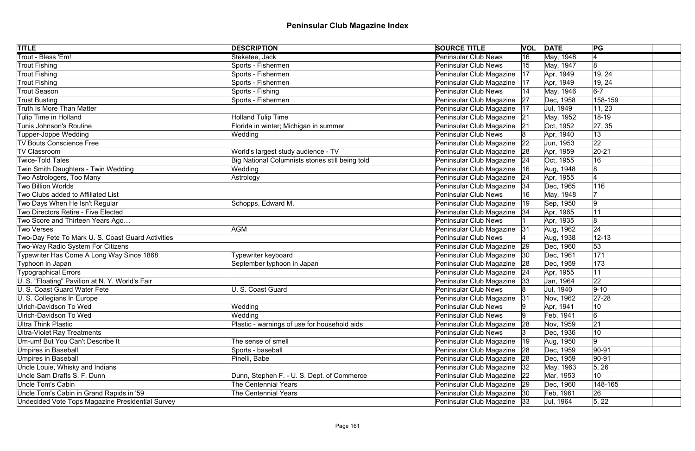| <b>TITLE</b>                                      | <b>DESCRIPTION</b>                               | <b>SOURCE TITLE</b>           |              | <b>VOL DATE</b> | PG              |
|---------------------------------------------------|--------------------------------------------------|-------------------------------|--------------|-----------------|-----------------|
| Trout - Bless 'Em!                                | Steketee, Jack                                   | <b>Peninsular Club News</b>   | 16           | May, 1948       | $\vert 4$       |
| Trout Fishing                                     | Sports - Fishermen                               | <b>Peninsular Club News</b>   | 15           | May, 1947       | 8               |
| <b>Trout Fishing</b>                              | Sports - Fishermen                               | Peninsular Club Magazine      | 17           | Apr, 1949       | 19, 24          |
| <b>Trout Fishing</b>                              | Sports - Fishermen                               | Peninsular Club Magazine      | 17           | Apr, 1949       | 19, 24          |
| <b>Trout Season</b>                               | Sports - Fishing                                 | <b>Peninsular Club News</b>   | 14           | May, 1946       | $6-7$           |
| <b>Trust Busting</b>                              | Sports - Fishermen                               | Peninsular Club Magazine      | 27           | Dec, 1958       | 158-159         |
| Truth Is More Than Matter                         |                                                  | Peninsular Club Magazine      | 17           | Jul, 1949       | 11, 23          |
| Tulip Time in Holland                             | <b>Holland Tulip Time</b>                        | Peninsular Club Magazine 21   |              | May, 1952       | 18-19           |
| Tunis Johnson's Routine                           | Florida in winter; Michigan in summer            | Peninsular Club Magazine      | 21           | Oct, 1952       | 27, 35          |
| Tupper-Joppe Wedding                              | Wedding                                          | <b>Peninsular Club News</b>   |              | Apr, 1940       | 13              |
| <b>TV Bouts Conscience Free</b>                   |                                                  | Peninsular Club Magazine      | $ 22\rangle$ | Jun, 1953       | 22              |
| <b>TV Classroom</b>                               | World's largest study audience - TV              | Peninsular Club Magazine      | 28           | Apr, 1959       | $ 20-21$        |
| <b>Twice-Told Tales</b>                           | Big National Columnists stories still being told | Peninsular Club Magazine      | 24           | Oct, 1955       | 16              |
| Twin Smith Daughters - Twin Wedding               | Wedding                                          | Peninsular Club Magazine      | 16           | Aug, 1948       | 8               |
| Two Astrologers, Too Many                         | Astrology                                        | Peninsular Club Magazine      | 24           | Apr, 1955       |                 |
| Two Billion Worlds                                |                                                  | Peninsular Club Magazine      | 34           | Dec, 1965       | 116             |
| Two Clubs added to Affiliated List                |                                                  | <b>Peninsular Club News</b>   | 16           | May, 1948       |                 |
| Two Days When He Isn't Regular                    | Schopps, Edward M.                               | Peninsular Club Magazine      | $ 19\rangle$ | Sep, 1950       | 9               |
| Two Directors Retire - Five Elected               |                                                  | Peninsular Club Magazine   34 |              | Apr, 1965       | 11              |
| Two Score and Thirteen Years Ago                  |                                                  | <b>Peninsular Club News</b>   |              | Apr, 1935       | 8               |
| <b>Two Verses</b>                                 | AGM                                              | Peninsular Club Magazine 31   |              | Aug, 1962       | 24              |
| Two-Day Fete To Mark U. S. Coast Guard Activities |                                                  | <b>Peninsular Club News</b>   |              | Aug, 1938       | $12 - 13$       |
| Two-Way Radio System For Citizens                 |                                                  | Peninsular Club Magazine 29   |              | Dec, 1960       | 53              |
| Typewriter Has Come A Long Way Since 1868         | Typewriter keyboard                              | Peninsular Club Magazine      | 30           | Dec, 1961       | 171             |
| Typhoon in Japan                                  | September typhoon in Japan                       | Peninsular Club Magazine 28   |              | Dec, 1959       | 173             |
| <b>Typographical Errors</b>                       |                                                  | Peninsular Club Magazine 24   |              | Apr, 1955       | 11              |
| U. S. "Floating" Pavilion at N. Y. World's Fair   |                                                  | Peninsular Club Magazine      | 33           | Jan, 1964       | 22              |
| U. S. Coast Guard Water Fete                      | U. S. Coast Guard                                | <b>Peninsular Club News</b>   |              | Jul, 1940       | $9 - 10$        |
| U. S. Collegians In Europe                        |                                                  | Peninsular Club Magazine 31   |              | Nov, 1962       | $27-28$         |
| Ulrich-Davidson To Wed                            | Wedding                                          | <b>Peninsular Club News</b>   |              | Apr, 1941       | 10              |
| Ulrich-Davidson To Wed                            | Wedding                                          | Peninsular Club News          |              | Feb, 1941       | $6\overline{6}$ |
| Ultra Think Plastic                               | Plastic - warnings of use for household aids     | Peninsular Club Magazine      | 28           | Nov, 1959       | 21              |
| <b>Ultra-Violet Ray Treatments</b>                |                                                  | <b>Peninsular Club News</b>   |              | Dec, 1936       | 10              |
| Um-um! But You Can't Describe It                  | The sense of smell                               | Peninsular Club Magazine      | $ 19\rangle$ | Aug, 1950       | 9               |
| Umpires in Baseball                               | Sports - baseball                                | Peninsular Club Magazine      | 28           | Dec, 1959       | $ 90-91$        |
| Umpires in Baseball                               | Pinelli, Babe                                    | Peninsular Club Magazine      | 28           | Dec, 1959       | $ 90-91$        |
| Uncle Louie, Whisky and Indians                   |                                                  | Peninsular Club Magazine      | 32           | May, 1963       | 5, 26           |
| Uncle Sam Drafts S. F. Dunn                       | Dunn, Stephen F. - U. S. Dept. of Commerce       | Peninsular Club Magazine      | 22           | Mar, 1953       | 10 <sup>1</sup> |
| Uncle Tom's Cabin                                 | <b>The Centennial Years</b>                      | Peninsular Club Magazine   29 |              | Dec, 1960       | 148-165         |
| Uncle Tom's Cabin in Grand Rapids in '59          | The Centennial Years                             | Peninsular Club Magazine 30   |              | Feb, 1961       | 26              |
| Undecided Vote Tops Magazine Presidential Survey  |                                                  | Peninsular Club Magazine 33   |              | Jul, 1964       | 5, 22           |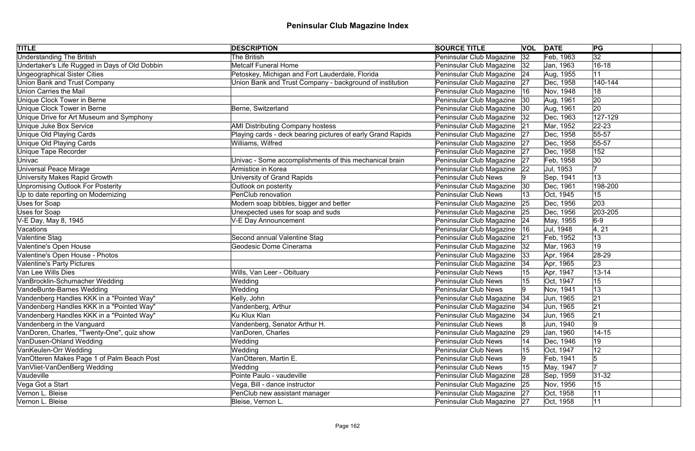| <b>TITLE</b>                                   | <b>DESCRIPTION</b>                                          | <b>SOURCE TITLE</b>           |    | <b>VOL DATE</b> | PG              |  |
|------------------------------------------------|-------------------------------------------------------------|-------------------------------|----|-----------------|-----------------|--|
| <b>Understanding The British</b>               | <b>The British</b>                                          | Peninsular Club Magazine      | 32 | Feb, 1963       | $\overline{32}$ |  |
| Undertaker's Life Rugged in Days of Old Dobbin | <b>Metcalf Funeral Home</b>                                 | Peninsular Club Magazine      | 32 | Jan, 1963       | $16 - 18$       |  |
| <b>Ungeographical Sister Cities</b>            | Petoskey, Michigan and Fort Lauderdale, Florida             | Peninsular Club Magazine   24 |    | Aug, 1955       | 11              |  |
| <b>Union Bank and Trust Company</b>            | Union Bank and Trust Company - background of institution    | Peninsular Club Magazine      | 27 | Dec, 1958       | 140-144         |  |
| Union Carries the Mail                         |                                                             | Peninsular Club Magazine      | 16 | Nov, 1948       | 18              |  |
| <b>Unique Clock Tower in Berne</b>             |                                                             | Peninsular Club Magazine   30 |    | Aug, 1961       | 20              |  |
| Unique Clock Tower in Berne                    | Berne, Switzerland                                          | Peninsular Club Magazine      | 30 | Aug, 1961       | 20              |  |
| Unique Drive for Art Museum and Symphony       |                                                             | Peninsular Club Magazine      | 32 | Dec, 1963       | 127-129         |  |
| Unique Juke Box Service                        | <b>AMI Distributing Company hostess</b>                     | Peninsular Club Magazine      | 21 | Mar, 1952       | $ 22 - 23 $     |  |
| Unique Old Playing Cards                       | Playing cards - deck bearing pictures of early Grand Rapids | Peninsular Club Magazine 27   |    | Dec, 1958       | 55-57           |  |
| Unique Old Playing Cards                       | Williams, Wilfred                                           | Peninsular Club Magazine      | 27 | Dec, 1958       | $55 - 57$       |  |
| <b>Unique Tape Recorder</b>                    |                                                             | Peninsular Club Magazine      | 27 | Dec, 1958       | 152             |  |
| Univac                                         | Univac - Some accomplishments of this mechanical brain      | Peninsular Club Magazine      | 27 | Feb, 1958       | 30              |  |
| Universal Peace Mirage                         | Armistice in Korea                                          | Peninsular Club Magazine      | 22 | Jul, 1953       |                 |  |
| University Makes Rapid Growth                  | University of Grand Rapids                                  | <b>Peninsular Club News</b>   |    | Sep, 1941       | 13              |  |
| Unpromising Outlook For Posterity              | Outlook on posterity                                        | Peninsular Club Magazine      | 30 | Dec, 1961       | 198-200         |  |
| Up to date reporting on Modernizing            | PenClub renovation                                          | <b>Peninsular Club News</b>   |    | Oct, 1945       | 15              |  |
| Uses for Soap                                  | Modern soap bibbles, bigger and better                      | Peninsular Club Magazine      | 25 | Dec, 1956       | 203             |  |
| Uses for Soap                                  | Unexpected uses for soap and suds                           | Peninsular Club Magazine      | 25 | Dec, 1956       | 203-205         |  |
| V-E Day, May 8, 1945                           | V-E Day Announcement                                        | Peninsular Club Magazine      | 24 | May, 1955       | $6-9$           |  |
| Vacations                                      |                                                             | Peninsular Club Magazine      | 16 | Jul, 1948       | 4, 21           |  |
| Valentine Stag                                 | Second annual Valentine Stag                                | Peninsular Club Magazine      | 21 | Feb, 1952       | 13              |  |
| Valentine's Open House                         | Geodesic Dome Cinerama                                      | Peninsular Club Magazine      | 32 | Mar, 1963       | 19              |  |
| Valentine's Open House - Photos                |                                                             | Peninsular Club Magazine      | 33 | Apr, 1964       | $ 28-29$        |  |
| Valentine's Party Pictures                     |                                                             | Peninsular Club Magazine      | 34 | Apr, 1965       | 23              |  |
| Van Lee Wills Dies                             | Wills, Van Leer - Obituary                                  | <b>Peninsular Club News</b>   |    | Apr, 1947       | $13 - 14$       |  |
| VanBrocklin-Schumacher Wedding                 | Wedding                                                     | <b>Peninsular Club News</b>   |    | Oct, 1947       | 15              |  |
| VandeBunte-Barnes Wedding                      | Wedding                                                     | <b>Peninsular Club News</b>   |    | Nov, 1941       | 13              |  |
| Vandenberg Handles KKK in a "Pointed Way"      | Kelly, John                                                 | Peninsular Club Magazine 34   |    | Jun, 1965       | 21              |  |
| Vandenberg Handles KKK in a "Pointed Way"      | Vandenberg, Arthur                                          | Peninsular Club Magazine      | 34 | Jun, 1965       | 21              |  |
| Vandenberg Handles KKK in a "Pointed Way"      | Ku Klux Klan                                                | Peninsular Club Magazine      | 34 | Jun, 1965       | 21              |  |
| Vandenberg in the Vanguard                     | Vandenberg, Senator Arthur H.                               | <b>Peninsular Club News</b>   |    | Jun, 1940       | 19              |  |
| VanDoren, Charles, "Twenty-One", quiz show     | VanDoren, Charles                                           | Peninsular Club Magazine      | 29 | Jan, 1960       | $14 - 15$       |  |
| VanDusen-Ohland Wedding                        | Wedding                                                     | <b>Peninsular Club News</b>   | 14 | Dec, 1946       | 19              |  |
| VanKeulen-Orr Wedding                          | Wedding                                                     | <b>Peninsular Club News</b>   | 15 | Oct, 1947       | 12              |  |
| VanOtteren Makes Page 1 of Palm Beach Post     | VanOtteren, Martin E.                                       | <b>Peninsular Club News</b>   |    | Feb, 1941       | 5               |  |
| VanVliet-VanDenBerg Wedding                    | Wedding                                                     | <b>Peninsular Club News</b>   | 15 | May, 1947       |                 |  |
| Vaudeville                                     | Pointe Paulo - vaudeville                                   | Peninsular Club Magazine      | 28 | Sep, 1959       | $ 31-32 $       |  |
| Vega Got a Start                               | Vega, Bill - dance instructor                               | Peninsular Club Magazine 25   |    | Nov, 1956       | 15              |  |
| Vernon L. Bleise                               | PenClub new assistant manager                               | Peninsular Club Magazine 27   |    | Oct, 1958       | 11              |  |
| Vernon L. Bleise                               | Bleise, Vernon L.                                           | Peninsular Club Magazine 27   |    | Oct, 1958       | 11              |  |
|                                                |                                                             |                               |    |                 |                 |  |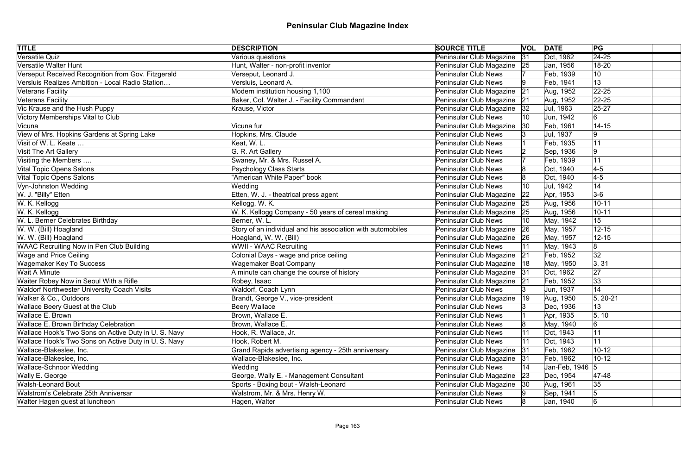| <b>TITLE</b>                                         | <b>DESCRIPTION</b>                                          | <b>SOURCE TITLE</b>           |              | <b>VOL DATE</b> | PG              |
|------------------------------------------------------|-------------------------------------------------------------|-------------------------------|--------------|-----------------|-----------------|
| Versatile Quiz                                       | Various questions                                           | Peninsular Club Magazine      | 31           | Oct, 1962       | $\sqrt{24-25}$  |
| Versatile Walter Hunt                                | Hunt, Walter - non-profit inventor                          | Peninsular Club Magazine 25   |              | Jan, 1956       | 18-20           |
| Verseput Received Recognition from Gov. Fitzgerald   | Verseput, Leonard J.                                        | <b>Peninsular Club News</b>   |              | Feb, 1939       | 10              |
| Versluis Realizes Ambition - Local Radio Station     | Versluis, Leonard A.                                        | <b>Peninsular Club News</b>   | 19           | Feb, 1941       | 13              |
| Veterans Facility                                    | Modern institution housing 1,100                            | Peninsular Club Magazine      | 21           | Aug, 1952       | $ 22 - 25 $     |
| Veterans Facility                                    | Baker, Col. Walter J. - Facility Commandant                 | Peninsular Club Magazine 21   |              | Aug, 1952       | $ 22 - 25 $     |
| Vic Krause and the Hush Puppy                        | Krause, Victor                                              | Peninsular Club Magazine   32 |              | Jul, 1963       | $25 - 27$       |
| Victory Memberships Vital to Club                    |                                                             | <b>Peninsular Club News</b>   |              | Jun, 1942       | 6               |
| Vicuna                                               | Vicuna fur                                                  | Peninsular Club Magazine      | $ 30\rangle$ | Feb, 1961       | $14 - 15$       |
| View of Mrs. Hopkins Gardens at Spring Lake          | Hopkins, Mrs. Claude                                        | <b>Peninsular Club News</b>   |              | Jul, 1937       | 9               |
| Visit of W. L. Keate                                 | Keat, W. L.                                                 | <b>Peninsular Club News</b>   |              | Feb, 1935       | 11              |
| <b>Visit The Art Gallery</b>                         | G. R. Art Gallery                                           | <b>Peninsular Club News</b>   |              | Sep, 1936       | 9               |
| Visiting the Members                                 | Swaney, Mr. & Mrs. Russel A.                                | <b>Peninsular Club News</b>   |              | Feb, 1939       | 11              |
| Vital Topic Opens Salons                             | <b>Psychology Class Starts</b>                              | <b>Peninsular Club News</b>   |              | Oct, 1940       | $4-5$           |
| Vital Topic Opens Salons                             | 'American White Paper" book                                 | <b>Peninsular Club News</b>   |              | Oct, 1940       | $4-5$           |
| Vyn-Johnston Wedding                                 | Wedding                                                     | <b>Peninsular Club News</b>   | 10           | Jul, 1942       | 14              |
| W. J. "Billy" Etten                                  | Etten, W. J. - theatrical press agent                       | Peninsular Club Magazine      | $ 22\rangle$ | Apr, 1953       | $3-6$           |
| W. K. Kellogg                                        | Kellogg, W. K.                                              | Peninsular Club Magazine 25   |              | Aug, 1956       | $10 - 11$       |
| W. K. Kellogg                                        | W. K. Kellogg Company - 50 years of cereal making           | Peninsular Club Magazine      | 25           | Aug, 1956       | $10 - 11$       |
| W. L. Berner Celebrates Birthday                     | Berner, W.L.                                                | <b>Peninsular Club News</b>   | 10           | May, 1942       | 15              |
| W. W. (Bill) Hoagland                                | Story of an individual and his association with automobiles | Peninsular Club Magazine 26   |              | May, 1957       | $12 - 15$       |
| W. W. (Bill) Hoagland                                | Hoagland, W. W. (Bill)                                      | Peninsular Club Magazine 26   |              | May, 1957       | $12 - 15$       |
| <b>WAAC Recruiting Now in Pen Club Building</b>      | <b>WWII - WAAC Recruiting</b>                               | <b>Peninsular Club News</b>   |              | May, 1943       | 8               |
| <b>Wage and Price Ceiling</b>                        | Colonial Days - wage and price ceiling                      | Peninsular Club Magazine      | 21           | Feb, 1952       | $\overline{32}$ |
| <b>Wagemaker Key To Success</b>                      | Wagemaker Boat Company                                      | Peninsular Club Magazine   18 |              | May, 1950       | 3, 31           |
| <b>Wait A Minute</b>                                 | A minute can change the course of history                   | Peninsular Club Magazine 31   |              | Oct, 1962       | 27              |
| Waiter Robey Now in Seoul With a Rifle               | Robey, Isaac                                                | Peninsular Club Magazine 21   |              | Feb, 1952       | 33              |
| <b>Waldorf Northwester University Coach Visits</b>   | Waldorf, Coach Lynn                                         | <b>Peninsular Club News</b>   |              | Jun, 1937       | 14              |
| Walker & Co., Outdoors                               | Brandt, George V., vice-president                           | Peninsular Club Magazine   19 |              | Aug, 1950       | $5, 20-21$      |
| <b>Wallace Beery Guest at the Club</b>               | <b>Beery Wallace</b>                                        | <b>Peninsular Club News</b>   |              | Dec, 1936       | 13              |
| Wallace E. Brown                                     | Brown, Wallace E.                                           | <b>Peninsular Club News</b>   |              | Apr, 1935       | 5, 10           |
| <b>Wallace E. Brown Birthday Celebration</b>         | Brown, Wallace E.                                           | <b>Peninsular Club News</b>   |              | May, 1940       | 6               |
| Wallace Hook's Two Sons on Active Duty in U. S. Navy | Hook, R. Wallace, Jr.                                       | <b>Peninsular Club News</b>   |              | Oct, 1943       | 11              |
| Wallace Hook's Two Sons on Active Duty in U. S. Navy | Hook, Robert M.                                             | <b>Peninsular Club News</b>   | 11           | Oct, 1943       | 11              |
| Wallace-Blakeslee, Inc.                              | Grand Rapids advertising agency - 25th anniversary          | Peninsular Club Magazine      | 31           | Feb, 1962       | $10 - 12$       |
| Wallace-Blakeslee, Inc.                              | Wallace-Blakeslee, Inc.                                     | Peninsular Club Magazine      | 31           | Feb, 1962       | $10-12$         |
| Wallace-Schnoor Wedding                              | Wedding                                                     | <b>Peninsular Club News</b>   | 14           | Jan-Feb, 1946 5 |                 |
| Wally E. George                                      | George, Wally E. - Management Consultant                    | Peninsular Club Magazine      | 23           | Dec, 1954       | 47-48           |
| <b>Walsh-Leonard Bout</b>                            | Sports - Boxing bout - Walsh-Leonard                        | Peninsular Club Magazine      | 30           | Aug, 1961       | 35              |
| <b>Walstrom's Celebrate 25th Anniversar</b>          | Walstrom, Mr. & Mrs. Henry W.                               | <b>Peninsular Club News</b>   |              | Sep, 1941       |                 |
| Walter Hagen guest at luncheon                       | Hagen, Walter                                               | <b>Peninsular Club News</b>   |              | Jan, 1940       | $6 \,$          |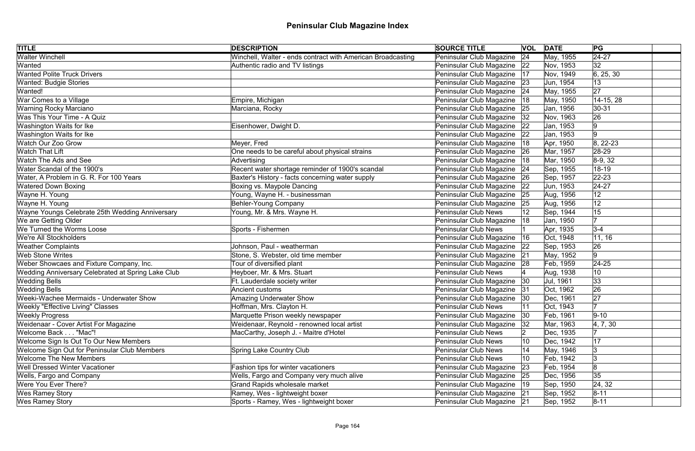| <b>TITLE</b>                                       | <b>DESCRIPTION</b>                                          | <b>SOURCE TITLE</b>           | <b>VOL DATE</b> |           | PG             |
|----------------------------------------------------|-------------------------------------------------------------|-------------------------------|-----------------|-----------|----------------|
| <b>Walter Winchell</b>                             | Winchell, Walter - ends contract with American Broadcasting | Peninsular Club Magazine 24   |                 | May, 1955 | $\sqrt{24-27}$ |
| Wanted                                             | Authentic radio and TV listings                             | Peninsular Club Magazine   22 |                 | Nov, 1953 | 32             |
| <b>Wanted Polite Truck Drivers</b>                 |                                                             | Peninsular Club Magazine   17 |                 | Nov, 1949 | 6, 25, 30      |
| <b>Wanted: Budgie Stories</b>                      |                                                             | Peninsular Club Magazine 23   |                 | Jun, 1954 | 13             |
| Wanted!                                            |                                                             | Peninsular Club Magazine   24 |                 | May, 1955 | 27             |
| War Comes to a Village                             | Empire, Michigan                                            | Peninsular Club Magazine  18  |                 | May, 1950 | 14-15, 28      |
| <b>Warning Rocky Marciano</b>                      | Marciana, Rocky                                             | Peninsular Club Magazine 25   |                 | Jan, 1956 | $30 - 31$      |
| Was This Your Time - A Quiz                        |                                                             | Peninsular Club Magazine   32 |                 | Nov, 1963 | 26             |
| Washington Waits for Ike                           | Eisenhower, Dwight D.                                       | Peninsular Club Magazine 22   |                 | Jan, 1953 | 9              |
| Washington Waits for Ike                           |                                                             | Peninsular Club Magazine 22   |                 | Jan, 1953 | 9              |
| <b>Watch Our Zoo Grow</b>                          | Meyer, Fred                                                 | Peninsular Club Magazine      | 18              | Apr, 1950 | $ 8, 22-23$    |
| <b>Watch That Lift</b>                             | One needs to be careful about physical strains              | Peninsular Club Magazine      | 26              | Mar, 1957 | $28-29$        |
| Watch The Ads and See                              | Advertising                                                 | Peninsular Club Magazine      | 18              | Mar, 1950 | $8-9, 32$      |
| Water Scandal of the 1900's                        | Recent water shortage reminder of 1900's scandal            | Peninsular Club Magazine      | 24              | Sep, 1955 | 18-19          |
| Water, A Problem in G. R. For 100 Years            | Baxter's History - facts concerning water supply            | Peninsular Club Magazine 26   |                 | Sep, 1957 | $ 22 - 23 $    |
| <b>Watered Down Boxing</b>                         | Boxing vs. Maypole Dancing                                  | Peninsular Club Magazine      | 22              | Jun, 1953 | $24 - 27$      |
| Wayne H. Young                                     | Young, Wayne H. - businessman                               | Peninsular Club Magazine      | 25              | Aug, 1956 | 12             |
| Wayne H. Young                                     | <b>Behler-Young Company</b>                                 | Peninsular Club Magazine 25   |                 | Aug, 1956 | 12             |
| Wayne Youngs Celebrate 25th Wedding Anniversary    | Young, Mr. & Mrs. Wayne H.                                  | <b>Peninsular Club News</b>   |                 | Sep, 1944 | 15             |
| We are Getting Older                               |                                                             | Peninsular Club Magazine      | 18              | Jan, 1950 |                |
| We Turned the Worms Loose                          | Sports - Fishermen                                          | Peninsular Club News          |                 | Apr, 1935 | $ 3-4 $        |
| We're All Stockholders                             |                                                             | Peninsular Club Magazine      | 16              | Oct, 1948 | 11, 16         |
| <b>Weather Complaints</b>                          | Johnson, Paul - weatherman                                  | Peninsular Club Magazine 22   |                 | Sep, 1953 | 26             |
| <b>Web Stone Writes</b>                            | Stone, S. Webster, old time member                          | Peninsular Club Magazine 21   |                 | May, 1952 | 9              |
| Weber Showcaes and Fixture Company, Inc.           | Tour of diversified plant                                   | Peninsular Club Magazine 28   |                 | Feb, 1959 | $24 - 25$      |
| Wedding Anniversary Celebrated at Spring Lake Club | Heyboer, Mr. & Mrs. Stuart                                  | <b>Peninsular Club News</b>   |                 | Aug, 1938 | 10             |
| <b>Wedding Bells</b>                               | Ft. Lauderdale society writer                               | Peninsular Club Magazine 30   |                 | Jul, 1961 | 33             |
| <b>Wedding Bells</b>                               | Ancient customs                                             | Peninsular Club Magazine 31   |                 | Oct, 1962 | 26             |
| Weeki-Wachee Mermaids - Underwater Show            | <b>Amazing Underwater Show</b>                              | Peninsular Club Magazine   30 |                 | Dec, 1961 | 27             |
| <b>Weekly "Effective Living" Classes</b>           | Hoffman, Mrs. Clayton H.                                    | Peninsular Club News          | 11              | Oct, 1943 |                |
| <b>Weekly Progress</b>                             | Marquette Prison weekly newspaper                           | Peninsular Club Magazine      | 30              | Feb, 1961 | $ 9 - 10 $     |
| Weidenaar - Cover Artist For Magazine              | Weidenaar, Reynold - renowned local artist                  | Peninsular Club Magazine      | 32              | Mar, 1963 | 4, 7, 30       |
| Welcome Back "Mac"!                                | MacCarthy, Joseph J. - Maitre d'Hotel                       | Peninsular Club News          |                 | Dec, 1935 |                |
| Welcome Sign Is Out To Our New Members             |                                                             | <b>Peninsular Club News</b>   | 10              | Dec, 1942 | 17             |
| Welcome Sign Out for Peninsular Club Members       | Spring Lake Country Club                                    | <b>Peninsular Club News</b>   |                 | May, 1946 |                |
| <b>Welcome The New Members</b>                     |                                                             | <b>Peninsular Club News</b>   | 10              | Feb, 1942 |                |
| <b>Well Dressed Winter Vacationer</b>              | Fashion tips for winter vacationers                         | Peninsular Club Magazine      | 23              | Feb, 1954 | 8              |
| Wells, Fargo and Company                           | Wells, Fargo and Company very much alive                    | Peninsular Club Magazine 25   |                 | Dec, 1956 | 35             |
| Were You Ever There?                               | <b>Grand Rapids wholesale market</b>                        | Peninsular Club Magazine      | 19              | Sep, 1950 | 24, 32         |
| <b>Wes Ramey Story</b>                             | Ramey, Wes - lightweight boxer                              | Peninsular Club Magazine 21   |                 | Sep, 1952 | $8 - 11$       |
| Wes Ramey Story                                    | Sports - Ramey, Wes - lightweight boxer                     | Peninsular Club Magazine 21   |                 | Sep, 1952 | $8 - 11$       |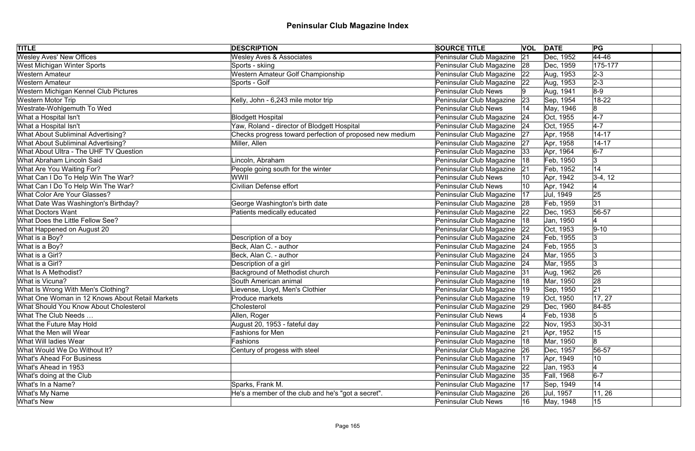| <b>TITLE</b>                                    | <b>DESCRIPTION</b>                                       | <b>SOURCE TITLE</b>           |    | <b>VOL</b> DATE | PG              |
|-------------------------------------------------|----------------------------------------------------------|-------------------------------|----|-----------------|-----------------|
| <b>Wesley Aves' New Offices</b>                 | <b>Wesley Aves &amp; Associates</b>                      | Peninsular Club Magazine      | 21 | Dec, 1952       | $\sqrt{44-46}$  |
| <b>West Michigan Winter Sports</b>              | Sports - skiing                                          | Peninsular Club Magazine 28   |    | Dec, 1959       | 175-177         |
| <b>Western Amateur</b>                          | Western Amateur Golf Championship                        | Peninsular Club Magazine      | 22 | Aug, 1953       | $2 - 3$         |
| <b>Western Amateur</b>                          | Sports - Golf                                            | Peninsular Club Magazine      | 22 | Aug, 1953       | $2 - 3$         |
| Western Michigan Kennel Club Pictures           |                                                          | <b>Peninsular Club News</b>   |    | Aug, 1941       | $8-9$           |
| Western Motor Trip                              | Kelly, John - 6,243 mile motor trip                      | Peninsular Club Magazine      | 23 | Sep, 1954       | 18-22           |
| Westrate-Wohlgemuth To Wed                      |                                                          | <b>Peninsular Club News</b>   |    | May, 1946       | 8               |
| What a Hospital Isn't                           | <b>Blodgett Hospital</b>                                 | Peninsular Club Magazine      | 24 | Oct, 1955       | $4-7$           |
| What a Hospital Isn't                           | Yaw, Roland - director of Blodgett Hospital              | Peninsular Club Magazine   24 |    | Oct, 1955       | $4-7$           |
| <b>What About Subliminal Advertising?</b>       | Checks progress toward perfection of proposed new medium | Peninsular Club Magazine 27   |    | Apr, 1958       | $14 - 17$       |
| What About Subliminal Advertising?              | Miller, Allen                                            | Peninsular Club Magazine      | 27 | Apr, 1958       | $14 - 17$       |
| What About Ultra - The UHF TV Question          |                                                          | Peninsular Club Magazine      | 33 | Apr, 1964       | $6-7$           |
| What Abraham Lincoln Said                       | Lincoln, Abraham                                         | Peninsular Club Magazine      | 18 | Feb, 1950       | 3               |
| What Are You Waiting For?                       | People going south for the winter                        | Peninsular Club Magazine      | 21 | Feb, 1952       | 14              |
| What Can I Do To Help Win The War?              | WWII                                                     | <b>Peninsular Club News</b>   |    | Apr, 1942       | $3-4, 12$       |
| What Can I Do To Help Win The War?              | <b>Civilian Defense effort</b>                           | <b>Peninsular Club News</b>   |    | Apr, 1942       |                 |
| What Color Are Your Glasses?                    |                                                          | Peninsular Club Magazine      | 17 | Jul, 1949       | 25              |
| What Date Was Washington's Birthday?            | George Washington's birth date                           | Peninsular Club Magazine      | 28 | Feb, 1959       | 31              |
| <b>What Doctors Want</b>                        | Patients medically educated                              | Peninsular Club Magazine      | 22 | Dec, 1953       | 56-57           |
| What Does the Little Fellow See?                |                                                          | Peninsular Club Magazine      | 18 | Jan, 1950       |                 |
| What Happened on August 20                      |                                                          | Peninsular Club Magazine      | 22 | Oct, 1953       | $ 9-10 $        |
| What is a Boy?                                  | Description of a boy                                     | Peninsular Club Magazine   24 |    | Feb, 1955       |                 |
| What is a Boy?                                  | Beck, Alan C. - author                                   | Peninsular Club Magazine 24   |    | Feb, 1955       |                 |
| What is a Girl?                                 | Beck, Alan C. - author                                   | Peninsular Club Magazine   24 |    | Mar, 1955       | $\vert 3 \vert$ |
| What is a Girl?                                 | Description of a girl                                    | Peninsular Club Magazine 24   |    | Mar, 1955       | $\vert 3 \vert$ |
| What Is A Methodist?                            | Background of Methodist church                           | Peninsular Club Magazine 31   |    | Aug, 1962       | 26              |
| What is Vicuna?                                 | South American animal                                    | Peninsular Club Magazine   18 |    | Mar, 1950       | 28              |
| What Is Wrong With Men's Clothing?              | Lievense, Lloyd, Men's Clothier                          | Peninsular Club Magazine      |    | Sep, 1950       | 21              |
| What One Woman in 12 Knows About Retail Markets | Produce markets                                          | Peninsular Club Magazine   19 |    | Oct, 1950       | 17, 27          |
| <b>What Should You Know About Cholesterol</b>   | Cholesterol                                              | Peninsular Club Magazine   29 |    | Dec, 1960       | 84-85           |
| What The Club Needs                             | Allen, Roger                                             | <b>Peninsular Club News</b>   |    | Feb, 1938       | 5               |
| What the Future May Hold                        | August 20, 1953 - fateful day                            | Peninsular Club Magazine      | 22 | Nov, 1953       | $ 30-31 $       |
| What the Men will Wear                          | <b>Fashions for Men</b>                                  | Peninsular Club Magazine      | 21 | Apr, 1952       | 15              |
| What Will ladies Wear                           | Fashions                                                 | Peninsular Club Magazine      | 18 | Mar, 1950       | $\overline{8}$  |
| What Would We Do Without It?                    | Century of progess with steel                            | Peninsular Club Magazine      | 26 | Dec, 1957       | 56-57           |
| <b>What's Ahead For Business</b>                |                                                          | Peninsular Club Magazine      | 17 | Apr, 1949       | 10              |
| What's Ahead in 1953                            |                                                          | Peninsular Club Magazine      | 22 | Jan, 1953       |                 |
| What's doing at the Club                        |                                                          | Peninsular Club Magazine 35   |    | Fall, 1968      | $6-7$           |
| What's In a Name?                               | Sparks, Frank M.                                         | Peninsular Club Magazine      | 17 | Sep, 1949       | 14              |
| What's My Name                                  | He's a member of the club and he's "got a secret".       | Peninsular Club Magazine      | 26 | Jul, 1957       | 11, 26          |
| What's New                                      |                                                          | <b>Peninsular Club News</b>   | 16 | May, 1948       | 15              |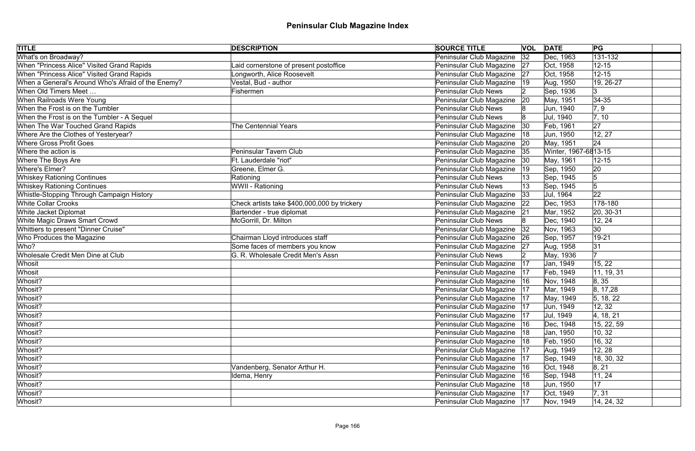| <b>TITLE</b>                                       | <b>DESCRIPTION</b>                           | <b>SOURCE TITLE</b>           |              | <b>VOL DATE</b>      | PG                   |
|----------------------------------------------------|----------------------------------------------|-------------------------------|--------------|----------------------|----------------------|
| What's on Broadway?                                |                                              | Peninsular Club Magazine      | 32           | Dec, 1963            | $\overline{131-132}$ |
| When "Princess Alice" Visited Grand Rapids         | aid cornerstone of present postoffice        | Peninsular Club Magazine 27   |              | Oct, 1958            | $12 - 15$            |
| When "Princess Alice" Visited Grand Rapids         | Longworth, Alice Roosevelt                   | Peninsular Club Magazine 27   |              | Oct, 1958            | $12 - 15$            |
| When a General's Around Who's Afraid of the Enemy? | Vestal, Bud - author                         | Peninsular Club Magazine      | 19           | Aug, 1950            | 19, 26-27            |
| When Old Timers Meet                               | Fishermen                                    | <b>Peninsular Club News</b>   |              | Sep, 1936            | Ι3                   |
| When Railroads Were Young                          |                                              | Peninsular Club Magazine      | 20           | May, 1951            | $34 - 35$            |
| When the Frost is on the Tumbler                   |                                              | <b>Peninsular Club News</b>   |              | Jun, 1940            | 7, 9                 |
| When the Frost is on the Tumbler - A Sequel        |                                              | Peninsular Club News          |              | Jul, 1940            | 7, 10                |
| When The War Touched Grand Rapids                  | <b>The Centennial Years</b>                  | Peninsular Club Magazine      | $ 30\rangle$ | Feb, 1961            | 27                   |
| Where Are the Clothes of Yesteryear?               |                                              | Peninsular Club Magazine      | 18           | Jun, 1950            | 12, 27               |
| <b>Where Gross Profit Goes</b>                     |                                              | Peninsular Club Magazine      | 20           | May, 1951            | 24                   |
| Where the action is                                | Peninsular Tavern Club                       | Peninsular Club Magazine      | 35           | Winter, 1967-6813-15 |                      |
| Where The Boys Are                                 | Ft. Lauderdale "riot"                        | Peninsular Club Magazine      | 30           | May, 1961            | $12 - 15$            |
| Where's Elmer?                                     | Greene, Elmer G.                             | Peninsular Club Magazine      | 19           | Sep, 1950            | 20                   |
| <b>Whiskey Rationing Continues</b>                 | Rationing                                    | <b>Peninsular Club News</b>   |              | Sep, 1945            | 5                    |
| <b>Whiskey Rationing Continues</b>                 | WWII - Rationing                             | <b>Peninsular Club News</b>   |              | Sep, 1945            | 5                    |
| Whistle-Stopping Through Campaign History          |                                              | Peninsular Club Magazine      | 33           | Jul, 1964            | 22                   |
| <b>White Collar Crooks</b>                         | Check artists take \$400,000,000 by trickery | Peninsular Club Magazine      | 22           | Dec, 1953            | 178-180              |
| White Jacket Diplomat                              | Bartender - true diplomat                    | Peninsular Club Magazine      | 21           | Mar, 1952            | 20, 30-31            |
| White Magic Draws Smart Crowd                      | McGorrill, Dr. Milton                        | <b>Peninsular Club News</b>   |              | Dec, 1940            | 12, 24               |
| Whittiers to present "Dinner Cruise"               |                                              | Peninsular Club Magazine      | 32           | Nov, 1963            | $ 30\rangle$         |
| Who Produces the Magazine                          | Chairman Lloyd introduces staff              | Peninsular Club Magazine   26 |              | Sep, 1957            | 19-21                |
| Who?                                               | Some faces of members you know               | Peninsular Club Magazine 27   |              | Aug, 1958            | 31                   |
| Wholesale Credit Men Dine at Club                  | G. R. Wholesale Credit Men's Assn            | <b>Peninsular Club News</b>   |              | May, 1936            | 17                   |
| Whosit                                             |                                              | Peninsular Club Magazine      | 17           | Jan, 1949            | 15, 22               |
| Whosit                                             |                                              | Peninsular Club Magazine      | 17           | Feb, 1949            | 11, 19, 31           |
| Whosit?                                            |                                              | Peninsular Club Magazine   16 |              | Nov, 1948            | 8, 35                |
| Whosit?                                            |                                              | Peninsular Club Magazine      | 17           | Mar, 1949            | 8, 17, 28            |
| Whosit?                                            |                                              | Peninsular Club Magazine   17 |              | May, 1949            | 5, 18, 22            |
| Whosit?                                            |                                              | Peninsular Club Magazine      | 17           | Jun, 1949            | 12, 32               |
| Whosit?                                            |                                              | Peninsular Club Magazine   17 |              | Jul, 1949            | 4, 18, 21            |
| Whosit?                                            |                                              | Peninsular Club Magazine      | 16           | Dec, 1948            | 15, 22, 59           |
| Whosit?                                            |                                              | Peninsular Club Magazine      | 18           | Jan, 1950            | 10, 32               |
| Whosit?                                            |                                              | Peninsular Club Magazine      | 18           | Feb, 1950            | 16, 32               |
| Whosit?                                            |                                              | Peninsular Club Magazine      | 17           | Aug, 1949            | 12, 28               |
| Whosit?                                            |                                              | Peninsular Club Magazine   17 |              | Sep, 1949            | 18, 30, 32           |
| Whosit?                                            | Vandenberg, Senator Arthur H.                | Peninsular Club Magazine      | 16           | Oct, 1948            | 8, 21                |
| Whosit?                                            | Idema, Henry                                 | Peninsular Club Magazine   16 |              | Sep, 1948            | 11, 24               |
| Whosit?                                            |                                              | Peninsular Club Magazine   18 |              | Jun, 1950            | 17                   |
| Whosit?                                            |                                              | Peninsular Club Magazine   17 |              | Oct, 1949            | 7, 31                |
| Whosit?                                            |                                              | Peninsular Club Magazine   17 |              | Nov, 1949            | 14, 24, 32           |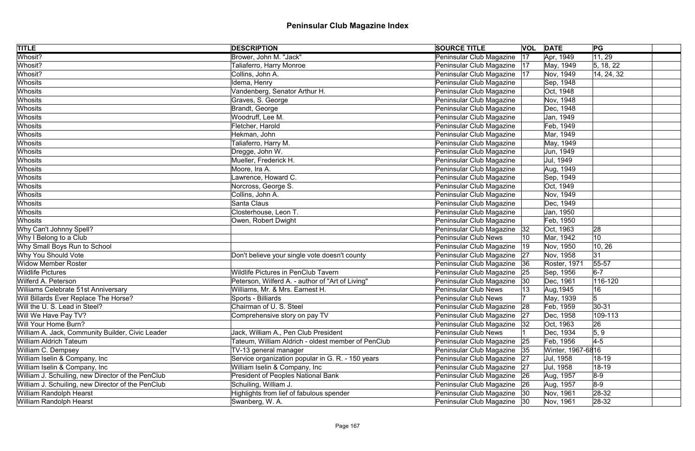| <b>TITLE</b>                                      | <b>DESCRIPTION</b>                                 | <b>SOURCE TITLE</b>           |              | <b>VOL</b> DATE   | PG              |
|---------------------------------------------------|----------------------------------------------------|-------------------------------|--------------|-------------------|-----------------|
| Whosit?                                           | Brower, John M. "Jack"                             | Peninsular Club Magazine      | 17           | Apr, 1949         | 11, 29          |
| Whosit?                                           | Taliaferro, Harry Monroe                           | Peninsular Club Magazine   17 |              | May, 1949         | 5, 18, 22       |
| Whosit?                                           | Collins, John A.                                   | Peninsular Club Magazine   17 |              | Nov, 1949         | 14, 24, 32      |
| Whosits                                           | Idema, Henry                                       | Peninsular Club Magazine      |              | Sep, 1948         |                 |
| Whosits                                           | Vandenberg, Senator Arthur H.                      | Peninsular Club Magazine      |              | Oct, 1948         |                 |
| Whosits                                           | Graves, S. George                                  | Peninsular Club Magazine      |              | Nov, 1948         |                 |
| Whosits                                           | Brandt, George                                     | Peninsular Club Magazine      |              | Dec, 1948         |                 |
| Whosits                                           | Woodruff, Lee M.                                   | Peninsular Club Magazine      |              | Jan, 1949         |                 |
| Whosits                                           | Fletcher, Harold                                   | Peninsular Club Magazine      |              | Feb, 1949         |                 |
| Whosits                                           | Hekman, John                                       | Peninsular Club Magazine      |              | Mar, 1949         |                 |
| Whosits                                           | Taliaferro, Harry M.                               | Peninsular Club Magazine      |              | May, 1949         |                 |
| Whosits                                           | Dregge, John W.                                    | Peninsular Club Magazine      |              | Jun, 1949         |                 |
| Whosits                                           | Mueller, Frederick H.                              | Peninsular Club Magazine      |              | Jul, 1949         |                 |
| Whosits                                           | Moore, Ira A.                                      | Peninsular Club Magazine      |              | Aug, 1949         |                 |
| Whosits                                           | Lawrence, Howard C.                                | Peninsular Club Magazine      |              | Sep, 1949         |                 |
| Whosits                                           | Norcross, George S.                                | Peninsular Club Magazine      |              | Oct, 1949         |                 |
| Whosits                                           | Collins, John A.                                   | Peninsular Club Magazine      |              | Nov, 1949         |                 |
| Whosits                                           | Santa Claus                                        | Peninsular Club Magazine      |              | Dec, 1949         |                 |
| Whosits                                           | Closterhouse, Leon T.                              | Peninsular Club Magazine      |              | Jan, 1950         |                 |
| Whosits                                           | Owen, Robert Dwight                                | Peninsular Club Magazine      |              | Feb, 1950         |                 |
| Why Can't Johnny Spell?                           |                                                    | Peninsular Club Magazine   32 |              | Oct, 1963         | 28              |
| Why I Belong to a Club                            |                                                    | <b>Peninsular Club News</b>   | 10           | Mar, 1942         | 10              |
| Why Small Boys Run to School                      |                                                    | Peninsular Club Magazine      | $ 19\rangle$ | Nov, 1950         | 10, 26          |
| Why You Should Vote                               | Don't believe your single vote doesn't county      | Peninsular Club Magazine   27 |              | Nov, 1958         | 31              |
| <b>Widow Member Roster</b>                        |                                                    | Peninsular Club Magazine 36   |              | Roster, 1971      | 55-57           |
| <b>Wildlife Pictures</b>                          | <b>Wildlife Pictures in PenClub Tavern</b>         | Peninsular Club Magazine      | 25           | Sep, 1956         | $6-7$           |
| Wilferd A. Peterson                               | Peterson, Wilferd A. - author of "Art of Living"   | Peninsular Club Magazine      | $ 30\rangle$ | Dec, 1961         | 116-120         |
| Williams Celebrate 51st Anniversary               | Williams, Mr. & Mrs. Earnest H.                    | <b>Peninsular Club News</b>   |              | Aug, 1945         | 16              |
| Will Billards Ever Replace The Horse?             | Sports - Billiards                                 | <b>Peninsular Club News</b>   |              | May, 1939         | $5\phantom{.0}$ |
| Will the U. S. Lead in Steel?                     | Chairman of U.S. Steel                             | Peninsular Club Magazine      | 28           | Feb, 1959         | $30 - 31$       |
| Will We Have Pay TV?                              | Comprehensive story on pay TV                      | Peninsular Club Magazine      | 27           | Dec, 1958         | 109-113         |
| Will Your Home Burn?                              |                                                    | Peninsular Club Magazine      | 32           | Oct, 1963         | 26              |
| William A. Jack, Community Builder, Civic Leader  | Jack, William A., Pen Club President               | <b>Peninsular Club News</b>   |              | Dec, 1934         | 5, 9            |
| William Aldrich Tateum                            | Tateum, William Aldrich - oldest member of PenClub | Peninsular Club Magazine 25   |              | Feb, 1956         | $4-5$           |
| William C. Dempsey                                | TV-13 general manager                              | Peninsular Club Magazine   35 |              | Winter, 1967-6816 |                 |
| William Iselin & Company, Inc.                    | Service organization popular in G. R. - 150 years  | Peninsular Club Magazine   27 |              | Jul, 1958         | 18-19           |
| William Iselin & Company, Inc.                    | William Iselin & Company, Inc                      | Peninsular Club Magazine   27 |              | Jul, 1958         | $18 - 19$       |
| William J. Schuiling, new Director of the PenClub | President of Peoples National Bank                 | Peninsular Club Magazine 26   |              | Aug, 1957         | $8-9$           |
| William J. Schuiling, new Director of the PenClub | Schuiling, William J.                              | Peninsular Club Magazine 26   |              | Aug, 1957         | $8-9$           |
| William Randolph Hearst                           | Highlights from lief of fabulous spender           | Peninsular Club Magazine   30 |              | Nov, 1961         | $28-32$         |
| William Randolph Hearst                           | Swanberg, W. A.                                    | Peninsular Club Magazine 30   |              | Nov, 1961         | $ 28-32 $       |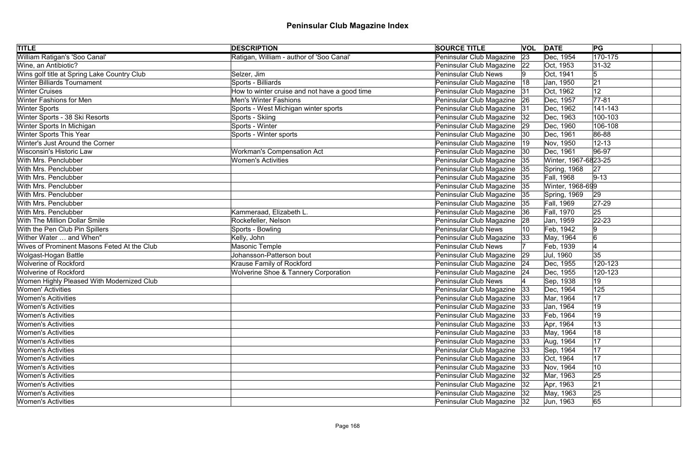| <b>TITLE</b>                                | <b>DESCRIPTION</b>                              | <b>SOURCE TITLE</b>           |             | <b>VOL DATE</b>      | PG                   |  |
|---------------------------------------------|-------------------------------------------------|-------------------------------|-------------|----------------------|----------------------|--|
| William Ratigan's 'Soo Canal'               | Ratigan, William - author of 'Soo Canal'        | Peninsular Club Magazine      | $\sqrt{23}$ | Dec, 1954            | $\overline{170-175}$ |  |
| Wine, an Antibiotic?                        |                                                 | Peninsular Club Magazine 22   |             | Oct, 1953            | $ 31-32 $            |  |
| Wins golf title at Spring Lake Country Club | Selzer, Jim                                     | <b>Peninsular Club News</b>   |             | Oct, 1941            | $\sqrt{5}$           |  |
| <b>Winter Billiards Tournament</b>          | Sports - Billiards                              | Peninsular Club Magazine      | 18          | Jan, 1950            | 21                   |  |
| <b>Winter Cruises</b>                       | How to winter cruise and not have a good time   | Peninsular Club Magazine 31   |             | Oct, 1962            | 12                   |  |
| Winter Fashions for Men                     | <b>Men's Winter Fashions</b>                    | Peninsular Club Magazine 26   |             | Dec, 1957            | $77 - 81$            |  |
| <b>Winter Sports</b>                        | Sports - West Michigan winter sports            | Peninsular Club Magazine      | 31          | Dec, 1962            | 141-143              |  |
| Winter Sports - 38 Ski Resorts              | Sports - Skiing                                 | Peninsular Club Magazine      | 32          | Dec, 1963            | 100-103              |  |
| Winter Sports In Michigan                   | Sports - Winter                                 | Peninsular Club Magazine      | 29          | Dec, 1960            | 106-108              |  |
| <b>Winter Sports This Year</b>              | Sports - Winter sports                          | Peninsular Club Magazine 30   |             | Dec, 1961            | 86-88                |  |
| Winter's Just Around the Corner             |                                                 | Peninsular Club Magazine      |             | Nov, 1950            | $12 - 13$            |  |
| <b>Wisconsin's Historic Law</b>             | <b>Workman's Compensation Act</b>               | Peninsular Club Magazine      | 30          | Dec, 1961            | $ 96-97$             |  |
| With Mrs. Penclubber                        | <b>Women's Activities</b>                       | Peninsular Club Magazine      | 35          | Winter, 1967-6823-25 |                      |  |
| With Mrs. Penclubber                        |                                                 | Peninsular Club Magazine      | 35          | Spring, 1968         | 27                   |  |
| With Mrs. Penclubber                        |                                                 | Peninsular Club Magazine      | 35          | Fall, 1968           | $9 - 13$             |  |
| With Mrs. Penclubber                        |                                                 | Peninsular Club Magazine      | 35          | Winter, 1968-699     |                      |  |
| With Mrs. Penclubber                        |                                                 | Peninsular Club Magazine      | 35          | Spring, 1969         | 29                   |  |
| With Mrs. Penclubber                        |                                                 | Peninsular Club Magazine      | 35          | Fall, 1969           | $ 27-29$             |  |
| With Mrs. Penclubber                        | Kammeraad, Elizabeth L.                         | Peninsular Club Magazine      | 36          | Fall, 1970           | 25                   |  |
| <b>With The Million Dollar Smile</b>        | Rockefeller, Nelson                             | Peninsular Club Magazine      | 28          | Jan, 1959            | $ 22 - 23 $          |  |
| With the Pen Club Pin Spillers              | Sports - Bowling                                | <b>Peninsular Club News</b>   |             | Feb, 1942            | 9                    |  |
| Wither Water  and When"                     | Kelly, John                                     | Peninsular Club Magazine      | 33          | May, 1964            | 6                    |  |
| Wives of Prominent Masons Feted At the Club | <b>Masonic Temple</b>                           | <b>Peninsular Club News</b>   |             | Feb, 1939            |                      |  |
| Wolgast-Hogan Battle                        | Johansson-Patterson bout                        | Peninsular Club Magazine      | 29          | Jul, 1960            | 35                   |  |
| <b>Wolverine of Rockford</b>                | Krause Family of Rockford                       | Peninsular Club Magazine 24   |             | Dec, 1955            | 120-123              |  |
| <b>Wolverine of Rockford</b>                | <b>Wolverine Shoe &amp; Tannery Corporation</b> | Peninsular Club Magazine 24   |             | Dec, 1955            | 120-123              |  |
| Women Highly Pleased With Modernized Club   |                                                 | <b>Peninsular Club News</b>   |             | Sep, 1938            | 19                   |  |
| <b>Women' Activities</b>                    |                                                 | Peninsular Club Magazine      | 33          | Dec, 1964            | 125                  |  |
| <b>Women's Acitivities</b>                  |                                                 | Peninsular Club Magazine 33   |             | Mar, 1964            | 17                   |  |
| <b>Women's Activities</b>                   |                                                 | Peninsular Club Magazine      | 33          | Jan, 1964            | 19                   |  |
| <b>Women's Activities</b>                   |                                                 | Peninsular Club Magazine   33 |             | Feb, 1964            | 19                   |  |
| <b>Women's Activities</b>                   |                                                 | Peninsular Club Magazine      | 33          | Apr, 1964            | 13                   |  |
| <b>Women's Activities</b>                   |                                                 | Peninsular Club Magazine      | 33          | May, 1964            | 18                   |  |
| <b>Women's Activities</b>                   |                                                 | Peninsular Club Magazine      | 33          | Aug, 1964            | 17                   |  |
| <b>Women's Activities</b>                   |                                                 | Peninsular Club Magazine      | 33          | Sep, 1964            | 17                   |  |
| <b>Women's Activities</b>                   |                                                 | Peninsular Club Magazine      | 33          | Oct, 1964            | 17                   |  |
| <b>Women's Activities</b>                   |                                                 | Peninsular Club Magazine      | 33          | Nov, 1964            | 10                   |  |
| <b>Women's Activities</b>                   |                                                 | Peninsular Club Magazine      | 32          | Mar, 1963            | 25                   |  |
| <b>Women's Activities</b>                   |                                                 | Peninsular Club Magazine      | 32          | Apr, 1963            | 21                   |  |
| <b>Women's Activities</b>                   |                                                 | Peninsular Club Magazine   32 |             | May, 1963            | 25                   |  |
| <b>Women's Activities</b>                   |                                                 | Peninsular Club Magazine   32 |             | Jun, 1963            | 65                   |  |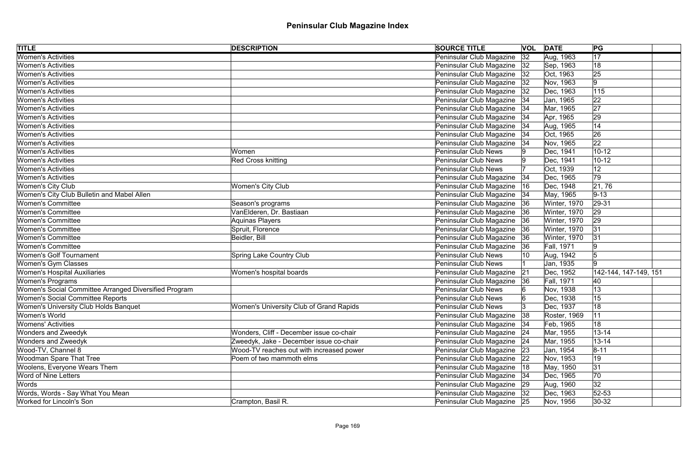| <b>TITLE</b>                                          | <b>DESCRIPTION</b>                       | <b>SOURCE TITLE</b>           |    | <b>VOL DATE</b>   | PG                    |  |
|-------------------------------------------------------|------------------------------------------|-------------------------------|----|-------------------|-----------------------|--|
| <b>Women's Activities</b>                             |                                          | Peninsular Club Magazine      | 32 | Aug, 1963         | 17                    |  |
| <b>Women's Activities</b>                             |                                          | Peninsular Club Magazine      | 32 | Sep, 1963         | 18                    |  |
| <b>Women's Activities</b>                             |                                          | Peninsular Club Magazine      | 32 | Oct, 1963         | 25                    |  |
| <b>Women's Activities</b>                             |                                          | Peninsular Club Magazine      | 32 | Nov, 1963         | 9                     |  |
| <b>Women's Activities</b>                             |                                          | Peninsular Club Magazine      | 32 | Dec, 1963         | 115                   |  |
| <b>Women's Activities</b>                             |                                          | Peninsular Club Magazine   34 |    | Jan, 1965         | 22                    |  |
| <b>Women's Activities</b>                             |                                          | Peninsular Club Magazine      | 34 | Mar, 1965         | 27                    |  |
| <b>Women's Activities</b>                             |                                          | Peninsular Club Magazine      | 34 | Apr, 1965         | 29                    |  |
| <b>Women's Activities</b>                             |                                          | Peninsular Club Magazine      | 34 | Aug, 1965         | 14                    |  |
| <b>Women's Activities</b>                             |                                          | Peninsular Club Magazine      | 34 | Oct, 1965         | 26                    |  |
| <b>Women's Activities</b>                             |                                          | Peninsular Club Magazine      | 34 | Nov, 1965         | 22                    |  |
| <b>Women's Activities</b>                             | Women                                    | <b>Peninsular Club News</b>   |    | Dec, 1941         | $10 - 12$             |  |
| <b>Women's Activities</b>                             | <b>Red Cross knitting</b>                | <b>Peninsular Club News</b>   |    | Dec, 1941         | $10 - 12$             |  |
| <b>Women's Activities</b>                             |                                          | <b>Peninsular Club News</b>   |    | Oct, 1939         | 12                    |  |
| <b>Women's Activities</b>                             |                                          | Peninsular Club Magazine      | 34 | Dec, 1965         | 79                    |  |
| Women's City Club                                     | <b>Women's City Club</b>                 | Peninsular Club Magazine      | 16 | Dec, 1948         | 21, 76                |  |
| Women's City Club Bulletin and Mabel Allen            |                                          | Peninsular Club Magazine      | 34 | May, 1965         | $ 9-13 $              |  |
| <b>Women's Committee</b>                              | Season's programs                        | Peninsular Club Magazine      | 36 | Winter, 1970      | $ 29-31 $             |  |
| <b>Women's Committee</b>                              | VanElderen, Dr. Bastiaan                 | Peninsular Club Magazine      | 36 | Winter, 1970      | 29                    |  |
| <b>Women's Committee</b>                              | Aquinas Players                          | Peninsular Club Magazine      | 36 | Winter, 1970      | 29                    |  |
| <b>Women's Committee</b>                              | Spruit, Florence                         | Peninsular Club Magazine      | 36 | Winter, 1970      | 31                    |  |
| <b>Women's Committee</b>                              | Beidler, Bill                            | Peninsular Club Magazine      | 36 | Winter, 1970      | 31                    |  |
| <b>Women's Committee</b>                              |                                          | Peninsular Club Magazine      | 36 | Fall, 1971        | 9                     |  |
| <b>Women's Golf Tournament</b>                        | <b>Spring Lake Country Club</b>          | <b>Peninsular Club News</b>   |    | Aug, 1942         | 5                     |  |
| Women's Gym Classes                                   |                                          | Peninsular Club News          |    | Jan, 1935         | ۱g                    |  |
| <b>Women's Hospital Auxiliaries</b>                   | Women's hospital boards                  | Peninsular Club Magazine      | 21 | Dec, 1952         | 142-144, 147-149, 151 |  |
| Women's Programs                                      |                                          | Peninsular Club Magazine      | 36 | <b>Fall, 1971</b> | 40                    |  |
| Women's Social Committee Arranged Diversified Program |                                          | <b>Peninsular Club News</b>   |    | Nov, 1938         | 13                    |  |
| Women's Social Committee Reports                      |                                          | Peninsular Club News          |    | Dec, 1938         | 15                    |  |
| Women's University Club Holds Banquet                 | Women's University Club of Grand Rapids  | <b>Peninsular Club News</b>   |    | Dec, 1937         | 18                    |  |
| Women's World                                         |                                          | Peninsular Club Magazine      | 38 | Roster, 1969      | 11                    |  |
| <b>Womens' Activities</b>                             |                                          | Peninsular Club Magazine      | 34 | Feb, 1965         | 18                    |  |
| <b>Wonders and Zweedyk</b>                            | Wonders, Cliff - December issue co-chair | Peninsular Club Magazine      | 24 | Mar, 1955         | $13 - 14$             |  |
| <b>Wonders and Zweedyk</b>                            | Zweedyk, Jake - December issue co-chair  | Peninsular Club Magazine      | 24 | Mar, 1955         | $13 - 14$             |  |
| Wood-TV, Channel 8                                    | Wood-TV reaches out with increased power | Peninsular Club Magazine      | 23 | Jan, 1954         | $8 - 11$              |  |
| <b>Woodman Spare That Tree</b>                        | Poem of two mammoth elms                 | Peninsular Club Magazine      | 22 | Nov, 1953         | 19                    |  |
| Woolens, Everyone Wears Them                          |                                          | Peninsular Club Magazine      | 18 | May, 1950         | 31                    |  |
| <b>Word of Nine Letters</b>                           |                                          | Peninsular Club Magazine 34   |    | Dec, 1965         | 70                    |  |
| Words                                                 |                                          | Peninsular Club Magazine   29 |    | Aug, 1960         | 32                    |  |
| Words, Words - Say What You Mean                      |                                          | Peninsular Club Magazine   32 |    | Dec, 1963         | $52 - 53$             |  |
| Worked for Lincoln's Son                              | Crampton, Basil R.                       | Peninsular Club Magazine 25   |    | Nov, 1956         | $ 30-32 $             |  |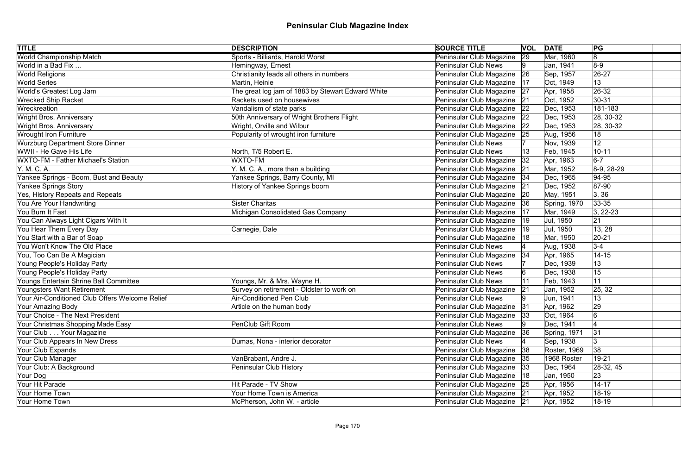| <b>TITLE</b>                                    | <b>DESCRIPTION</b>                                | <b>SOURCE TITLE</b>           |              | <b>VOL DATE</b> | PG            |
|-------------------------------------------------|---------------------------------------------------|-------------------------------|--------------|-----------------|---------------|
| <b>World Championship Match</b>                 | Sports - Billiards, Harold Worst                  | Peninsular Club Magazine      | $\sqrt{29}$  | Mar, 1960       | 8             |
| World in a Bad Fix                              | Hemingway, Ernest                                 | <b>Peninsular Club News</b>   |              | Jan, 1941       | $8-9$         |
| <b>World Religions</b>                          | Christianity leads all others in numbers          | Peninsular Club Magazine   26 |              | Sep, 1957       | $ 26-27$      |
| <b>World Series</b>                             | Martin, Heinie                                    | Peninsular Club Magazine   17 |              | Oct, 1949       | 13            |
| World's Greatest Log Jam                        | The great log jam of 1883 by Stewart Edward White | Peninsular Club Magazine   27 |              | Apr, 1958       | $ 26-32 $     |
| <b>Wrecked Ship Racket</b>                      | Rackets used on housewives                        | Peninsular Club Magazine 21   |              | Oct, 1952       | 30-31         |
| Wreckreation                                    | Vandalism of state parks                          | Peninsular Club Magazine      | 22           | Dec, 1953       | 181-183       |
| Wright Bros. Anniversary                        | 50th Anniversary of Wright Brothers Flight        | Peninsular Club Magazine 22   |              | Dec, 1953       | 28, 30-32     |
| <b>Wright Bros. Anniversary</b>                 | Wright, Orville and Wilbur                        | Peninsular Club Magazine      | 22           | Dec, 1953       | 28, 30-32     |
| <b>Wrought Iron Furniture</b>                   | Popularity of wrought iron furniture              | Peninsular Club Magazine 25   |              | Aug, 1956       | 18            |
| <b>Wurzburg Department Store Dinner</b>         |                                                   | <b>Peninsular Club News</b>   |              | Nov, 1939       | 12            |
| WWII - He Gave His Life                         | North, T/5 Robert E.                              | <b>Peninsular Club News</b>   |              | Feb, 1945       | $10 - 11$     |
| WXTO-FM - Father Michael's Station              | <b>WXTO-FM</b>                                    | Peninsular Club Magazine      | 32           | Apr, 1963       | $6-7$         |
| Y. M. C. A.                                     | Y. M. C. A., more than a building                 | Peninsular Club Magazine      | 21           | Mar, 1952       | $8-9, 28-29$  |
| Yankee Springs - Boom, Bust and Beauty          | Yankee Springs, Barry County, MI                  | Peninsular Club Magazine 34   |              | Dec, 1965       | $ 94 - 95$    |
| Yankee Springs Story                            | History of Yankee Springs boom                    | Peninsular Club Magazine      | 21           | Dec, 1952       | $ 87-90$      |
| Yes, History Repeats and Repeats                |                                                   | Peninsular Club Magazine      | 20           | May, 1951       | 3, 36         |
| You Are Your Handwriting                        | <b>Sister Charitas</b>                            | Peninsular Club Magazine   36 |              | Spring, 1970    | $33 - 35$     |
| You Burn It Fast                                | Michigan Consolidated Gas Company                 | Peninsular Club Magazine      | 17           | Mar, 1949       | $ 3, 22-23$   |
| You Can Always Light Cigars With It             |                                                   | Peninsular Club Magazine      | 19           | Jul, 1950       | 21            |
| You Hear Them Every Day                         | Carnegie, Dale                                    | Peninsular Club Magazine      | $ 19\rangle$ | Jul, 1950       | 13, 28        |
| You Start with a Bar of Soap                    |                                                   | Peninsular Club Magazine      | 18           | Mar, 1950       | $ 20-21$      |
| You Won't Know The Old Place                    |                                                   | <b>Peninsular Club News</b>   |              | Aug, 1938       | $3 - 4$       |
| You, Too Can Be A Magician                      |                                                   | Peninsular Club Magazine   34 |              | Apr, 1965       | $14 - 15$     |
| Young People's Holiday Party                    |                                                   | <b>Peninsular Club News</b>   |              | Dec, 1939       | 13            |
| Young People's Holiday Party                    |                                                   | <b>Peninsular Club News</b>   |              | Dec, 1938       | 15            |
| Youngs Entertain Shrine Ball Committee          | Youngs, Mr. & Mrs. Wayne H.                       | <b>Peninsular Club News</b>   |              | Feb, 1943       | 11            |
| Youngsters Want Retirement                      | Survey on retirement - Oldster to work on         | Peninsular Club Magazine      | 21           | Jan, 1952       | 25, 32        |
| Your Air-Conditioned Club Offers Welcome Relief | Air-Conditioned Pen Club                          | Peninsular Club News          |              | Jun, 1941       | 13            |
| Your Amazing Body                               | Article on the human body                         | Peninsular Club Magazine      | 31           | Apr, 1962       | 29            |
| Your Choice - The Next President                |                                                   | Peninsular Club Magazine 33   |              | Oct, 1964       |               |
| Your Christmas Shopping Made Easy               | <b>PenClub Gift Room</b>                          | <b>Peninsular Club News</b>   |              | Dec, 1941       |               |
| Your Club Your Magazine                         |                                                   | Peninsular Club Magazine      | 36           | Spring, 1971    | 31            |
| Your Club Appears In New Dress                  | Dumas, Nona - interior decorator                  | <b>Peninsular Club News</b>   |              | Sep, 1938       | 3             |
| Your Club Expands                               |                                                   | Peninsular Club Magazine      | 38           | Roster, 1969    | 38            |
| Your Club Manager                               | VanBrabant, Andre J.                              | Peninsular Club Magazine 35   |              | 1968 Roster     | 19-21         |
| Your Club: A Background                         | Peninsular Club History                           | Peninsular Club Magazine      | 33           | Dec, 1964       | $ 28-32, 45 $ |
| Your Dog                                        |                                                   | Peninsular Club Magazine  18  |              | Jan, 1950       | 23            |
| Your Hit Parade                                 | <b>Hit Parade - TV Show</b>                       | Peninsular Club Magazine 25   |              | Apr, 1956       | $14 - 17$     |
| Your Home Town                                  | Your Home Town is America                         | Peninsular Club Magazine 21   |              | Apr, 1952       | 18-19         |
| Your Home Town                                  | McPherson, John W. - article                      | Peninsular Club Magazine   21 |              | Apr, 1952       | $18 - 19$     |